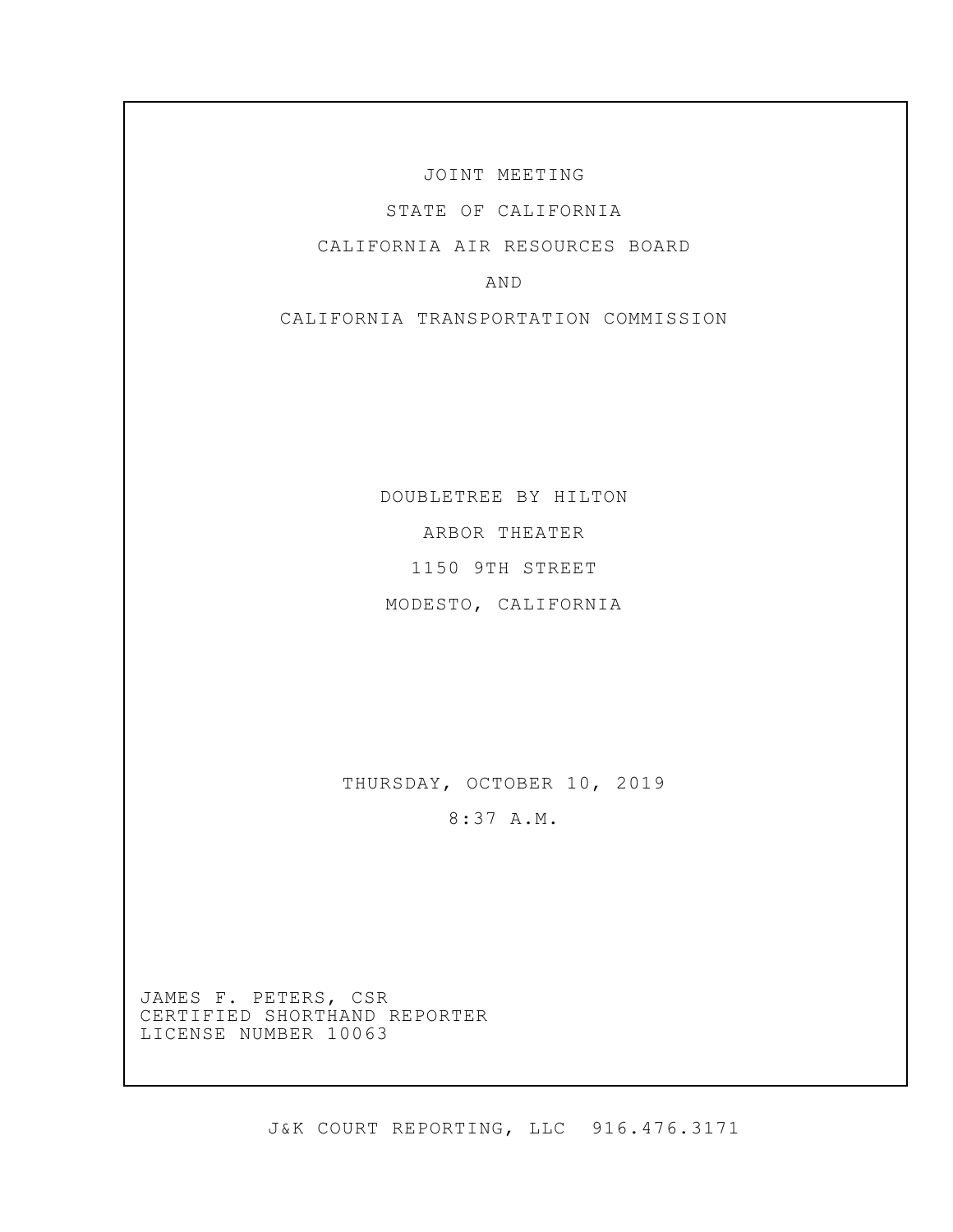JOINT MEETING

STATE OF CALIFORNIA

CALIFORNIA AIR RESOURCES BOARD

AND

CALIFORNIA TRANSPORTATION COMMISSION

DOUBLETREE BY HILTON ARBOR THEATER 1150 9TH STREET MODESTO, CALIFORNIA

THURSDAY, OCTOBER 10, 2019

8:37 A.M.

JAMES F. PETERS, CSR CERTIFIED SHORTHAND REPORTER LICENSE NUMBER 10063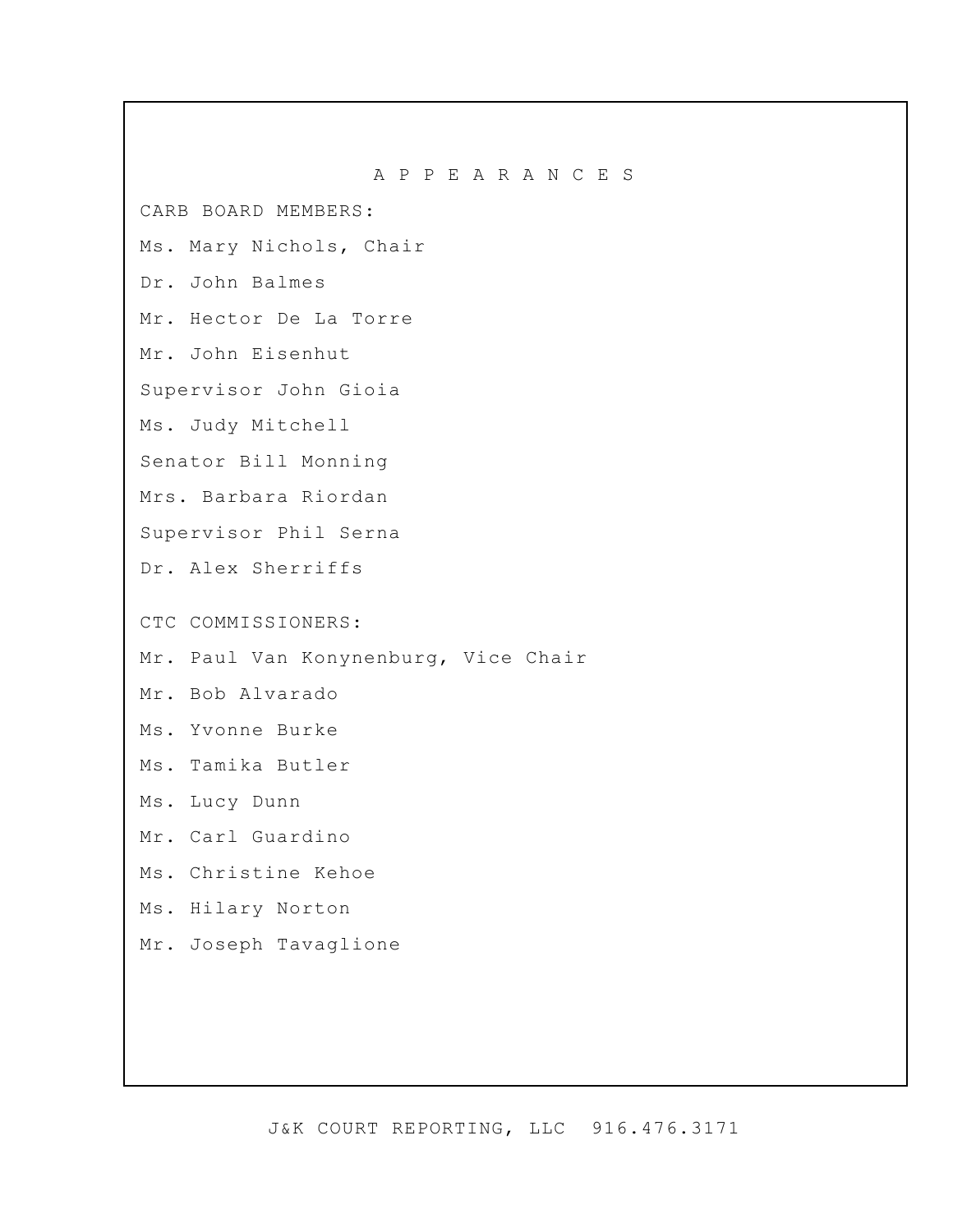A P P E A R A N C E S CARB BOARD MEMBERS: Ms. Mary Nichols, Chair Dr. John Balmes Mr. Hector De La Torre Mr. John Eisenhut Supervisor John Gioia Ms. Judy Mitchell Senator Bill Monning Mrs. Barbara Riordan Supervisor Phil Serna Dr. Alex Sherriffs CTC COMMISSIONERS: Mr. Paul Van Konynenburg, Vice Chair Mr. Bob Alvarado Ms. Yvonne Burke Ms. Tamika Butler Ms. Lucy Dunn Mr. Carl Guardino Ms. Christine Kehoe Ms. Hilary Norton Mr. Joseph Tavaglione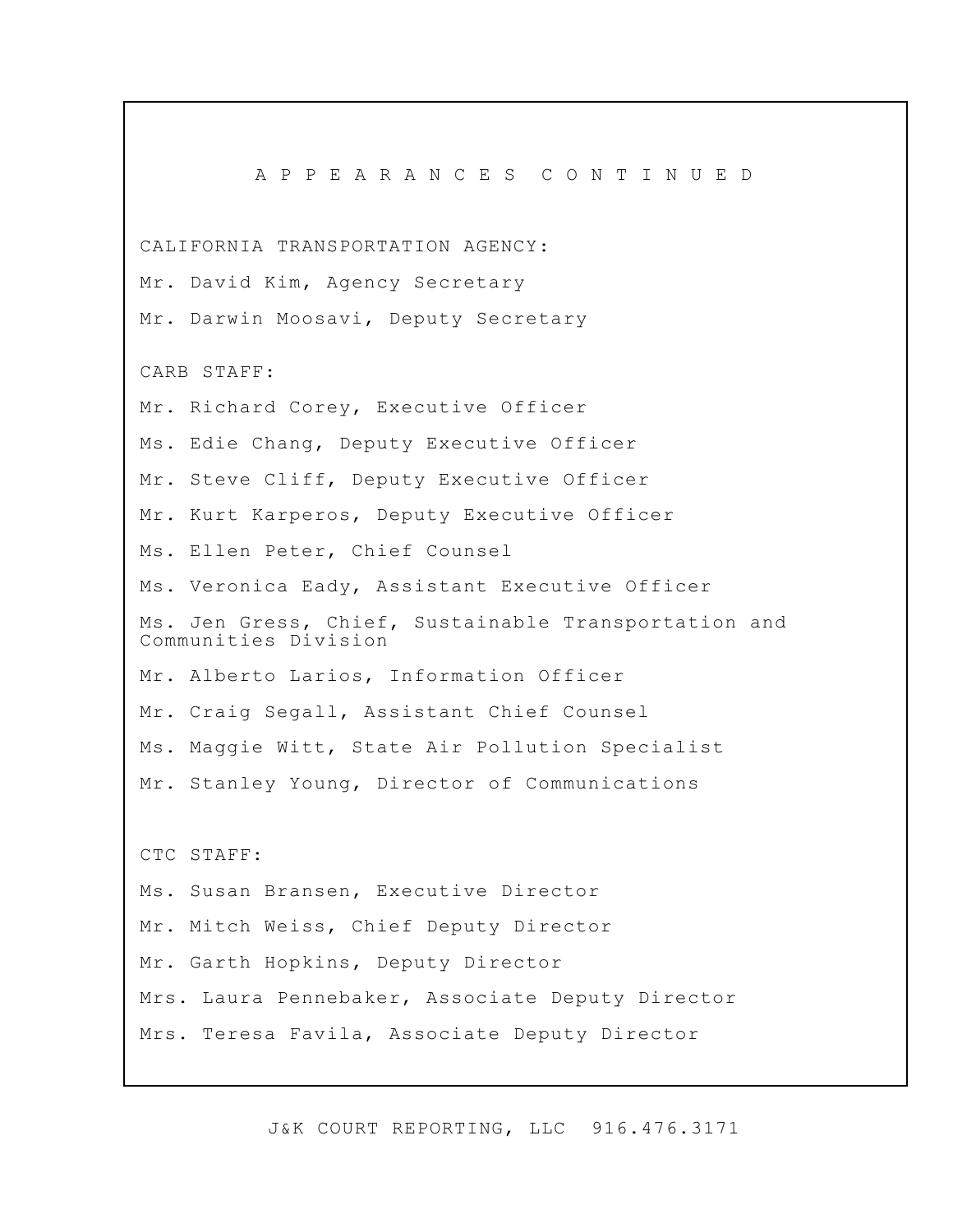A P P E A R A N C E S C O N T I N U E D CALIFORNIA TRANSPORTATION AGENCY: Mr. David Kim, Agency Secretary Mr. Darwin Moosavi, Deputy Secretary CARB STAFF: Mr. Richard Corey, Executive Officer Ms. Edie Chang, Deputy Executive Officer Mr. Steve Cliff, Deputy Executive Officer Mr. Kurt Karperos, Deputy Executive Officer Ms. Ellen Peter, Chief Counsel Ms. Veronica Eady, Assistant Executive Officer Ms. Jen Gress, Chief, Sustainable Transportation and Communities Division Mr. Alberto Larios, Information Officer Mr. Craig Segall, Assistant Chief Counsel Ms. Maggie Witt, State Air Pollution Specialist Mr. Stanley Young, Director of Communications CTC STAFF: Ms. Susan Bransen, Executive Director Mr. Mitch Weiss, Chief Deputy Director Mr. Garth Hopkins, Deputy Director Mrs. Laura Pennebaker, Associate Deputy Director Mrs. Teresa Favila, Associate Deputy Director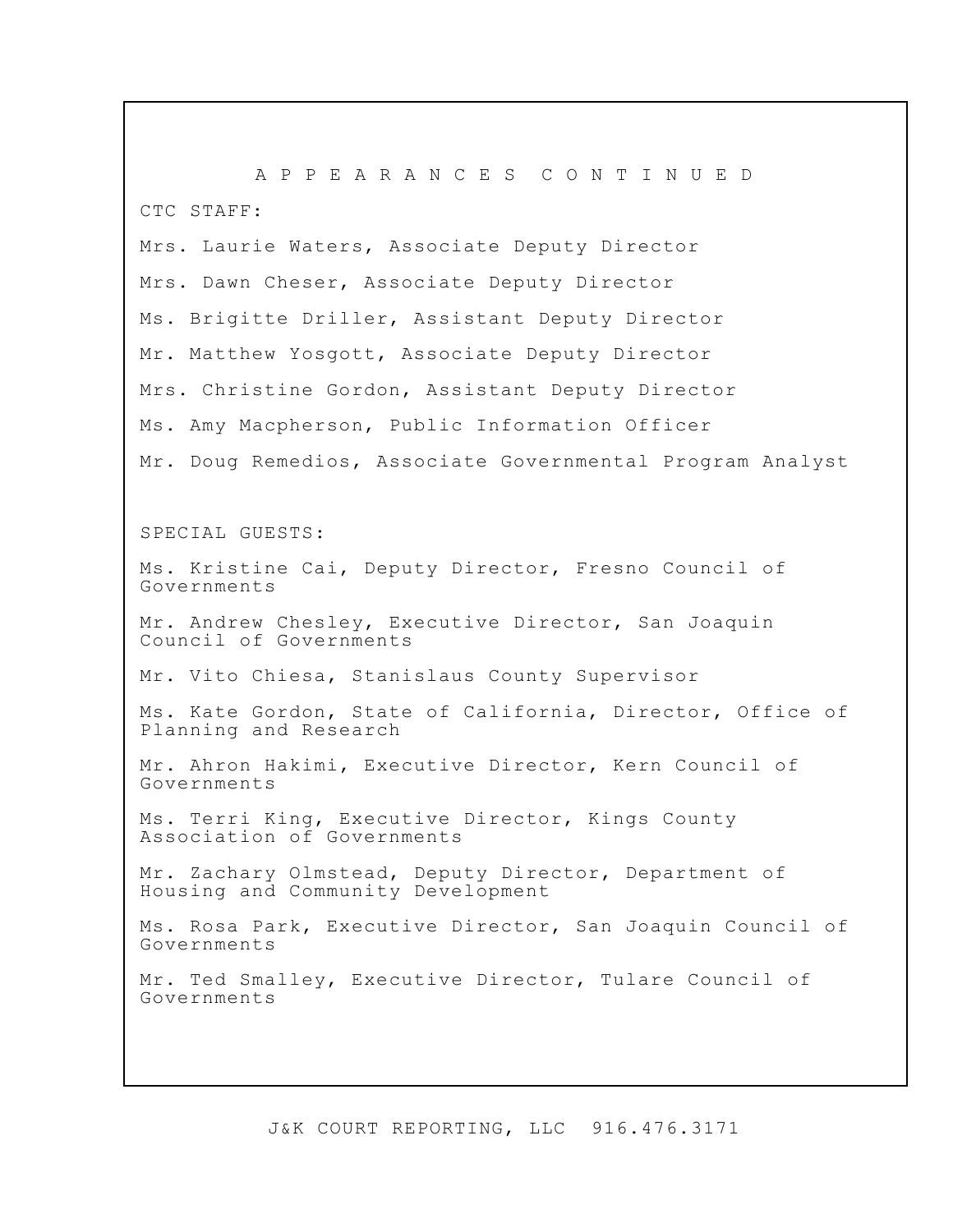A P P E A R A N C E S C O N T I N U E D CTC STAFF: Mrs. Laurie Waters, Associate Deputy Director Mrs. Dawn Cheser, Associate Deputy Director Ms. Brigitte Driller, Assistant Deputy Director Mr. Matthew Yosgott, Associate Deputy Director Mrs. Christine Gordon, Assistant Deputy Director Ms. Amy Macpherson, Public Information Officer Mr. Doug Remedios, Associate Governmental Program Analyst SPECIAL GUESTS: Ms. Kristine Cai, Deputy Director, Fresno Council of Governments Mr. Andrew Chesley, Executive Director, San Joaquin Council of Governments Mr. Vito Chiesa, Stanislaus County Supervisor Ms. Kate Gordon, State of California, Director, Office of Planning and Research Mr. Ahron Hakimi, Executive Director, Kern Council of Governments Ms. Terri King, Executive Director, Kings County Association of Governments Mr. Zachary Olmstead, Deputy Director, Department of Housing and Community Development Ms. Rosa Park, Executive Director, San Joaquin Council of Governments Mr. Ted Smalley, Executive Director, Tulare Council of Governments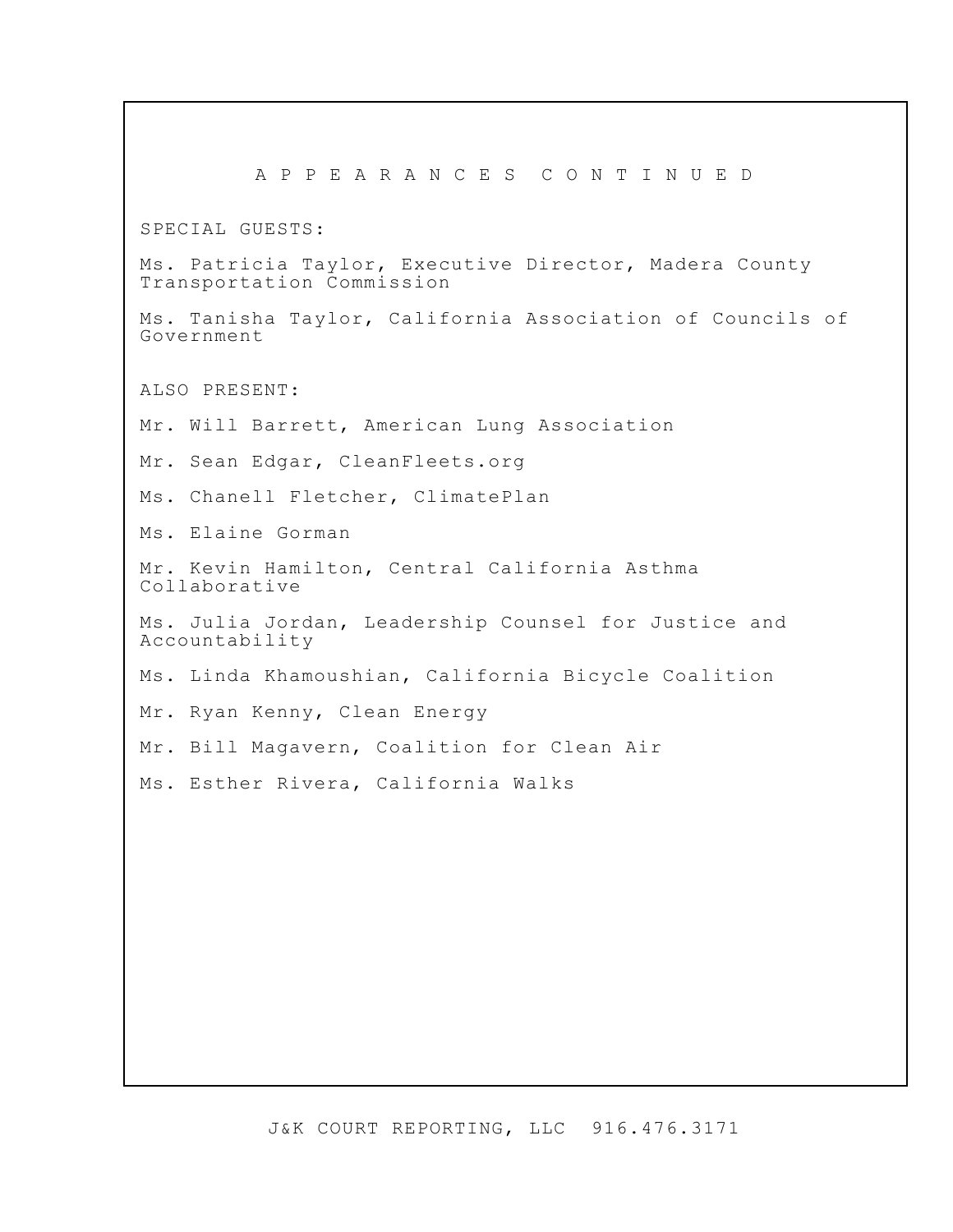A P P E A R A N C E S C O N T I N U E D SPECIAL GUESTS: Ms. Patricia Taylor, Executive Director, Madera County Transportation Commission Ms. Tanisha Taylor, California Association of Councils of Government ALSO PRESENT: Mr. Will Barrett, American Lung Association Mr. Sean Edgar, [CleanFleets.org](https://CleanFleets.org) Ms. Chanell Fletcher, ClimatePlan Ms. Elaine Gorman Mr. Kevin Hamilton, Central California Asthma Collaborative Ms. Julia Jordan, Leadership Counsel for Justice and Accountability Ms. Linda Khamoushian, California Bicycle Coalition Mr. Ryan Kenny, Clean Energy Mr. Bill Magavern, Coalition for Clean Air Ms. Esther Rivera, California Walks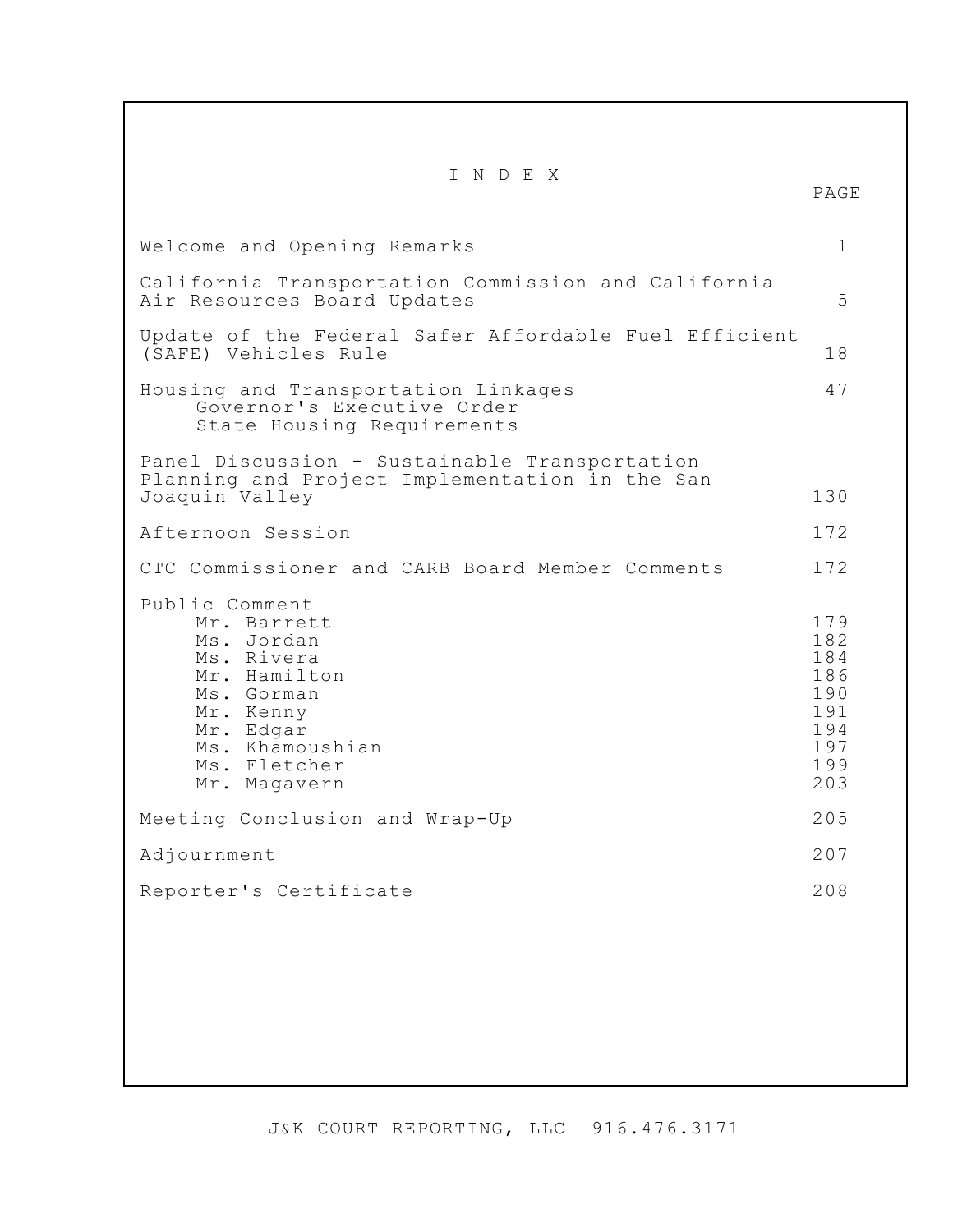| INDEX                                                                                                                                                                | PAGE                                                               |
|----------------------------------------------------------------------------------------------------------------------------------------------------------------------|--------------------------------------------------------------------|
| Welcome and Opening Remarks                                                                                                                                          | 1                                                                  |
| California Transportation Commission and California<br>Air Resources Board Updates                                                                                   | 5                                                                  |
| Update of the Federal Safer Affordable Fuel Efficient<br>(SAFE) Vehicles Rule                                                                                        | 18                                                                 |
| Housing and Transportation Linkages<br>Governor's Executive Order<br>State Housing Requirements                                                                      | 47                                                                 |
| Panel Discussion - Sustainable Transportation<br>Planning and Project Implementation in the San<br>Joaquin Valley                                                    | 130                                                                |
| Afternoon Session                                                                                                                                                    | 172                                                                |
| CTC Commissioner and CARB Board Member Comments                                                                                                                      | 172                                                                |
| Public Comment<br>Mr. Barrett<br>Ms. Jordan<br>Ms. Rivera<br>Mr. Hamilton<br>Ms. Gorman<br>Mr. Kenny<br>Mr. Edgar<br>Ms. Khamoushian<br>Ms. Fletcher<br>Mr. Magavern | 179<br>182<br>184<br>186<br>190<br>191<br>194<br>197<br>199<br>203 |
| Meeting Conclusion and Wrap-Up                                                                                                                                       | 205                                                                |
| Adjournment                                                                                                                                                          | 207                                                                |
| Reporter's Certificate                                                                                                                                               | 208                                                                |
|                                                                                                                                                                      |                                                                    |

Г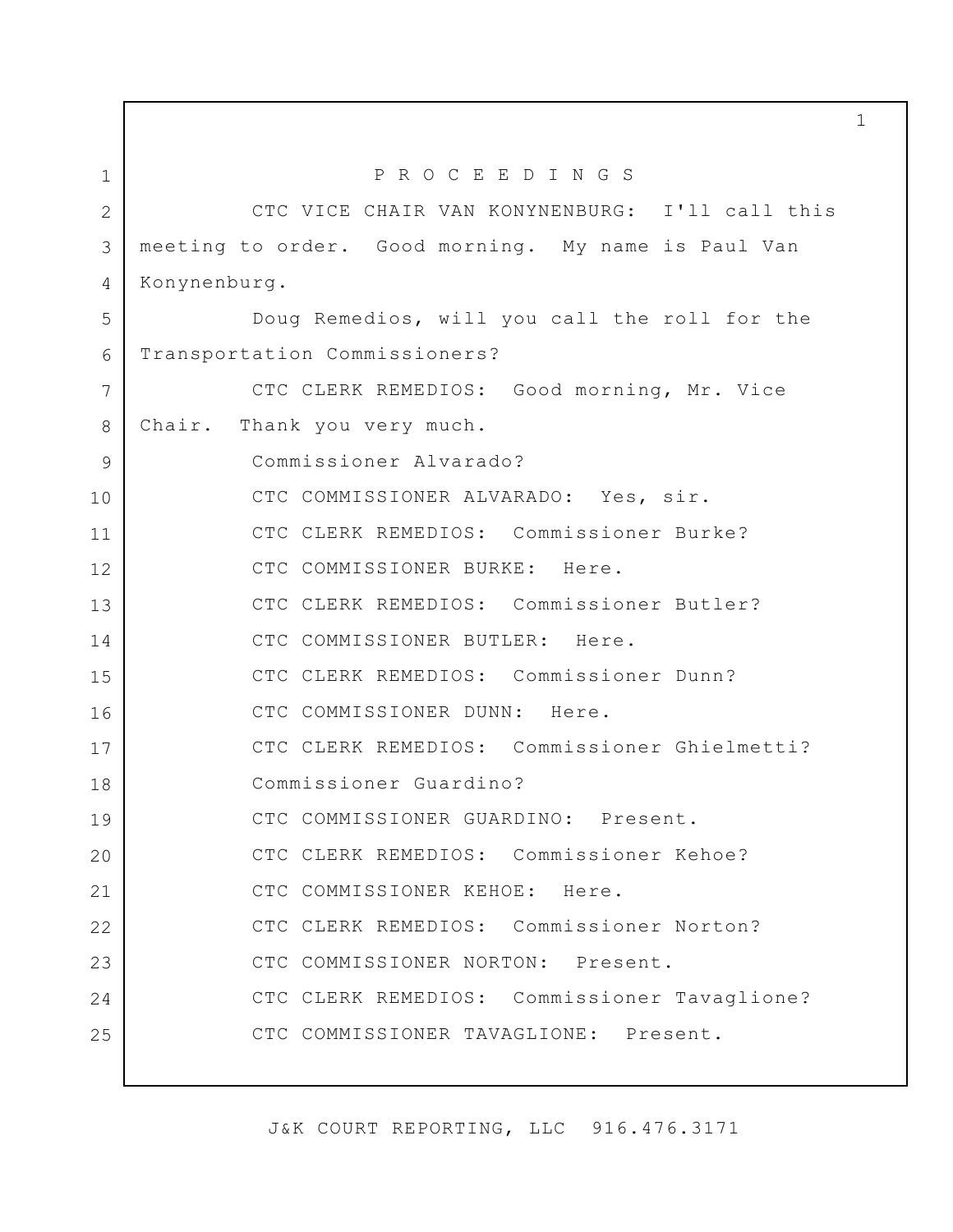1 2 3 4 5 6 7 8 9 10 11 12 13 14 15 16 17 18 19 20 21 22 23 24 25 P R O C E E D I N G S CTC VICE CHAIR VAN KONYNENBURG: I'll call this meeting to order. Good morning. My name is Paul Van Konynenburg. Doug Remedios, will you call the roll for the Transportation Commissioners? CTC CLERK REMEDIOS: Good morning, Mr. Vice Chair. Thank you very much. Commissioner Alvarado? CTC COMMISSIONER ALVARADO: Yes, sir. CTC CLERK REMEDIOS: Commissioner Burke? CTC COMMISSIONER BURKE: Here. CTC CLERK REMEDIOS: Commissioner Butler? CTC COMMISSIONER BUTLER: Here. CTC CLERK REMEDIOS: Commissioner Dunn? CTC COMMISSIONER DUNN: Here. CTC CLERK REMEDIOS: Commissioner Ghielmetti? Commissioner Guardino? CTC COMMISSIONER GUARDINO: Present. CTC CLERK REMEDIOS: Commissioner Kehoe? CTC COMMISSIONER KEHOE: Here. CTC CLERK REMEDIOS: Commissioner Norton? CTC COMMISSIONER NORTON: Present. CTC CLERK REMEDIOS: Commissioner Tavaglione? CTC COMMISSIONER TAVAGLIONE: Present.

J&K COURT REPORTING, LLC 916.476.3171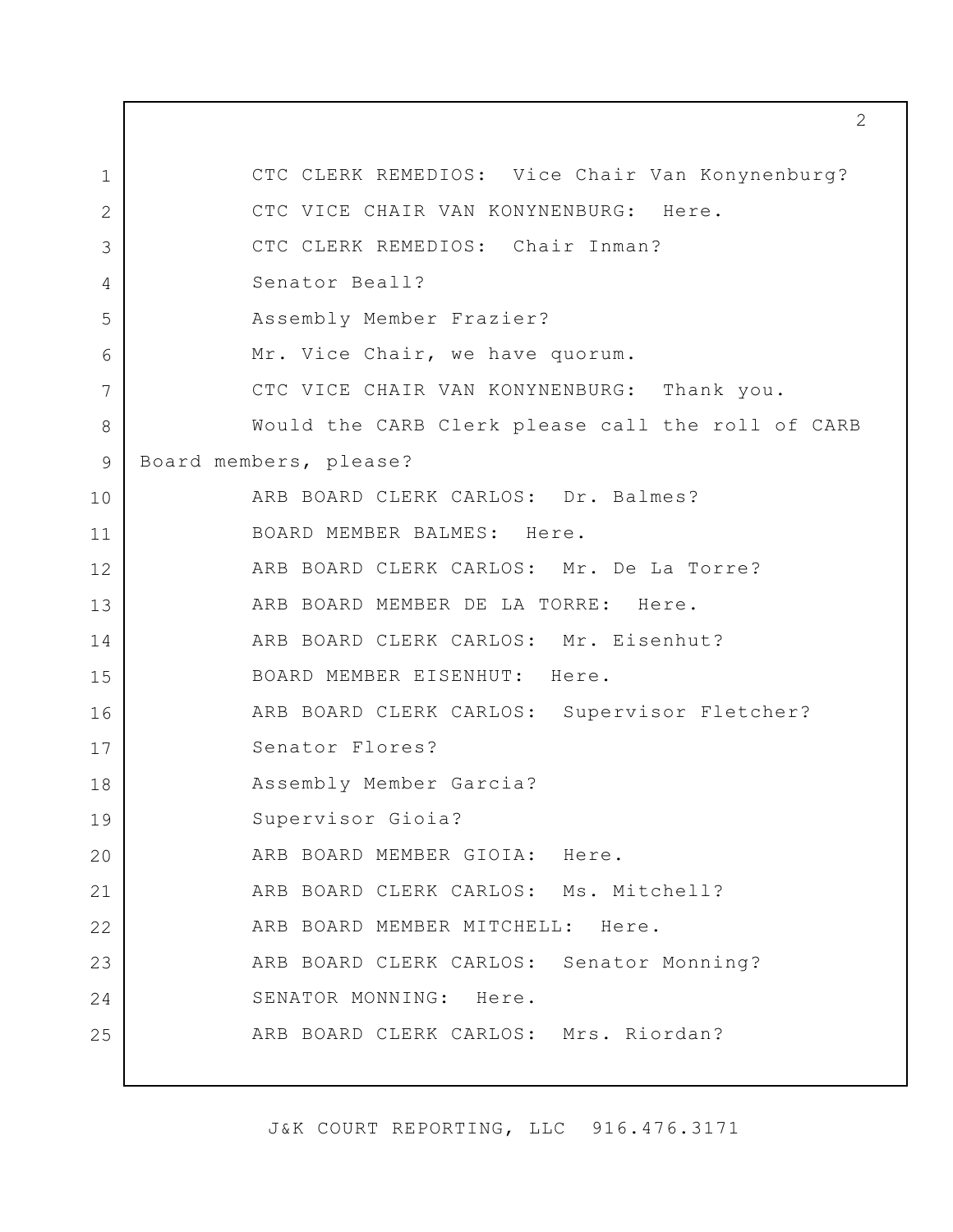1 2 3 4 5 6 7 8 9 10 11 12 13 14 15 16 17 18 19 20 21 22 23 24 25 CTC CLERK REMEDIOS: Vice Chair Van Konynenburg? CTC VICE CHAIR VAN KONYNENBURG: Here. CTC CLERK REMEDIOS: Chair Inman? Senator Beall? Assembly Member Frazier? Mr. Vice Chair, we have quorum. CTC VICE CHAIR VAN KONYNENBURG: Thank you. Would the CARB Clerk please call the roll of CARB Board members, please? ARB BOARD CLERK CARLOS: Dr. Balmes? BOARD MEMBER BALMES: Here. ARB BOARD CLERK CARLOS: Mr. De La Torre? ARB BOARD MEMBER DE LA TORRE: Here. ARB BOARD CLERK CARLOS: Mr. Eisenhut? BOARD MEMBER EISENHUT: Here. ARB BOARD CLERK CARLOS: Supervisor Fletcher? Senator Flores? Assembly Member Garcia? Supervisor Gioia? ARB BOARD MEMBER GIOIA: Here. ARB BOARD CLERK CARLOS: Ms. Mitchell? ARB BOARD MEMBER MITCHELL: Here. ARB BOARD CLERK CARLOS: Senator Monning? SENATOR MONNING: Here. ARB BOARD CLERK CARLOS: Mrs. Riordan?

J&K COURT REPORTING, LLC 916.476.3171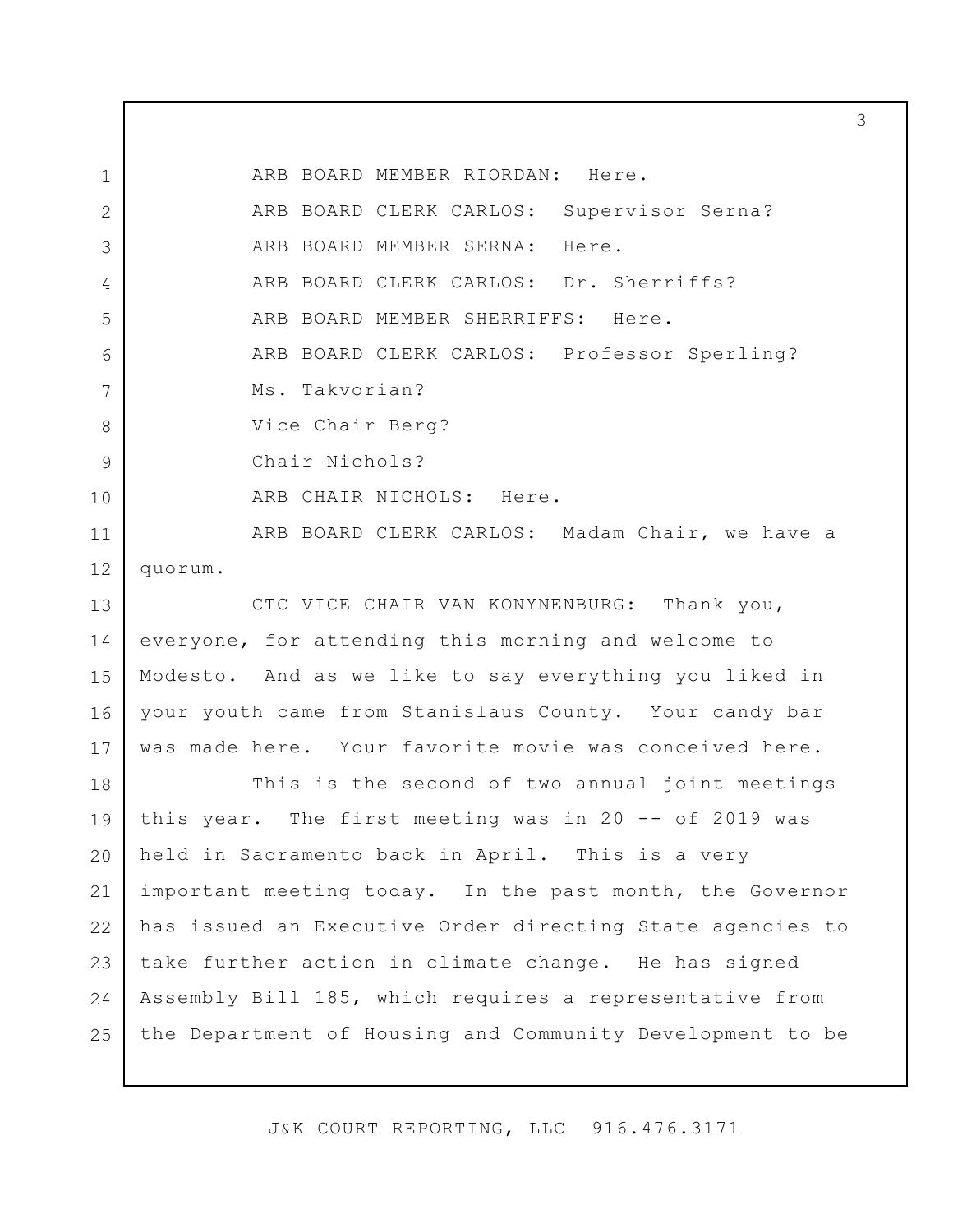1 2 3 4 5 6 7 8 9 10 11 12 13 14 15 16 17 18 19 20 21 22 23 24 25 ARB BOARD MEMBER RIORDAN: Here. ARB BOARD CLERK CARLOS: Supervisor Serna? ARB BOARD MEMBER SERNA: Here. ARB BOARD CLERK CARLOS: Dr. Sherriffs? ARB BOARD MEMBER SHERRIFFS: Here. ARB BOARD CLERK CARLOS: Professor Sperling? Ms. Takvorian? Vice Chair Berg? Chair Nichols? ARB CHAIR NICHOLS: Here. ARB BOARD CLERK CARLOS: Madam Chair, we have a quorum. CTC VICE CHAIR VAN KONYNENBURG: Thank you, everyone, for attending this morning and welcome to Modesto. And as we like to say everything you liked in your youth came from Stanislaus County. Your candy bar was made here. Your favorite movie was conceived here. This is the second of two annual joint meetings this year. The first meeting was in 20 -- of 2019 was held in Sacramento back in April. This is a very important meeting today. In the past month, the Governor has issued an Executive Order directing State agencies to take further action in climate change. He has signed Assembly Bill 185, which requires a representative from the Department of Housing and Community Development to be

J&K COURT REPORTING, LLC 916.476.3171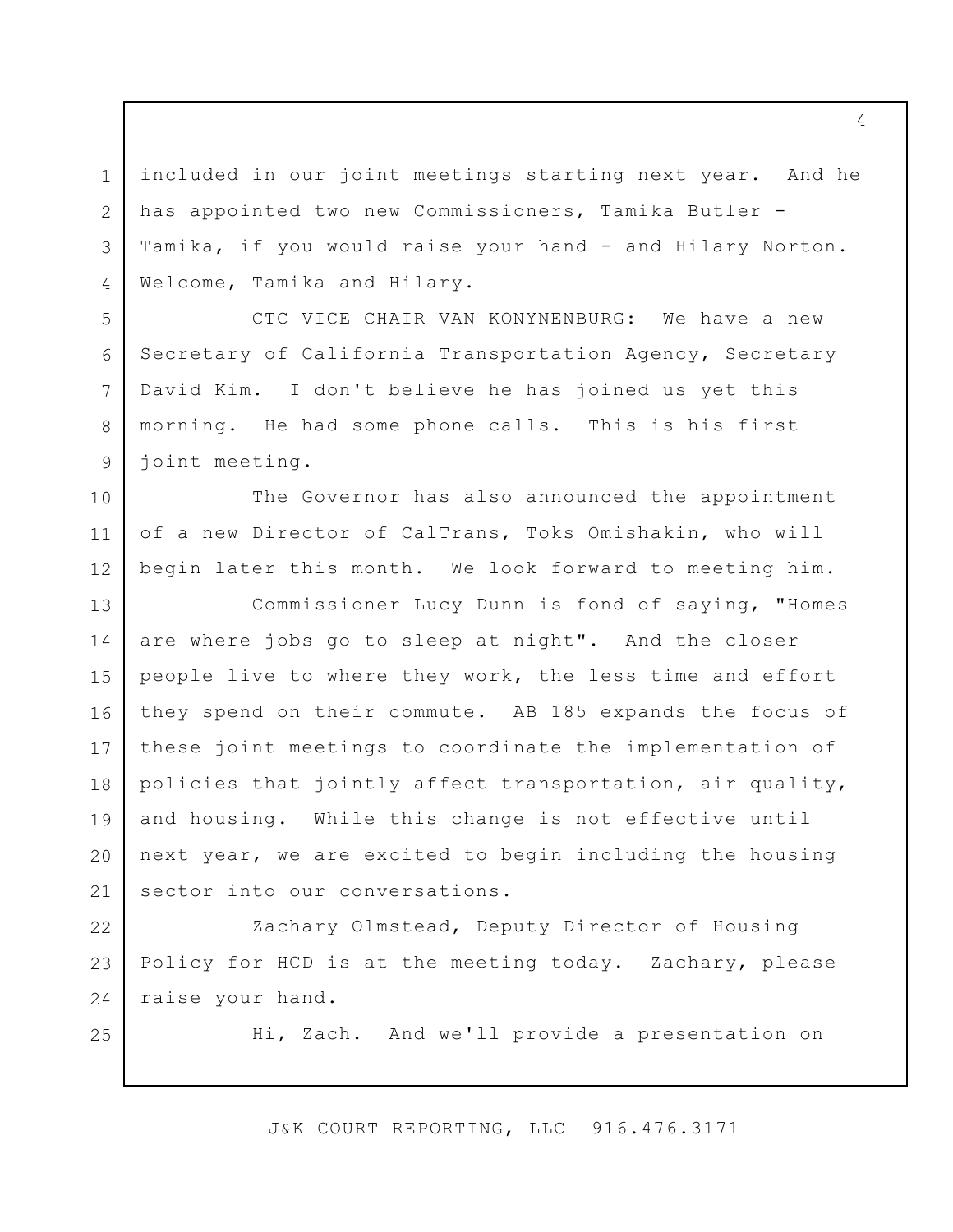1 2 3 4 included in our joint meetings starting next year. And he has appointed two new Commissioners, Tamika Butler - Tamika, if you would raise your hand - and Hilary Norton. Welcome, Tamika and Hilary.

CTC VICE CHAIR VAN KONYNENBURG: We have a new Secretary of California Transportation Agency, Secretary David Kim. I don't believe he has joined us yet this morning. He had some phone calls. This is his first joint meeting.

The Governor has also announced the appointment of a new Director of CalTrans, Toks Omishakin, who will begin later this month. We look forward to meeting him.

13 14 15 16 17 18 19 20 21 Commissioner Lucy Dunn is fond of saying, "Homes are where jobs go to sleep at night". And the closer people live to where they work, the less time and effort they spend on their commute. AB 185 expands the focus of these joint meetings to coordinate the implementation of policies that jointly affect transportation, air quality, and housing. While this change is not effective until next year, we are excited to begin including the housing sector into our conversations.

22 23 24 Zachary Olmstead, Deputy Director of Housing Policy for HCD is at the meeting today. Zachary, please raise your hand.

25

5

6

7

8

9

10

11

12

Hi, Zach. And we'll provide a presentation on

J&K COURT REPORTING, LLC 916.476.3171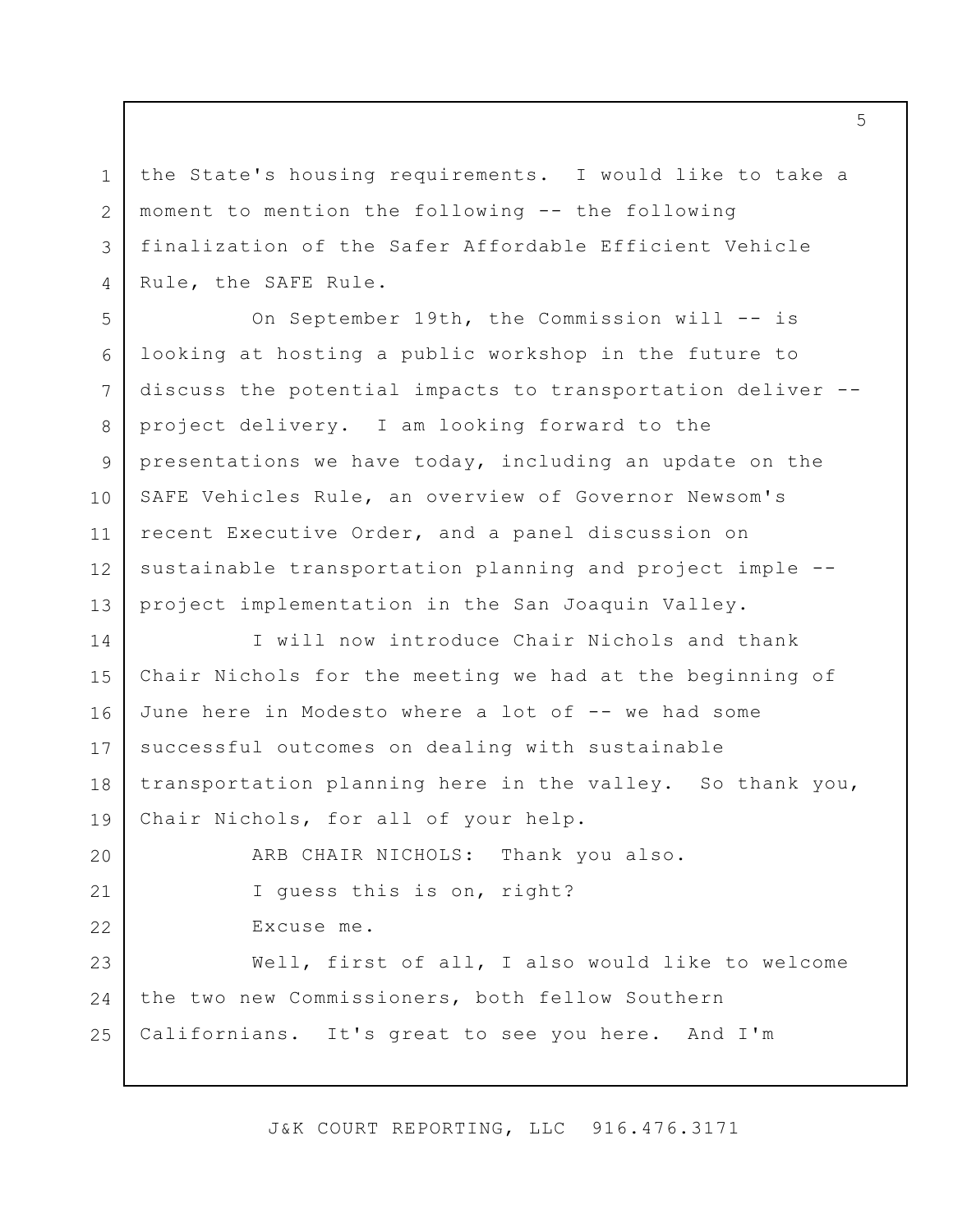the State's housing requirements. I would like to take a moment to mention the following -- the following finalization of the Safer Affordable Efficient Vehicle Rule, the SAFE Rule.

1

2

3

4

5 6 7 8 9 10 11 12 13 On September 19th, the Commission will -- is looking at hosting a public workshop in the future to discuss the potential impacts to transportation deliver - project delivery. I am looking forward to the presentations we have today, including an update on the SAFE Vehicles Rule, an overview of Governor Newsom's recent Executive Order, and a panel discussion on sustainable transportation planning and project imple - project implementation in the San Joaquin Valley.

14 15 16 17 18 19 I will now introduce Chair Nichols and thank Chair Nichols for the meeting we had at the beginning of June here in Modesto where a lot of -- we had some successful outcomes on dealing with sustainable transportation planning here in the valley. So thank you, Chair Nichols, for all of your help.

20 21 22 23 24 25 ARB CHAIR NICHOLS: Thank you also. I guess this is on, right? Excuse me. Well, first of all, I also would like to welcome the two new Commissioners, both fellow Southern Californians. It's great to see you here. And I'm

J&K COURT REPORTING, LLC 916.476.3171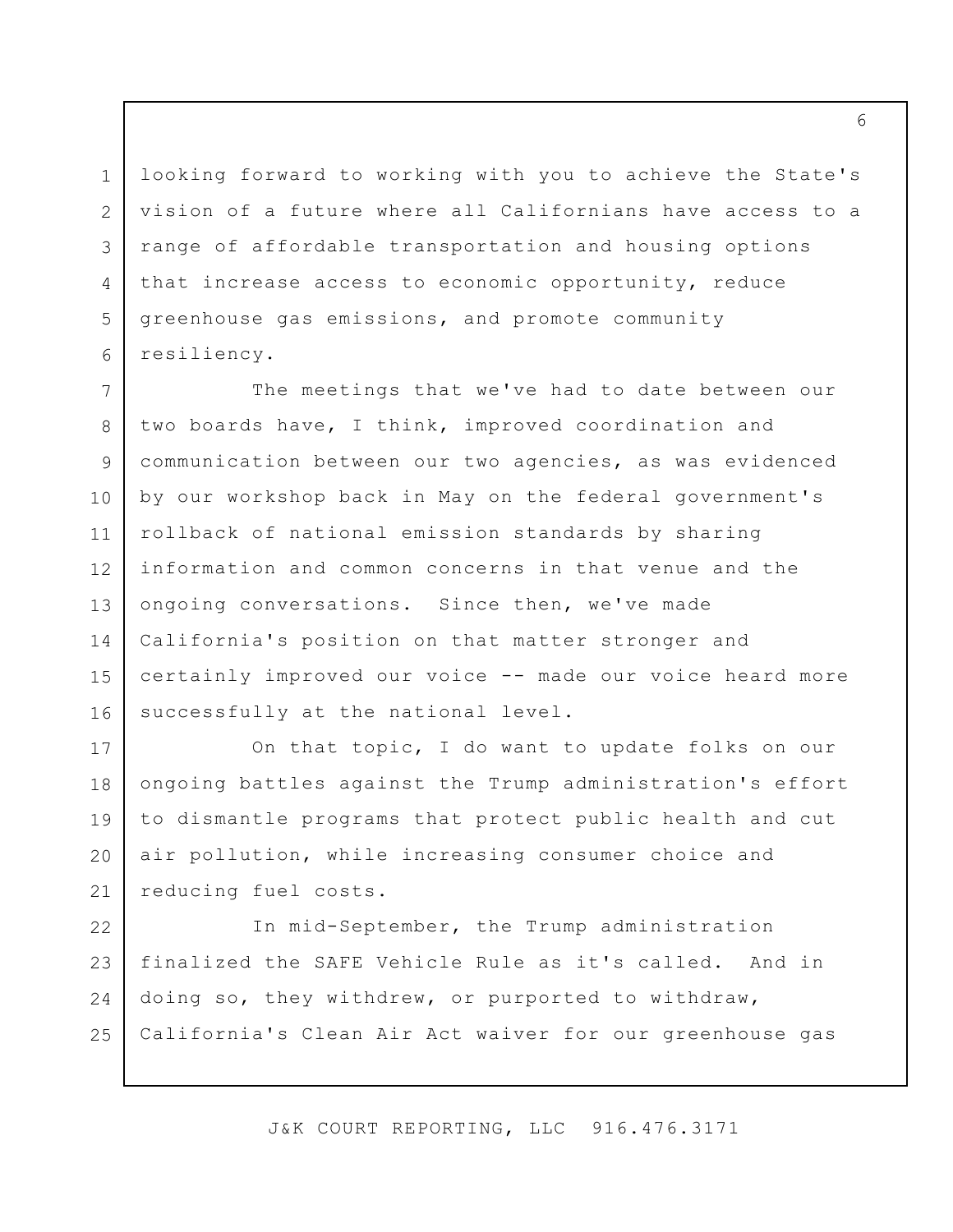looking forward to working with you to achieve the State's vision of a future where all Californians have access to a range of affordable transportation and housing options that increase access to economic opportunity, reduce greenhouse gas emissions, and promote community resiliency.

1

2

3

4

5

6

7 8 9 10 11 12 13 14 15 16 The meetings that we've had to date between our two boards have, I think, improved coordination and communication between our two agencies, as was evidenced by our workshop back in May on the federal government's rollback of national emission standards by sharing information and common concerns in that venue and the ongoing conversations. Since then, we've made California's position on that matter stronger and certainly improved our voice -- made our voice heard more successfully at the national level.

17 18 19 20 21 On that topic, I do want to update folks on our ongoing battles against the Trump administration's effort to dismantle programs that protect public health and cut air pollution, while increasing consumer choice and reducing fuel costs.

22 23 24 25 In mid-September, the Trump administration finalized the SAFE Vehicle Rule as it's called. And in doing so, they withdrew, or purported to withdraw, California's Clean Air Act waiver for our greenhouse gas

J&K COURT REPORTING, LLC 916.476.3171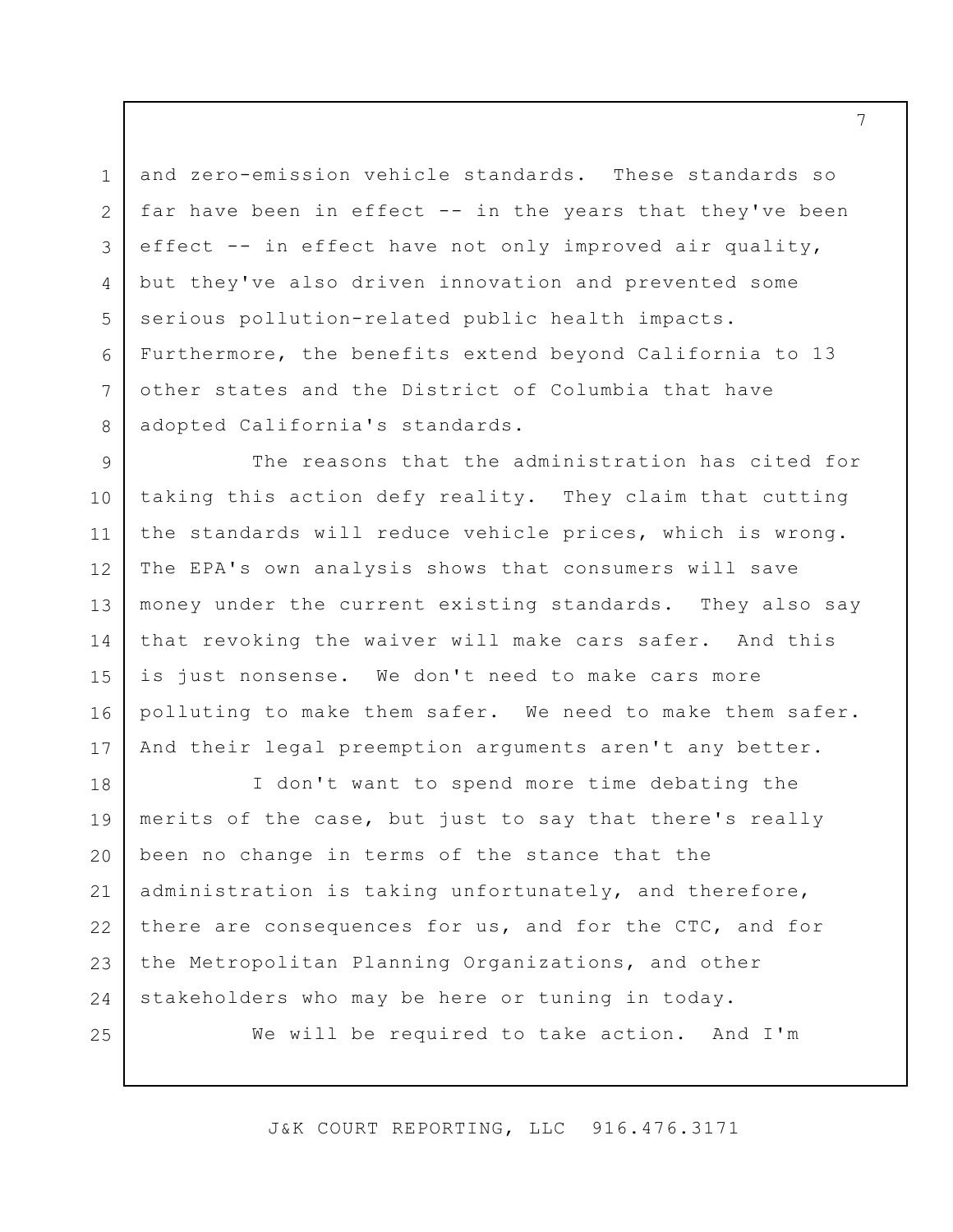and zero-emission vehicle standards. These standards so far have been in effect -- in the years that they've been effect -- in effect have not only improved air quality, but they've also driven innovation and prevented some serious pollution-related public health impacts. Furthermore, the benefits extend beyond California to 13 other states and the District of Columbia that have adopted California's standards.

9 10 11 12 13 14 15 16 17 The reasons that the administration has cited for taking this action defy reality. They claim that cutting the standards will reduce vehicle prices, which is wrong. The EPA's own analysis shows that consumers will save money under the current existing standards. They also say that revoking the waiver will make cars safer. And this is just nonsense. We don't need to make cars more polluting to make them safer. We need to make them safer. And their legal preemption arguments aren't any better.

18 19 20 21 22 23 24 I don't want to spend more time debating the merits of the case, but just to say that there's really been no change in terms of the stance that the administration is taking unfortunately, and therefore, there are consequences for us, and for the CTC, and for the Metropolitan Planning Organizations, and other stakeholders who may be here or tuning in today.

25

1

2

3

4

5

6

7

8

We will be required to take action. And I'm

J&K COURT REPORTING, LLC 916.476.3171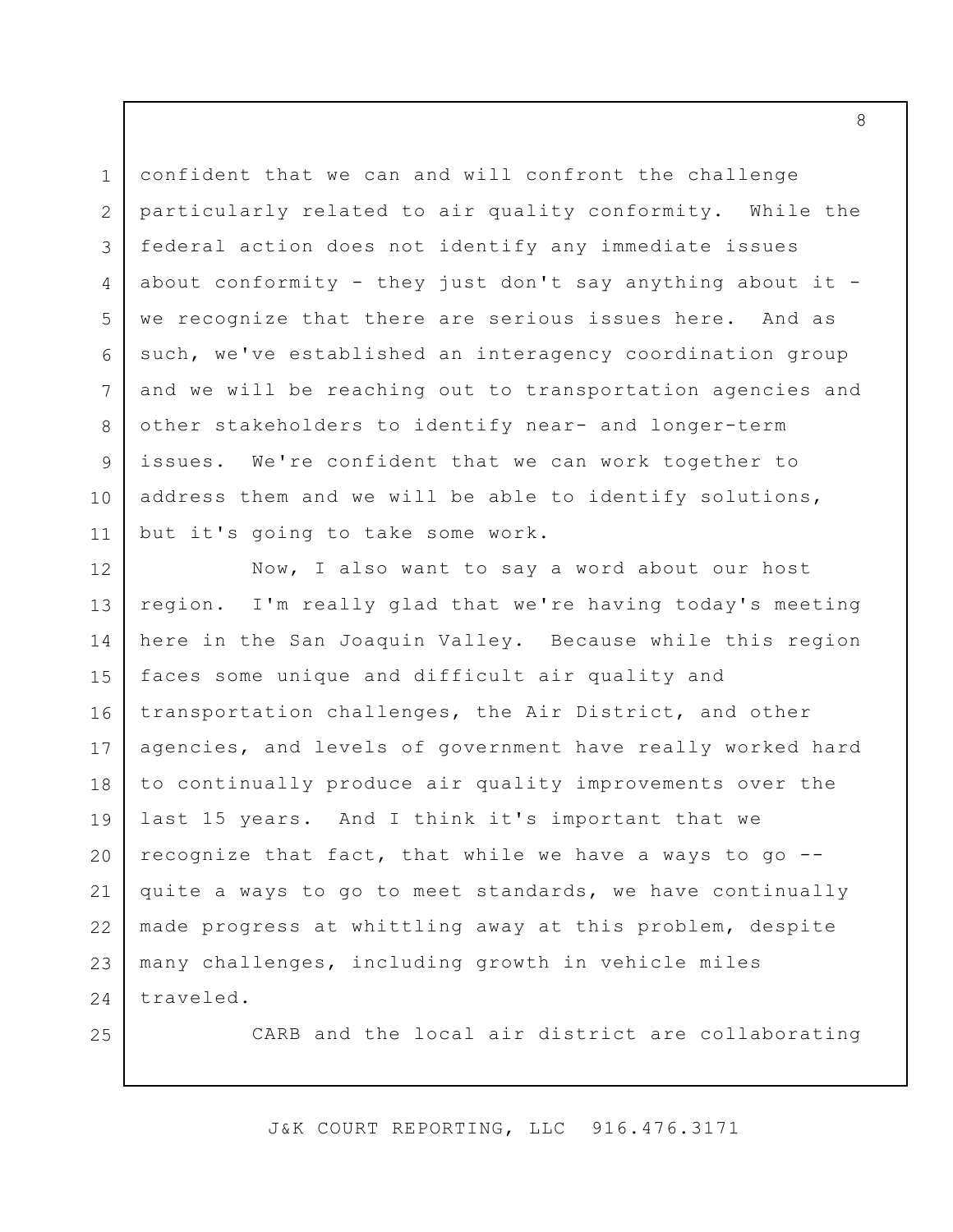1 2 3 4 5 6 7 8 9 10 11 confident that we can and will confront the challenge particularly related to air quality conformity. While the federal action does not identify any immediate issues about conformity - they just don't say anything about it we recognize that there are serious issues here. And as such, we've established an interagency coordination group and we will be reaching out to transportation agencies and other stakeholders to identify near- and longer-term issues. We're confident that we can work together to address them and we will be able to identify solutions, but it's going to take some work.

12 13 14 15 16 17 18 19 20 21 22 23 24 Now, I also want to say a word about our host region. I'm really glad that we're having today's meeting here in the San Joaquin Valley. Because while this region faces some unique and difficult air quality and transportation challenges, the Air District, and other agencies, and levels of government have really worked hard to continually produce air quality improvements over the last 15 years. And I think it's important that we recognize that fact, that while we have a ways to go - quite a ways to go to meet standards, we have continually made progress at whittling away at this problem, despite many challenges, including growth in vehicle miles traveled.

CARB and the local air district are collaborating

J&K COURT REPORTING, LLC 916.476.3171

25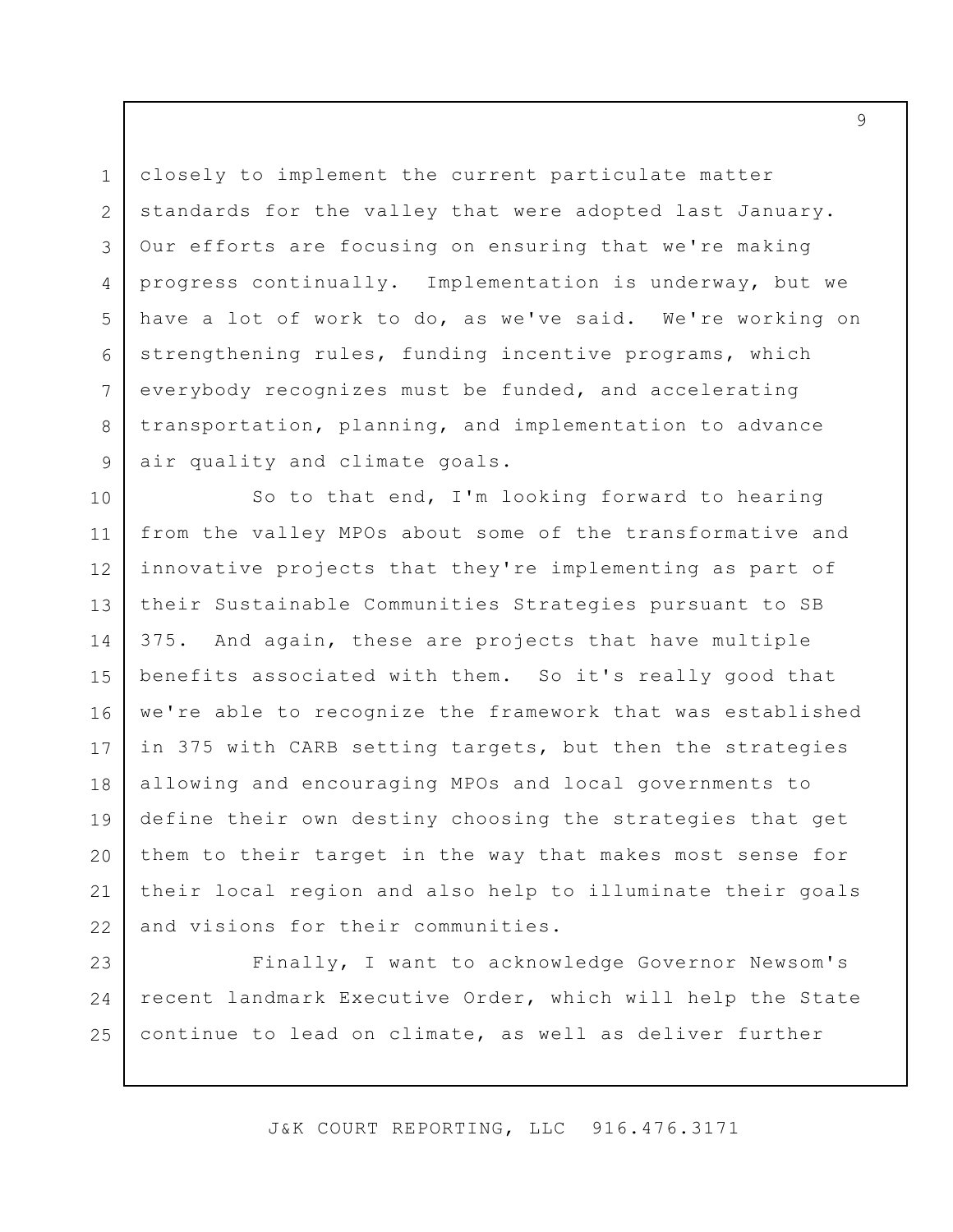1 2 3 4 5 6 7 8 9 closely to implement the current particulate matter standards for the valley that were adopted last January. Our efforts are focusing on ensuring that we're making progress continually. Implementation is underway, but we have a lot of work to do, as we've said. We're working on strengthening rules, funding incentive programs, which everybody recognizes must be funded, and accelerating transportation, planning, and implementation to advance air quality and climate goals.

10 11 12 13 14 15 16 17 18 19 20 21 22 So to that end, I'm looking forward to hearing from the valley MPOs about some of the transformative and innovative projects that they're implementing as part of their Sustainable Communities Strategies pursuant to SB 375. And again, these are projects that have multiple benefits associated with them. So it's really good that we're able to recognize the framework that was established in 375 with CARB setting targets, but then the strategies allowing and encouraging MPOs and local governments to define their own destiny choosing the strategies that get them to their target in the way that makes most sense for their local region and also help to illuminate their goals and visions for their communities.

23 24 25 Finally, I want to acknowledge Governor Newsom's recent landmark Executive Order, which will help the State continue to lead on climate, as well as deliver further

J&K COURT REPORTING, LLC 916.476.3171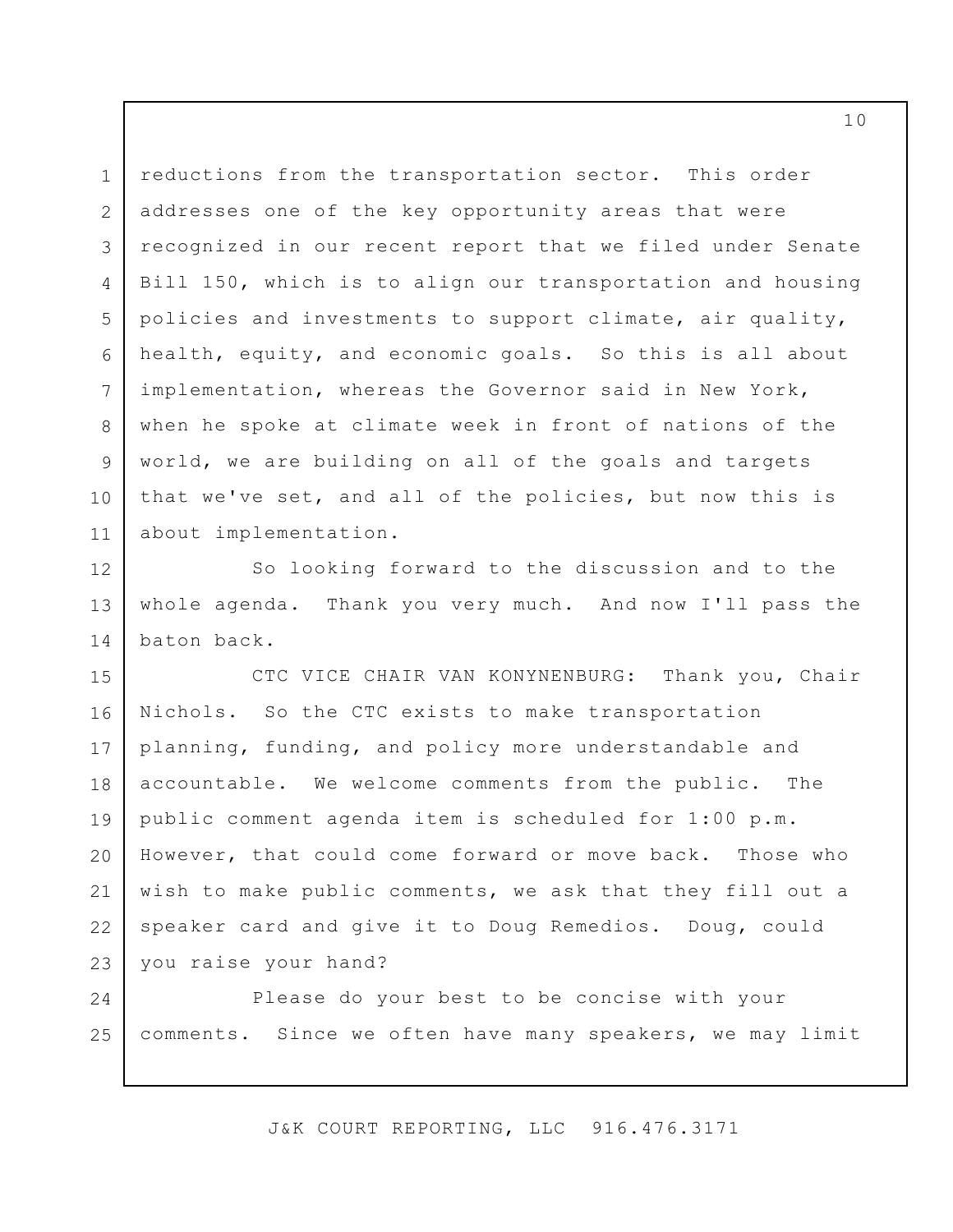1 2 3 4 5 6 7 8 9 10 11 reductions from the transportation sector. This order addresses one of the key opportunity areas that were recognized in our recent report that we filed under Senate Bill 150, which is to align our transportation and housing policies and investments to support climate, air quality, health, equity, and economic goals. So this is all about implementation, whereas the Governor said in New York, when he spoke at climate week in front of nations of the world, we are building on all of the goals and targets that we've set, and all of the policies, but now this is about implementation.

12 13 14 So looking forward to the discussion and to the whole agenda. Thank you very much. And now I'll pass the baton back.

15 16 17 18 19 20 21 22 23 CTC VICE CHAIR VAN KONYNENBURG: Thank you, Chair Nichols. So the CTC exists to make transportation planning, funding, and policy more understandable and accountable. We welcome comments from the public. The public comment agenda item is scheduled for 1:00 p.m. However, that could come forward or move back. Those who wish to make public comments, we ask that they fill out a speaker card and give it to Doug Remedios. Doug, could you raise your hand?

24 25 Please do your best to be concise with your comments. Since we often have many speakers, we may limit

J&K COURT REPORTING, LLC 916.476.3171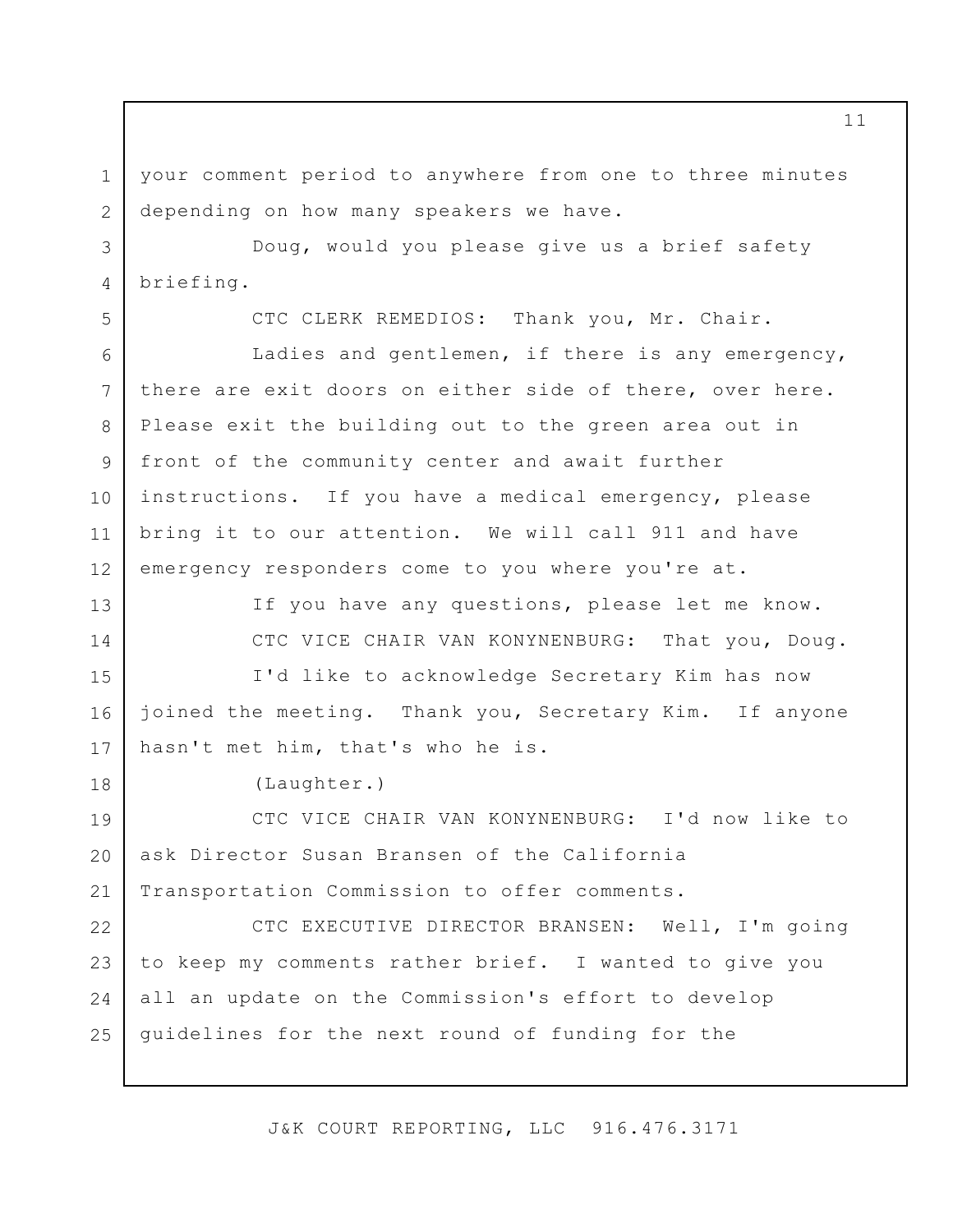1 2 your comment period to anywhere from one to three minutes depending on how many speakers we have.

Doug, would you please give us a brief safety briefing.

CTC CLERK REMEDIOS: Thank you, Mr. Chair.

3

4

5

13

14

18

6 7 8 9 10 11 12 Ladies and gentlemen, if there is any emergency, there are exit doors on either side of there, over here. Please exit the building out to the green area out in front of the community center and await further instructions. If you have a medical emergency, please bring it to our attention. We will call 911 and have emergency responders come to you where you're at.

> If you have any questions, please let me know. CTC VICE CHAIR VAN KONYNENBURG: That you, Doug.

15 16 17 I'd like to acknowledge Secretary Kim has now joined the meeting. Thank you, Secretary Kim. If anyone hasn't met him, that's who he is.

(Laughter.)

19 20 21 CTC VICE CHAIR VAN KONYNENBURG: I'd now like to ask Director Susan Bransen of the California Transportation Commission to offer comments.

22 23 24 25 CTC EXECUTIVE DIRECTOR BRANSEN: Well, I'm going to keep my comments rather brief. I wanted to give you all an update on the Commission's effort to develop guidelines for the next round of funding for the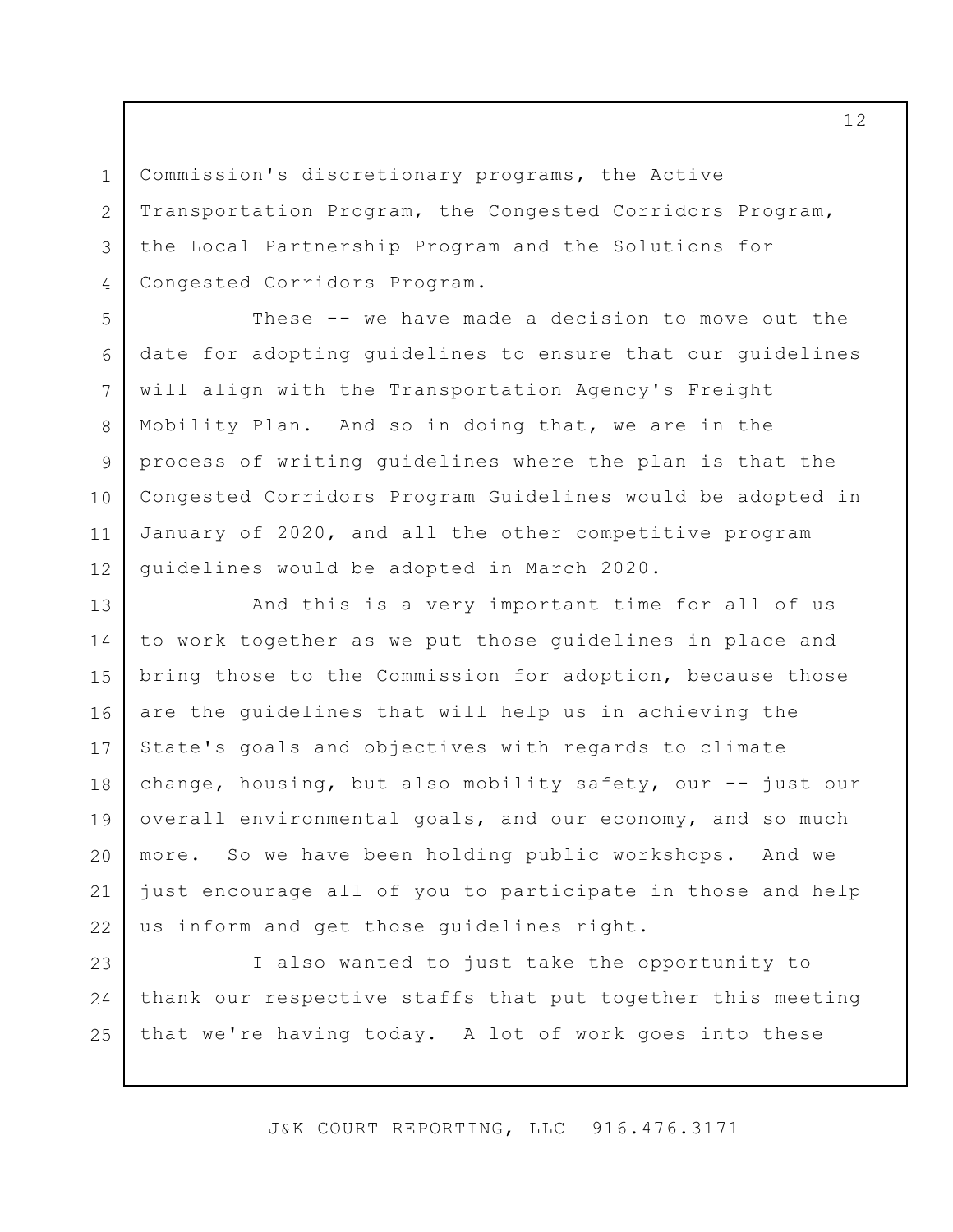Commission's discretionary programs, the Active Transportation Program, the Congested Corridors Program, the Local Partnership Program and the Solutions for Congested Corridors Program.

1

2

3

4

5

6

7

8

9

10

11

12

These -- we have made a decision to move out the date for adopting guidelines to ensure that our guidelines will align with the Transportation Agency's Freight Mobility Plan. And so in doing that, we are in the process of writing guidelines where the plan is that the Congested Corridors Program Guidelines would be adopted in January of 2020, and all the other competitive program guidelines would be adopted in March 2020.

13 14 15 16 17 18 19 20 21 22 And this is a very important time for all of us to work together as we put those guidelines in place and bring those to the Commission for adoption, because those are the guidelines that will help us in achieving the State's goals and objectives with regards to climate change, housing, but also mobility safety, our -- just our overall environmental goals, and our economy, and so much more. So we have been holding public workshops. And we just encourage all of you to participate in those and help us inform and get those guidelines right.

23 24 25 I also wanted to just take the opportunity to thank our respective staffs that put together this meeting that we're having today. A lot of work goes into these

J&K COURT REPORTING, LLC 916.476.3171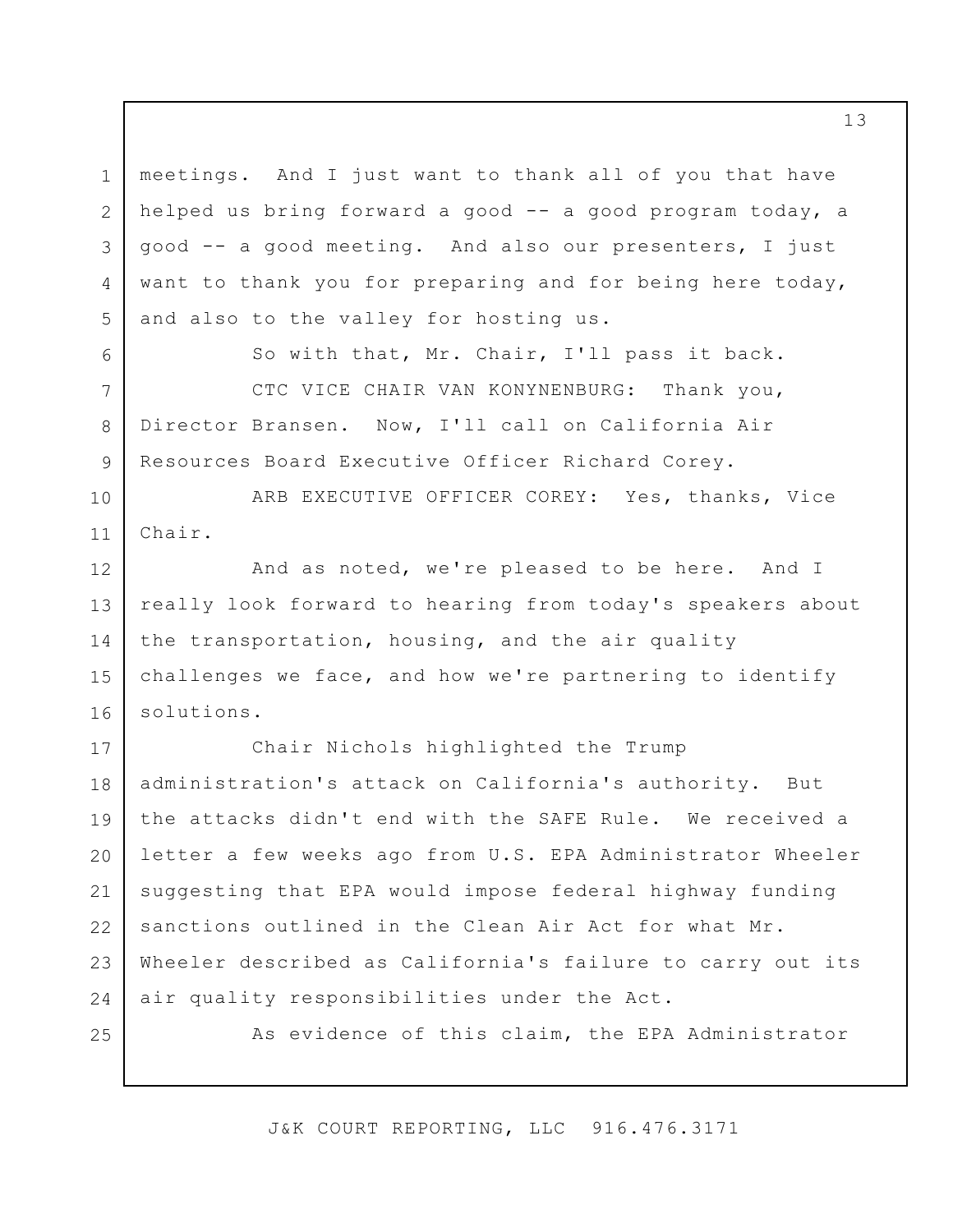1 2 3 4 5 meetings. And I just want to thank all of you that have helped us bring forward a good -- a good program today, a good -- a good meeting. And also our presenters, I just want to thank you for preparing and for being here today, and also to the valley for hosting us.

So with that, Mr. Chair, I'll pass it back.

CTC VICE CHAIR VAN KONYNENBURG: Thank you, Director Bransen. Now, I'll call on California Air Resources Board Executive Officer Richard Corey.

10 11 ARB EXECUTIVE OFFICER COREY: Yes, thanks, Vice Chair.

12 13 14 15 16 And as noted, we're pleased to be here. And I really look forward to hearing from today's speakers about the transportation, housing, and the air quality challenges we face, and how we're partnering to identify solutions.

17 18 19 20 21 22 23 24 Chair Nichols highlighted the Trump administration's attack on California's authority. But the attacks didn't end with the SAFE Rule. We received a letter a few weeks ago from U.S. EPA Administrator Wheeler suggesting that EPA would impose federal highway funding sanctions outlined in the Clean Air Act for what Mr. Wheeler described as California's failure to carry out its air quality responsibilities under the Act.

25

6

7

8

9

As evidence of this claim, the EPA Administrator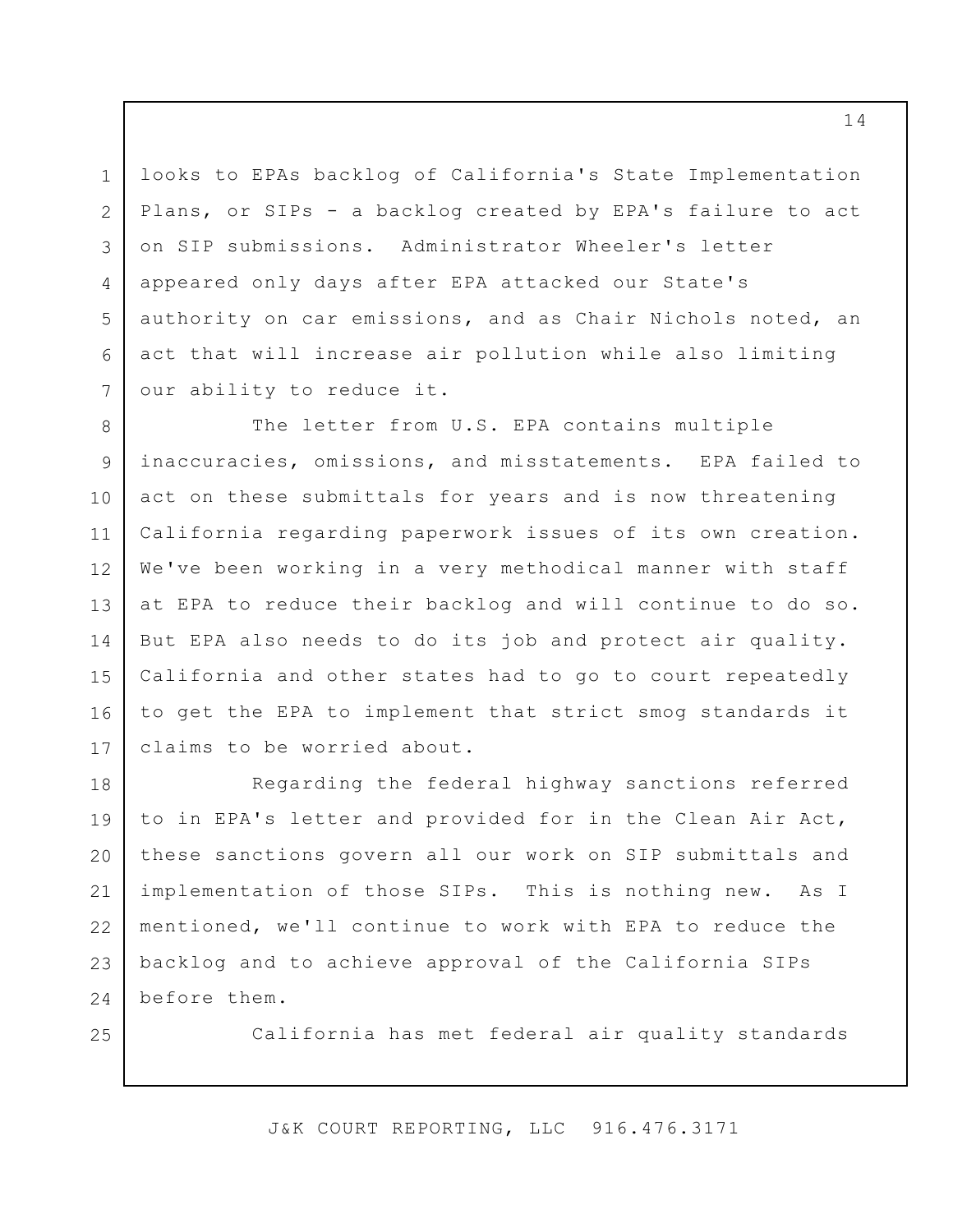looks to EPAs backlog of California's State Implementation Plans, or SIPs - a backlog created by EPA's failure to act on SIP submissions. Administrator Wheeler's letter appeared only days after EPA attacked our State's authority on car emissions, and as Chair Nichols noted, an act that will increase air pollution while also limiting our ability to reduce it.

8 9 10 11 12 13 14 15 16 17 The letter from U.S. EPA contains multiple inaccuracies, omissions, and misstatements. EPA failed to act on these submittals for years and is now threatening California regarding paperwork issues of its own creation. We've been working in a very methodical manner with staff at EPA to reduce their backlog and will continue to do so. But EPA also needs to do its job and protect air quality. California and other states had to go to court repeatedly to get the EPA to implement that strict smog standards it claims to be worried about.

18 19 20 21 22 23 24 Regarding the federal highway sanctions referred to in EPA's letter and provided for in the Clean Air Act, these sanctions govern all our work on SIP submittals and implementation of those SIPs. This is nothing new. As I mentioned, we'll continue to work with EPA to reduce the backlog and to achieve approval of the California SIPs before them.

25

1

2

3

4

5

6

7

California has met federal air quality standards

J&K COURT REPORTING, LLC 916.476.3171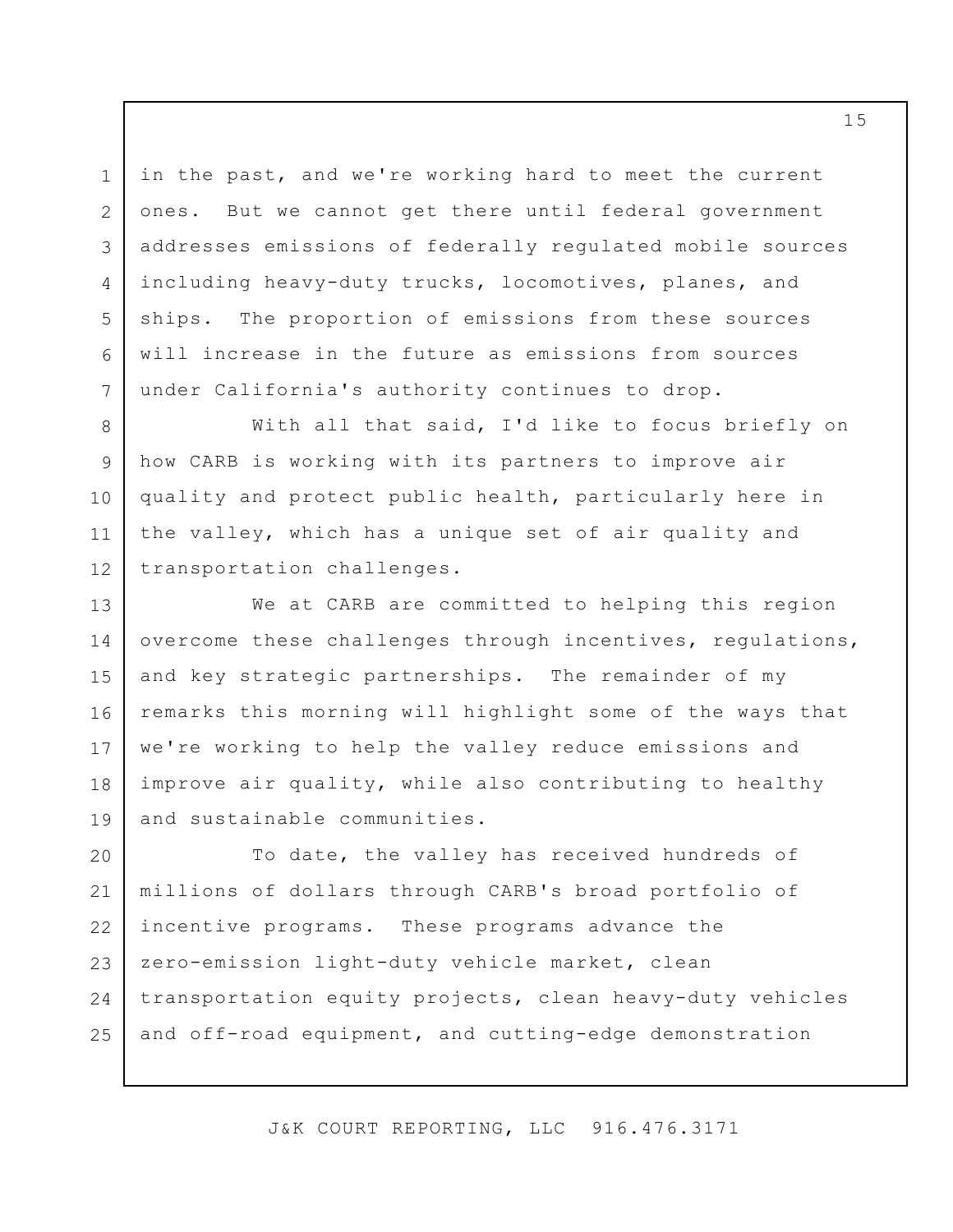in the past, and we're working hard to meet the current ones. But we cannot get there until federal government addresses emissions of federally regulated mobile sources including heavy-duty trucks, locomotives, planes, and ships. The proportion of emissions from these sources will increase in the future as emissions from sources under California's authority continues to drop.

1

2

3

4

5

6

7

8 9 10 11 12 With all that said, I'd like to focus briefly on how CARB is working with its partners to improve air quality and protect public health, particularly here in the valley, which has a unique set of air quality and transportation challenges.

13 14 15 16 17 18 19 We at CARB are committed to helping this region overcome these challenges through incentives, regulations, and key strategic partnerships. The remainder of my remarks this morning will highlight some of the ways that we're working to help the valley reduce emissions and improve air quality, while also contributing to healthy and sustainable communities.

20 21 22 23 24 25 To date, the valley has received hundreds of millions of dollars through CARB's broad portfolio of incentive programs. These programs advance the zero-emission light-duty vehicle market, clean transportation equity projects, clean heavy-duty vehicles and off-road equipment, and cutting-edge demonstration

J&K COURT REPORTING, LLC 916.476.3171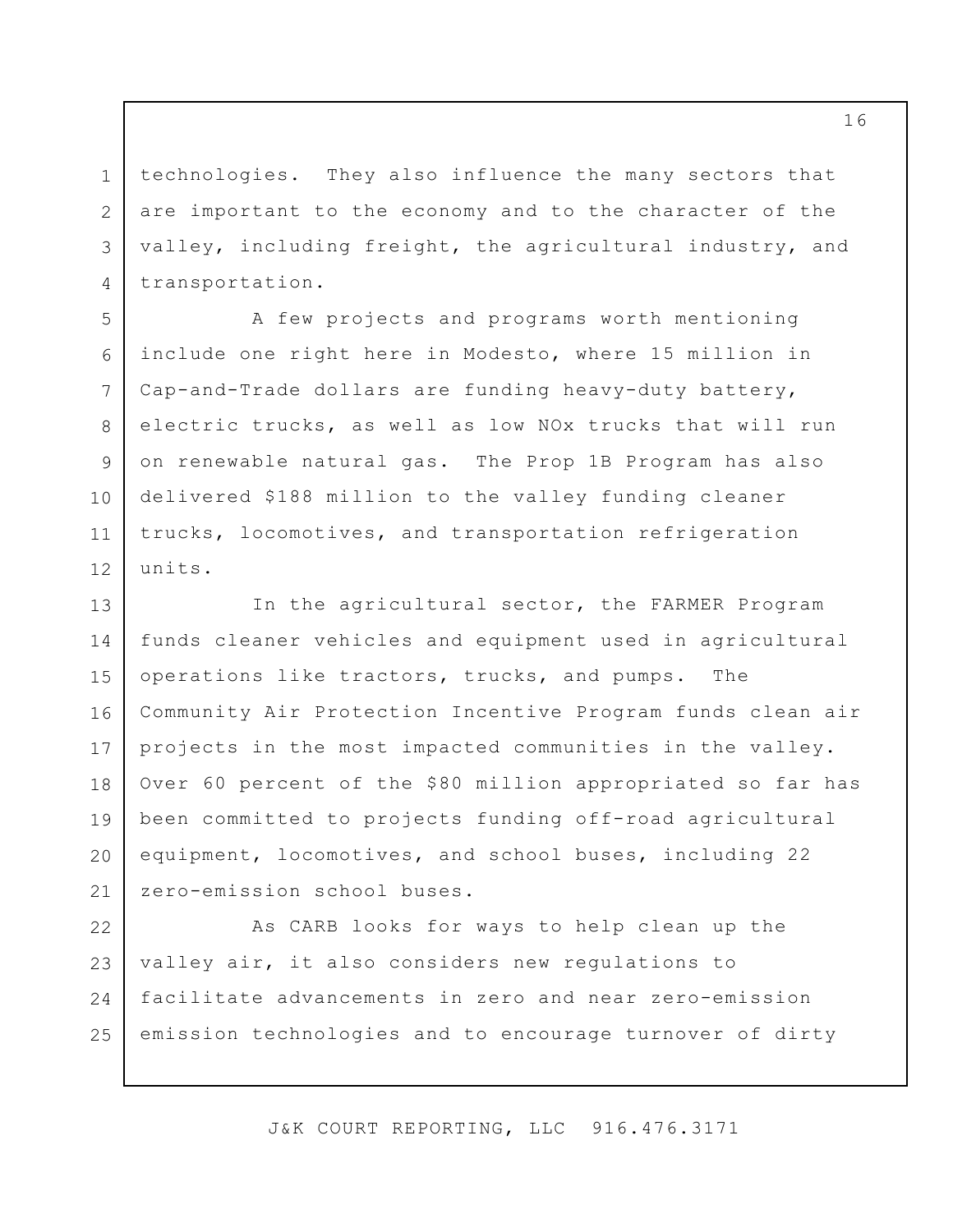technologies. They also influence the many sectors that are important to the economy and to the character of the valley, including freight, the agricultural industry, and transportation.

1

2

3

4

5

6

7

8

9

10

11

12

A few projects and programs worth mentioning include one right here in Modesto, where 15 million in Cap-and-Trade dollars are funding heavy-duty battery, electric trucks, as well as low NOx trucks that will run on renewable natural gas. The Prop 1B Program has also delivered \$188 million to the valley funding cleaner trucks, locomotives, and transportation refrigeration units.

13 14 15 16 17 18 19 20 21 In the agricultural sector, the FARMER Program funds cleaner vehicles and equipment used in agricultural operations like tractors, trucks, and pumps. The Community Air Protection Incentive Program funds clean air projects in the most impacted communities in the valley. Over 60 percent of the \$80 million appropriated so far has been committed to projects funding off-road agricultural equipment, locomotives, and school buses, including 22 zero-emission school buses.

22 23 24 25 As CARB looks for ways to help clean up the valley air, it also considers new regulations to facilitate advancements in zero and near zero-emission emission technologies and to encourage turnover of dirty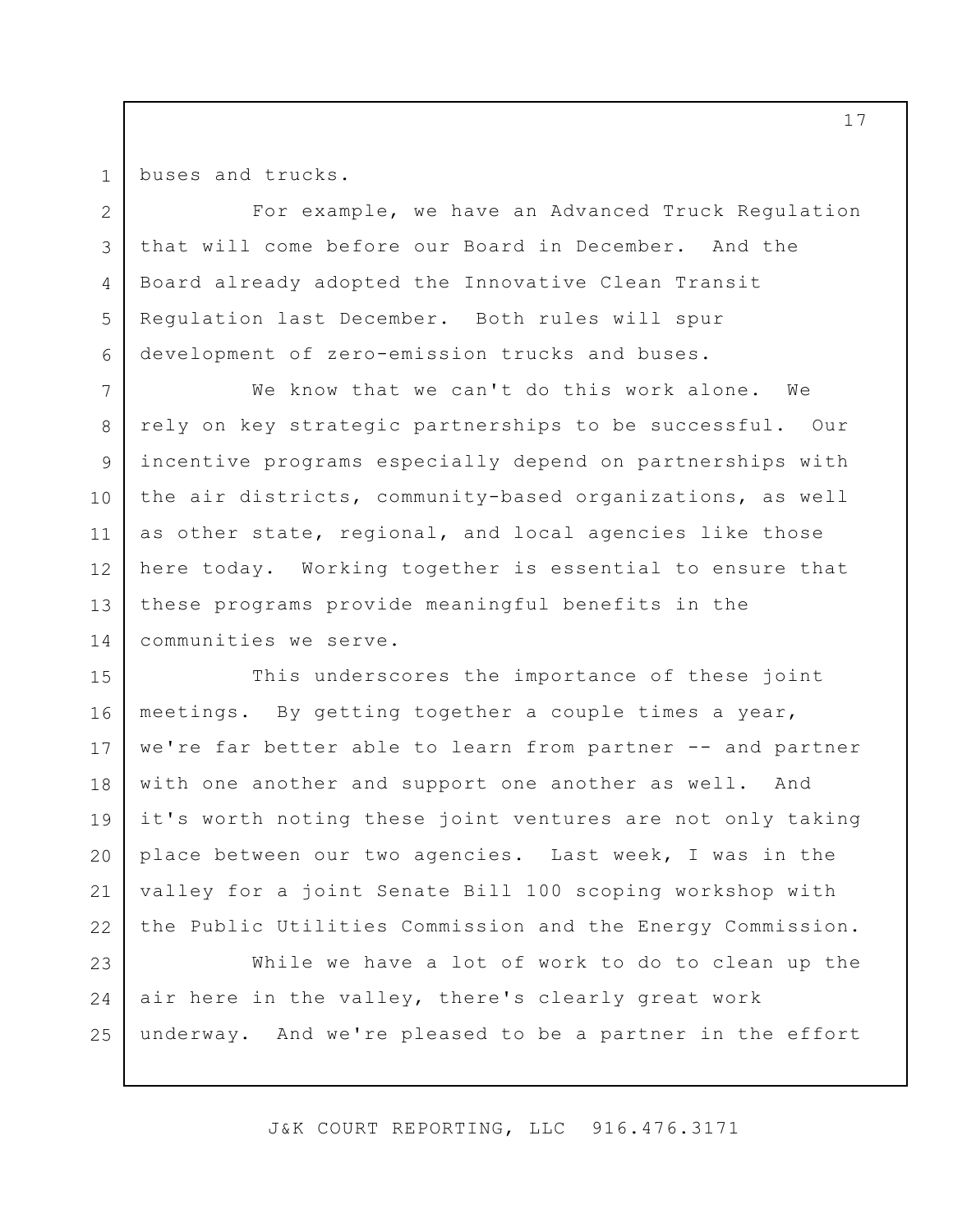1

buses and trucks.

2 3 4 5 6 For example, we have an Advanced Truck Regulation that will come before our Board in December. And the Board already adopted the Innovative Clean Transit Regulation last December. Both rules will spur development of zero-emission trucks and buses.

7 8 9 10 11 12 13 14 We know that we can't do this work alone. We rely on key strategic partnerships to be successful. Our incentive programs especially depend on partnerships with the air districts, community-based organizations, as well as other state, regional, and local agencies like those here today. Working together is essential to ensure that these programs provide meaningful benefits in the communities we serve.

15 16 17 18 19 20 21 22 This underscores the importance of these joint meetings. By getting together a couple times a year, we're far better able to learn from partner -- and partner with one another and support one another as well. And it's worth noting these joint ventures are not only taking place between our two agencies. Last week, I was in the valley for a joint Senate Bill 100 scoping workshop with the Public Utilities Commission and the Energy Commission.

23 24 25 While we have a lot of work to do to clean up the air here in the valley, there's clearly great work underway. And we're pleased to be a partner in the effort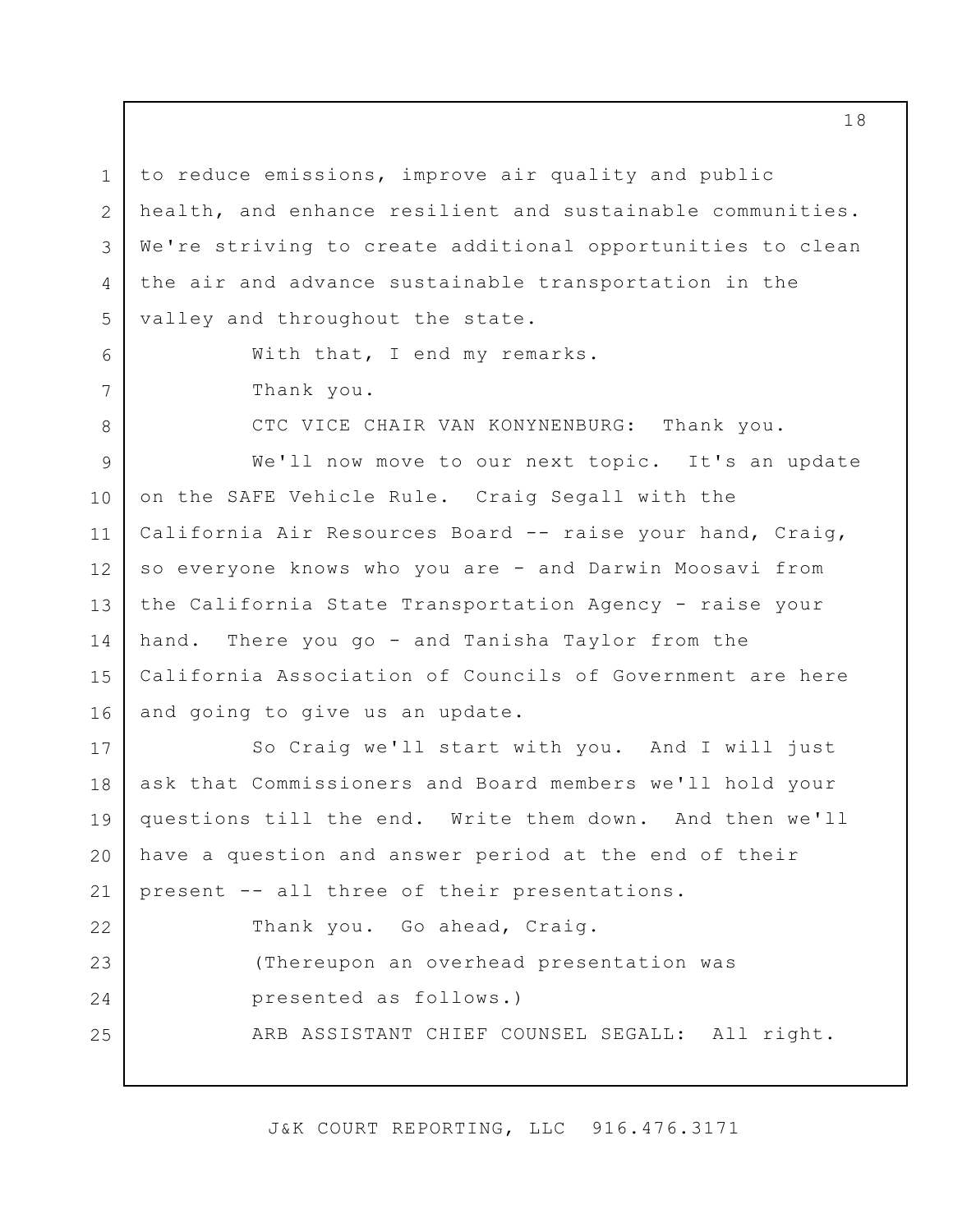to reduce emissions, improve air quality and public health, and enhance resilient and sustainable communities. We're striving to create additional opportunities to clean the air and advance sustainable transportation in the valley and throughout the state.

> With that, I end my remarks. Thank you.

1

2

3

4

5

6

7

8

CTC VICE CHAIR VAN KONYNENBURG: Thank you.

9 10 11 12 13 14 15 16 We'll now move to our next topic. It's an update on the SAFE Vehicle Rule. Craig Segall with the California Air Resources Board -- raise your hand, Craig, so everyone knows who you are - and Darwin Moosavi from the California State Transportation Agency - raise your hand. There you go - and Tanisha Taylor from the California Association of Councils of Government are here and going to give us an update.

17 18 19 20 21 22 23 24 25 So Craig we'll start with you. And I will just ask that Commissioners and Board members we'll hold your questions till the end. Write them down. And then we'll have a question and answer period at the end of their present -- all three of their presentations. Thank you. Go ahead, Craig. (Thereupon an overhead presentation was presented as follows.) ARB ASSISTANT CHIEF COUNSEL SEGALL: All right.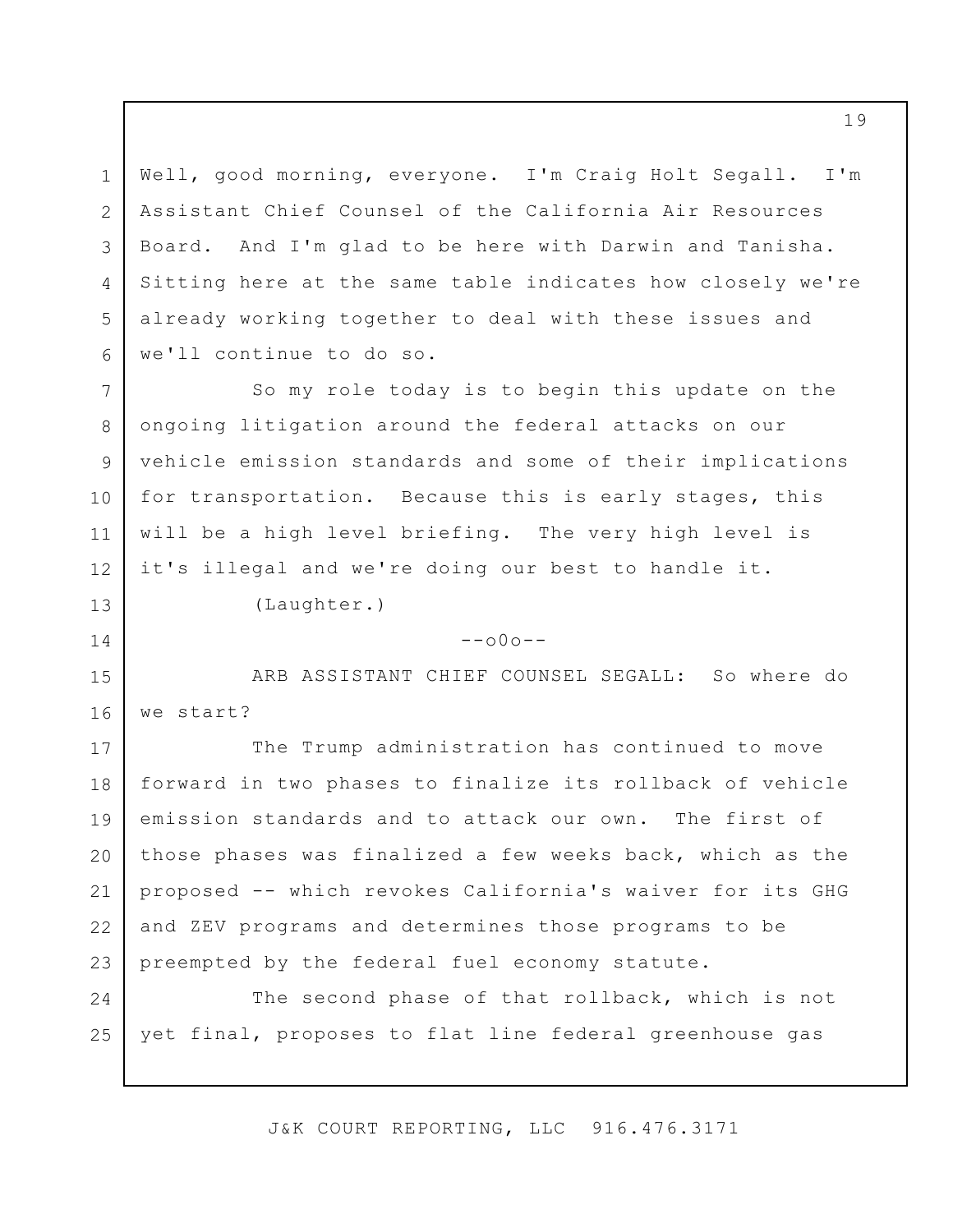1 2 3 4 5 6 Well, good morning, everyone. I'm Craig Holt Segall. I'm Assistant Chief Counsel of the California Air Resources Board. And I'm glad to be here with Darwin and Tanisha. Sitting here at the same table indicates how closely we're already working together to deal with these issues and we'll continue to do so.

So my role today is to begin this update on the ongoing litigation around the federal attacks on our vehicle emission standards and some of their implications for transportation. Because this is early stages, this will be a high level briefing. The very high level is it's illegal and we're doing our best to handle it.

(Laughter.)

7

8

9

10

11

12

13

14

 $--000--$ 

15 16 ARB ASSISTANT CHIEF COUNSEL SEGALL: So where do we start?

17 18 19 20 21 22 23 The Trump administration has continued to move forward in two phases to finalize its rollback of vehicle emission standards and to attack our own. The first of those phases was finalized a few weeks back, which as the proposed -- which revokes California's waiver for its GHG and ZEV programs and determines those programs to be preempted by the federal fuel economy statute.

24 25 The second phase of that rollback, which is not yet final, proposes to flat line federal greenhouse gas

J&K COURT REPORTING, LLC 916.476.3171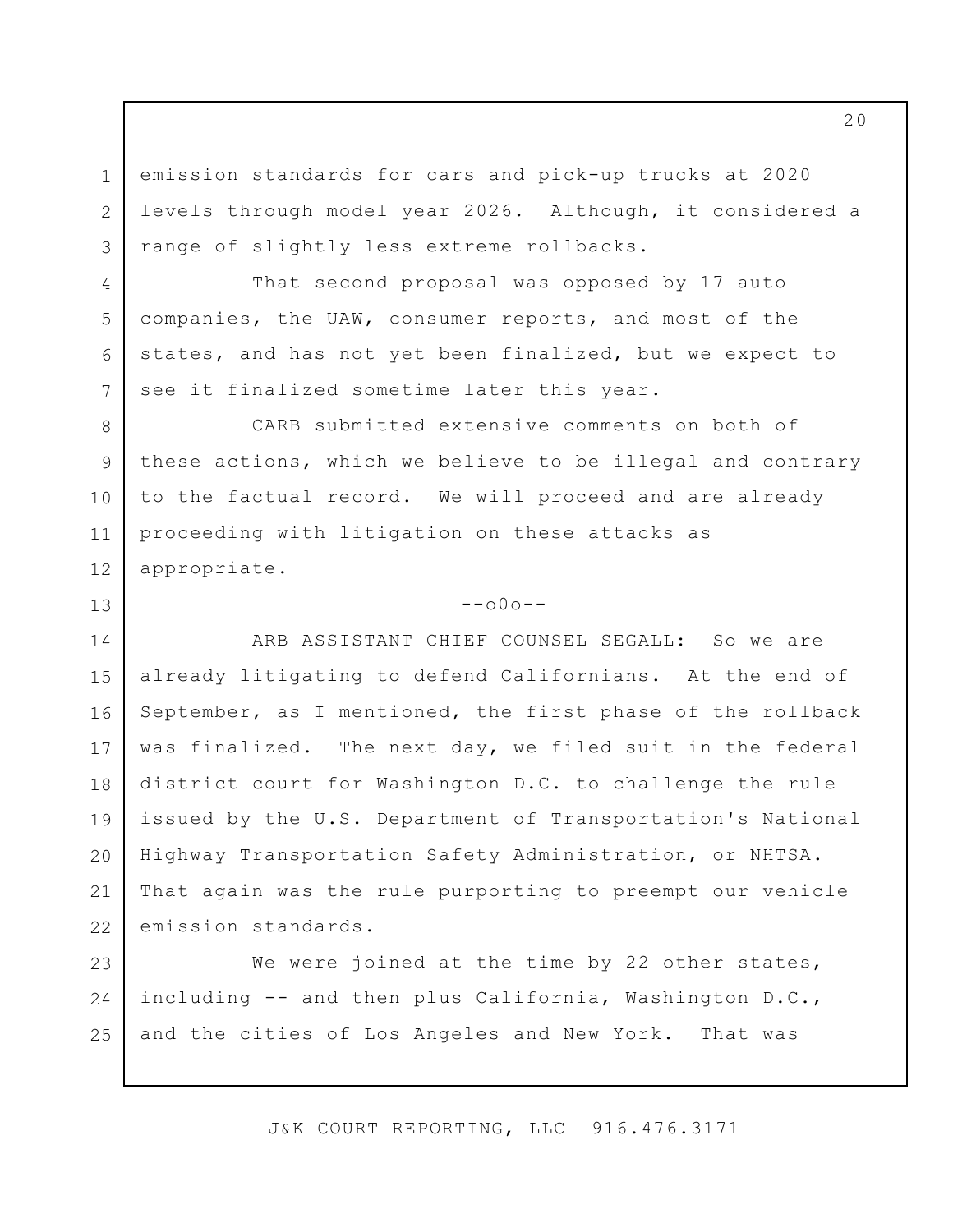emission standards for cars and pick-up trucks at 2020 levels through model year 2026. Although, it considered a range of slightly less extreme rollbacks.

1

2

3

4

5

6

7

8

9

10

11

12

13

That second proposal was opposed by 17 auto companies, the UAW, consumer reports, and most of the states, and has not yet been finalized, but we expect to see it finalized sometime later this year.

CARB submitted extensive comments on both of these actions, which we believe to be illegal and contrary to the factual record. We will proceed and are already proceeding with litigation on these attacks as appropriate.

### $--000--$

14 15 16 17 18 19 20 21 22 ARB ASSISTANT CHIEF COUNSEL SEGALL: So we are already litigating to defend Californians. At the end of September, as I mentioned, the first phase of the rollback was finalized. The next day, we filed suit in the federal district court for Washington D.C. to challenge the rule issued by the U.S. Department of Transportation's National Highway Transportation Safety Administration, or NHTSA. That again was the rule purporting to preempt our vehicle emission standards.

23 24 25 We were joined at the time by 22 other states, including -- and then plus California, Washington D.C., and the cities of Los Angeles and New York. That was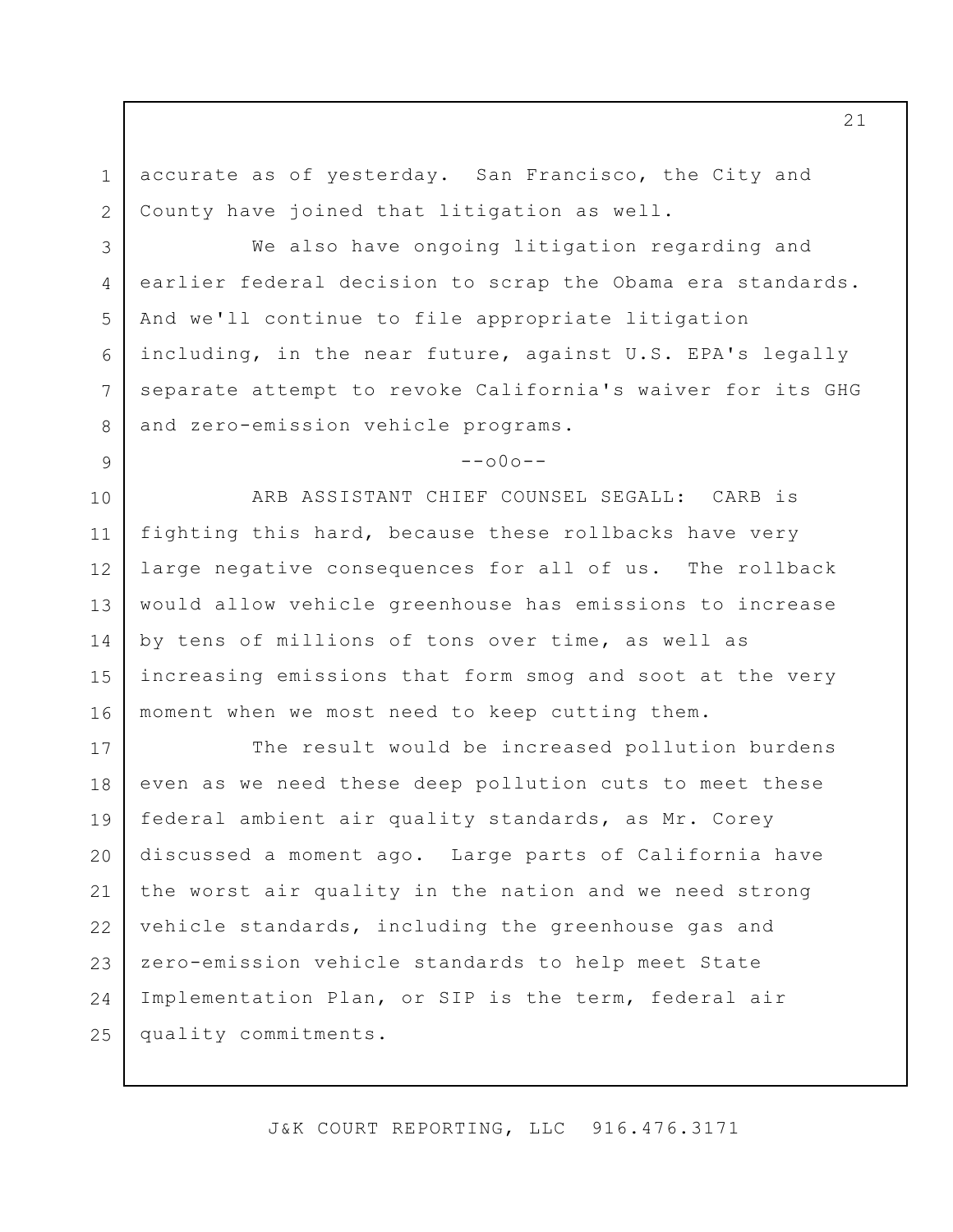accurate as of yesterday. San Francisco, the City and County have joined that litigation as well.

1

2

3

4

5

6

7

8

9

We also have ongoing litigation regarding and earlier federal decision to scrap the Obama era standards. And we'll continue to file appropriate litigation including, in the near future, against U.S. EPA's legally separate attempt to revoke California's waiver for its GHG and zero-emission vehicle programs.

#### $--000--$

10 11 12 13 14 15 16 ARB ASSISTANT CHIEF COUNSEL SEGALL: CARB is fighting this hard, because these rollbacks have very large negative consequences for all of us. The rollback would allow vehicle greenhouse has emissions to increase by tens of millions of tons over time, as well as increasing emissions that form smog and soot at the very moment when we most need to keep cutting them.

17 18 19 20 21 22 23 24 25 The result would be increased pollution burdens even as we need these deep pollution cuts to meet these federal ambient air quality standards, as Mr. Corey discussed a moment ago. Large parts of California have the worst air quality in the nation and we need strong vehicle standards, including the greenhouse gas and zero-emission vehicle standards to help meet State Implementation Plan, or SIP is the term, federal air quality commitments.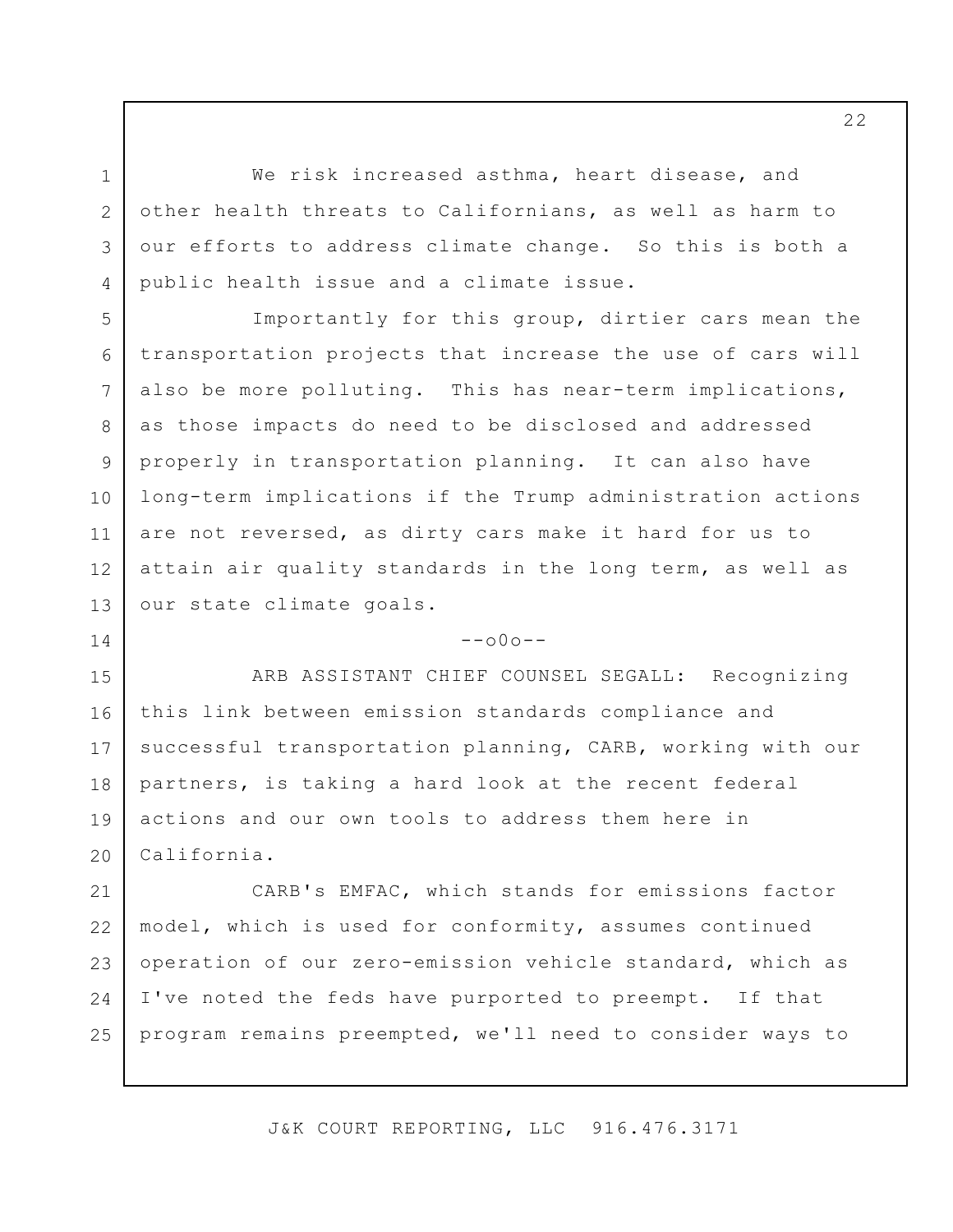We risk increased asthma, heart disease, and other health threats to Californians, as well as harm to our efforts to address climate change. So this is both a public health issue and a climate issue.

1

2

3

4

5

8

9

10

14

6 7 11 12 13 Importantly for this group, dirtier cars mean the transportation projects that increase the use of cars will also be more polluting. This has near-term implications, as those impacts do need to be disclosed and addressed properly in transportation planning. It can also have long-term implications if the Trump administration actions are not reversed, as dirty cars make it hard for us to attain air quality standards in the long term, as well as our state climate goals.

 $--000--$ 

15 16 17 18 19 20 ARB ASSISTANT CHIEF COUNSEL SEGALL: Recognizing this link between emission standards compliance and successful transportation planning, CARB, working with our partners, is taking a hard look at the recent federal actions and our own tools to address them here in California.

21 22 23 24 25 CARB's EMFAC, which stands for emissions factor model, which is used for conformity, assumes continued operation of our zero-emission vehicle standard, which as I've noted the feds have purported to preempt. If that program remains preempted, we'll need to consider ways to

J&K COURT REPORTING, LLC 916.476.3171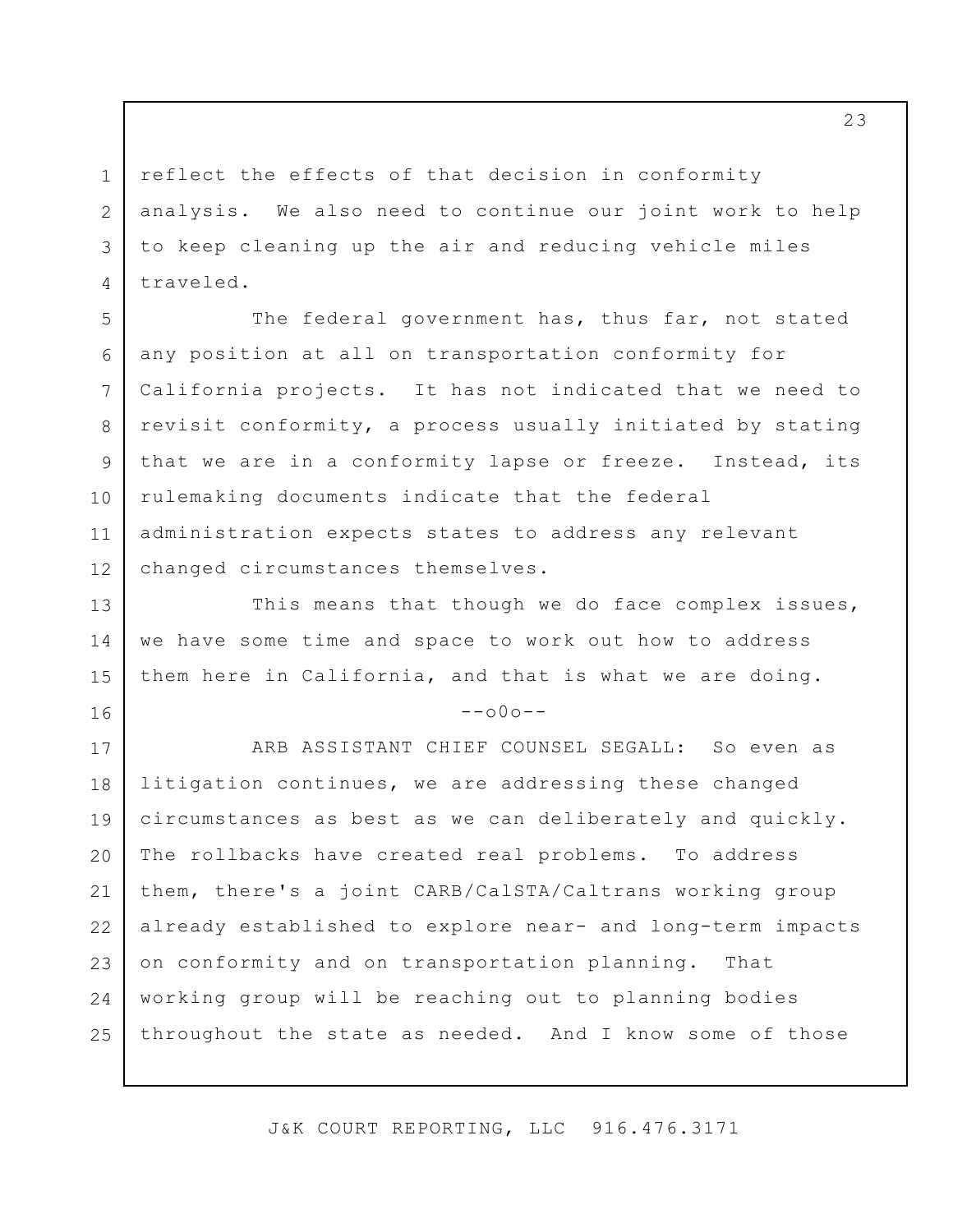reflect the effects of that decision in conformity analysis. We also need to continue our joint work to help to keep cleaning up the air and reducing vehicle miles traveled.

1

2

3

4

16

5 6 7 8 9 10 11 12 The federal government has, thus far, not stated any position at all on transportation conformity for California projects. It has not indicated that we need to revisit conformity, a process usually initiated by stating that we are in a conformity lapse or freeze. Instead, its rulemaking documents indicate that the federal administration expects states to address any relevant changed circumstances themselves.

13 14 15 This means that though we do face complex issues, we have some time and space to work out how to address them here in California, and that is what we are doing.

 $--000--$ 

17 18 19 20 21 22 23 24 25 ARB ASSISTANT CHIEF COUNSEL SEGALL: So even as litigation continues, we are addressing these changed circumstances as best as we can deliberately and quickly. The rollbacks have created real problems. To address them, there's a joint CARB/CalSTA/Caltrans working group already established to explore near- and long-term impacts on conformity and on transportation planning. That working group will be reaching out to planning bodies throughout the state as needed. And I know some of those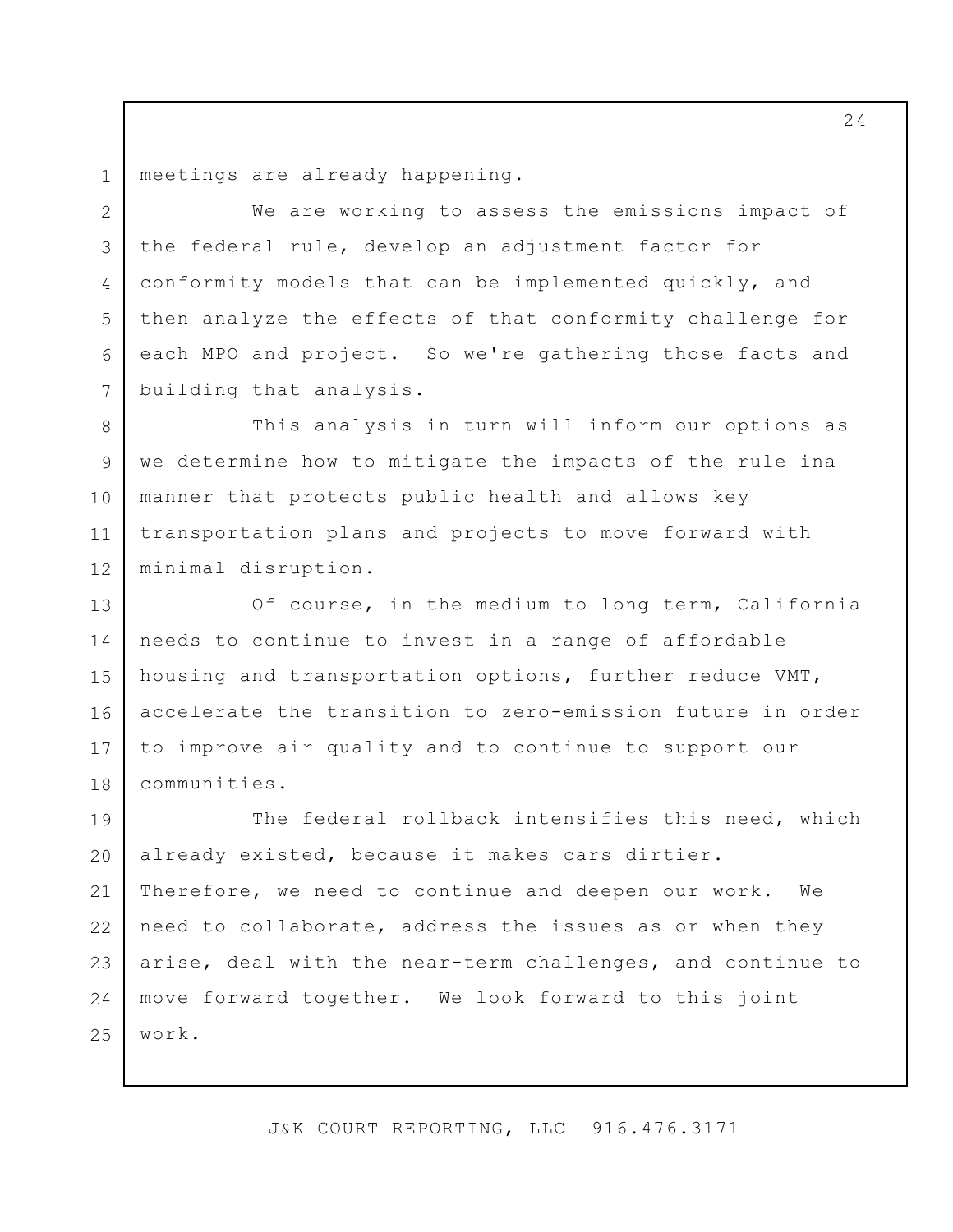1 meetings are already happening.

2

3

4

5

6

7

We are working to assess the emissions impact of the federal rule, develop an adjustment factor for conformity models that can be implemented quickly, and then analyze the effects of that conformity challenge for each MPO and project. So we're gathering those facts and building that analysis.

8 9 10 11 12 This analysis in turn will inform our options as we determine how to mitigate the impacts of the rule ina manner that protects public health and allows key transportation plans and projects to move forward with minimal disruption.

13 14 15 16 17 18 Of course, in the medium to long term, California needs to continue to invest in a range of affordable housing and transportation options, further reduce VMT, accelerate the transition to zero-emission future in order to improve air quality and to continue to support our communities.

19 20 21 22 23 24 25 The federal rollback intensifies this need, which already existed, because it makes cars dirtier. Therefore, we need to continue and deepen our work. We need to collaborate, address the issues as or when they arise, deal with the near-term challenges, and continue to move forward together. We look forward to this joint work.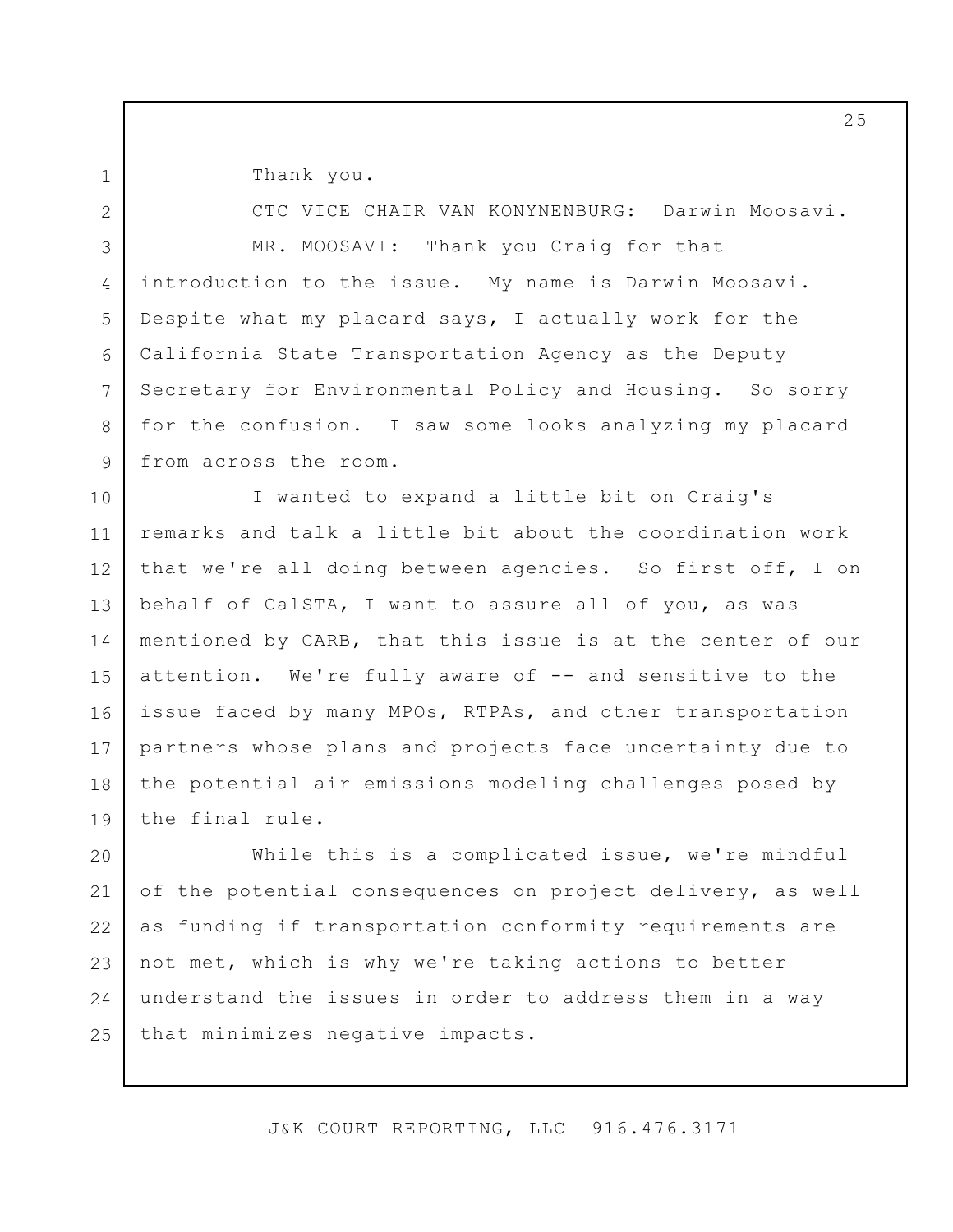Thank you.

1

2 3 4 5 6 7 8 9 CTC VICE CHAIR VAN KONYNENBURG: Darwin Moosavi. MR. MOOSAVI: Thank you Craig for that introduction to the issue. My name is Darwin Moosavi. Despite what my placard says, I actually work for the California State Transportation Agency as the Deputy Secretary for Environmental Policy and Housing. So sorry for the confusion. I saw some looks analyzing my placard from across the room.

10 11 12 13 14 15 16 17 18 19 I wanted to expand a little bit on Craig's remarks and talk a little bit about the coordination work that we're all doing between agencies. So first off, I on behalf of CalSTA, I want to assure all of you, as was mentioned by CARB, that this issue is at the center of our attention. We're fully aware of -- and sensitive to the issue faced by many MPOs, RTPAs, and other transportation partners whose plans and projects face uncertainty due to the potential air emissions modeling challenges posed by the final rule.

20 21 22 23 24 25 While this is a complicated issue, we're mindful of the potential consequences on project delivery, as well as funding if transportation conformity requirements are not met, which is why we're taking actions to better understand the issues in order to address them in a way that minimizes negative impacts.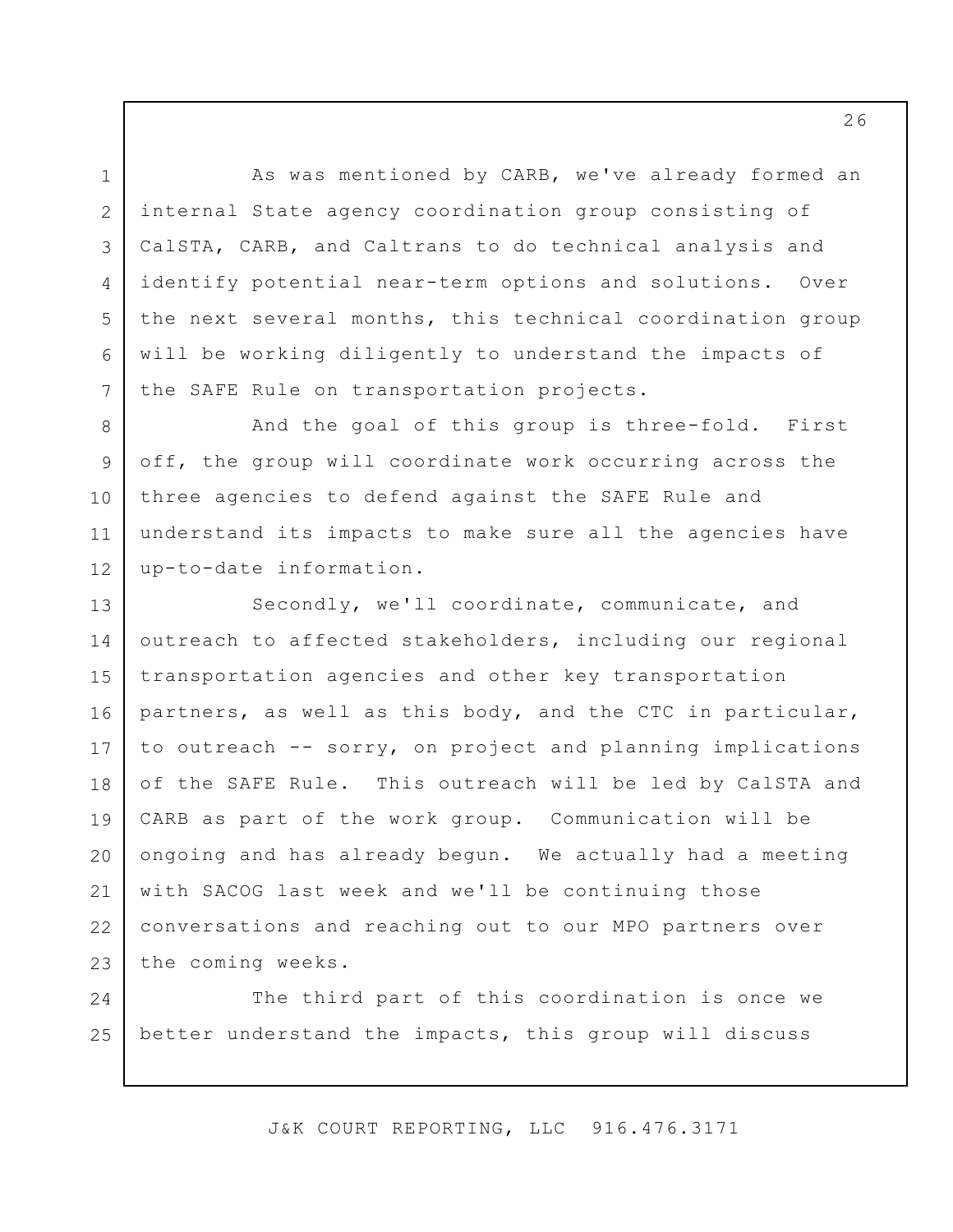As was mentioned by CARB, we've already formed an internal State agency coordination group consisting of CalSTA, CARB, and Caltrans to do technical analysis and identify potential near-term options and solutions. Over the next several months, this technical coordination group will be working diligently to understand the impacts of the SAFE Rule on transportation projects.

1

2

3

4

5

6

7

8 9 10 11 12 And the goal of this group is three-fold. First off, the group will coordinate work occurring across the three agencies to defend against the SAFE Rule and understand its impacts to make sure all the agencies have up-to-date information.

13 14 15 16 17 18 19 20 21 22 23 Secondly, we'll coordinate, communicate, and outreach to affected stakeholders, including our regional transportation agencies and other key transportation partners, as well as this body, and the CTC in particular, to outreach -- sorry, on project and planning implications of the SAFE Rule. This outreach will be led by CalSTA and CARB as part of the work group. Communication will be ongoing and has already begun. We actually had a meeting with SACOG last week and we'll be continuing those conversations and reaching out to our MPO partners over the coming weeks.

24 25 The third part of this coordination is once we better understand the impacts, this group will discuss

J&K COURT REPORTING, LLC 916.476.3171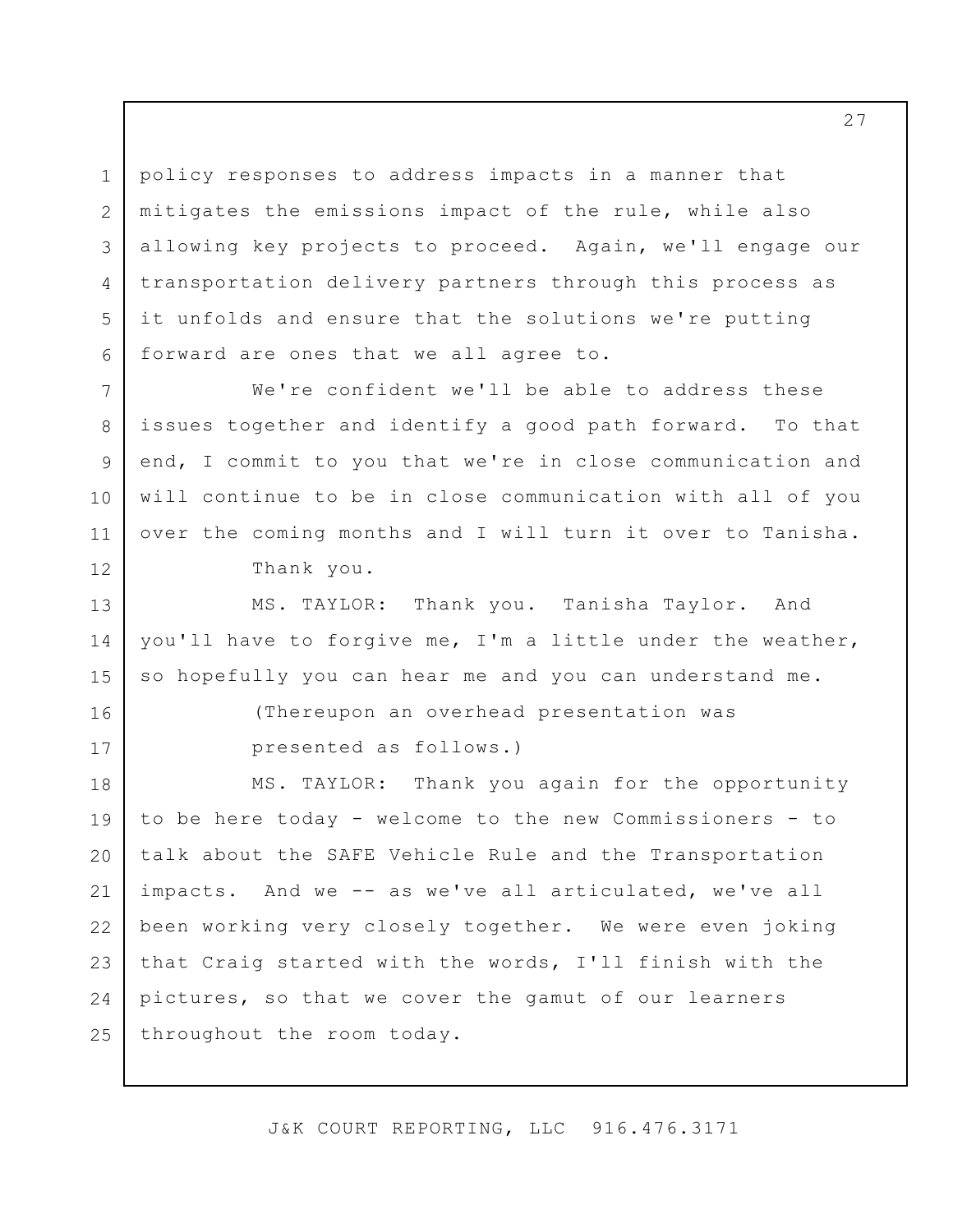policy responses to address impacts in a manner that mitigates the emissions impact of the rule, while also allowing key projects to proceed. Again, we'll engage our transportation delivery partners through this process as it unfolds and ensure that the solutions we're putting forward are ones that we all agree to.

7 We're confident we'll be able to address these issues together and identify a good path forward. To that end, I commit to you that we're in close communication and will continue to be in close communication with all of you over the coming months and I will turn it over to Tanisha.

Thank you.

1

2

3

4

5

6

8

9

10

11

12

16

17

13 14 15 MS. TAYLOR: Thank you. Tanisha Taylor. And you'll have to forgive me, I'm a little under the weather, so hopefully you can hear me and you can understand me.

> (Thereupon an overhead presentation was presented as follows.)

18 19 20 21 22 23 24 25 MS. TAYLOR: Thank you again for the opportunity to be here today - welcome to the new Commissioners - to talk about the SAFE Vehicle Rule and the Transportation impacts. And we -- as we've all articulated, we've all been working very closely together. We were even joking that Craig started with the words, I'll finish with the pictures, so that we cover the gamut of our learners throughout the room today.

J&K COURT REPORTING, LLC 916.476.3171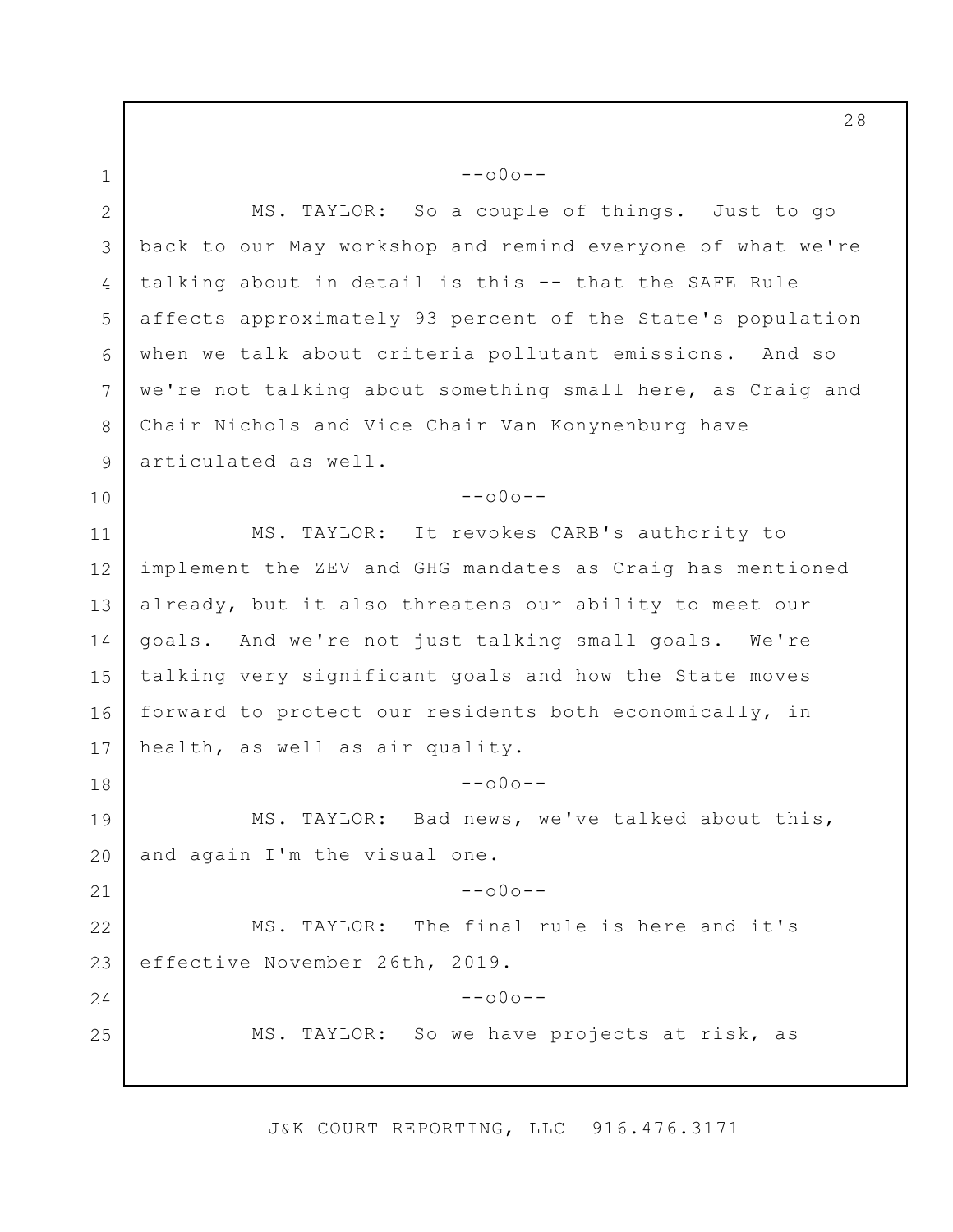1 2 3 4 5 6 7 8 9 10 11 12 13 14 15 16 17 18 19 20 21 22 23 24 25  $--000--$ MS. TAYLOR: So a couple of things. Just to go back to our May workshop and remind everyone of what we're talking about in detail is this -- that the SAFE Rule affects approximately 93 percent of the State's population when we talk about criteria pollutant emissions. And so we're not talking about something small here, as Craig and Chair Nichols and Vice Chair Van Konynenburg have articulated as well.  $--000--$ MS. TAYLOR: It revokes CARB's authority to implement the ZEV and GHG mandates as Craig has mentioned already, but it also threatens our ability to meet our goals. And we're not just talking small goals. We're talking very significant goals and how the State moves forward to protect our residents both economically, in health, as well as air quality.  $--000--$ MS. TAYLOR: Bad news, we've talked about this, and again I'm the visual one.  $--000--$ MS. TAYLOR: The final rule is here and it's effective November 26th, 2019.  $--000--$ MS. TAYLOR: So we have projects at risk, as

J&K COURT REPORTING, LLC 916.476.3171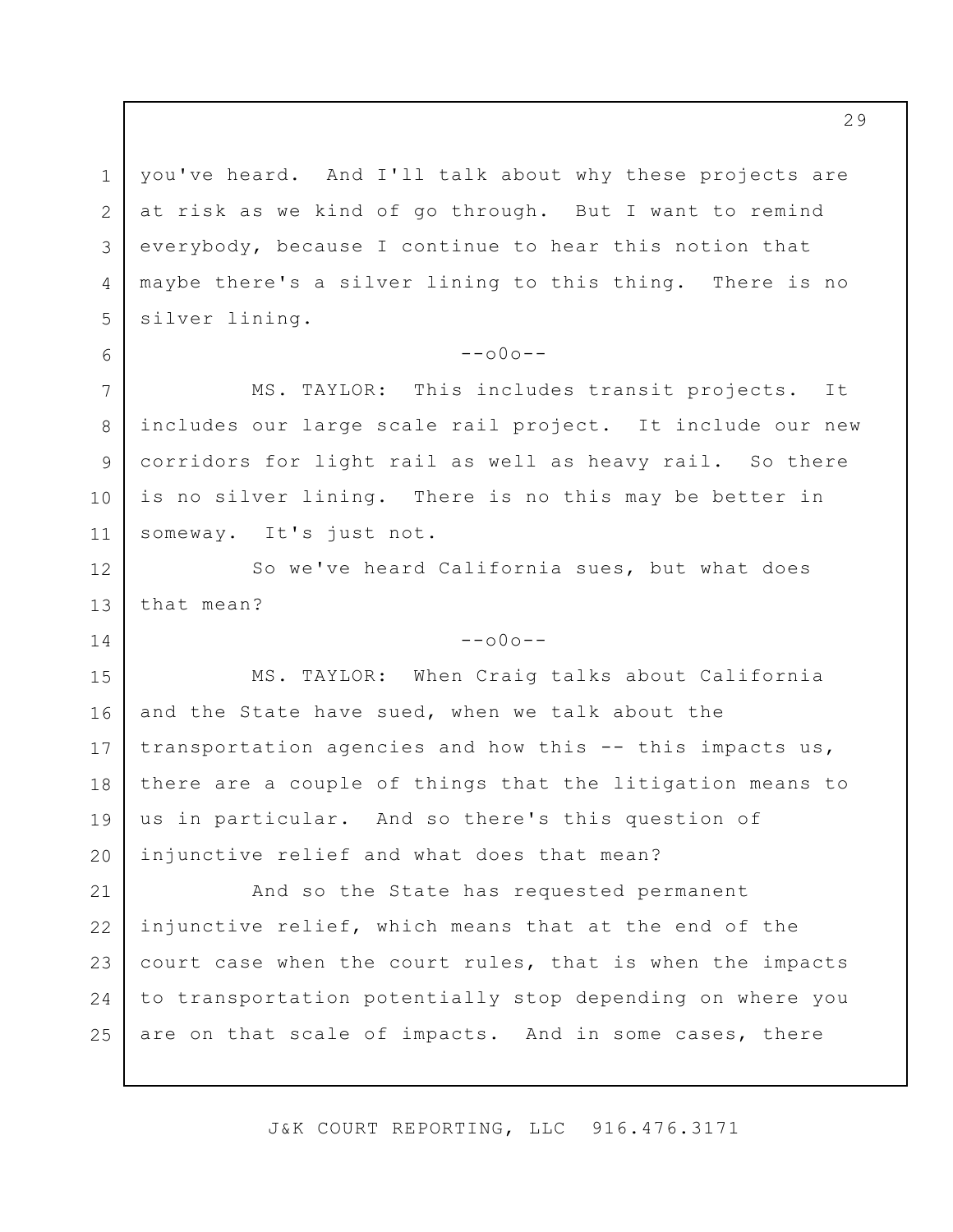1 2 3 4 5 you've heard. And I'll talk about why these projects are at risk as we kind of go through. But I want to remind everybody, because I continue to hear this notion that maybe there's a silver lining to this thing. There is no silver lining.

6

7

8

9

10

11

12

13

14

### $--000--$

MS. TAYLOR: This includes transit projects. It includes our large scale rail project. It include our new corridors for light rail as well as heavy rail. So there is no silver lining. There is no this may be better in someway. It's just not.

So we've heard California sues, but what does that mean?

 $--000--$ 

15 16 17 18 19 20 MS. TAYLOR: When Craig talks about California and the State have sued, when we talk about the transportation agencies and how this -- this impacts us, there are a couple of things that the litigation means to us in particular. And so there's this question of injunctive relief and what does that mean?

21 22 23 24 25 And so the State has requested permanent injunctive relief, which means that at the end of the court case when the court rules, that is when the impacts to transportation potentially stop depending on where you are on that scale of impacts. And in some cases, there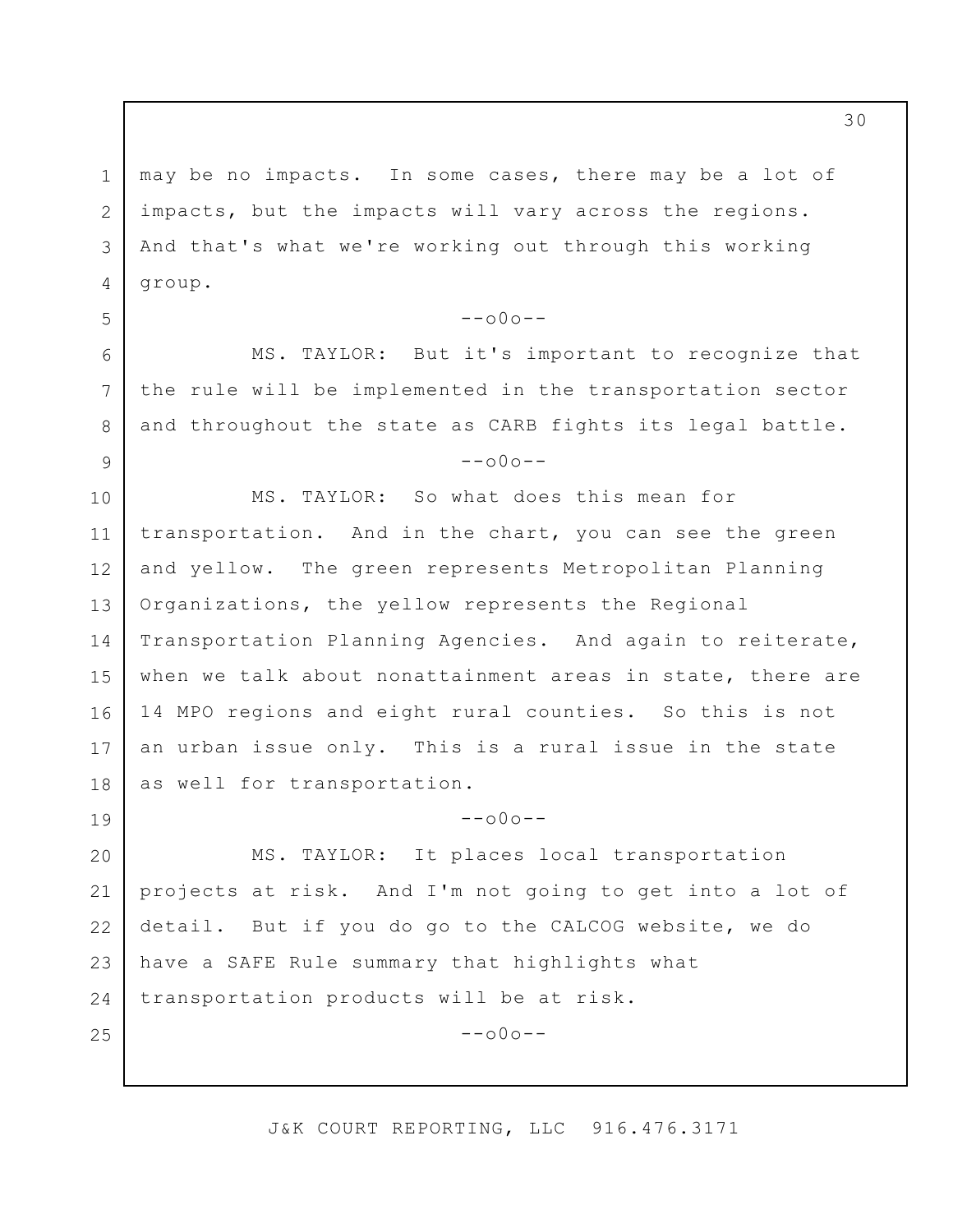1 2 3 4 may be no impacts. In some cases, there may be a lot of impacts, but the impacts will vary across the regions. And that's what we're working out through this working group.

5

6

7

8

9

19

25

# $--000--$

MS. TAYLOR: But it's important to recognize that the rule will be implemented in the transportation sector and throughout the state as CARB fights its legal battle.

### $--000--$

10 11 12 13 14 15 16 17 18 MS. TAYLOR: So what does this mean for transportation. And in the chart, you can see the green and yellow. The green represents Metropolitan Planning Organizations, the yellow represents the Regional Transportation Planning Agencies. And again to reiterate, when we talk about nonattainment areas in state, there are 14 MPO regions and eight rural counties. So this is not an urban issue only. This is a rural issue in the state as well for transportation.

--o0o--

20 21 22 23 24 MS. TAYLOR: It places local transportation projects at risk. And I'm not going to get into a lot of detail. But if you do go to the CALCOG website, we do have a SAFE Rule summary that highlights what transportation products will be at risk.

 $--000--$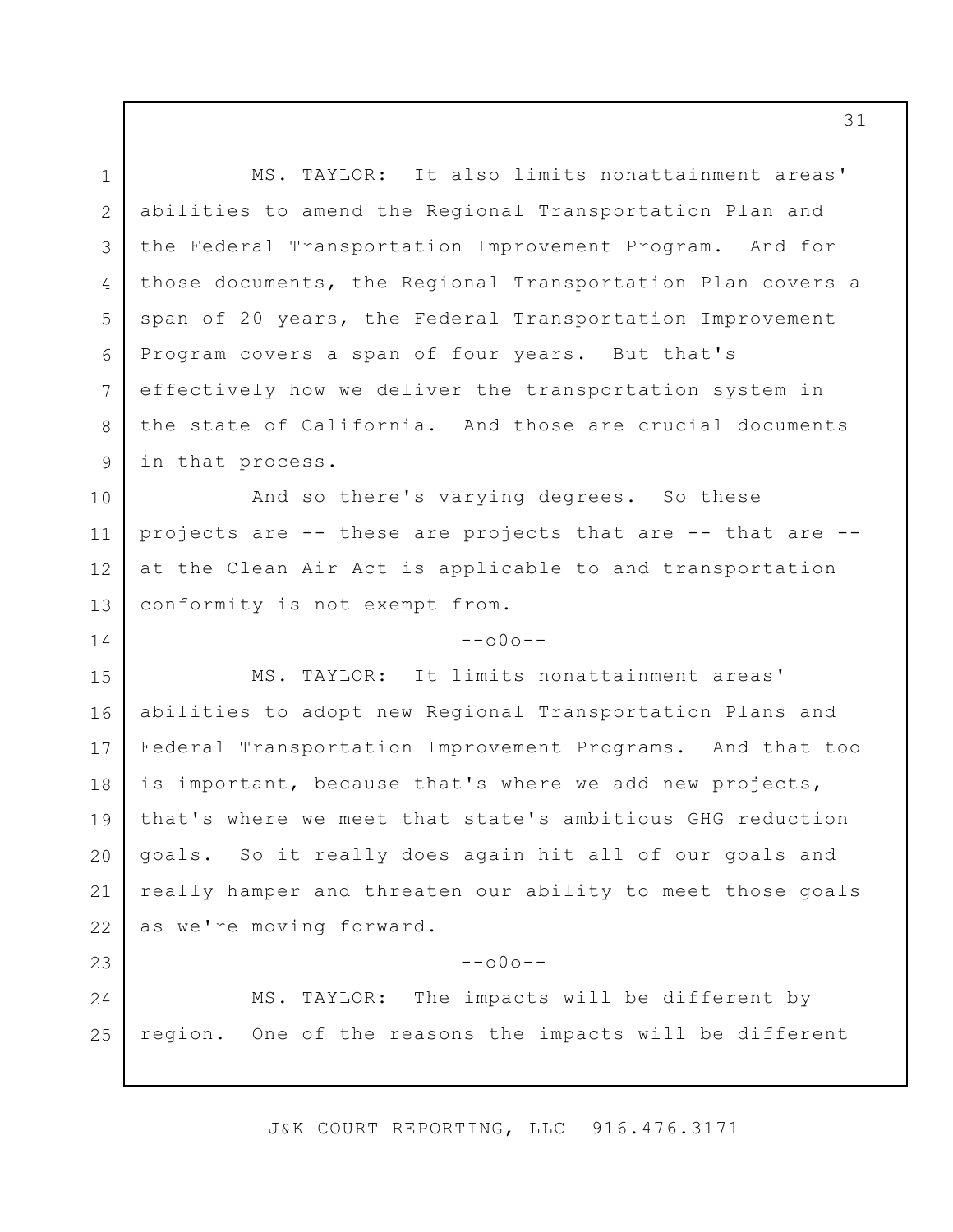1 2 3 4 5 6 7 8 9 10 11 12 13 14 15 16 17 18 19 20 21 22 23 24 25 MS. TAYLOR: It also limits nonattainment areas' abilities to amend the Regional Transportation Plan and the Federal Transportation Improvement Program. And for those documents, the Regional Transportation Plan covers a span of 20 years, the Federal Transportation Improvement Program covers a span of four years. But that's effectively how we deliver the transportation system in the state of California. And those are crucial documents in that process. And so there's varying degrees. So these projects are -- these are projects that are -- that are - at the Clean Air Act is applicable to and transportation conformity is not exempt from.  $--000--$ MS. TAYLOR: It limits nonattainment areas' abilities to adopt new Regional Transportation Plans and Federal Transportation Improvement Programs. And that too is important, because that's where we add new projects, that's where we meet that state's ambitious GHG reduction goals. So it really does again hit all of our goals and really hamper and threaten our ability to meet those goals as we're moving forward.  $--000--$ MS. TAYLOR: The impacts will be different by region. One of the reasons the impacts will be different

J&K COURT REPORTING, LLC 916.476.3171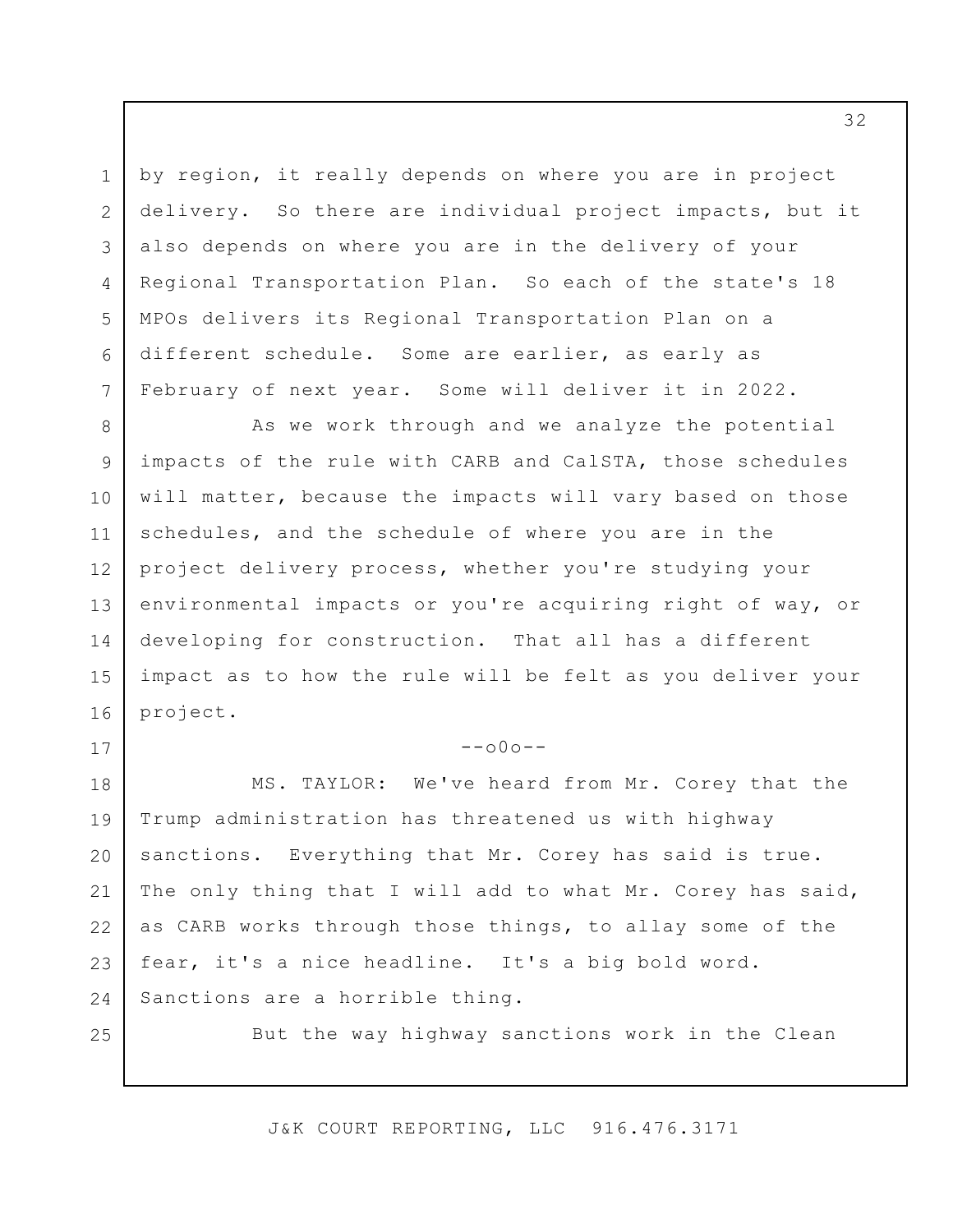3 5 6 by region, it really depends on where you are in project delivery. So there are individual project impacts, but it also depends on where you are in the delivery of your Regional Transportation Plan. So each of the state's 18 MPOs delivers its Regional Transportation Plan on a different schedule. Some are earlier, as early as February of next year. Some will deliver it in 2022.

8 9 10 11 12 13 14 15 16 As we work through and we analyze the potential impacts of the rule with CARB and CalSTA, those schedules will matter, because the impacts will vary based on those schedules, and the schedule of where you are in the project delivery process, whether you're studying your environmental impacts or you're acquiring right of way, or developing for construction. That all has a different impact as to how the rule will be felt as you deliver your project.

# $--000--$

18 19 20 21 22 23 24 MS. TAYLOR: We've heard from Mr. Corey that the Trump administration has threatened us with highway sanctions. Everything that Mr. Corey has said is true. The only thing that I will add to what Mr. Corey has said, as CARB works through those things, to allay some of the fear, it's a nice headline. It's a big bold word. Sanctions are a horrible thing.

25

17

1

2

4

7

But the way highway sanctions work in the Clean

J&K COURT REPORTING, LLC 916.476.3171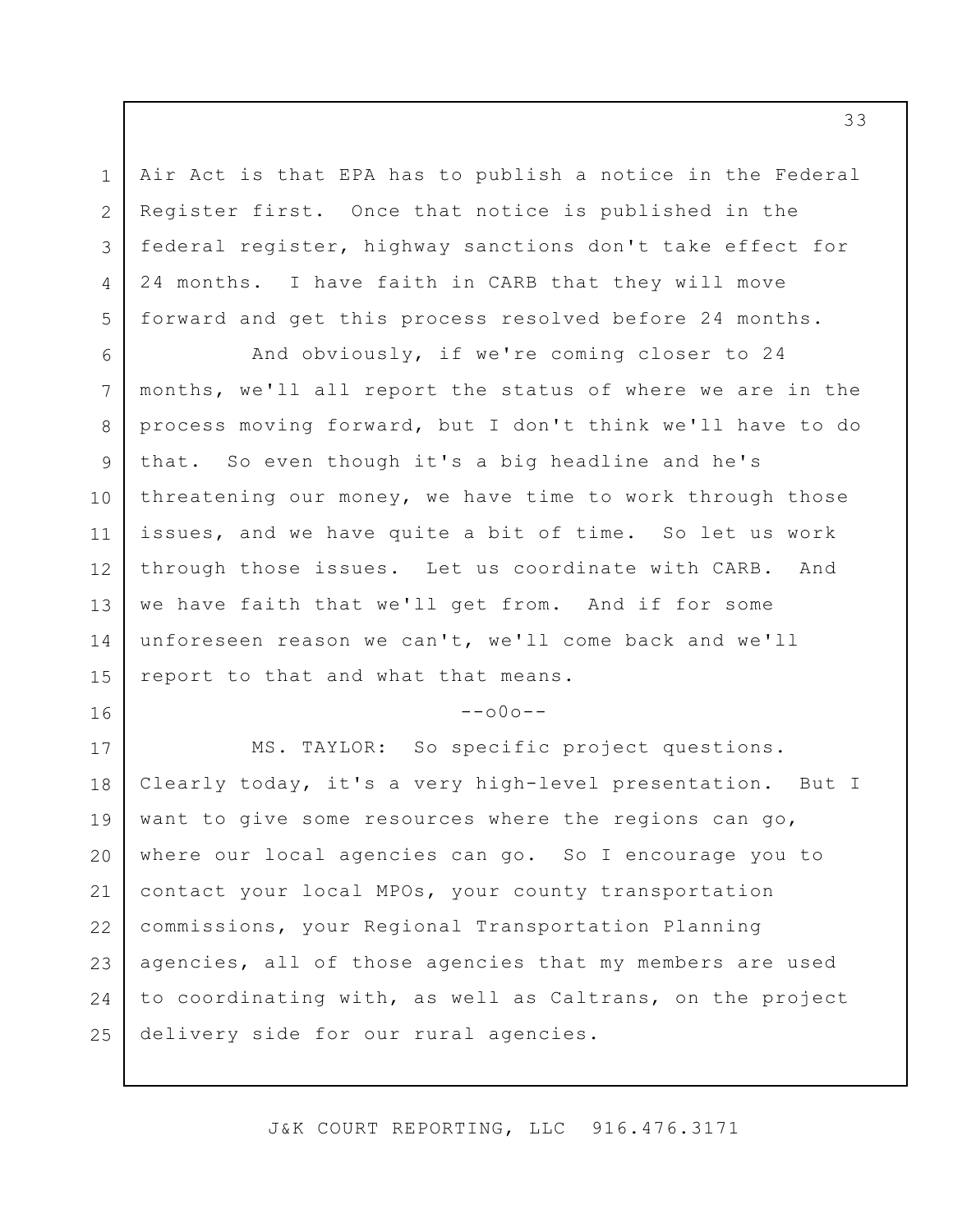Air Act is that EPA has to publish a notice in the Federal Register first. Once that notice is published in the federal register, highway sanctions don't take effect for 24 months. I have faith in CARB that they will move forward and get this process resolved before 24 months.

1

2

3

4

5

16

6 7 8 9 10 11 12 13 14 15 And obviously, if we're coming closer to 24 months, we'll all report the status of where we are in the process moving forward, but I don't think we'll have to do that. So even though it's a big headline and he's threatening our money, we have time to work through those issues, and we have quite a bit of time. So let us work through those issues. Let us coordinate with CARB. And we have faith that we'll get from. And if for some unforeseen reason we can't, we'll come back and we'll report to that and what that means.

 $--000--$ 

17 18 19 20 21 22 23 24 25 MS. TAYLOR: So specific project questions. Clearly today, it's a very high-level presentation. But I want to give some resources where the regions can go, where our local agencies can go. So I encourage you to contact your local MPOs, your county transportation commissions, your Regional Transportation Planning agencies, all of those agencies that my members are used to coordinating with, as well as Caltrans, on the project delivery side for our rural agencies.

J&K COURT REPORTING, LLC 916.476.3171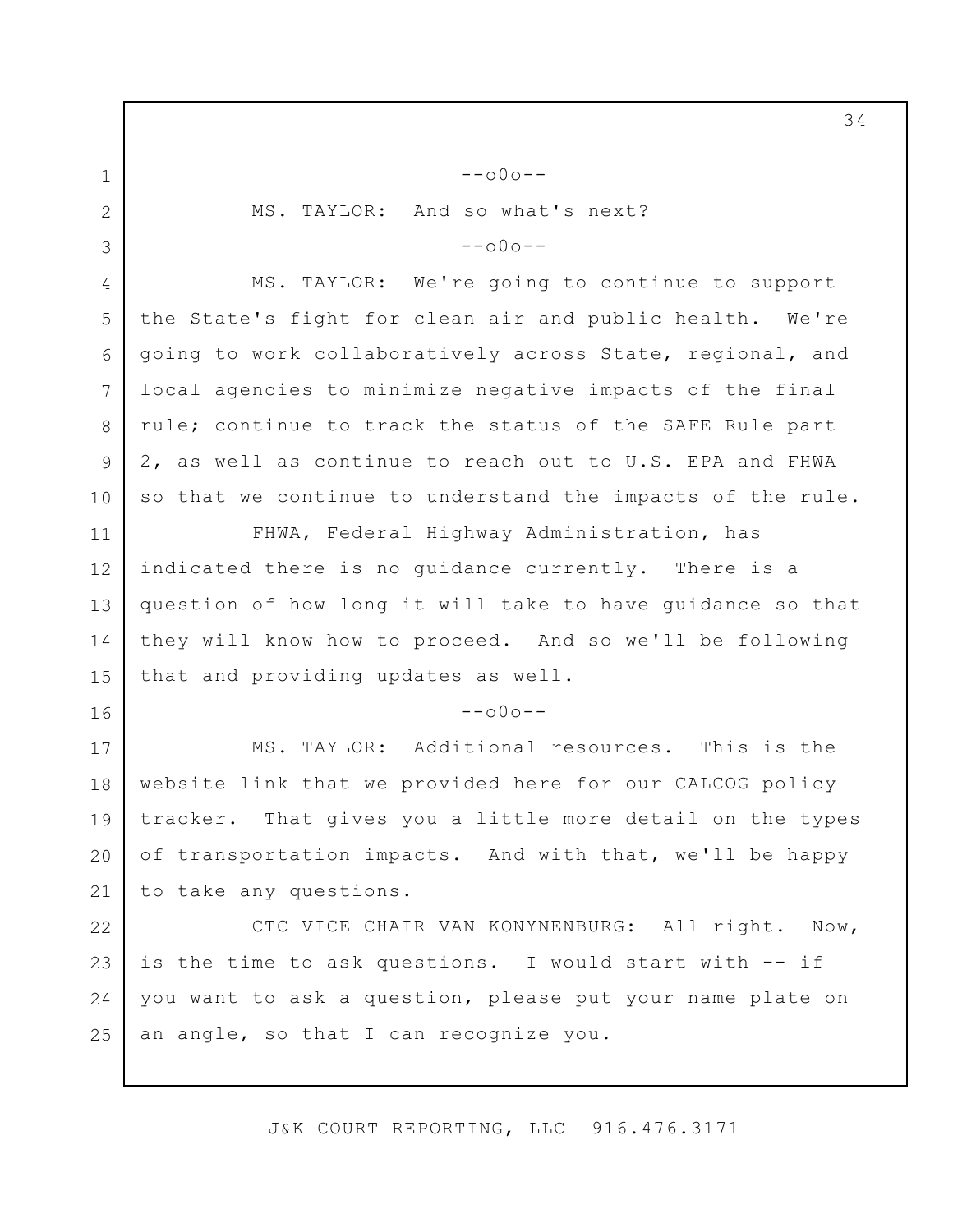7

8

9

10

16

1

--o0o--

MS. TAYLOR: And so what's next?

 $--000--$ 

MS. TAYLOR: We're going to continue to support the State's fight for clean air and public health. We're going to work collaboratively across State, regional, and local agencies to minimize negative impacts of the final rule; continue to track the status of the SAFE Rule part 2, as well as continue to reach out to U.S. EPA and FHWA so that we continue to understand the impacts of the rule.

11 12 13 14 15 FHWA, Federal Highway Administration, has indicated there is no guidance currently. There is a question of how long it will take to have guidance so that they will know how to proceed. And so we'll be following that and providing updates as well.

 $--000--$ 

17 18 19 20 21 MS. TAYLOR: Additional resources. This is the website link that we provided here for our CALCOG policy tracker. That gives you a little more detail on the types of transportation impacts. And with that, we'll be happy to take any questions.

22 23 24 25 CTC VICE CHAIR VAN KONYNENBURG: All right. Now, is the time to ask questions. I would start with -- if you want to ask a question, please put your name plate on an angle, so that I can recognize you.

J&K COURT REPORTING, LLC 916.476.3171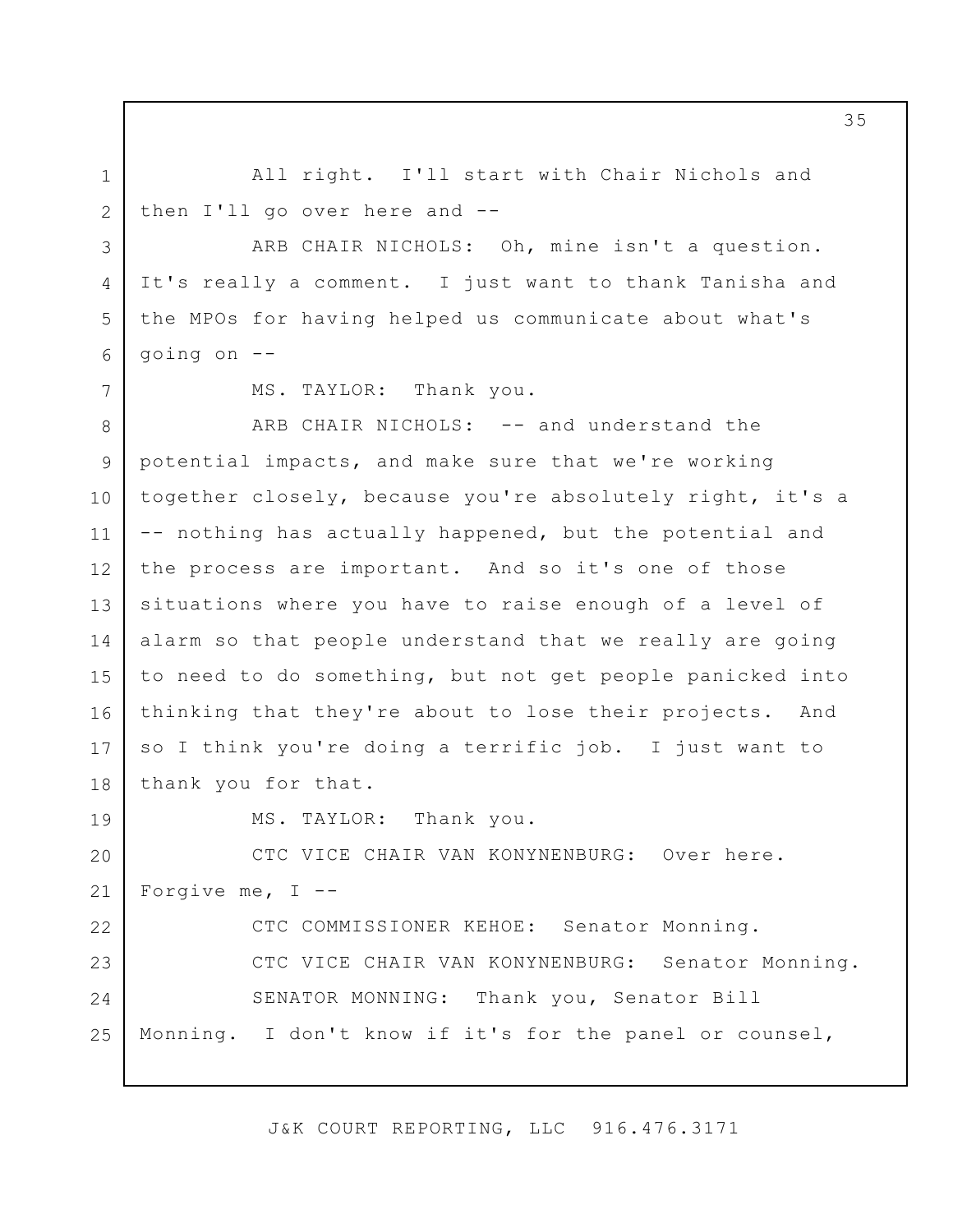All right. I'll start with Chair Nichols and then I'll go over here and --

ARB CHAIR NICHOLS: Oh, mine isn't a question. It's really a comment. I just want to thank Tanisha and the MPOs for having helped us communicate about what's going on --

MS. TAYLOR: Thank you.

1

2

3

4

5

6

7

8 9 10 11 12 13 14 15 16 17 18 ARB CHAIR NICHOLS: -- and understand the potential impacts, and make sure that we're working together closely, because you're absolutely right, it's a -- nothing has actually happened, but the potential and the process are important. And so it's one of those situations where you have to raise enough of a level of alarm so that people understand that we really are going to need to do something, but not get people panicked into thinking that they're about to lose their projects. And so I think you're doing a terrific job. I just want to thank you for that.

19 20 21 22 23 24 25 MS. TAYLOR: Thank you. CTC VICE CHAIR VAN KONYNENBURG: Over here. Forgive me,  $I$  --CTC COMMISSIONER KEHOE: Senator Monning. CTC VICE CHAIR VAN KONYNENBURG: Senator Monning. SENATOR MONNING: Thank you, Senator Bill Monning. I don't know if it's for the panel or counsel,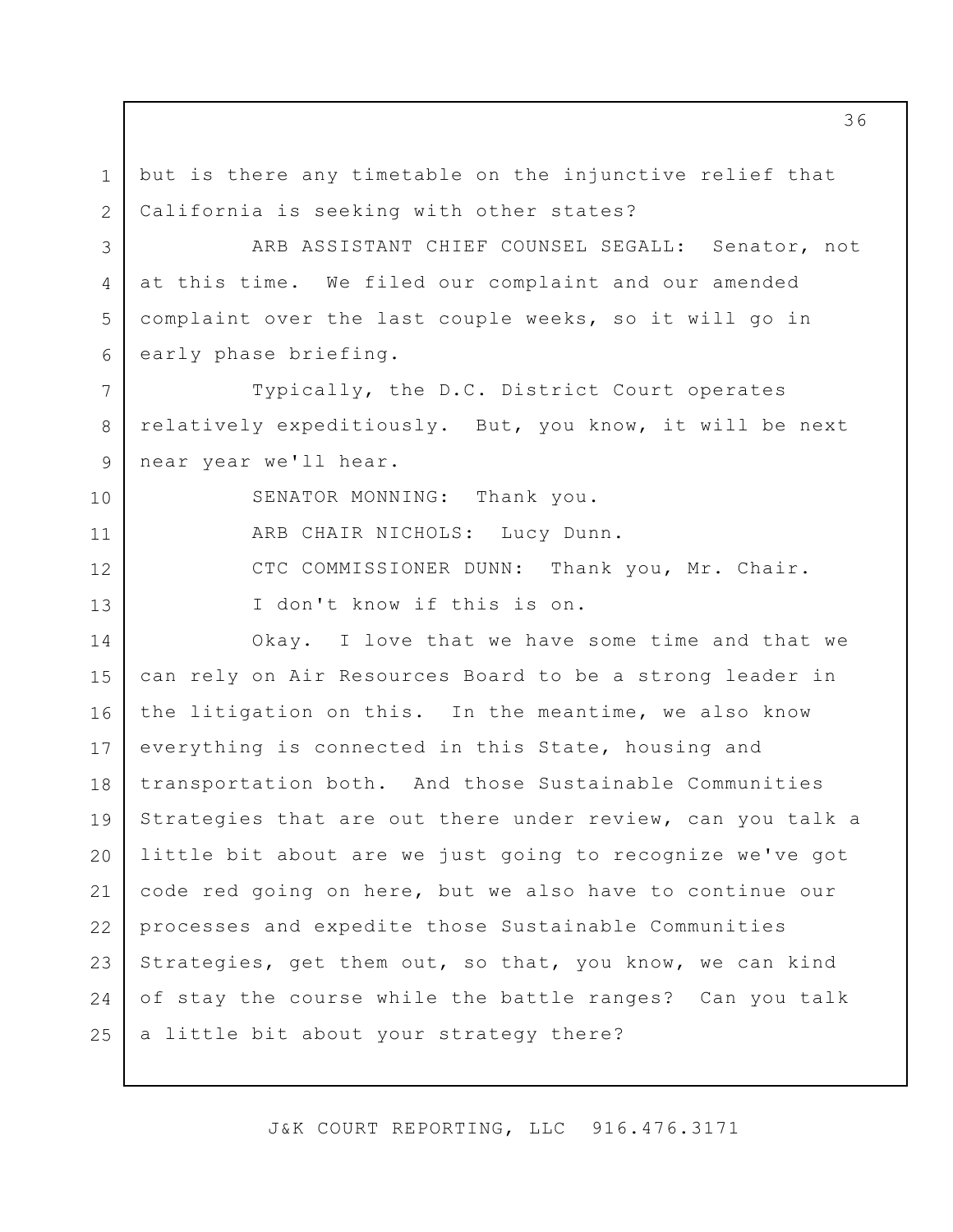1 2 3 4 5 6 7 8 9 10 11 12 13 14 15 16 17 18 19 20 21 22 23 24 25 but is there any timetable on the injunctive relief that California is seeking with other states? ARB ASSISTANT CHIEF COUNSEL SEGALL: Senator, not at this time. We filed our complaint and our amended complaint over the last couple weeks, so it will go in early phase briefing. Typically, the D.C. District Court operates relatively expeditiously. But, you know, it will be next near year we'll hear. SENATOR MONNING: Thank you. ARB CHAIR NICHOLS: Lucy Dunn. CTC COMMISSIONER DUNN: Thank you, Mr. Chair. I don't know if this is on. Okay. I love that we have some time and that we can rely on Air Resources Board to be a strong leader in the litigation on this. In the meantime, we also know everything is connected in this State, housing and transportation both. And those Sustainable Communities Strategies that are out there under review, can you talk a little bit about are we just going to recognize we've got code red going on here, but we also have to continue our processes and expedite those Sustainable Communities Strategies, get them out, so that, you know, we can kind of stay the course while the battle ranges? Can you talk a little bit about your strategy there?

J&K COURT REPORTING, LLC 916.476.3171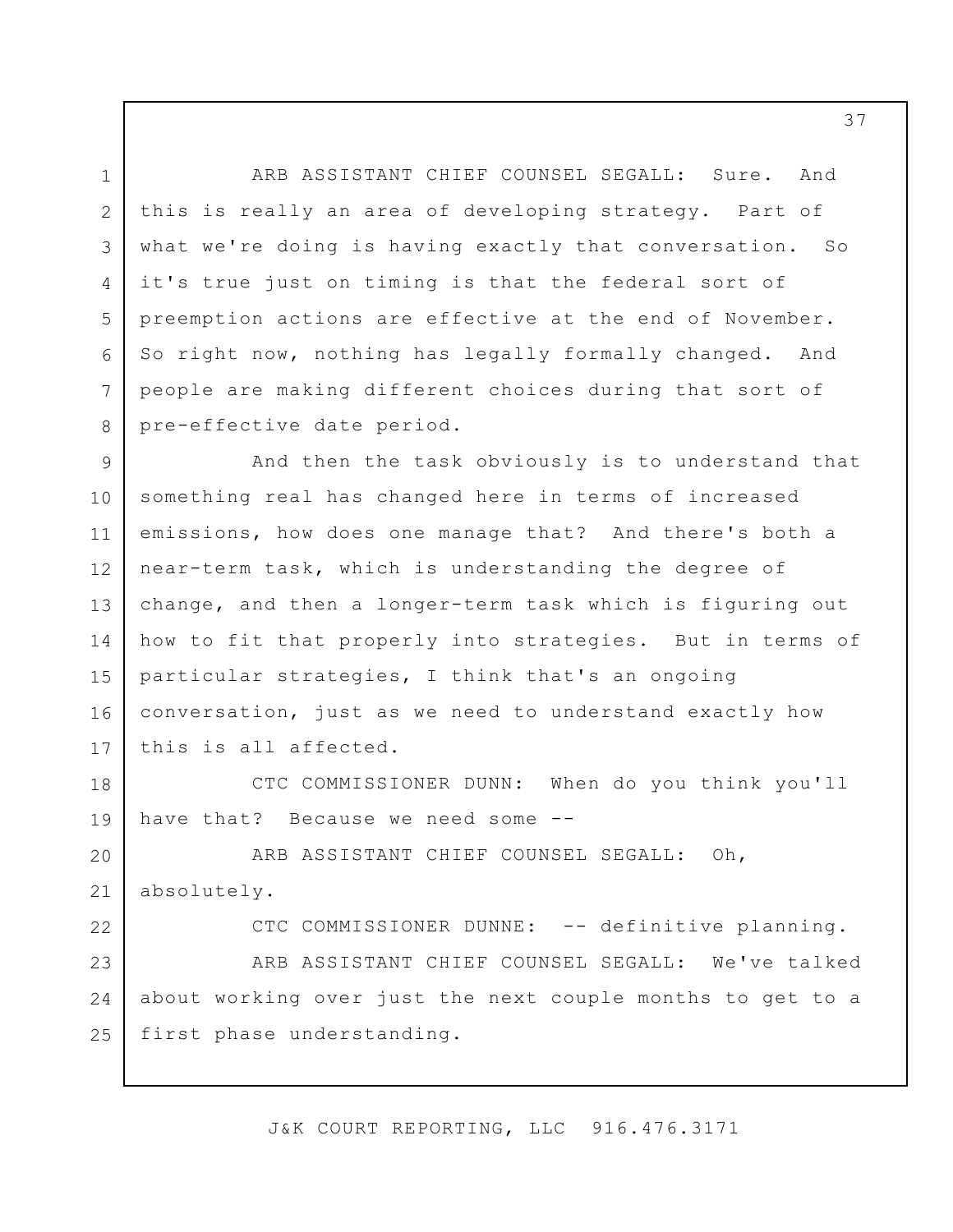ARB ASSISTANT CHIEF COUNSEL SEGALL: Sure. And this is really an area of developing strategy. Part of what we're doing is having exactly that conversation. So it's true just on timing is that the federal sort of preemption actions are effective at the end of November. So right now, nothing has legally formally changed. And people are making different choices during that sort of pre-effective date period.

1

2

3

4

5

6

7

8

22

9 10 11 12 13 14 15 16 17 And then the task obviously is to understand that something real has changed here in terms of increased emissions, how does one manage that? And there's both a near-term task, which is understanding the degree of change, and then a longer-term task which is figuring out how to fit that properly into strategies. But in terms of particular strategies, I think that's an ongoing conversation, just as we need to understand exactly how this is all affected.

18 19 CTC COMMISSIONER DUNN: When do you think you'll have that? Because we need some --

20 21 ARB ASSISTANT CHIEF COUNSEL SEGALL: Oh, absolutely.

CTC COMMISSIONER DUNNE: -- definitive planning.

23 24 25 ARB ASSISTANT CHIEF COUNSEL SEGALL: We've talked about working over just the next couple months to get to a first phase understanding.

J&K COURT REPORTING, LLC 916.476.3171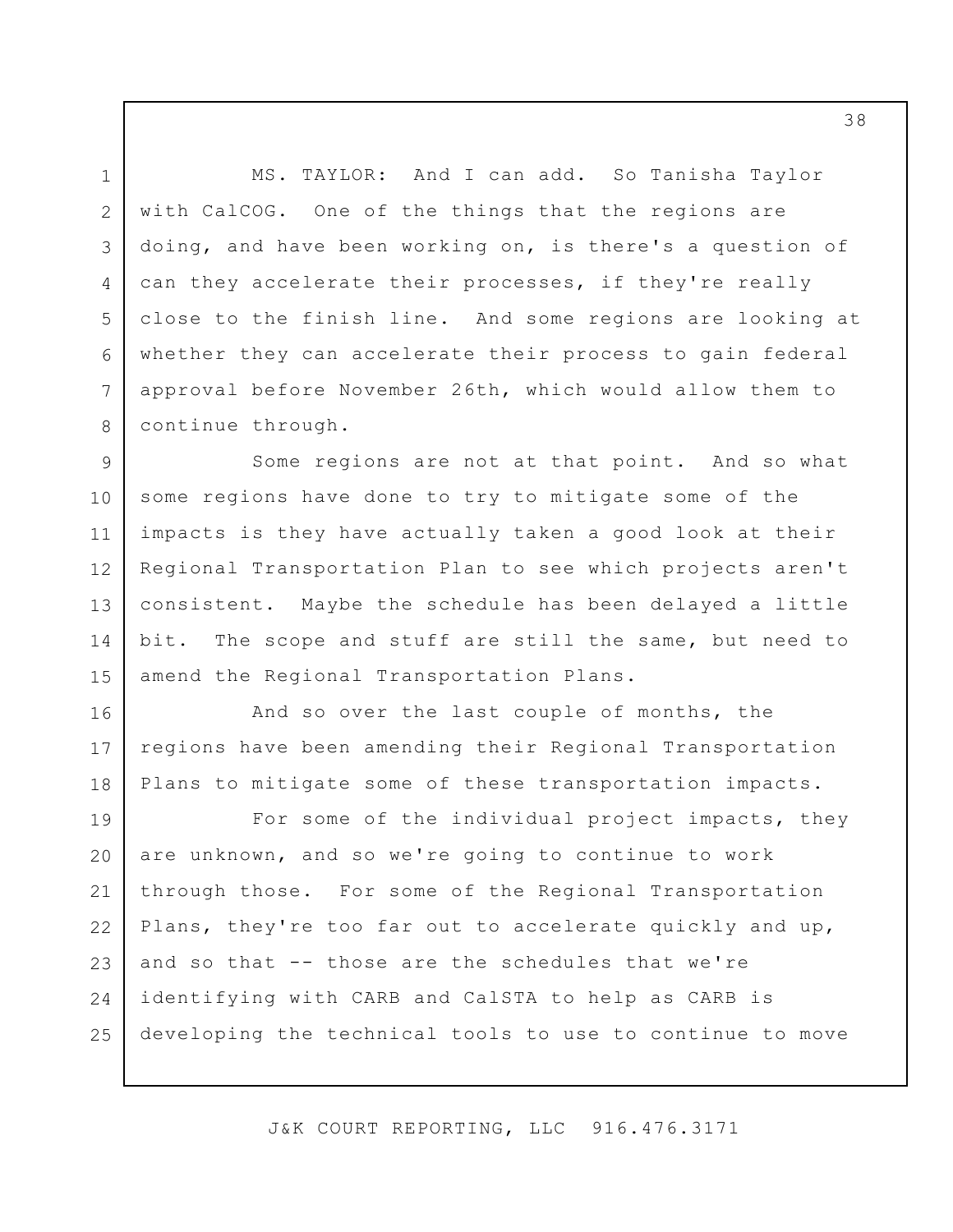1 2 3 4 5 6 7 8 MS. TAYLOR: And I can add. So Tanisha Taylor with CalCOG. One of the things that the regions are doing, and have been working on, is there's a question of can they accelerate their processes, if they're really close to the finish line. And some regions are looking at whether they can accelerate their process to gain federal approval before November 26th, which would allow them to continue through.

9 10 11 12 13 14 15 Some regions are not at that point. And so what some regions have done to try to mitigate some of the impacts is they have actually taken a good look at their Regional Transportation Plan to see which projects aren't consistent. Maybe the schedule has been delayed a little bit. The scope and stuff are still the same, but need to amend the Regional Transportation Plans.

16 17 18 And so over the last couple of months, the regions have been amending their Regional Transportation Plans to mitigate some of these transportation impacts.

19 20 21 22 23 24 25 For some of the individual project impacts, they are unknown, and so we're going to continue to work through those. For some of the Regional Transportation Plans, they're too far out to accelerate quickly and up, and so that -- those are the schedules that we're identifying with CARB and CalSTA to help as CARB is developing the technical tools to use to continue to move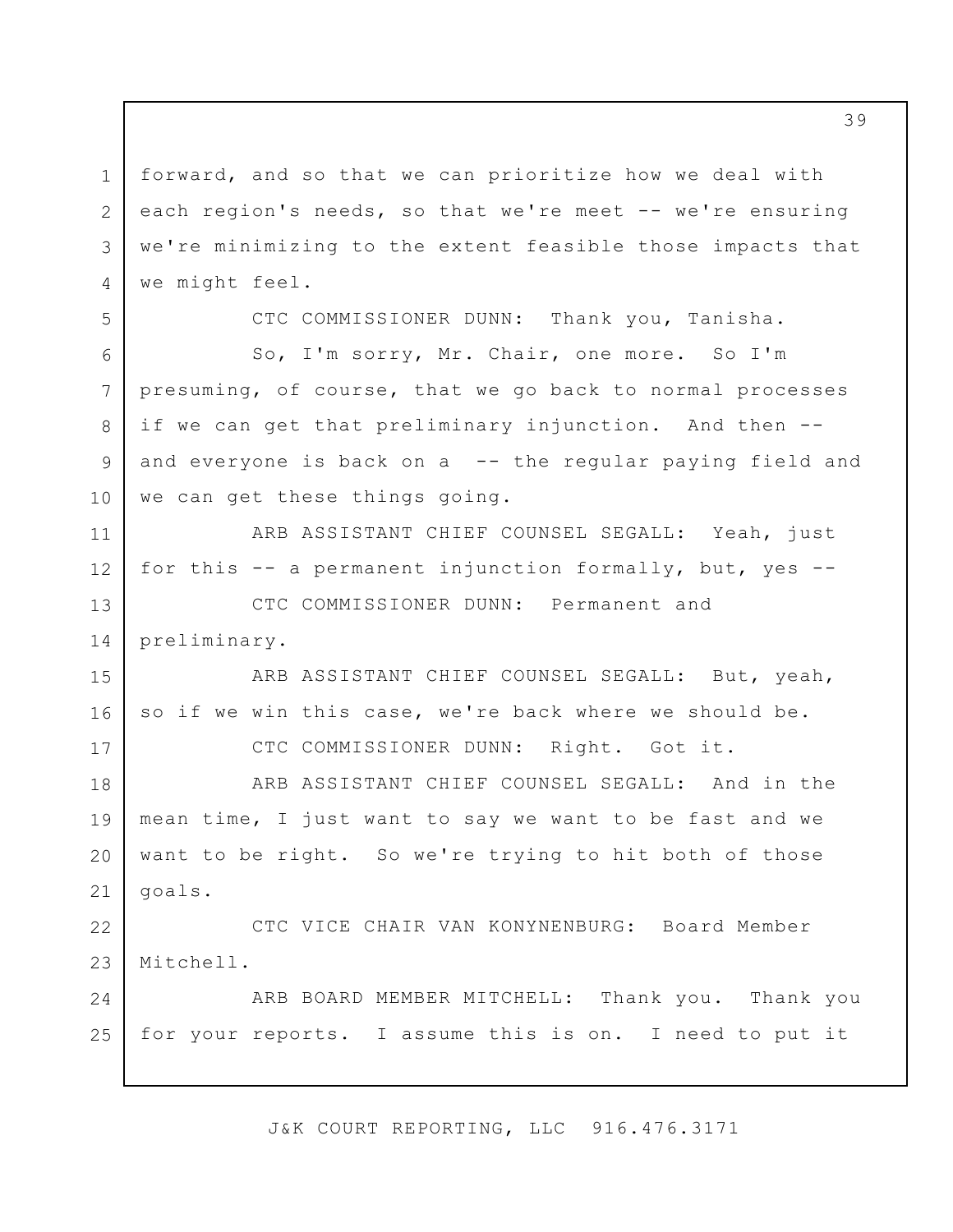1 2 3 4 forward, and so that we can prioritize how we deal with each region's needs, so that we're meet -- we're ensuring we're minimizing to the extent feasible those impacts that we might feel.

5

6

8

9

17

CTC COMMISSIONER DUNN: Thank you, Tanisha.

7 10 So, I'm sorry, Mr. Chair, one more. So I'm presuming, of course, that we go back to normal processes if we can get that preliminary injunction. And then - and everyone is back on a -- the regular paying field and we can get these things going.

11 12 ARB ASSISTANT CHIEF COUNSEL SEGALL: Yeah, just for this -- a permanent injunction formally, but, yes --

13 14 CTC COMMISSIONER DUNN: Permanent and preliminary.

15 16 ARB ASSISTANT CHIEF COUNSEL SEGALL: But, yeah, so if we win this case, we're back where we should be.

CTC COMMISSIONER DUNN: Right. Got it.

18 19 20 21 ARB ASSISTANT CHIEF COUNSEL SEGALL: And in the mean time, I just want to say we want to be fast and we want to be right. So we're trying to hit both of those goals.

22 23 CTC VICE CHAIR VAN KONYNENBURG: Board Member Mitchell.

24 25 ARB BOARD MEMBER MITCHELL: Thank you. Thank you for your reports. I assume this is on. I need to put it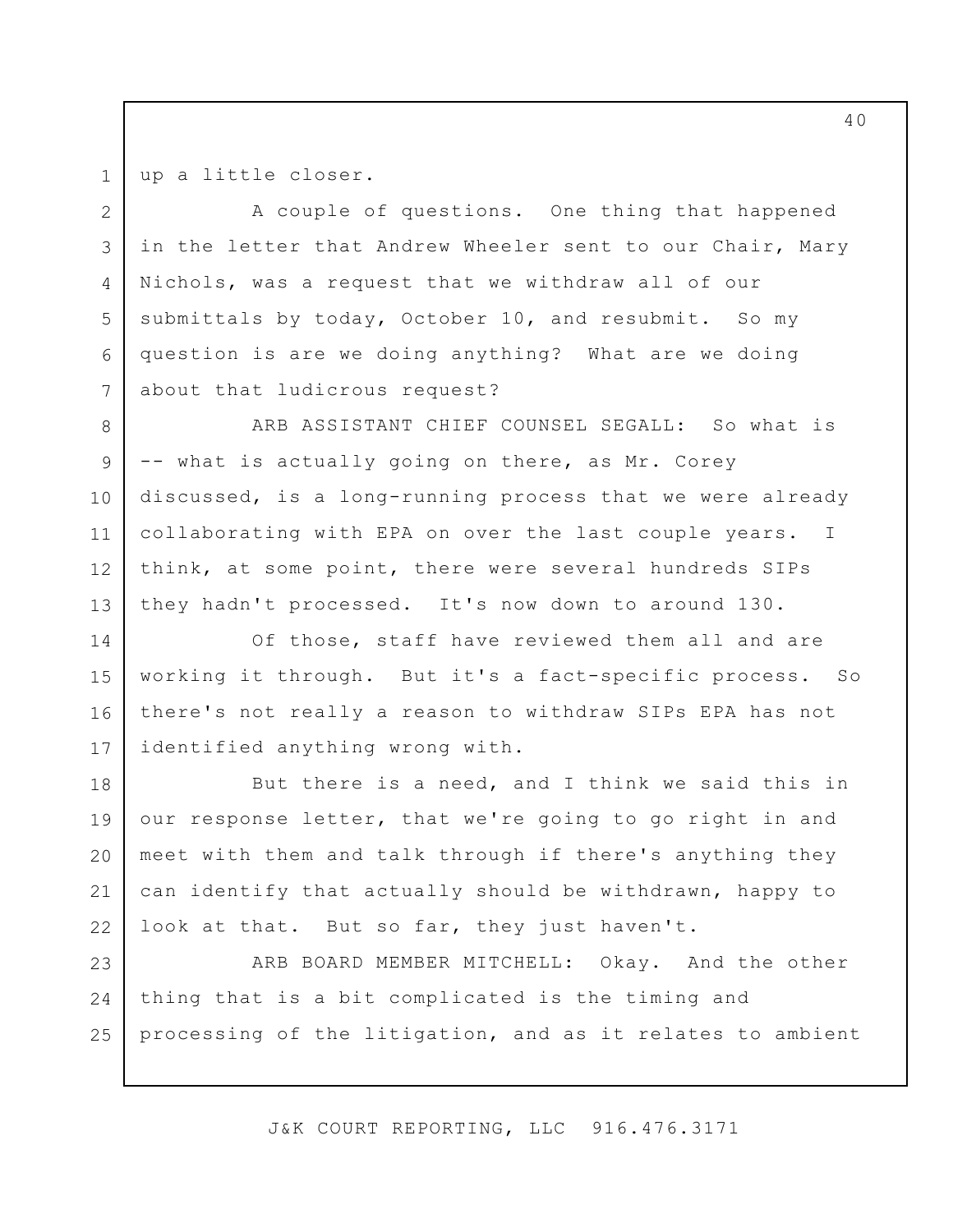1 2

4

5

7

up a little closer.

3 6 A couple of questions. One thing that happened in the letter that Andrew Wheeler sent to our Chair, Mary Nichols, was a request that we withdraw all of our submittals by today, October 10, and resubmit. So my question is are we doing anything? What are we doing about that ludicrous request?

8 9 10 11 12 13 ARB ASSISTANT CHIEF COUNSEL SEGALL: So what is -- what is actually going on there, as Mr. Corey discussed, is a long-running process that we were already collaborating with EPA on over the last couple years. I think, at some point, there were several hundreds SIPs they hadn't processed. It's now down to around 130.

14 15 16 17 Of those, staff have reviewed them all and are working it through. But it's a fact-specific process. So there's not really a reason to withdraw SIPs EPA has not identified anything wrong with.

18 19 20 21 22 But there is a need, and I think we said this in our response letter, that we're going to go right in and meet with them and talk through if there's anything they can identify that actually should be withdrawn, happy to look at that. But so far, they just haven't.

23 24 25 ARB BOARD MEMBER MITCHELL: Okay. And the other thing that is a bit complicated is the timing and processing of the litigation, and as it relates to ambient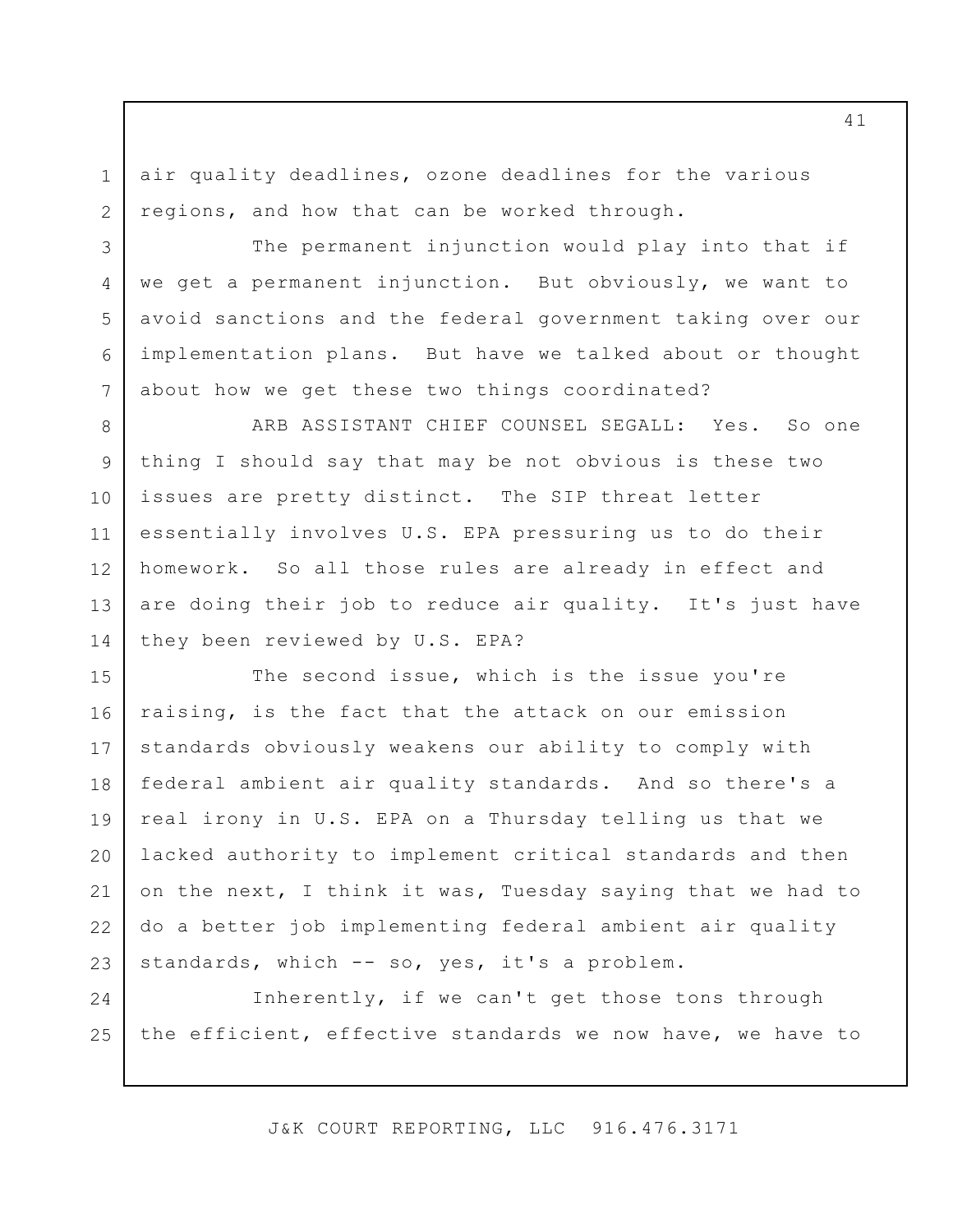air quality deadlines, ozone deadlines for the various regions, and how that can be worked through.

1

2

3

4

5

6

7

The permanent injunction would play into that if we get a permanent injunction. But obviously, we want to avoid sanctions and the federal government taking over our implementation plans. But have we talked about or thought about how we get these two things coordinated?

8 9 10 11 12 13 14 ARB ASSISTANT CHIEF COUNSEL SEGALL: Yes. So one thing I should say that may be not obvious is these two issues are pretty distinct. The SIP threat letter essentially involves U.S. EPA pressuring us to do their homework. So all those rules are already in effect and are doing their job to reduce air quality. It's just have they been reviewed by U.S. EPA?

15 16 17 18 19 20 21 22 23 The second issue, which is the issue you're raising, is the fact that the attack on our emission standards obviously weakens our ability to comply with federal ambient air quality standards. And so there's a real irony in U.S. EPA on a Thursday telling us that we lacked authority to implement critical standards and then on the next, I think it was, Tuesday saying that we had to do a better job implementing federal ambient air quality standards, which -- so, yes, it's a problem.

24 25 Inherently, if we can't get those tons through the efficient, effective standards we now have, we have to

J&K COURT REPORTING, LLC 916.476.3171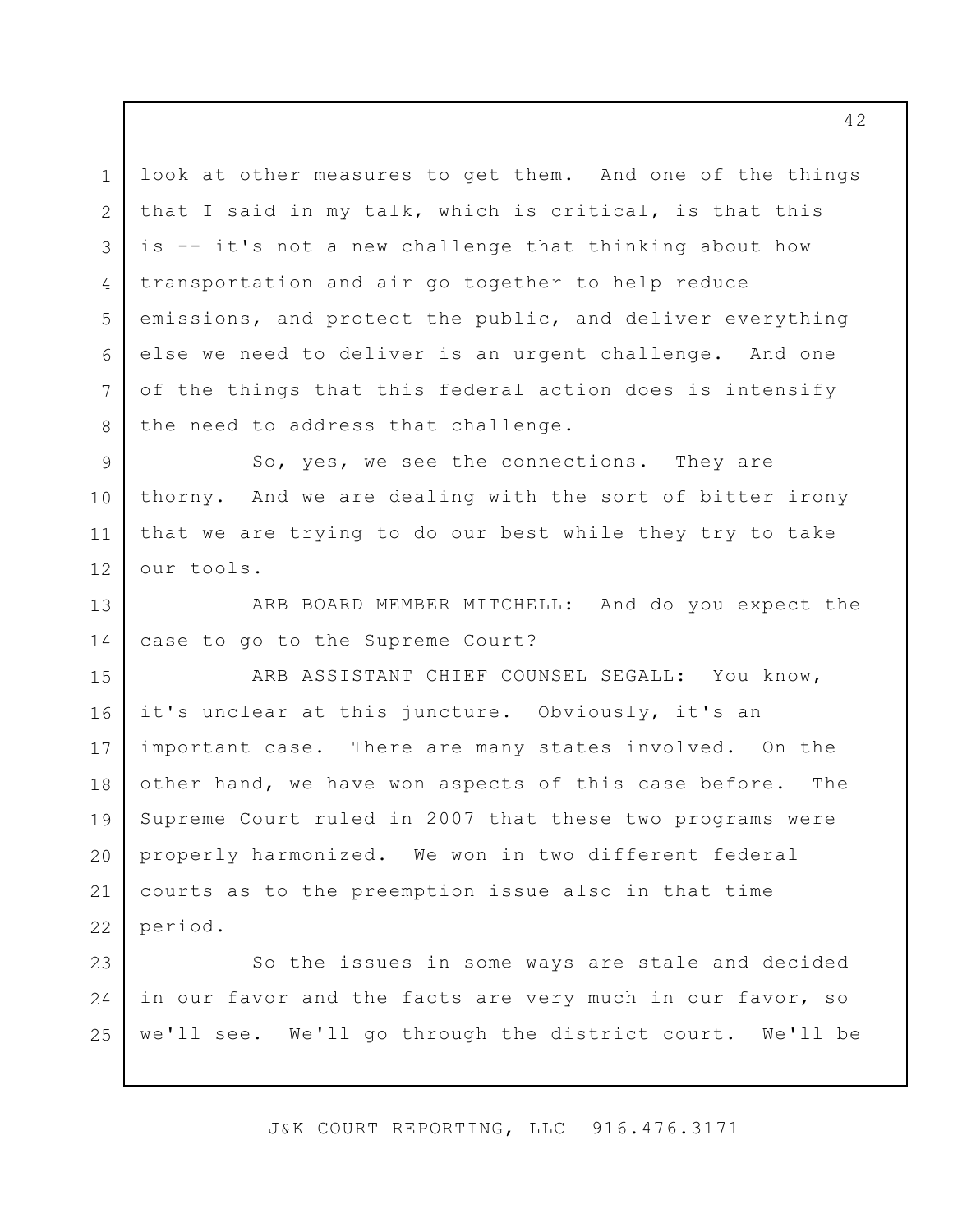1 2 3 4 5 6 7 8 look at other measures to get them. And one of the things that I said in my talk, which is critical, is that this is -- it's not a new challenge that thinking about how transportation and air go together to help reduce emissions, and protect the public, and deliver everything else we need to deliver is an urgent challenge. And one of the things that this federal action does is intensify the need to address that challenge.

9 10 11 12 So, yes, we see the connections. They are thorny. And we are dealing with the sort of bitter irony that we are trying to do our best while they try to take our tools.

13 14 ARB BOARD MEMBER MITCHELL: And do you expect the case to go to the Supreme Court?

15 16 17 18 19 20 21 22 ARB ASSISTANT CHIEF COUNSEL SEGALL: You know, it's unclear at this juncture. Obviously, it's an important case. There are many states involved. On the other hand, we have won aspects of this case before. The Supreme Court ruled in 2007 that these two programs were properly harmonized. We won in two different federal courts as to the preemption issue also in that time period.

23 24 25 So the issues in some ways are stale and decided in our favor and the facts are very much in our favor, so we'll see. We'll go through the district court. We'll be

J&K COURT REPORTING, LLC 916.476.3171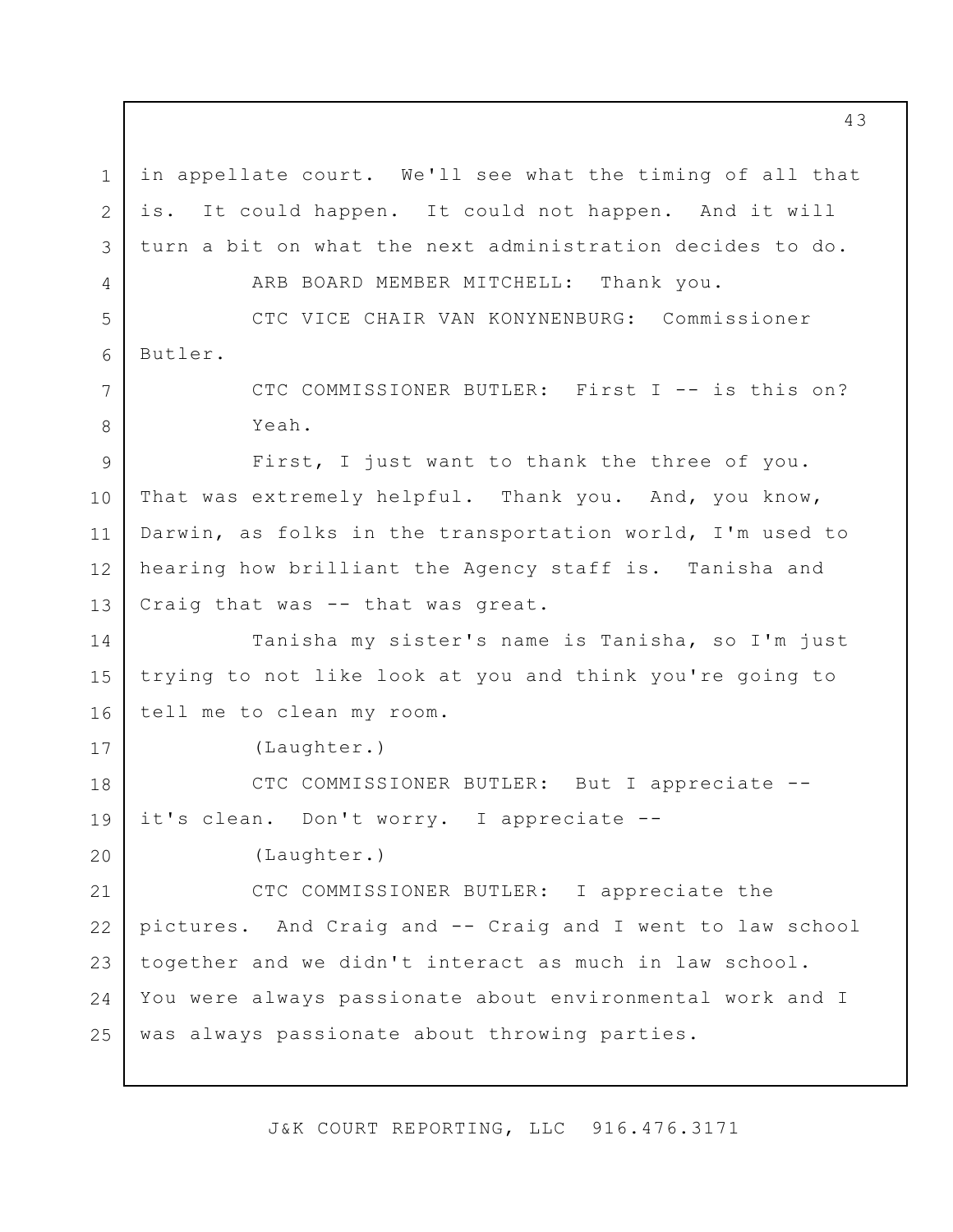1 2 3 4 5 6 7 8 9 10 11 12 13 14 15 16 17 18 19 20 21 22 23 24 25 in appellate court. We'll see what the timing of all that is. It could happen. It could not happen. And it will turn a bit on what the next administration decides to do. ARB BOARD MEMBER MITCHELL: Thank you. CTC VICE CHAIR VAN KONYNENBURG: Commissioner Butler. CTC COMMISSIONER BUTLER: First I -- is this on? Yeah. First, I just want to thank the three of you. That was extremely helpful. Thank you. And, you know, Darwin, as folks in the transportation world, I'm used to hearing how brilliant the Agency staff is. Tanisha and Craig that was -- that was great. Tanisha my sister's name is Tanisha, so I'm just trying to not like look at you and think you're going to tell me to clean my room. (Laughter.) CTC COMMISSIONER BUTLER: But I appreciate - it's clean. Don't worry. I appreciate -- (Laughter.) CTC COMMISSIONER BUTLER: I appreciate the pictures. And Craig and -- Craig and I went to law school together and we didn't interact as much in law school. You were always passionate about environmental work and I was always passionate about throwing parties.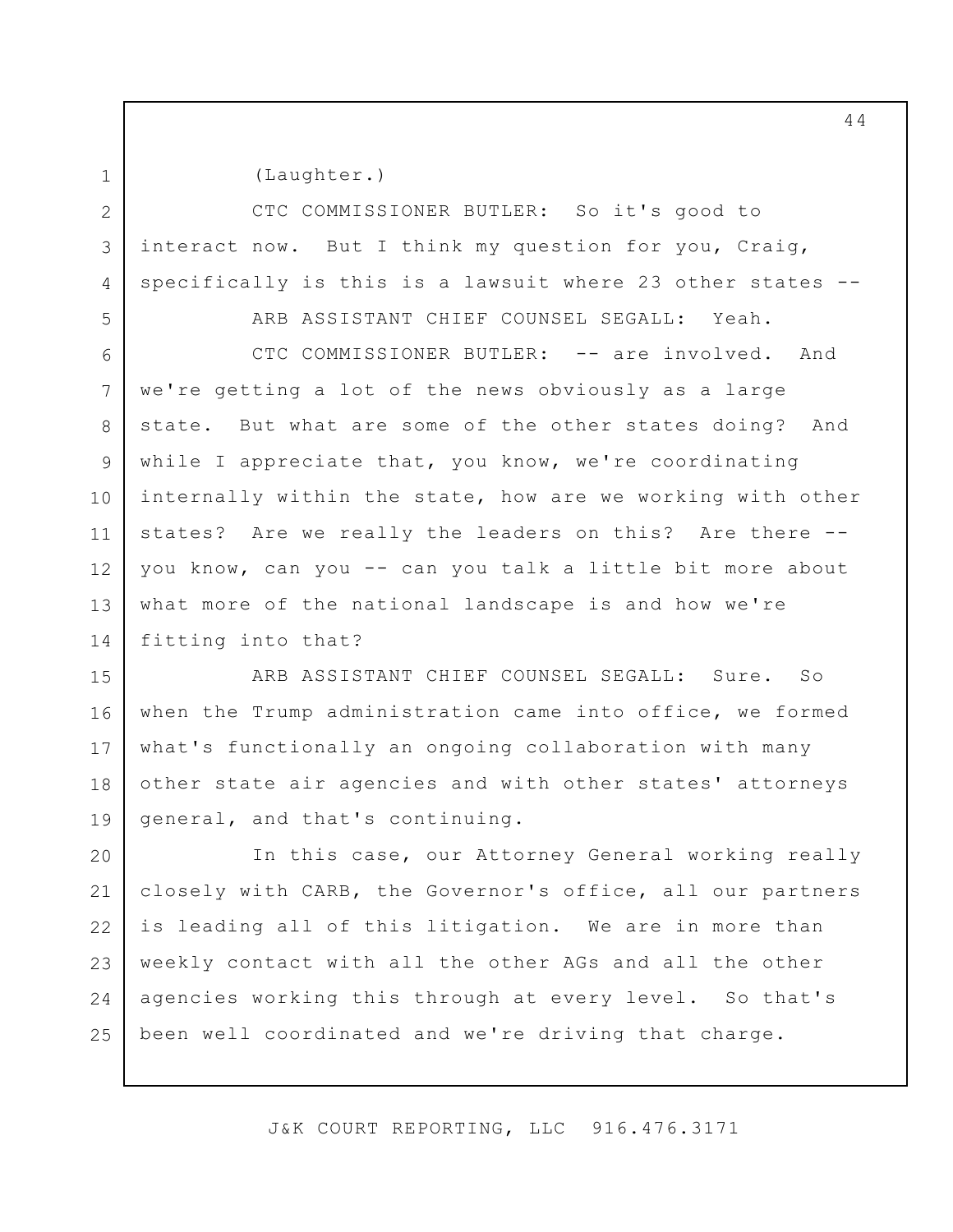1 2

4

(Laughter.)

3 CTC COMMISSIONER BUTLER: So it's good to interact now. But I think my question for you, Craig, specifically is this is a lawsuit where 23 other states --

5 6 7 8 9 10 11 12 13 14 ARB ASSISTANT CHIEF COUNSEL SEGALL: Yeah. CTC COMMISSIONER BUTLER: -- are involved. And we're getting a lot of the news obviously as a large state. But what are some of the other states doing? And while I appreciate that, you know, we're coordinating internally within the state, how are we working with other states? Are we really the leaders on this? Are there - you know, can you -- can you talk a little bit more about what more of the national landscape is and how we're fitting into that?

15 16 17 18 19 ARB ASSISTANT CHIEF COUNSEL SEGALL: Sure. So when the Trump administration came into office, we formed what's functionally an ongoing collaboration with many other state air agencies and with other states' attorneys general, and that's continuing.

20 21 22 23 24 25 In this case, our Attorney General working really closely with CARB, the Governor's office, all our partners is leading all of this litigation. We are in more than weekly contact with all the other AGs and all the other agencies working this through at every level. So that's been well coordinated and we're driving that charge.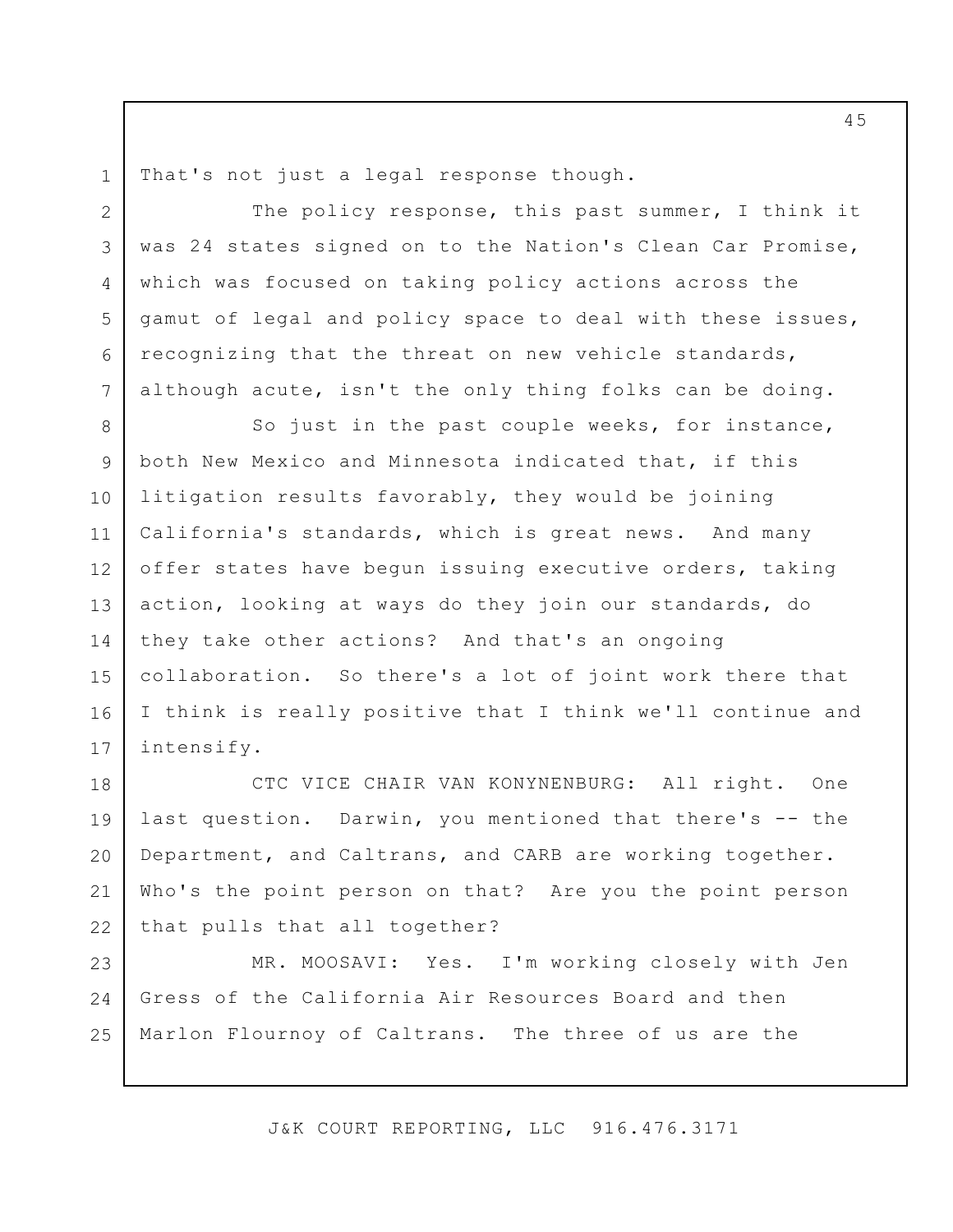1 2

3

4

5

6

7

That's not just a legal response though.

The policy response, this past summer, I think it was 24 states signed on to the Nation's Clean Car Promise, which was focused on taking policy actions across the gamut of legal and policy space to deal with these issues, recognizing that the threat on new vehicle standards, although acute, isn't the only thing folks can be doing.

8 9 10 11 12 13 14 15 16 17 So just in the past couple weeks, for instance, both New Mexico and Minnesota indicated that, if this litigation results favorably, they would be joining California's standards, which is great news. And many offer states have begun issuing executive orders, taking action, looking at ways do they join our standards, do they take other actions? And that's an ongoing collaboration. So there's a lot of joint work there that I think is really positive that I think we'll continue and intensify.

18 19 20 21 22 CTC VICE CHAIR VAN KONYNENBURG: All right. One last question. Darwin, you mentioned that there's -- the Department, and Caltrans, and CARB are working together. Who's the point person on that? Are you the point person that pulls that all together?

23 24 25 MR. MOOSAVI: Yes. I'm working closely with Jen Gress of the California Air Resources Board and then Marlon Flournoy of Caltrans. The three of us are the

J&K COURT REPORTING, LLC 916.476.3171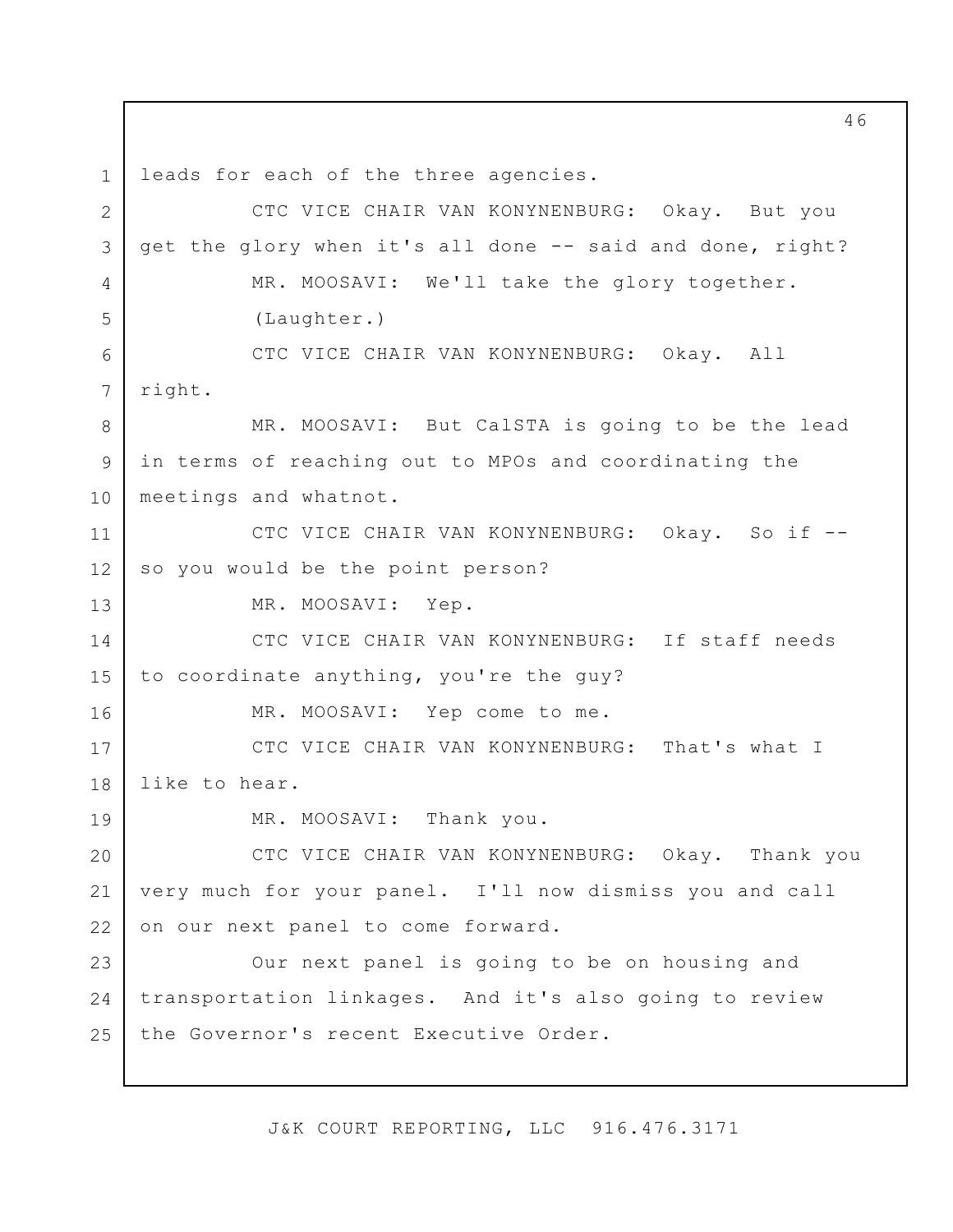1 2 3 4 5 6 7 8 9 10 11 12 13 14 15 16 17 18 19 20 21 22 23  $24$ 25 leads for each of the three agencies. CTC VICE CHAIR VAN KONYNENBURG: Okay. But you get the glory when it's all done -- said and done, right? MR. MOOSAVI: We'll take the glory together. (Laughter.) CTC VICE CHAIR VAN KONYNENBURG: Okay. All right. MR. MOOSAVI: But CalSTA is going to be the lead in terms of reaching out to MPOs and coordinating the meetings and whatnot. CTC VICE CHAIR VAN KONYNENBURG: Okay. So if -so you would be the point person? MR. MOOSAVI: Yep. CTC VICE CHAIR VAN KONYNENBURG: If staff needs to coordinate anything, you're the guy? MR. MOOSAVI: Yep come to me. CTC VICE CHAIR VAN KONYNENBURG: That's what I like to hear. MR. MOOSAVI: Thank you. CTC VICE CHAIR VAN KONYNENBURG: Okay. Thank you very much for your panel. I'll now dismiss you and call on our next panel to come forward. Our next panel is going to be on housing and transportation linkages. And it's also going to review the Governor's recent Executive Order.

J&K COURT REPORTING, LLC 916.476.3171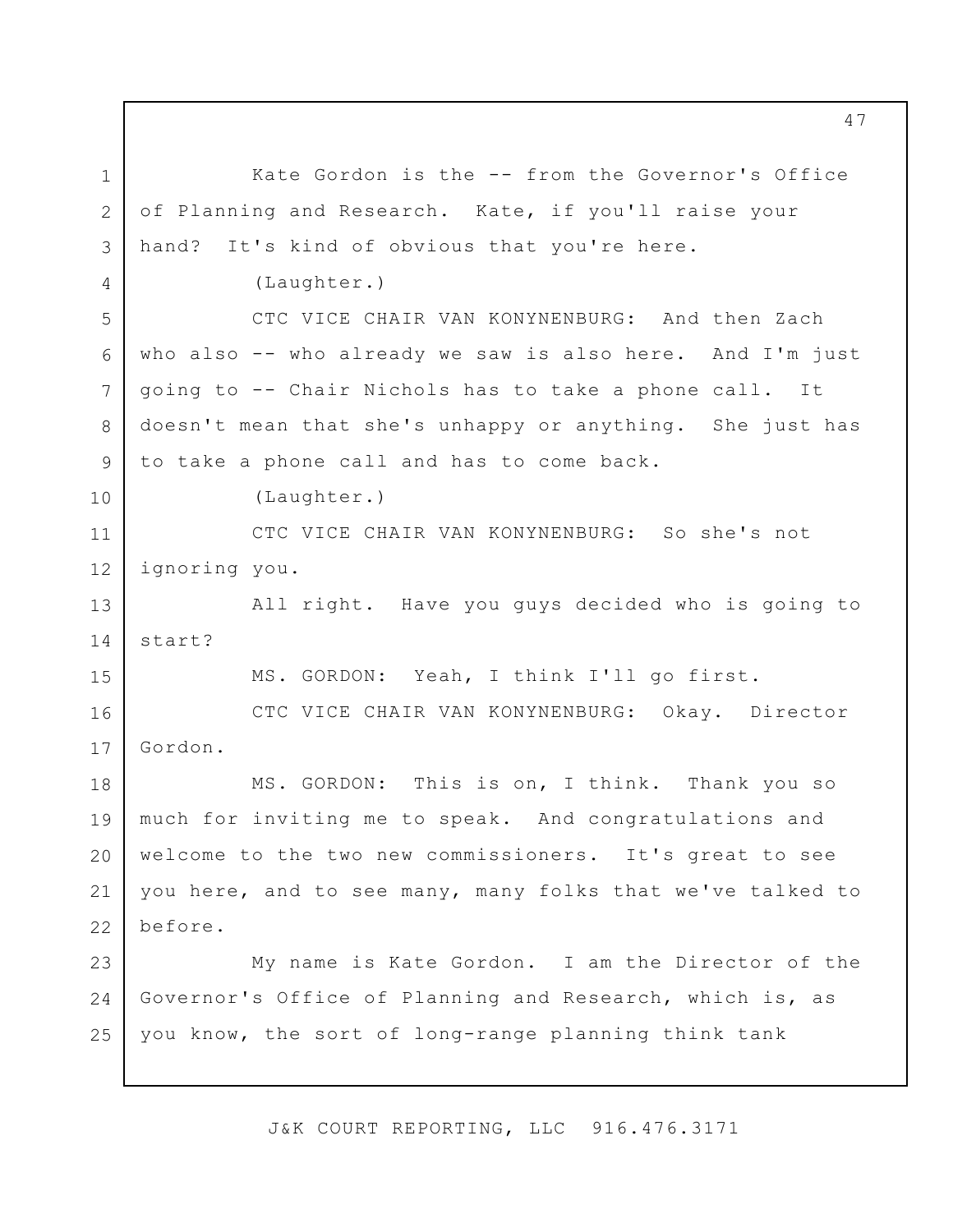1 2 3 4 5 6 7 8 9 10 11 12 13 14 15 16 17 18 19 20 21 22 23 24 25 Kate Gordon is the -- from the Governor's Office of Planning and Research. Kate, if you'll raise your hand? It's kind of obvious that you're here. (Laughter.) CTC VICE CHAIR VAN KONYNENBURG: And then Zach who also -- who already we saw is also here. And I'm just going to -- Chair Nichols has to take a phone call. It doesn't mean that she's unhappy or anything. She just has to take a phone call and has to come back. (Laughter.) CTC VICE CHAIR VAN KONYNENBURG: So she's not ignoring you. All right. Have you guys decided who is going to start? MS. GORDON: Yeah, I think I'll go first. CTC VICE CHAIR VAN KONYNENBURG: Okay. Director Gordon. MS. GORDON: This is on, I think. Thank you so much for inviting me to speak. And congratulations and welcome to the two new commissioners. It's great to see you here, and to see many, many folks that we've talked to before. My name is Kate Gordon. I am the Director of the Governor's Office of Planning and Research, which is, as you know, the sort of long-range planning think tank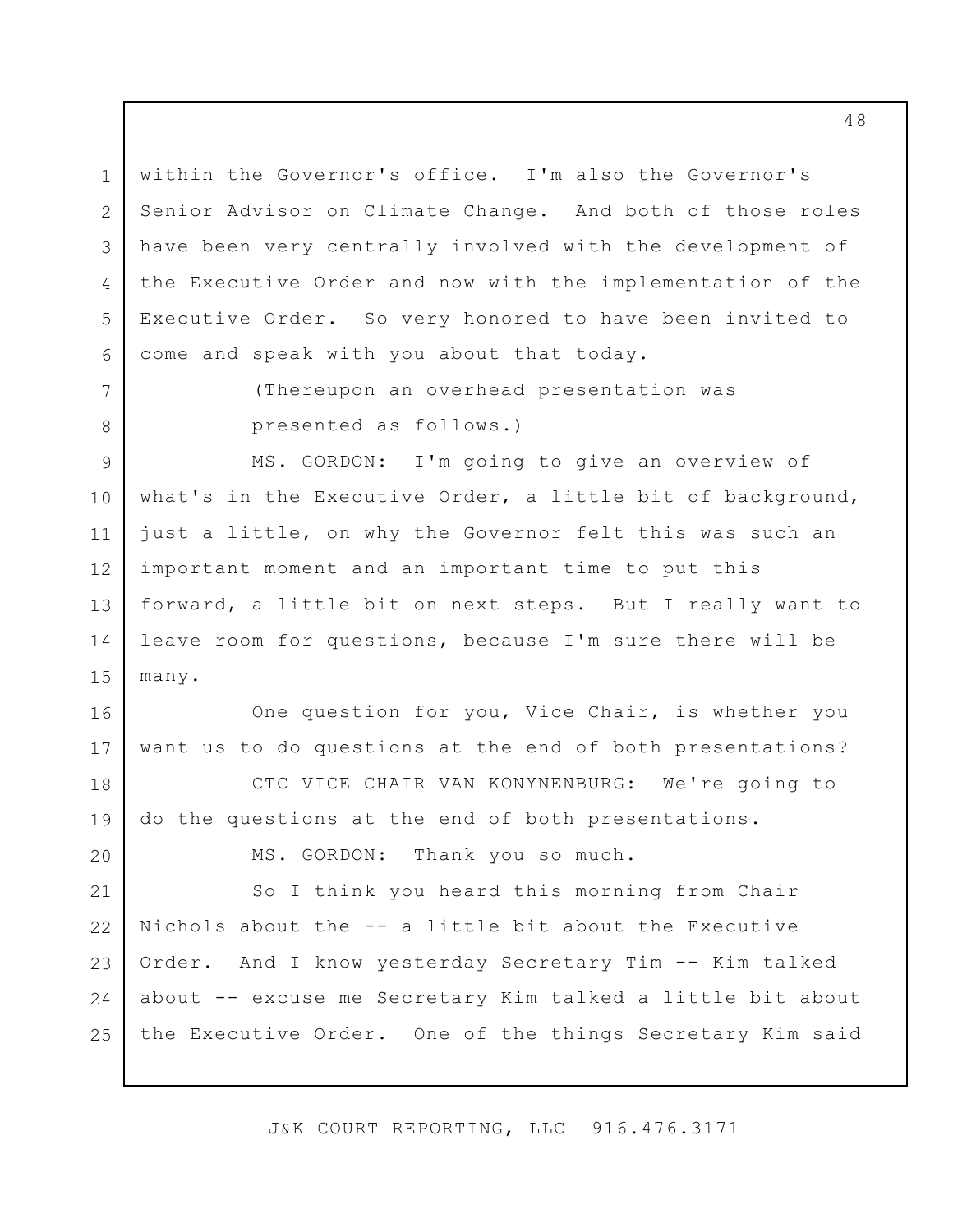1 2 3 4 5 6 within the Governor's office. I'm also the Governor's Senior Advisor on Climate Change. And both of those roles have been very centrally involved with the development of the Executive Order and now with the implementation of the Executive Order. So very honored to have been invited to come and speak with you about that today.

> (Thereupon an overhead presentation was presented as follows.)

7

8

20

9 10 11 12 13 14 15 MS. GORDON: I'm going to give an overview of what's in the Executive Order, a little bit of background, just a little, on why the Governor felt this was such an important moment and an important time to put this forward, a little bit on next steps. But I really want to leave room for questions, because I'm sure there will be many.

16 17 One question for you, Vice Chair, is whether you want us to do questions at the end of both presentations?

18 19 CTC VICE CHAIR VAN KONYNENBURG: We're going to do the questions at the end of both presentations.

MS. GORDON: Thank you so much.

21 22 23 24 25 So I think you heard this morning from Chair Nichols about the -- a little bit about the Executive Order. And I know yesterday Secretary Tim -- Kim talked about -- excuse me Secretary Kim talked a little bit about the Executive Order. One of the things Secretary Kim said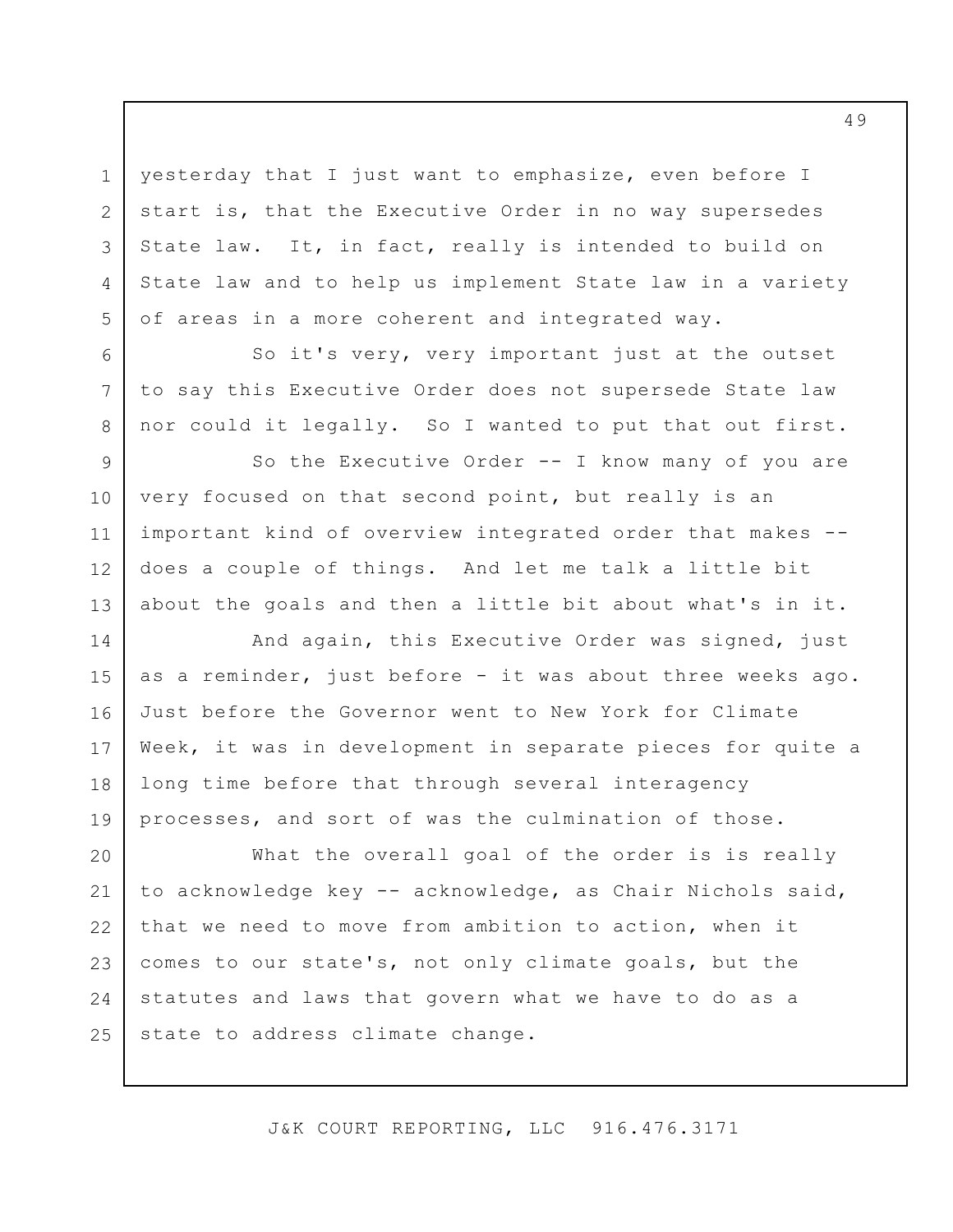yesterday that I just want to emphasize, even before I start is, that the Executive Order in no way supersedes State law. It, in fact, really is intended to build on State law and to help us implement State law in a variety of areas in a more coherent and integrated way.

1

2

3

4

5

6

7

8

So it's very, very important just at the outset to say this Executive Order does not supersede State law nor could it legally. So I wanted to put that out first.

9 10 11 12 13 So the Executive Order -- I know many of you are very focused on that second point, but really is an important kind of overview integrated order that makes - does a couple of things. And let me talk a little bit about the goals and then a little bit about what's in it.

14 15 16 17 18 19 And again, this Executive Order was signed, just as a reminder, just before - it was about three weeks ago. Just before the Governor went to New York for Climate Week, it was in development in separate pieces for quite a long time before that through several interagency processes, and sort of was the culmination of those.

20 21 22 23 24 25 What the overall goal of the order is is really to acknowledge key -- acknowledge, as Chair Nichols said, that we need to move from ambition to action, when it comes to our state's, not only climate goals, but the statutes and laws that govern what we have to do as a state to address climate change.

J&K COURT REPORTING, LLC 916.476.3171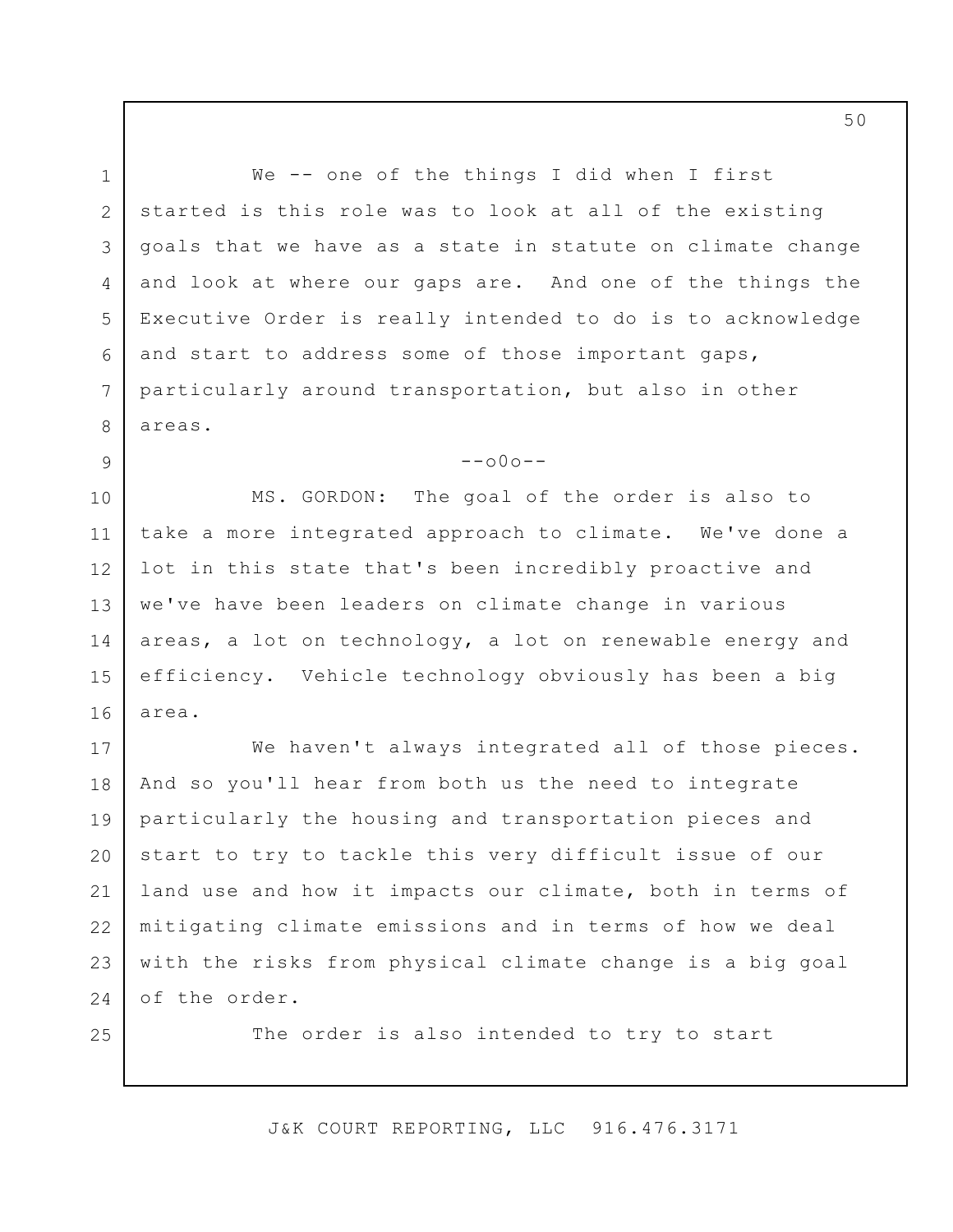1 2 3 4 5 6 7 8 9 10 11 We -- one of the things I did when I first started is this role was to look at all of the existing goals that we have as a state in statute on climate change and look at where our gaps are. And one of the things the Executive Order is really intended to do is to acknowledge and start to address some of those important gaps, particularly around transportation, but also in other areas.  $--000--$ MS. GORDON: The goal of the order is also to take a more integrated approach to climate. We've done a

lot in this state that's been incredibly proactive and

areas, a lot on technology, a lot on renewable energy and

we've have been leaders on climate change in various

12

13

14

25

15 16 17 18 19 20 21 22 23 24 efficiency. Vehicle technology obviously has been a big area. We haven't always integrated all of those pieces. And so you'll hear from both us the need to integrate particularly the housing and transportation pieces and start to try to tackle this very difficult issue of our land use and how it impacts our climate, both in terms of mitigating climate emissions and in terms of how we deal with the risks from physical climate change is a big goal of the order.

The order is also intended to try to start

J&K COURT REPORTING, LLC 916.476.3171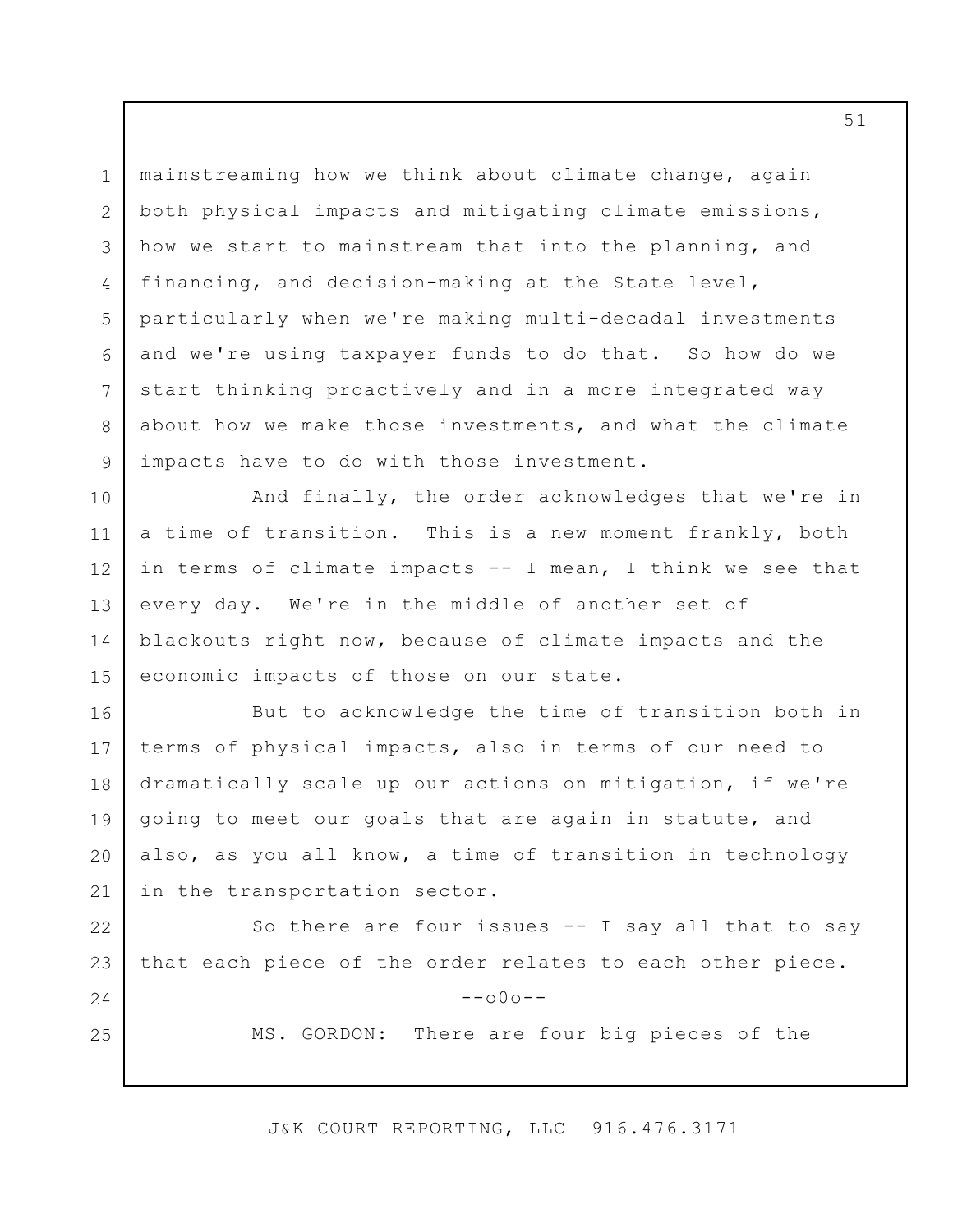1 2 3 4 5 6 7 8 9 mainstreaming how we think about climate change, again both physical impacts and mitigating climate emissions, how we start to mainstream that into the planning, and financing, and decision-making at the State level, particularly when we're making multi-decadal investments and we're using taxpayer funds to do that. So how do we start thinking proactively and in a more integrated way about how we make those investments, and what the climate impacts have to do with those investment.

10 11 12 13 14 15 And finally, the order acknowledges that we're in a time of transition. This is a new moment frankly, both in terms of climate impacts -- I mean, I think we see that every day. We're in the middle of another set of blackouts right now, because of climate impacts and the economic impacts of those on our state.

16 17 18 19 20 21 But to acknowledge the time of transition both in terms of physical impacts, also in terms of our need to dramatically scale up our actions on mitigation, if we're going to meet our goals that are again in statute, and also, as you all know, a time of transition in technology in the transportation sector.

22 23 24 25 So there are four issues  $--$  I say all that to say that each piece of the order relates to each other piece.  $--000--$ MS. GORDON: There are four big pieces of the

J&K COURT REPORTING, LLC 916.476.3171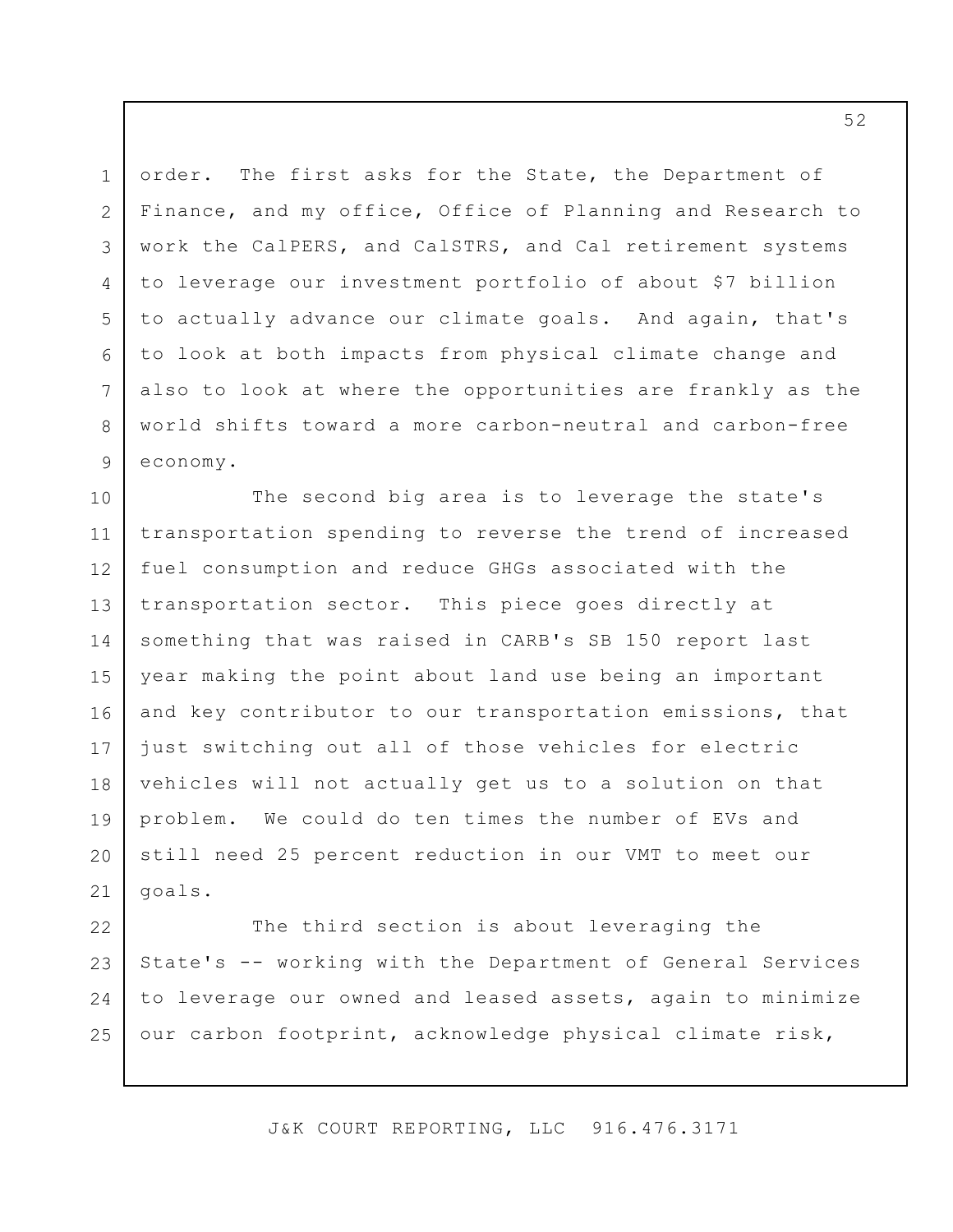2 3 4 5 6 7 8 9 order. The first asks for the State, the Department of Finance, and my office, Office of Planning and Research to work the CalPERS, and CalSTRS, and Cal retirement systems to leverage our investment portfolio of about \$7 billion to actually advance our climate goals. And again, that's to look at both impacts from physical climate change and also to look at where the opportunities are frankly as the world shifts toward a more carbon-neutral and carbon-free economy.

1

10 11 12 13 14 15 16 17 18 19 20 21 The second big area is to leverage the state's transportation spending to reverse the trend of increased fuel consumption and reduce GHGs associated with the transportation sector. This piece goes directly at something that was raised in CARB's SB 150 report last year making the point about land use being an important and key contributor to our transportation emissions, that just switching out all of those vehicles for electric vehicles will not actually get us to a solution on that problem. We could do ten times the number of EVs and still need 25 percent reduction in our VMT to meet our goals.

22 23 24 25 The third section is about leveraging the State's -- working with the Department of General Services to leverage our owned and leased assets, again to minimize our carbon footprint, acknowledge physical climate risk,

J&K COURT REPORTING, LLC 916.476.3171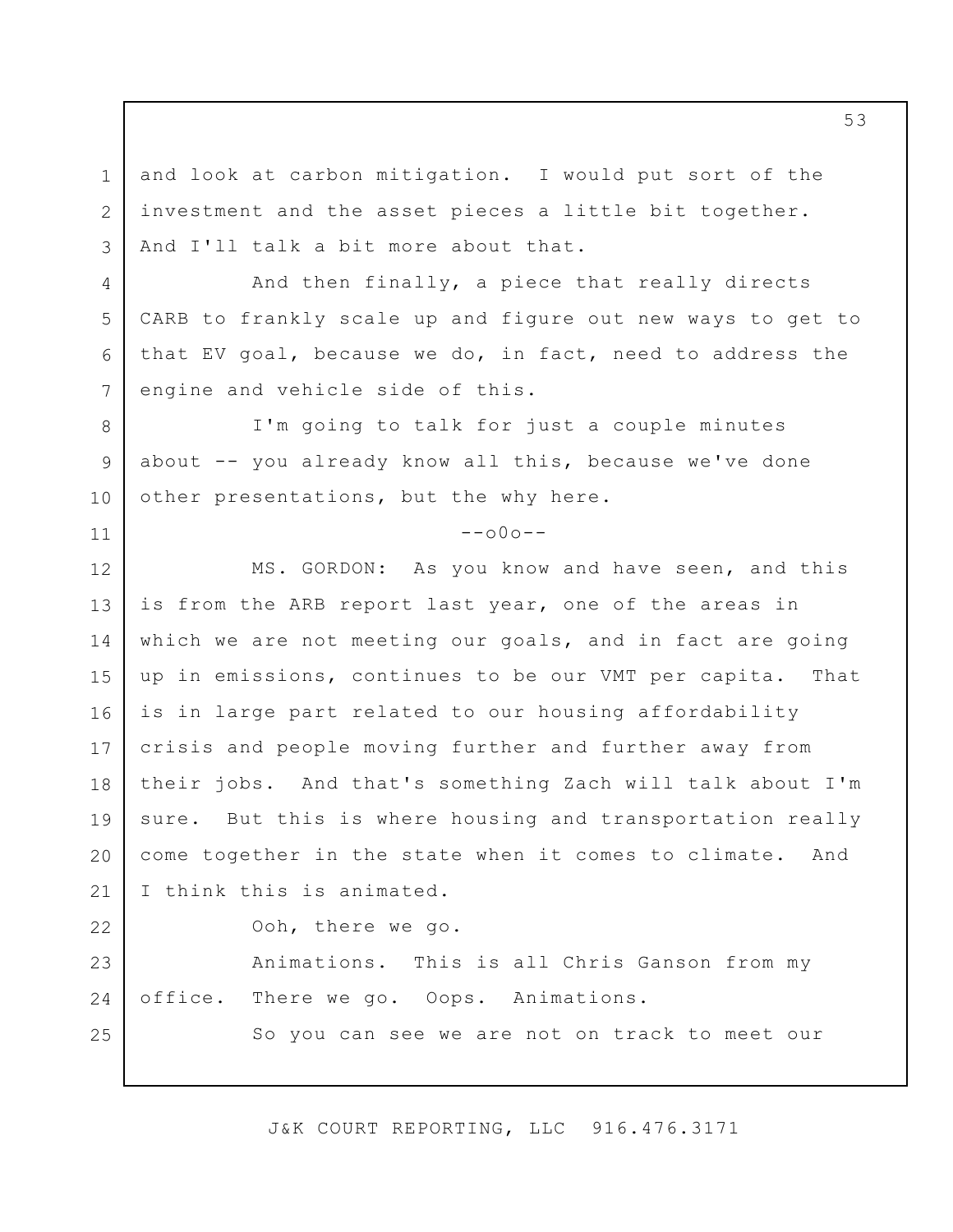and look at carbon mitigation. I would put sort of the investment and the asset pieces a little bit together. And I'll talk a bit more about that.

1

2

3

4

5

6

7

11

24

25

And then finally, a piece that really directs CARB to frankly scale up and figure out new ways to get to that EV goal, because we do, in fact, need to address the engine and vehicle side of this.

8 9 10 I'm going to talk for just a couple minutes about -- you already know all this, because we've done other presentations, but the why here.

 $--000--$ 

12 13 14 15 16 17 18 19 20 21 22 23 MS. GORDON: As you know and have seen, and this is from the ARB report last year, one of the areas in which we are not meeting our goals, and in fact are going up in emissions, continues to be our VMT per capita. That is in large part related to our housing affordability crisis and people moving further and further away from their jobs. And that's something Zach will talk about I'm sure. But this is where housing and transportation really come together in the state when it comes to climate. And I think this is animated. Ooh, there we go. Animations. This is all Chris Ganson from my

So you can see we are not on track to meet our

office. There we go. Oops. Animations.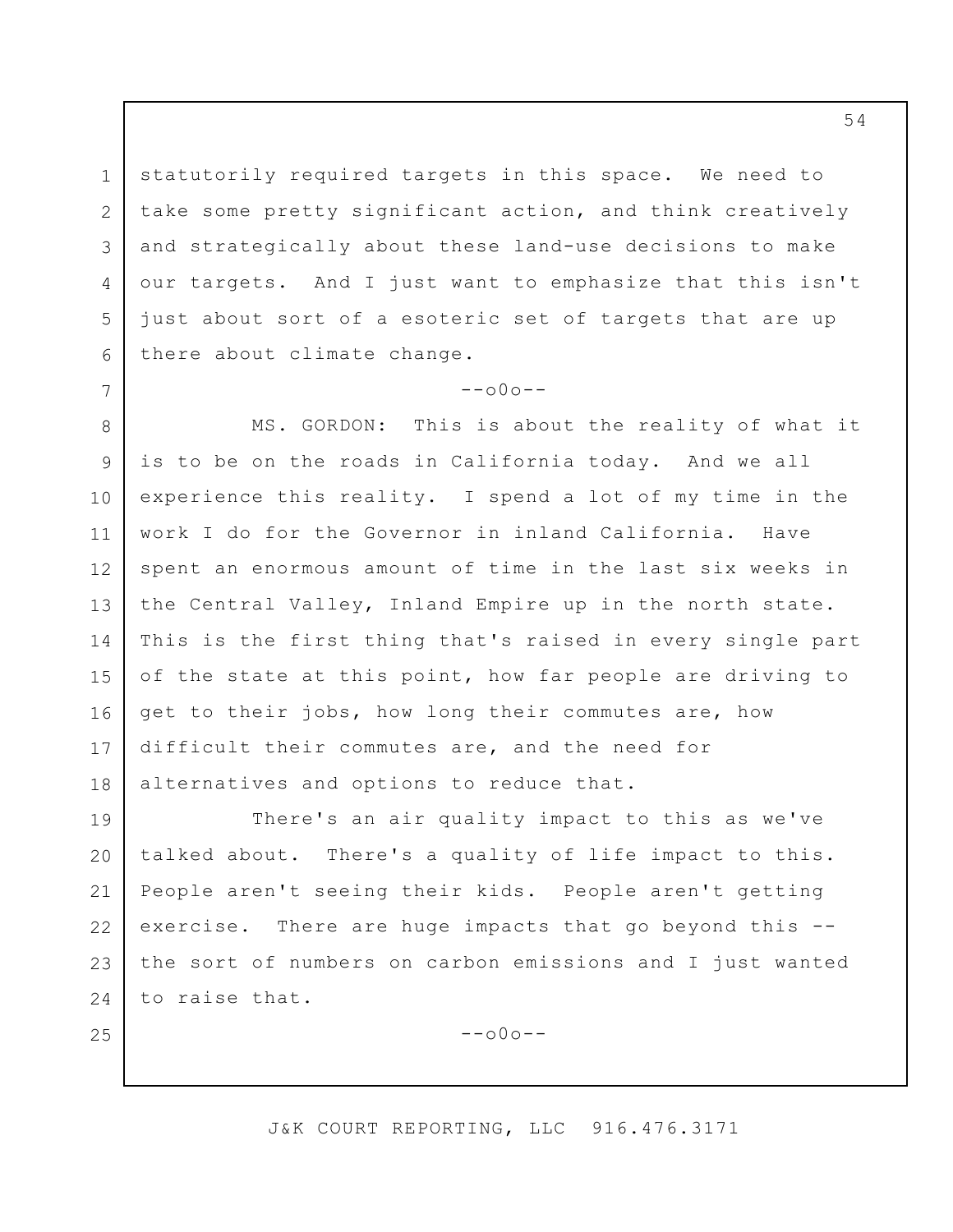statutorily required targets in this space. We need to take some pretty significant action, and think creatively and strategically about these land-use decisions to make our targets. And I just want to emphasize that this isn't just about sort of a esoteric set of targets that are up there about climate change.

1

2

3

4

5

6

7

25

### $--000--$

8 9 10 11 12 13 14 15 16 17 18 MS. GORDON: This is about the reality of what it is to be on the roads in California today. And we all experience this reality. I spend a lot of my time in the work I do for the Governor in inland California. Have spent an enormous amount of time in the last six weeks in the Central Valley, Inland Empire up in the north state. This is the first thing that's raised in every single part of the state at this point, how far people are driving to get to their jobs, how long their commutes are, how difficult their commutes are, and the need for alternatives and options to reduce that.

19 20 21 22 23 24 There's an air quality impact to this as we've talked about. There's a quality of life impact to this. People aren't seeing their kids. People aren't getting exercise. There are huge impacts that go beyond this - the sort of numbers on carbon emissions and I just wanted to raise that.

--o0o--

### J&K COURT REPORTING, LLC 916.476.3171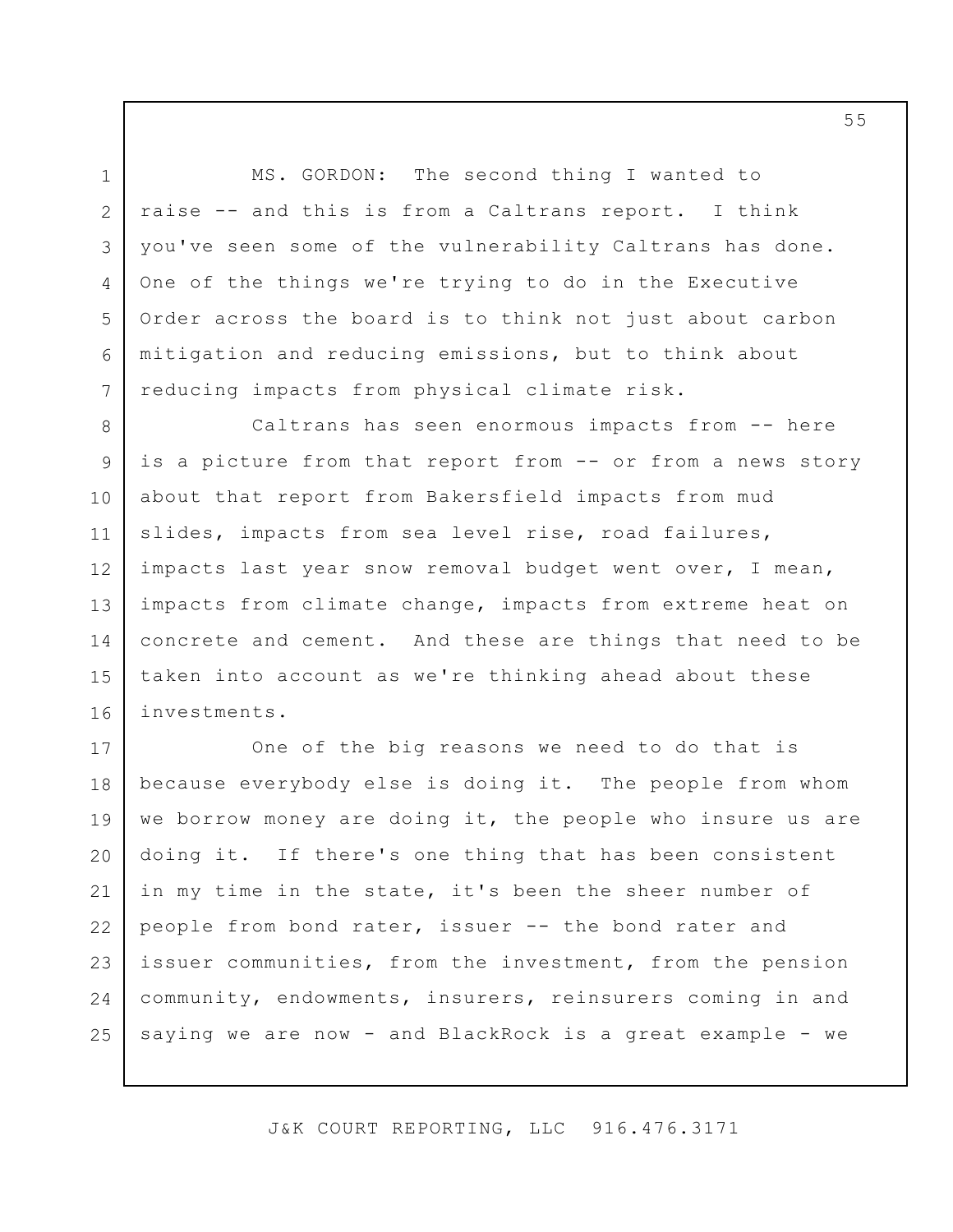MS. GORDON: The second thing I wanted to raise -- and this is from a Caltrans report. I think you've seen some of the vulnerability Caltrans has done. One of the things we're trying to do in the Executive Order across the board is to think not just about carbon mitigation and reducing emissions, but to think about reducing impacts from physical climate risk.

1

2

3

4

5

6

7

8 9 10 11 12 13 14 15 16 Caltrans has seen enormous impacts from -- here is a picture from that report from -- or from a news story about that report from Bakersfield impacts from mud slides, impacts from sea level rise, road failures, impacts last year snow removal budget went over, I mean, impacts from climate change, impacts from extreme heat on concrete and cement. And these are things that need to be taken into account as we're thinking ahead about these investments.

17 18 19 20 21 22 23 24 25 One of the big reasons we need to do that is because everybody else is doing it. The people from whom we borrow money are doing it, the people who insure us are doing it. If there's one thing that has been consistent in my time in the state, it's been the sheer number of people from bond rater, issuer -- the bond rater and issuer communities, from the investment, from the pension community, endowments, insurers, reinsurers coming in and saying we are now - and BlackRock is a great example - we

J&K COURT REPORTING, LLC 916.476.3171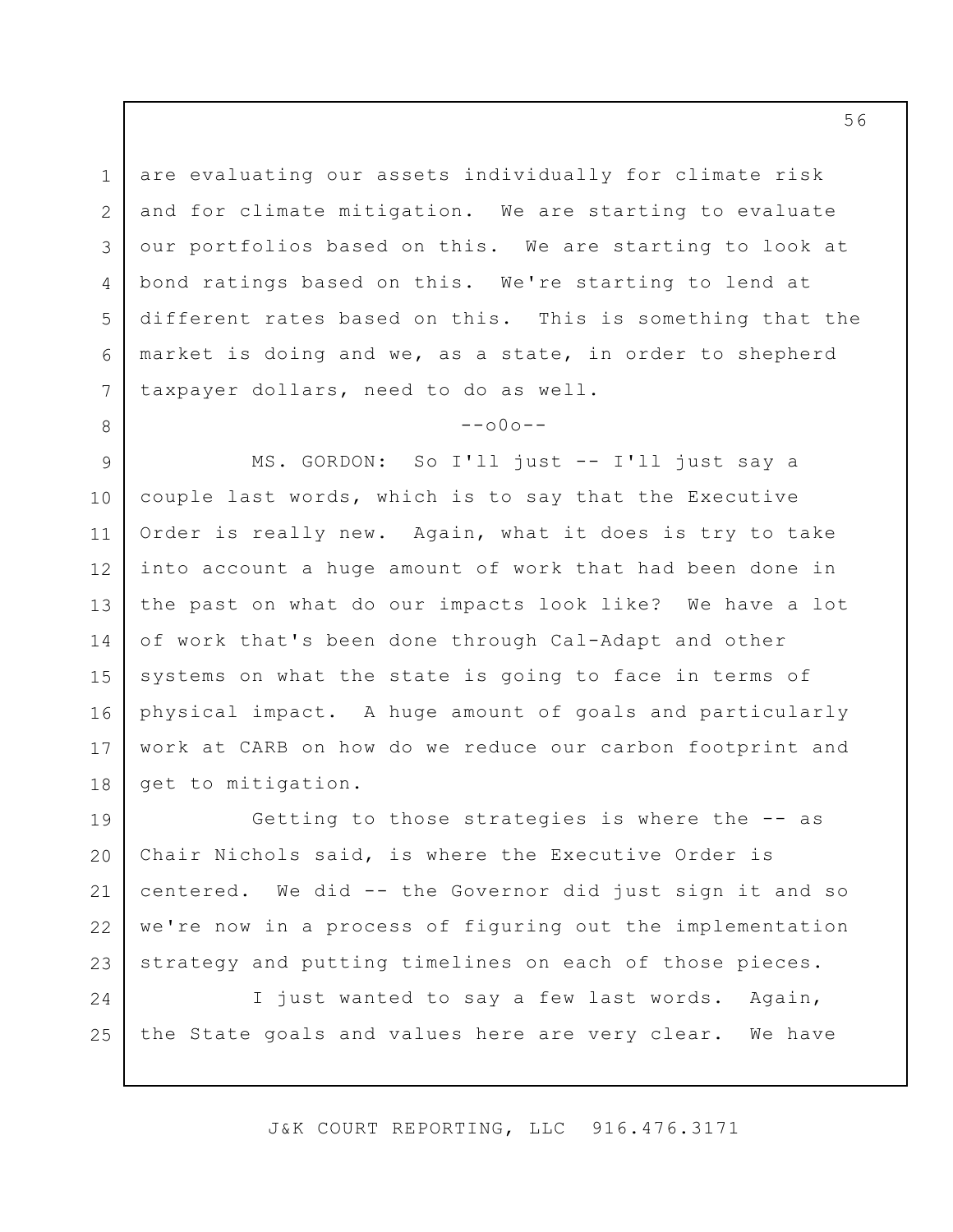are evaluating our assets individually for climate risk and for climate mitigation. We are starting to evaluate our portfolios based on this. We are starting to look at bond ratings based on this. We're starting to lend at different rates based on this. This is something that the market is doing and we, as a state, in order to shepherd taxpayer dollars, need to do as well.

1

2

3

4

5

6

7

8

## $--000--$

9 10 11 12 13 14 15 16 17 18 MS. GORDON: So I'll just -- I'll just say a couple last words, which is to say that the Executive Order is really new. Again, what it does is try to take into account a huge amount of work that had been done in the past on what do our impacts look like? We have a lot of work that's been done through Cal-Adapt and other systems on what the state is going to face in terms of physical impact. A huge amount of goals and particularly work at CARB on how do we reduce our carbon footprint and get to mitigation.

19 20 21 22 23 Getting to those strategies is where the -- as Chair Nichols said, is where the Executive Order is centered. We did -- the Governor did just sign it and so we're now in a process of figuring out the implementation strategy and putting timelines on each of those pieces.

24 25 I just wanted to say a few last words. Again, the State goals and values here are very clear. We have

J&K COURT REPORTING, LLC 916.476.3171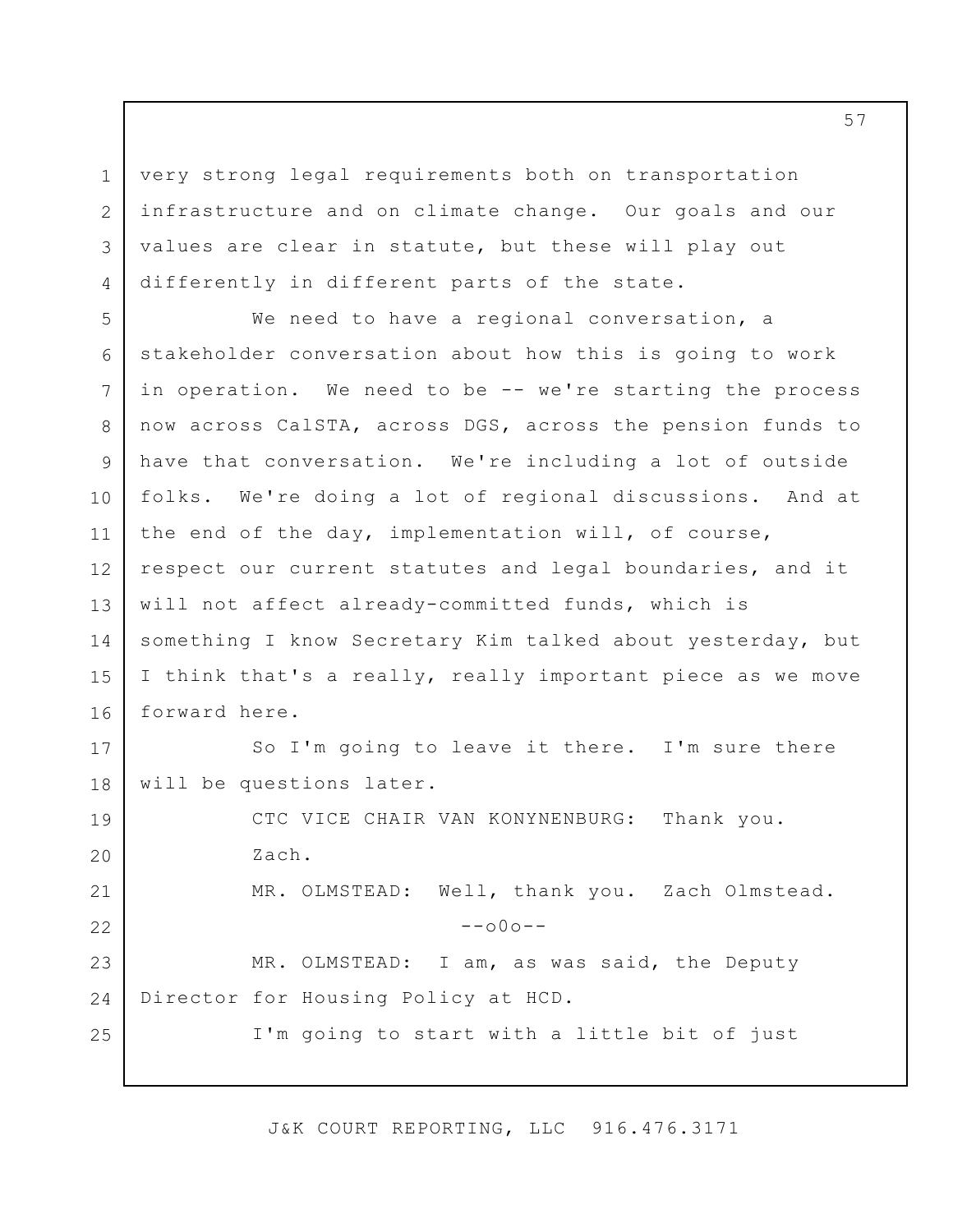very strong legal requirements both on transportation infrastructure and on climate change. Our goals and our values are clear in statute, but these will play out differently in different parts of the state.

1

2

3

4

5 6 7 8 9 10 11 12 13 14 15 16 17 18 19 We need to have a regional conversation, a stakeholder conversation about how this is going to work in operation. We need to be -- we're starting the process now across CalSTA, across DGS, across the pension funds to have that conversation. We're including a lot of outside folks. We're doing a lot of regional discussions. And at the end of the day, implementation will, of course, respect our current statutes and legal boundaries, and it will not affect already-committed funds, which is something I know Secretary Kim talked about yesterday, but I think that's a really, really important piece as we move forward here. So I'm going to leave it there. I'm sure there will be questions later. CTC VICE CHAIR VAN KONYNENBURG: Thank you.

20 21 22 23 24 25 Zach. MR. OLMSTEAD: Well, thank you. Zach Olmstead.  $--000--$ MR. OLMSTEAD: I am, as was said, the Deputy Director for Housing Policy at HCD. I'm going to start with a little bit of just

J&K COURT REPORTING, LLC 916.476.3171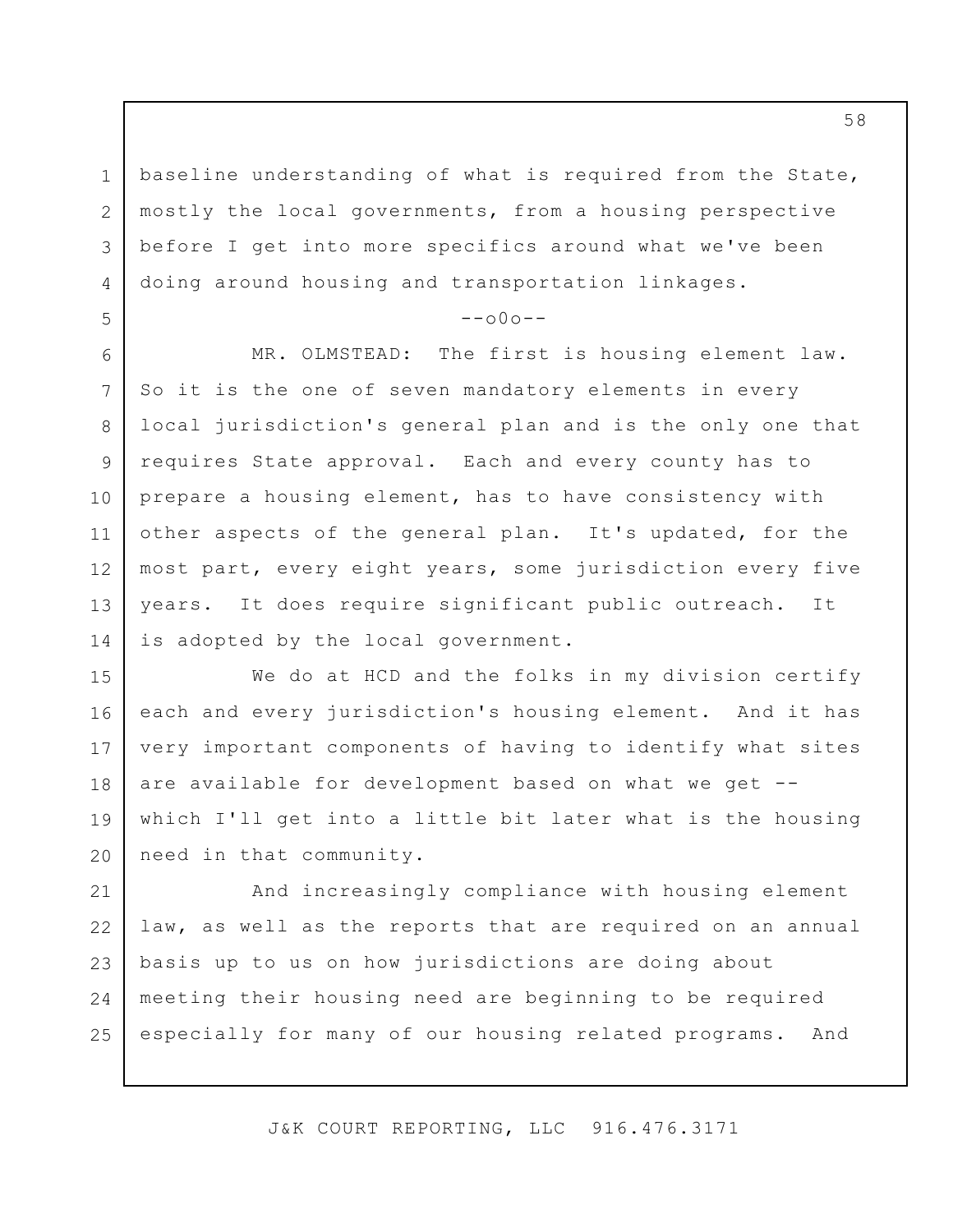1 2 3 4 baseline understanding of what is required from the State, mostly the local governments, from a housing perspective before I get into more specifics around what we've been doing around housing and transportation linkages.

5

#### $--000--$

6 7 8 9 10 11 12 13 14 MR. OLMSTEAD: The first is housing element law. So it is the one of seven mandatory elements in every local jurisdiction's general plan and is the only one that requires State approval. Each and every county has to prepare a housing element, has to have consistency with other aspects of the general plan. It's updated, for the most part, every eight years, some jurisdiction every five years. It does require significant public outreach. It is adopted by the local government.

15 16 17 18 19 20 We do at HCD and the folks in my division certify each and every jurisdiction's housing element. And it has very important components of having to identify what sites are available for development based on what we get - which I'll get into a little bit later what is the housing need in that community.

21 22 23 24 25 And increasingly compliance with housing element law, as well as the reports that are required on an annual basis up to us on how jurisdictions are doing about meeting their housing need are beginning to be required especially for many of our housing related programs. And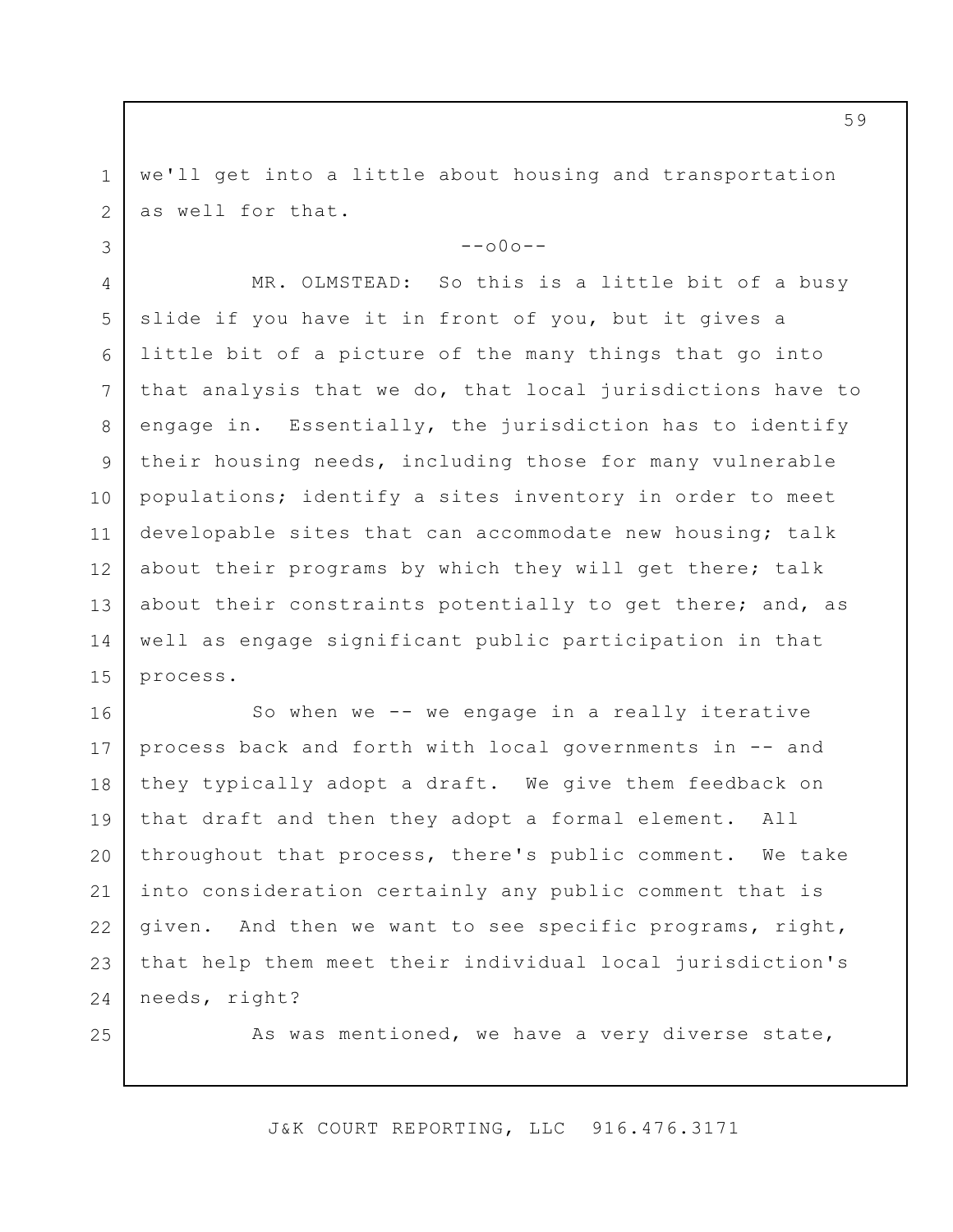we'll get into a little about housing and transportation as well for that.

 $--000--$ 

4 5 6 7 10 11 12 13 MR. OLMSTEAD: So this is a little bit of a busy slide if you have it in front of you, but it gives a little bit of a picture of the many things that go into that analysis that we do, that local jurisdictions have to engage in. Essentially, the jurisdiction has to identify their housing needs, including those for many vulnerable populations; identify a sites inventory in order to meet developable sites that can accommodate new housing; talk about their programs by which they will get there; talk about their constraints potentially to get there; and, as well as engage significant public participation in that process.

16 17 18 19 20 21 22 23 24 So when we -- we engage in a really iterative process back and forth with local governments in -- and they typically adopt a draft. We give them feedback on that draft and then they adopt a formal element. All throughout that process, there's public comment. We take into consideration certainly any public comment that is given. And then we want to see specific programs, right, that help them meet their individual local jurisdiction's needs, right?

25

1

2

3

8

9

14

15

As was mentioned, we have a very diverse state,

J&K COURT REPORTING, LLC 916.476.3171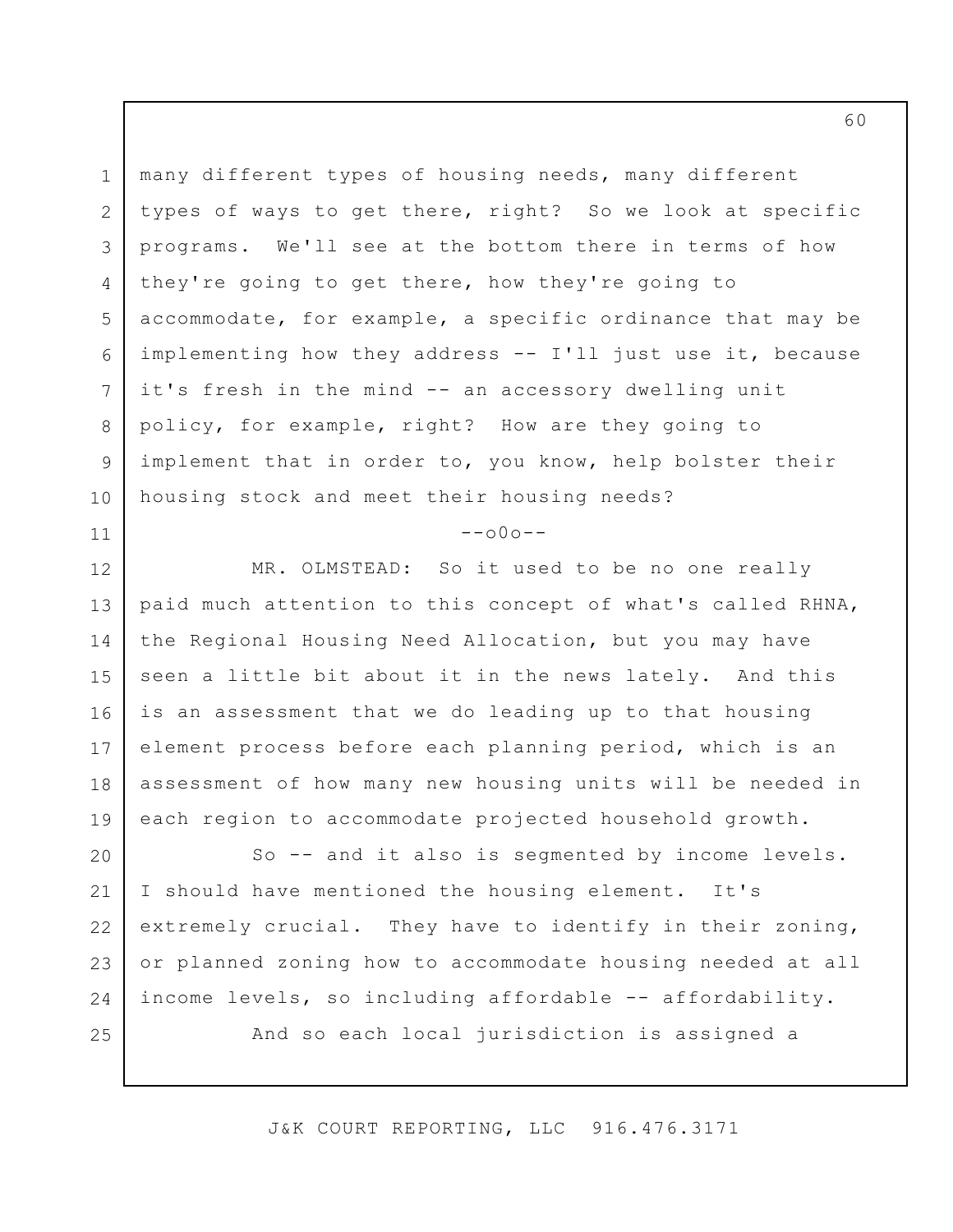1 2 3 4 5 6 7 8 9 10 many different types of housing needs, many different types of ways to get there, right? So we look at specific programs. We'll see at the bottom there in terms of how they're going to get there, how they're going to accommodate, for example, a specific ordinance that may be implementing how they address -- I'll just use it, because it's fresh in the mind -- an accessory dwelling unit policy, for example, right? How are they going to implement that in order to, you know, help bolster their housing stock and meet their housing needs?

### $--000--$

11

25

12 13 14 15 16 17 18 19 MR. OLMSTEAD: So it used to be no one really paid much attention to this concept of what's called RHNA, the Regional Housing Need Allocation, but you may have seen a little bit about it in the news lately. And this is an assessment that we do leading up to that housing element process before each planning period, which is an assessment of how many new housing units will be needed in each region to accommodate projected household growth.

20 21 22 23 24 So -- and it also is segmented by income levels. I should have mentioned the housing element. It's extremely crucial. They have to identify in their zoning, or planned zoning how to accommodate housing needed at all income levels, so including affordable -- affordability.

And so each local jurisdiction is assigned a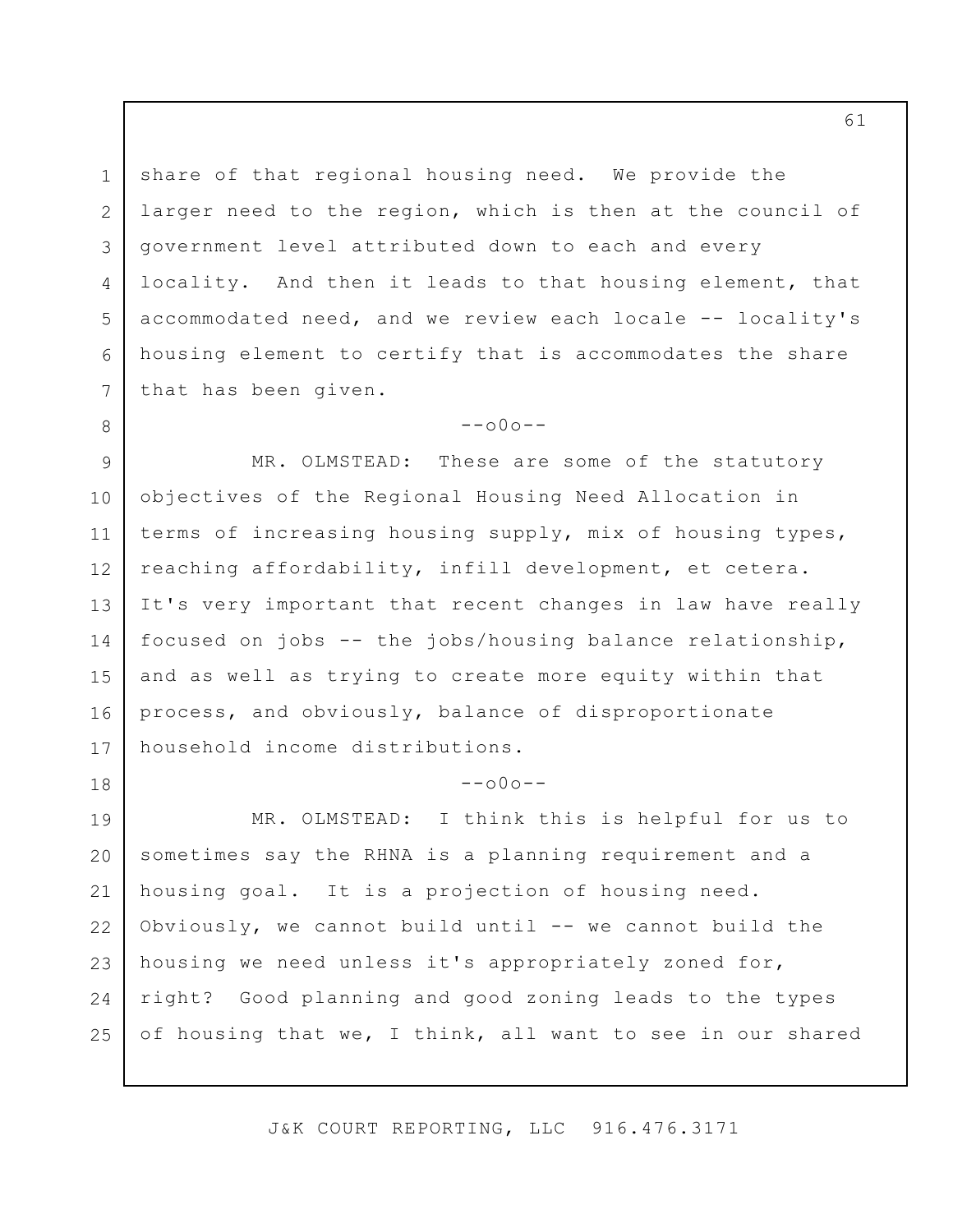3 5 6 share of that regional housing need. We provide the larger need to the region, which is then at the council of government level attributed down to each and every locality. And then it leads to that housing element, that accommodated need, and we review each locale -- locality's housing element to certify that is accommodates the share that has been given.

1

2

4

7

8

18

 $--000--$ 

9 10 11 12 13 14 15 16 17 MR. OLMSTEAD: These are some of the statutory objectives of the Regional Housing Need Allocation in terms of increasing housing supply, mix of housing types, reaching affordability, infill development, et cetera. It's very important that recent changes in law have really focused on jobs -- the jobs/housing balance relationship, and as well as trying to create more equity within that process, and obviously, balance of disproportionate household income distributions.

#### $--000--$

19 20 21 22 23 24 25 MR. OLMSTEAD: I think this is helpful for us to sometimes say the RHNA is a planning requirement and a housing goal. It is a projection of housing need. Obviously, we cannot build until  $--$  we cannot build the housing we need unless it's appropriately zoned for, right? Good planning and good zoning leads to the types of housing that we, I think, all want to see in our shared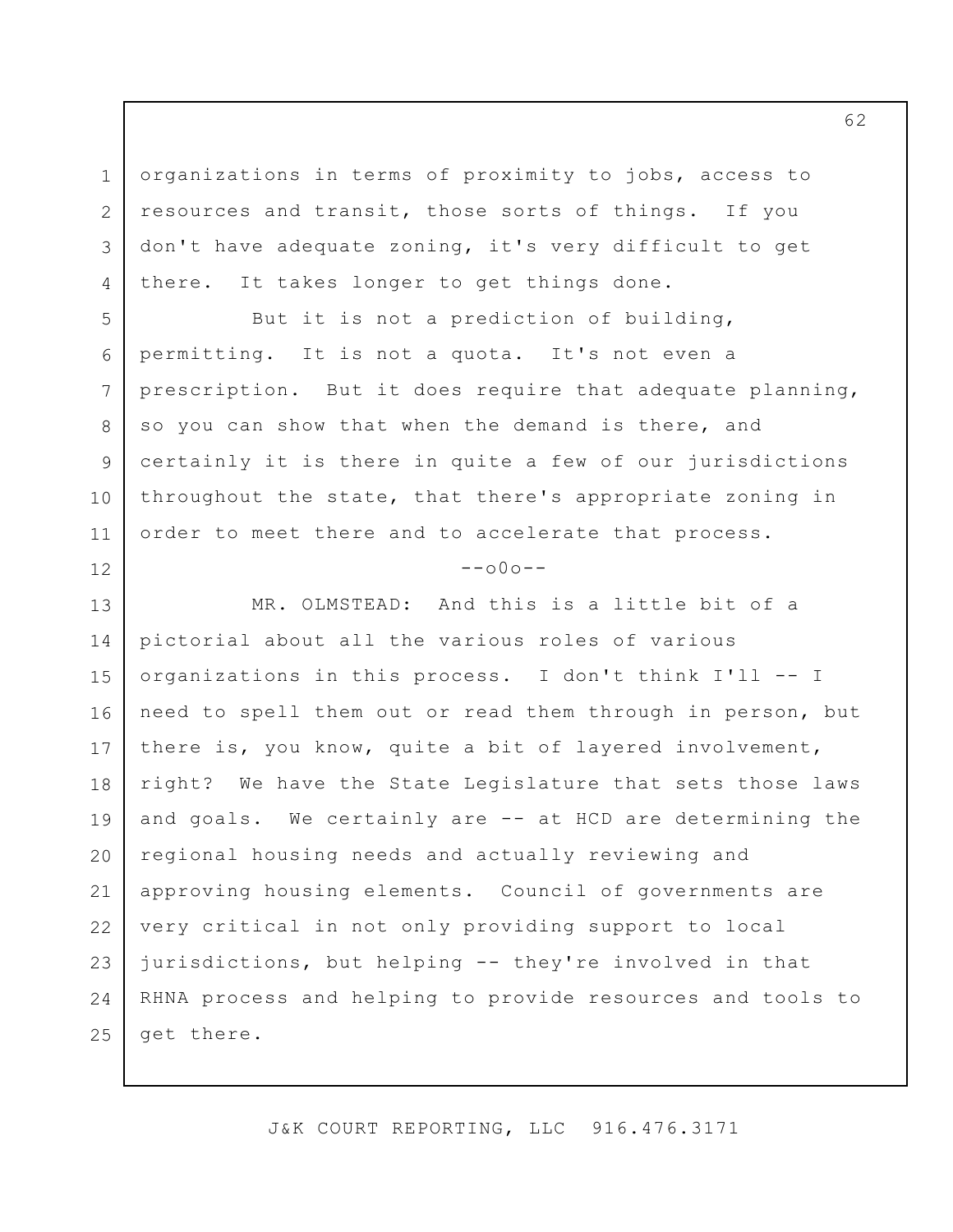organizations in terms of proximity to jobs, access to resources and transit, those sorts of things. If you don't have adequate zoning, it's very difficult to get there. It takes longer to get things done.

1

2

3

4

5

8

9

11

12

6 7 10 But it is not a prediction of building, permitting. It is not a quota. It's not even a prescription. But it does require that adequate planning, so you can show that when the demand is there, and certainly it is there in quite a few of our jurisdictions throughout the state, that there's appropriate zoning in order to meet there and to accelerate that process.

## $-000-$

13 14 15 16 17 18 19 20 21 22 23 24 25 MR. OLMSTEAD: And this is a little bit of a pictorial about all the various roles of various organizations in this process. I don't think I'll -- I need to spell them out or read them through in person, but there is, you know, quite a bit of layered involvement, right? We have the State Legislature that sets those laws and goals. We certainly are -- at HCD are determining the regional housing needs and actually reviewing and approving housing elements. Council of governments are very critical in not only providing support to local jurisdictions, but helping -- they're involved in that RHNA process and helping to provide resources and tools to get there.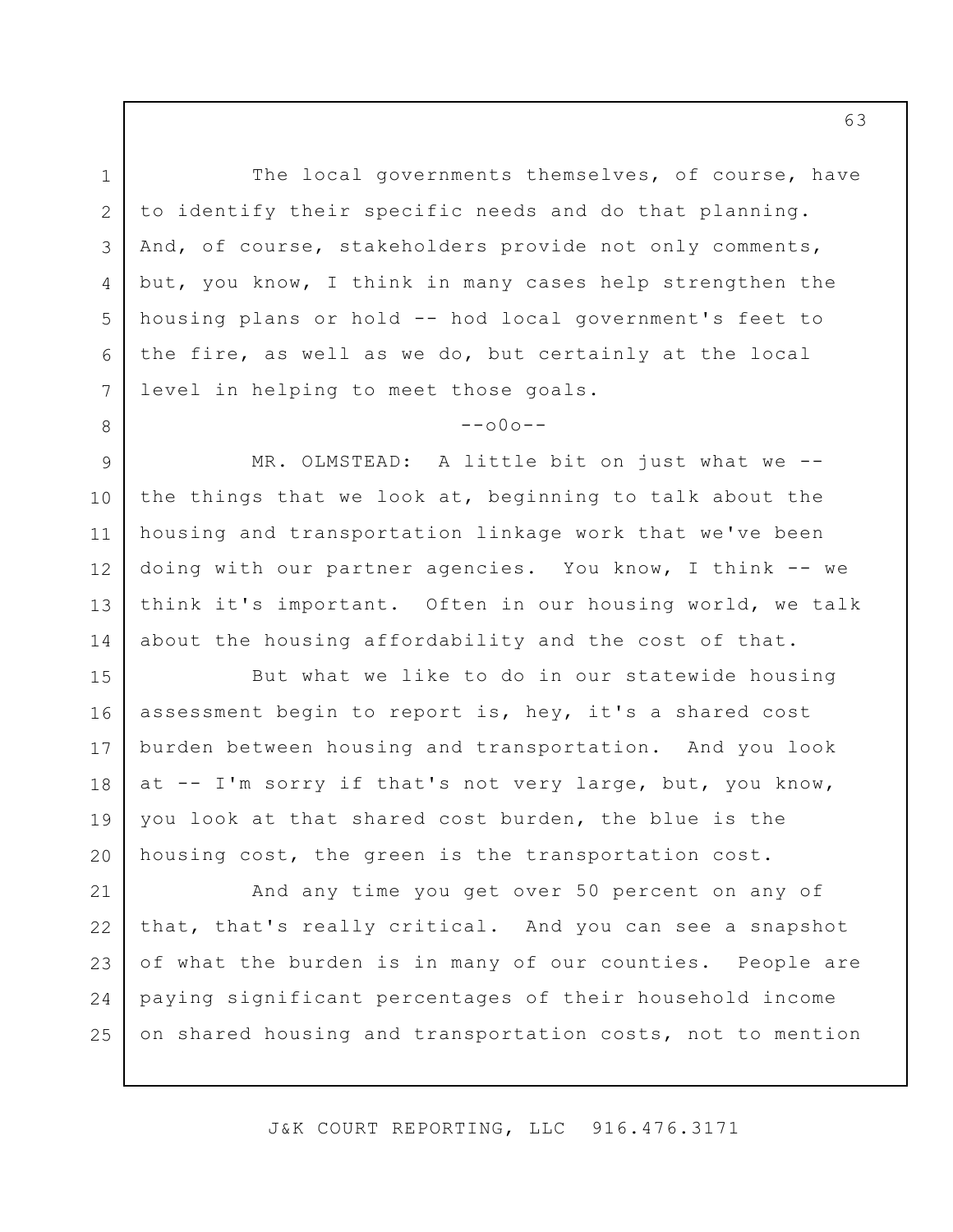The local governments themselves, of course, have to identify their specific needs and do that planning. And, of course, stakeholders provide not only comments, but, you know, I think in many cases help strengthen the housing plans or hold -- hod local government's feet to the fire, as well as we do, but certainly at the local level in helping to meet those goals.

1

2

3

4

5

6

7

8

 $--\cap 0 \cap --$ 

9 10 11 12 13 14 MR. OLMSTEAD: A little bit on just what we -the things that we look at, beginning to talk about the housing and transportation linkage work that we've been doing with our partner agencies. You know, I think -- we think it's important. Often in our housing world, we talk about the housing affordability and the cost of that.

15 16 17 18 19 20 But what we like to do in our statewide housing assessment begin to report is, hey, it's a shared cost burden between housing and transportation. And you look at -- I'm sorry if that's not very large, but, you know, you look at that shared cost burden, the blue is the housing cost, the green is the transportation cost.

21 22 23 24 25 And any time you get over 50 percent on any of that, that's really critical. And you can see a snapshot of what the burden is in many of our counties. People are paying significant percentages of their household income on shared housing and transportation costs, not to mention

J&K COURT REPORTING, LLC 916.476.3171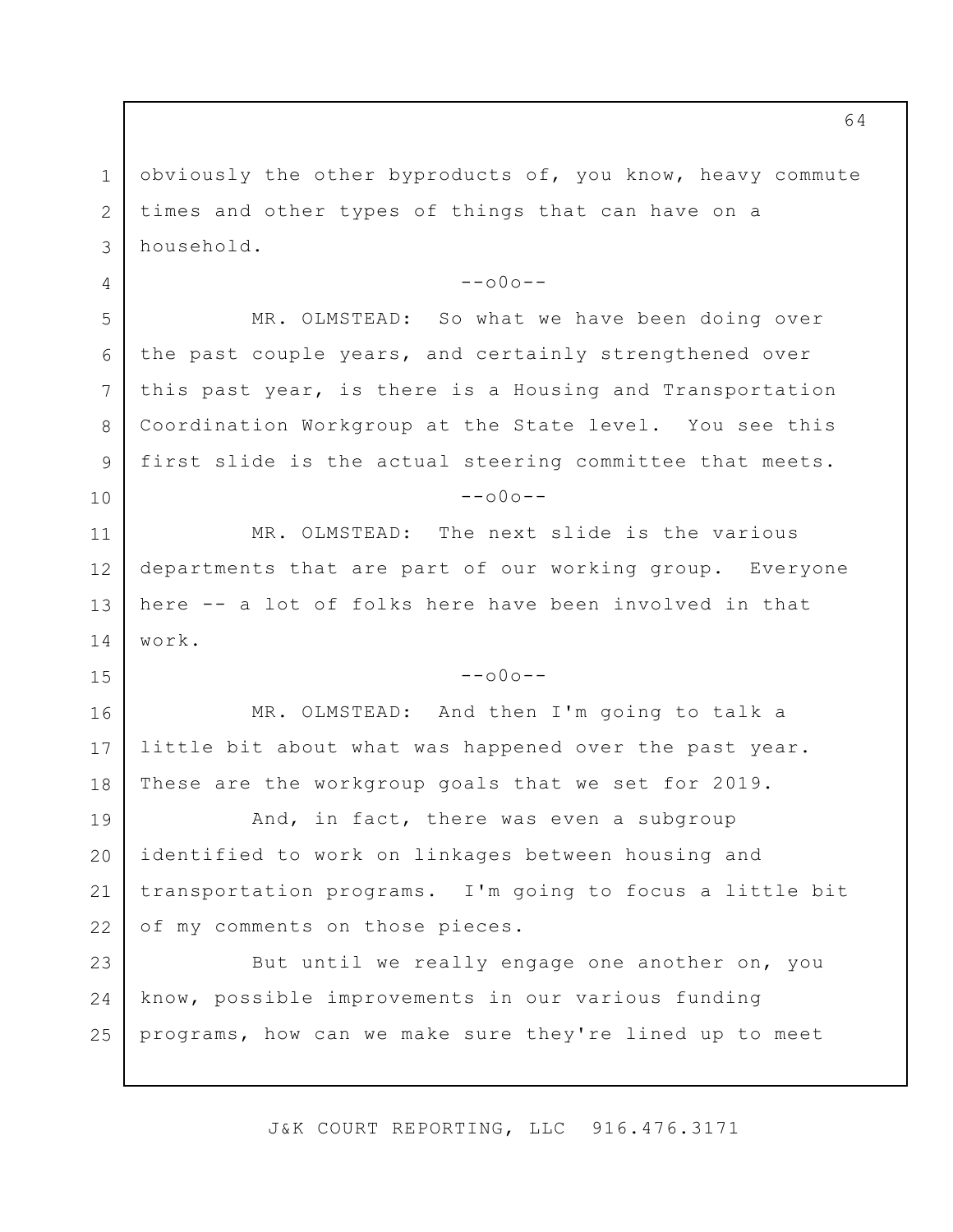1 2 3 obviously the other byproducts of, you know, heavy commute times and other types of things that can have on a household.

4

5

6

7

8

9

10

15

--o0o--

MR. OLMSTEAD: So what we have been doing over the past couple years, and certainly strengthened over this past year, is there is a Housing and Transportation Coordination Workgroup at the State level. You see this first slide is the actual steering committee that meets.  $--000--$ 

11 12 13 14 MR. OLMSTEAD: The next slide is the various departments that are part of our working group. Everyone here -- a lot of folks here have been involved in that work.

 $--000--$ 

16 17 18 MR. OLMSTEAD: And then I'm going to talk a little bit about what was happened over the past year. These are the workgroup goals that we set for 2019.

19 20 21 22 And, in fact, there was even a subgroup identified to work on linkages between housing and transportation programs. I'm going to focus a little bit of my comments on those pieces.

23 24 25 But until we really engage one another on, you know, possible improvements in our various funding programs, how can we make sure they're lined up to meet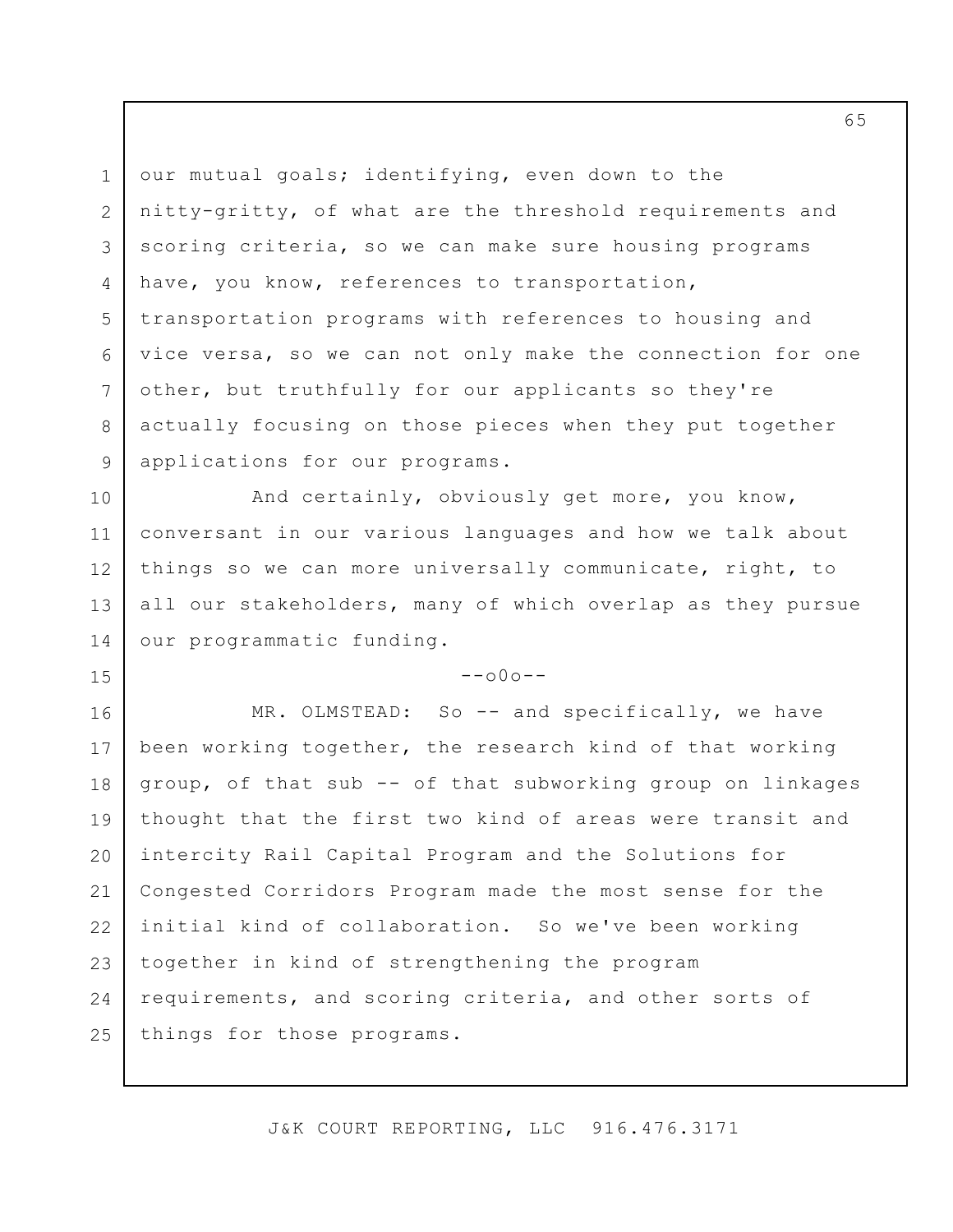1 2 3 4 5 6 7 8 9 our mutual goals; identifying, even down to the nitty-gritty, of what are the threshold requirements and scoring criteria, so we can make sure housing programs have, you know, references to transportation, transportation programs with references to housing and vice versa, so we can not only make the connection for one other, but truthfully for our applicants so they're actually focusing on those pieces when they put together applications for our programs.

10 11 12 13 14 And certainly, obviously get more, you know, conversant in our various languages and how we talk about things so we can more universally communicate, right, to all our stakeholders, many of which overlap as they pursue our programmatic funding.

### $--000--$

15

16 17 18 19 20 21 22 23 24 25 MR. OLMSTEAD: So -- and specifically, we have been working together, the research kind of that working group, of that sub -- of that subworking group on linkages thought that the first two kind of areas were transit and intercity Rail Capital Program and the Solutions for Congested Corridors Program made the most sense for the initial kind of collaboration. So we've been working together in kind of strengthening the program requirements, and scoring criteria, and other sorts of things for those programs.

J&K COURT REPORTING, LLC 916.476.3171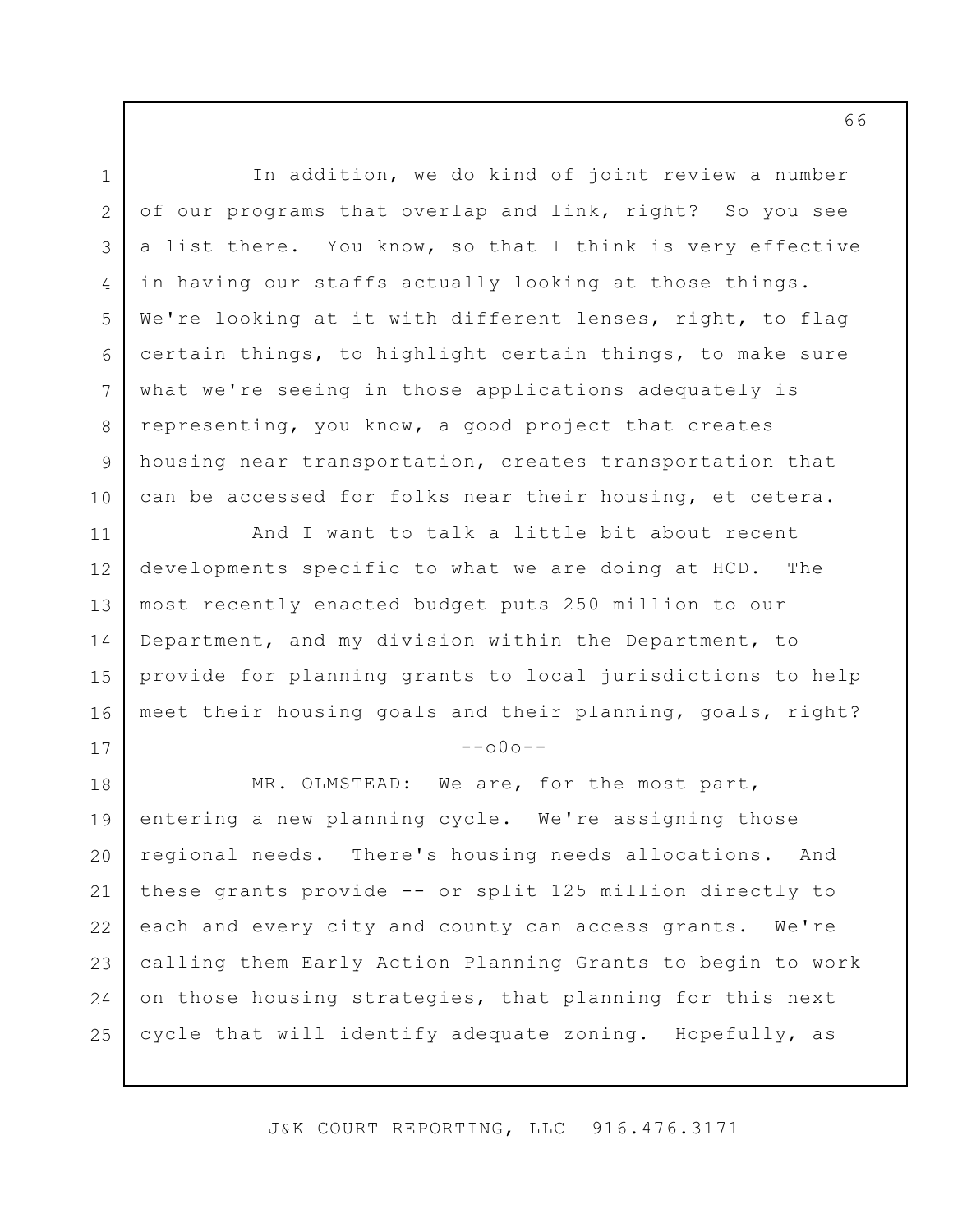1 2 3 4 5 6 7 8 9 10 11 12 13 14 15 16 17 18 19 20 21 22 23 24 25 In addition, we do kind of joint review a number of our programs that overlap and link, right? So you see a list there. You know, so that I think is very effective in having our staffs actually looking at those things. We're looking at it with different lenses, right, to flag certain things, to highlight certain things, to make sure what we're seeing in those applications adequately is representing, you know, a good project that creates housing near transportation, creates transportation that can be accessed for folks near their housing, et cetera. And I want to talk a little bit about recent developments specific to what we are doing at HCD. The most recently enacted budget puts 250 million to our Department, and my division within the Department, to provide for planning grants to local jurisdictions to help meet their housing goals and their planning, goals, right?  $--000--$ MR. OLMSTEAD: We are, for the most part, entering a new planning cycle. We're assigning those regional needs. There's housing needs allocations. And these grants provide -- or split 125 million directly to each and every city and county can access grants. We're calling them Early Action Planning Grants to begin to work on those housing strategies, that planning for this next cycle that will identify adequate zoning. Hopefully, as

J&K COURT REPORTING, LLC 916.476.3171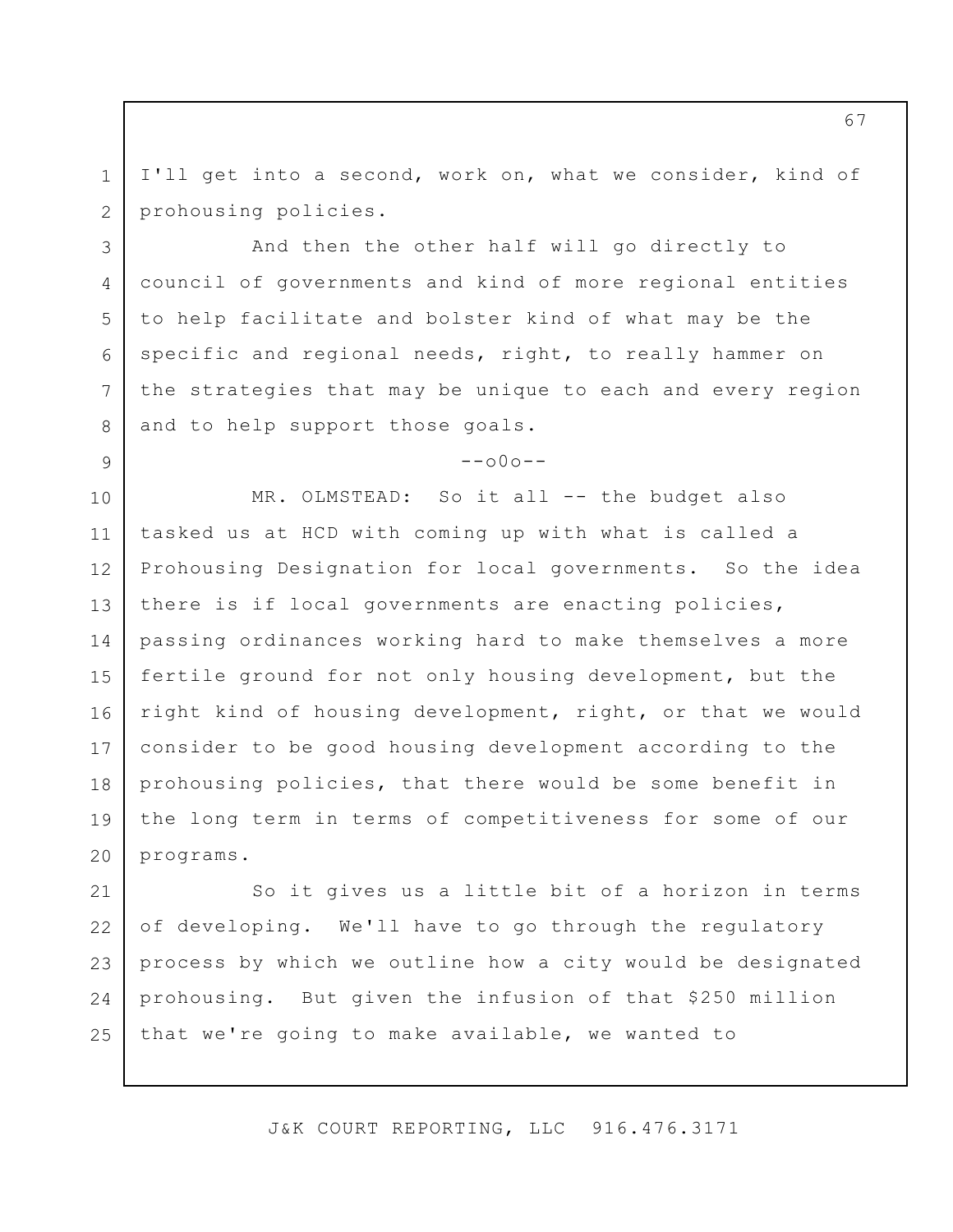1 2 I'll get into a second, work on, what we consider, kind of prohousing policies.

3

4

5

6

7

8

9

And then the other half will go directly to council of governments and kind of more regional entities to help facilitate and bolster kind of what may be the specific and regional needs, right, to really hammer on the strategies that may be unique to each and every region and to help support those goals.

 $--000--$ 

10 11 12 13 14 15 16 17 18 19 20 MR. OLMSTEAD: So it all -- the budget also tasked us at HCD with coming up with what is called a Prohousing Designation for local governments. So the idea there is if local governments are enacting policies, passing ordinances working hard to make themselves a more fertile ground for not only housing development, but the right kind of housing development, right, or that we would consider to be good housing development according to the prohousing policies, that there would be some benefit in the long term in terms of competitiveness for some of our programs.

21 22 23 24 25 So it gives us a little bit of a horizon in terms of developing. We'll have to go through the regulatory process by which we outline how a city would be designated prohousing. But given the infusion of that \$250 million that we're going to make available, we wanted to

J&K COURT REPORTING, LLC 916.476.3171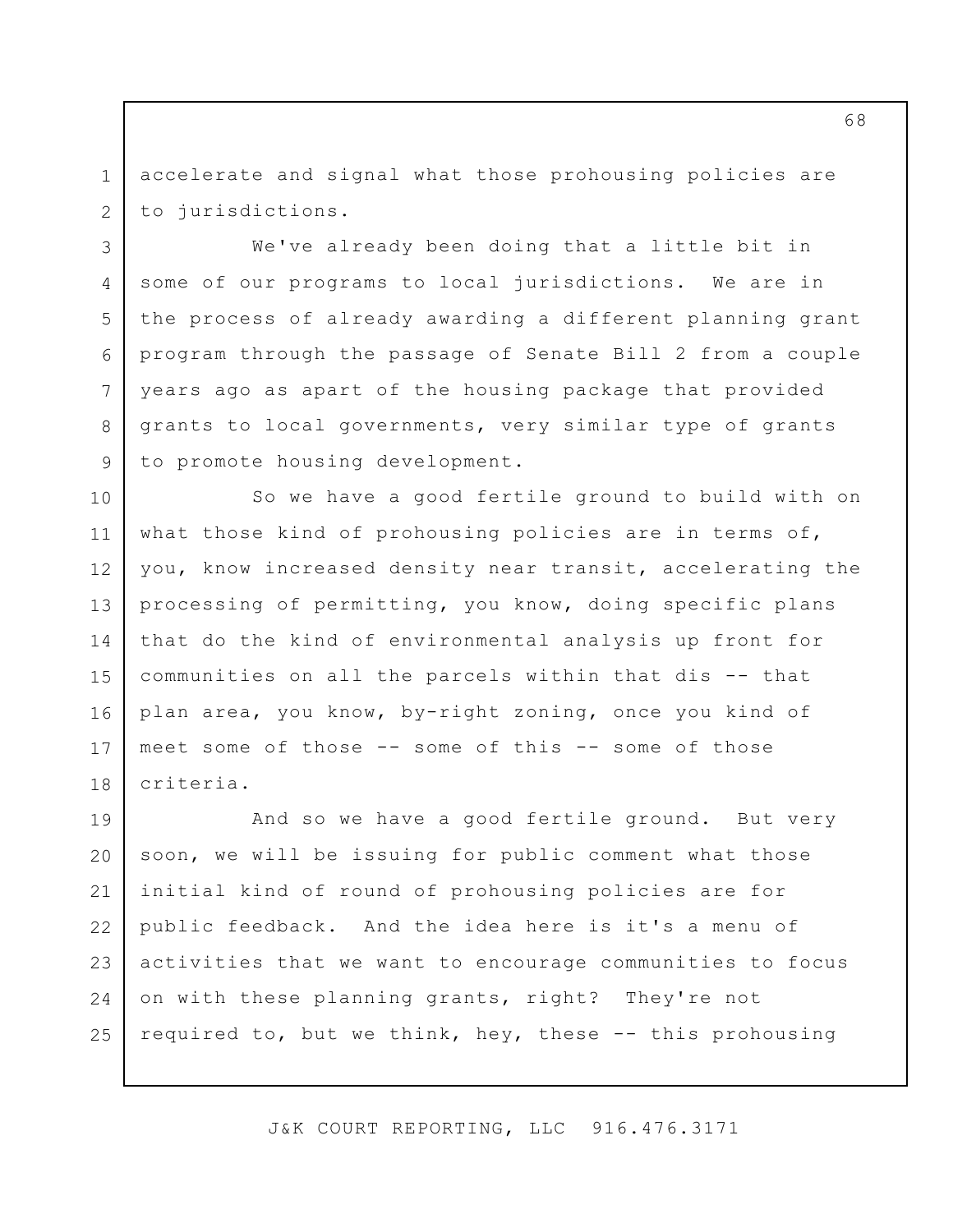1 2 accelerate and signal what those prohousing policies are to jurisdictions.

3

4

5

6

7

8

9

We've already been doing that a little bit in some of our programs to local jurisdictions. We are in the process of already awarding a different planning grant program through the passage of Senate Bill 2 from a couple years ago as apart of the housing package that provided grants to local governments, very similar type of grants to promote housing development.

10 11 12 13 14 15 16 17 18 So we have a good fertile ground to build with on what those kind of prohousing policies are in terms of, you, know increased density near transit, accelerating the processing of permitting, you know, doing specific plans that do the kind of environmental analysis up front for communities on all the parcels within that dis -- that plan area, you know, by-right zoning, once you kind of meet some of those -- some of this -- some of those criteria.

19 20 21 22 23 24 25 And so we have a good fertile ground. But very soon, we will be issuing for public comment what those initial kind of round of prohousing policies are for public feedback. And the idea here is it's a menu of activities that we want to encourage communities to focus on with these planning grants, right? They're not required to, but we think, hey, these -- this prohousing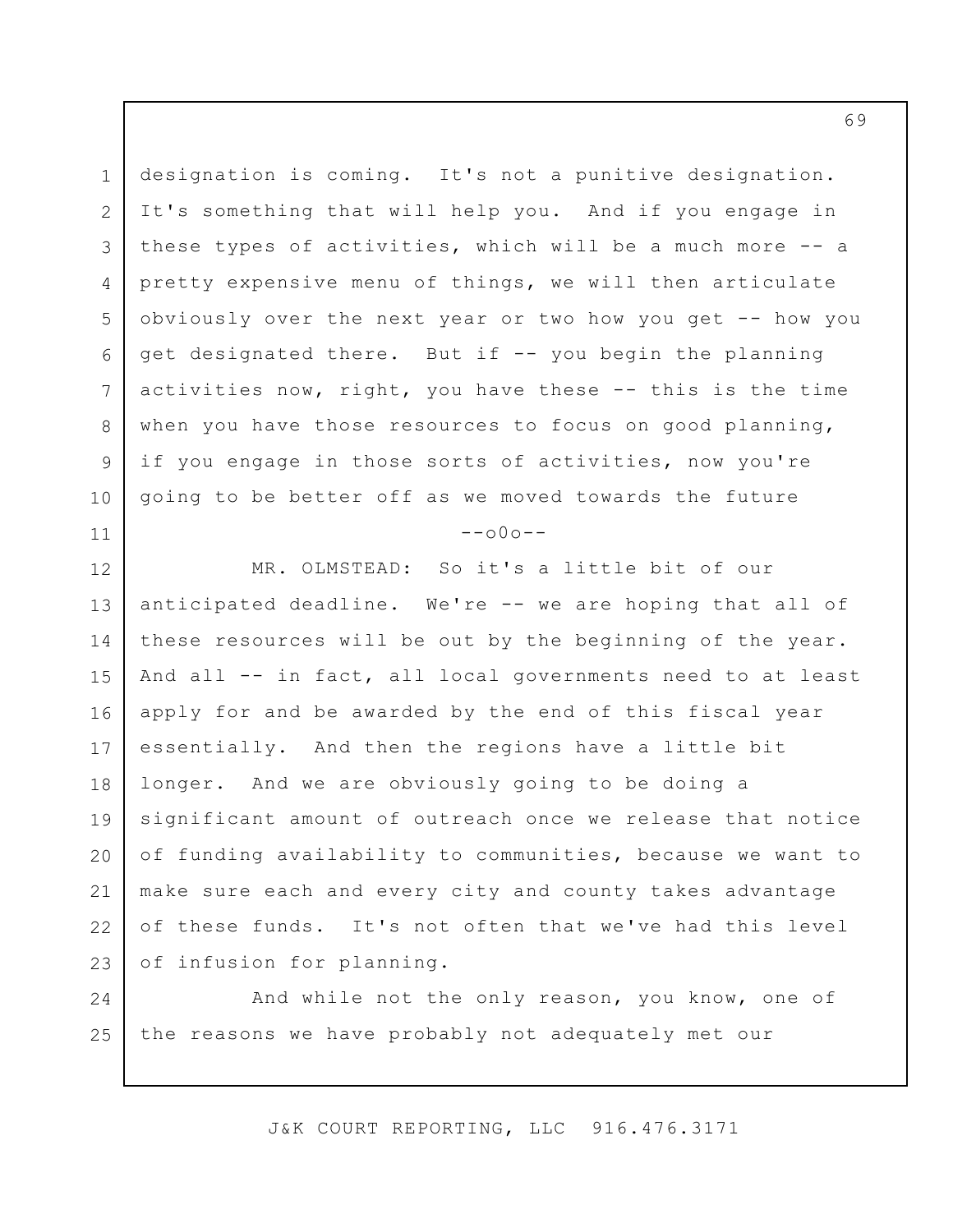1 2 3 4 5 6 7 8 9 10 11 12 13 14 15 16 17 18 19 20 21 22 designation is coming. It's not a punitive designation. It's something that will help you. And if you engage in these types of activities, which will be a much more -- a pretty expensive menu of things, we will then articulate obviously over the next year or two how you get -- how you get designated there. But if -- you begin the planning activities now, right, you have these -- this is the time when you have those resources to focus on good planning, if you engage in those sorts of activities, now you're going to be better off as we moved towards the future  $--000--$ MR. OLMSTEAD: So it's a little bit of our anticipated deadline. We're -- we are hoping that all of these resources will be out by the beginning of the year. And all -- in fact, all local governments need to at least apply for and be awarded by the end of this fiscal year essentially. And then the regions have a little bit longer. And we are obviously going to be doing a significant amount of outreach once we release that notice of funding availability to communities, because we want to make sure each and every city and county takes advantage of these funds. It's not often that we've had this level

24 25 And while not the only reason, you know, one of the reasons we have probably not adequately met our

of infusion for planning.

23

J&K COURT REPORTING, LLC 916.476.3171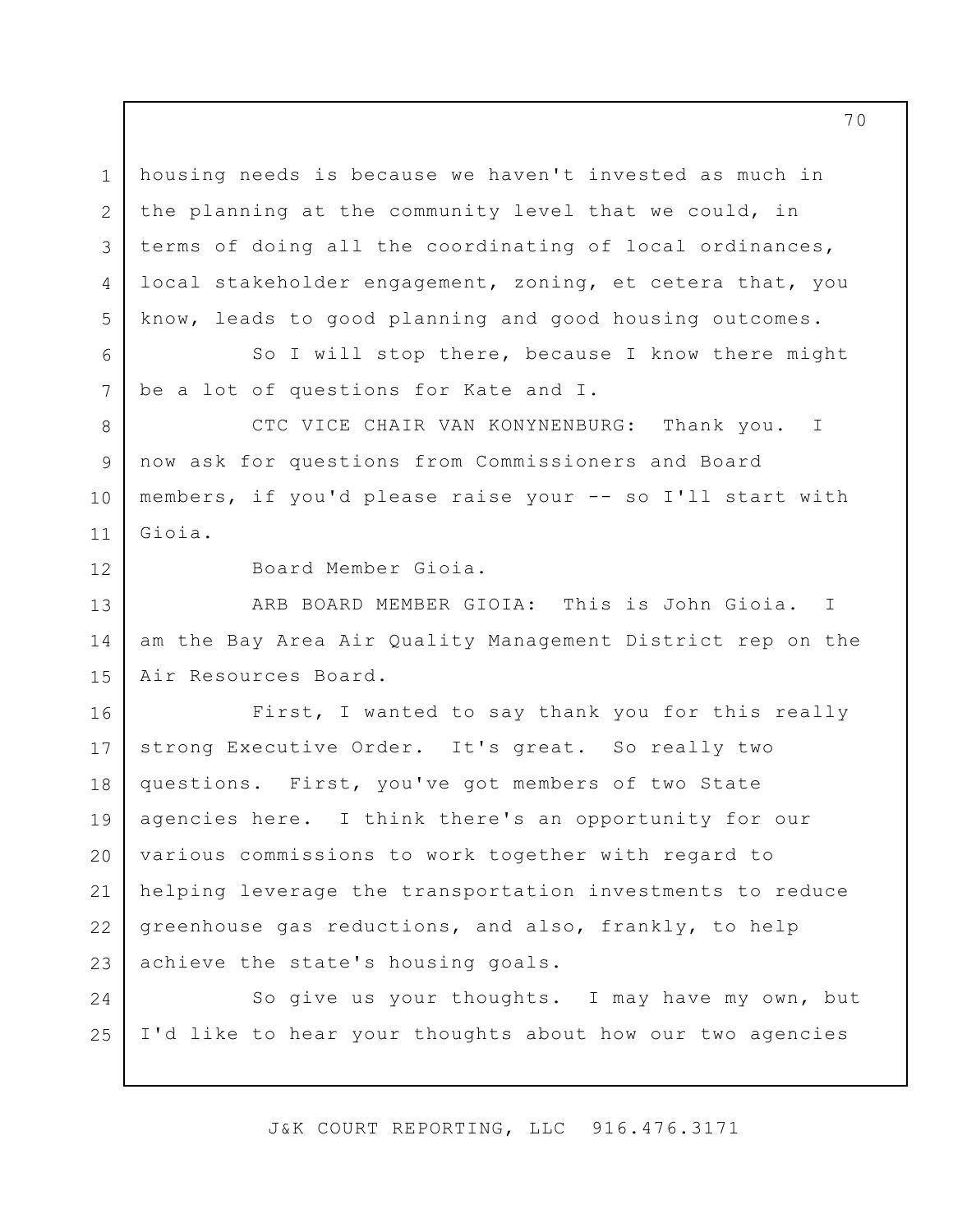1 2 3 4 5 housing needs is because we haven't invested as much in the planning at the community level that we could, in terms of doing all the coordinating of local ordinances, local stakeholder engagement, zoning, et cetera that, you know, leads to good planning and good housing outcomes.

So I will stop there, because I know there might be a lot of questions for Kate and I.

8 9 10 11 CTC VICE CHAIR VAN KONYNENBURG: Thank you. I now ask for questions from Commissioners and Board members, if you'd please raise your -- so I'll start with Gioia.

12

6

7

Board Member Gioia.

13 14 15 ARB BOARD MEMBER GIOIA: This is John Gioia. am the Bay Area Air Quality Management District rep on the Air Resources Board. I

16 17 18 19 20 21 22 23 First, I wanted to say thank you for this really strong Executive Order. It's great. So really two questions. First, you've got members of two State agencies here. I think there's an opportunity for our various commissions to work together with regard to helping leverage the transportation investments to reduce greenhouse gas reductions, and also, frankly, to help achieve the state's housing goals.

24 25 So give us your thoughts. I may have my own, but I'd like to hear your thoughts about how our two agencies

J&K COURT REPORTING, LLC 916.476.3171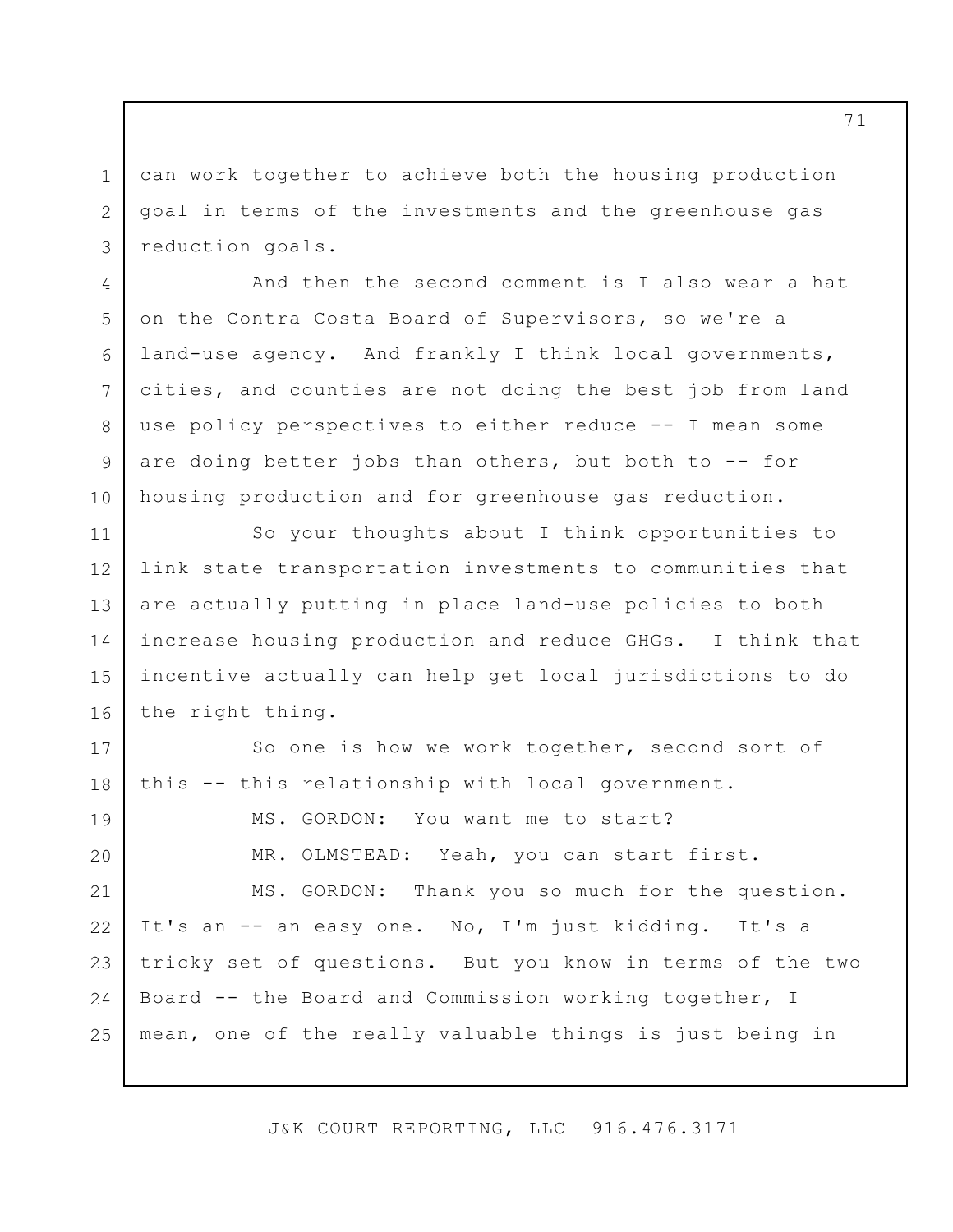can work together to achieve both the housing production goal in terms of the investments and the greenhouse gas reduction goals.

1

2

3

4

5

7

8

9

10

6 And then the second comment is I also wear a hat on the Contra Costa Board of Supervisors, so we're a land-use agency. And frankly I think local governments, cities, and counties are not doing the best job from land use policy perspectives to either reduce -- I mean some are doing better jobs than others, but both to -- for housing production and for greenhouse gas reduction.

11 12 13 14 15 16 So your thoughts about I think opportunities to link state transportation investments to communities that are actually putting in place land-use policies to both increase housing production and reduce GHGs. I think that incentive actually can help get local jurisdictions to do the right thing.

17 18 So one is how we work together, second sort of this -- this relationship with local government.

19 20 21 22 23 24 25 MS. GORDON: You want me to start? MR. OLMSTEAD: Yeah, you can start first. MS. GORDON: Thank you so much for the question. It's an -- an easy one. No, I'm just kidding. It's a tricky set of questions. But you know in terms of the two Board -- the Board and Commission working together, I mean, one of the really valuable things is just being in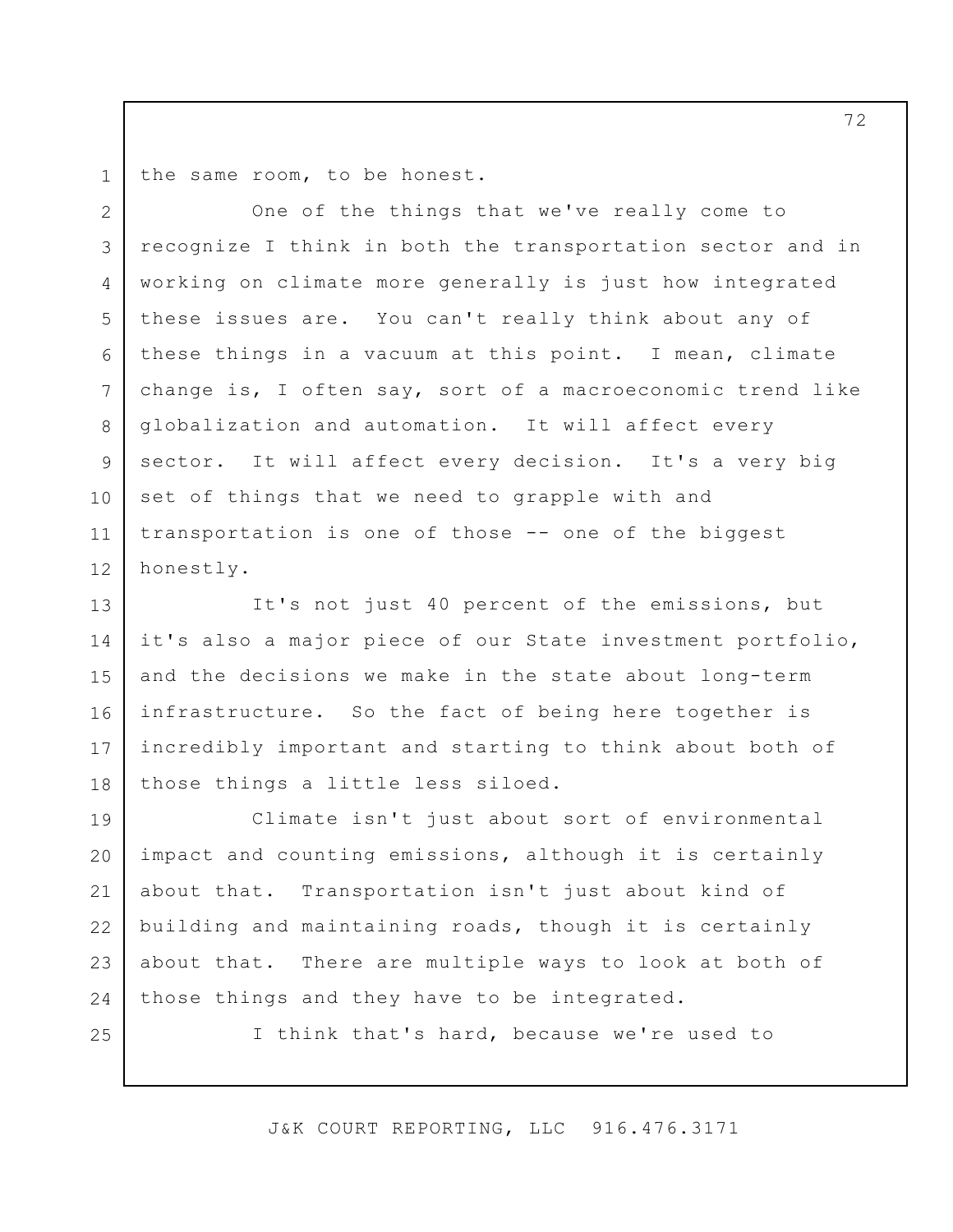1 the same room, to be honest.

2 3 4 5 6 7 8 9 10 11 12 One of the things that we've really come to recognize I think in both the transportation sector and in working on climate more generally is just how integrated these issues are. You can't really think about any of these things in a vacuum at this point. I mean, climate change is, I often say, sort of a macroeconomic trend like globalization and automation. It will affect every sector. It will affect every decision. It's a very big set of things that we need to grapple with and transportation is one of those -- one of the biggest honestly.

13 14 15 16 17 18 It's not just 40 percent of the emissions, but it's also a major piece of our State investment portfolio, and the decisions we make in the state about long-term infrastructure. So the fact of being here together is incredibly important and starting to think about both of those things a little less siloed.

19 20 21 22 23 24 Climate isn't just about sort of environmental impact and counting emissions, although it is certainly about that. Transportation isn't just about kind of building and maintaining roads, though it is certainly about that. There are multiple ways to look at both of those things and they have to be integrated.

25

I think that's hard, because we're used to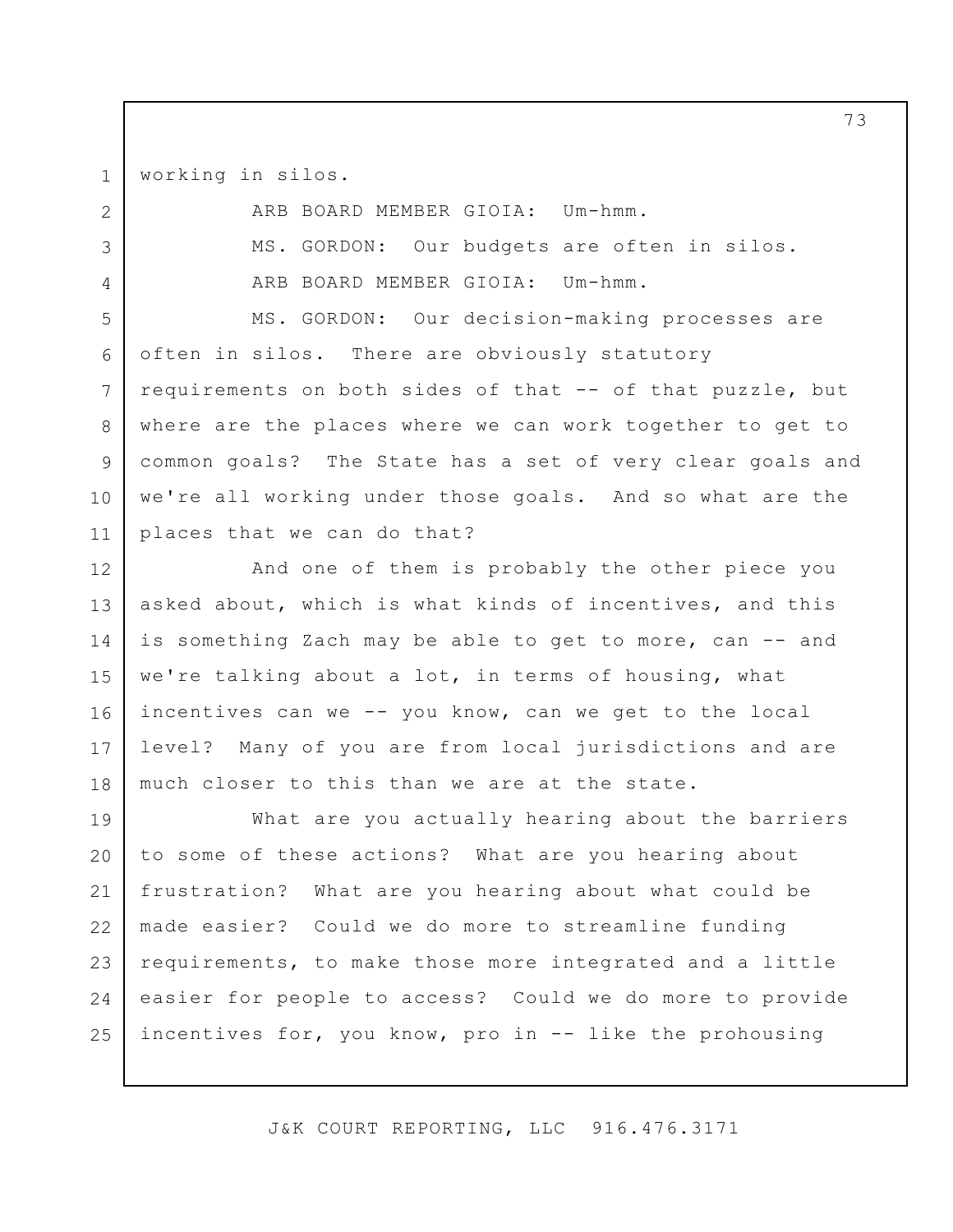1 working in silos.

2 3 4 5 6 7 8 9 10 11 12 13 14 15 16 17 18 19 20 21 22 23 24 25 ARB BOARD MEMBER GIOIA: Um-hmm. MS. GORDON: Our budgets are often in silos. ARB BOARD MEMBER GIOIA: Um-hmm. MS. GORDON: Our decision-making processes are often in silos. There are obviously statutory requirements on both sides of that -- of that puzzle, but where are the places where we can work together to get to common goals? The State has a set of very clear goals and we're all working under those goals. And so what are the places that we can do that? And one of them is probably the other piece you asked about, which is what kinds of incentives, and this is something Zach may be able to get to more, can -- and we're talking about a lot, in terms of housing, what incentives can we -- you know, can we get to the local level? Many of you are from local jurisdictions and are much closer to this than we are at the state. What are you actually hearing about the barriers to some of these actions? What are you hearing about frustration? What are you hearing about what could be made easier? Could we do more to streamline funding requirements, to make those more integrated and a little easier for people to access? Could we do more to provide incentives for, you know, pro in -- like the prohousing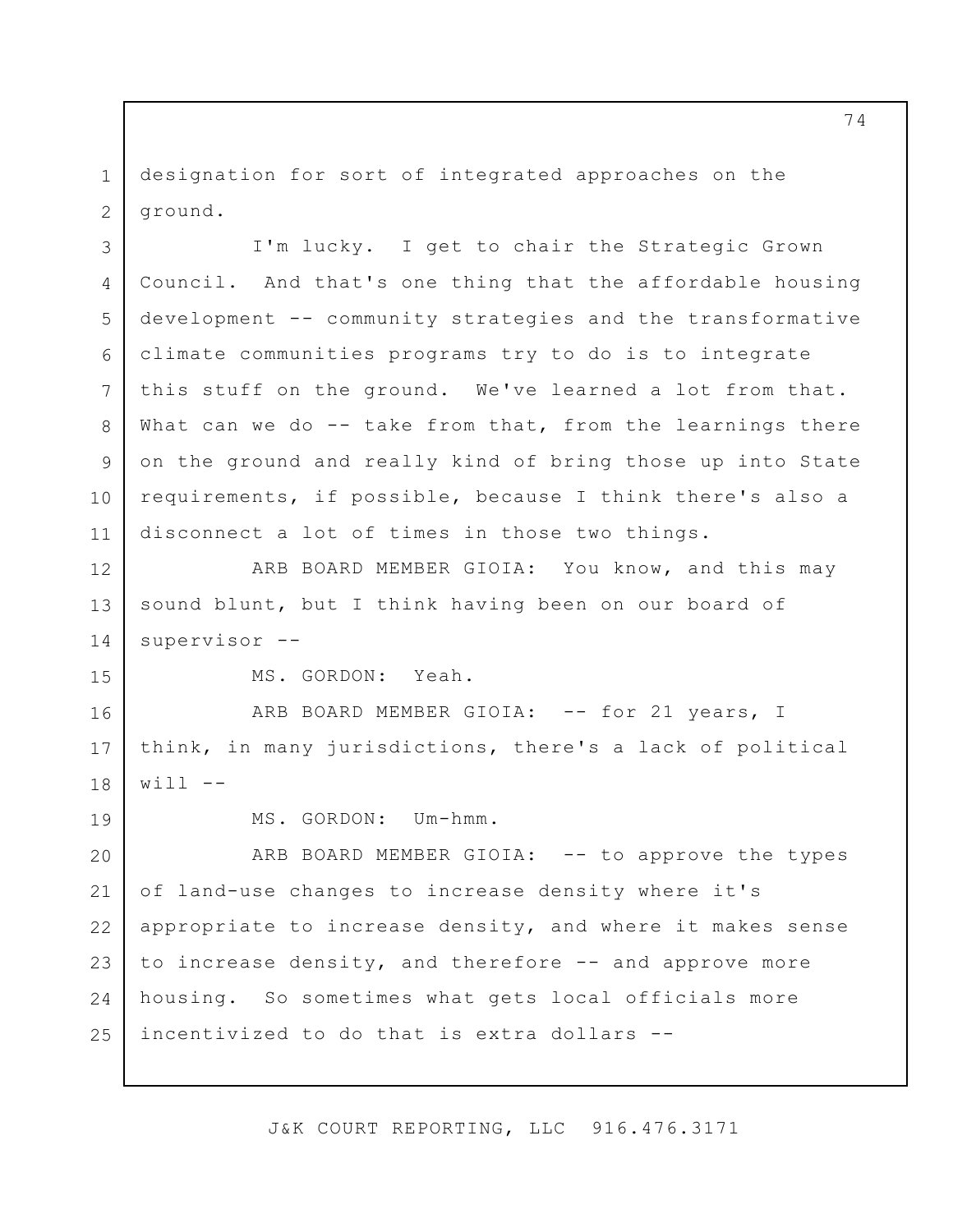1 2 designation for sort of integrated approaches on the ground.

3 4 5 6 7 8 9 10 11 I'm lucky. I get to chair the Strategic Grown Council. And that's one thing that the affordable housing development -- community strategies and the transformative climate communities programs try to do is to integrate this stuff on the ground. We've learned a lot from that. What can we do  $-$ - take from that, from the learnings there on the ground and really kind of bring those up into State requirements, if possible, because I think there's also a disconnect a lot of times in those two things.

12 13 14 ARB BOARD MEMBER GIOIA: You know, and this may sound blunt, but I think having been on our board of supervisor --

15

MS. GORDON: Yeah.

16 17 18 ARB BOARD MEMBER GIOIA: -- for 21 years, I think, in many jurisdictions, there's a lack of political  $will - -$ 

19

MS. GORDON: Um-hmm.

20 21 22 23 24 25 ARB BOARD MEMBER GIOIA: -- to approve the types of land-use changes to increase density where it's appropriate to increase density, and where it makes sense to increase density, and therefore -- and approve more housing. So sometimes what gets local officials more incentivized to do that is extra dollars --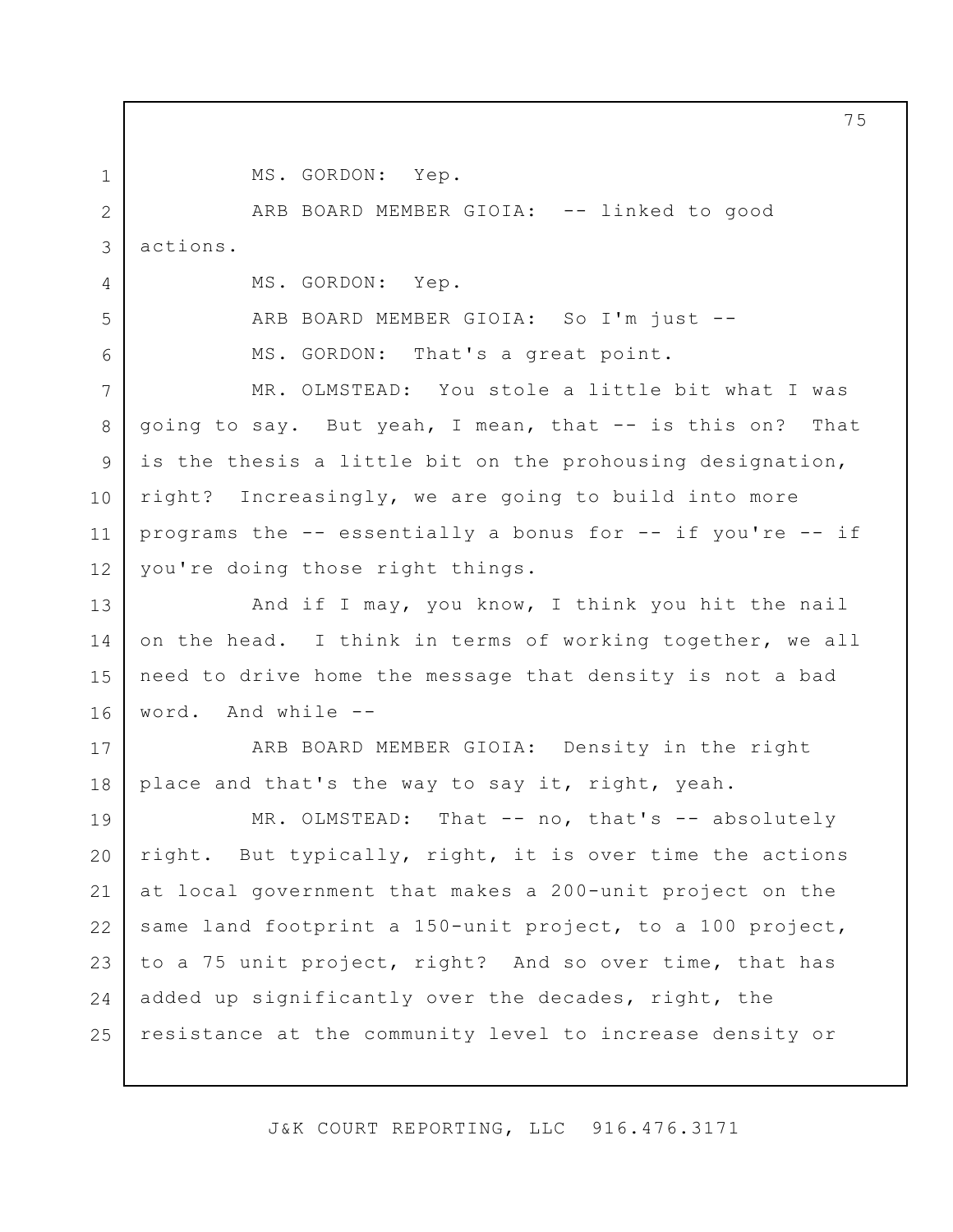1

4

5

6

MS. GORDON: Yep.

2 3 ARB BOARD MEMBER GIOIA: -- linked to good actions.

MS. GORDON: Yep.

ARB BOARD MEMBER GIOIA: So I'm just -- MS. GORDON: That's a great point.

7 8 9 10 11 12 MR. OLMSTEAD: You stole a little bit what I was going to say. But yeah, I mean, that -- is this on? That is the thesis a little bit on the prohousing designation, right? Increasingly, we are going to build into more programs the -- essentially a bonus for -- if you're -- if you're doing those right things.

13 14 15 16 And if I may, you know, I think you hit the nail on the head. I think in terms of working together, we all need to drive home the message that density is not a bad word. And while --

17 18 ARB BOARD MEMBER GIOIA: Density in the right place and that's the way to say it, right, yeah.

19 20 21 22 23 24 25 MR. OLMSTEAD: That -- no, that's -- absolutely right. But typically, right, it is over time the actions at local government that makes a 200-unit project on the same land footprint a 150-unit project, to a 100 project, to a 75 unit project, right? And so over time, that has added up significantly over the decades, right, the resistance at the community level to increase density or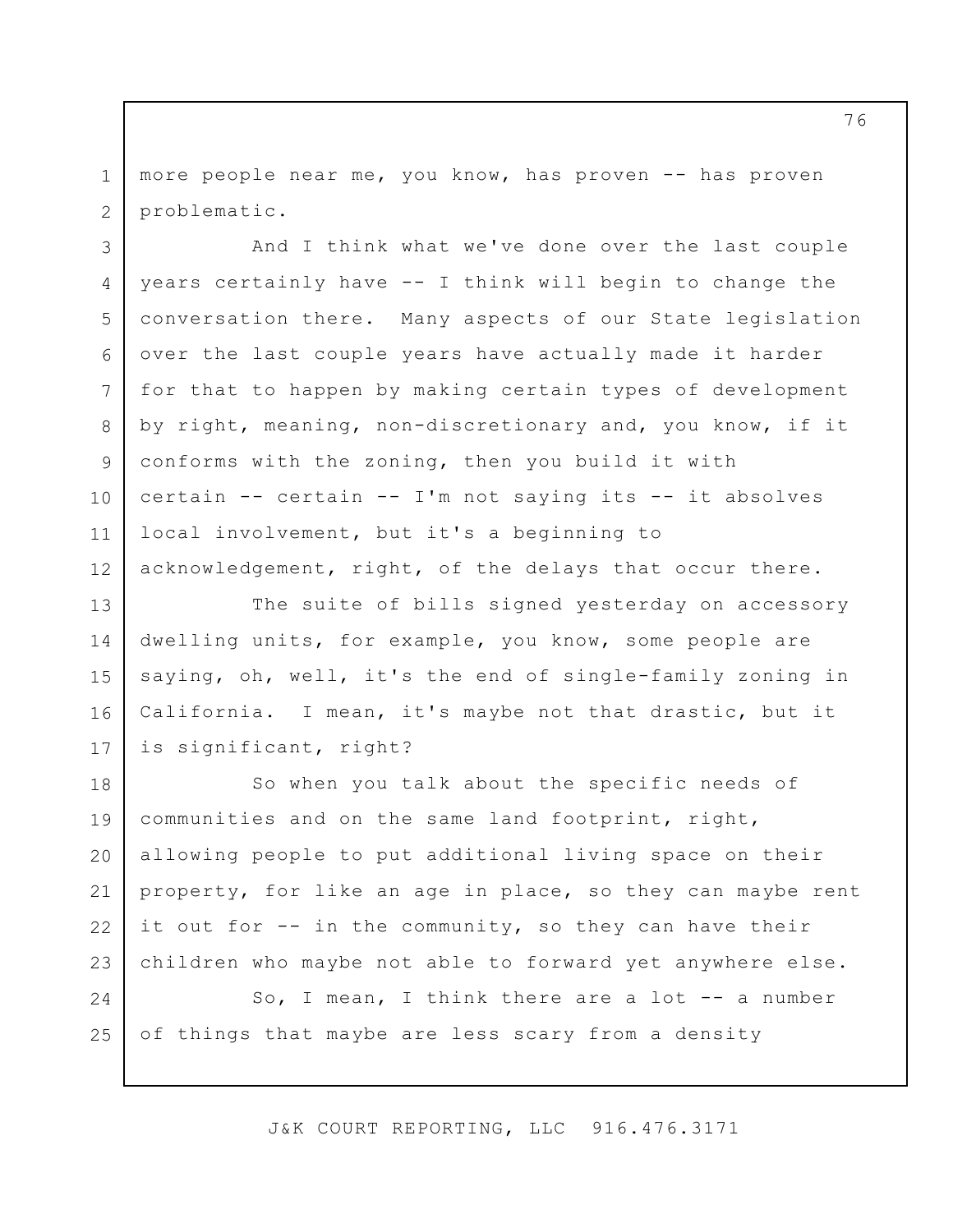1 2 more people near me, you know, has proven -- has proven problematic.

3 4 5 6 7 8 9 10 11 12 And I think what we've done over the last couple years certainly have -- I think will begin to change the conversation there. Many aspects of our State legislation over the last couple years have actually made it harder for that to happen by making certain types of development by right, meaning, non-discretionary and, you know, if it conforms with the zoning, then you build it with certain -- certain -- I'm not saying its -- it absolves local involvement, but it's a beginning to acknowledgement, right, of the delays that occur there.

13 14 15 16 17 The suite of bills signed yesterday on accessory dwelling units, for example, you know, some people are saying, oh, well, it's the end of single-family zoning in California. I mean, it's maybe not that drastic, but it is significant, right?

18 19 20 21 22 23 So when you talk about the specific needs of communities and on the same land footprint, right, allowing people to put additional living space on their property, for like an age in place, so they can maybe rent it out for -- in the community, so they can have their children who maybe not able to forward yet anywhere else.

24 25 So, I mean, I think there are a lot -- a number of things that maybe are less scary from a density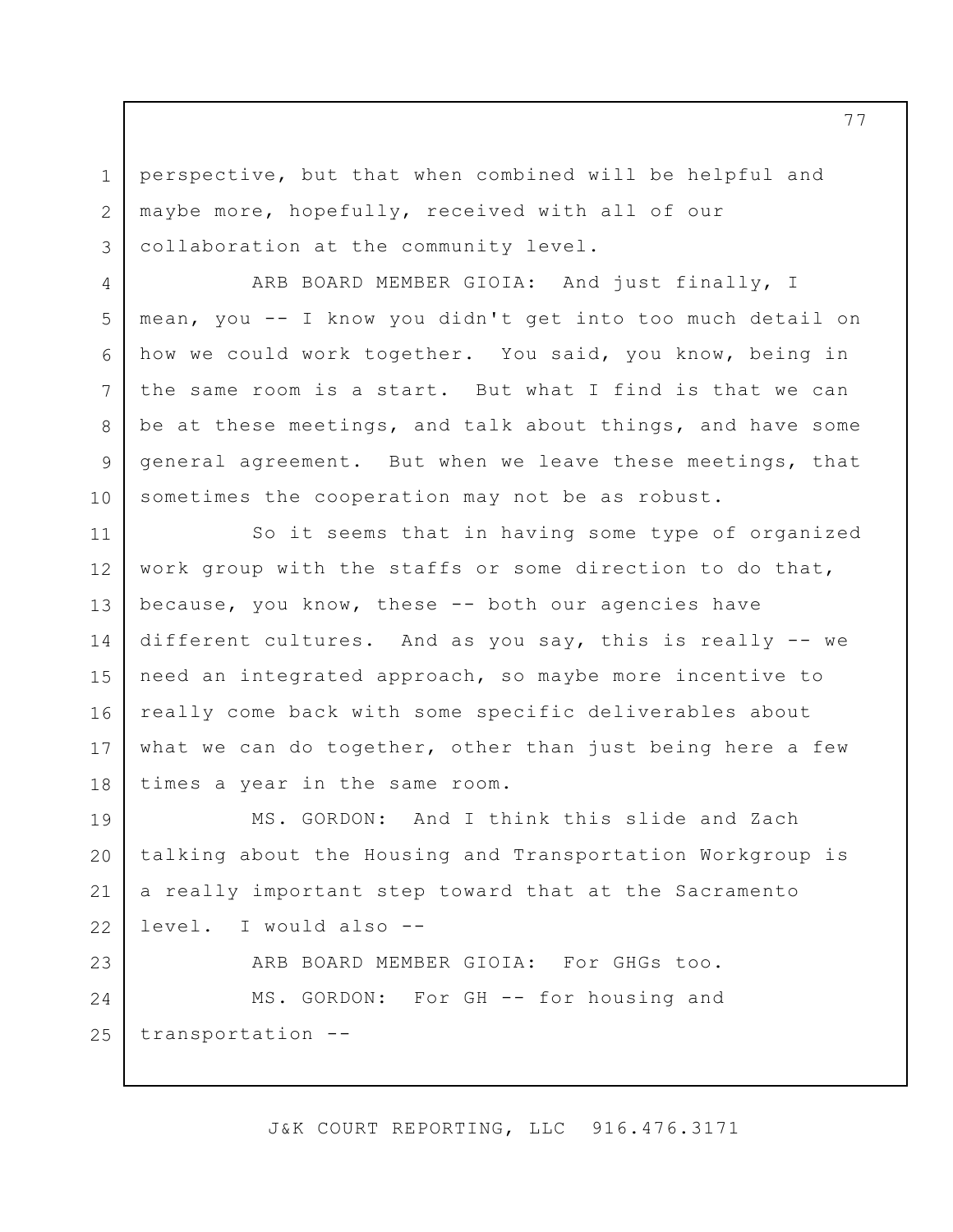1 2 3 perspective, but that when combined will be helpful and maybe more, hopefully, received with all of our collaboration at the community level.

4 5 6 7 8 9 10 ARB BOARD MEMBER GIOIA: And just finally, I mean, you -- I know you didn't get into too much detail on how we could work together. You said, you know, being in the same room is a start. But what I find is that we can be at these meetings, and talk about things, and have some general agreement. But when we leave these meetings, that sometimes the cooperation may not be as robust.

11 12 13 14 15 16 17 18 So it seems that in having some type of organized work group with the staffs or some direction to do that, because, you know, these -- both our agencies have different cultures. And as you say, this is really -- we need an integrated approach, so maybe more incentive to really come back with some specific deliverables about what we can do together, other than just being here a few times a year in the same room.

19 20 21 22 MS. GORDON: And I think this slide and Zach talking about the Housing and Transportation Workgroup is a really important step toward that at the Sacramento level. I would also --

23 24 25 ARB BOARD MEMBER GIOIA: For GHGs too. MS. GORDON: For GH -- for housing and transportation --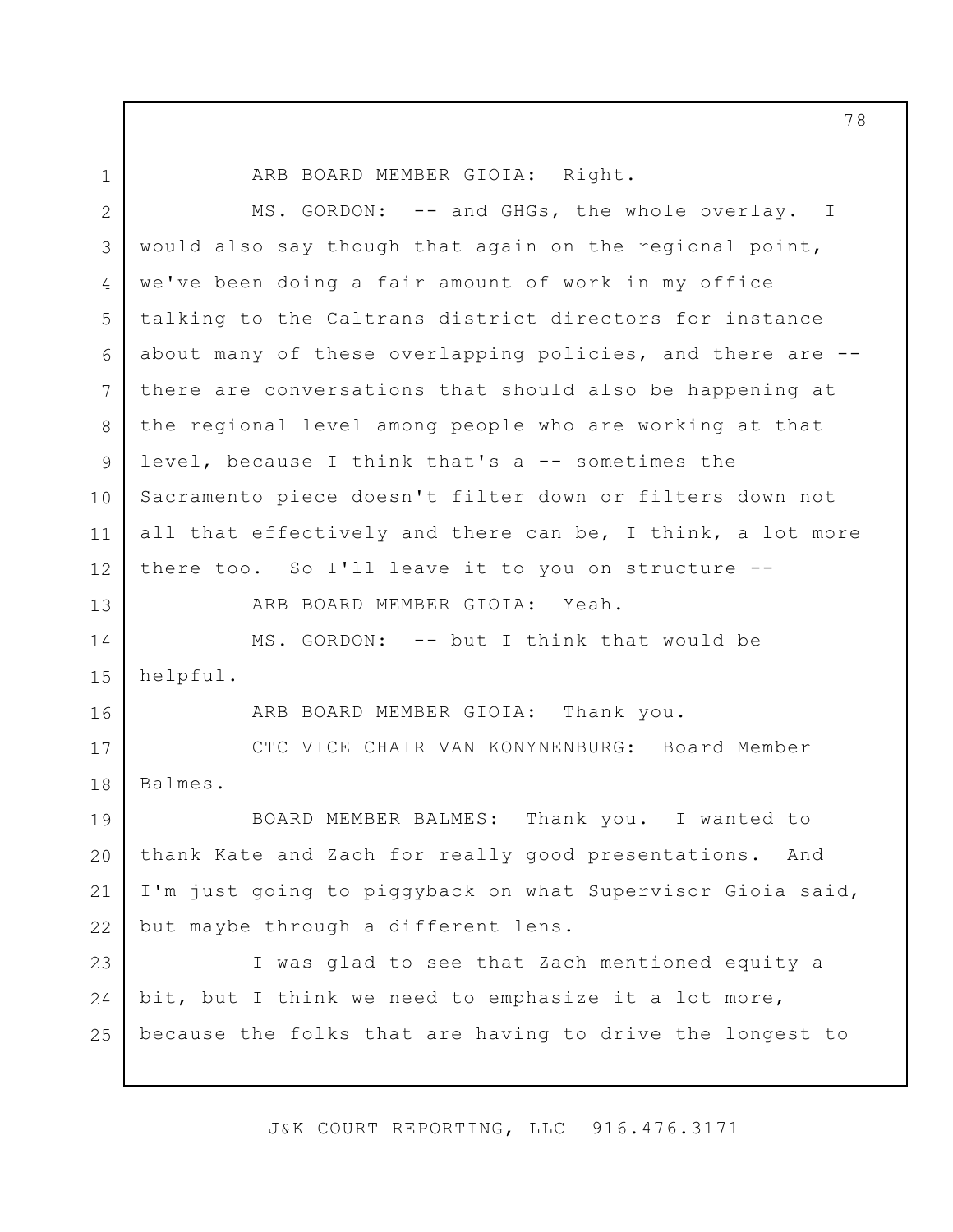1 2 3 4 5 6 7 8 9 10 11 12 13 14 15 16 17 18 19 20 21 22 23 24 25 I ARB BOARD MEMBER GIOIA: Right. MS. GORDON: -- and GHGs, the whole overlay. would also say though that again on the regional point, we've been doing a fair amount of work in my office talking to the Caltrans district directors for instance about many of these overlapping policies, and there are - there are conversations that should also be happening at the regional level among people who are working at that level, because I think that's a -- sometimes the Sacramento piece doesn't filter down or filters down not all that effectively and there can be, I think, a lot more there too. So I'll leave it to you on structure -- ARB BOARD MEMBER GIOIA: Yeah. MS. GORDON: -- but I think that would be helpful. ARB BOARD MEMBER GIOIA: Thank you. CTC VICE CHAIR VAN KONYNENBURG: Board Member Balmes. BOARD MEMBER BALMES: Thank you. I wanted to thank Kate and Zach for really good presentations. And I'm just going to piggyback on what Supervisor Gioia said, but maybe through a different lens. I was glad to see that Zach mentioned equity a bit, but I think we need to emphasize it a lot more, because the folks that are having to drive the longest to

J&K COURT REPORTING, LLC 916.476.3171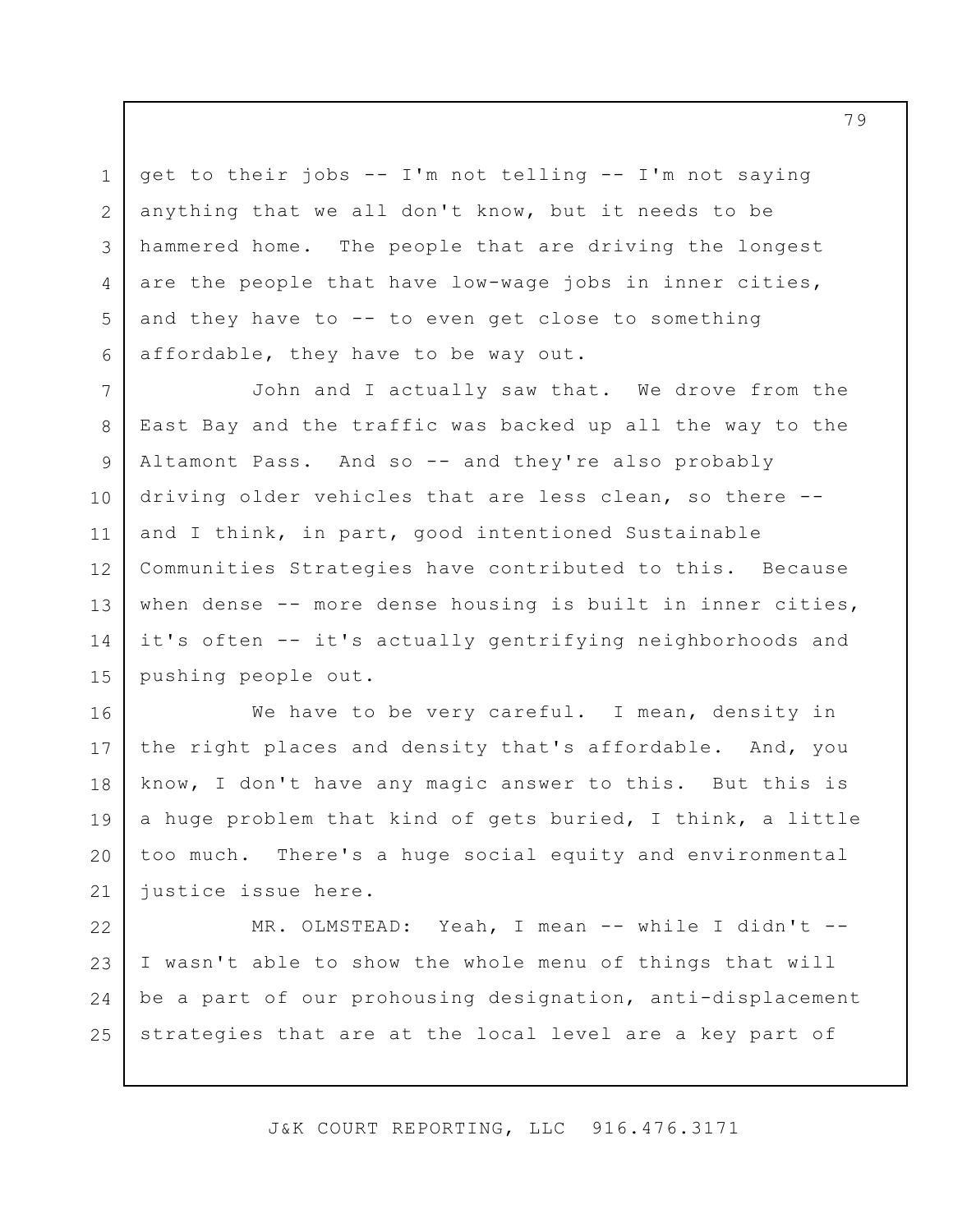get to their jobs -- I'm not telling -- I'm not saying anything that we all don't know, but it needs to be hammered home. The people that are driving the longest are the people that have low-wage jobs in inner cities, and they have to -- to even get close to something affordable, they have to be way out.

1

2

3

4

5

6

7 8 9 10 11 12 13 14 15 John and I actually saw that. We drove from the East Bay and the traffic was backed up all the way to the Altamont Pass. And so -- and they're also probably driving older vehicles that are less clean, so there - and I think, in part, good intentioned Sustainable Communities Strategies have contributed to this. Because when dense -- more dense housing is built in inner cities, it's often -- it's actually gentrifying neighborhoods and pushing people out.

16 17 18 19 20 21 We have to be very careful. I mean, density in the right places and density that's affordable. And, you know, I don't have any magic answer to this. But this is a huge problem that kind of gets buried, I think, a little too much. There's a huge social equity and environmental justice issue here.

22 23 24 25 MR. OLMSTEAD: Yeah, I mean -- while I didn't -- I wasn't able to show the whole menu of things that will be a part of our prohousing designation, anti-displacement strategies that are at the local level are a key part of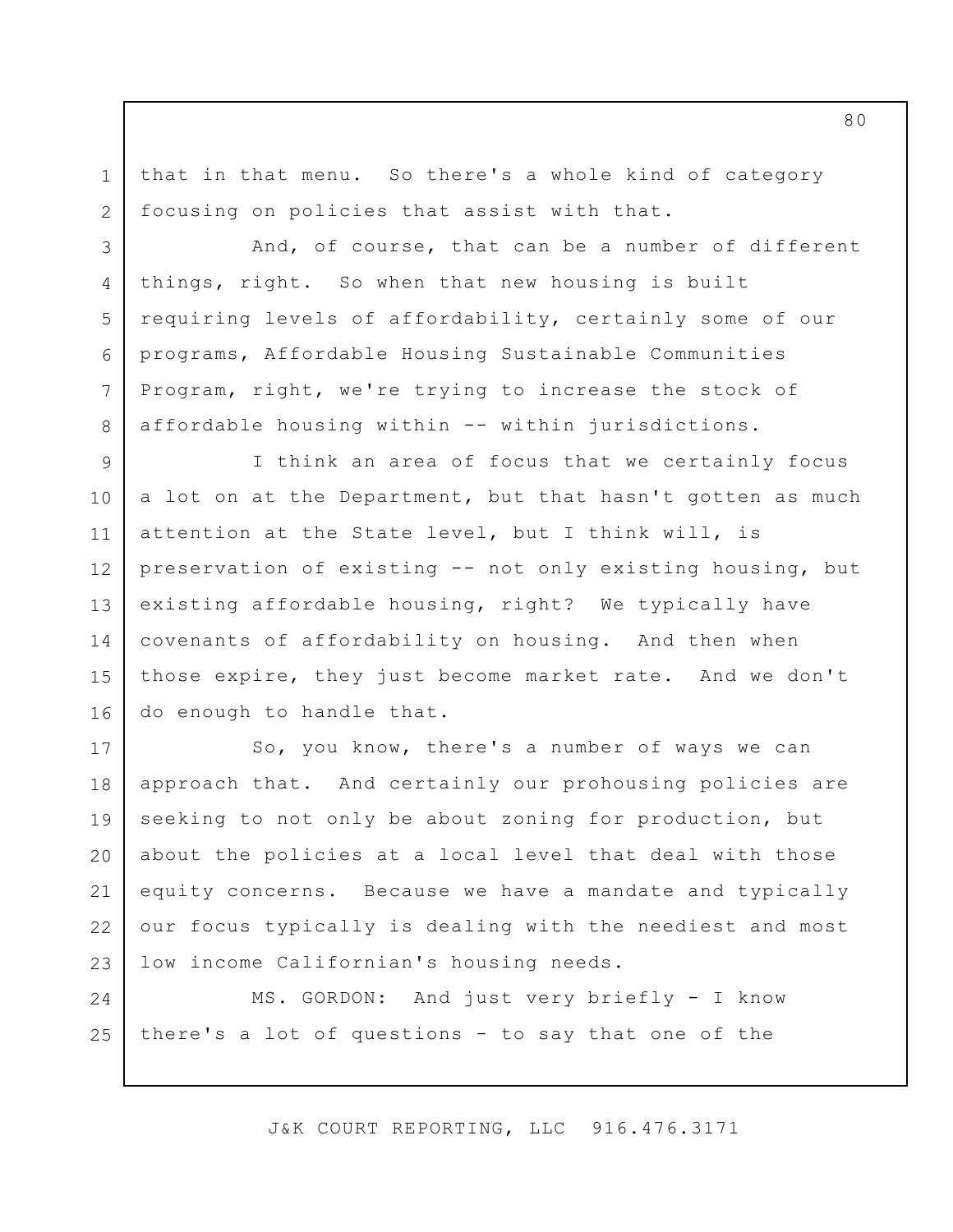that in that menu. So there's a whole kind of category focusing on policies that assist with that.

1

2

3

4

5

6

7

8

And, of course, that can be a number of different things, right. So when that new housing is built requiring levels of affordability, certainly some of our programs, Affordable Housing Sustainable Communities Program, right, we're trying to increase the stock of affordable housing within -- within jurisdictions.

9 10 11 12 13 14 15 16 I think an area of focus that we certainly focus a lot on at the Department, but that hasn't gotten as much attention at the State level, but I think will, is preservation of existing -- not only existing housing, but existing affordable housing, right? We typically have covenants of affordability on housing. And then when those expire, they just become market rate. And we don't do enough to handle that.

17 18 19 20 21 22 23 So, you know, there's a number of ways we can approach that. And certainly our prohousing policies are seeking to not only be about zoning for production, but about the policies at a local level that deal with those equity concerns. Because we have a mandate and typically our focus typically is dealing with the neediest and most low income Californian's housing needs.

24 25 MS. GORDON: And just very briefly - I know there's a lot of questions - to say that one of the

J&K COURT REPORTING, LLC 916.476.3171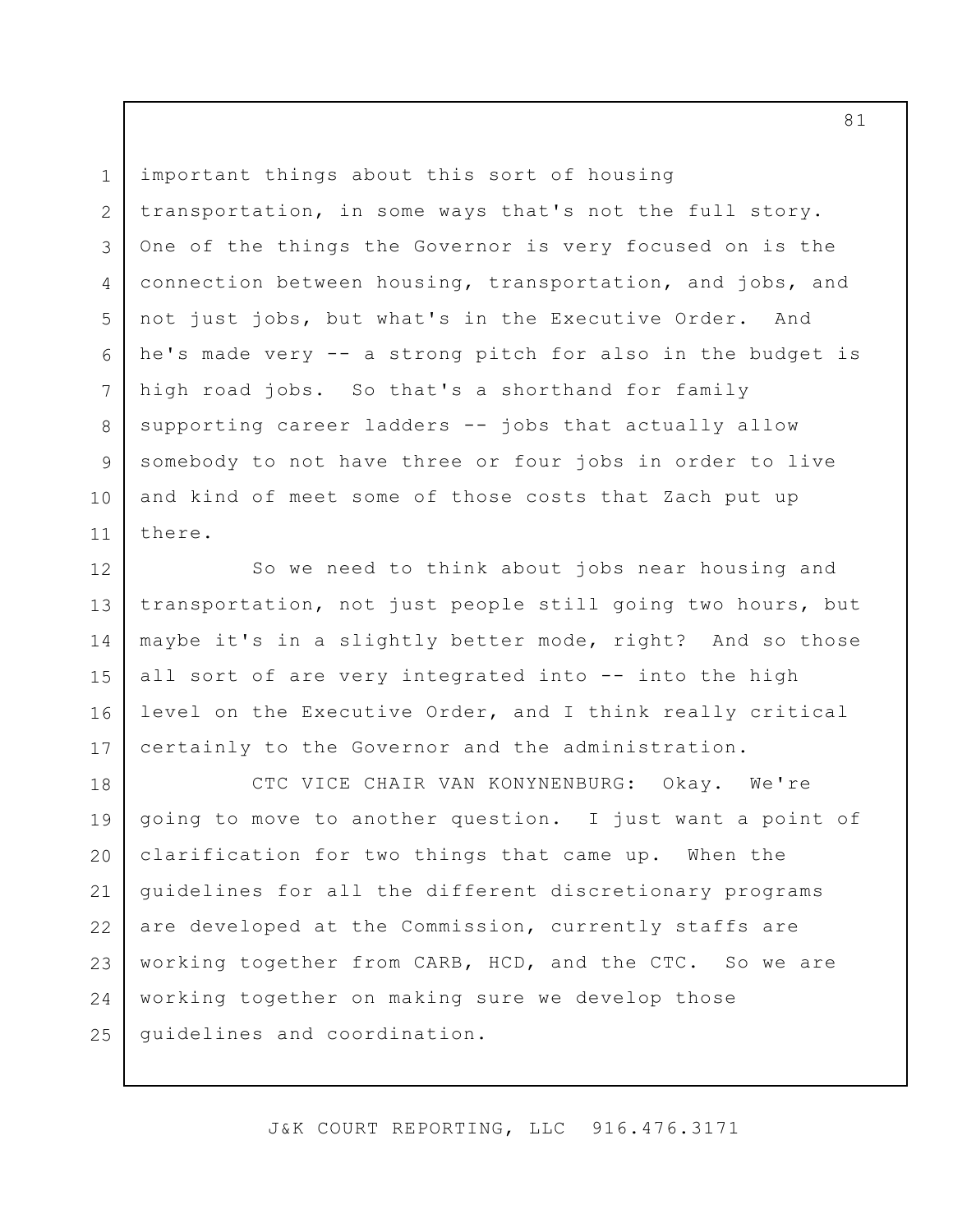1 2 3 4 5 6 7 8 9 10 11 important things about this sort of housing transportation, in some ways that's not the full story. One of the things the Governor is very focused on is the connection between housing, transportation, and jobs, and not just jobs, but what's in the Executive Order. And he's made very -- a strong pitch for also in the budget is high road jobs. So that's a shorthand for family supporting career ladders -- jobs that actually allow somebody to not have three or four jobs in order to live and kind of meet some of those costs that Zach put up there.

12 13 14 15 16 17 So we need to think about jobs near housing and transportation, not just people still going two hours, but maybe it's in a slightly better mode, right? And so those all sort of are very integrated into -- into the high level on the Executive Order, and I think really critical certainly to the Governor and the administration.

18 19 20 21 22 23 24 25 CTC VICE CHAIR VAN KONYNENBURG: Okay. We're going to move to another question. I just want a point of clarification for two things that came up. When the guidelines for all the different discretionary programs are developed at the Commission, currently staffs are working together from CARB, HCD, and the CTC. So we are working together on making sure we develop those guidelines and coordination.

J&K COURT REPORTING, LLC 916.476.3171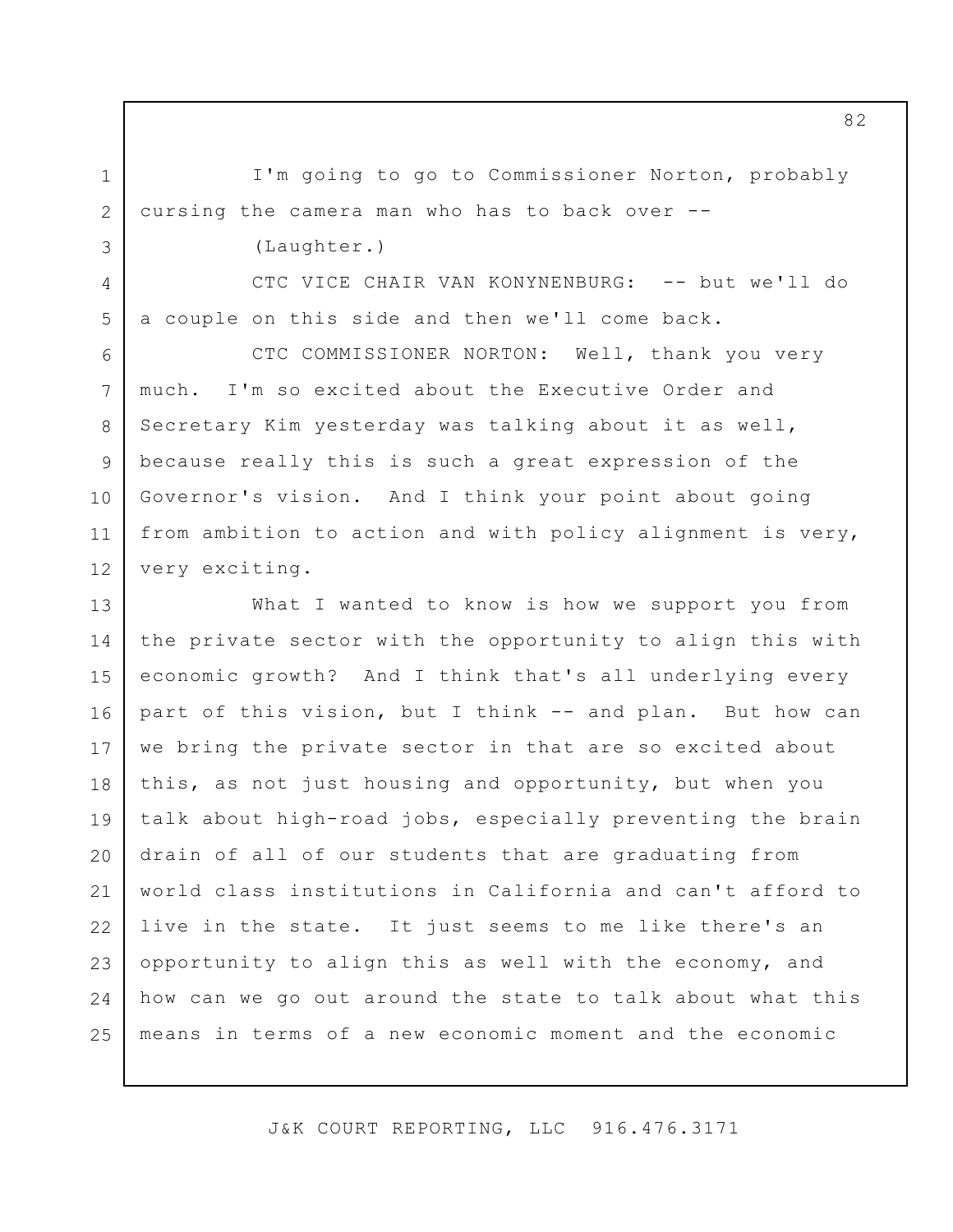I'm going to go to Commissioner Norton, probably cursing the camera man who has to back over --

(Laughter.)

1

2

3

4

5

7

8

9

10

11

12

CTC VICE CHAIR VAN KONYNENBURG: -- but we'll do a couple on this side and then we'll come back.

6 CTC COMMISSIONER NORTON: Well, thank you very much. I'm so excited about the Executive Order and Secretary Kim yesterday was talking about it as well, because really this is such a great expression of the Governor's vision. And I think your point about going from ambition to action and with policy alignment is very, very exciting.

13 14 15 16 17 18 19 20 21 22 23 24 25 What I wanted to know is how we support you from the private sector with the opportunity to align this with economic growth? And I think that's all underlying every part of this vision, but I think -- and plan. But how can we bring the private sector in that are so excited about this, as not just housing and opportunity, but when you talk about high-road jobs, especially preventing the brain drain of all of our students that are graduating from world class institutions in California and can't afford to live in the state. It just seems to me like there's an opportunity to align this as well with the economy, and how can we go out around the state to talk about what this means in terms of a new economic moment and the economic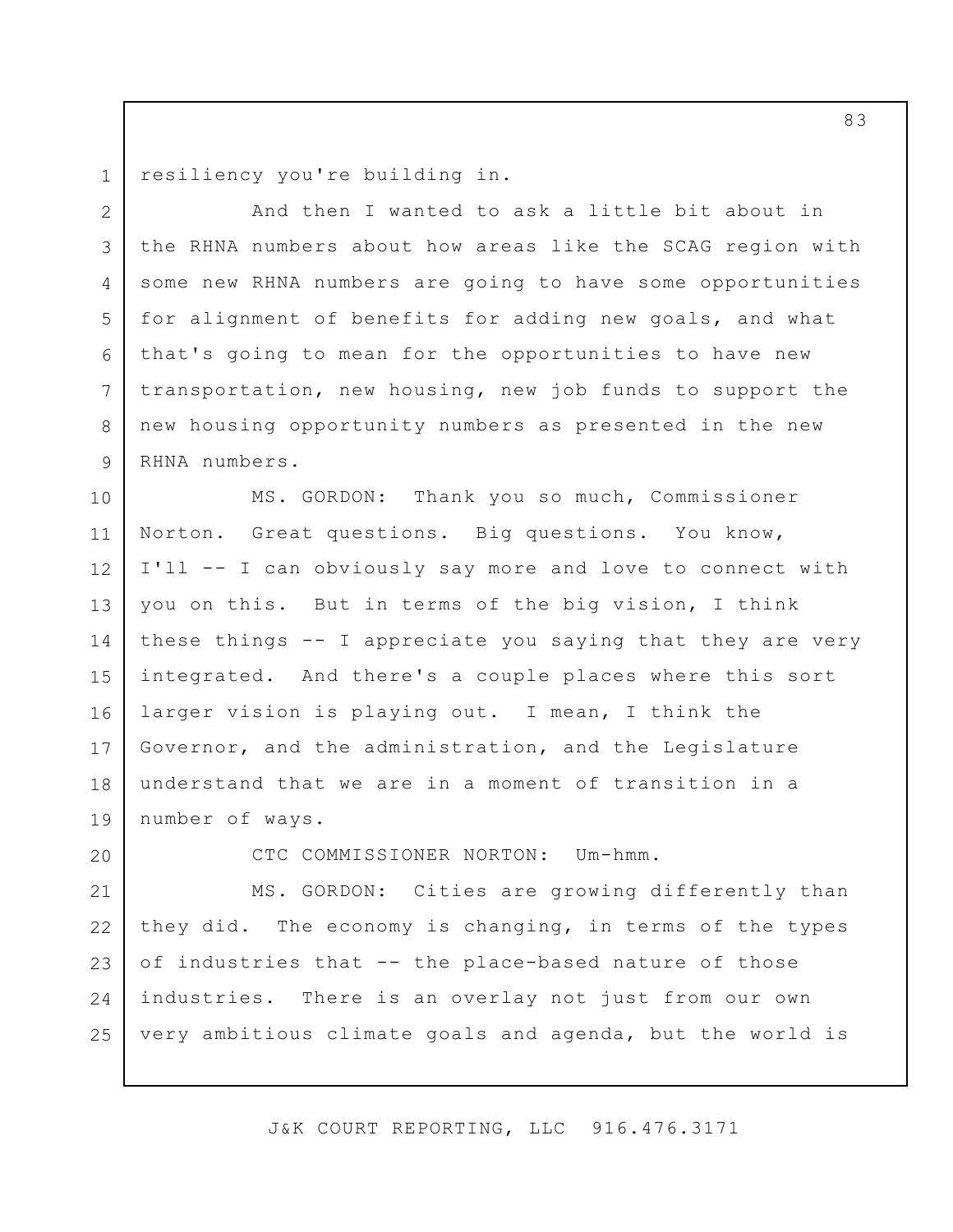1 resiliency you're building in.

2 3 4 5 6 7 8 9 And then I wanted to ask a little bit about in the RHNA numbers about how areas like the SCAG region with some new RHNA numbers are going to have some opportunities for alignment of benefits for adding new goals, and what that's going to mean for the opportunities to have new transportation, new housing, new job funds to support the new housing opportunity numbers as presented in the new RHNA numbers.

10 11 12 13 14 15 16 17 18 19 MS. GORDON: Thank you so much, Commissioner Norton. Great questions. Big questions. You know, I'll -- I can obviously say more and love to connect with you on this. But in terms of the big vision, I think these things -- I appreciate you saying that they are very integrated. And there's a couple places where this sort larger vision is playing out. I mean, I think the Governor, and the administration, and the Legislature understand that we are in a moment of transition in a number of ways.

20

CTC COMMISSIONER NORTON: Um-hmm.

21 22 23 24 25 MS. GORDON: Cities are growing differently than they did. The economy is changing, in terms of the types of industries that -- the place-based nature of those industries. There is an overlay not just from our own very ambitious climate goals and agenda, but the world is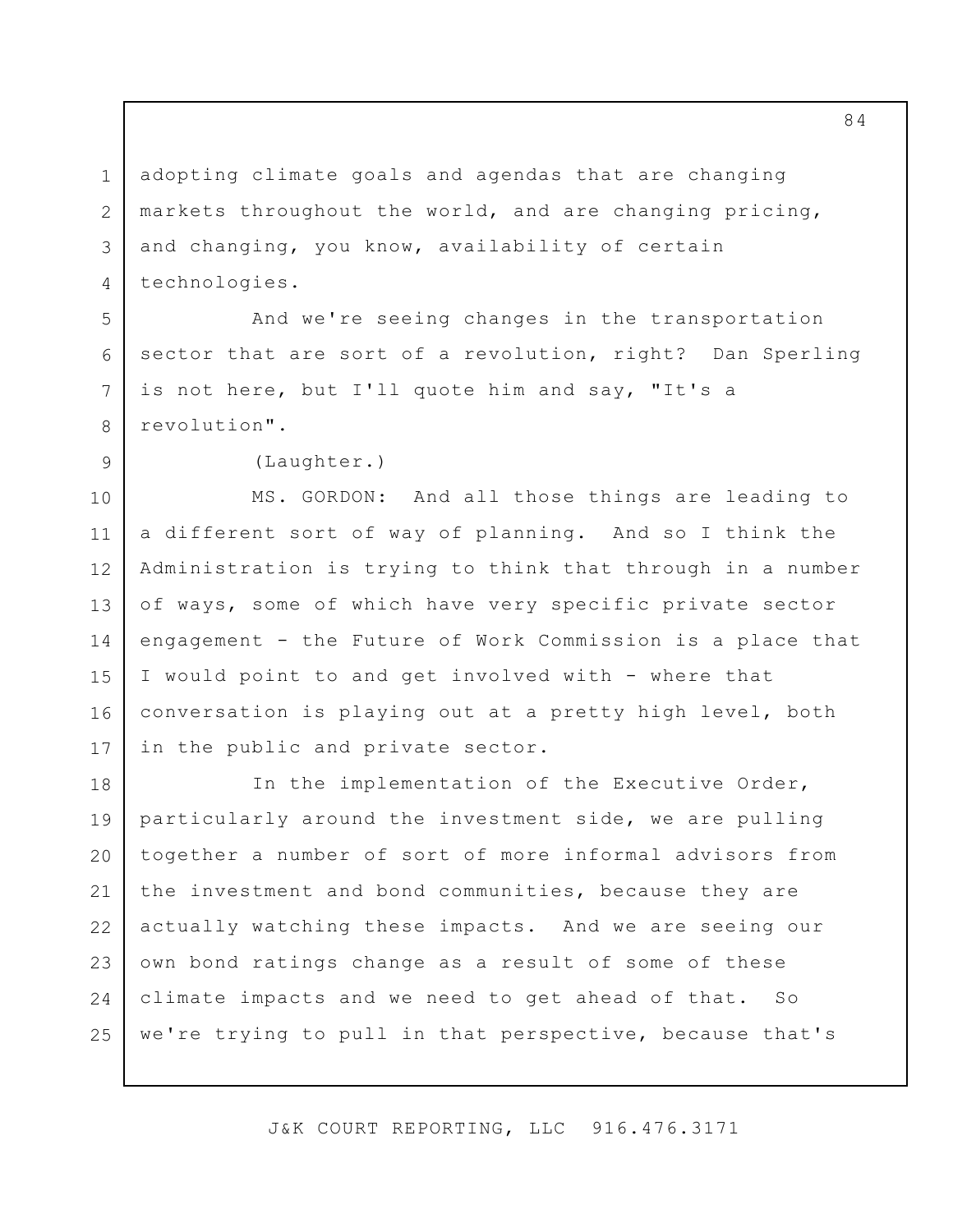1 2 3 4 adopting climate goals and agendas that are changing markets throughout the world, and are changing pricing, and changing, you know, availability of certain technologies.

And we're seeing changes in the transportation sector that are sort of a revolution, right? Dan Sperling is not here, but I'll quote him and say, "It's a revolution".

(Laughter.)

5

6

7

8

9

10 11 12 13 14 15 16 17 MS. GORDON: And all those things are leading to a different sort of way of planning. And so I think the Administration is trying to think that through in a number of ways, some of which have very specific private sector engagement - the Future of Work Commission is a place that I would point to and get involved with - where that conversation is playing out at a pretty high level, both in the public and private sector.

18 19 20 21 22 23 24 25 In the implementation of the Executive Order, particularly around the investment side, we are pulling together a number of sort of more informal advisors from the investment and bond communities, because they are actually watching these impacts. And we are seeing our own bond ratings change as a result of some of these climate impacts and we need to get ahead of that. So we're trying to pull in that perspective, because that's

J&K COURT REPORTING, LLC 916.476.3171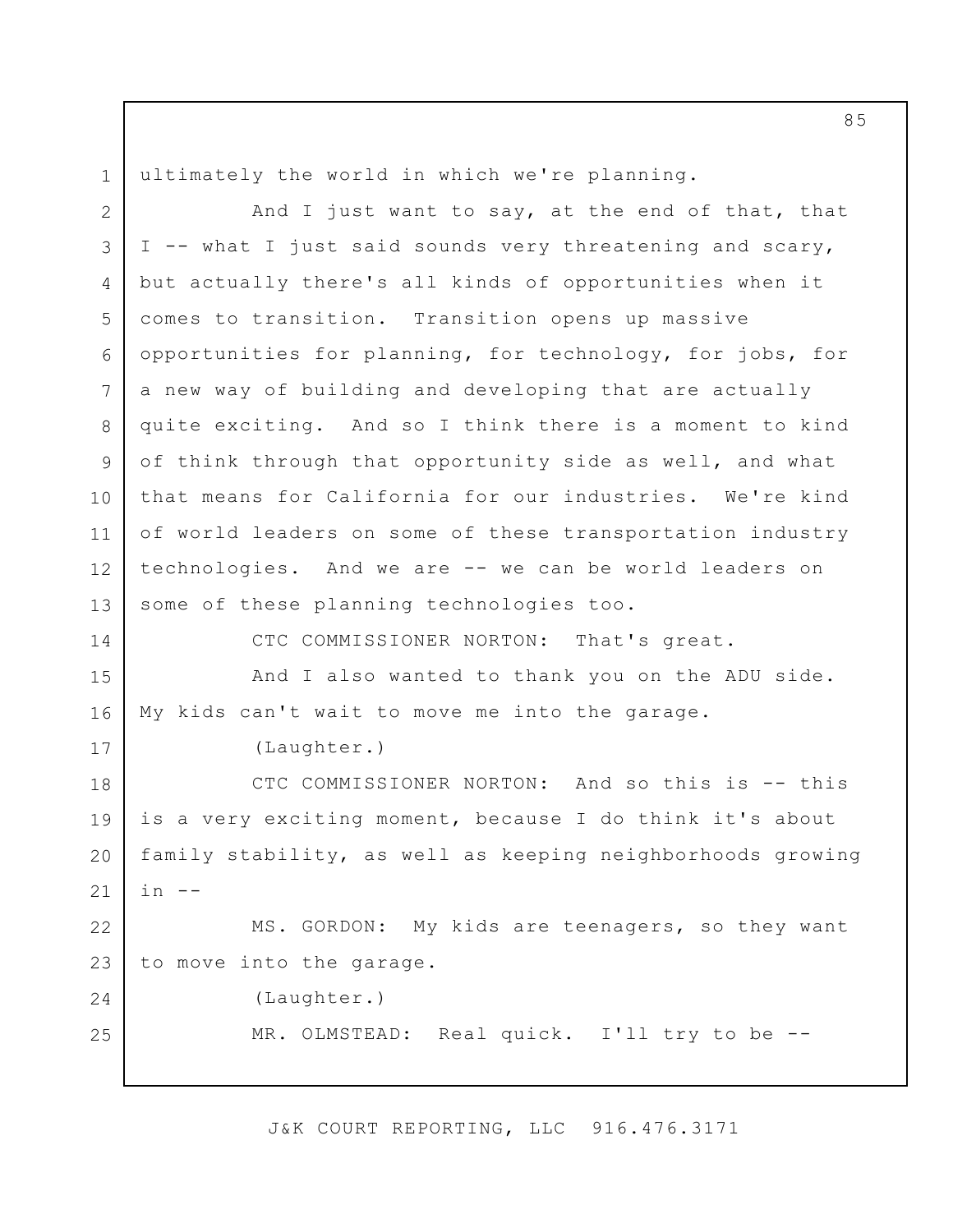ultimately the world in which we're planning.

1

2 3 4 5 6 7 8 9 10 11 12 13 14 15 16 17 18 19 20 21 22 23 24 25 And I just want to say, at the end of that, that I -- what I just said sounds very threatening and scary, but actually there's all kinds of opportunities when it comes to transition. Transition opens up massive opportunities for planning, for technology, for jobs, for a new way of building and developing that are actually quite exciting. And so I think there is a moment to kind of think through that opportunity side as well, and what that means for California for our industries. We're kind of world leaders on some of these transportation industry technologies. And we are -- we can be world leaders on some of these planning technologies too. CTC COMMISSIONER NORTON: That's great. And I also wanted to thank you on the ADU side. My kids can't wait to move me into the garage. (Laughter.) CTC COMMISSIONER NORTON: And so this is -- this is a very exciting moment, because I do think it's about family stability, as well as keeping neighborhoods growing  $in$   $--$ MS. GORDON: My kids are teenagers, so they want to move into the garage. (Laughter.) MR. OLMSTEAD: Real quick. I'll try to be --

J&K COURT REPORTING, LLC 916.476.3171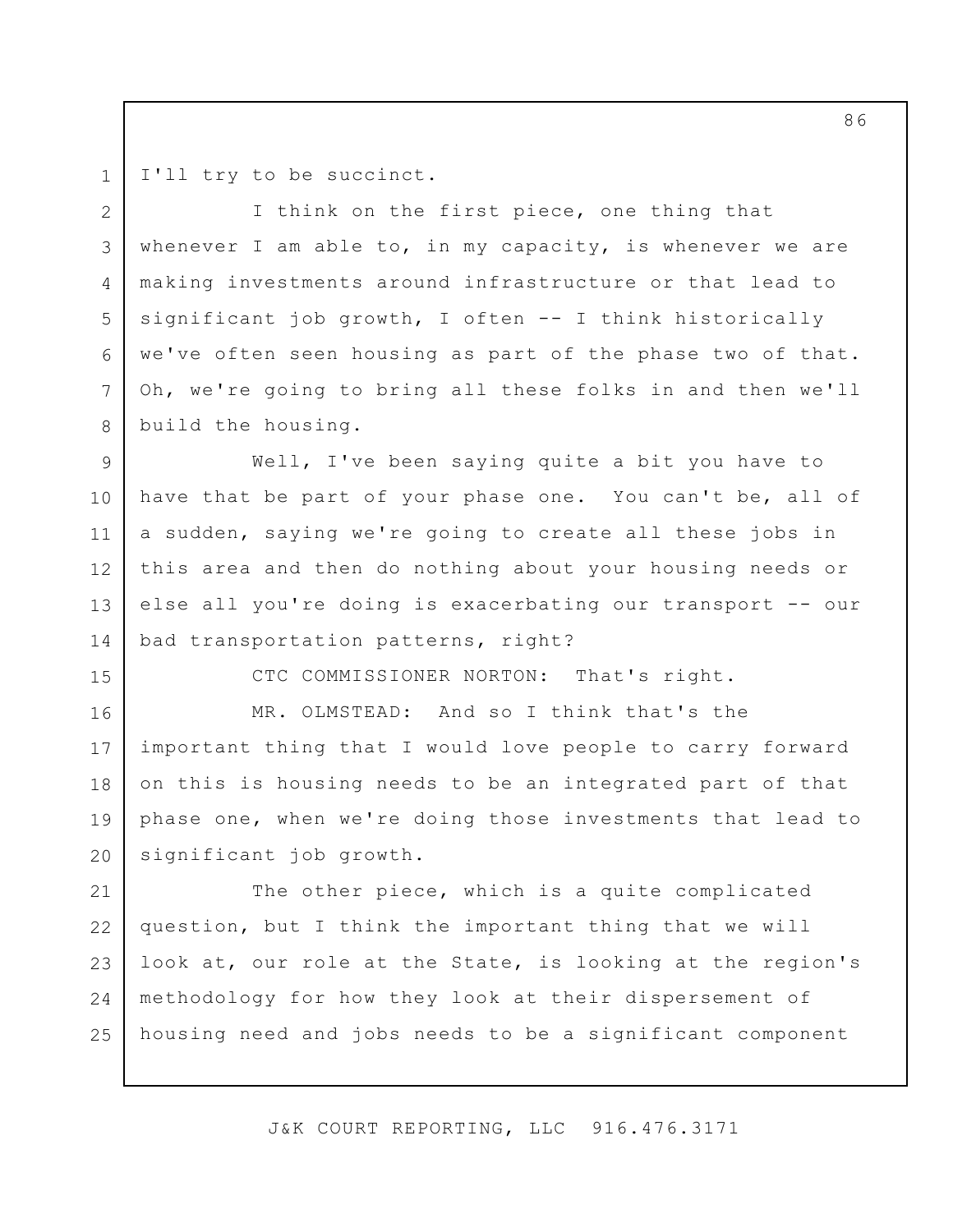1 2

7

8

I'll try to be succinct.

3 4 5 6 I think on the first piece, one thing that whenever I am able to, in my capacity, is whenever we are making investments around infrastructure or that lead to significant job growth, I often -- I think historically we've often seen housing as part of the phase two of that. Oh, we're going to bring all these folks in and then we'll build the housing.

9 10 11 12 13 14 Well, I've been saying quite a bit you have to have that be part of your phase one. You can't be, all of a sudden, saying we're going to create all these jobs in this area and then do nothing about your housing needs or else all you're doing is exacerbating our transport -- our bad transportation patterns, right?

15

CTC COMMISSIONER NORTON: That's right.

16 17 18 19 20 MR. OLMSTEAD: And so I think that's the important thing that I would love people to carry forward on this is housing needs to be an integrated part of that phase one, when we're doing those investments that lead to significant job growth.

21 22 23 24 25 The other piece, which is a quite complicated question, but I think the important thing that we will look at, our role at the State, is looking at the region's methodology for how they look at their dispersement of housing need and jobs needs to be a significant component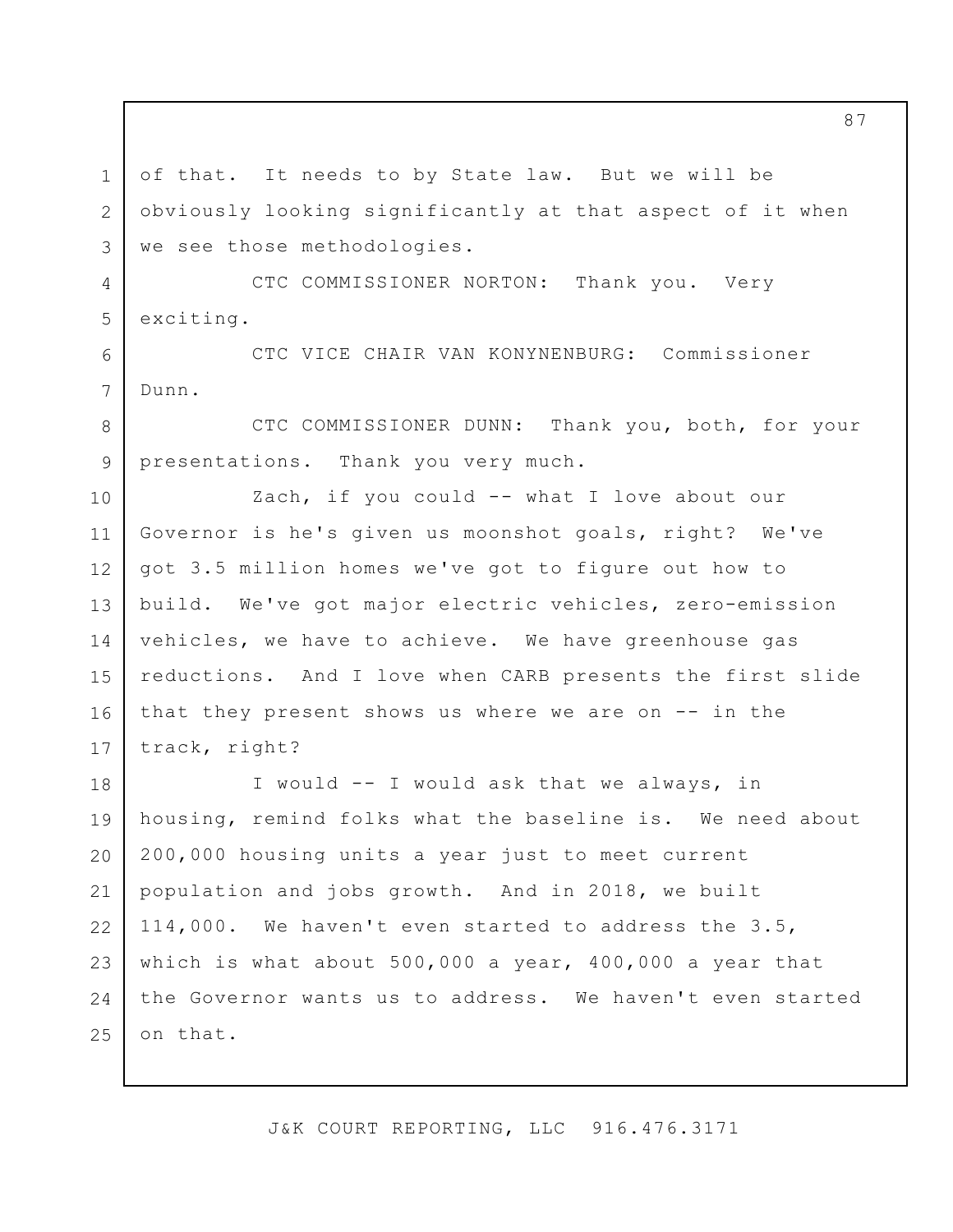3 of that. It needs to by State law. But we will be obviously looking significantly at that aspect of it when we see those methodologies.

4 5 CTC COMMISSIONER NORTON: Thank you. Very exciting.

1

2

6

7

CTC VICE CHAIR VAN KONYNENBURG: Commissioner Dunn.

8 9 CTC COMMISSIONER DUNN: Thank you, both, for your presentations. Thank you very much.

10 11 12 13 14 15 16 17 Zach, if you could -- what I love about our Governor is he's given us moonshot goals, right? We've got 3.5 million homes we've got to figure out how to build. We've got major electric vehicles, zero-emission vehicles, we have to achieve. We have greenhouse gas reductions. And I love when CARB presents the first slide that they present shows us where we are on -- in the track, right?

18 19 20 21 22 23 24 25 I would -- I would ask that we always, in housing, remind folks what the baseline is. We need about 200,000 housing units a year just to meet current population and jobs growth. And in 2018, we built 114,000. We haven't even started to address the 3.5, which is what about 500,000 a year, 400,000 a year that the Governor wants us to address. We haven't even started on that.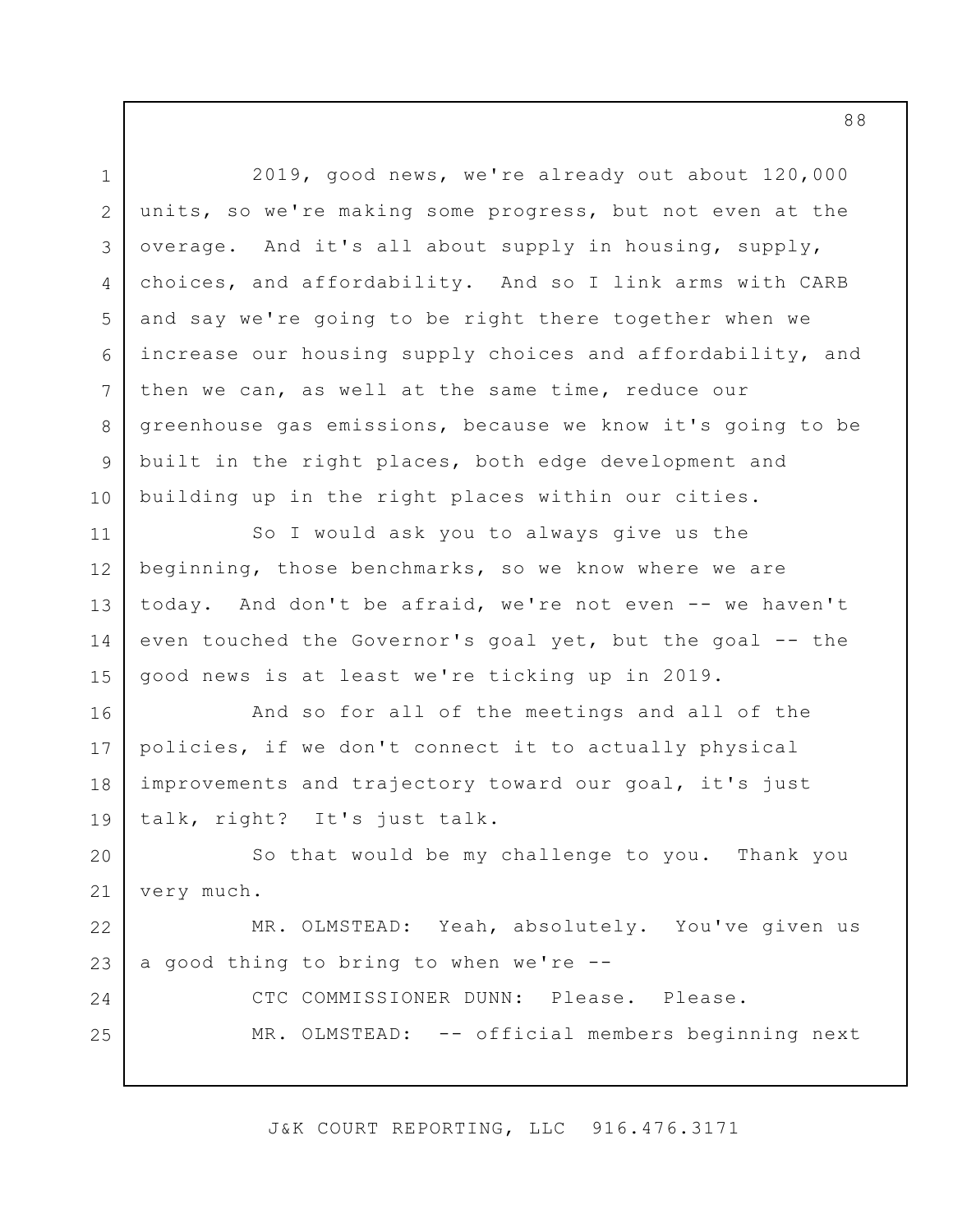1 2 3 4 5 6 7 8 9 10 11 12 13 14 15 16 17 18 19 20 21 22 23 24 25 2019, good news, we're already out about 120,000 units, so we're making some progress, but not even at the overage. And it's all about supply in housing, supply, choices, and affordability. And so I link arms with CARB and say we're going to be right there together when we increase our housing supply choices and affordability, and then we can, as well at the same time, reduce our greenhouse gas emissions, because we know it's going to be built in the right places, both edge development and building up in the right places within our cities. So I would ask you to always give us the beginning, those benchmarks, so we know where we are today. And don't be afraid, we're not even -- we haven't even touched the Governor's goal yet, but the goal -- the good news is at least we're ticking up in 2019. And so for all of the meetings and all of the policies, if we don't connect it to actually physical improvements and trajectory toward our goal, it's just talk, right? It's just talk. So that would be my challenge to you. Thank you very much. MR. OLMSTEAD: Yeah, absolutely. You've given us a good thing to bring to when we're -- CTC COMMISSIONER DUNN: Please. Please. MR. OLMSTEAD: -- official members beginning next

J&K COURT REPORTING, LLC 916.476.3171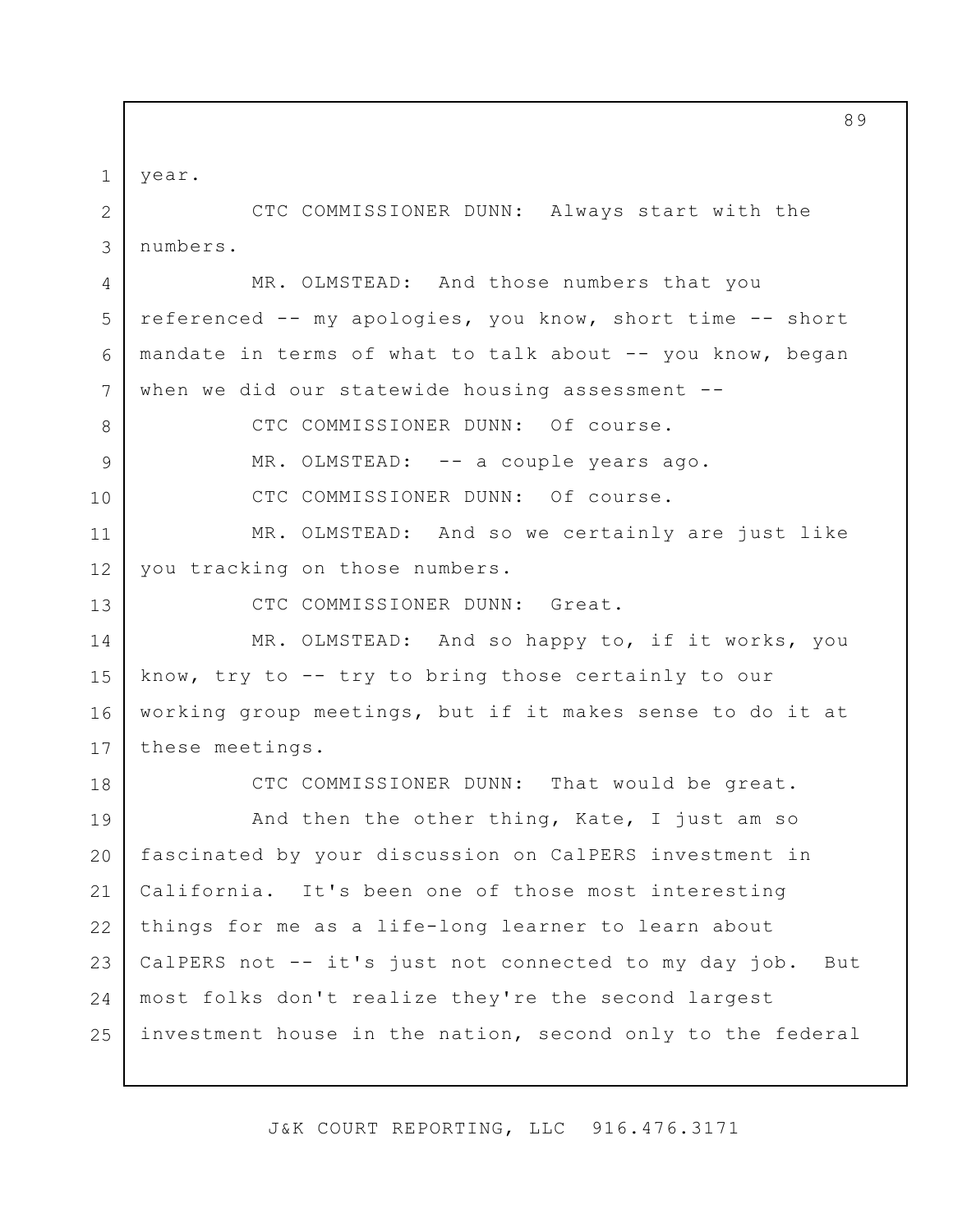1 year.

8

9

10

13

18

2 3 CTC COMMISSIONER DUNN: Always start with the numbers.

4 5 6 7 MR. OLMSTEAD: And those numbers that you referenced -- my apologies, you know, short time -- short mandate in terms of what to talk about -- you know, began when we did our statewide housing assessment --

> CTC COMMISSIONER DUNN: Of course. MR. OLMSTEAD: -- a couple years ago.

CTC COMMISSIONER DUNN: Of course.

11 12 MR. OLMSTEAD: And so we certainly are just like you tracking on those numbers.

CTC COMMISSIONER DUNN: Great.

14 15 16 17 MR. OLMSTEAD: And so happy to, if it works, you know, try to -- try to bring those certainly to our working group meetings, but if it makes sense to do it at these meetings.

CTC COMMISSIONER DUNN: That would be great.

19 20 21 22 23 24 25 And then the other thing, Kate, I just am so fascinated by your discussion on CalPERS investment in California. It's been one of those most interesting things for me as a life-long learner to learn about CalPERS not -- it's just not connected to my day job. But most folks don't realize they're the second largest investment house in the nation, second only to the federal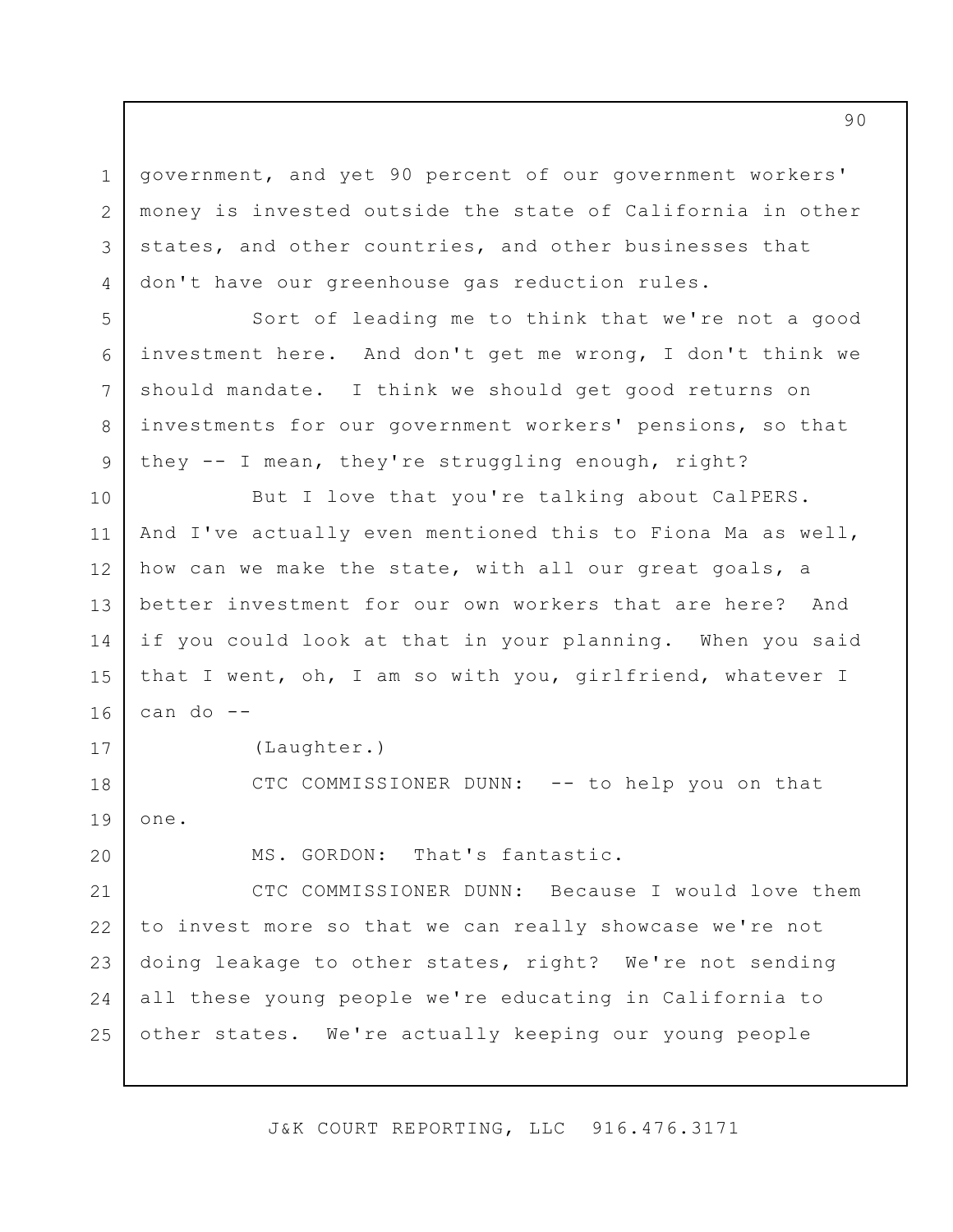3 government, and yet 90 percent of our government workers' money is invested outside the state of California in other states, and other countries, and other businesses that don't have our greenhouse gas reduction rules.

6 7 Sort of leading me to think that we're not a good investment here. And don't get me wrong, I don't think we should mandate. I think we should get good returns on investments for our government workers' pensions, so that they -- I mean, they're struggling enough, right?

10 11 12 13 14 15 16 But I love that you're talking about CalPERS. And I've actually even mentioned this to Fiona Ma as well, how can we make the state, with all our great goals, a better investment for our own workers that are here? And if you could look at that in your planning. When you said that I went, oh, I am so with you, girlfriend, whatever I can do --

17

20

1

2

4

5

8

9

(Laughter.)

18 19 CTC COMMISSIONER DUNN: -- to help you on that one.

MS. GORDON: That's fantastic.

21 22 23 24 25 CTC COMMISSIONER DUNN: Because I would love them to invest more so that we can really showcase we're not doing leakage to other states, right? We're not sending all these young people we're educating in California to other states. We're actually keeping our young people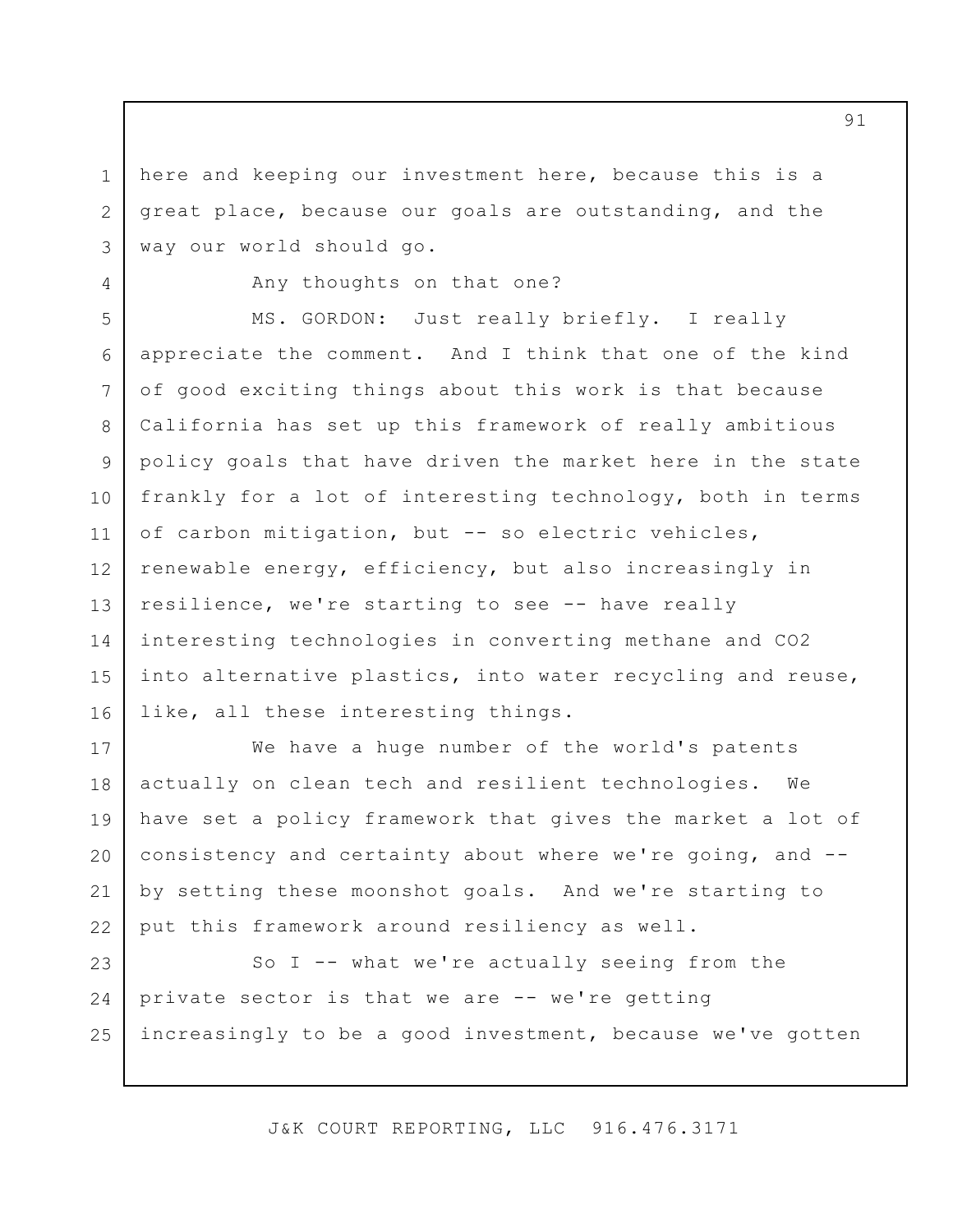here and keeping our investment here, because this is a great place, because our goals are outstanding, and the way our world should go.

1

2

3

4

Any thoughts on that one?

5 6 7 8 9 10 11 12 13 14 15 16 MS. GORDON: Just really briefly. I really appreciate the comment. And I think that one of the kind of good exciting things about this work is that because California has set up this framework of really ambitious policy goals that have driven the market here in the state frankly for a lot of interesting technology, both in terms of carbon mitigation, but -- so electric vehicles, renewable energy, efficiency, but also increasingly in resilience, we're starting to see -- have really interesting technologies in converting methane and CO2 into alternative plastics, into water recycling and reuse, like, all these interesting things.

17 18 19 20 21 22 We have a huge number of the world's patents actually on clean tech and resilient technologies. We have set a policy framework that gives the market a lot of consistency and certainty about where we're going, and - by setting these moonshot goals. And we're starting to put this framework around resiliency as well.

23 24 25 So I -- what we're actually seeing from the private sector is that we are -- we're getting increasingly to be a good investment, because we've gotten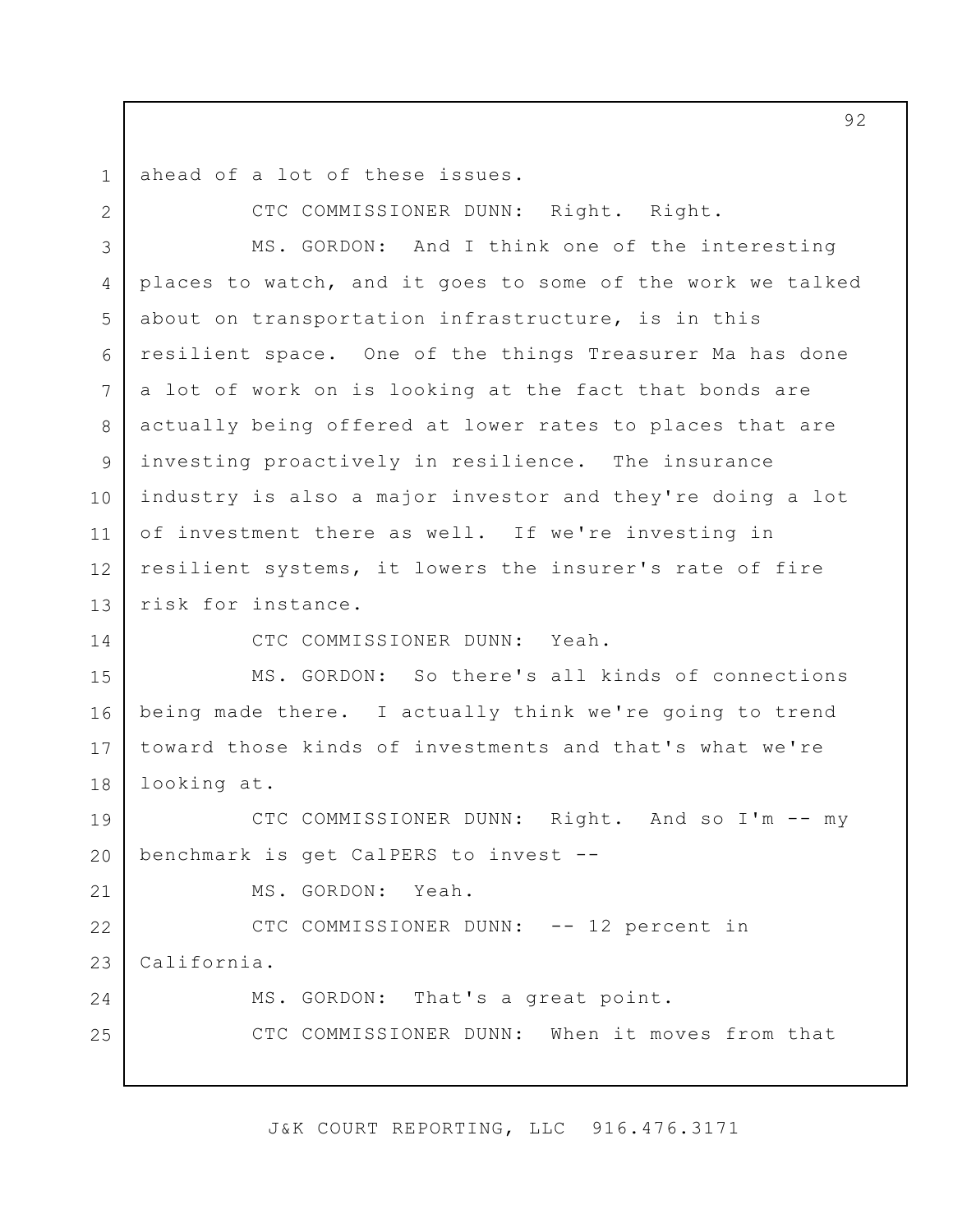1 ahead of a lot of these issues.

2

CTC COMMISSIONER DUNN: Right. Right.

3 4 5 6 7 8 9 10 11 12 13 MS. GORDON: And I think one of the interesting places to watch, and it goes to some of the work we talked about on transportation infrastructure, is in this resilient space. One of the things Treasurer Ma has done a lot of work on is looking at the fact that bonds are actually being offered at lower rates to places that are investing proactively in resilience. The insurance industry is also a major investor and they're doing a lot of investment there as well. If we're investing in resilient systems, it lowers the insurer's rate of fire risk for instance.

14

21

CTC COMMISSIONER DUNN: Yeah.

15 16 17 18 MS. GORDON: So there's all kinds of connections being made there. I actually think we're going to trend toward those kinds of investments and that's what we're looking at.

19 20 CTC COMMISSIONER DUNN: Right. And so I'm -- my benchmark is get CalPERS to invest --

MS. GORDON: Yeah.

22 23 24 25 CTC COMMISSIONER DUNN: -- 12 percent in California. MS. GORDON: That's a great point. CTC COMMISSIONER DUNN: When it moves from that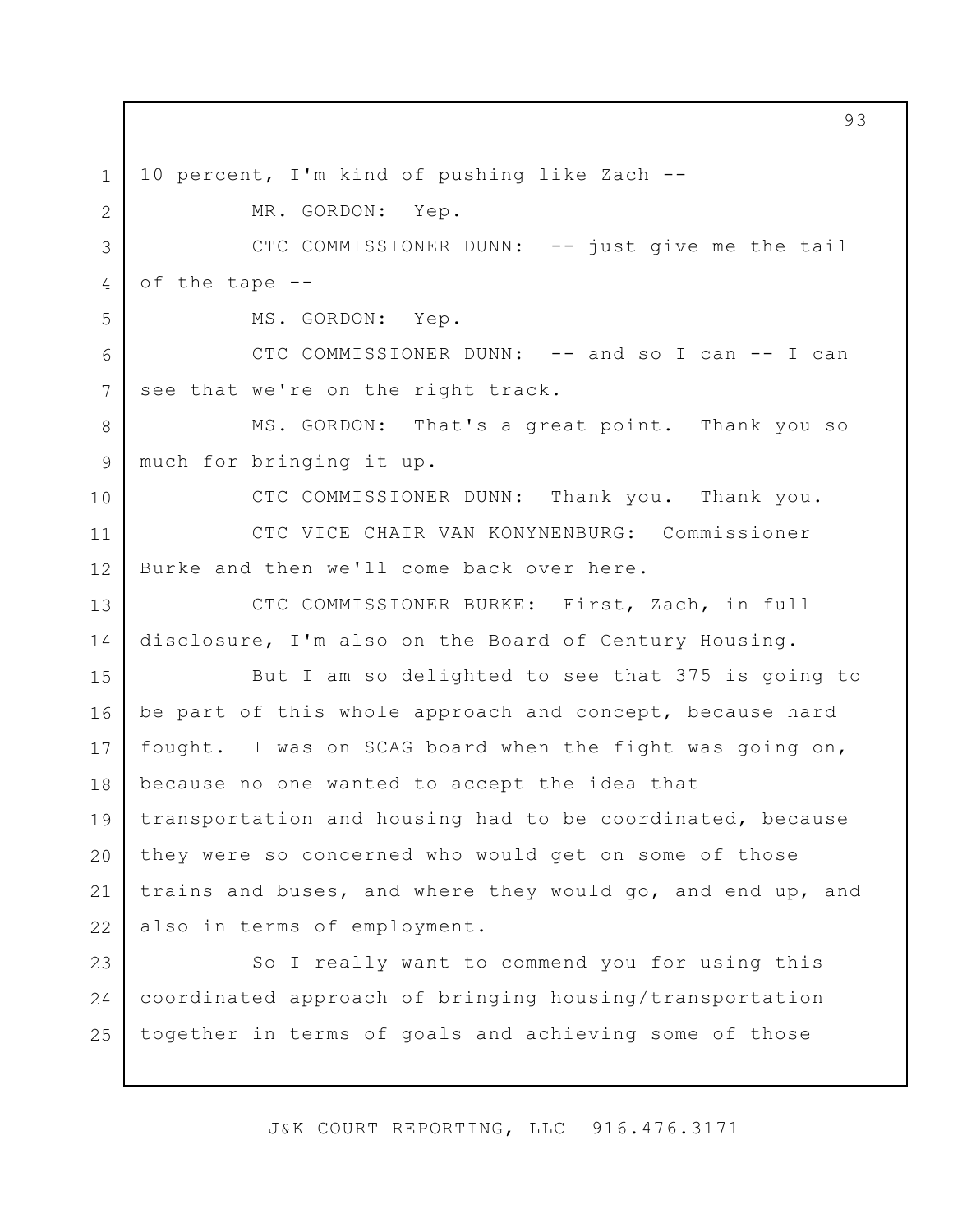1 2 3 4 5 6 7 8 9 10 11 12 13 14 15 16 17 18 19 20 21 22 23 24 25 10 percent, I'm kind of pushing like Zach -- MR. GORDON: Yep. CTC COMMISSIONER DUNN: -- just give me the tail of the tape -- MS. GORDON: Yep. CTC COMMISSIONER DUNN: -- and so I can -- I can see that we're on the right track. MS. GORDON: That's a great point. Thank you so much for bringing it up. CTC COMMISSIONER DUNN: Thank you. Thank you. CTC VICE CHAIR VAN KONYNENBURG: Commissioner Burke and then we'll come back over here. CTC COMMISSIONER BURKE: First, Zach, in full disclosure, I'm also on the Board of Century Housing. But I am so delighted to see that 375 is going to be part of this whole approach and concept, because hard fought. I was on SCAG board when the fight was going on, because no one wanted to accept the idea that transportation and housing had to be coordinated, because they were so concerned who would get on some of those trains and buses, and where they would go, and end up, and also in terms of employment. So I really want to commend you for using this coordinated approach of bringing housing/transportation together in terms of goals and achieving some of those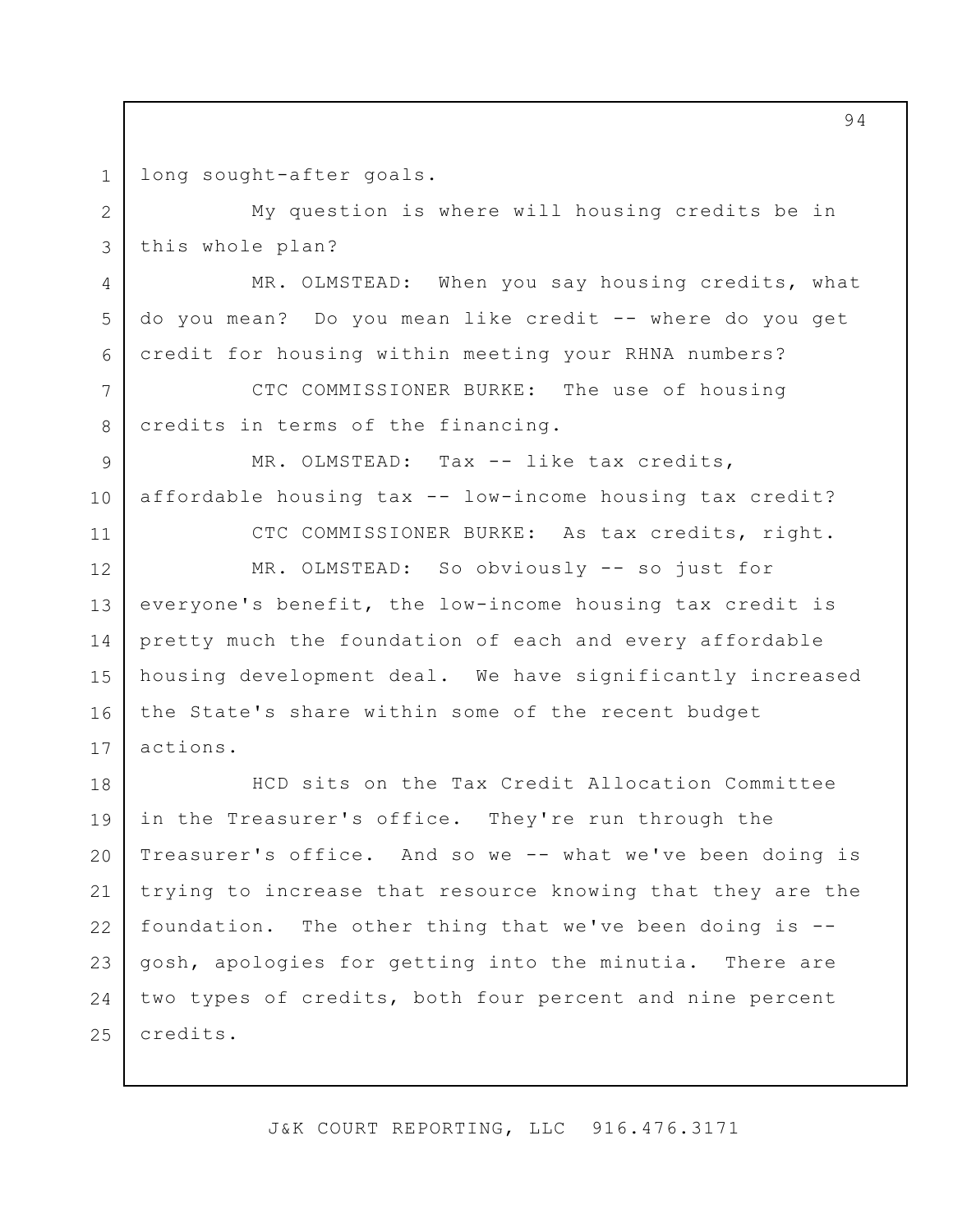1 long sought-after goals.

4

5

6

11

12

14

15

2 3 My question is where will housing credits be in this whole plan?

MR. OLMSTEAD: When you say housing credits, what do you mean? Do you mean like credit -- where do you get credit for housing within meeting your RHNA numbers?

7 8 CTC COMMISSIONER BURKE: The use of housing credits in terms of the financing.

9 10 MR. OLMSTEAD: Tax -- like tax credits, affordable housing tax -- low-income housing tax credit?

> CTC COMMISSIONER BURKE: As tax credits, right. MR. OLMSTEAD: So obviously -- so just for

13 16 17 everyone's benefit, the low-income housing tax credit is pretty much the foundation of each and every affordable housing development deal. We have significantly increased the State's share within some of the recent budget actions.

18 19 20 21 22 23 24 25 HCD sits on the Tax Credit Allocation Committee in the Treasurer's office. They're run through the Treasurer's office. And so we -- what we've been doing is trying to increase that resource knowing that they are the foundation. The other thing that we've been doing is - gosh, apologies for getting into the minutia. There are two types of credits, both four percent and nine percent credits.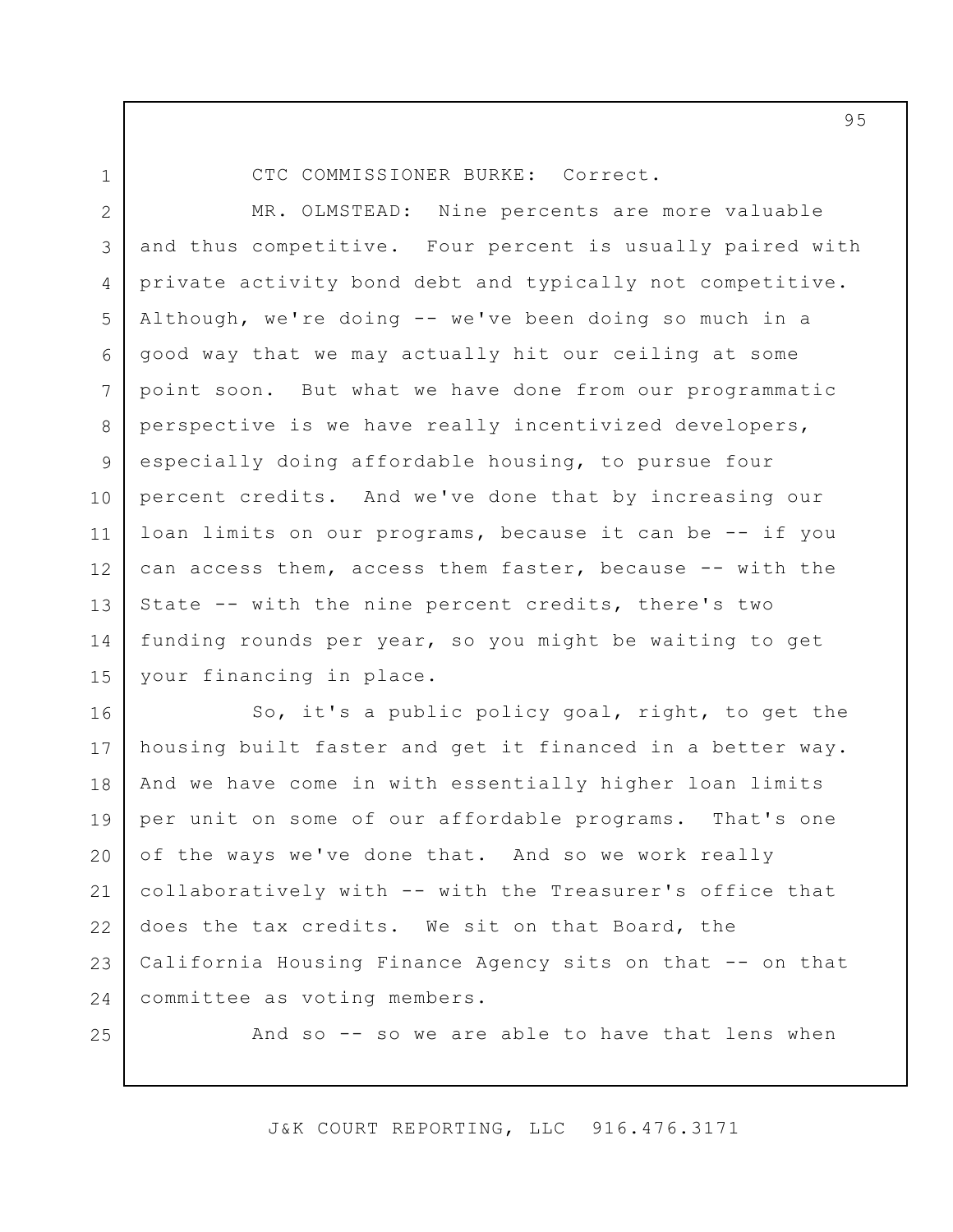1

CTC COMMISSIONER BURKE: Correct.

2 3 4 5 6 7 8 9 10 11 12 13 14 15 MR. OLMSTEAD: Nine percents are more valuable and thus competitive. Four percent is usually paired with private activity bond debt and typically not competitive. Although, we're doing -- we've been doing so much in a good way that we may actually hit our ceiling at some point soon. But what we have done from our programmatic perspective is we have really incentivized developers, especially doing affordable housing, to pursue four percent credits. And we've done that by increasing our loan limits on our programs, because it can be -- if you can access them, access them faster, because -- with the State -- with the nine percent credits, there's two funding rounds per year, so you might be waiting to get your financing in place.

16 17 18 19 20 21 22 23 24 So, it's a public policy goal, right, to get the housing built faster and get it financed in a better way. And we have come in with essentially higher loan limits per unit on some of our affordable programs. That's one of the ways we've done that. And so we work really collaboratively with -- with the Treasurer's office that does the tax credits. We sit on that Board, the California Housing Finance Agency sits on that -- on that committee as voting members.

25

And so -- so we are able to have that lens when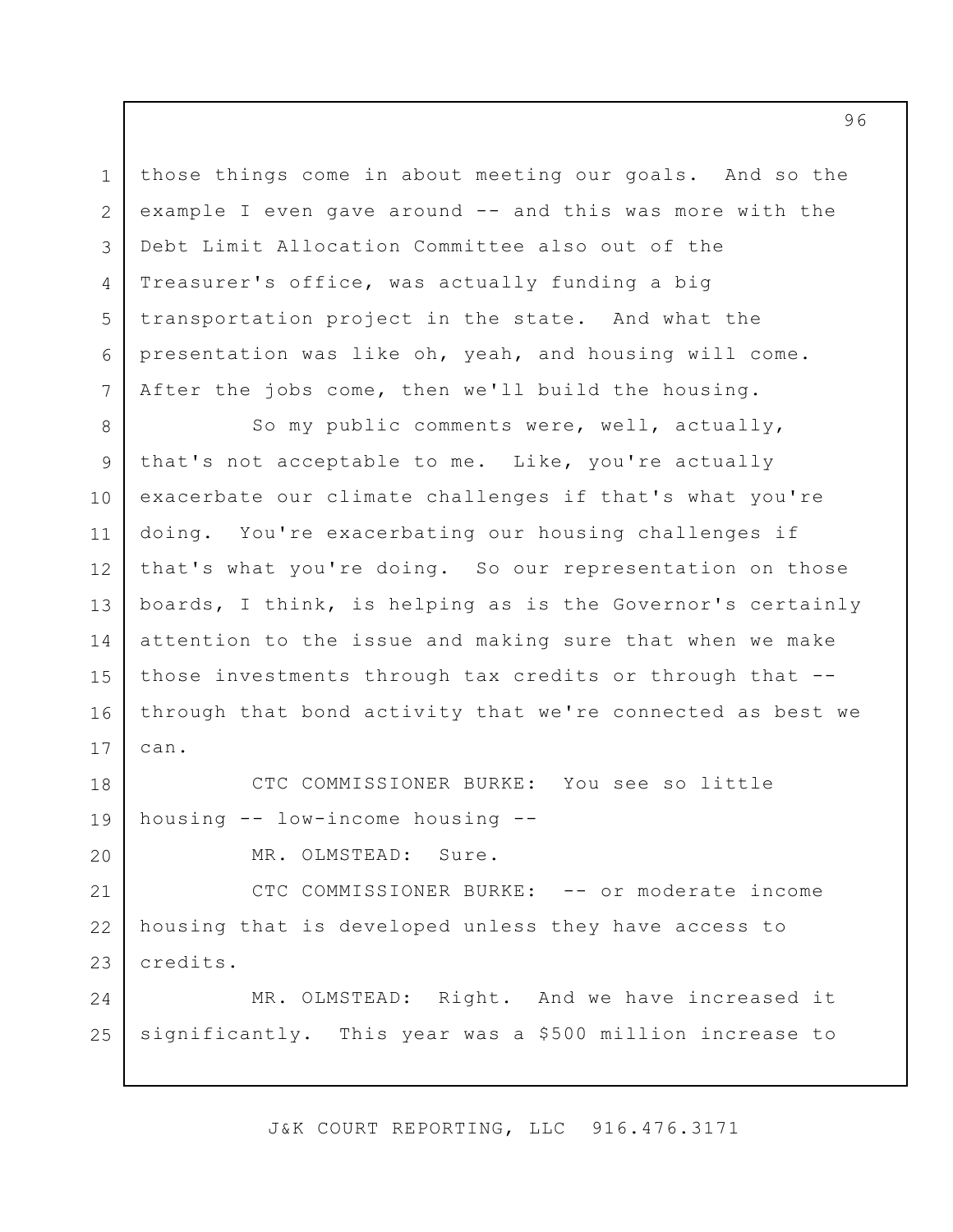those things come in about meeting our goals. And so the example I even gave around -- and this was more with the Debt Limit Allocation Committee also out of the Treasurer's office, was actually funding a big transportation project in the state. And what the presentation was like oh, yeah, and housing will come. After the jobs come, then we'll build the housing.

1

2

3

4

5

6

7

20

8 9 10 11 12 13 14 15 16 17 So my public comments were, well, actually, that's not acceptable to me. Like, you're actually exacerbate our climate challenges if that's what you're doing. You're exacerbating our housing challenges if that's what you're doing. So our representation on those boards, I think, is helping as is the Governor's certainly attention to the issue and making sure that when we make those investments through tax credits or through that - through that bond activity that we're connected as best we can.

18 19 CTC COMMISSIONER BURKE: You see so little housing -- low-income housing --

MR. OLMSTEAD: Sure.

21 22 23 CTC COMMISSIONER BURKE: -- or moderate income housing that is developed unless they have access to credits.

24 25 MR. OLMSTEAD: Right. And we have increased it significantly. This year was a \$500 million increase to

J&K COURT REPORTING, LLC 916.476.3171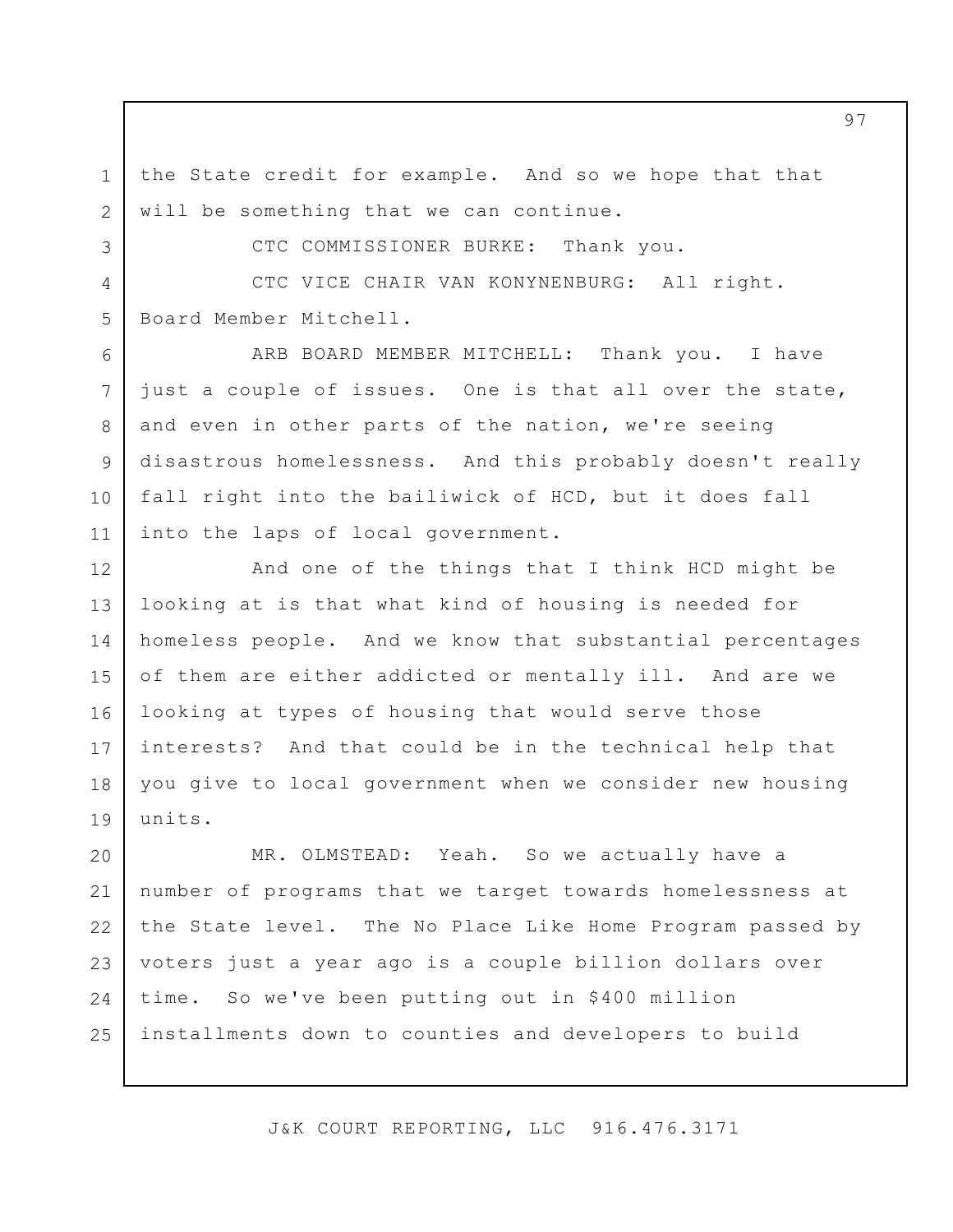the State credit for example. And so we hope that that will be something that we can continue.

1

2

3

6

7

8

9

10

11

CTC COMMISSIONER BURKE: Thank you.

4 5 CTC VICE CHAIR VAN KONYNENBURG: All right. Board Member Mitchell.

ARB BOARD MEMBER MITCHELL: Thank you. I have just a couple of issues. One is that all over the state, and even in other parts of the nation, we're seeing disastrous homelessness. And this probably doesn't really fall right into the bailiwick of HCD, but it does fall into the laps of local government.

12 13 14 15 16 17 18 19 And one of the things that I think HCD might be looking at is that what kind of housing is needed for homeless people. And we know that substantial percentages of them are either addicted or mentally ill. And are we looking at types of housing that would serve those interests? And that could be in the technical help that you give to local government when we consider new housing units.

20 21 22 23 24 25 MR. OLMSTEAD: Yeah. So we actually have a number of programs that we target towards homelessness at the State level. The No Place Like Home Program passed by voters just a year ago is a couple billion dollars over time. So we've been putting out in \$400 million installments down to counties and developers to build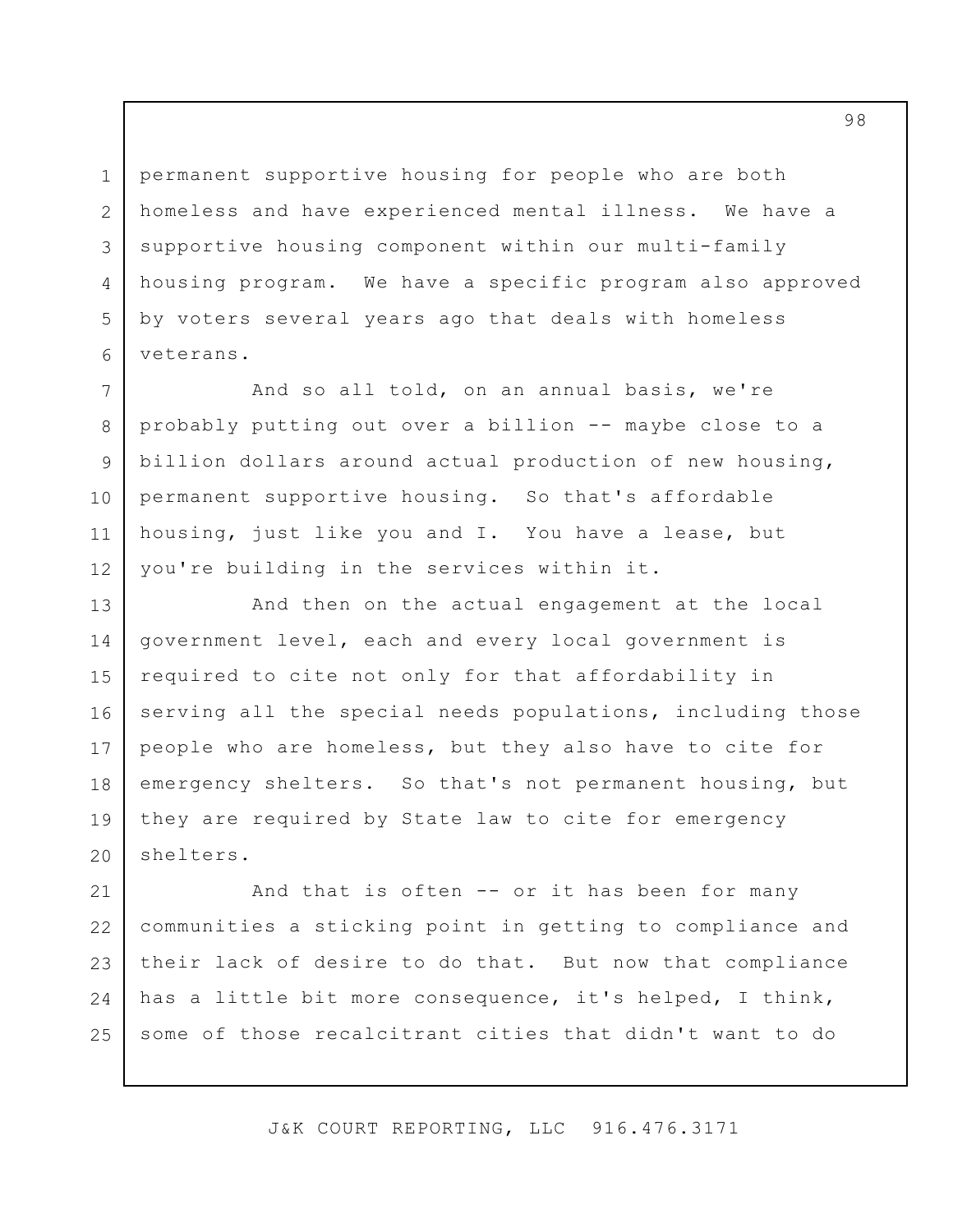permanent supportive housing for people who are both homeless and have experienced mental illness. We have a supportive housing component within our multi-family housing program. We have a specific program also approved by voters several years ago that deals with homeless veterans.

1

2

3

4

5

6

8

9

12

7 10 11 And so all told, on an annual basis, we're probably putting out over a billion -- maybe close to a billion dollars around actual production of new housing, permanent supportive housing. So that's affordable housing, just like you and I. You have a lease, but you're building in the services within it.

13 14 15 16 17 18 19 20 And then on the actual engagement at the local government level, each and every local government is required to cite not only for that affordability in serving all the special needs populations, including those people who are homeless, but they also have to cite for emergency shelters. So that's not permanent housing, but they are required by State law to cite for emergency shelters.

21 22 23 24 25 And that is often -- or it has been for many communities a sticking point in getting to compliance and their lack of desire to do that. But now that compliance has a little bit more consequence, it's helped, I think, some of those recalcitrant cities that didn't want to do

J&K COURT REPORTING, LLC 916.476.3171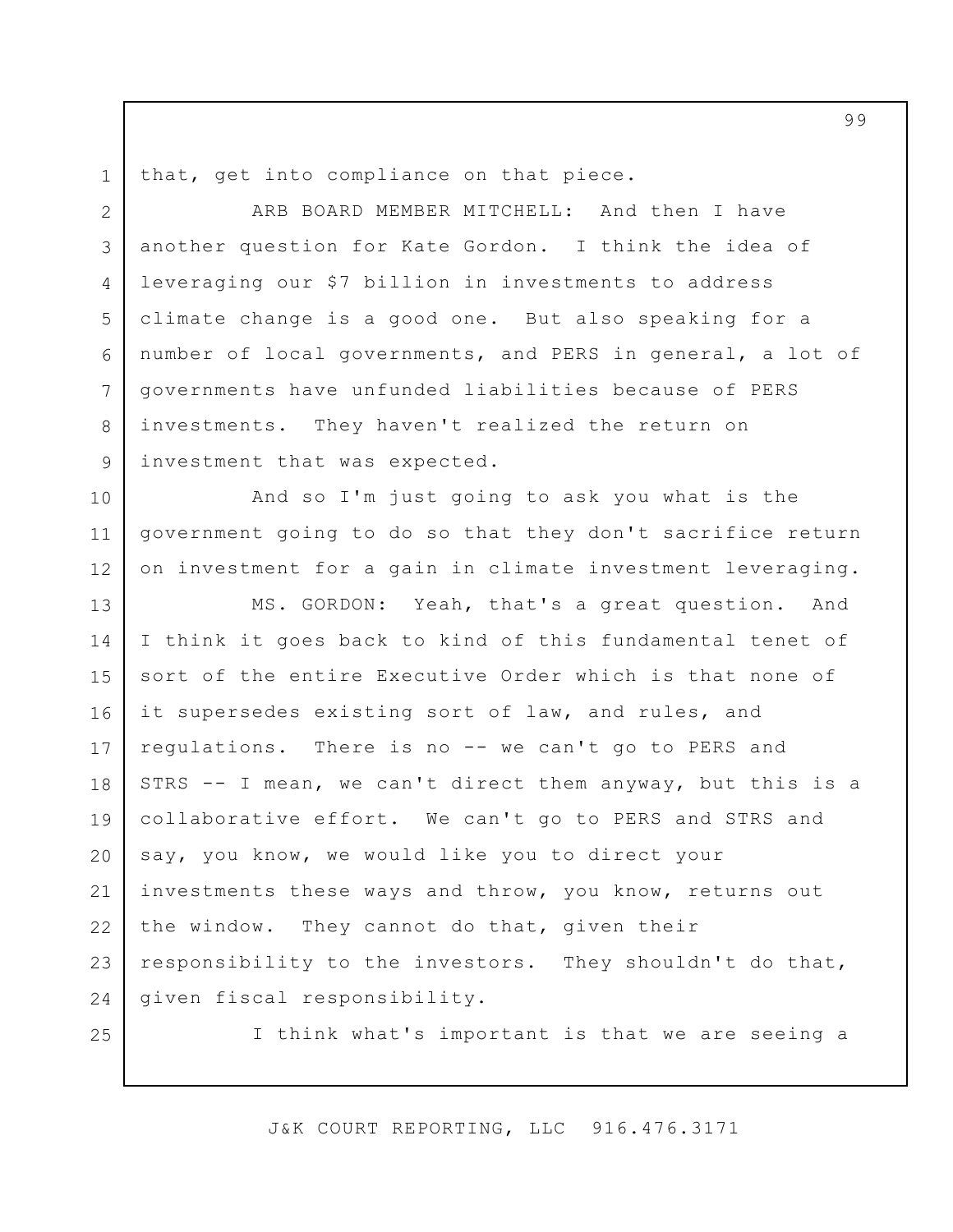that, get into compliance on that piece.

3 ARB BOARD MEMBER MITCHELL: And then I have another question for Kate Gordon. I think the idea of leveraging our \$7 billion in investments to address climate change is a good one. But also speaking for a number of local governments, and PERS in general, a lot of governments have unfunded liabilities because of PERS investments. They haven't realized the return on investment that was expected.

And so I'm just going to ask you what is the government going to do so that they don't sacrifice return on investment for a gain in climate investment leveraging.

13 14 15 16 17 18 19 20 21 22 23 24 MS. GORDON: Yeah, that's a great question. And I think it goes back to kind of this fundamental tenet of sort of the entire Executive Order which is that none of it supersedes existing sort of law, and rules, and regulations. There is no -- we can't go to PERS and STRS -- I mean, we can't direct them anyway, but this is a collaborative effort. We can't go to PERS and STRS and say, you know, we would like you to direct your investments these ways and throw, you know, returns out the window. They cannot do that, given their responsibility to the investors. They shouldn't do that, given fiscal responsibility.

25

1

2

4

5

6

7

8

9

10

11

12

I think what's important is that we are seeing a

J&K COURT REPORTING, LLC 916.476.3171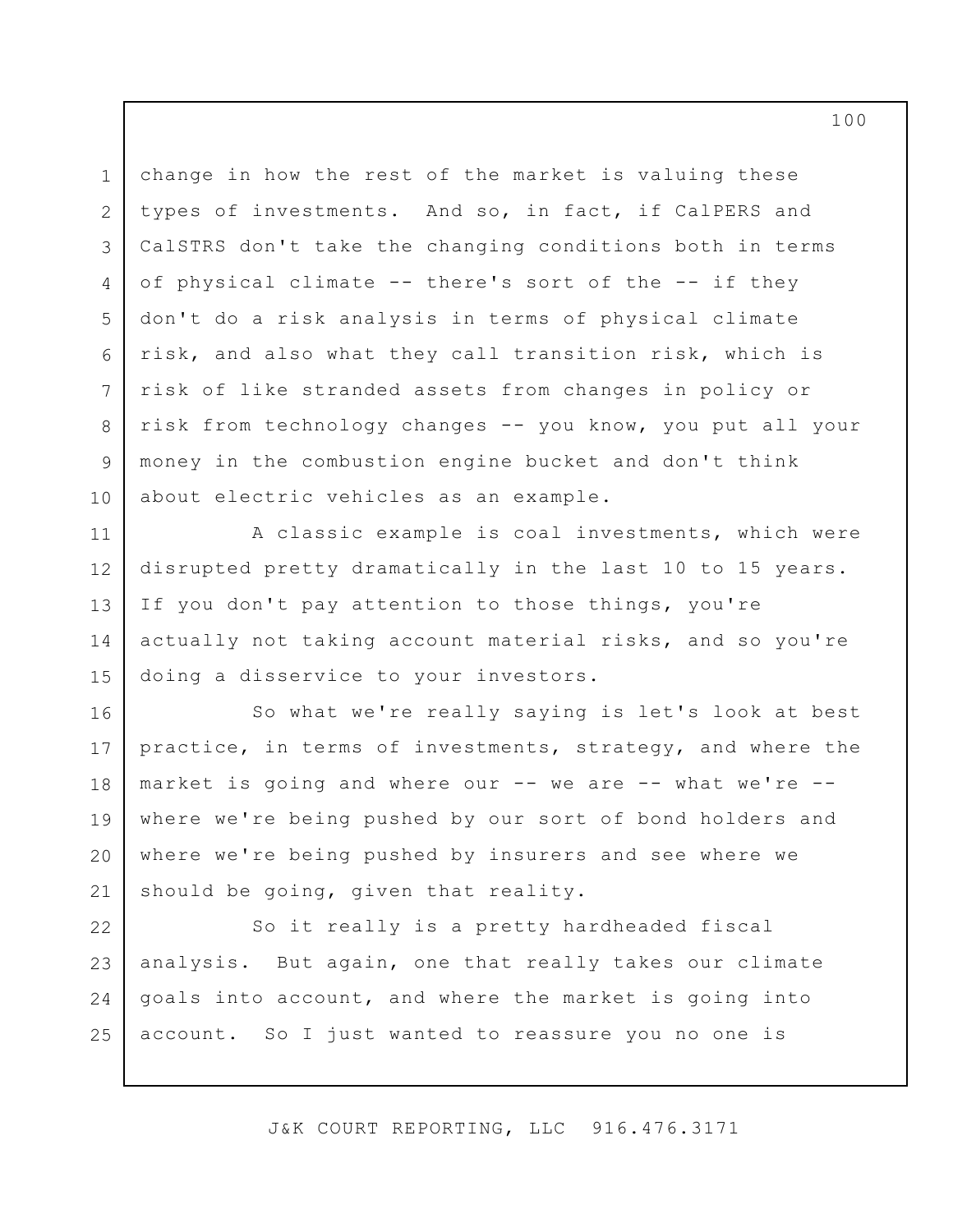1 2 3 4 5 6 7 8 9 10 change in how the rest of the market is valuing these types of investments. And so, in fact, if CalPERS and CalSTRS don't take the changing conditions both in terms of physical climate -- there's sort of the -- if they don't do a risk analysis in terms of physical climate risk, and also what they call transition risk, which is risk of like stranded assets from changes in policy or risk from technology changes -- you know, you put all your money in the combustion engine bucket and don't think about electric vehicles as an example.

11 12 13 14 15 A classic example is coal investments, which were disrupted pretty dramatically in the last 10 to 15 years. If you don't pay attention to those things, you're actually not taking account material risks, and so you're doing a disservice to your investors.

16 17 18 19 20 21 So what we're really saying is let's look at best practice, in terms of investments, strategy, and where the market is going and where our -- we are -- what we're - where we're being pushed by our sort of bond holders and where we're being pushed by insurers and see where we should be going, given that reality.

22 23 24 25 So it really is a pretty hardheaded fiscal analysis. But again, one that really takes our climate goals into account, and where the market is going into account. So I just wanted to reassure you no one is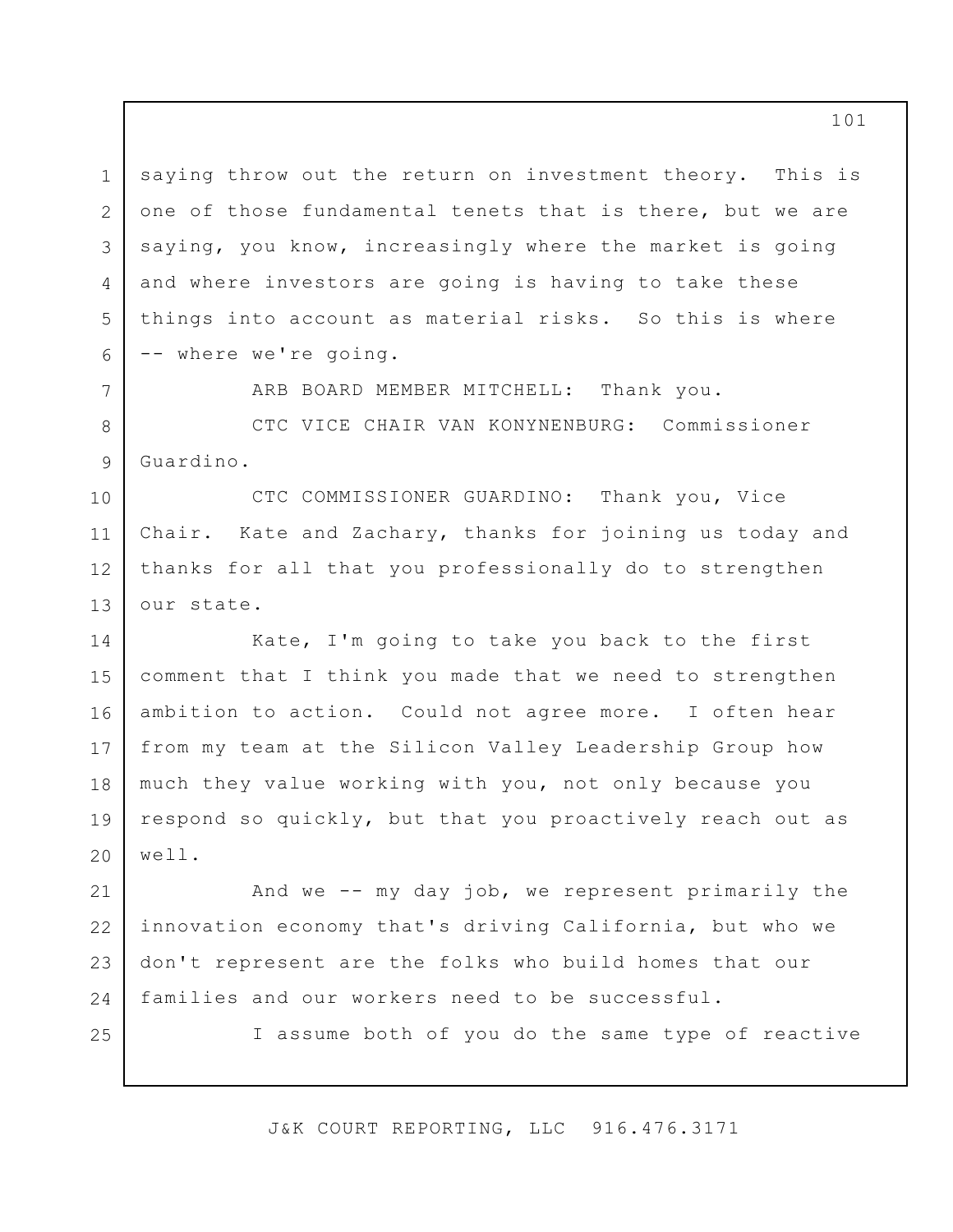3 saying throw out the return on investment theory. This is one of those fundamental tenets that is there, but we are saying, you know, increasingly where the market is going and where investors are going is having to take these things into account as material risks. So this is where -- where we're going.

1

2

4

5

6

7

25

ARB BOARD MEMBER MITCHELL: Thank you.

8 9 CTC VICE CHAIR VAN KONYNENBURG: Commissioner Guardino.

10 11 12 13 CTC COMMISSIONER GUARDINO: Thank you, Vice Chair. Kate and Zachary, thanks for joining us today and thanks for all that you professionally do to strengthen our state.

14 15 16 17 18 19 20 Kate, I'm going to take you back to the first comment that I think you made that we need to strengthen ambition to action. Could not agree more. I often hear from my team at the Silicon Valley Leadership Group how much they value working with you, not only because you respond so quickly, but that you proactively reach out as well.

21 22 23 24 And we -- my day job, we represent primarily the innovation economy that's driving California, but who we don't represent are the folks who build homes that our families and our workers need to be successful.

I assume both of you do the same type of reactive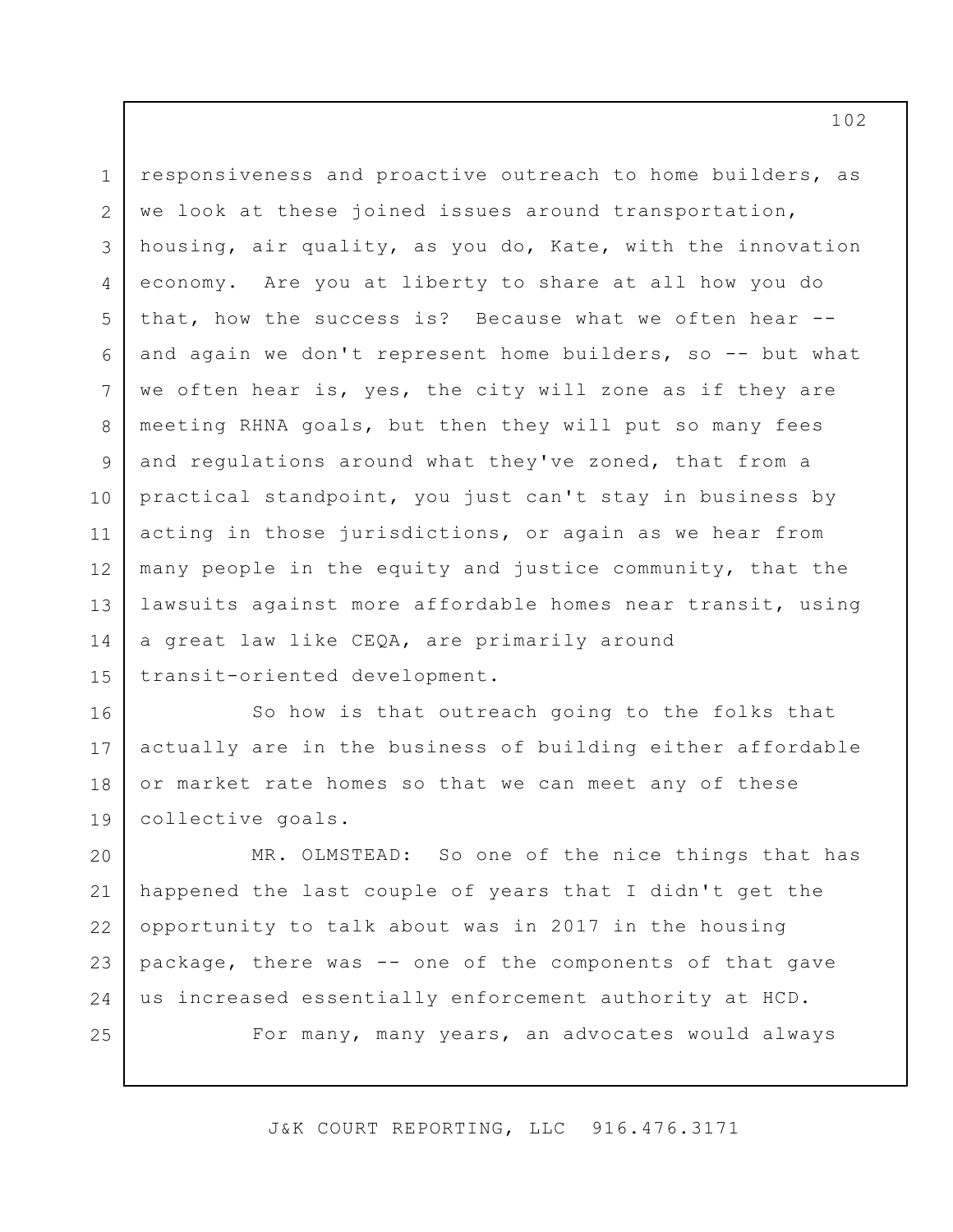1 2 3 4 5 6 7 8 9 10 11 12 13 14 15 responsiveness and proactive outreach to home builders, as we look at these joined issues around transportation, housing, air quality, as you do, Kate, with the innovation economy. Are you at liberty to share at all how you do that, how the success is? Because what we often hear - and again we don't represent home builders, so -- but what we often hear is, yes, the city will zone as if they are meeting RHNA goals, but then they will put so many fees and regulations around what they've zoned, that from a practical standpoint, you just can't stay in business by acting in those jurisdictions, or again as we hear from many people in the equity and justice community, that the lawsuits against more affordable homes near transit, using a great law like CEQA, are primarily around transit-oriented development.

16 17 18 19 So how is that outreach going to the folks that actually are in the business of building either affordable or market rate homes so that we can meet any of these collective goals.

20 21 22 23 24 25 MR. OLMSTEAD: So one of the nice things that has happened the last couple of years that I didn't get the opportunity to talk about was in 2017 in the housing package, there was -- one of the components of that gave us increased essentially enforcement authority at HCD. For many, many years, an advocates would always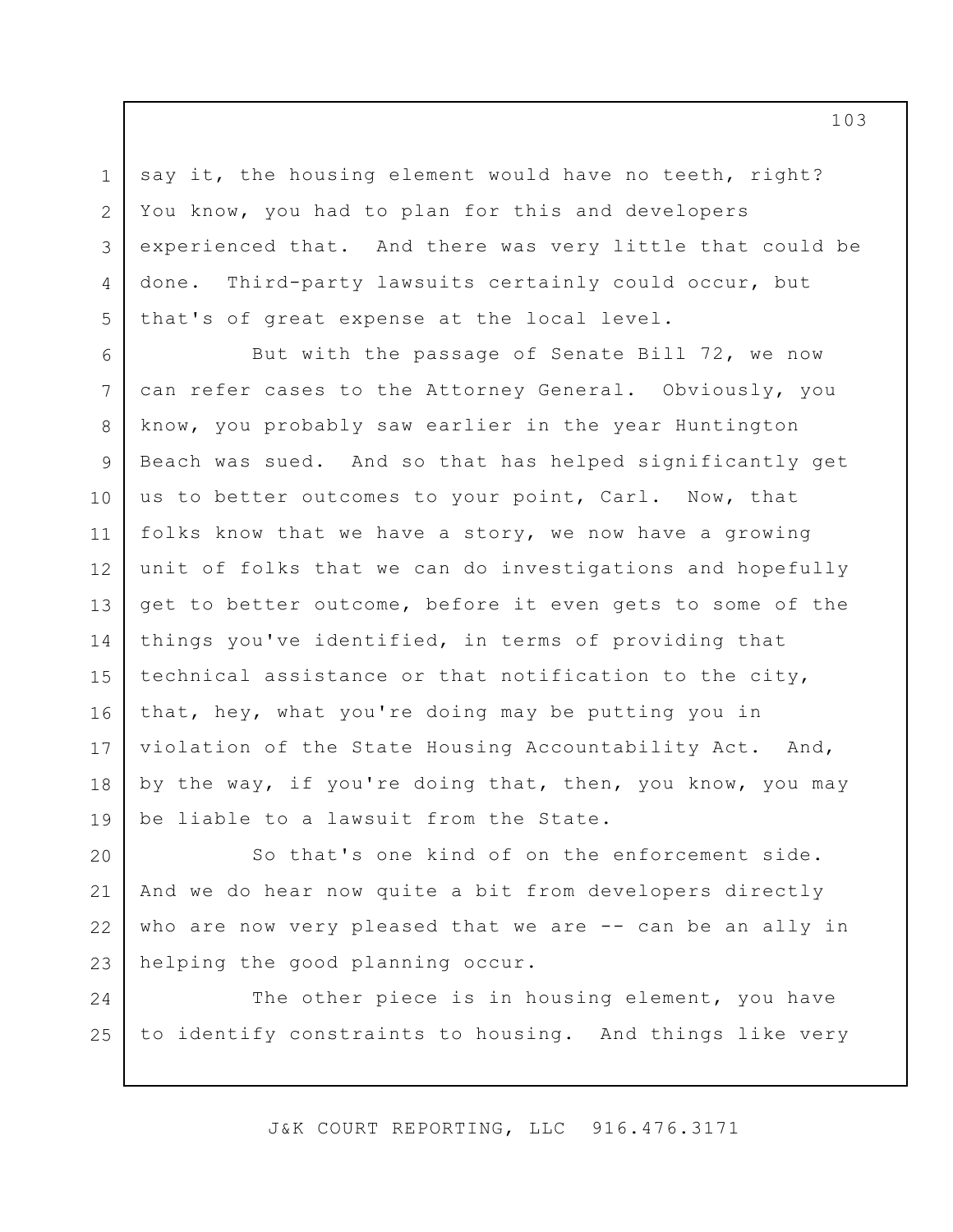say it, the housing element would have no teeth, right? You know, you had to plan for this and developers experienced that. And there was very little that could be done. Third-party lawsuits certainly could occur, but that's of great expense at the local level.

1

2

3

4

5

6 7 8 9 10 11 12 13 14 15 16 17 18 19 But with the passage of Senate Bill 72, we now can refer cases to the Attorney General. Obviously, you know, you probably saw earlier in the year Huntington Beach was sued. And so that has helped significantly get us to better outcomes to your point, Carl. Now, that folks know that we have a story, we now have a growing unit of folks that we can do investigations and hopefully get to better outcome, before it even gets to some of the things you've identified, in terms of providing that technical assistance or that notification to the city, that, hey, what you're doing may be putting you in violation of the State Housing Accountability Act. And, by the way, if you're doing that, then, you know, you may be liable to a lawsuit from the State.

20 21 22 23 So that's one kind of on the enforcement side. And we do hear now quite a bit from developers directly who are now very pleased that we are -- can be an ally in helping the good planning occur.

24 25 The other piece is in housing element, you have to identify constraints to housing. And things like very

J&K COURT REPORTING, LLC 916.476.3171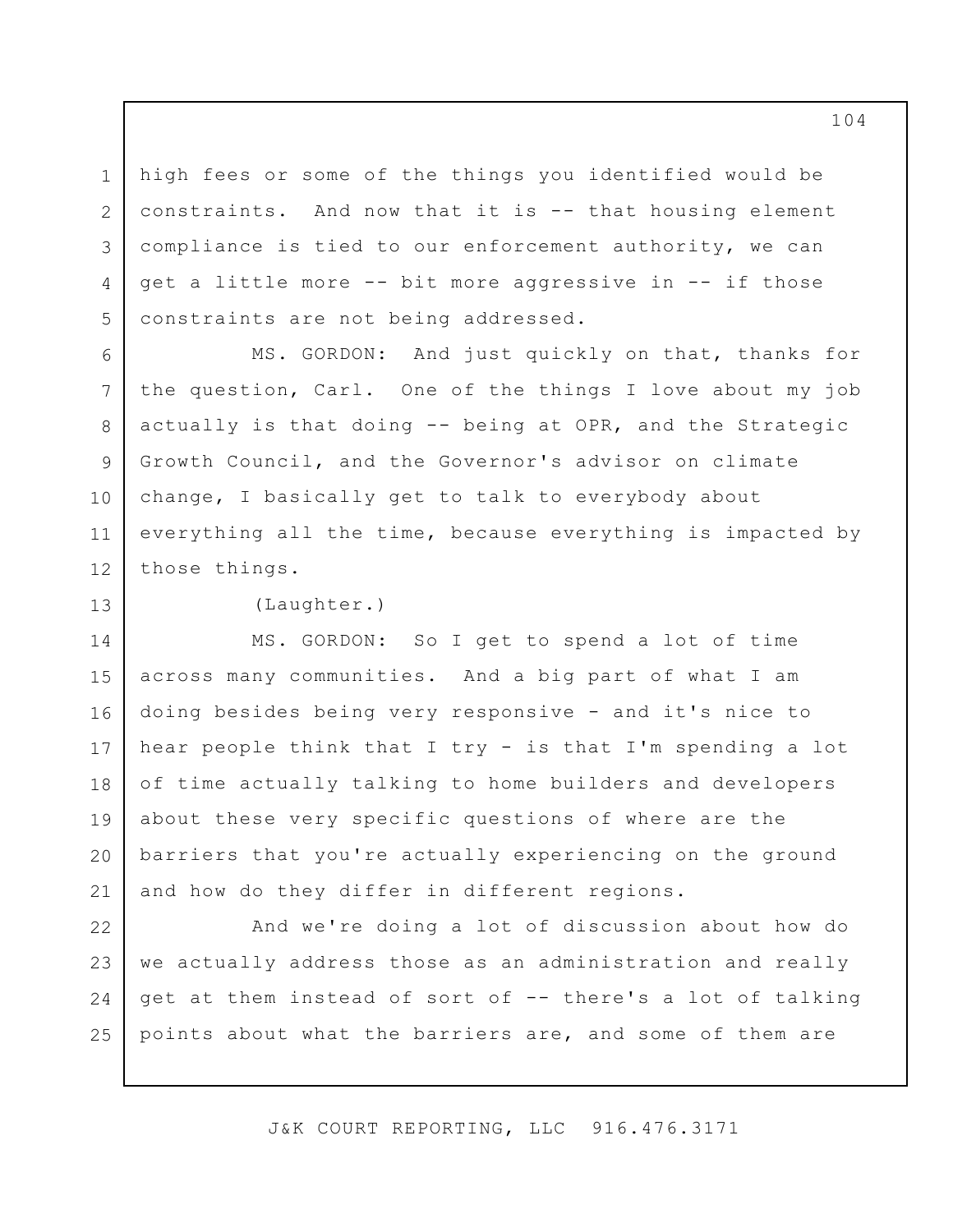high fees or some of the things you identified would be constraints. And now that it is -- that housing element compliance is tied to our enforcement authority, we can get a little more -- bit more aggressive in -- if those constraints are not being addressed.

MS. GORDON: And just quickly on that, thanks for the question, Carl. One of the things I love about my job actually is that doing -- being at OPR, and the Strategic Growth Council, and the Governor's advisor on climate change, I basically get to talk to everybody about everything all the time, because everything is impacted by those things.

(Laughter.)

1

2

3

4

5

6

7

8

9

10

11

12

13

14 15 16 17 18 19 20 21 MS. GORDON: So I get to spend a lot of time across many communities. And a big part of what I am doing besides being very responsive - and it's nice to hear people think that I try - is that I'm spending a lot of time actually talking to home builders and developers about these very specific questions of where are the barriers that you're actually experiencing on the ground and how do they differ in different regions.

22 23 24 25 And we're doing a lot of discussion about how do we actually address those as an administration and really get at them instead of sort of -- there's a lot of talking points about what the barriers are, and some of them are

J&K COURT REPORTING, LLC 916.476.3171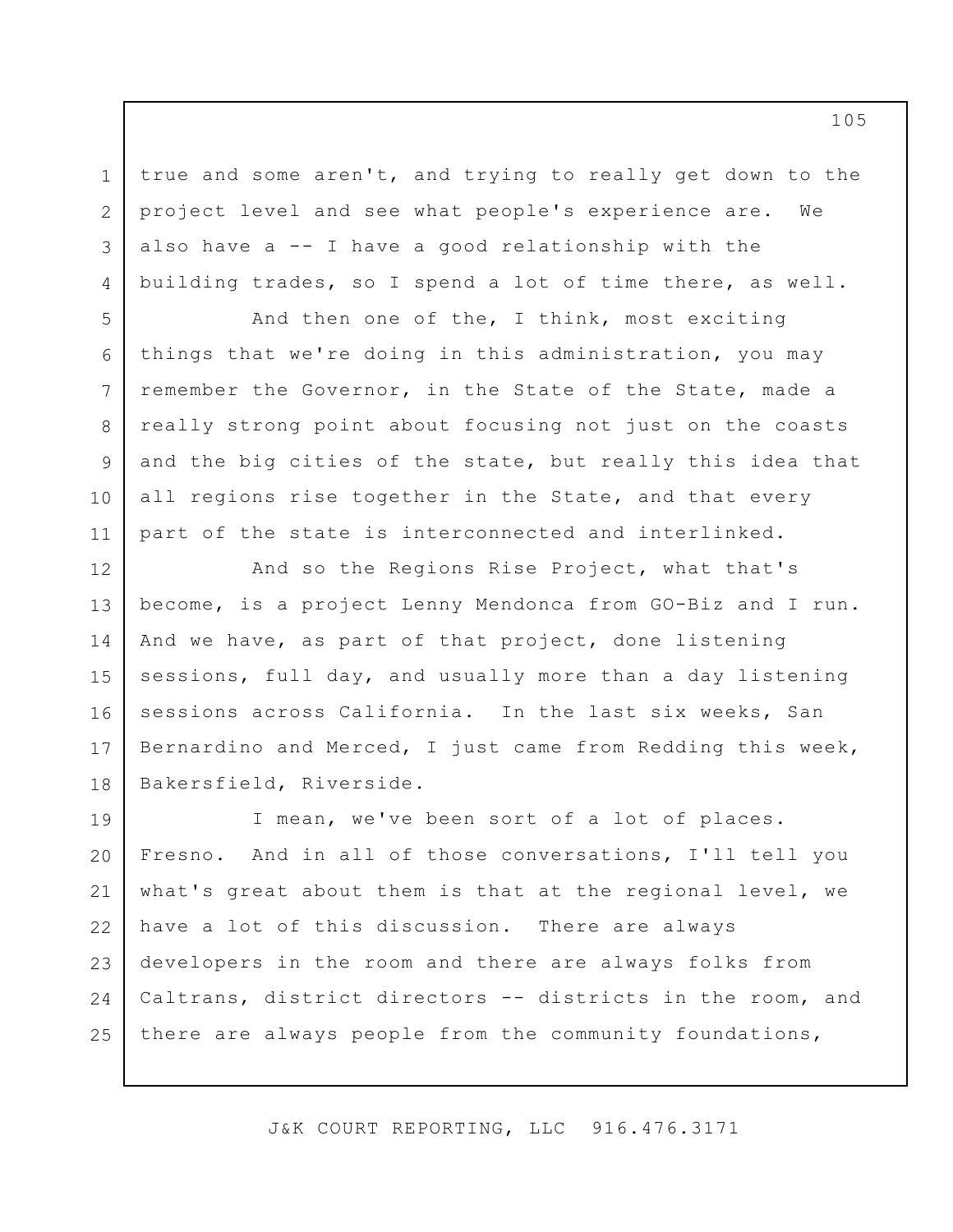true and some aren't, and trying to really get down to the project level and see what people's experience are. We also have a -- I have a good relationship with the building trades, so I spend a lot of time there, as well.

1

2

3

4

5

6

7

8

9

10

11

And then one of the, I think, most exciting things that we're doing in this administration, you may remember the Governor, in the State of the State, made a really strong point about focusing not just on the coasts and the big cities of the state, but really this idea that all regions rise together in the State, and that every part of the state is interconnected and interlinked.

12 13 14 15 16 17 18 And so the Regions Rise Project, what that's become, is a project Lenny Mendonca from GO-Biz and I run. And we have, as part of that project, done listening sessions, full day, and usually more than a day listening sessions across California. In the last six weeks, San Bernardino and Merced, I just came from Redding this week, Bakersfield, Riverside.

19 20 21 22 23 24 25 I mean, we've been sort of a lot of places. Fresno. And in all of those conversations, I'll tell you what's great about them is that at the regional level, we have a lot of this discussion. There are always developers in the room and there are always folks from Caltrans, district directors -- districts in the room, and there are always people from the community foundations,

J&K COURT REPORTING, LLC 916.476.3171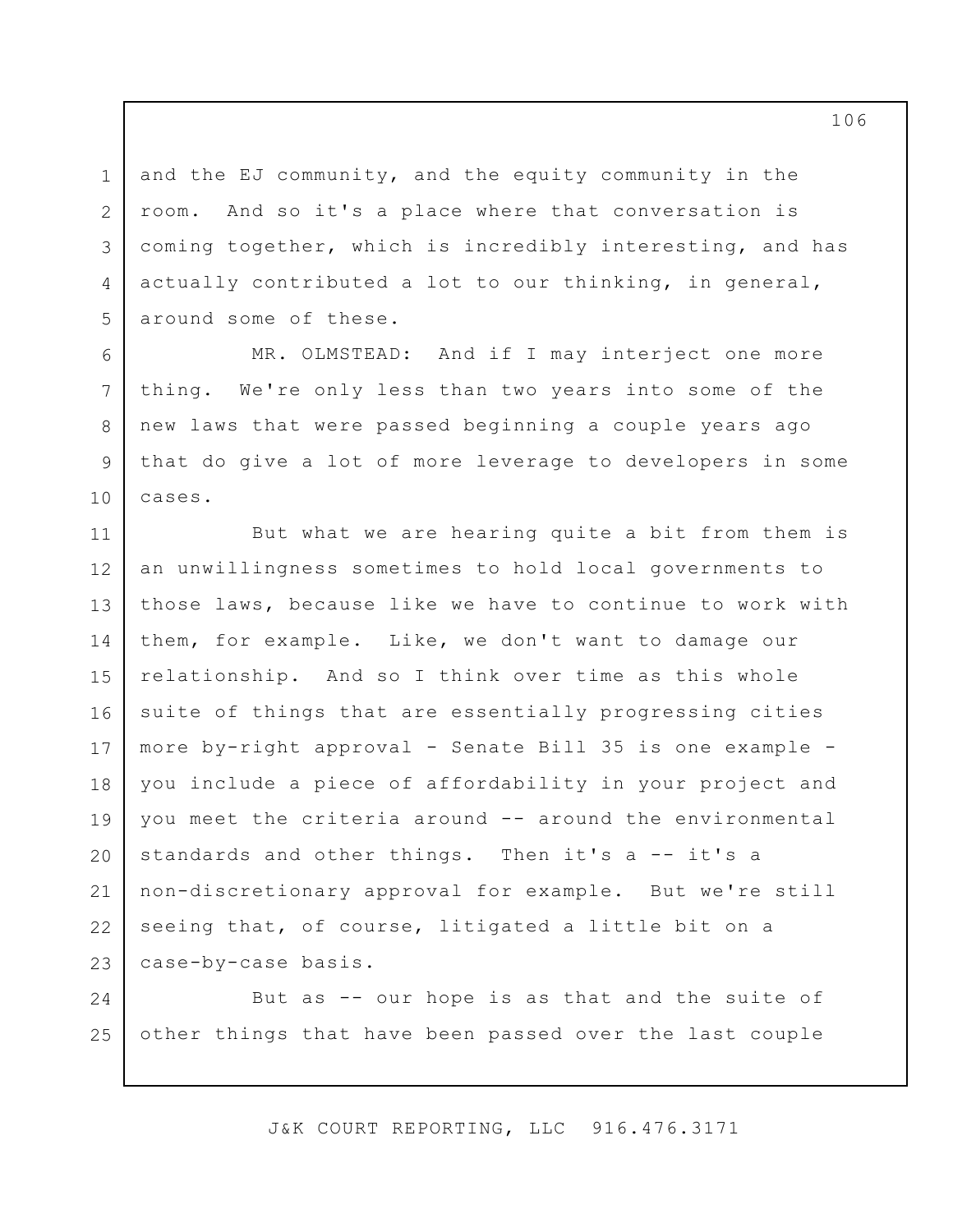1 2 3 4 5 and the EJ community, and the equity community in the room. And so it's a place where that conversation is coming together, which is incredibly interesting, and has actually contributed a lot to our thinking, in general, around some of these.

6 7 8 9 10 MR. OLMSTEAD: And if I may interject one more thing. We're only less than two years into some of the new laws that were passed beginning a couple years ago that do give a lot of more leverage to developers in some cases.

11 12 13 14 15 16 17 18 19 20 21 22 23 But what we are hearing quite a bit from them is an unwillingness sometimes to hold local governments to those laws, because like we have to continue to work with them, for example. Like, we don't want to damage our relationship. And so I think over time as this whole suite of things that are essentially progressing cities more by-right approval - Senate Bill 35 is one example you include a piece of affordability in your project and you meet the criteria around -- around the environmental standards and other things. Then it's a -- it's a non-discretionary approval for example. But we're still seeing that, of course, litigated a little bit on a case-by-case basis.

24 25 But as -- our hope is as that and the suite of other things that have been passed over the last couple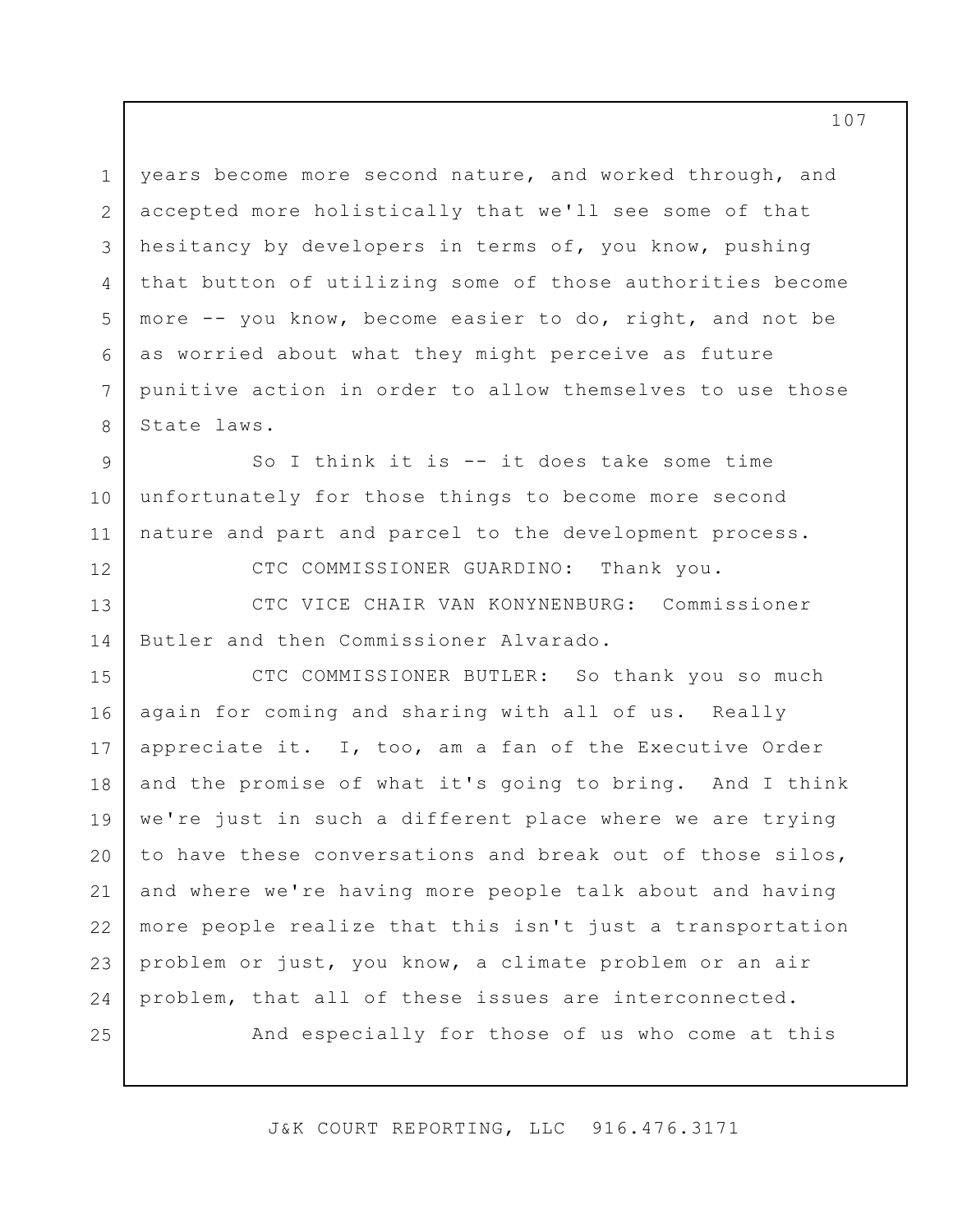1 2 3 4 5 6 7 8 years become more second nature, and worked through, and accepted more holistically that we'll see some of that hesitancy by developers in terms of, you know, pushing that button of utilizing some of those authorities become more -- you know, become easier to do, right, and not be as worried about what they might perceive as future punitive action in order to allow themselves to use those State laws.

9 10 11 So I think it is -- it does take some time unfortunately for those things to become more second nature and part and parcel to the development process.

CTC COMMISSIONER GUARDINO: Thank you.

13 14 CTC VICE CHAIR VAN KONYNENBURG: Commissioner Butler and then Commissioner Alvarado.

12

15 16 17 18 19 20 21 22 23 24 25 CTC COMMISSIONER BUTLER: So thank you so much again for coming and sharing with all of us. Really appreciate it. I, too, am a fan of the Executive Order and the promise of what it's going to bring. And I think we're just in such a different place where we are trying to have these conversations and break out of those silos, and where we're having more people talk about and having more people realize that this isn't just a transportation problem or just, you know, a climate problem or an air problem, that all of these issues are interconnected. And especially for those of us who come at this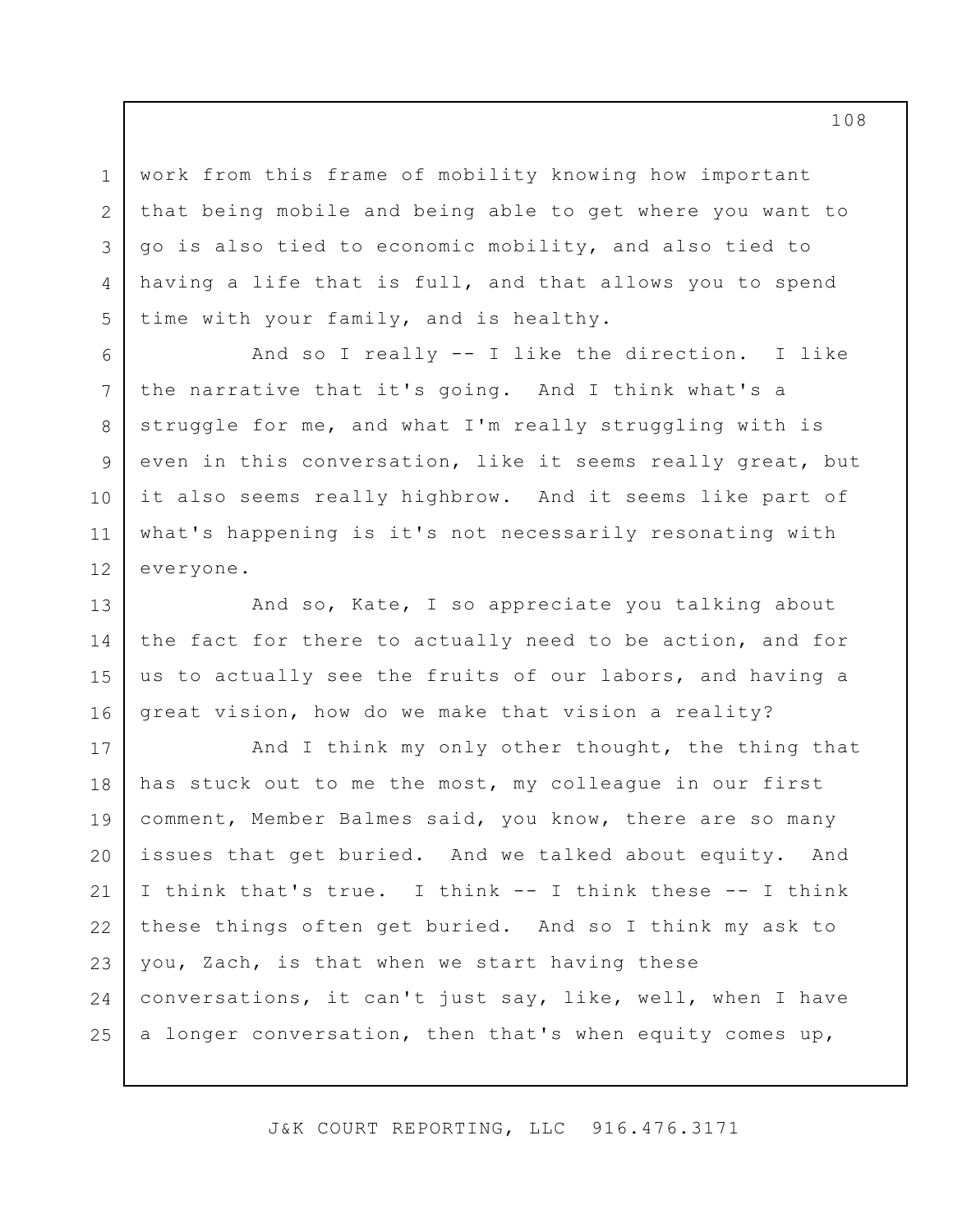work from this frame of mobility knowing how important that being mobile and being able to get where you want to go is also tied to economic mobility, and also tied to having a life that is full, and that allows you to spend time with your family, and is healthy.

1

2

3

4

5

6

7

8

9

10

11

12

And so I really -- I like the direction. I like the narrative that it's going. And I think what's a struggle for me, and what I'm really struggling with is even in this conversation, like it seems really great, but it also seems really highbrow. And it seems like part of what's happening is it's not necessarily resonating with everyone.

13 14 15 16 And so, Kate, I so appreciate you talking about the fact for there to actually need to be action, and for us to actually see the fruits of our labors, and having a great vision, how do we make that vision a reality?

17 18 19 20 21 22 23 24 25 And I think my only other thought, the thing that has stuck out to me the most, my colleague in our first comment, Member Balmes said, you know, there are so many issues that get buried. And we talked about equity. And I think that's true. I think -- I think these -- I think these things often get buried. And so I think my ask to you, Zach, is that when we start having these conversations, it can't just say, like, well, when I have a longer conversation, then that's when equity comes up,

J&K COURT REPORTING, LLC 916.476.3171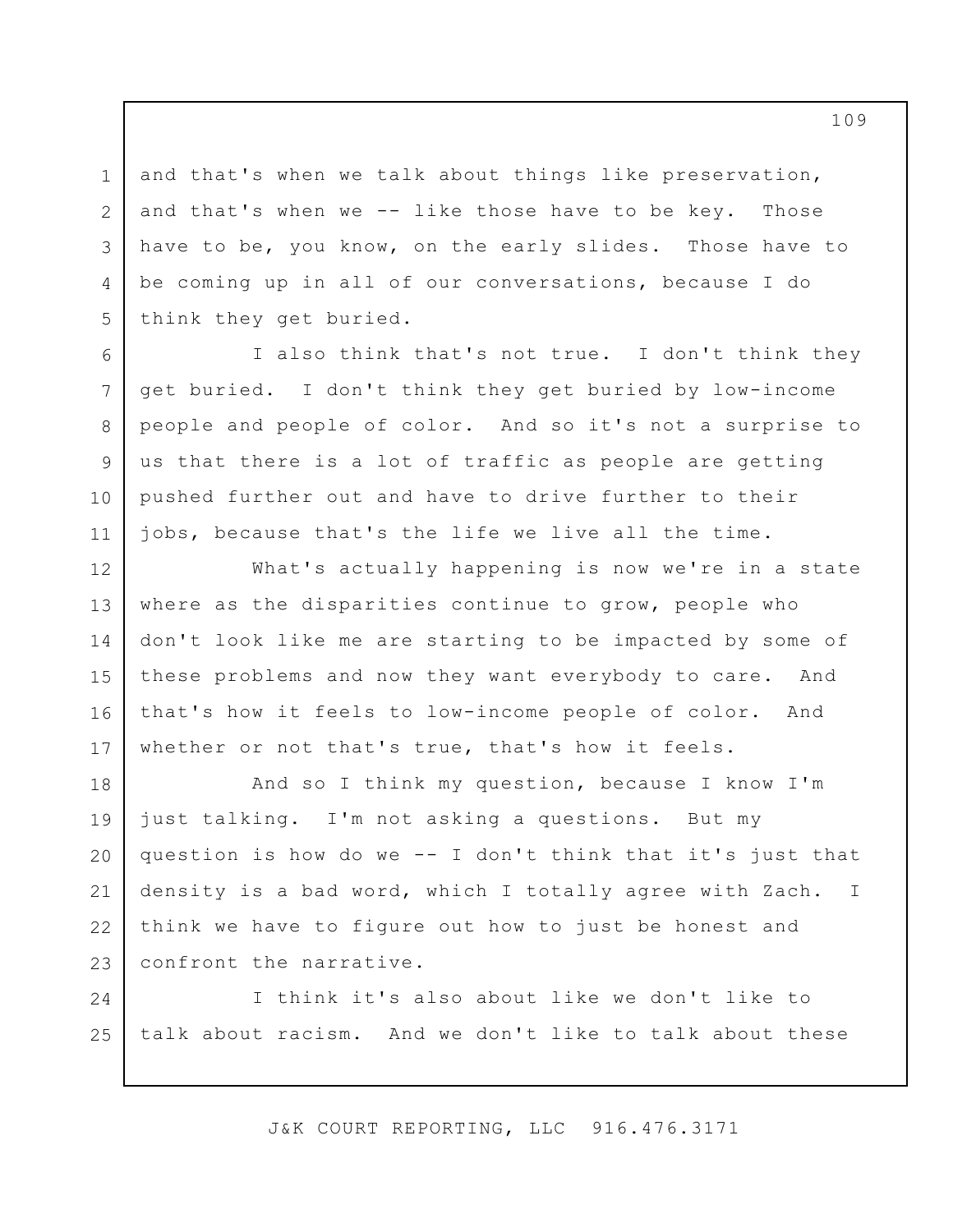and that's when we talk about things like preservation, and that's when we  $-$ - like those have to be key. Those have to be, you know, on the early slides. Those have to be coming up in all of our conversations, because I do think they get buried.

1

2

3

4

5

6

7

8

9

10

11

I also think that's not true. I don't think they get buried. I don't think they get buried by low-income people and people of color. And so it's not a surprise to us that there is a lot of traffic as people are getting pushed further out and have to drive further to their jobs, because that's the life we live all the time.

12 13 14 15 16 17 What's actually happening is now we're in a state where as the disparities continue to grow, people who don't look like me are starting to be impacted by some of these problems and now they want everybody to care. And that's how it feels to low-income people of color. And whether or not that's true, that's how it feels.

18 19 20 21 22 23 And so I think my question, because I know I'm just talking. I'm not asking a questions. But my question is how do we -- I don't think that it's just that density is a bad word, which I totally agree with Zach. I think we have to figure out how to just be honest and confront the narrative.

24 25 I think it's also about like we don't like to talk about racism. And we don't like to talk about these

J&K COURT REPORTING, LLC 916.476.3171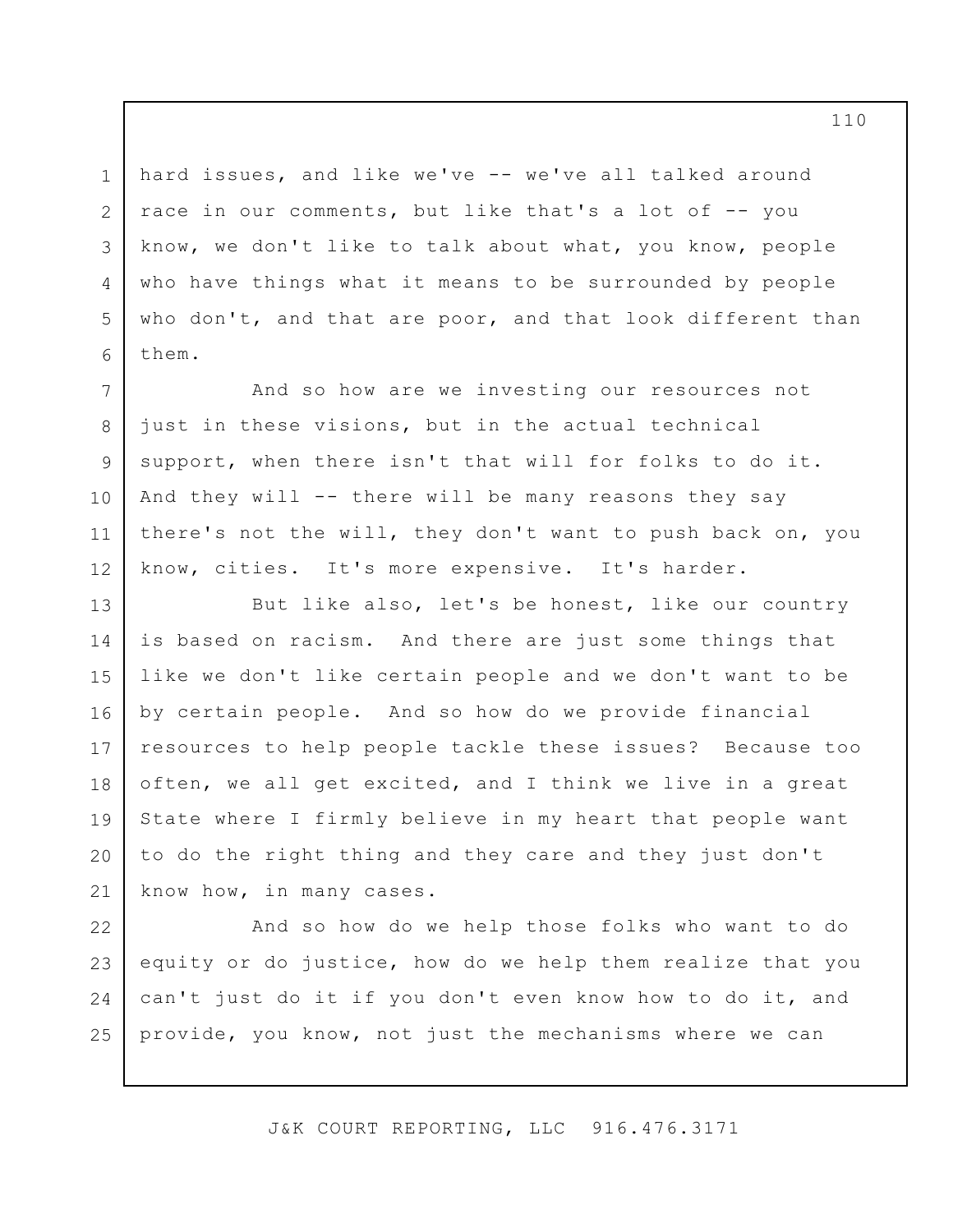3 hard issues, and like we've -- we've all talked around race in our comments, but like that's a lot of -- you know, we don't like to talk about what, you know, people who have things what it means to be surrounded by people who don't, and that are poor, and that look different than them.

1

2

4

5

6

7 8 9 10 11 12 And so how are we investing our resources not just in these visions, but in the actual technical support, when there isn't that will for folks to do it. And they will -- there will be many reasons they say there's not the will, they don't want to push back on, you know, cities. It's more expensive. It's harder.

13 14 15 16 17 18 19 20 21 But like also, let's be honest, like our country is based on racism. And there are just some things that like we don't like certain people and we don't want to be by certain people. And so how do we provide financial resources to help people tackle these issues? Because too often, we all get excited, and I think we live in a great State where I firmly believe in my heart that people want to do the right thing and they care and they just don't know how, in many cases.

22 23 24 25 And so how do we help those folks who want to do equity or do justice, how do we help them realize that you can't just do it if you don't even know how to do it, and provide, you know, not just the mechanisms where we can

J&K COURT REPORTING, LLC 916.476.3171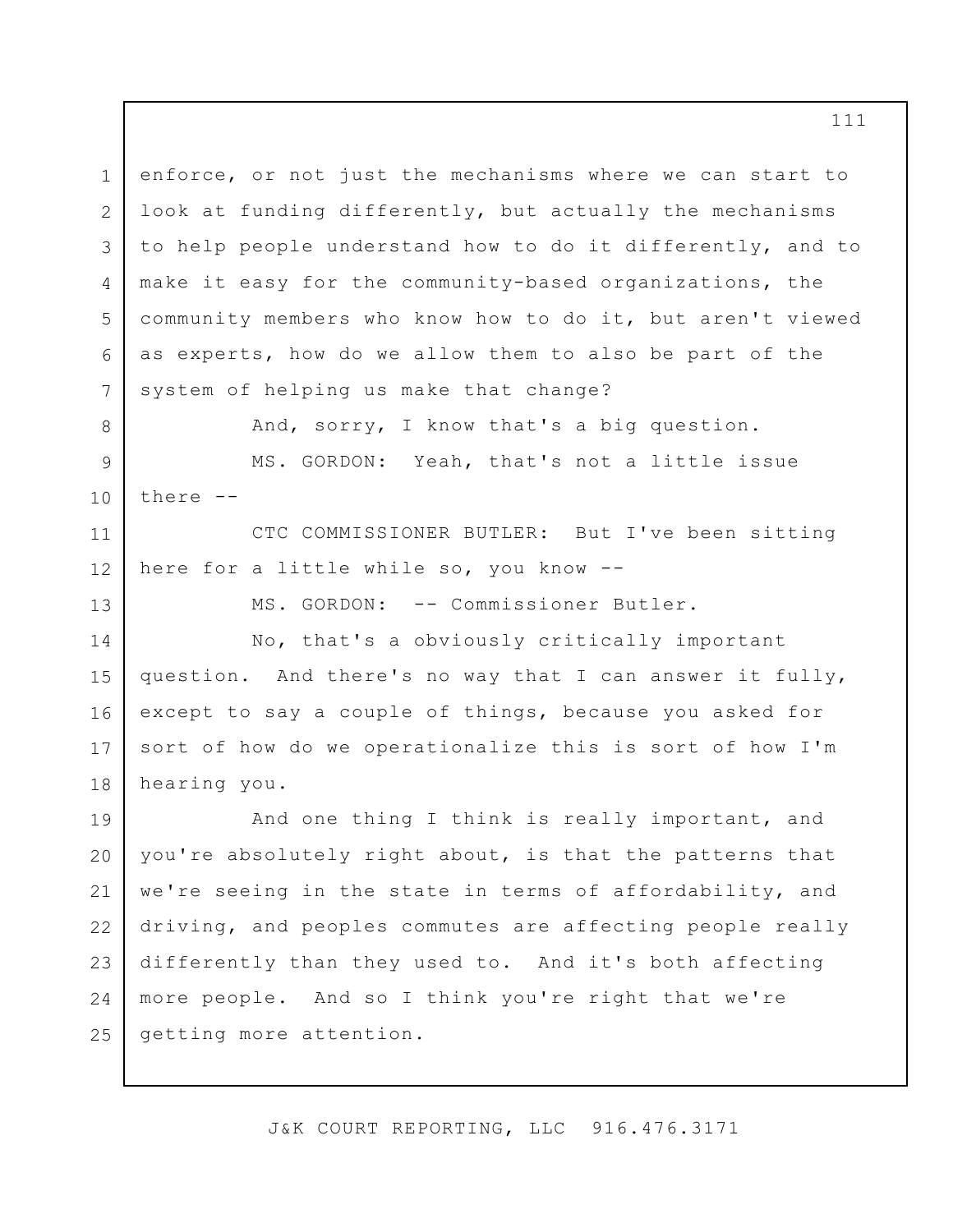1 2 3 4 5 6 7 enforce, or not just the mechanisms where we can start to look at funding differently, but actually the mechanisms to help people understand how to do it differently, and to make it easy for the community-based organizations, the community members who know how to do it, but aren't viewed as experts, how do we allow them to also be part of the system of helping us make that change?

And, sorry, I know that's a big question. MS. GORDON: Yeah, that's not a little issue

10 there --

8

9

11

13

12 CTC COMMISSIONER BUTLER: But I've been sitting here for a little while so, you know --

MS. GORDON: -- Commissioner Butler.

14 15 16 17 18 No, that's a obviously critically important question. And there's no way that I can answer it fully, except to say a couple of things, because you asked for sort of how do we operationalize this is sort of how I'm hearing you.

19 20 21 22 23 24 25 And one thing I think is really important, and you're absolutely right about, is that the patterns that we're seeing in the state in terms of affordability, and driving, and peoples commutes are affecting people really differently than they used to. And it's both affecting more people. And so I think you're right that we're getting more attention.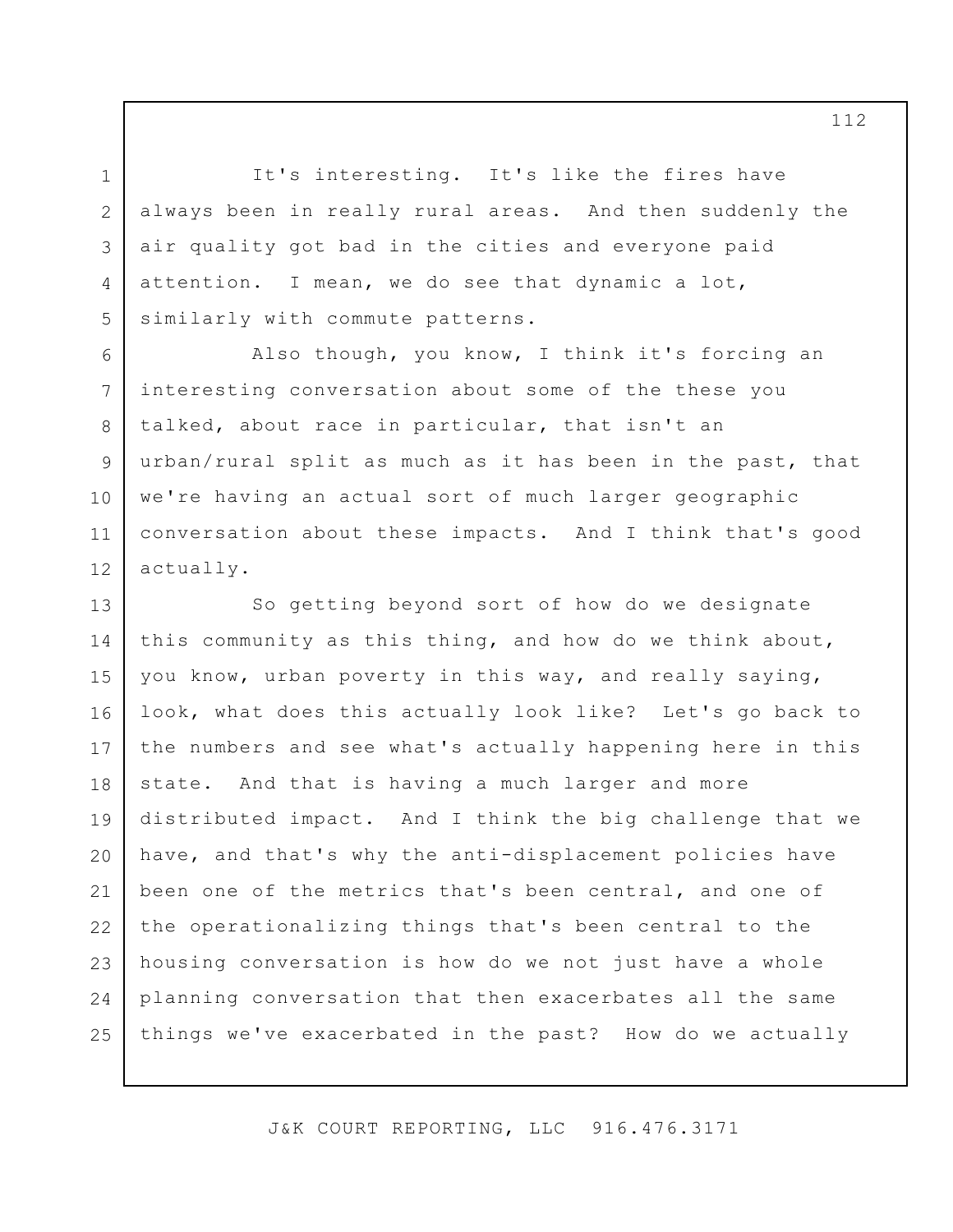It's interesting. It's like the fires have always been in really rural areas. And then suddenly the air quality got bad in the cities and everyone paid attention. I mean, we do see that dynamic a lot, similarly with commute patterns.

1

2

3

4

5

8

9

10

11

6 7 12 Also though, you know, I think it's forcing an interesting conversation about some of the these you talked, about race in particular, that isn't an urban/rural split as much as it has been in the past, that we're having an actual sort of much larger geographic conversation about these impacts. And I think that's good actually.

13 14 15 16 17 18 19 20 21 22 23 24 25 So getting beyond sort of how do we designate this community as this thing, and how do we think about, you know, urban poverty in this way, and really saying, look, what does this actually look like? Let's go back to the numbers and see what's actually happening here in this state. And that is having a much larger and more distributed impact. And I think the big challenge that we have, and that's why the anti-displacement policies have been one of the metrics that's been central, and one of the operationalizing things that's been central to the housing conversation is how do we not just have a whole planning conversation that then exacerbates all the same things we've exacerbated in the past? How do we actually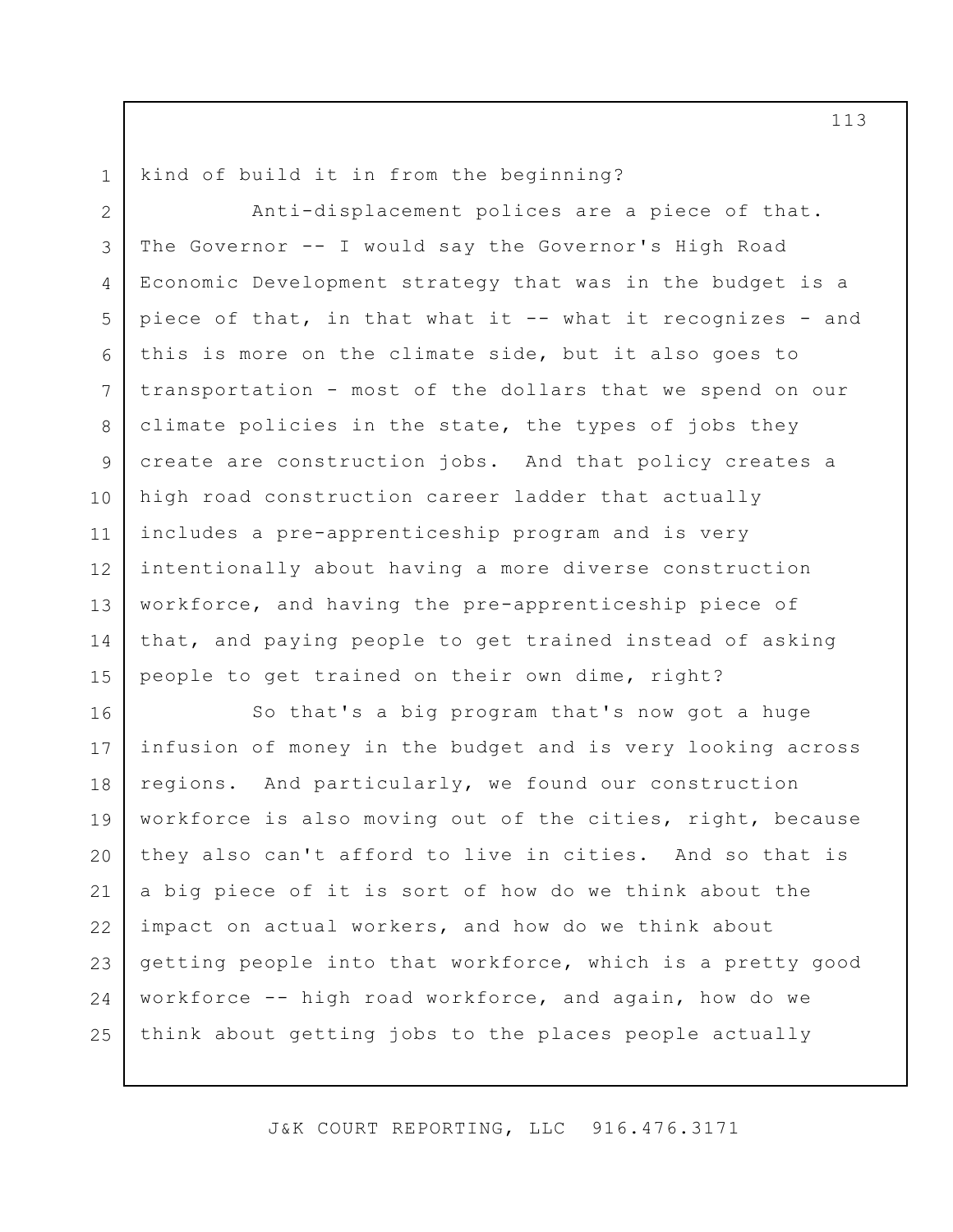1

kind of build it in from the beginning?

2 3 4 5 6 7 8 9 10 11 12 13 14 15 Anti-displacement polices are a piece of that. The Governor -- I would say the Governor's High Road Economic Development strategy that was in the budget is a piece of that, in that what it -- what it recognizes - and this is more on the climate side, but it also goes to transportation - most of the dollars that we spend on our climate policies in the state, the types of jobs they create are construction jobs. And that policy creates a high road construction career ladder that actually includes a pre-apprenticeship program and is very intentionally about having a more diverse construction workforce, and having the pre-apprenticeship piece of that, and paying people to get trained instead of asking people to get trained on their own dime, right?

16 17 18 19 20 21 22 23 24 25 So that's a big program that's now got a huge infusion of money in the budget and is very looking across regions. And particularly, we found our construction workforce is also moving out of the cities, right, because they also can't afford to live in cities. And so that is a big piece of it is sort of how do we think about the impact on actual workers, and how do we think about getting people into that workforce, which is a pretty good workforce -- high road workforce, and again, how do we think about getting jobs to the places people actually

J&K COURT REPORTING, LLC 916.476.3171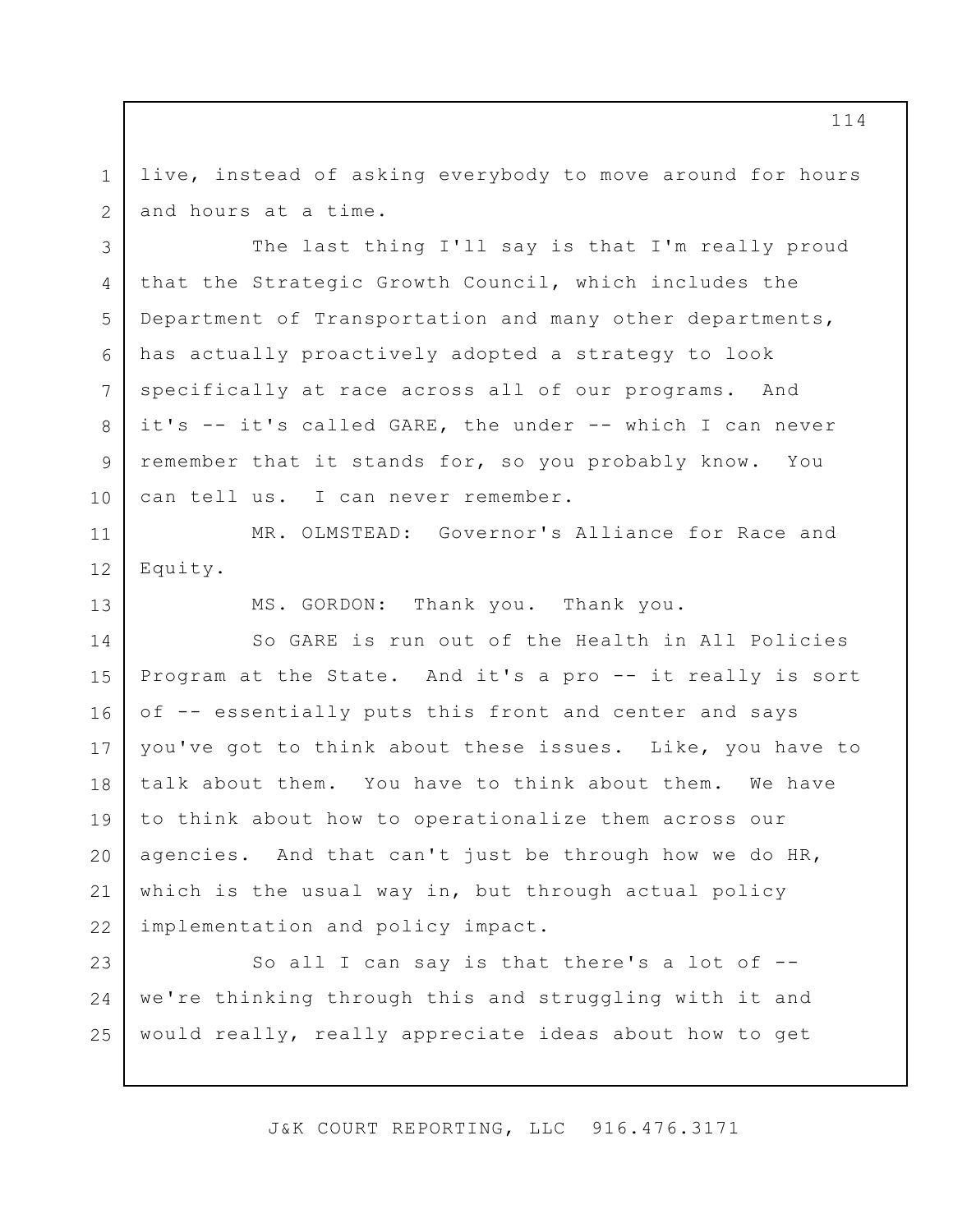1 2 live, instead of asking everybody to move around for hours and hours at a time.

3 4 5 6 7 8 9 10 The last thing I'll say is that I'm really proud that the Strategic Growth Council, which includes the Department of Transportation and many other departments, has actually proactively adopted a strategy to look specifically at race across all of our programs. And it's -- it's called GARE, the under -- which I can never remember that it stands for, so you probably know. You can tell us. I can never remember.

11 12 MR. OLMSTEAD: Governor's Alliance for Race and Equity.

MS. GORDON: Thank you. Thank you.

13

14 15 16 17 18 19 20 21 22 So GARE is run out of the Health in All Policies Program at the State. And it's a pro -- it really is sort of -- essentially puts this front and center and says you've got to think about these issues. Like, you have to talk about them. You have to think about them. We have to think about how to operationalize them across our agencies. And that can't just be through how we do HR, which is the usual way in, but through actual policy implementation and policy impact.

23 24 25 So all I can say is that there's a lot of -we're thinking through this and struggling with it and would really, really appreciate ideas about how to get

J&K COURT REPORTING, LLC 916.476.3171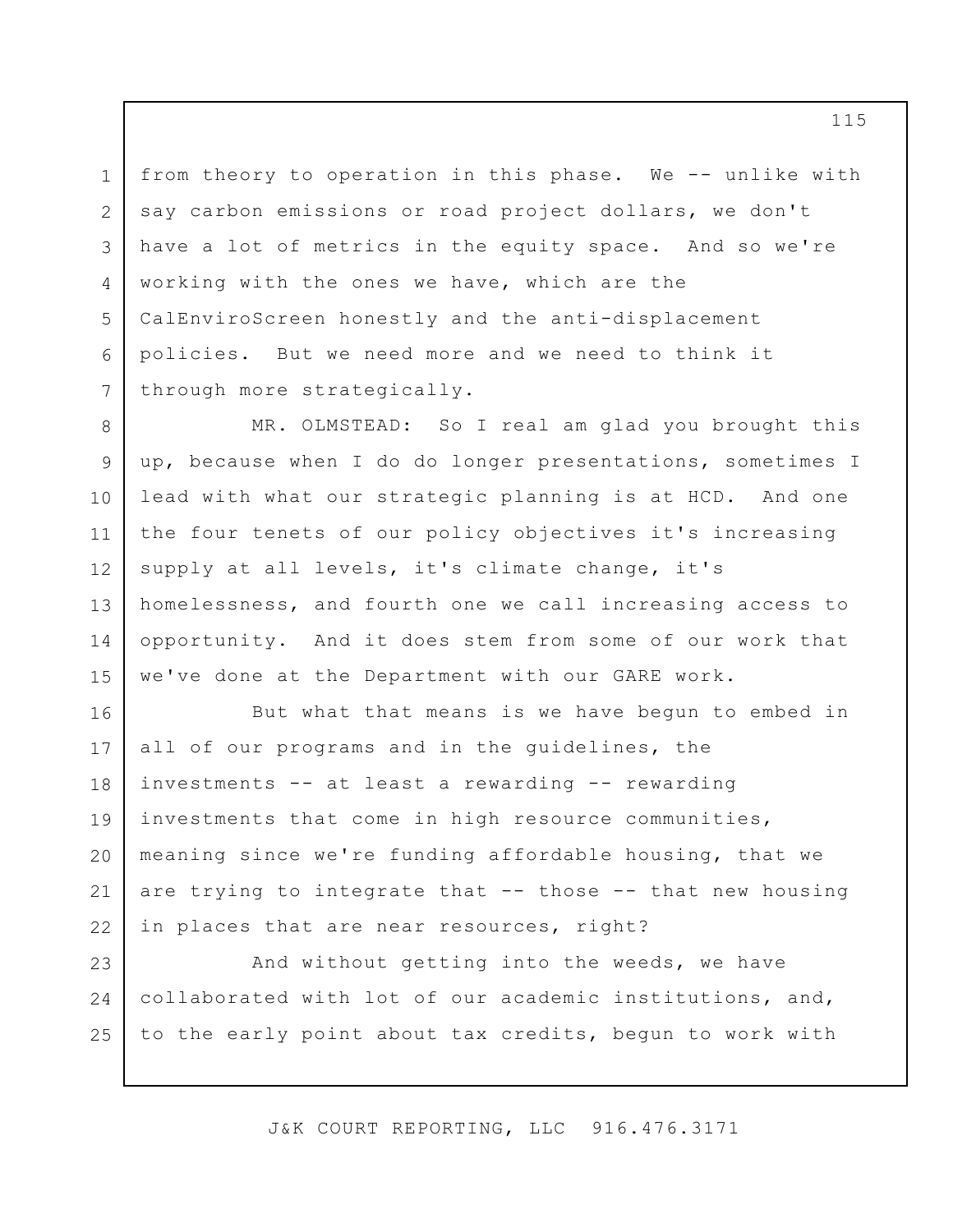3 5 6 from theory to operation in this phase. We -- unlike with say carbon emissions or road project dollars, we don't have a lot of metrics in the equity space. And so we're working with the ones we have, which are the CalEnviroScreen honestly and the anti-displacement policies. But we need more and we need to think it through more strategically.

1

2

4

7

8 9 10 11 12 13 14 15 MR. OLMSTEAD: So I real am glad you brought this up, because when I do do longer presentations, sometimes I lead with what our strategic planning is at HCD. And one the four tenets of our policy objectives it's increasing supply at all levels, it's climate change, it's homelessness, and fourth one we call increasing access to opportunity. And it does stem from some of our work that we've done at the Department with our GARE work.

16 17 18 19 20 21 22 But what that means is we have begun to embed in all of our programs and in the guidelines, the investments -- at least a rewarding -- rewarding investments that come in high resource communities, meaning since we're funding affordable housing, that we are trying to integrate that -- those -- that new housing in places that are near resources, right?

23 24 25 And without getting into the weeds, we have collaborated with lot of our academic institutions, and, to the early point about tax credits, begun to work with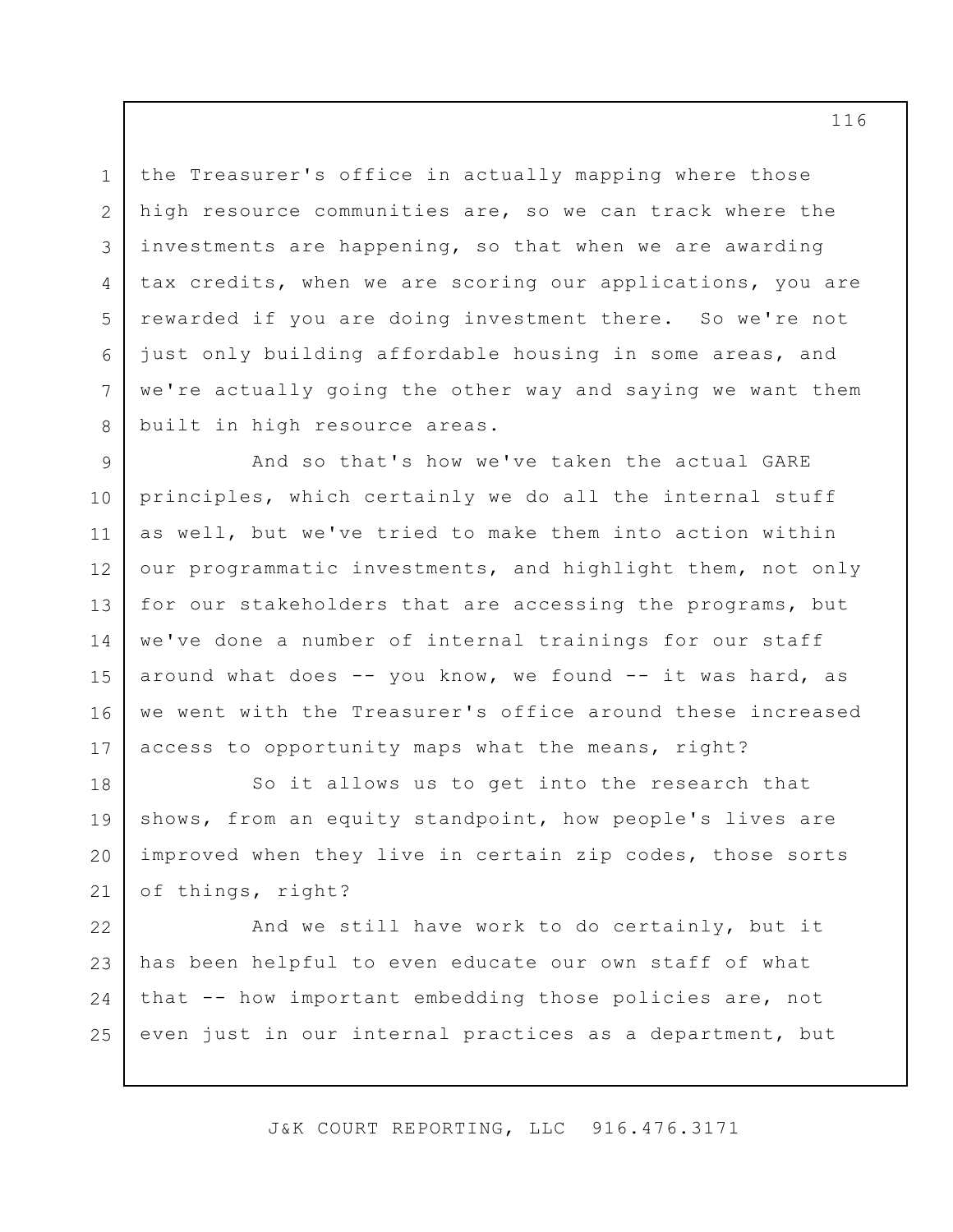the Treasurer's office in actually mapping where those high resource communities are, so we can track where the investments are happening, so that when we are awarding tax credits, when we are scoring our applications, you are rewarded if you are doing investment there. So we're not just only building affordable housing in some areas, and we're actually going the other way and saying we want them built in high resource areas.

1

2

3

4

5

6

7

8

9 10 11 12 13 14 15 16 17 And so that's how we've taken the actual GARE principles, which certainly we do all the internal stuff as well, but we've tried to make them into action within our programmatic investments, and highlight them, not only for our stakeholders that are accessing the programs, but we've done a number of internal trainings for our staff around what does  $--$  you know, we found  $--$  it was hard, as we went with the Treasurer's office around these increased access to opportunity maps what the means, right?

18 19 20 21 So it allows us to get into the research that shows, from an equity standpoint, how people's lives are improved when they live in certain zip codes, those sorts of things, right?

22 23 24 25 And we still have work to do certainly, but it has been helpful to even educate our own staff of what that -- how important embedding those policies are, not even just in our internal practices as a department, but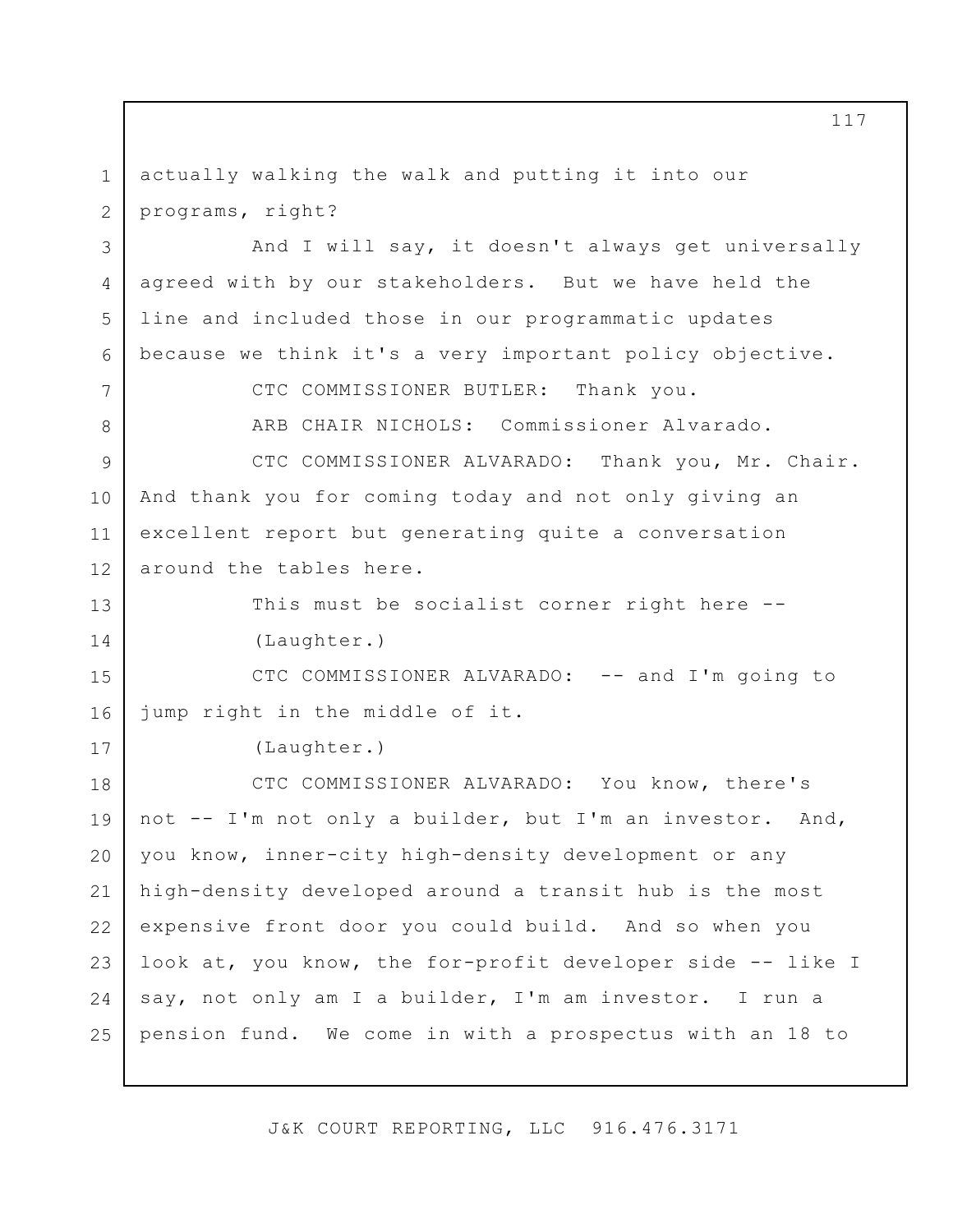1 2 3 4 5 6 7 8 9 10 11 12 13 14 15 16 17 18 19 20 21 22 23 24 25 actually walking the walk and putting it into our programs, right? And I will say, it doesn't always get universally agreed with by our stakeholders. But we have held the line and included those in our programmatic updates because we think it's a very important policy objective. CTC COMMISSIONER BUTLER: Thank you. ARB CHAIR NICHOLS: Commissioner Alvarado. CTC COMMISSIONER ALVARADO: Thank you, Mr. Chair. And thank you for coming today and not only giving an excellent report but generating quite a conversation around the tables here. This must be socialist corner right here --(Laughter.) CTC COMMISSIONER ALVARADO: -- and I'm going to jump right in the middle of it. (Laughter.) CTC COMMISSIONER ALVARADO: You know, there's not -- I'm not only a builder, but I'm an investor. And, you know, inner-city high-density development or any high-density developed around a transit hub is the most expensive front door you could build. And so when you look at, you know, the for-profit developer side -- like I say, not only am I a builder, I'm am investor. I run a pension fund. We come in with a prospectus with an 18 to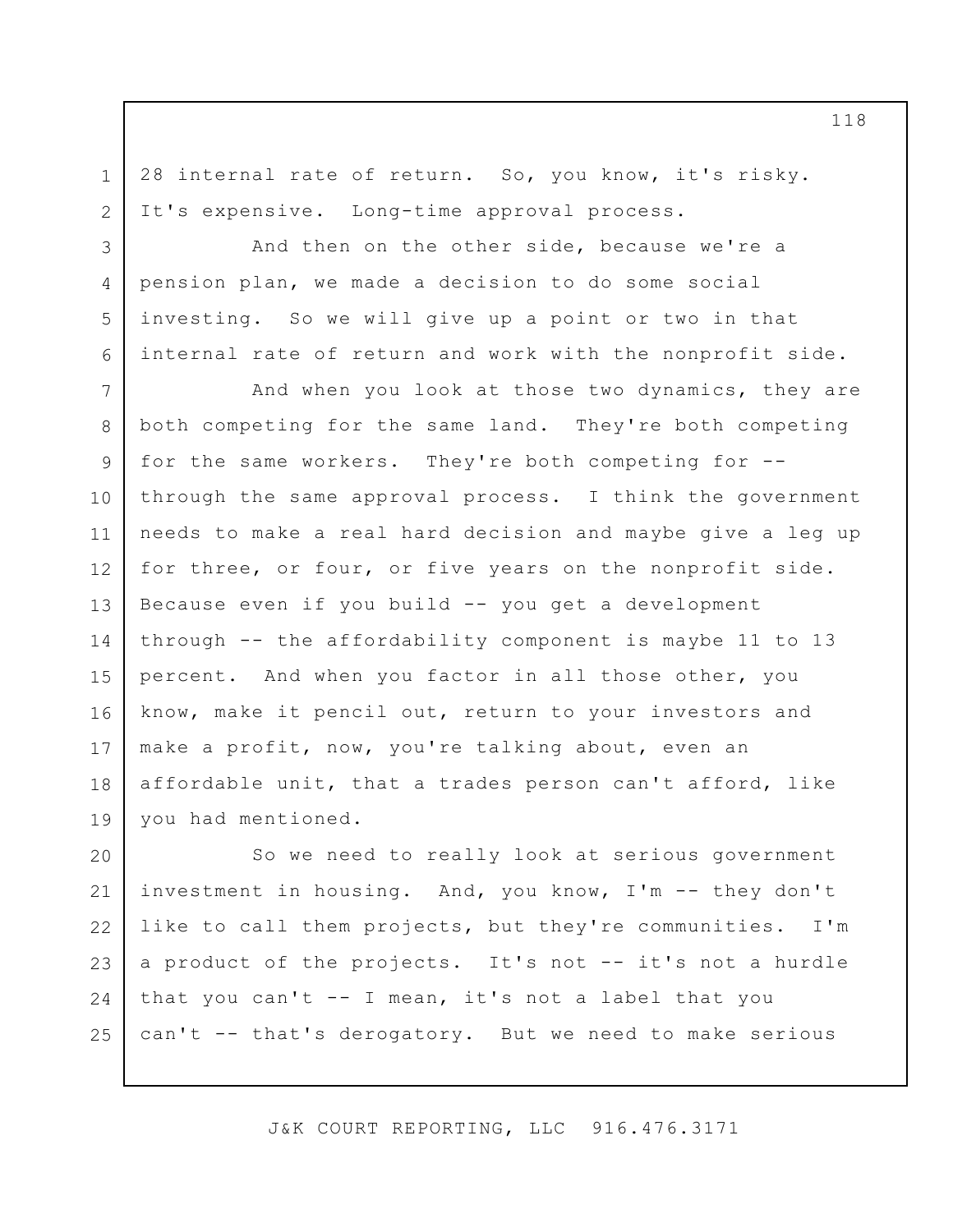28 internal rate of return. So, you know, it's risky. It's expensive. Long-time approval process.

1

2

3

4

5

6

And then on the other side, because we're a pension plan, we made a decision to do some social investing. So we will give up a point or two in that internal rate of return and work with the nonprofit side.

7 8 9 10 11 12 13 14 15 16 17 18 19 And when you look at those two dynamics, they are both competing for the same land. They're both competing for the same workers. They're both competing for - through the same approval process. I think the government needs to make a real hard decision and maybe give a leg up for three, or four, or five years on the nonprofit side. Because even if you build -- you get a development through -- the affordability component is maybe 11 to 13 percent. And when you factor in all those other, you know, make it pencil out, return to your investors and make a profit, now, you're talking about, even an affordable unit, that a trades person can't afford, like you had mentioned.

20 21 22 23 24 25 So we need to really look at serious government investment in housing. And, you know, I'm -- they don't like to call them projects, but they're communities. I'm a product of the projects. It's not -- it's not a hurdle that you can't -- I mean, it's not a label that you can't -- that's derogatory. But we need to make serious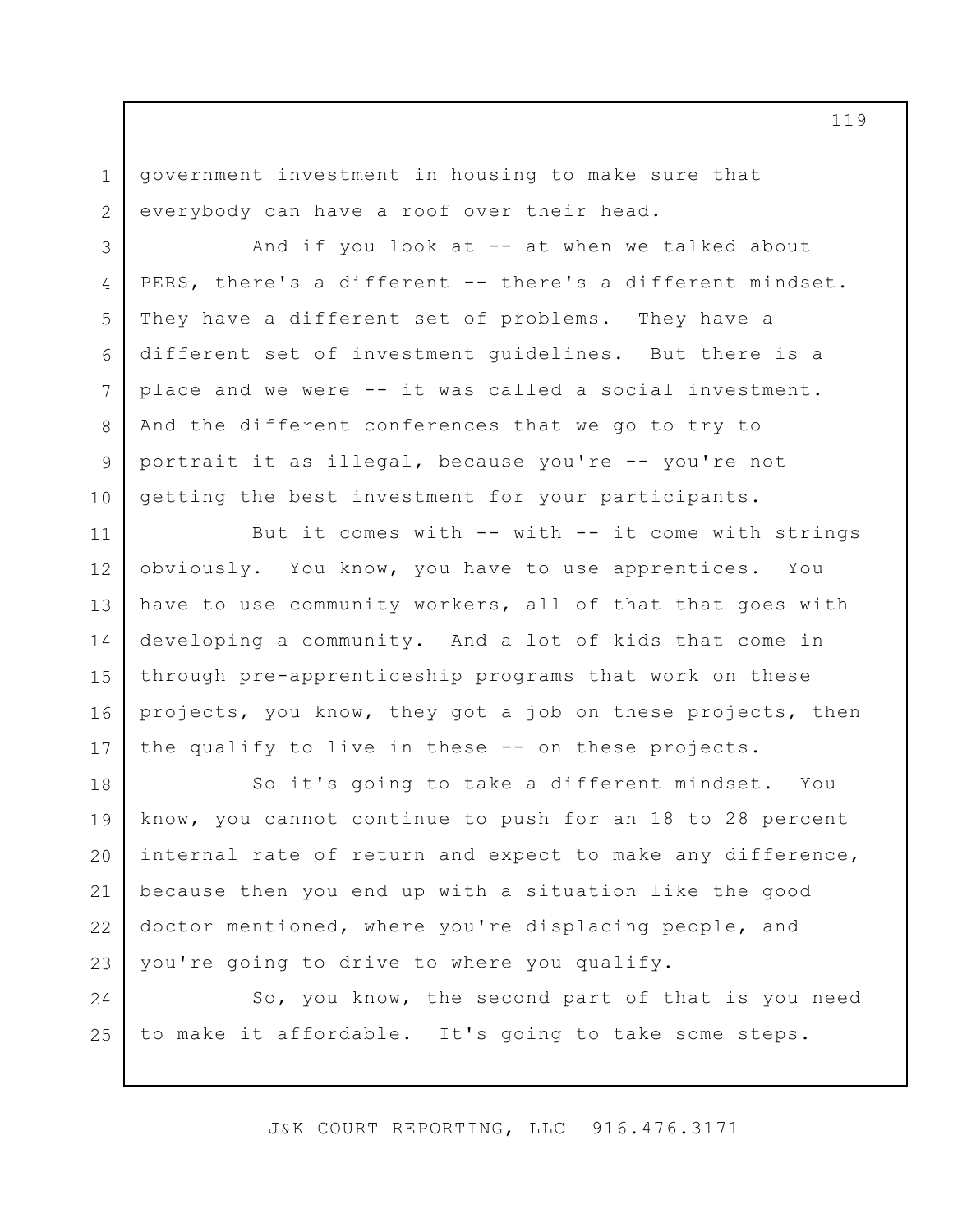1 2 government investment in housing to make sure that everybody can have a roof over their head.

3 4 5 6 7 8 9 10 And if you look at  $-$  at when we talked about PERS, there's a different -- there's a different mindset. They have a different set of problems. They have a different set of investment guidelines. But there is a place and we were -- it was called a social investment. And the different conferences that we go to try to portrait it as illegal, because you're -- you're not getting the best investment for your participants.

11 12 13 14 15 16 17 But it comes with -- with -- it come with strings obviously. You know, you have to use apprentices. You have to use community workers, all of that that goes with developing a community. And a lot of kids that come in through pre-apprenticeship programs that work on these projects, you know, they got a job on these projects, then the qualify to live in these -- on these projects.

18 19 20 21 22 23 So it's going to take a different mindset. You know, you cannot continue to push for an 18 to 28 percent internal rate of return and expect to make any difference, because then you end up with a situation like the good doctor mentioned, where you're displacing people, and you're going to drive to where you qualify.

24 25 So, you know, the second part of that is you need to make it affordable. It's going to take some steps.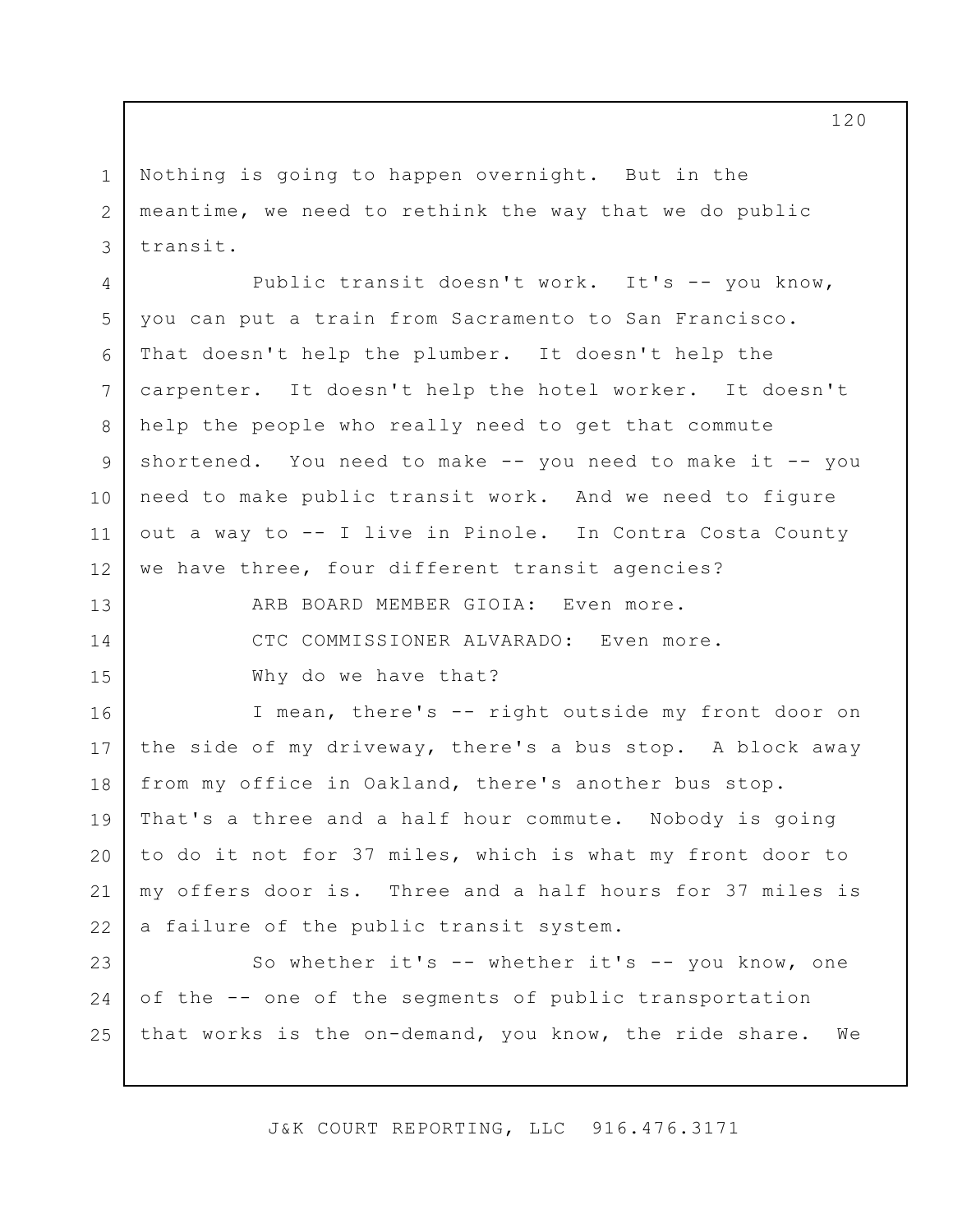Nothing is going to happen overnight. But in the meantime, we need to rethink the way that we do public transit.

1

2

3

13

14

15

4 5 6 7 8 9 10 11 12 Public transit doesn't work. It's -- you know, you can put a train from Sacramento to San Francisco. That doesn't help the plumber. It doesn't help the carpenter. It doesn't help the hotel worker. It doesn't help the people who really need to get that commute shortened. You need to make  $--$  you need to make it  $--$  you need to make public transit work. And we need to figure out a way to -- I live in Pinole. In Contra Costa County we have three, four different transit agencies?

> ARB BOARD MEMBER GIOIA: Even more. CTC COMMISSIONER ALVARADO: Even more. Why do we have that?

16 17 18 19 20 21 22 I mean, there's -- right outside my front door on the side of my driveway, there's a bus stop. A block away from my office in Oakland, there's another bus stop. That's a three and a half hour commute. Nobody is going to do it not for 37 miles, which is what my front door to my offers door is. Three and a half hours for 37 miles is a failure of the public transit system.

23 24 25 So whether it's -- whether it's -- you know, one of the -- one of the segments of public transportation that works is the on-demand, you know, the ride share. We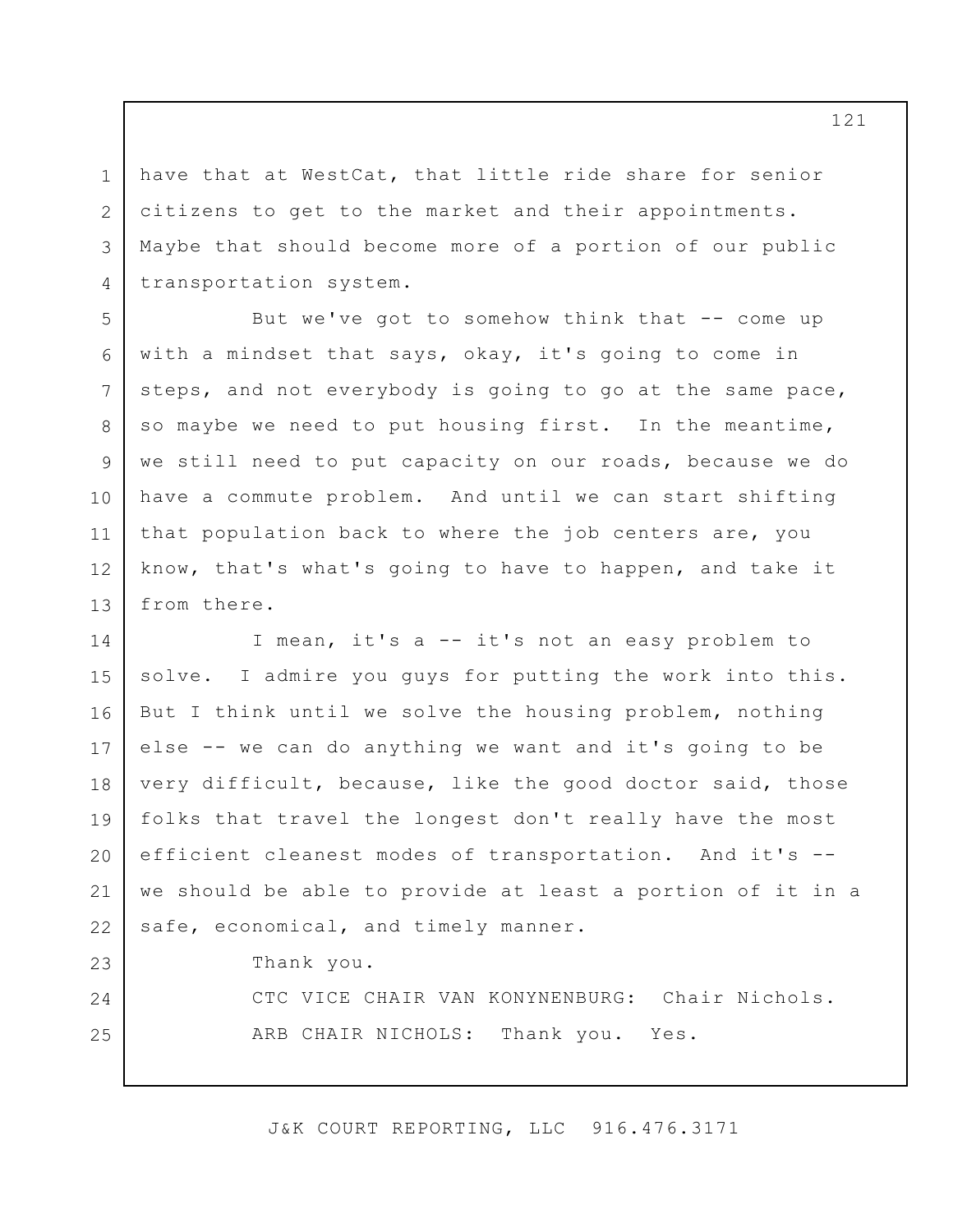have that at WestCat, that little ride share for senior citizens to get to the market and their appointments. Maybe that should become more of a portion of our public transportation system.

13 But we've got to somehow think that  $-$ - come up with a mindset that says, okay, it's going to come in steps, and not everybody is going to go at the same pace, so maybe we need to put housing first. In the meantime, we still need to put capacity on our roads, because we do have a commute problem. And until we can start shifting that population back to where the job centers are, you know, that's what's going to have to happen, and take it from there.

14 15 16 17 18 19 20 21 22 I mean, it's a -- it's not an easy problem to solve. I admire you guys for putting the work into this. But I think until we solve the housing problem, nothing else -- we can do anything we want and it's going to be very difficult, because, like the good doctor said, those folks that travel the longest don't really have the most efficient cleanest modes of transportation. And it's - we should be able to provide at least a portion of it in a safe, economical, and timely manner.

Thank you.

1

2

3

4

5

6

7

8

9

10

11

12

23

24

25

CTC VICE CHAIR VAN KONYNENBURG: Chair Nichols. ARB CHAIR NICHOLS: Thank you. Yes.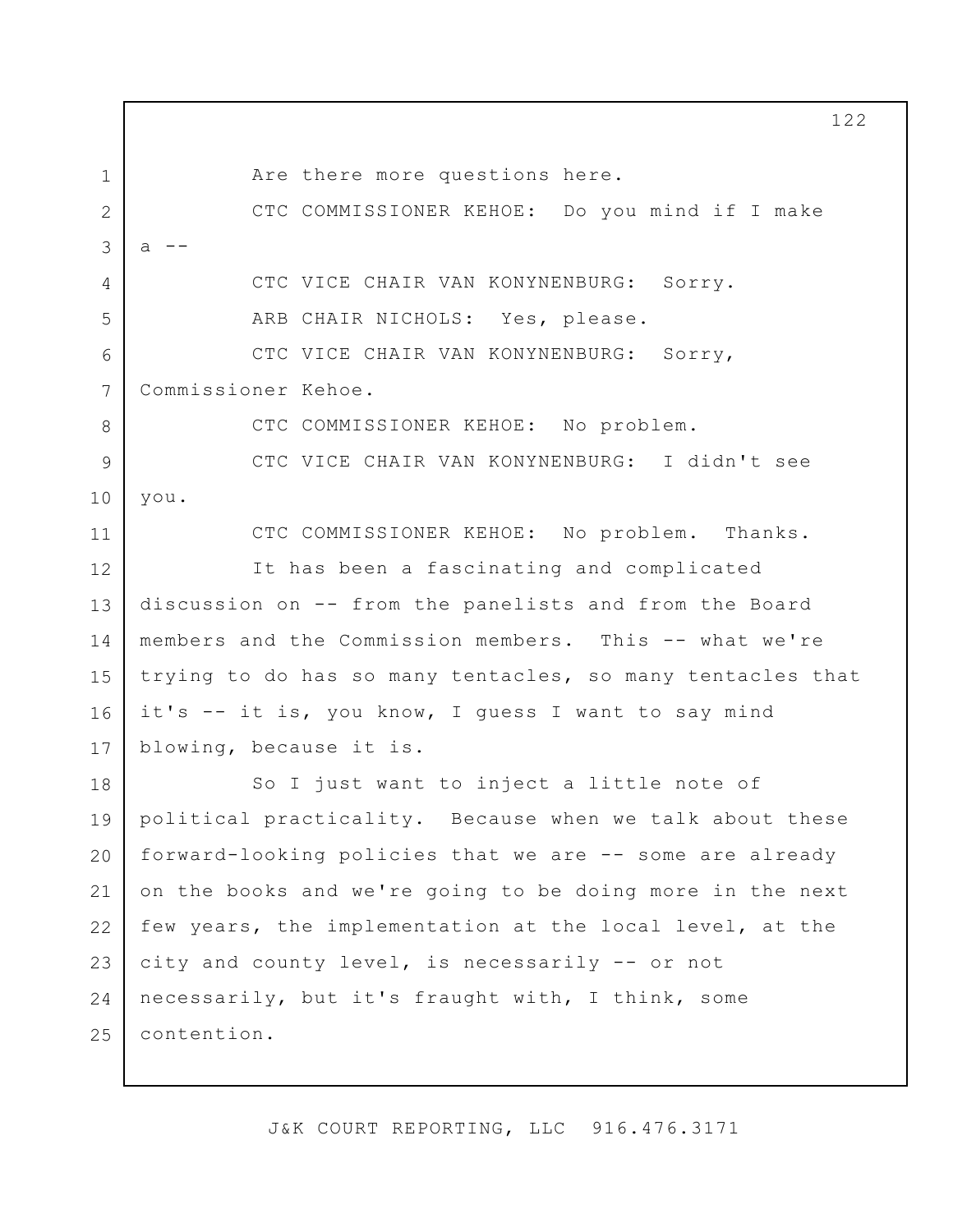1 2 3 4 5 6 7 8 9 10 11 12 13 14 15 16 17 18 19 20 21 22 23 24 25 Are there more questions here. CTC COMMISSIONER KEHOE: Do you mind if I make  $a -$ CTC VICE CHAIR VAN KONYNENBURG: Sorry. ARB CHAIR NICHOLS: Yes, please. CTC VICE CHAIR VAN KONYNENBURG: Sorry, Commissioner Kehoe. CTC COMMISSIONER KEHOE: No problem. CTC VICE CHAIR VAN KONYNENBURG: I didn't see you. CTC COMMISSIONER KEHOE: No problem. Thanks. It has been a fascinating and complicated discussion on -- from the panelists and from the Board members and the Commission members. This -- what we're trying to do has so many tentacles, so many tentacles that it's -- it is, you know, I guess I want to say mind blowing, because it is. So I just want to inject a little note of political practicality. Because when we talk about these forward-looking policies that we are -- some are already on the books and we're going to be doing more in the next few years, the implementation at the local level, at the city and county level, is necessarily -- or not necessarily, but it's fraught with, I think, some contention.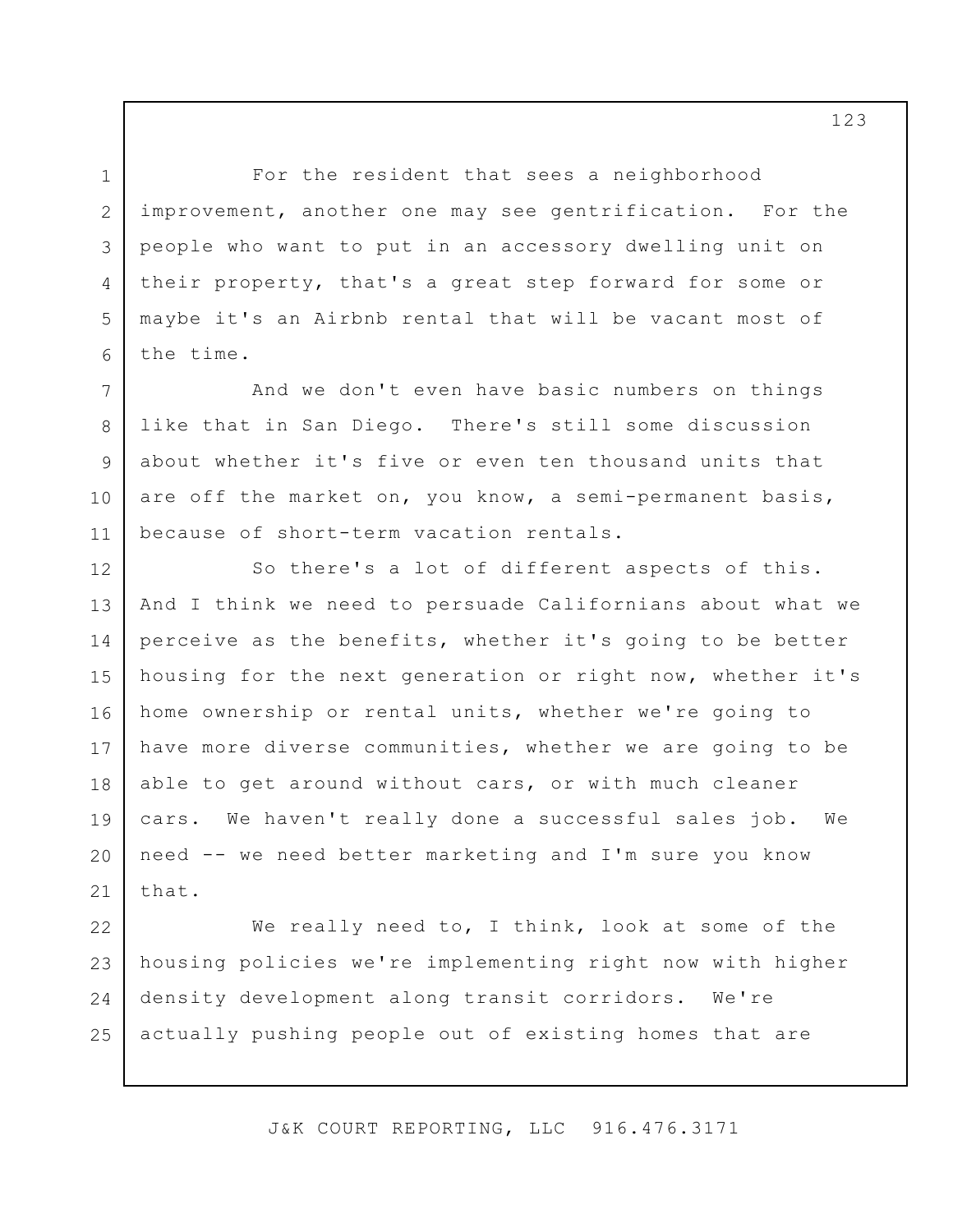For the resident that sees a neighborhood improvement, another one may see gentrification. For the people who want to put in an accessory dwelling unit on their property, that's a great step forward for some or maybe it's an Airbnb rental that will be vacant most of the time.

1

2

3

4

5

6

7 8 9 10 11 And we don't even have basic numbers on things like that in San Diego. There's still some discussion about whether it's five or even ten thousand units that are off the market on, you know, a semi-permanent basis, because of short-term vacation rentals.

12 13 14 15 16 17 18 19 20 21 So there's a lot of different aspects of this. And I think we need to persuade Californians about what we perceive as the benefits, whether it's going to be better housing for the next generation or right now, whether it's home ownership or rental units, whether we're going to have more diverse communities, whether we are going to be able to get around without cars, or with much cleaner cars. We haven't really done a successful sales job. We need -- we need better marketing and I'm sure you know that.

22 23 24 25 We really need to, I think, look at some of the housing policies we're implementing right now with higher density development along transit corridors. We're actually pushing people out of existing homes that are

J&K COURT REPORTING, LLC 916.476.3171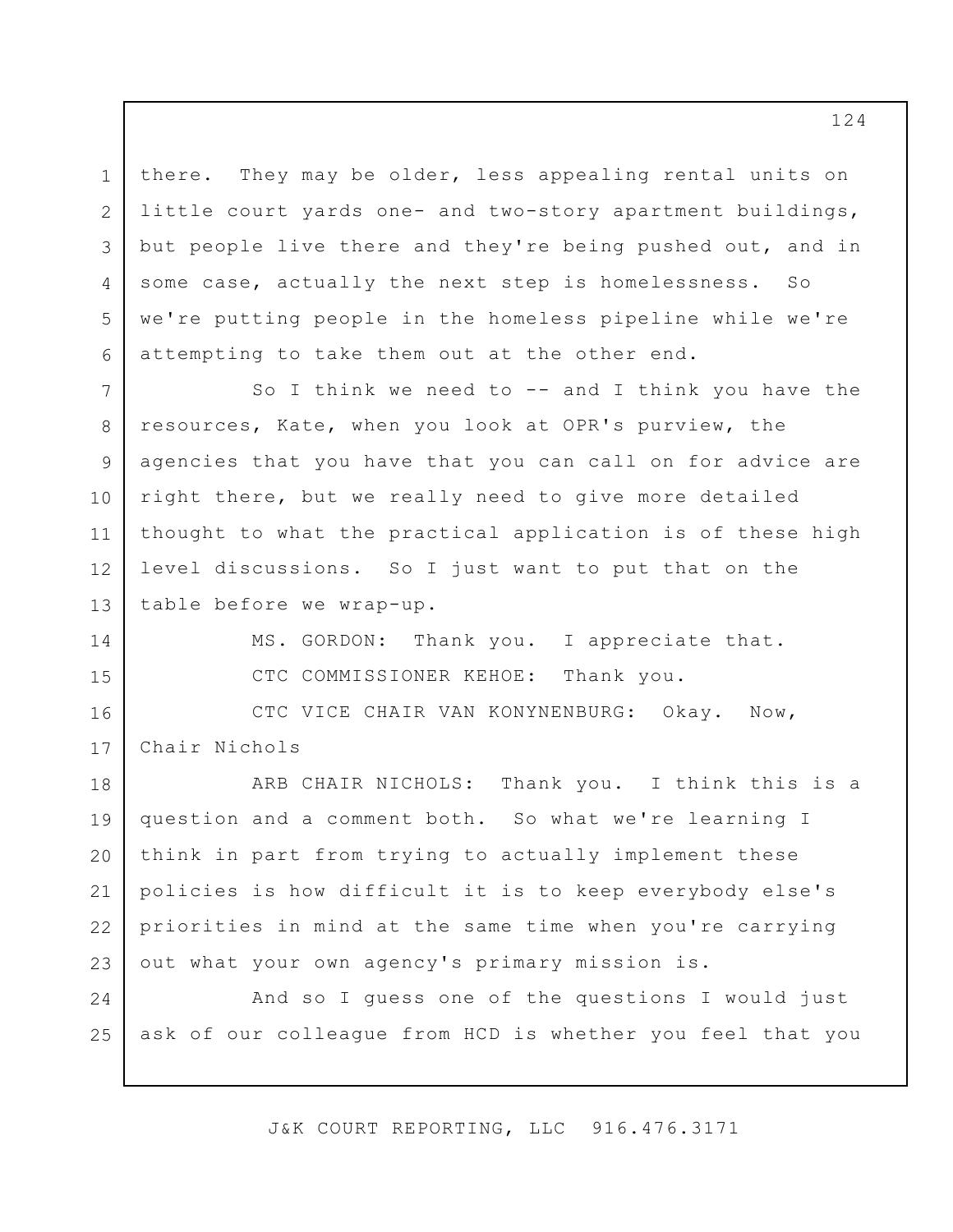1 2 3 4 5 6 there. They may be older, less appealing rental units on little court yards one- and two-story apartment buildings, but people live there and they're being pushed out, and in some case, actually the next step is homelessness. So we're putting people in the homeless pipeline while we're attempting to take them out at the other end.

7 8 9 10 11 12 13 So I think we need to  $--$  and I think you have the resources, Kate, when you look at OPR's purview, the agencies that you have that you can call on for advice are right there, but we really need to give more detailed thought to what the practical application is of these high level discussions. So I just want to put that on the table before we wrap-up.

14 15 MS. GORDON: Thank you. I appreciate that. CTC COMMISSIONER KEHOE: Thank you.

16 17 CTC VICE CHAIR VAN KONYNENBURG: Okay. Now, Chair Nichols

18 19 20 21 22 23 ARB CHAIR NICHOLS: Thank you. I think this is a question and a comment both. So what we're learning I think in part from trying to actually implement these policies is how difficult it is to keep everybody else's priorities in mind at the same time when you're carrying out what your own agency's primary mission is.

24 25 And so I guess one of the questions I would just ask of our colleague from HCD is whether you feel that you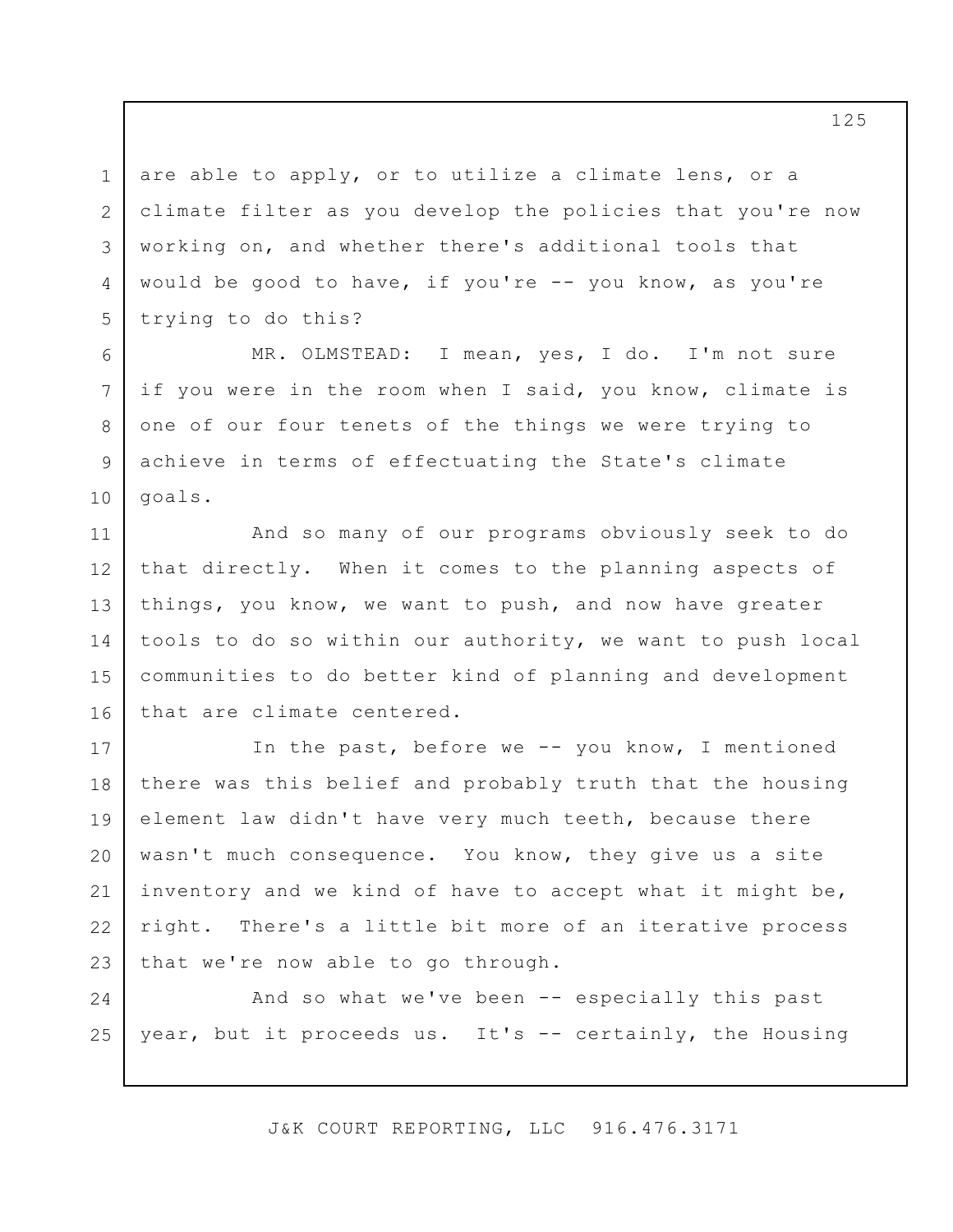are able to apply, or to utilize a climate lens, or a climate filter as you develop the policies that you're now working on, and whether there's additional tools that would be good to have, if you're -- you know, as you're trying to do this?

1

2

3

4

5

6

7

8

9

10

MR. OLMSTEAD: I mean, yes, I do. I'm not sure if you were in the room when I said, you know, climate is one of our four tenets of the things we were trying to achieve in terms of effectuating the State's climate goals.

11 12 13 14 15 16 And so many of our programs obviously seek to do that directly. When it comes to the planning aspects of things, you know, we want to push, and now have greater tools to do so within our authority, we want to push local communities to do better kind of planning and development that are climate centered.

17 18 19 20 21 22 23 In the past, before we -- you know, I mentioned there was this belief and probably truth that the housing element law didn't have very much teeth, because there wasn't much consequence. You know, they give us a site inventory and we kind of have to accept what it might be, right. There's a little bit more of an iterative process that we're now able to go through.

24 25 And so what we've been -- especially this past year, but it proceeds us. It's -- certainly, the Housing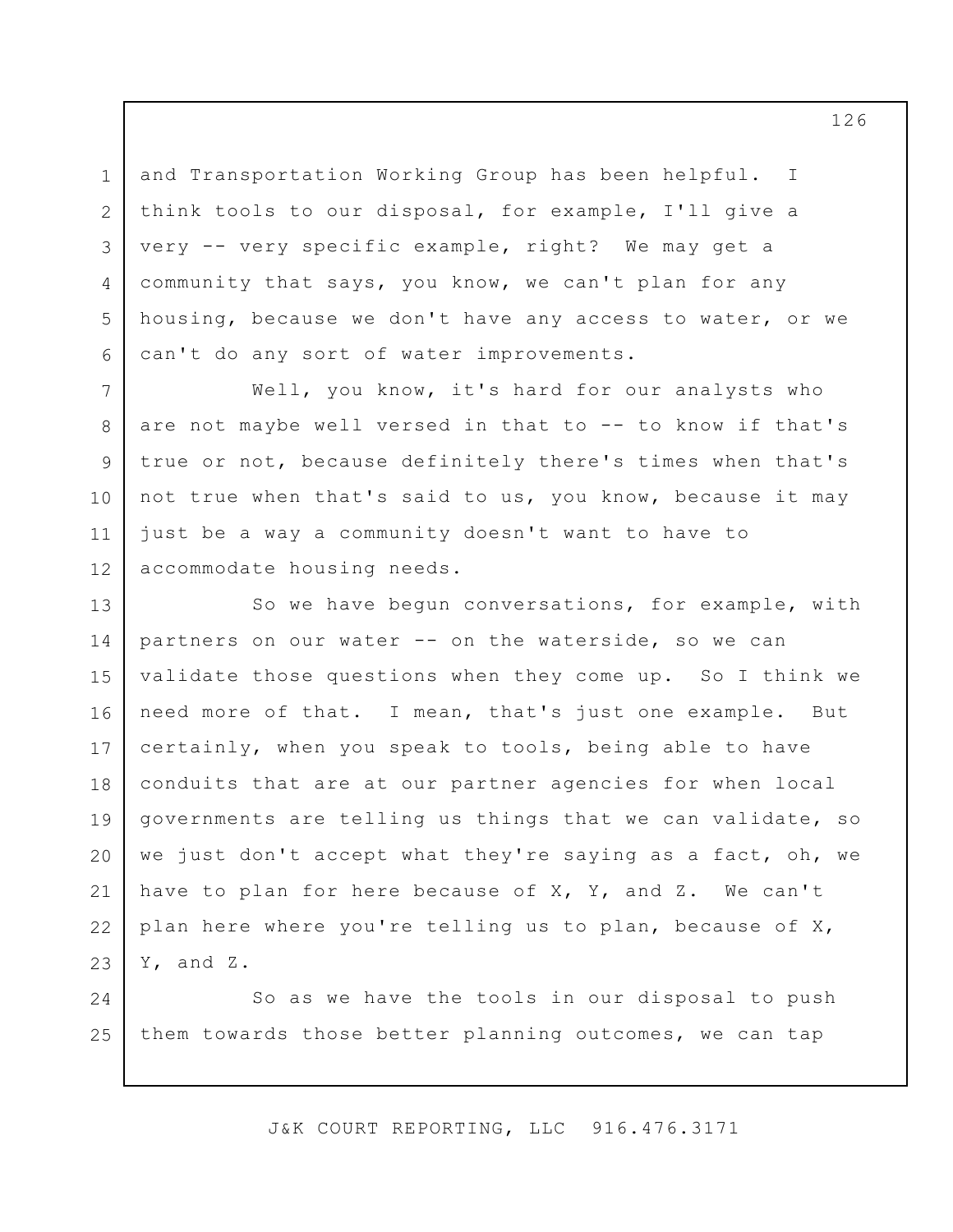and Transportation Working Group has been helpful. I think tools to our disposal, for example, I'll give a very -- very specific example, right? We may get a community that says, you know, we can't plan for any housing, because we don't have any access to water, or we can't do any sort of water improvements.

1

2

3

4

5

6

7 8 9 10 11 12 Well, you know, it's hard for our analysts who are not maybe well versed in that to -- to know if that's true or not, because definitely there's times when that's not true when that's said to us, you know, because it may just be a way a community doesn't want to have to accommodate housing needs.

13 14 15 16 17 18 19 20 21 22 23 So we have begun conversations, for example, with partners on our water -- on the waterside, so we can validate those questions when they come up. So I think we need more of that. I mean, that's just one example. But certainly, when you speak to tools, being able to have conduits that are at our partner agencies for when local governments are telling us things that we can validate, so we just don't accept what they're saying as a fact, oh, we have to plan for here because of X, Y, and Z. We can't plan here where you're telling us to plan, because of X, Y, and Z.

24 25 So as we have the tools in our disposal to push them towards those better planning outcomes, we can tap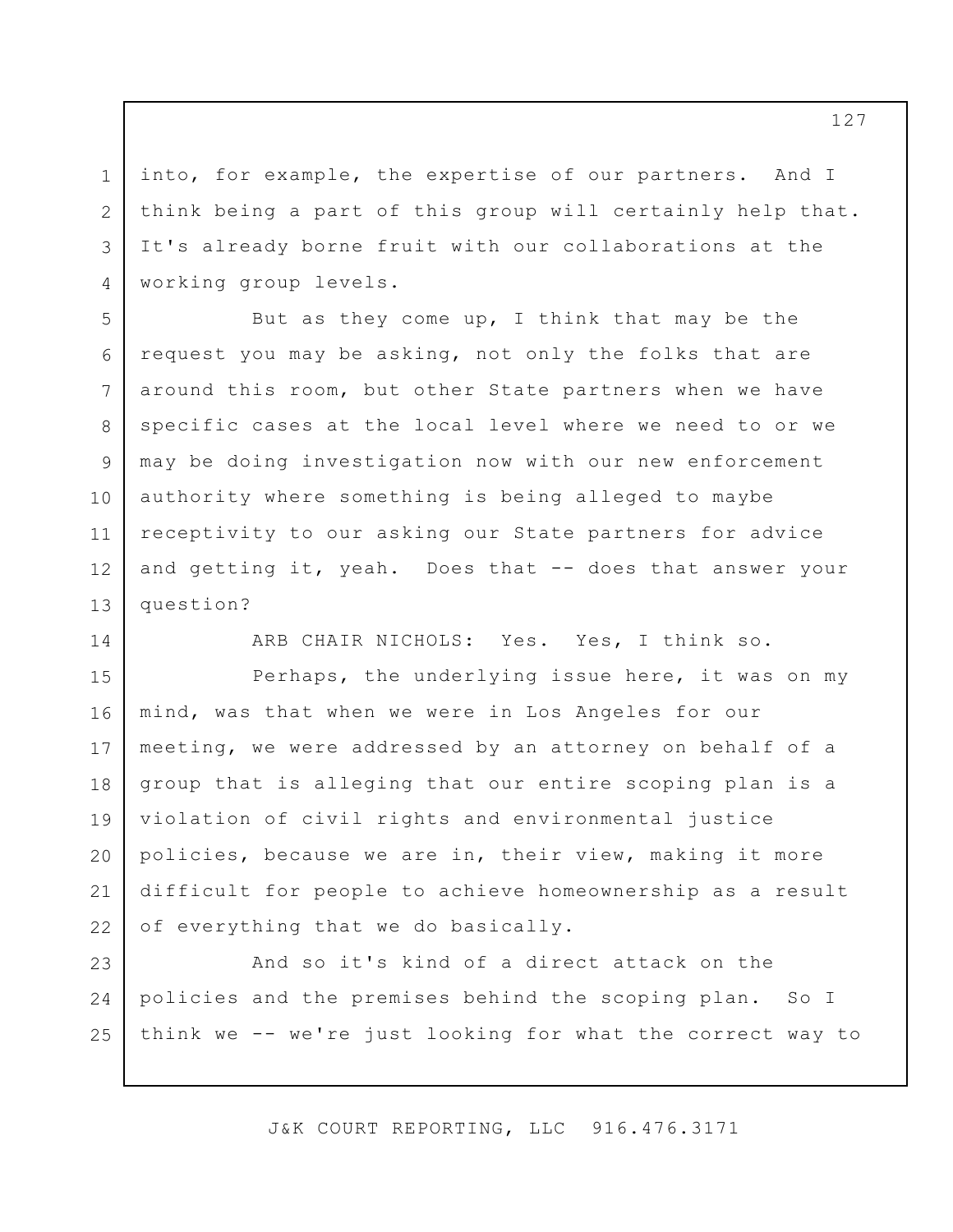into, for example, the expertise of our partners. And I think being a part of this group will certainly help that. It's already borne fruit with our collaborations at the working group levels.

But as they come up, I think that may be the request you may be asking, not only the folks that are around this room, but other State partners when we have specific cases at the local level where we need to or we may be doing investigation now with our new enforcement authority where something is being alleged to maybe receptivity to our asking our State partners for advice and getting it, yeah. Does that -- does that answer your question?

14

1

2

3

4

5

6

7

8

9

10

11

12

13

ARB CHAIR NICHOLS: Yes. Yes, I think so.

15 16 17 18 19 20 21 22 Perhaps, the underlying issue here, it was on my mind, was that when we were in Los Angeles for our meeting, we were addressed by an attorney on behalf of a group that is alleging that our entire scoping plan is a violation of civil rights and environmental justice policies, because we are in, their view, making it more difficult for people to achieve homeownership as a result of everything that we do basically.

23 24 25 And so it's kind of a direct attack on the policies and the premises behind the scoping plan. So I think we -- we're just looking for what the correct way to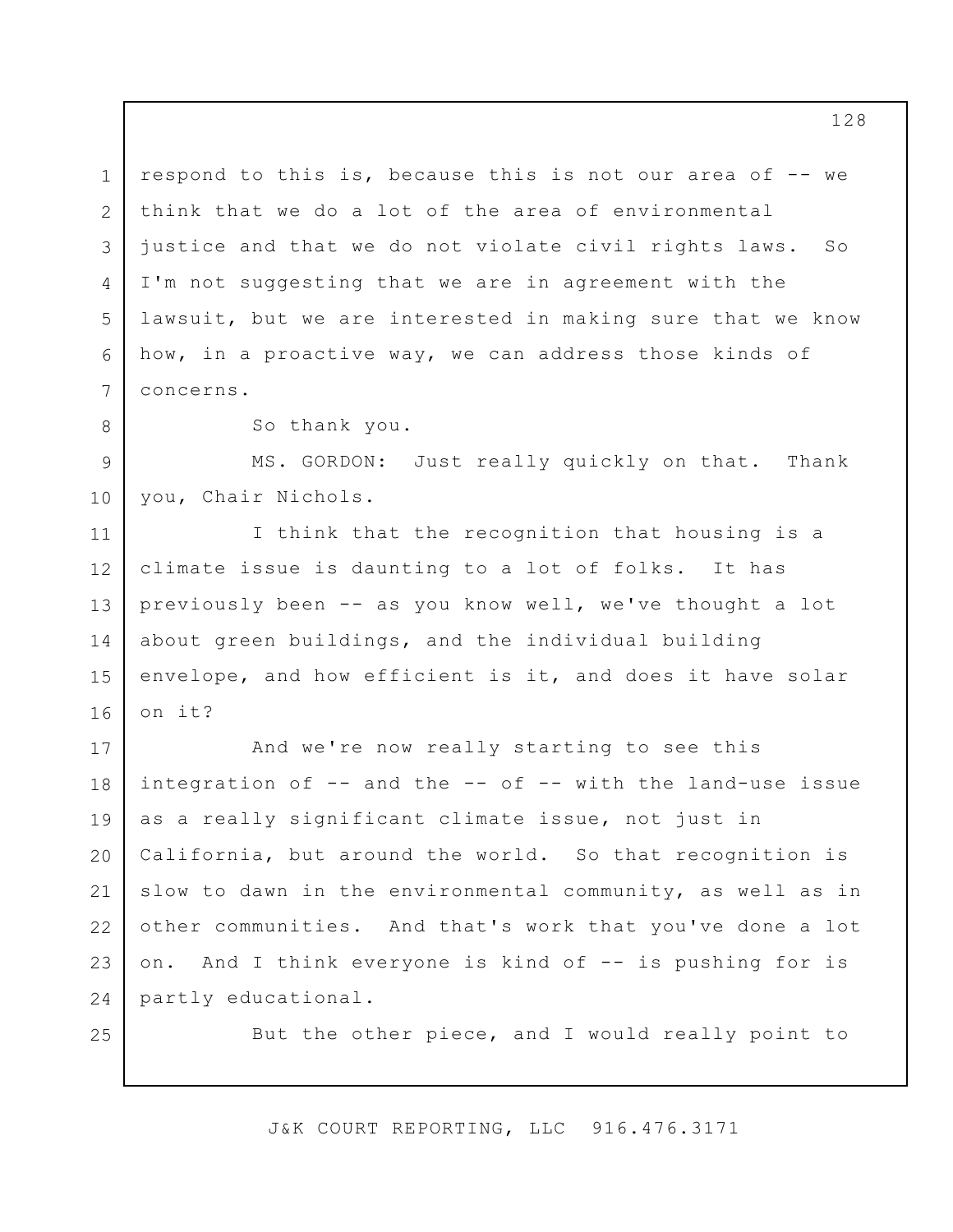1 2 3 4 5 6 7 respond to this is, because this is not our area of -- we think that we do a lot of the area of environmental justice and that we do not violate civil rights laws. So I'm not suggesting that we are in agreement with the lawsuit, but we are interested in making sure that we know how, in a proactive way, we can address those kinds of concerns.

So thank you.

8

25

9 10 MS. GORDON: Just really quickly on that. Thank you, Chair Nichols.

11 12 13 14 15 16 I think that the recognition that housing is a climate issue is daunting to a lot of folks. It has previously been -- as you know well, we've thought a lot about green buildings, and the individual building envelope, and how efficient is it, and does it have solar on it?

17 18 19 20 21 22 23 24 And we're now really starting to see this integration of -- and the -- of -- with the land-use issue as a really significant climate issue, not just in California, but around the world. So that recognition is slow to dawn in the environmental community, as well as in other communities. And that's work that you've done a lot on. And I think everyone is kind of -- is pushing for is partly educational.

But the other piece, and I would really point to

J&K COURT REPORTING, LLC 916.476.3171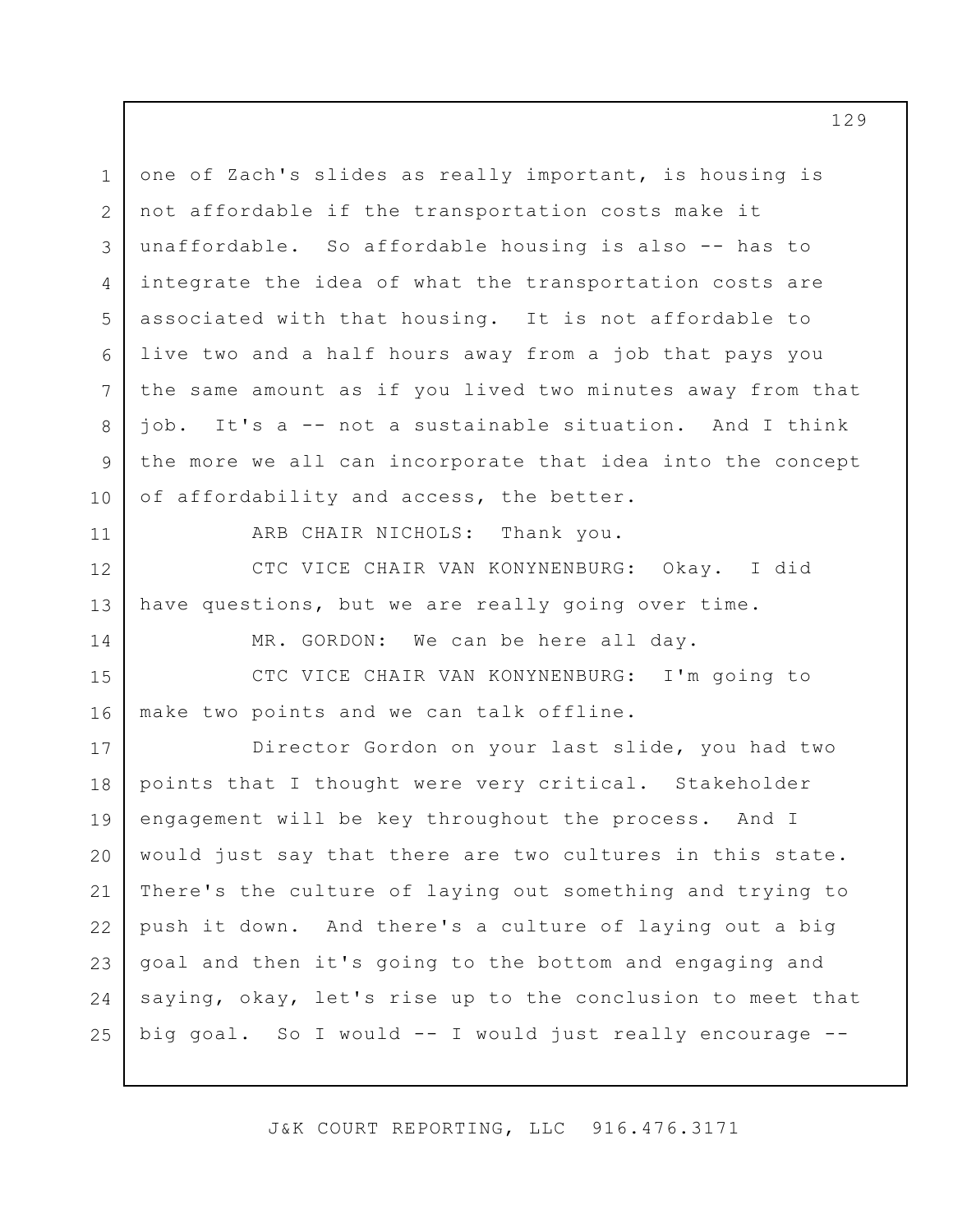1 2 3 4 5 6 7 8 9 10 one of Zach's slides as really important, is housing is not affordable if the transportation costs make it unaffordable. So affordable housing is also -- has to integrate the idea of what the transportation costs are associated with that housing. It is not affordable to live two and a half hours away from a job that pays you the same amount as if you lived two minutes away from that job. It's a -- not a sustainable situation. And I think the more we all can incorporate that idea into the concept of affordability and access, the better.

11

14

ARB CHAIR NICHOLS: Thank you.

12 13 CTC VICE CHAIR VAN KONYNENBURG: Okay. I did have questions, but we are really going over time.

MR. GORDON: We can be here all day.

15 16 CTC VICE CHAIR VAN KONYNENBURG: I'm going to make two points and we can talk offline.

17 18 19 20 21 22 23 24 25 Director Gordon on your last slide, you had two points that I thought were very critical. Stakeholder engagement will be key throughout the process. And I would just say that there are two cultures in this state. There's the culture of laying out something and trying to push it down. And there's a culture of laying out a big goal and then it's going to the bottom and engaging and saying, okay, let's rise up to the conclusion to meet that big goal. So I would -- I would just really encourage --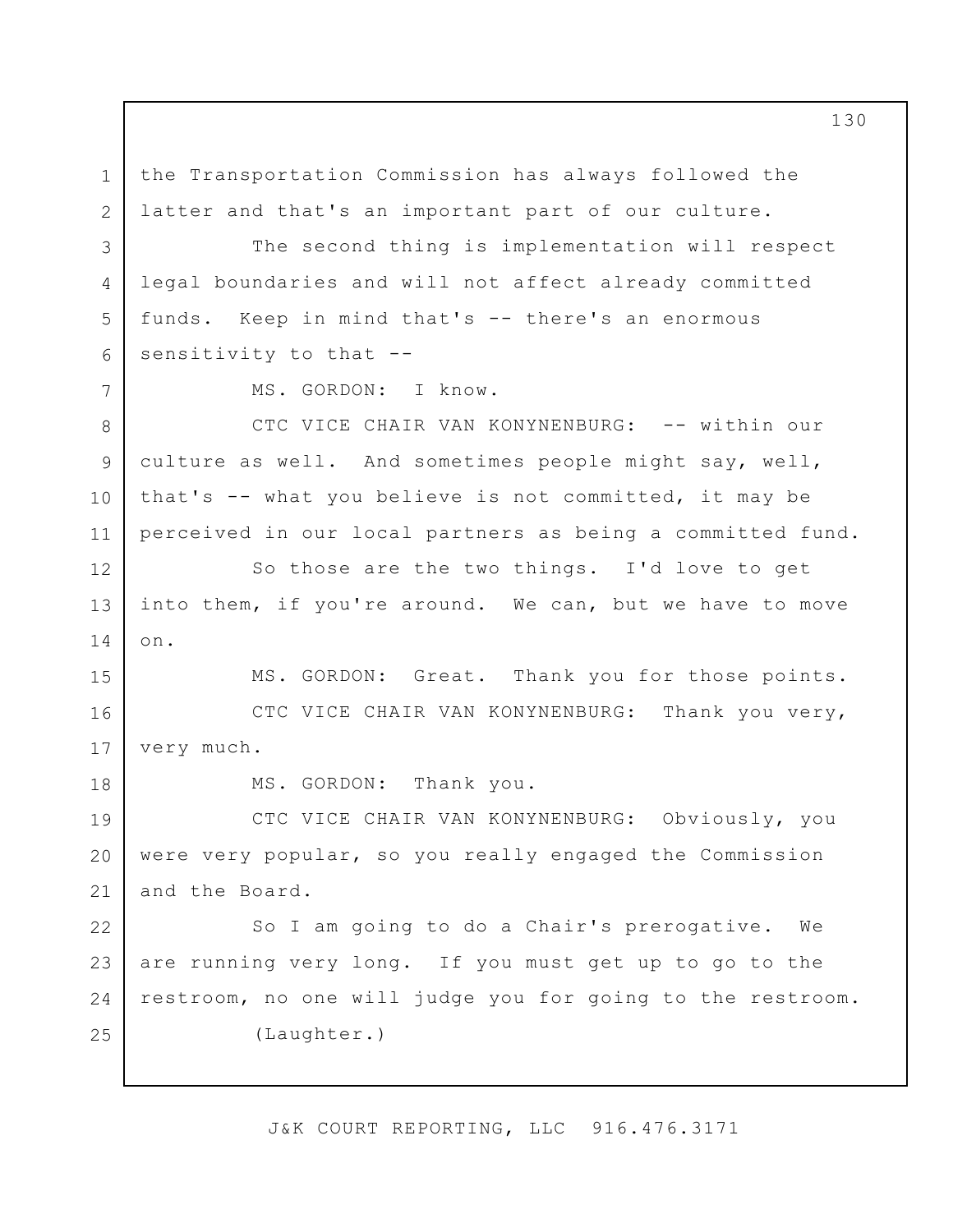1 2 the Transportation Commission has always followed the latter and that's an important part of our culture.

3 4 5 6 The second thing is implementation will respect legal boundaries and will not affect already committed funds. Keep in mind that's -- there's an enormous sensitivity to that --

MS. GORDON: I know.

7

18

8 9 10 11 CTC VICE CHAIR VAN KONYNENBURG: -- within our culture as well. And sometimes people might say, well, that's -- what you believe is not committed, it may be perceived in our local partners as being a committed fund.

12 13 14 So those are the two things. I'd love to get into them, if you're around. We can, but we have to move on.

15 16 17 MS. GORDON: Great. Thank you for those points. CTC VICE CHAIR VAN KONYNENBURG: Thank you very, very much.

MS. GORDON: Thank you.

19 20 21 CTC VICE CHAIR VAN KONYNENBURG: Obviously, you were very popular, so you really engaged the Commission and the Board.

22 23 24 25 So I am going to do a Chair's prerogative. We are running very long. If you must get up to go to the restroom, no one will judge you for going to the restroom. (Laughter.)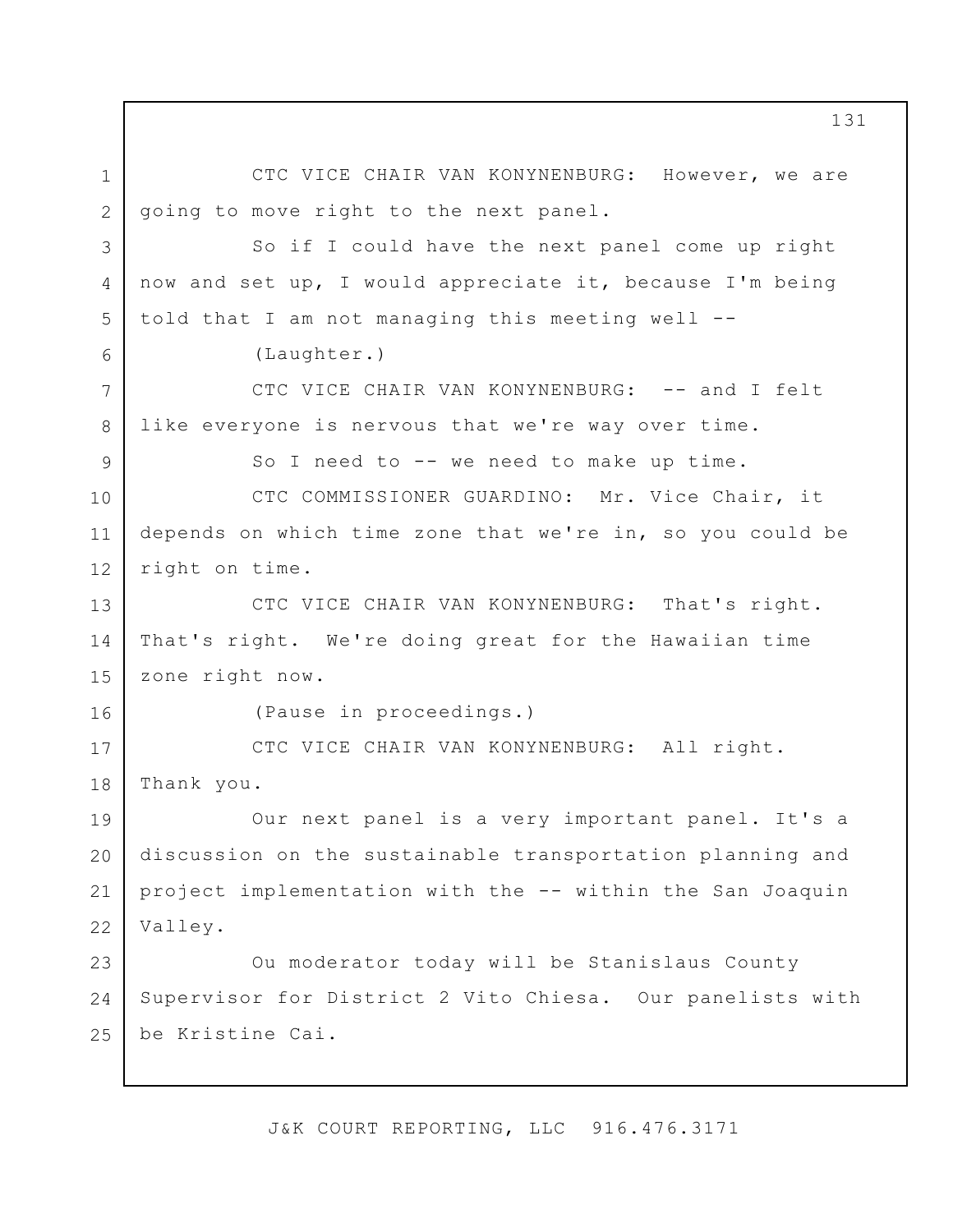1 2 3 4 5 6 7 8 9 10 11 12 13 14 15 16 17 18 19 20 21 22 23 24 25 CTC VICE CHAIR VAN KONYNENBURG: However, we are going to move right to the next panel. So if I could have the next panel come up right now and set up, I would appreciate it, because I'm being told that I am not managing this meeting well -- (Laughter.) CTC VICE CHAIR VAN KONYNENBURG: -- and I felt like everyone is nervous that we're way over time. So I need to -- we need to make up time. CTC COMMISSIONER GUARDINO: Mr. Vice Chair, it depends on which time zone that we're in, so you could be right on time. CTC VICE CHAIR VAN KONYNENBURG: That's right. That's right. We're doing great for the Hawaiian time zone right now. (Pause in proceedings.) CTC VICE CHAIR VAN KONYNENBURG: All right. Thank you. Our next panel is a very important panel. It's a discussion on the sustainable transportation planning and project implementation with the -- within the San Joaquin Valley. Ou moderator today will be Stanislaus County Supervisor for District 2 Vito Chiesa. Our panelists with be Kristine Cai.

J&K COURT REPORTING, LLC 916.476.3171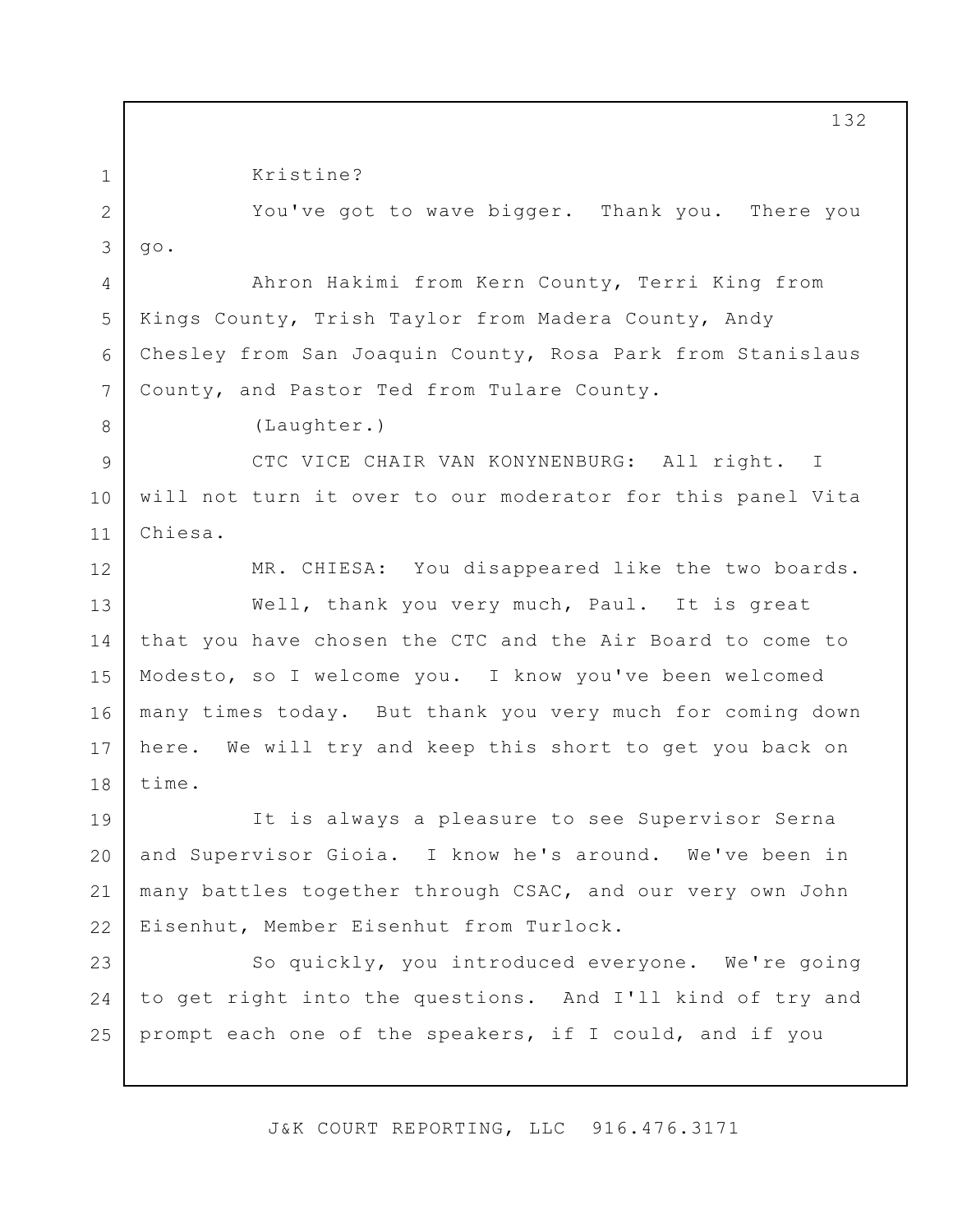Kristine?

1

4

5

6

7

8

2 3 You've got to wave bigger. Thank you. There you go.

Ahron Hakimi from Kern County, Terri King from Kings County, Trish Taylor from Madera County, Andy Chesley from San Joaquin County, Rosa Park from Stanislaus County, and Pastor Ted from Tulare County.

(Laughter.)

9 10 11 CTC VICE CHAIR VAN KONYNENBURG: All right. I will not turn it over to our moderator for this panel Vita Chiesa.

12 13 14 15 16 17 18 MR. CHIESA: You disappeared like the two boards. Well, thank you very much, Paul. It is great that you have chosen the CTC and the Air Board to come to Modesto, so I welcome you. I know you've been welcomed many times today. But thank you very much for coming down here. We will try and keep this short to get you back on time.

19 20 21 22 It is always a pleasure to see Supervisor Serna and Supervisor Gioia. I know he's around. We've been in many battles together through CSAC, and our very own John Eisenhut, Member Eisenhut from Turlock.

23 24 25 So quickly, you introduced everyone. We're going to get right into the questions. And I'll kind of try and prompt each one of the speakers, if I could, and if you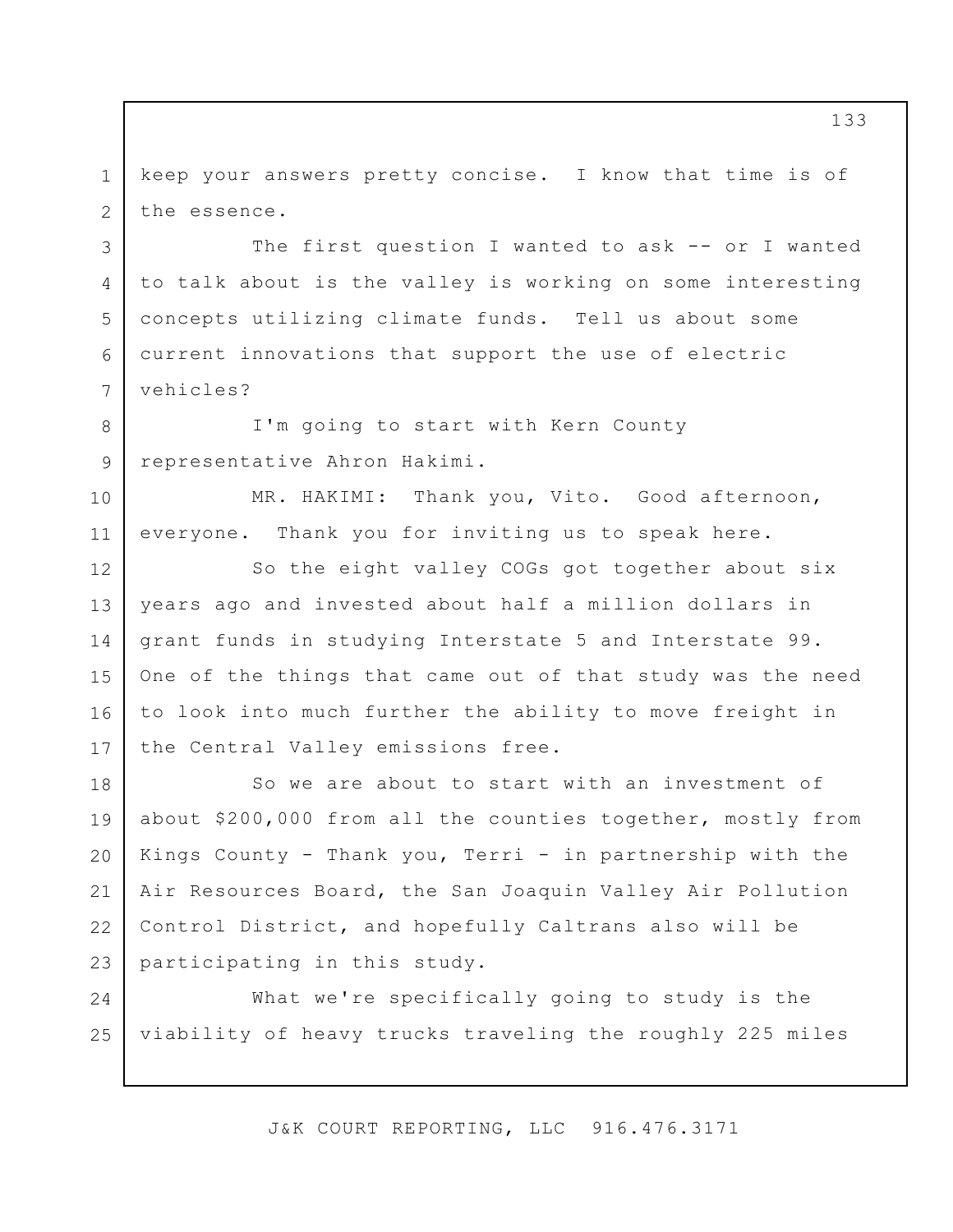1 2 keep your answers pretty concise. I know that time is of the essence.

The first question I wanted to ask -- or I wanted to talk about is the valley is working on some interesting concepts utilizing climate funds. Tell us about some current innovations that support the use of electric vehicles?

I'm going to start with Kern County representative Ahron Hakimi.

3

4

5

6

7

8

9

10

11

MR. HAKIMI: Thank you, Vito. Good afternoon, everyone. Thank you for inviting us to speak here.

12 13 14 15 16 17 So the eight valley COGs got together about six years ago and invested about half a million dollars in grant funds in studying Interstate 5 and Interstate 99. One of the things that came out of that study was the need to look into much further the ability to move freight in the Central Valley emissions free.

18 19 20 21 22 23 So we are about to start with an investment of about \$200,000 from all the counties together, mostly from Kings County - Thank you, Terri - in partnership with the Air Resources Board, the San Joaquin Valley Air Pollution Control District, and hopefully Caltrans also will be participating in this study.

24 25 What we're specifically going to study is the viability of heavy trucks traveling the roughly 225 miles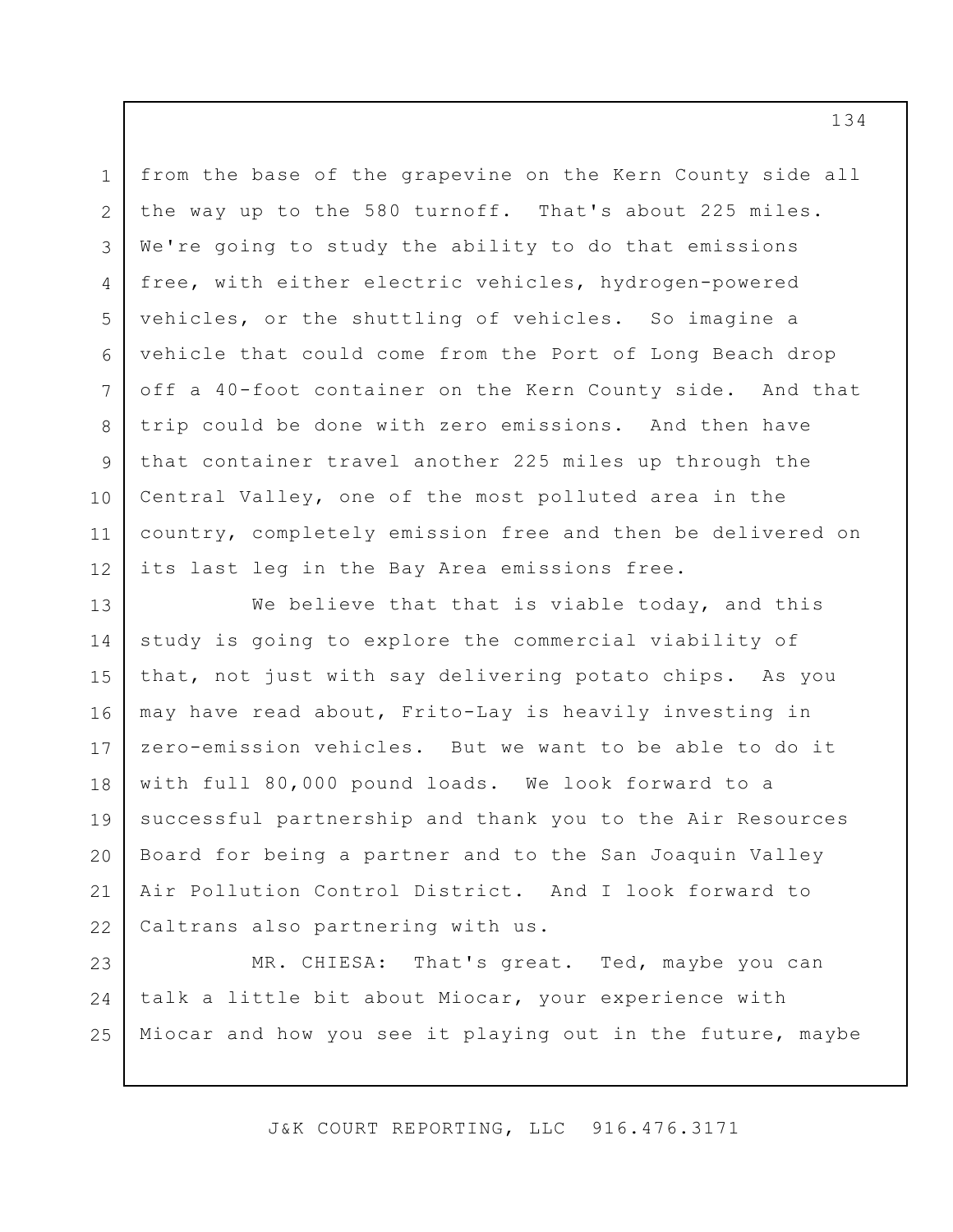1 2 3 4 5 6 7 8 9 10 11 12 from the base of the grapevine on the Kern County side all the way up to the 580 turnoff. That's about 225 miles. We're going to study the ability to do that emissions free, with either electric vehicles, hydrogen-powered vehicles, or the shuttling of vehicles. So imagine a vehicle that could come from the Port of Long Beach drop off a 40-foot container on the Kern County side. And that trip could be done with zero emissions. And then have that container travel another 225 miles up through the Central Valley, one of the most polluted area in the country, completely emission free and then be delivered on its last leg in the Bay Area emissions free.

13 14 15 16 17 18 19 20 21 22 We believe that that is viable today, and this study is going to explore the commercial viability of that, not just with say delivering potato chips. As you may have read about, Frito-Lay is heavily investing in zero-emission vehicles. But we want to be able to do it with full 80,000 pound loads. We look forward to a successful partnership and thank you to the Air Resources Board for being a partner and to the San Joaquin Valley Air Pollution Control District. And I look forward to Caltrans also partnering with us.

23 24 25 MR. CHIESA: That's great. Ted, maybe you can talk a little bit about Miocar, your experience with Miocar and how you see it playing out in the future, maybe

J&K COURT REPORTING, LLC 916.476.3171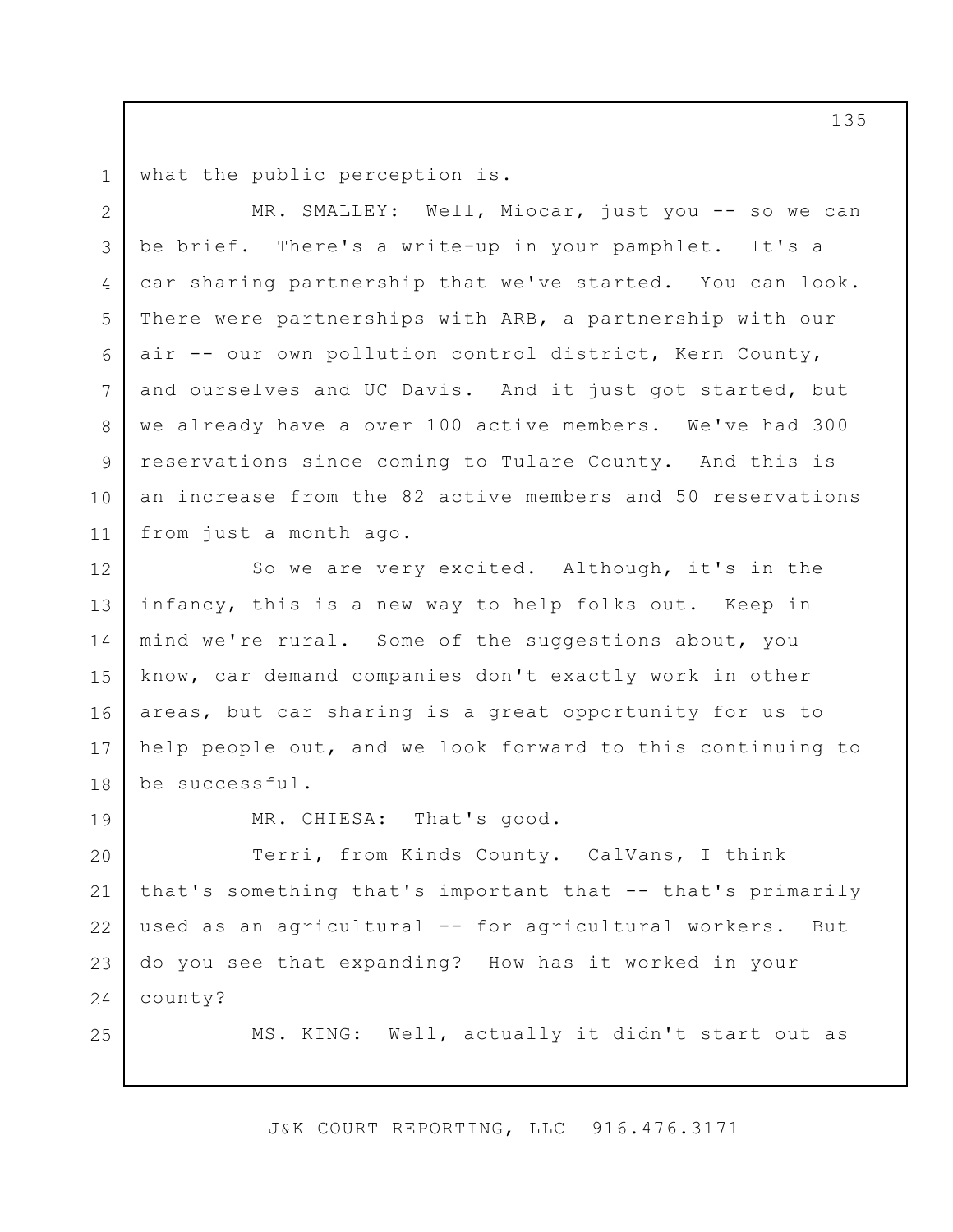1 what the public perception is.

2 3 4 5 6 7 8 9 10 11 MR. SMALLEY: Well, Miocar, just you -- so we can be brief. There's a write-up in your pamphlet. It's a car sharing partnership that we've started. You can look. There were partnerships with ARB, a partnership with our air -- our own pollution control district, Kern County, and ourselves and UC Davis. And it just got started, but we already have a over 100 active members. We've had 300 reservations since coming to Tulare County. And this is an increase from the 82 active members and 50 reservations from just a month ago.

12 13 14 15 16 17 18 So we are very excited. Although, it's in the infancy, this is a new way to help folks out. Keep in mind we're rural. Some of the suggestions about, you know, car demand companies don't exactly work in other areas, but car sharing is a great opportunity for us to help people out, and we look forward to this continuing to be successful.

19

25

MR. CHIESA: That's good.

20 21 22 23 24 Terri, from Kinds County. CalVans, I think that's something that's important that -- that's primarily used as an agricultural -- for agricultural workers. But do you see that expanding? How has it worked in your county?

MS. KING: Well, actually it didn't start out as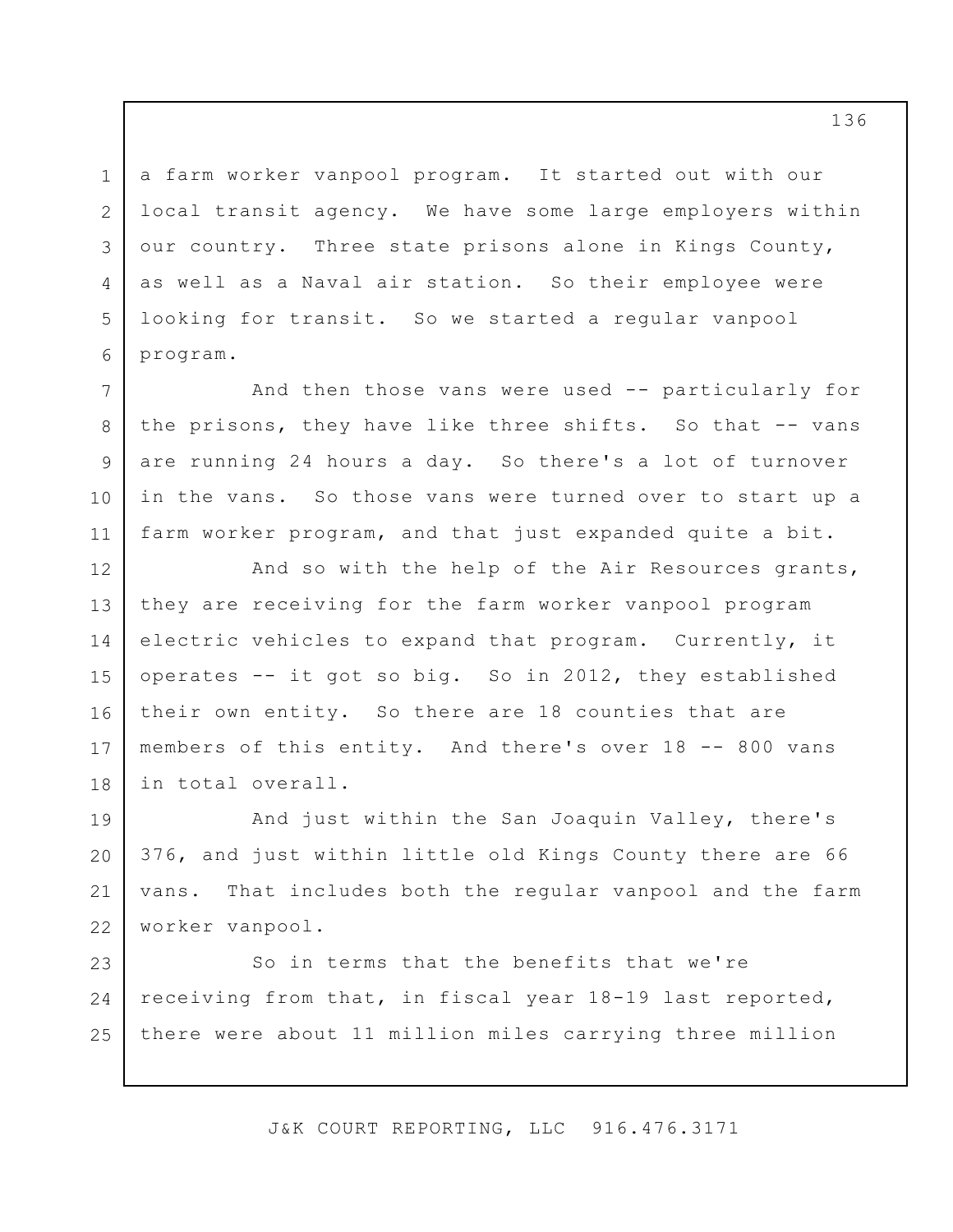a farm worker vanpool program. It started out with our local transit agency. We have some large employers within our country. Three state prisons alone in Kings County, as well as a Naval air station. So their employee were looking for transit. So we started a regular vanpool program.

1

2

3

4

5

6

7

8

9

10

11

And then those vans were used -- particularly for the prisons, they have like three shifts. So that -- vans are running 24 hours a day. So there's a lot of turnover in the vans. So those vans were turned over to start up a farm worker program, and that just expanded quite a bit.

12 13 14 15 16 17 18 And so with the help of the Air Resources grants, they are receiving for the farm worker vanpool program electric vehicles to expand that program. Currently, it operates -- it got so big. So in 2012, they established their own entity. So there are 18 counties that are members of this entity. And there's over 18 -- 800 vans in total overall.

19 20 21 22 And just within the San Joaquin Valley, there's 376, and just within little old Kings County there are 66 vans. That includes both the regular vanpool and the farm worker vanpool.

23 24 25 So in terms that the benefits that we're receiving from that, in fiscal year 18-19 last reported, there were about 11 million miles carrying three million

J&K COURT REPORTING, LLC 916.476.3171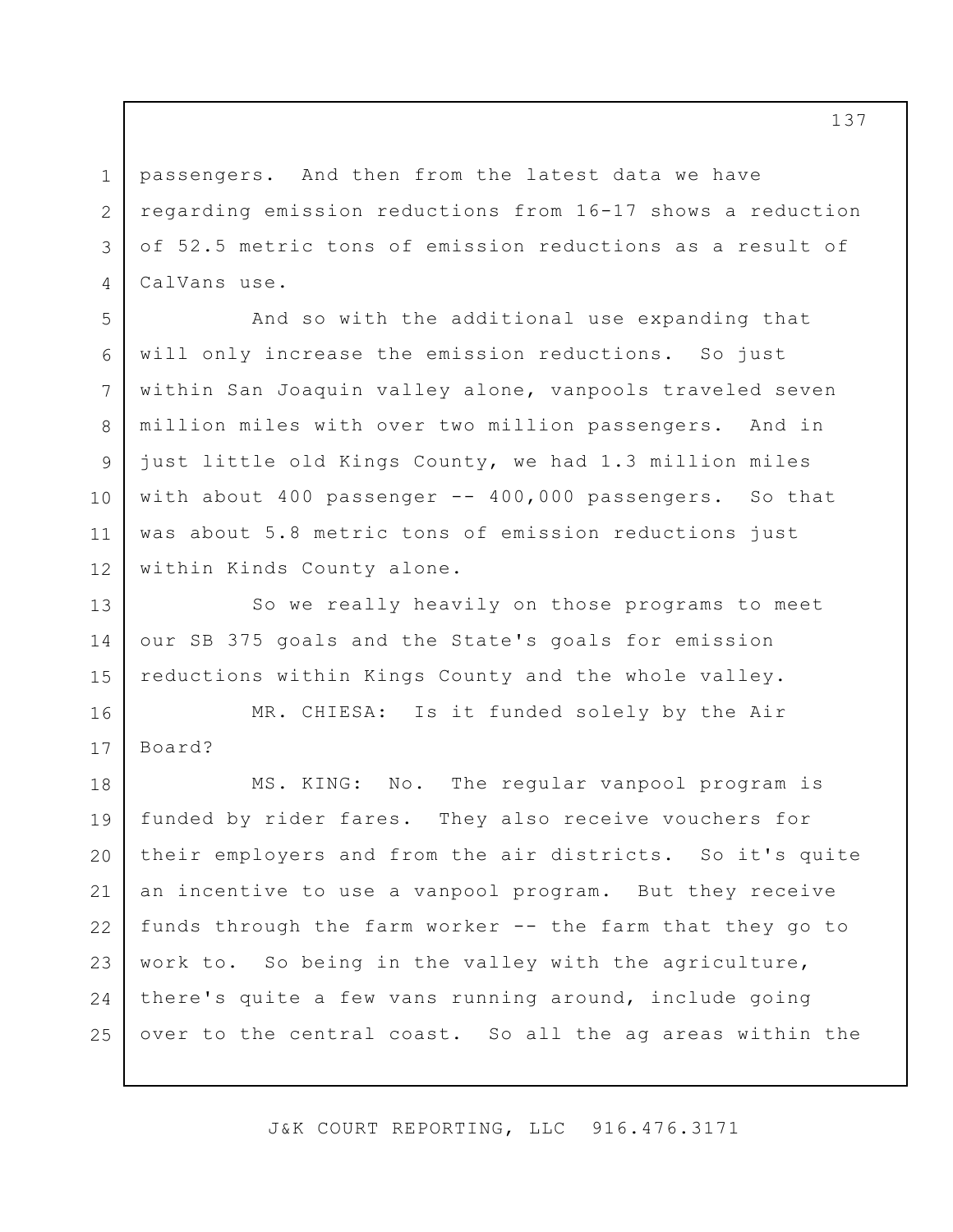passengers. And then from the latest data we have regarding emission reductions from 16-17 shows a reduction of 52.5 metric tons of emission reductions as a result of CalVans use.

1

2

3

4

5

6

7

8

9

10

11

12

And so with the additional use expanding that will only increase the emission reductions. So just within San Joaquin valley alone, vanpools traveled seven million miles with over two million passengers. And in just little old Kings County, we had 1.3 million miles with about 400 passenger -- 400,000 passengers. So that was about 5.8 metric tons of emission reductions just within Kinds County alone.

13 14 15 So we really heavily on those programs to meet our SB 375 goals and the State's goals for emission reductions within Kings County and the whole valley.

16 17 MR. CHIESA: Is it funded solely by the Air Board?

18 19 20 21 22 23 24 25 MS. KING: No. The regular vanpool program is funded by rider fares. They also receive vouchers for their employers and from the air districts. So it's quite an incentive to use a vanpool program. But they receive funds through the farm worker -- the farm that they go to work to. So being in the valley with the agriculture, there's quite a few vans running around, include going over to the central coast. So all the ag areas within the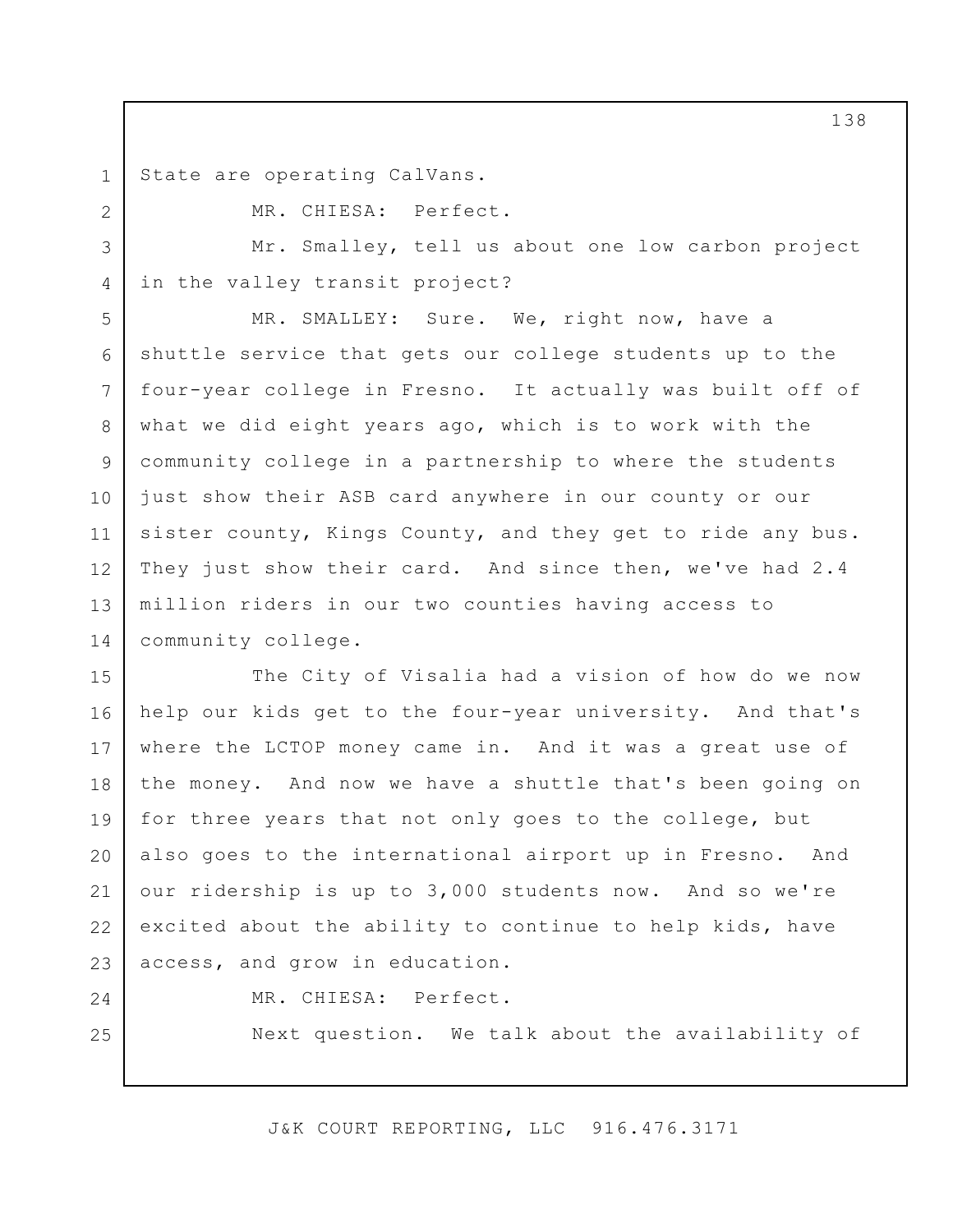1 State are operating CalVans.

MR. CHIESA: Perfect.

Mr. Smalley, tell us about one low carbon project in the valley transit project?

5  $6 \overline{6}$ 7 8 9 10 11 12 13 14 MR. SMALLEY: Sure. We, right now, have a shuttle service that gets our college students up to the four-year college in Fresno. It actually was built off of what we did eight years ago, which is to work with the community college in a partnership to where the students just show their ASB card anywhere in our county or our sister county, Kings County, and they get to ride any bus. They just show their card. And since then, we've had 2.4 million riders in our two counties having access to community college.

15 16 17 18 19 20 21 22 23 The City of Visalia had a vision of how do we now help our kids get to the four-year university. And that's where the LCTOP money came in. And it was a great use of the money. And now we have a shuttle that's been going on for three years that not only goes to the college, but also goes to the international airport up in Fresno. And our ridership is up to 3,000 students now. And so we're excited about the ability to continue to help kids, have access, and grow in education.

24 25

2

3

4

MR. CHIESA: Perfect.

Next question. We talk about the availability of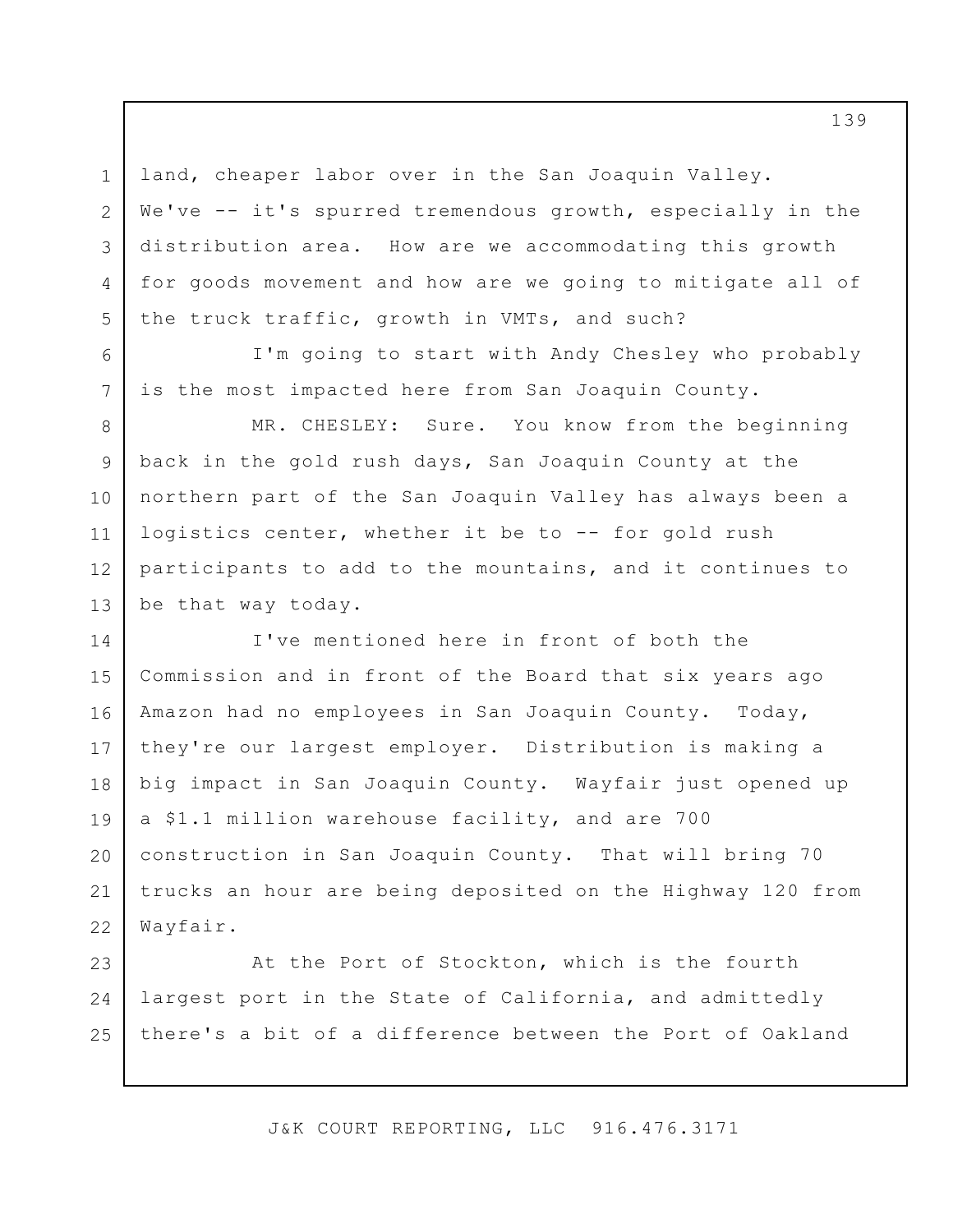land, cheaper labor over in the San Joaquin Valley. We've -- it's spurred tremendous growth, especially in the distribution area. How are we accommodating this growth for goods movement and how are we going to mitigate all of the truck traffic, growth in VMTs, and such?

1

2

3

4

5

6

7

I'm going to start with Andy Chesley who probably is the most impacted here from San Joaquin County.

8 9 10 11 12 13 MR. CHESLEY: Sure. You know from the beginning back in the gold rush days, San Joaquin County at the northern part of the San Joaquin Valley has always been a logistics center, whether it be to -- for gold rush participants to add to the mountains, and it continues to be that way today.

14 15 16 17 18 19 20 21 22 I've mentioned here in front of both the Commission and in front of the Board that six years ago Amazon had no employees in San Joaquin County. Today, they're our largest employer. Distribution is making a big impact in San Joaquin County. Wayfair just opened up a \$1.1 million warehouse facility, and are 700 construction in San Joaquin County. That will bring 70 trucks an hour are being deposited on the Highway 120 from Wayfair.

23 24 25 At the Port of Stockton, which is the fourth largest port in the State of California, and admittedly there's a bit of a difference between the Port of Oakland

J&K COURT REPORTING, LLC 916.476.3171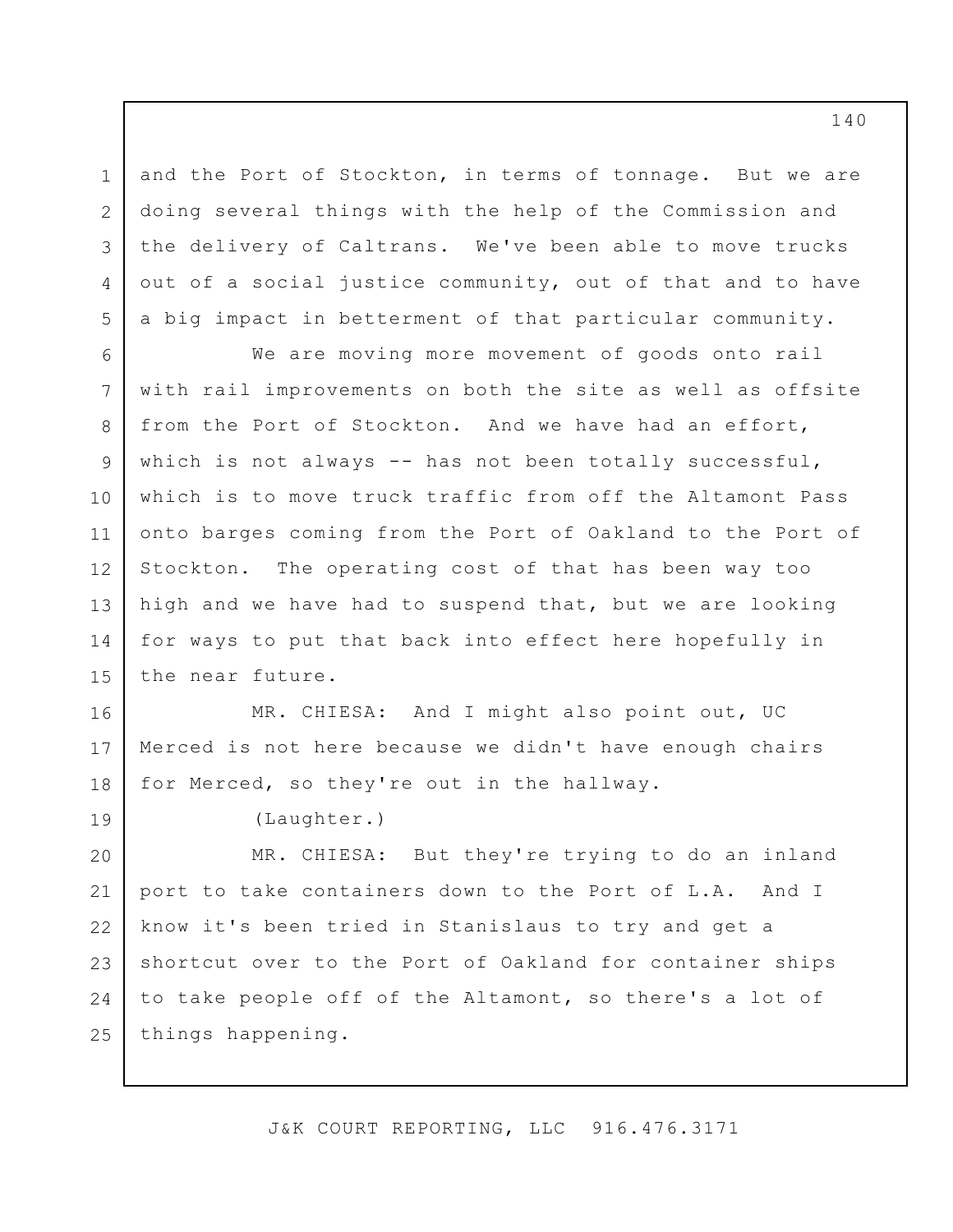and the Port of Stockton, in terms of tonnage. But we are doing several things with the help of the Commission and the delivery of Caltrans. We've been able to move trucks out of a social justice community, out of that and to have a big impact in betterment of that particular community.

6 7 8 9 10 11 12 13 14 15 We are moving more movement of goods onto rail with rail improvements on both the site as well as offsite from the Port of Stockton. And we have had an effort, which is not always -- has not been totally successful, which is to move truck traffic from off the Altamont Pass onto barges coming from the Port of Oakland to the Port of Stockton. The operating cost of that has been way too high and we have had to suspend that, but we are looking for ways to put that back into effect here hopefully in the near future.

16 17 18 MR. CHIESA: And I might also point out, UC Merced is not here because we didn't have enough chairs for Merced, so they're out in the hallway.

19

1

2

3

4

5

(Laughter.)

20 21 22 23 24 25 MR. CHIESA: But they're trying to do an inland port to take containers down to the Port of L.A. And I know it's been tried in Stanislaus to try and get a shortcut over to the Port of Oakland for container ships to take people off of the Altamont, so there's a lot of things happening.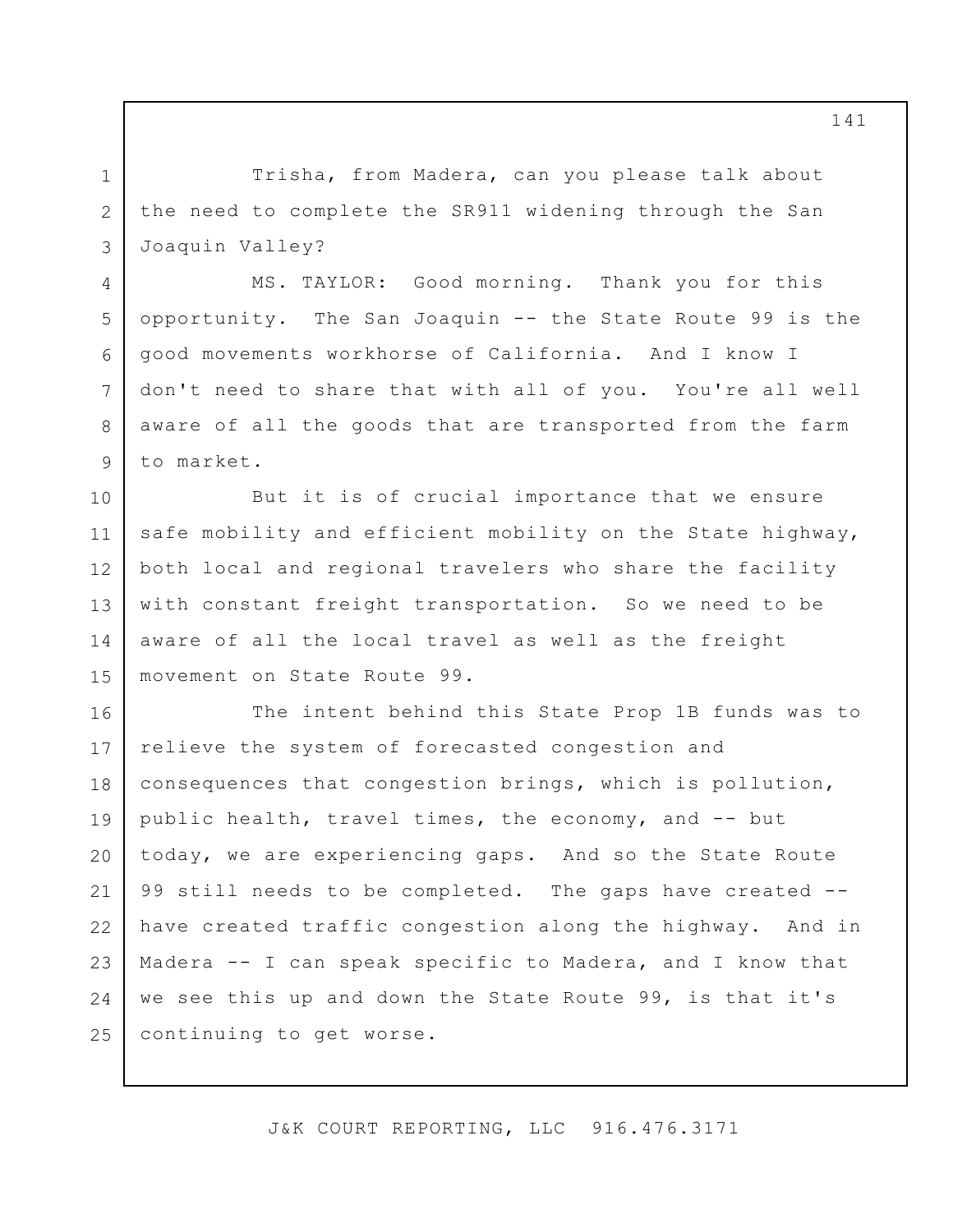Trisha, from Madera, can you please talk about the need to complete the SR911 widening through the San Joaquin Valley?

1

2

3

4

5

6

7

8

9

MS. TAYLOR: Good morning. Thank you for this opportunity. The San Joaquin -- the State Route 99 is the good movements workhorse of California. And I know I don't need to share that with all of you. You're all well aware of all the goods that are transported from the farm to market.

10 11 12 13 14 15 But it is of crucial importance that we ensure safe mobility and efficient mobility on the State highway, both local and regional travelers who share the facility with constant freight transportation. So we need to be aware of all the local travel as well as the freight movement on State Route 99.

16 17 18 19 20 21 22 23 24 25 The intent behind this State Prop 1B funds was to relieve the system of forecasted congestion and consequences that congestion brings, which is pollution, public health, travel times, the economy, and -- but today, we are experiencing gaps. And so the State Route 99 still needs to be completed. The gaps have created - have created traffic congestion along the highway. And in Madera -- I can speak specific to Madera, and I know that we see this up and down the State Route 99, is that it's continuing to get worse.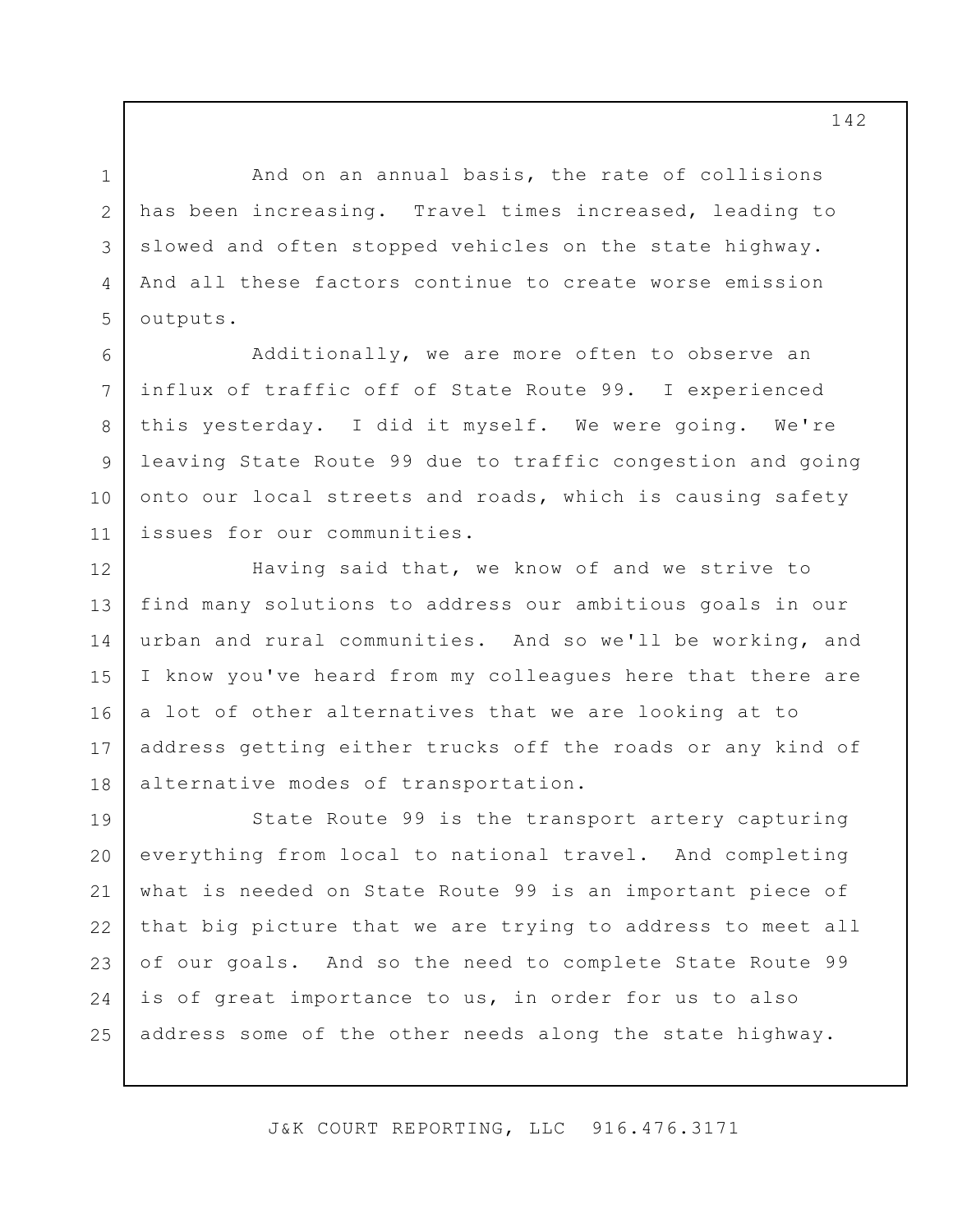And on an annual basis, the rate of collisions has been increasing. Travel times increased, leading to slowed and often stopped vehicles on the state highway. And all these factors continue to create worse emission outputs.

1

2

3

4

5

6

7

8

9

10

11

Additionally, we are more often to observe an influx of traffic off of State Route 99. I experienced this yesterday. I did it myself. We were going. We're leaving State Route 99 due to traffic congestion and going onto our local streets and roads, which is causing safety issues for our communities.

12 13 14 15 16 17 18 Having said that, we know of and we strive to find many solutions to address our ambitious goals in our urban and rural communities. And so we'll be working, and I know you've heard from my colleagues here that there are a lot of other alternatives that we are looking at to address getting either trucks off the roads or any kind of alternative modes of transportation.

19 20 21 22 23 24 25 State Route 99 is the transport artery capturing everything from local to national travel. And completing what is needed on State Route 99 is an important piece of that big picture that we are trying to address to meet all of our goals. And so the need to complete State Route 99 is of great importance to us, in order for us to also address some of the other needs along the state highway.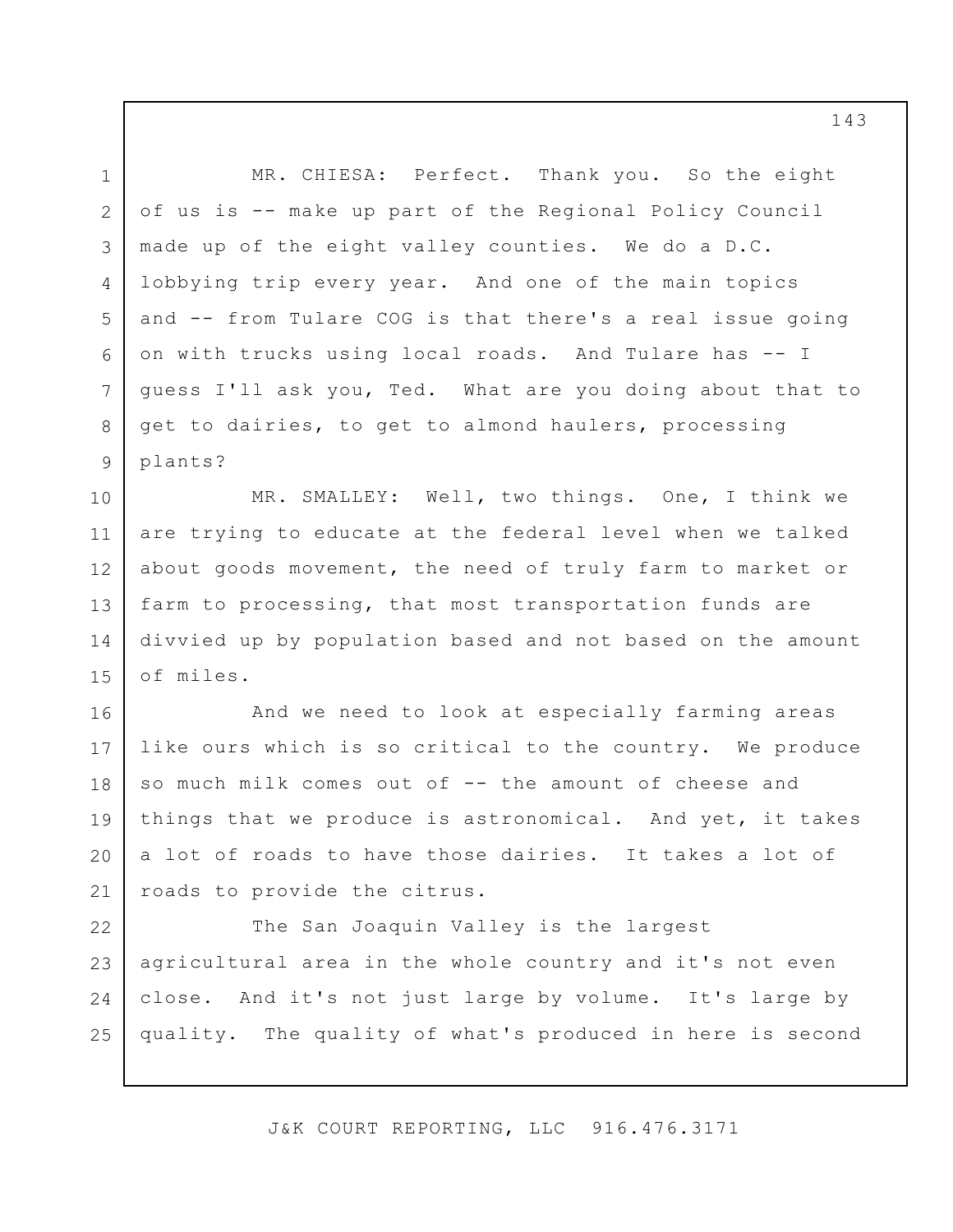1 2 3 4 5 6 7 8 9 10 11 12 13 14 15 16 17 18 19 20 21 22 23 24 25 MR. CHIESA: Perfect. Thank you. So the eight of us is -- make up part of the Regional Policy Council made up of the eight valley counties. We do a D.C. lobbying trip every year. And one of the main topics and -- from Tulare COG is that there's a real issue going on with trucks using local roads. And Tulare has -- I guess I'll ask you, Ted. What are you doing about that to get to dairies, to get to almond haulers, processing plants? MR. SMALLEY: Well, two things. One, I think we are trying to educate at the federal level when we talked about goods movement, the need of truly farm to market or farm to processing, that most transportation funds are divvied up by population based and not based on the amount of miles. And we need to look at especially farming areas like ours which is so critical to the country. We produce so much milk comes out of -- the amount of cheese and things that we produce is astronomical. And yet, it takes a lot of roads to have those dairies. It takes a lot of roads to provide the citrus. The San Joaquin Valley is the largest agricultural area in the whole country and it's not even close. And it's not just large by volume. It's large by quality. The quality of what's produced in here is second

J&K COURT REPORTING, LLC 916.476.3171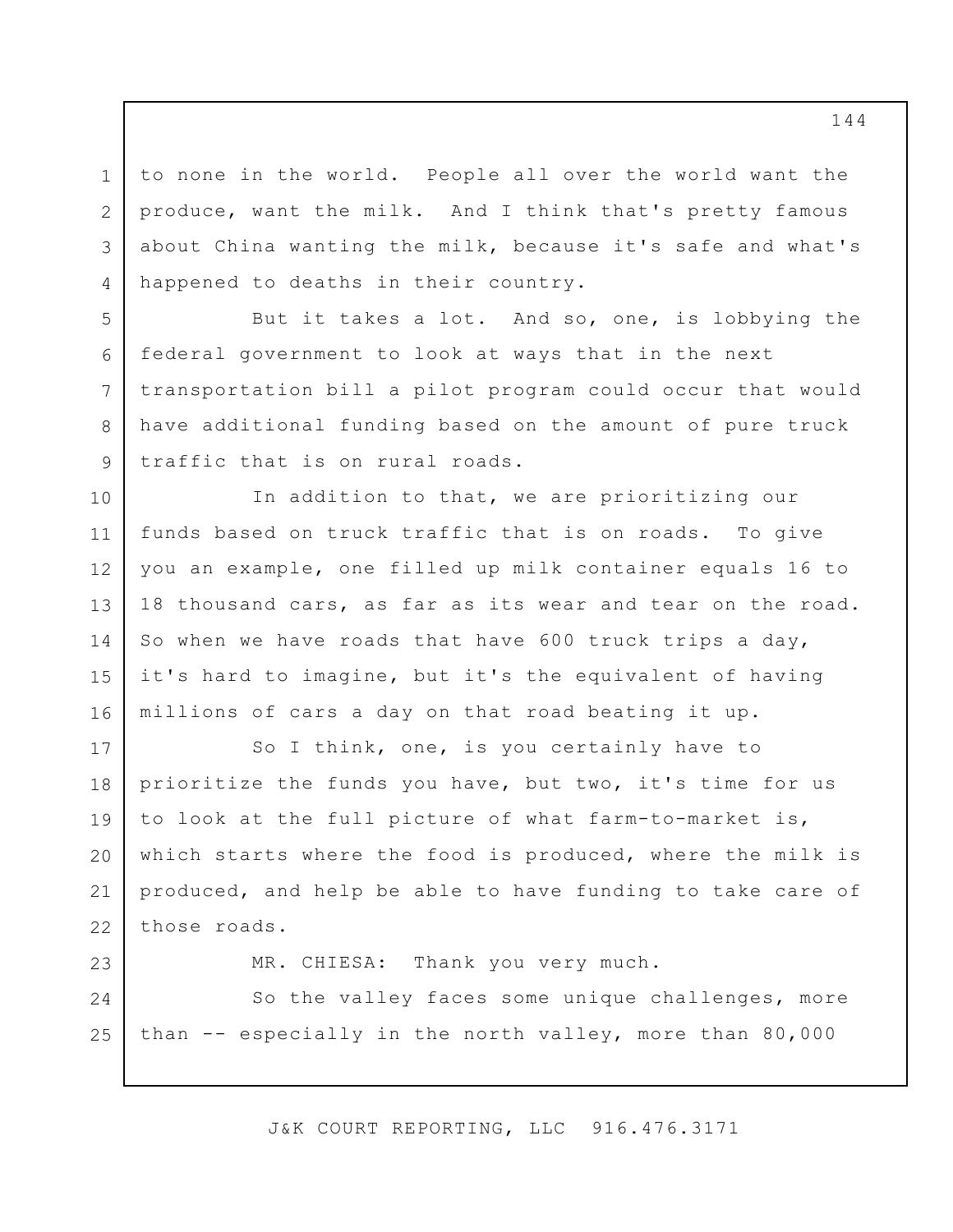to none in the world. People all over the world want the produce, want the milk. And I think that's pretty famous about China wanting the milk, because it's safe and what's happened to deaths in their country.

But it takes a lot. And so, one, is lobbying the federal government to look at ways that in the next transportation bill a pilot program could occur that would have additional funding based on the amount of pure truck traffic that is on rural roads.

10 11 12 13 14 15 16 In addition to that, we are prioritizing our funds based on truck traffic that is on roads. To give you an example, one filled up milk container equals 16 to 18 thousand cars, as far as its wear and tear on the road. So when we have roads that have 600 truck trips a day, it's hard to imagine, but it's the equivalent of having millions of cars a day on that road beating it up.

17 18 19 20 21 22 So I think, one, is you certainly have to prioritize the funds you have, but two, it's time for us to look at the full picture of what farm-to-market is, which starts where the food is produced, where the milk is produced, and help be able to have funding to take care of those roads.

23

1

2

3

4

5

6

7

8

9

MR. CHIESA: Thank you very much.

24 25 So the valley faces some unique challenges, more than -- especially in the north valley, more than 80,000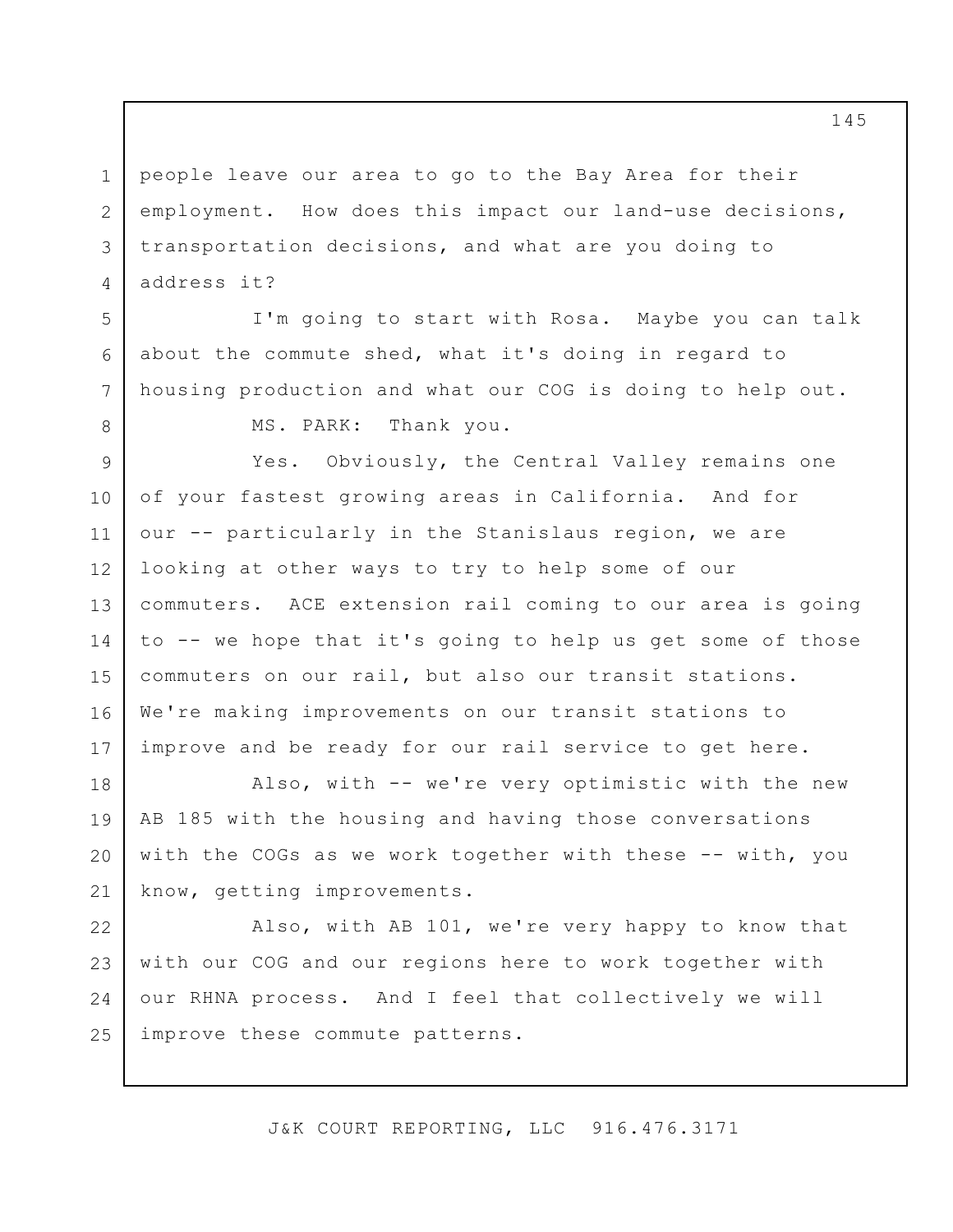1 2 3 4 people leave our area to go to the Bay Area for their employment. How does this impact our land-use decisions, transportation decisions, and what are you doing to address it?

I'm going to start with Rosa. Maybe you can talk about the commute shed, what it's doing in regard to housing production and what our COG is doing to help out.

5

6

7

8

MS. PARK: Thank you.

9 10 11 12 13 14 15 16 17 Yes. Obviously, the Central Valley remains one of your fastest growing areas in California. And for our -- particularly in the Stanislaus region, we are looking at other ways to try to help some of our commuters. ACE extension rail coming to our area is going to -- we hope that it's going to help us get some of those commuters on our rail, but also our transit stations. We're making improvements on our transit stations to improve and be ready for our rail service to get here.

18 19 20 21 Also, with -- we're very optimistic with the new AB 185 with the housing and having those conversations with the COGs as we work together with these -- with, you know, getting improvements.

22 23 24 25 Also, with AB 101, we're very happy to know that with our COG and our regions here to work together with our RHNA process. And I feel that collectively we will improve these commute patterns.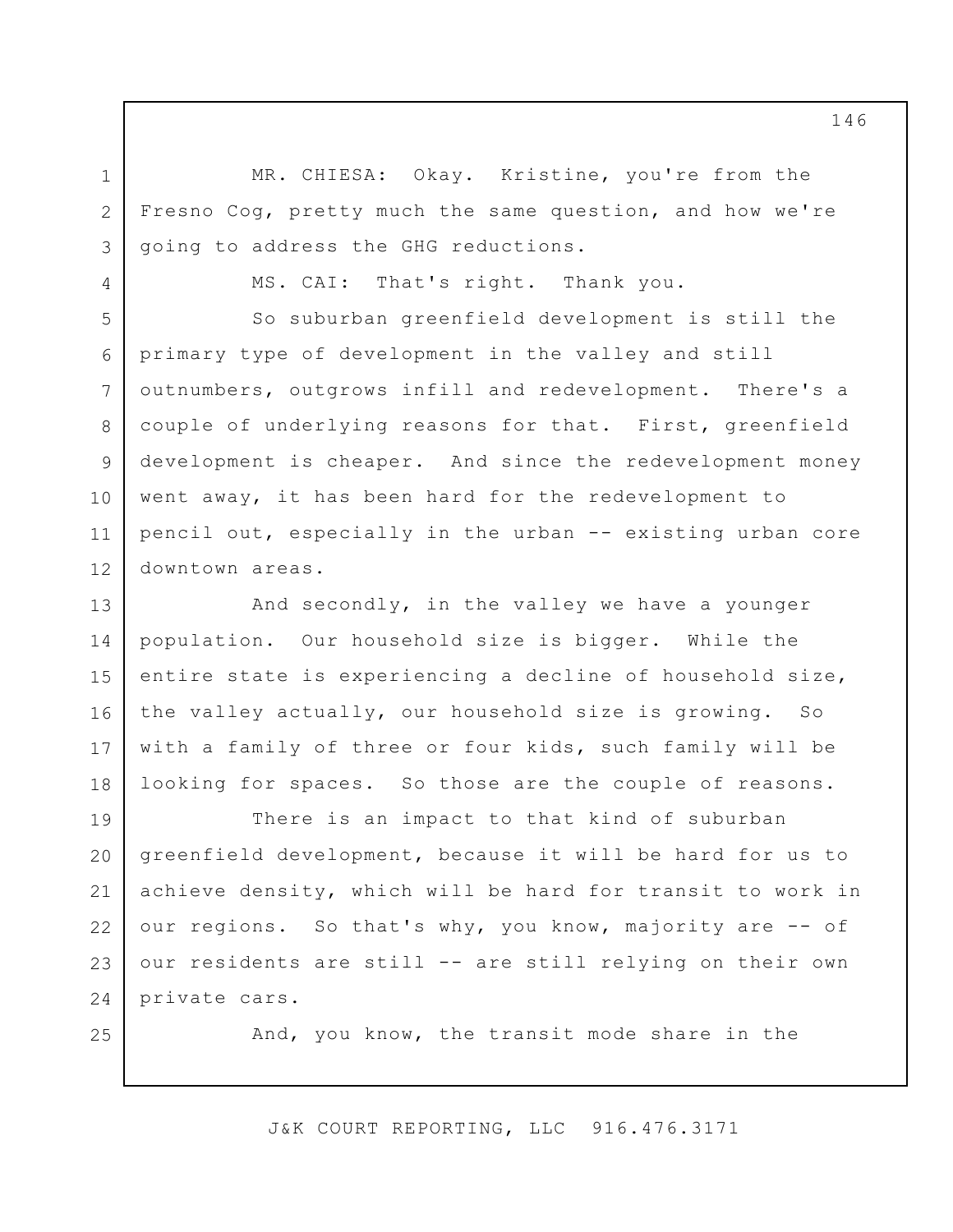MR. CHIESA: Okay. Kristine, you're from the Fresno Cog, pretty much the same question, and how we're going to address the GHG reductions.

1

2

3

4

5

8

9

10

11

MS. CAI: That's right. Thank you.

6 7 12 So suburban greenfield development is still the primary type of development in the valley and still outnumbers, outgrows infill and redevelopment. There's a couple of underlying reasons for that. First, greenfield development is cheaper. And since the redevelopment money went away, it has been hard for the redevelopment to pencil out, especially in the urban -- existing urban core downtown areas.

13 14 15 16 17 18 And secondly, in the valley we have a younger population. Our household size is bigger. While the entire state is experiencing a decline of household size, the valley actually, our household size is growing. So with a family of three or four kids, such family will be looking for spaces. So those are the couple of reasons.

19 20 21 22 23 24 There is an impact to that kind of suburban greenfield development, because it will be hard for us to achieve density, which will be hard for transit to work in our regions. So that's why, you know, majority are -- of our residents are still -- are still relying on their own private cars.

25

And, you know, the transit mode share in the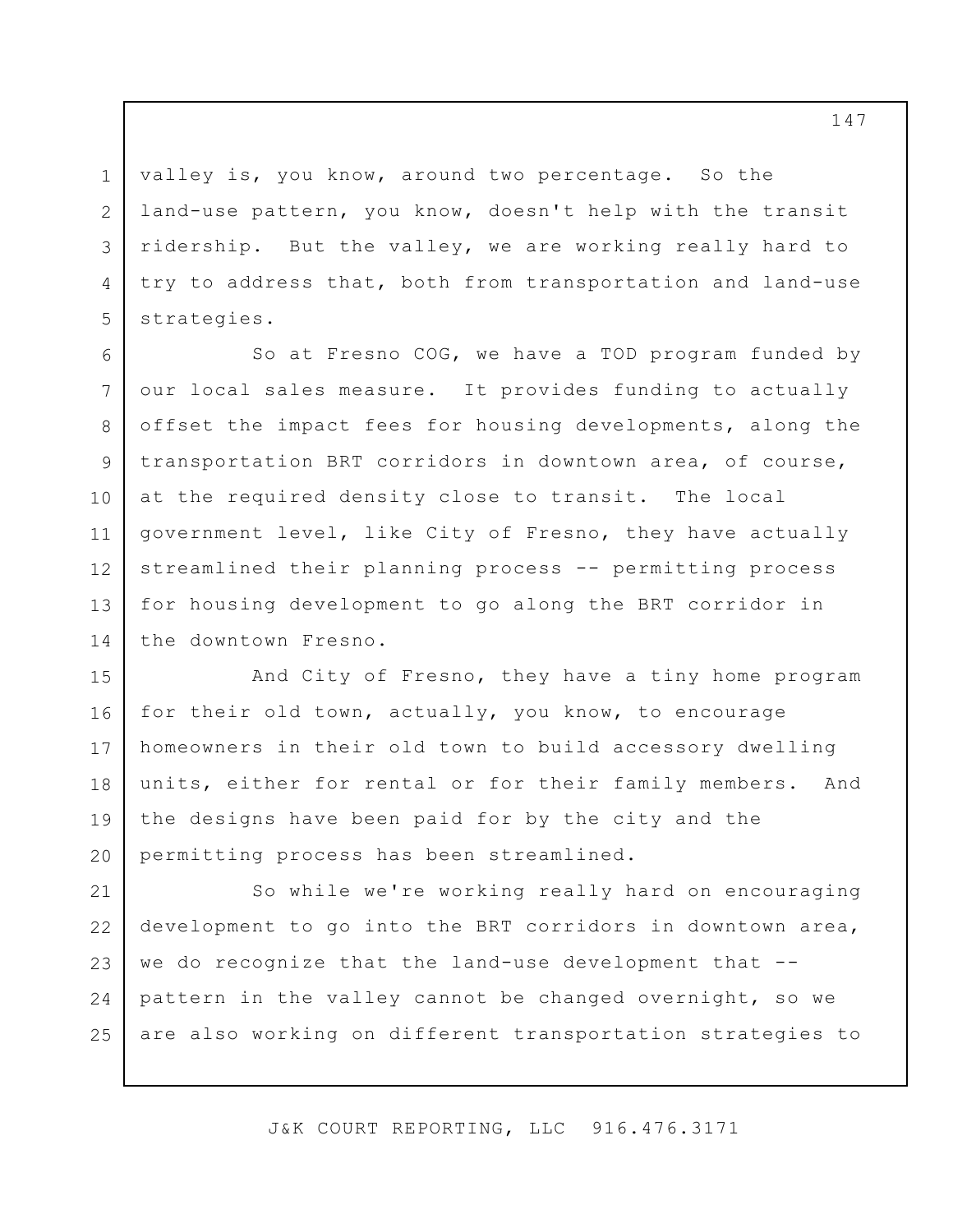valley is, you know, around two percentage. So the land-use pattern, you know, doesn't help with the transit ridership. But the valley, we are working really hard to try to address that, both from transportation and land-use strategies.

1

2

3

4

5

6

7

8

9

10

11

12

13

14

So at Fresno COG, we have a TOD program funded by our local sales measure. It provides funding to actually offset the impact fees for housing developments, along the transportation BRT corridors in downtown area, of course, at the required density close to transit. The local government level, like City of Fresno, they have actually streamlined their planning process -- permitting process for housing development to go along the BRT corridor in the downtown Fresno.

15 16 17 18 19 20 And City of Fresno, they have a tiny home program for their old town, actually, you know, to encourage homeowners in their old town to build accessory dwelling units, either for rental or for their family members. And the designs have been paid for by the city and the permitting process has been streamlined.

21 22 23 24 25 So while we're working really hard on encouraging development to go into the BRT corridors in downtown area, we do recognize that the land-use development that - pattern in the valley cannot be changed overnight, so we are also working on different transportation strategies to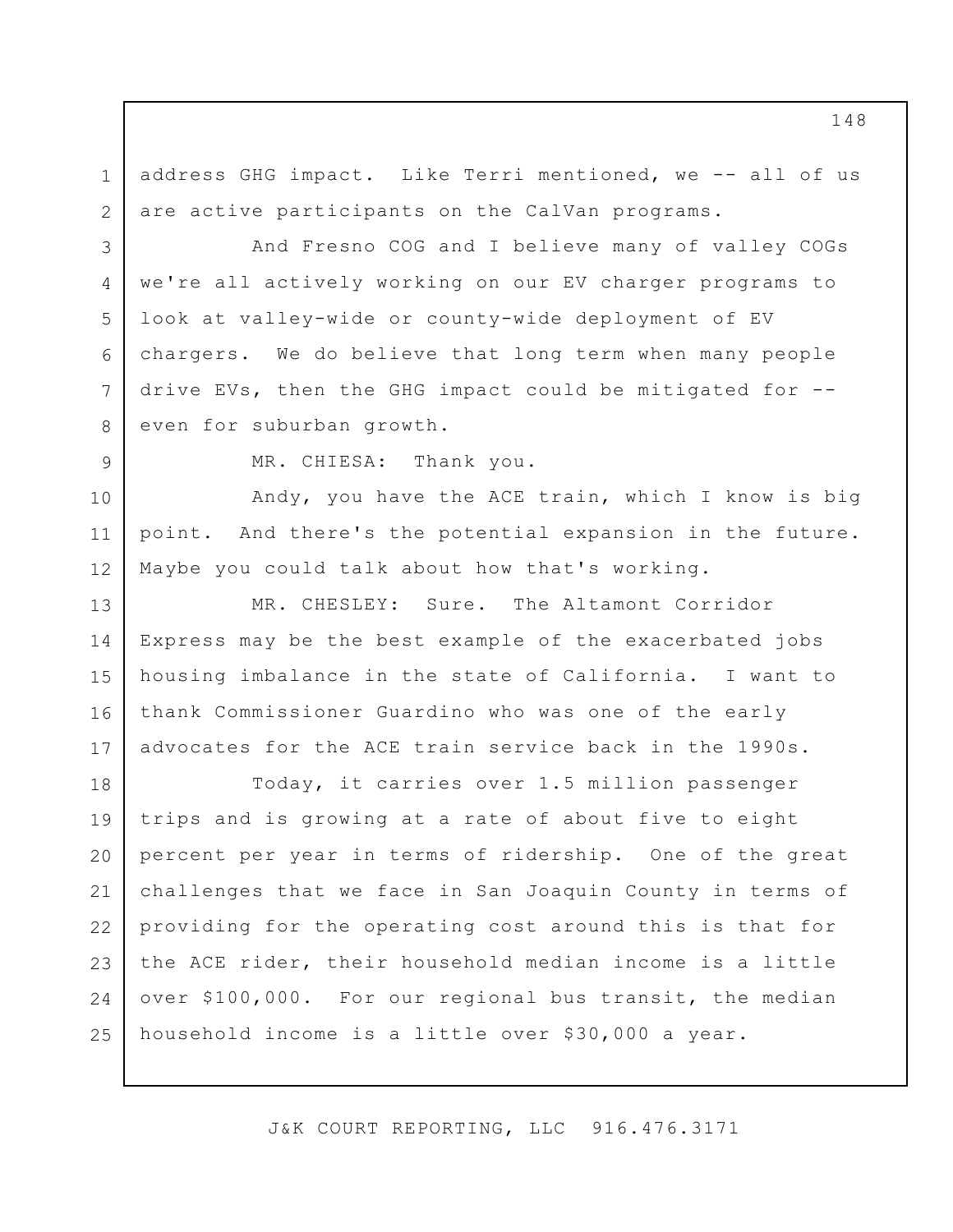1 2 address GHG impact. Like Terri mentioned, we -- all of us are active participants on the CalVan programs.

And Fresno COG and I believe many of valley COGs we're all actively working on our EV charger programs to look at valley-wide or county-wide deployment of EV chargers. We do believe that long term when many people drive EVs, then the GHG impact could be mitigated for - even for suburban growth.

9

3

4

5

6

7

8

MR. CHIESA: Thank you.

10 11 12 Andy, you have the ACE train, which I know is big point. And there's the potential expansion in the future. Maybe you could talk about how that's working.

13 14 15 16 17 MR. CHESLEY: Sure. The Altamont Corridor Express may be the best example of the exacerbated jobs housing imbalance in the state of California. I want to thank Commissioner Guardino who was one of the early advocates for the ACE train service back in the 1990s.

18 19 20 21 22 23 24 25 Today, it carries over 1.5 million passenger trips and is growing at a rate of about five to eight percent per year in terms of ridership. One of the great challenges that we face in San Joaquin County in terms of providing for the operating cost around this is that for the ACE rider, their household median income is a little over \$100,000. For our regional bus transit, the median household income is a little over \$30,000 a year.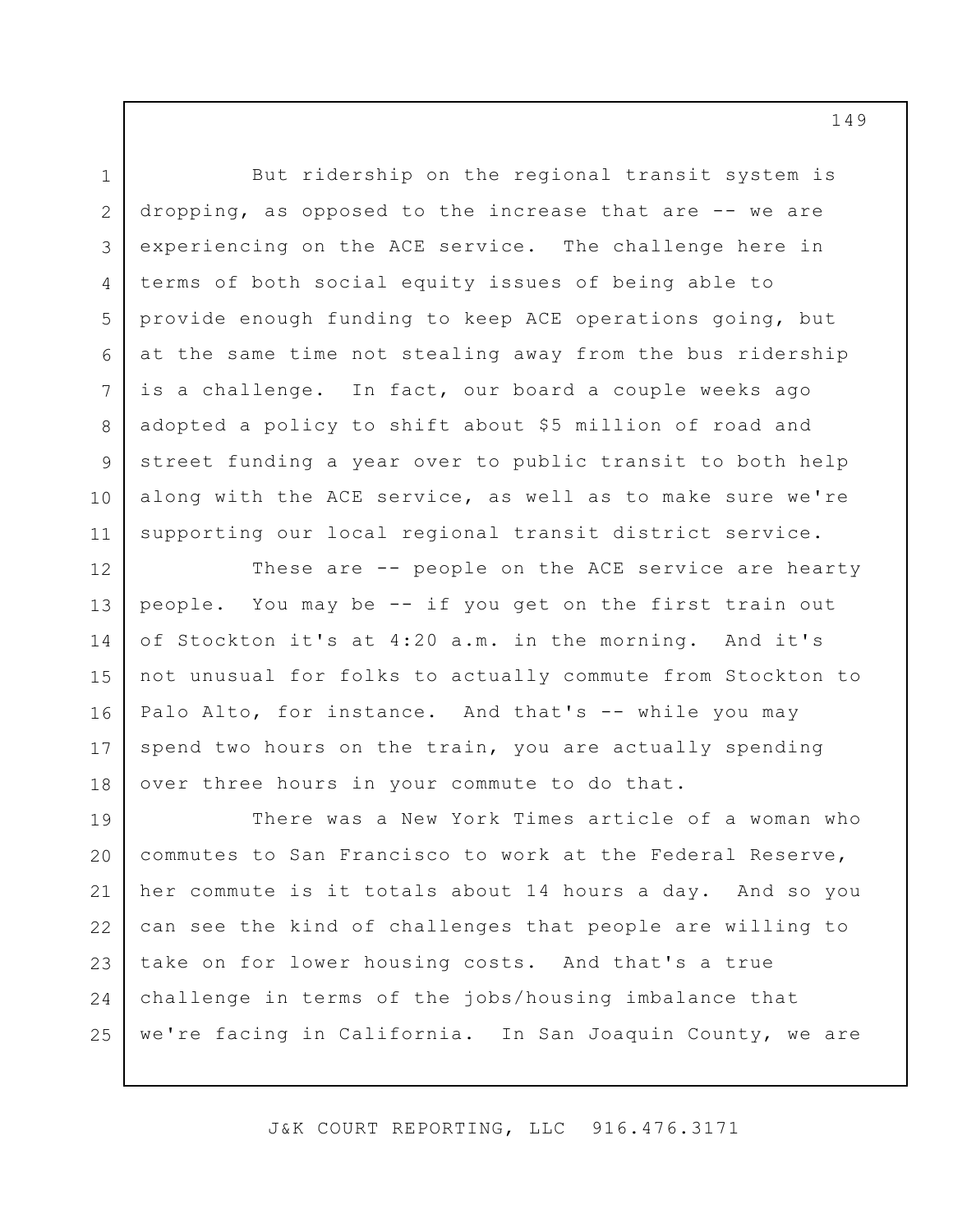1 2 3 4 5 6 7 8 9 10 11 But ridership on the regional transit system is dropping, as opposed to the increase that are -- we are experiencing on the ACE service. The challenge here in terms of both social equity issues of being able to provide enough funding to keep ACE operations going, but at the same time not stealing away from the bus ridership is a challenge. In fact, our board a couple weeks ago adopted a policy to shift about \$5 million of road and street funding a year over to public transit to both help along with the ACE service, as well as to make sure we're supporting our local regional transit district service.

13 16 17 These are -- people on the ACE service are hearty people. You may be -- if you get on the first train out of Stockton it's at 4:20 a.m. in the morning. And it's not unusual for folks to actually commute from Stockton to Palo Alto, for instance. And that's -- while you may spend two hours on the train, you are actually spending over three hours in your commute to do that.

12

14

15

18

19 20 21 22 23 24 25 There was a New York Times article of a woman who commutes to San Francisco to work at the Federal Reserve, her commute is it totals about 14 hours a day. And so you can see the kind of challenges that people are willing to take on for lower housing costs. And that's a true challenge in terms of the jobs/housing imbalance that we're facing in California. In San Joaquin County, we are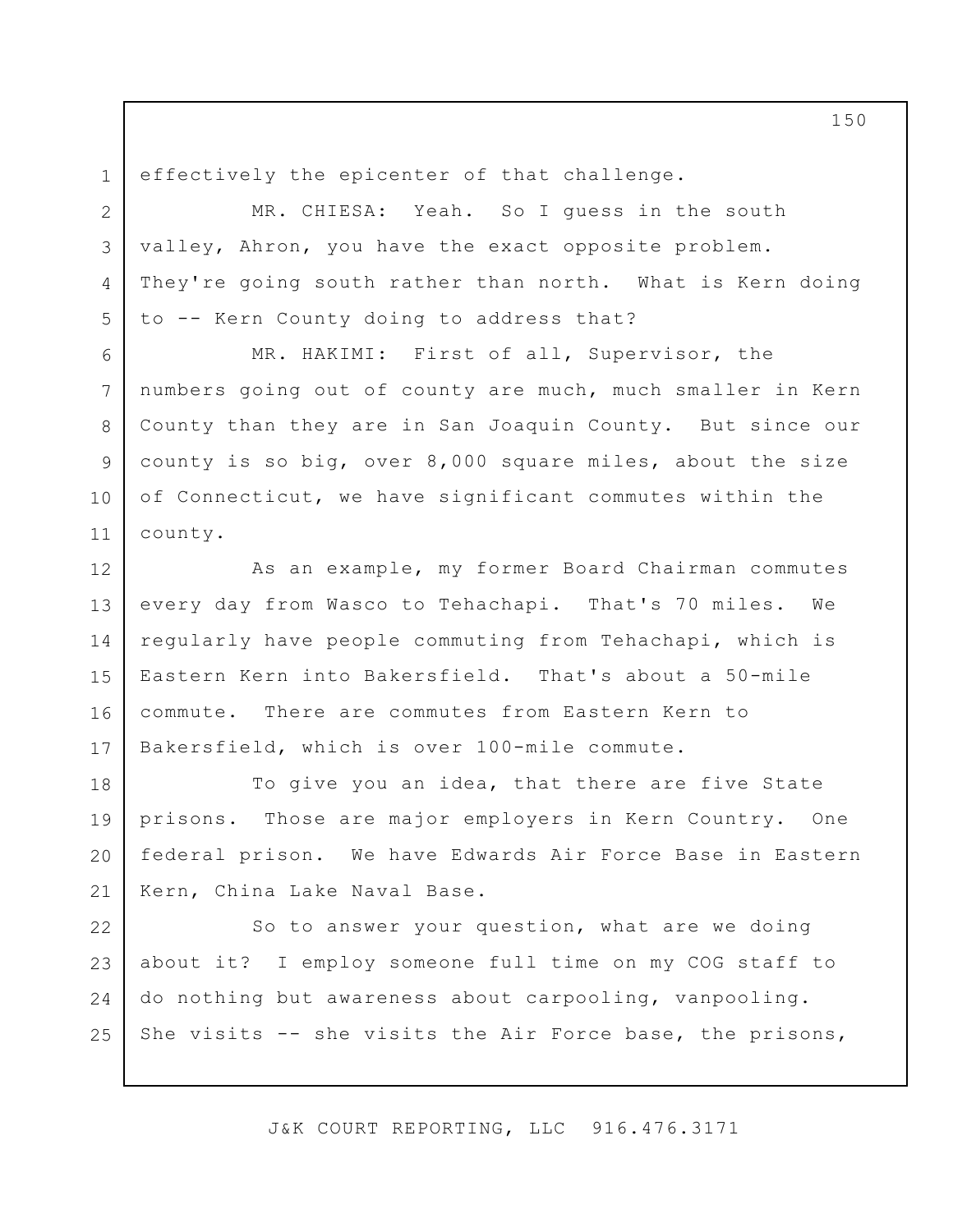effectively the epicenter of that challenge.

1

2

3

4

5

6

7

8

9

10

11

MR. CHIESA: Yeah. So I guess in the south valley, Ahron, you have the exact opposite problem. They're going south rather than north. What is Kern doing to -- Kern County doing to address that?

MR. HAKIMI: First of all, Supervisor, the numbers going out of county are much, much smaller in Kern County than they are in San Joaquin County. But since our county is so big, over 8,000 square miles, about the size of Connecticut, we have significant commutes within the county.

12 13 14 15 16 17 As an example, my former Board Chairman commutes every day from Wasco to Tehachapi. That's 70 miles. We regularly have people commuting from Tehachapi, which is Eastern Kern into Bakersfield. That's about a 50-mile commute. There are commutes from Eastern Kern to Bakersfield, which is over 100-mile commute.

18 19 20 21 To give you an idea, that there are five State prisons. Those are major employers in Kern Country. One federal prison. We have Edwards Air Force Base in Eastern Kern, China Lake Naval Base.

22 23 24 25 So to answer your question, what are we doing about it? I employ someone full time on my COG staff to do nothing but awareness about carpooling, vanpooling. She visits -- she visits the Air Force base, the prisons,

J&K COURT REPORTING, LLC 916.476.3171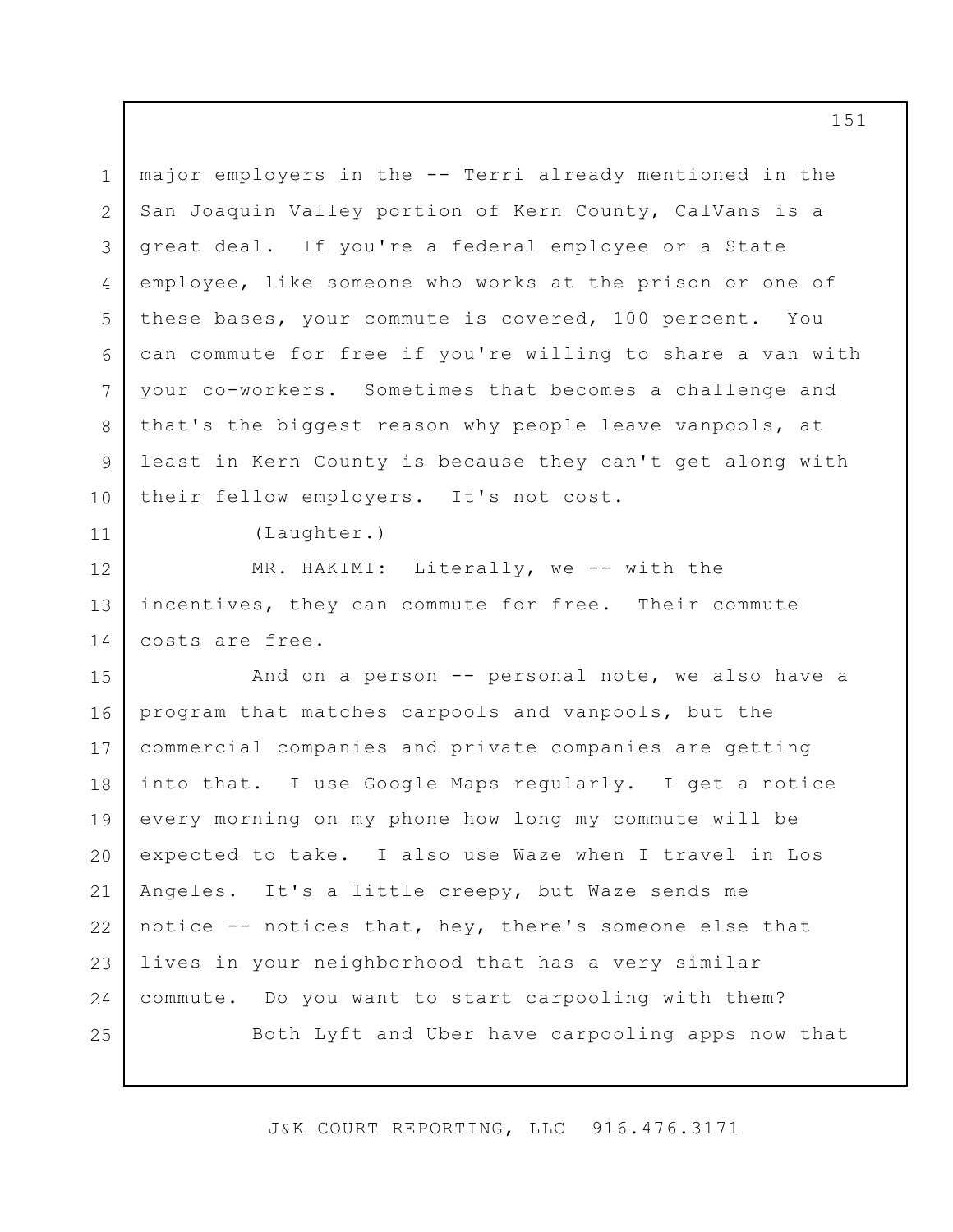1 2 3 4 5 6 7 8 9 10 major employers in the -- Terri already mentioned in the San Joaquin Valley portion of Kern County, CalVans is a great deal. If you're a federal employee or a State employee, like someone who works at the prison or one of these bases, your commute is covered, 100 percent. You can commute for free if you're willing to share a van with your co-workers. Sometimes that becomes a challenge and that's the biggest reason why people leave vanpools, at least in Kern County is because they can't get along with their fellow employers. It's not cost.

(Laughter.)

11

12

13

14

MR. HAKIMI: Literally, we -- with the incentives, they can commute for free. Their commute costs are free.

15 16 17 18 19 20 21 22 23 24 25 And on a person -- personal note, we also have a program that matches carpools and vanpools, but the commercial companies and private companies are getting into that. I use Google Maps regularly. I get a notice every morning on my phone how long my commute will be expected to take. I also use Waze when I travel in Los Angeles. It's a little creepy, but Waze sends me notice -- notices that, hey, there's someone else that lives in your neighborhood that has a very similar commute. Do you want to start carpooling with them? Both Lyft and Uber have carpooling apps now that

J&K COURT REPORTING, LLC 916.476.3171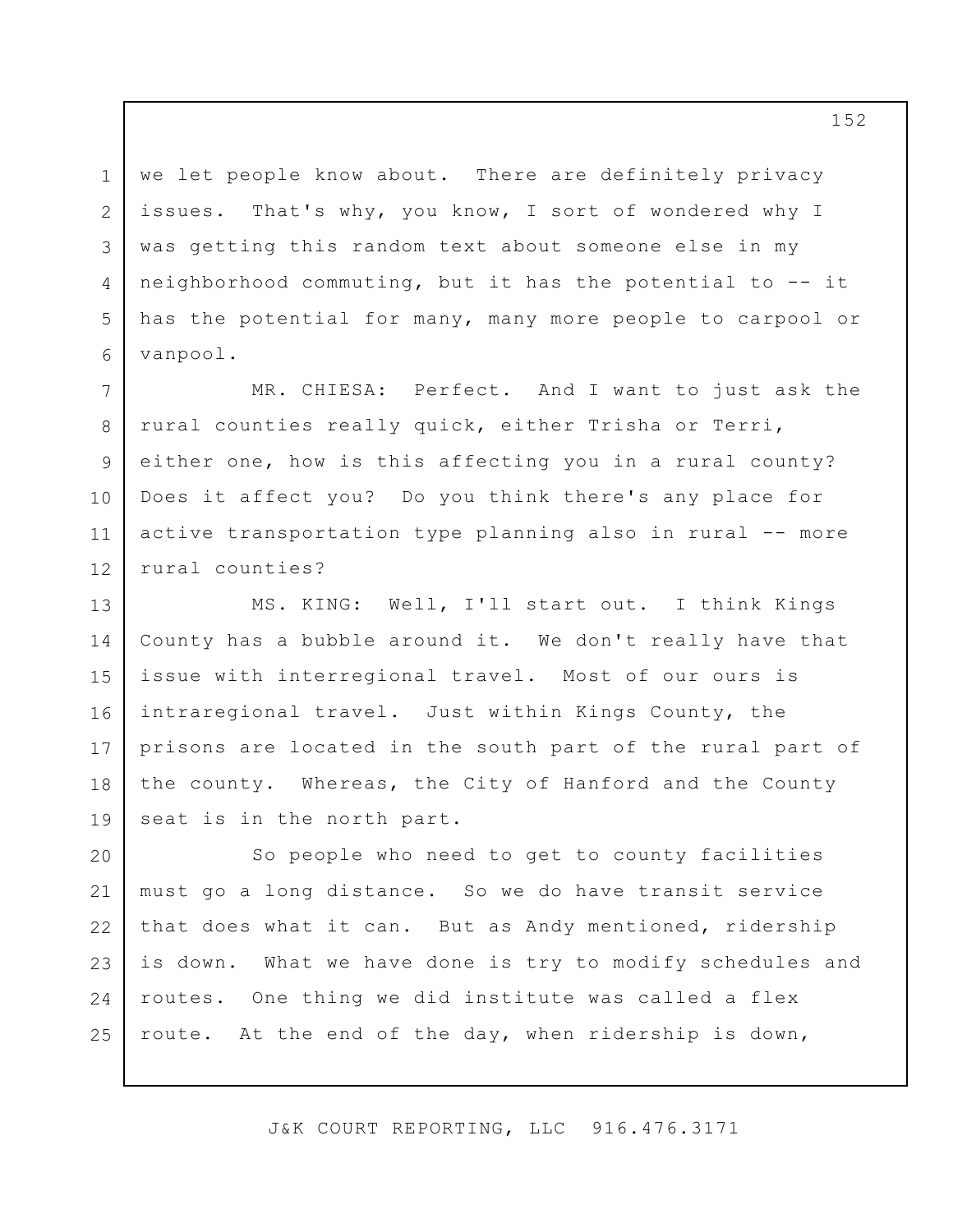3 we let people know about. There are definitely privacy issues. That's why, you know, I sort of wondered why I was getting this random text about someone else in my neighborhood commuting, but it has the potential to -- it has the potential for many, many more people to carpool or vanpool.

1

2

4

5

6

7 8 9 10 11 12 MR. CHIESA: Perfect. And I want to just ask the rural counties really quick, either Trisha or Terri, either one, how is this affecting you in a rural county? Does it affect you? Do you think there's any place for active transportation type planning also in rural -- more rural counties?

13 14 15 16 17 18 19 MS. KING: Well, I'll start out. I think Kings County has a bubble around it. We don't really have that issue with interregional travel. Most of our ours is intraregional travel. Just within Kings County, the prisons are located in the south part of the rural part of the county. Whereas, the City of Hanford and the County seat is in the north part.

20 21 22 23 24 25 So people who need to get to county facilities must go a long distance. So we do have transit service that does what it can. But as Andy mentioned, ridership is down. What we have done is try to modify schedules and routes. One thing we did institute was called a flex route. At the end of the day, when ridership is down,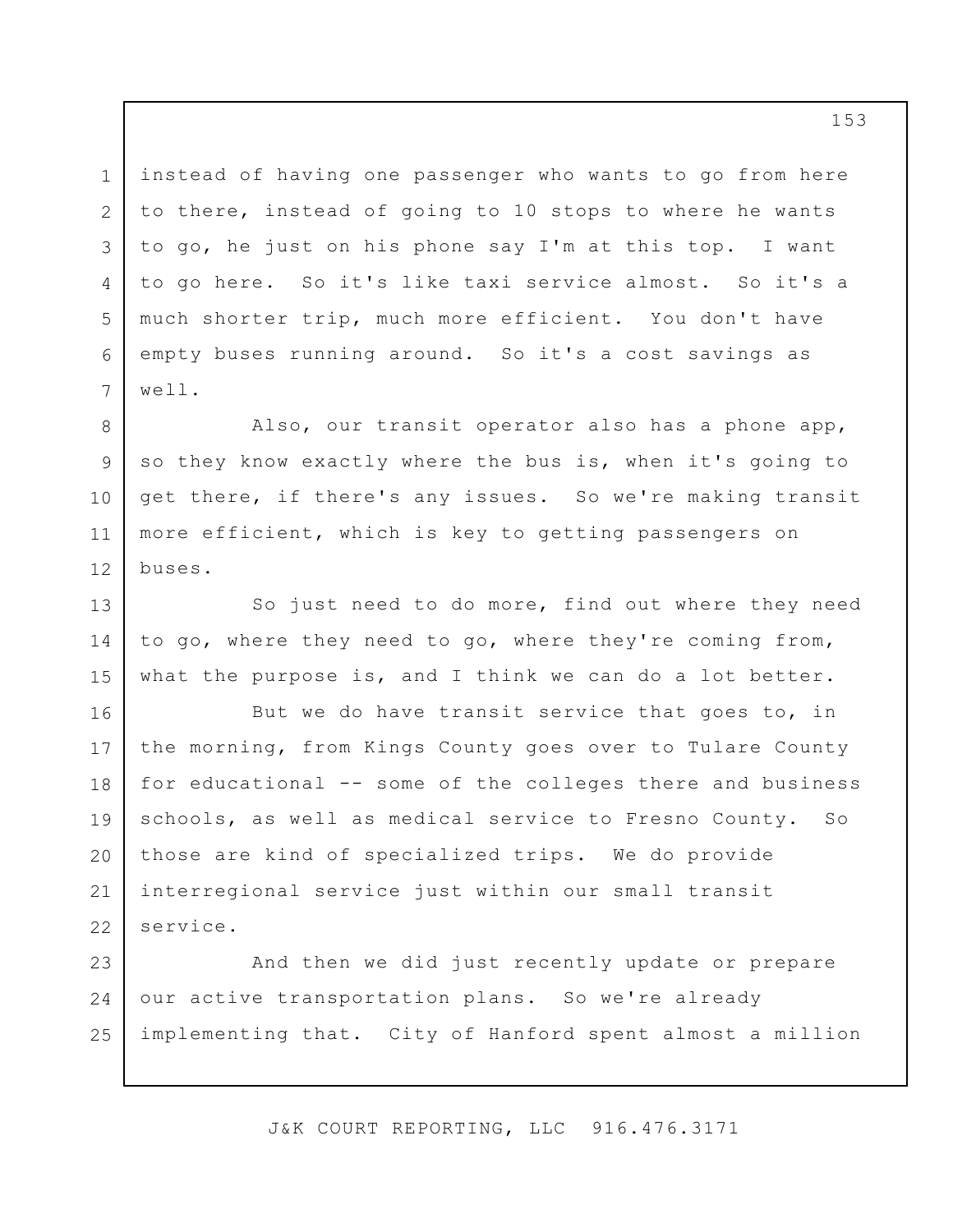3 instead of having one passenger who wants to go from here to there, instead of going to 10 stops to where he wants to go, he just on his phone say I'm at this top. I want to go here. So it's like taxi service almost. So it's a much shorter trip, much more efficient. You don't have empty buses running around. So it's a cost savings as well.

1

2

4

5

6

7

8 9 10 11 12 Also, our transit operator also has a phone app, so they know exactly where the bus is, when it's going to get there, if there's any issues. So we're making transit more efficient, which is key to getting passengers on buses.

13 14 15 So just need to do more, find out where they need to go, where they need to go, where they're coming from, what the purpose is, and I think we can do a lot better.

16 17 18 19 20 21 22 But we do have transit service that goes to, in the morning, from Kings County goes over to Tulare County for educational -- some of the colleges there and business schools, as well as medical service to Fresno County. So those are kind of specialized trips. We do provide interregional service just within our small transit service.

23 24 25 And then we did just recently update or prepare our active transportation plans. So we're already implementing that. City of Hanford spent almost a million

J&K COURT REPORTING, LLC 916.476.3171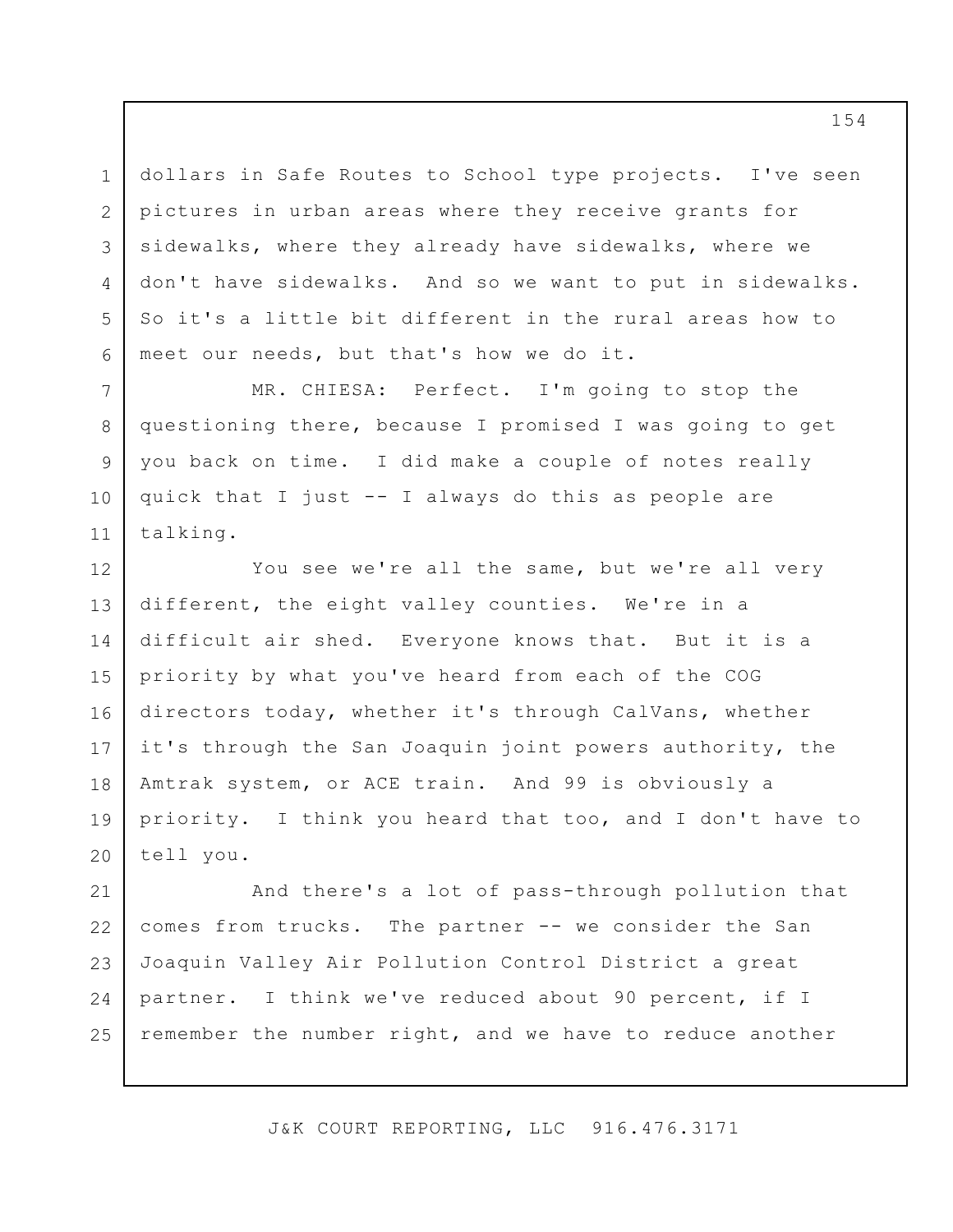dollars in Safe Routes to School type projects. I've seen pictures in urban areas where they receive grants for sidewalks, where they already have sidewalks, where we don't have sidewalks. And so we want to put in sidewalks. So it's a little bit different in the rural areas how to meet our needs, but that's how we do it.

1

2

3

4

5

6

7

8

9

10

11

MR. CHIESA: Perfect. I'm going to stop the questioning there, because I promised I was going to get you back on time. I did make a couple of notes really quick that I just -- I always do this as people are talking.

12 13 14 15 16 17 18 19 20 You see we're all the same, but we're all very different, the eight valley counties. We're in a difficult air shed. Everyone knows that. But it is a priority by what you've heard from each of the COG directors today, whether it's through CalVans, whether it's through the San Joaquin joint powers authority, the Amtrak system, or ACE train. And 99 is obviously a priority. I think you heard that too, and I don't have to tell you.

21 22 23 24 25 And there's a lot of pass-through pollution that comes from trucks. The partner -- we consider the San Joaquin Valley Air Pollution Control District a great partner. I think we've reduced about 90 percent, if I remember the number right, and we have to reduce another

J&K COURT REPORTING, LLC 916.476.3171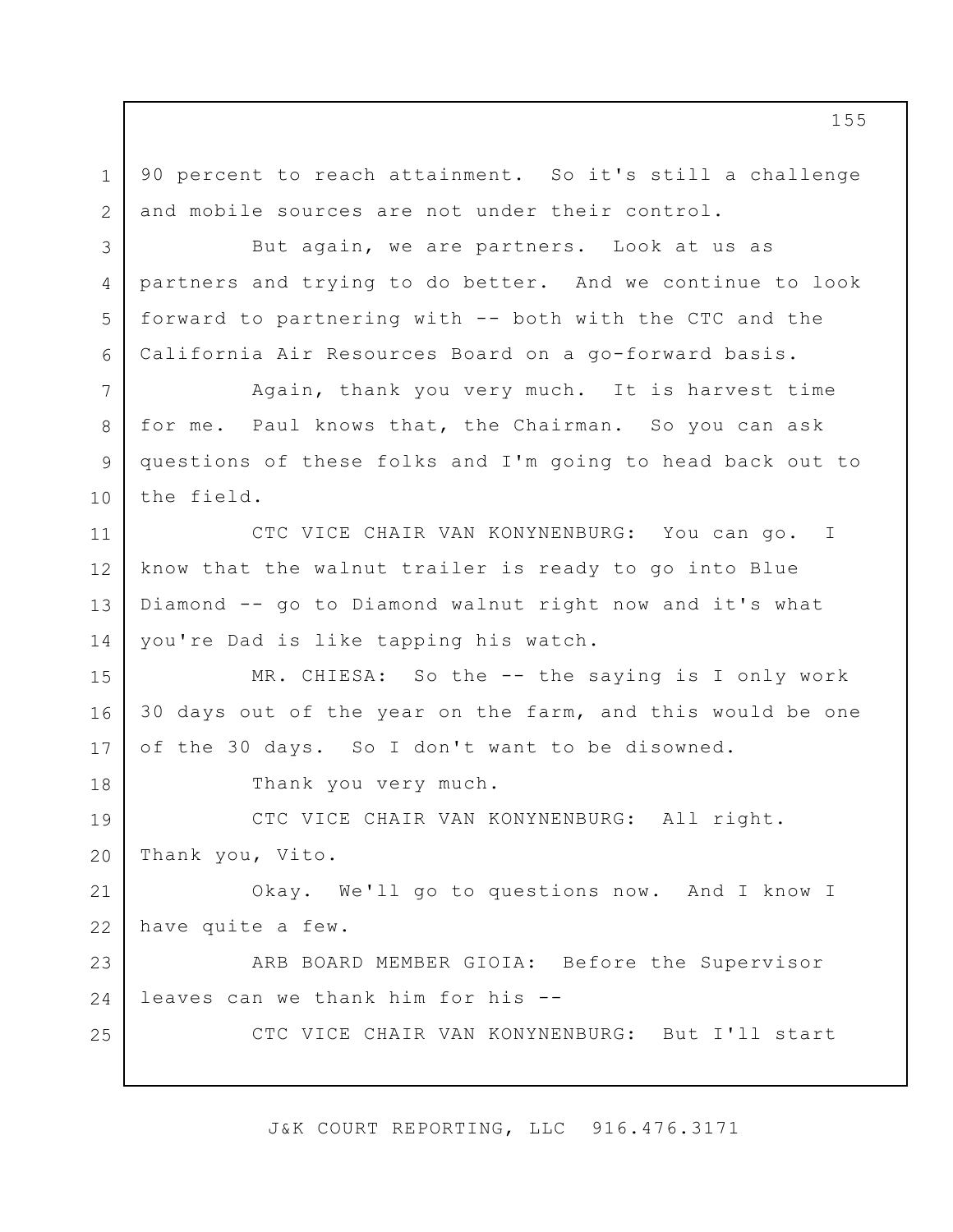90 percent to reach attainment. So it's still a challenge and mobile sources are not under their control.

1

2

3

4

5

6

7

8

9

10

18

25

But again, we are partners. Look at us as partners and trying to do better. And we continue to look forward to partnering with -- both with the CTC and the California Air Resources Board on a go-forward basis.

Again, thank you very much. It is harvest time for me. Paul knows that, the Chairman. So you can ask questions of these folks and I'm going to head back out to the field.

11 12 13 14 CTC VICE CHAIR VAN KONYNENBURG: You can go. I know that the walnut trailer is ready to go into Blue Diamond -- go to Diamond walnut right now and it's what you're Dad is like tapping his watch.

15 16 17 MR. CHIESA: So the -- the saying is I only work 30 days out of the year on the farm, and this would be one of the 30 days. So I don't want to be disowned.

Thank you very much.

19 20 CTC VICE CHAIR VAN KONYNENBURG: All right. Thank you, Vito.

21 22 Okay. We'll go to questions now. And I know I have quite a few.

23 24 ARB BOARD MEMBER GIOIA: Before the Supervisor leaves can we thank him for his --

CTC VICE CHAIR VAN KONYNENBURG: But I'll start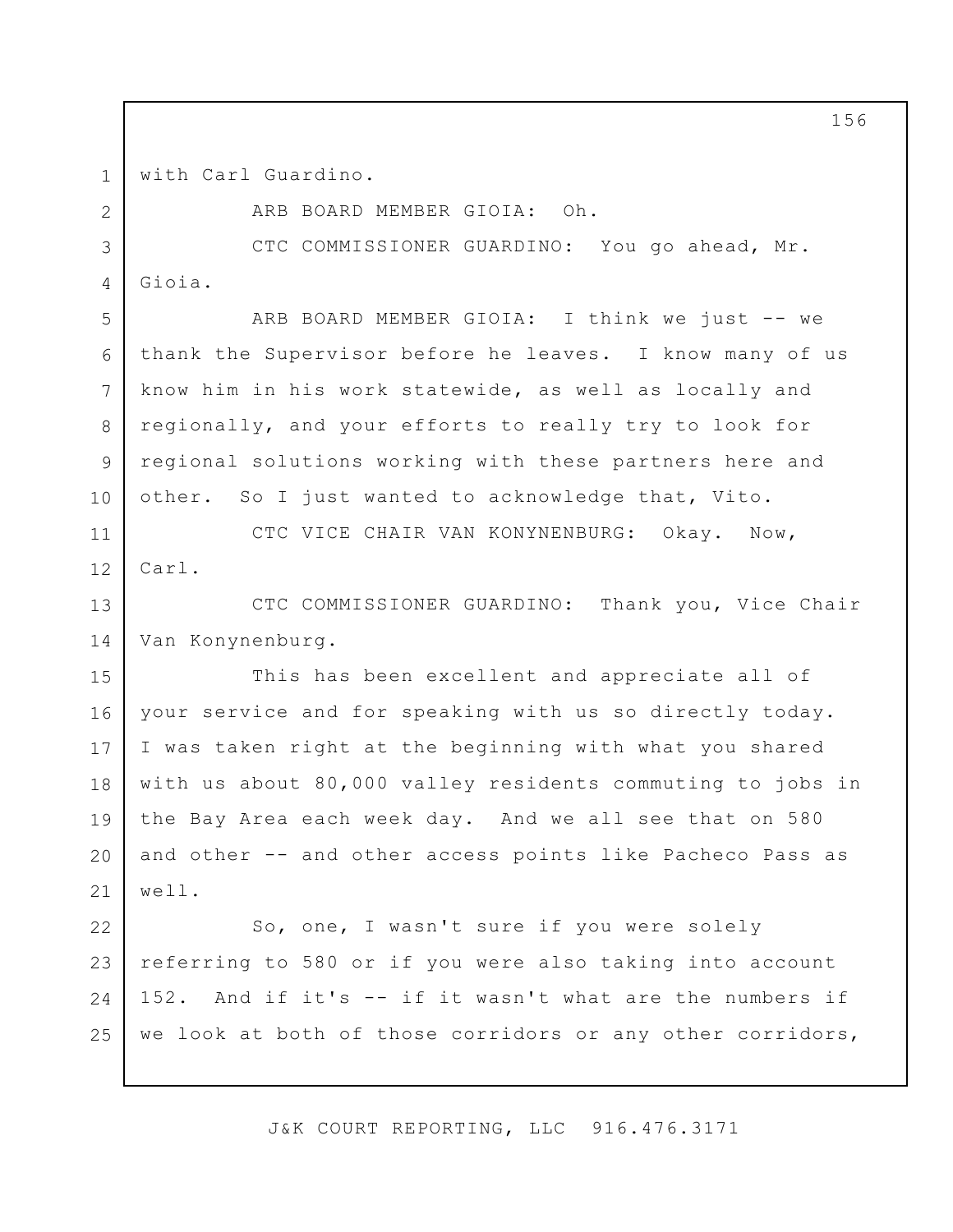with Carl Guardino.

1

2

5

8

9

10

ARB BOARD MEMBER GIOIA: Oh.

3 4 CTC COMMISSIONER GUARDINO: You go ahead, Mr. Gioia.

6 7 ARB BOARD MEMBER GIOIA: I think we just -- we thank the Supervisor before he leaves. I know many of us know him in his work statewide, as well as locally and regionally, and your efforts to really try to look for regional solutions working with these partners here and other. So I just wanted to acknowledge that, Vito.

11 12 CTC VICE CHAIR VAN KONYNENBURG: Okay. Now, Carl.

13 14 CTC COMMISSIONER GUARDINO: Thank you, Vice Chair Van Konynenburg.

15 16 17 18 19 20 21 This has been excellent and appreciate all of your service and for speaking with us so directly today. I was taken right at the beginning with what you shared with us about 80,000 valley residents commuting to jobs in the Bay Area each week day. And we all see that on 580 and other -- and other access points like Pacheco Pass as well.

22 23 24 25 So, one, I wasn't sure if you were solely referring to 580 or if you were also taking into account 152. And if it's -- if it wasn't what are the numbers if we look at both of those corridors or any other corridors,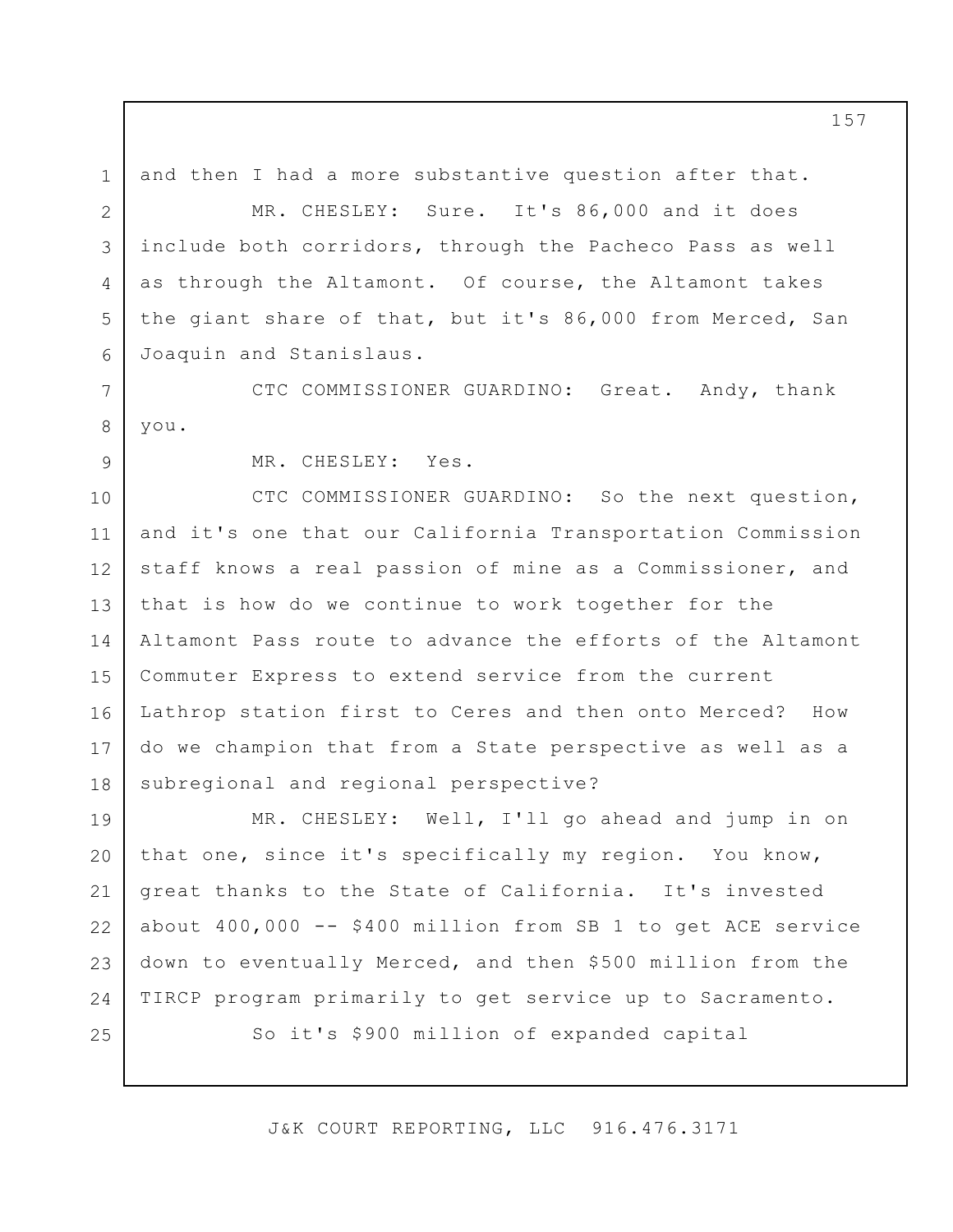1 2 3 4 5 6 7 8 9 10 11 12 13 14 15 16 17 18 19 20 21 22 23 24 25 and then I had a more substantive question after that. MR. CHESLEY: Sure. It's 86,000 and it does include both corridors, through the Pacheco Pass as well as through the Altamont. Of course, the Altamont takes the giant share of that, but it's 86,000 from Merced, San Joaquin and Stanislaus. CTC COMMISSIONER GUARDINO: Great. Andy, thank you. MR. CHESLEY: Yes. CTC COMMISSIONER GUARDINO: So the next question, and it's one that our California Transportation Commission staff knows a real passion of mine as a Commissioner, and that is how do we continue to work together for the Altamont Pass route to advance the efforts of the Altamont Commuter Express to extend service from the current Lathrop station first to Ceres and then onto Merced? How do we champion that from a State perspective as well as a subregional and regional perspective? MR. CHESLEY: Well, I'll go ahead and jump in on that one, since it's specifically my region. You know, great thanks to the State of California. It's invested about 400,000 -- \$400 million from SB 1 to get ACE service down to eventually Merced, and then \$500 million from the TIRCP program primarily to get service up to Sacramento. So it's \$900 million of expanded capital

J&K COURT REPORTING, LLC 916.476.3171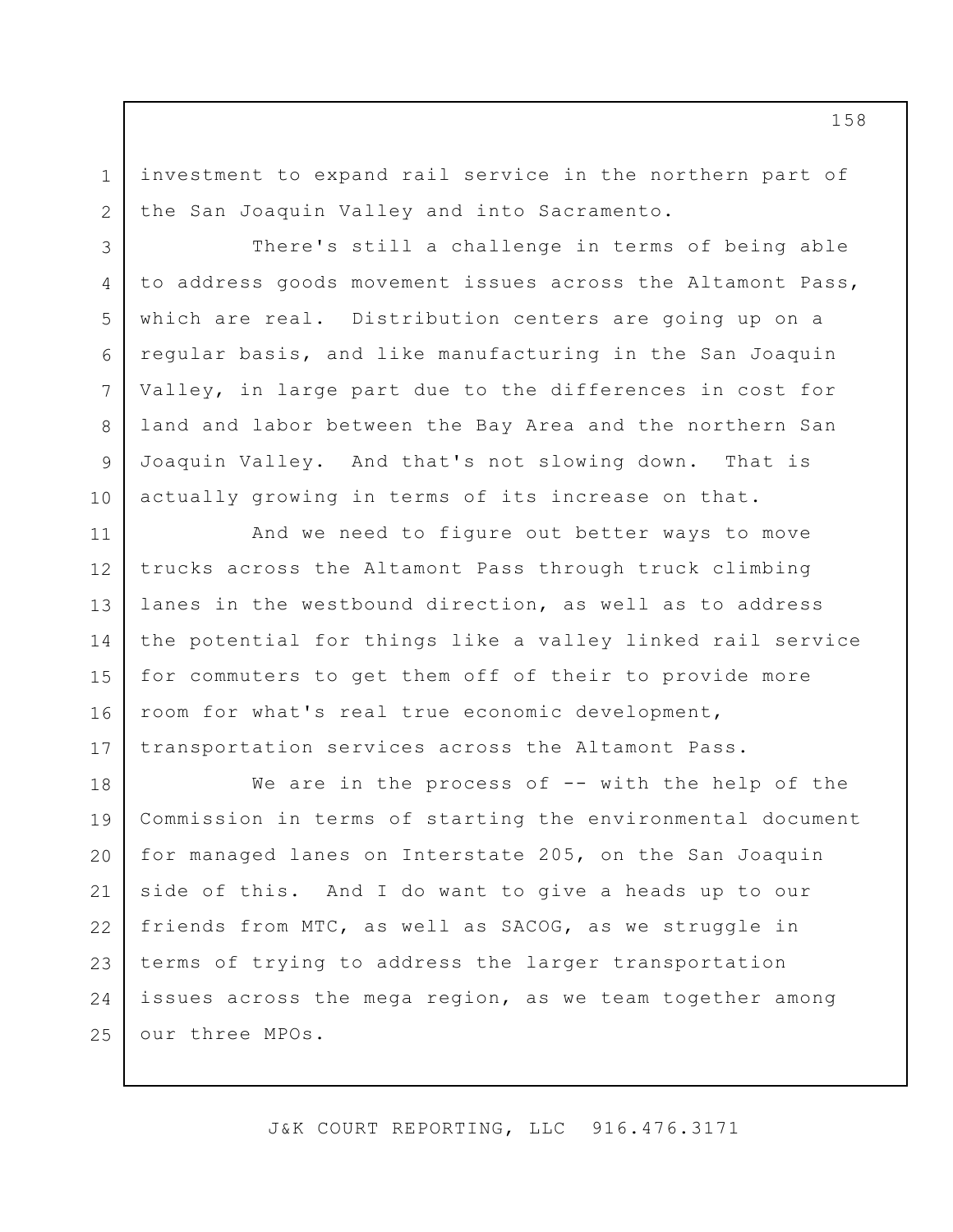investment to expand rail service in the northern part of the San Joaquin Valley and into Sacramento.

1

2

3

4

5

6

7

8

9

10

There's still a challenge in terms of being able to address goods movement issues across the Altamont Pass, which are real. Distribution centers are going up on a regular basis, and like manufacturing in the San Joaquin Valley, in large part due to the differences in cost for land and labor between the Bay Area and the northern San Joaquin Valley. And that's not slowing down. That is actually growing in terms of its increase on that.

11 12 13 14 15 16 17 And we need to figure out better ways to move trucks across the Altamont Pass through truck climbing lanes in the westbound direction, as well as to address the potential for things like a valley linked rail service for commuters to get them off of their to provide more room for what's real true economic development, transportation services across the Altamont Pass.

18 19 20 21 22 23 24 25 We are in the process of -- with the help of the Commission in terms of starting the environmental document for managed lanes on Interstate 205, on the San Joaquin side of this. And I do want to give a heads up to our friends from MTC, as well as SACOG, as we struggle in terms of trying to address the larger transportation issues across the mega region, as we team together among our three MPOs.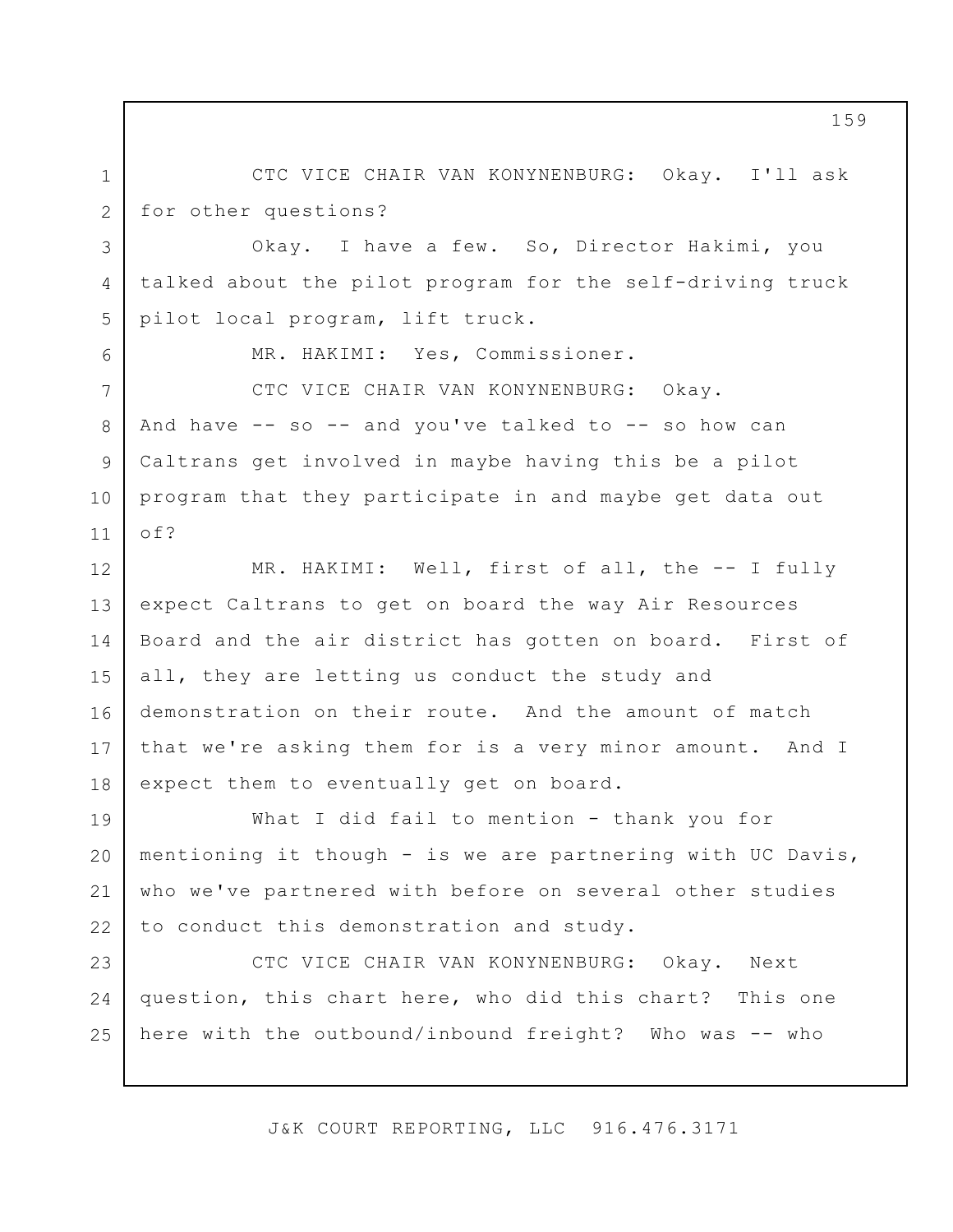CTC VICE CHAIR VAN KONYNENBURG: Okay. I'll ask for other questions?

Okay. I have a few. So, Director Hakimi, you talked about the pilot program for the self-driving truck pilot local program, lift truck.

MR. HAKIMI: Yes, Commissioner.

1

2

3

4

5

6

7 8 9 10 11 CTC VICE CHAIR VAN KONYNENBURG: Okay. And have -- so -- and you've talked to -- so how can Caltrans get involved in maybe having this be a pilot program that they participate in and maybe get data out of?

12 13 14 15 16 17 18 MR. HAKIMI: Well, first of all, the -- I fully expect Caltrans to get on board the way Air Resources Board and the air district has gotten on board. First of all, they are letting us conduct the study and demonstration on their route. And the amount of match that we're asking them for is a very minor amount. And I expect them to eventually get on board.

19 20 21 22 What I did fail to mention - thank you for mentioning it though - is we are partnering with UC Davis, who we've partnered with before on several other studies to conduct this demonstration and study.

23 24 25 CTC VICE CHAIR VAN KONYNENBURG: Okay. Next question, this chart here, who did this chart? This one here with the outbound/inbound freight? Who was -- who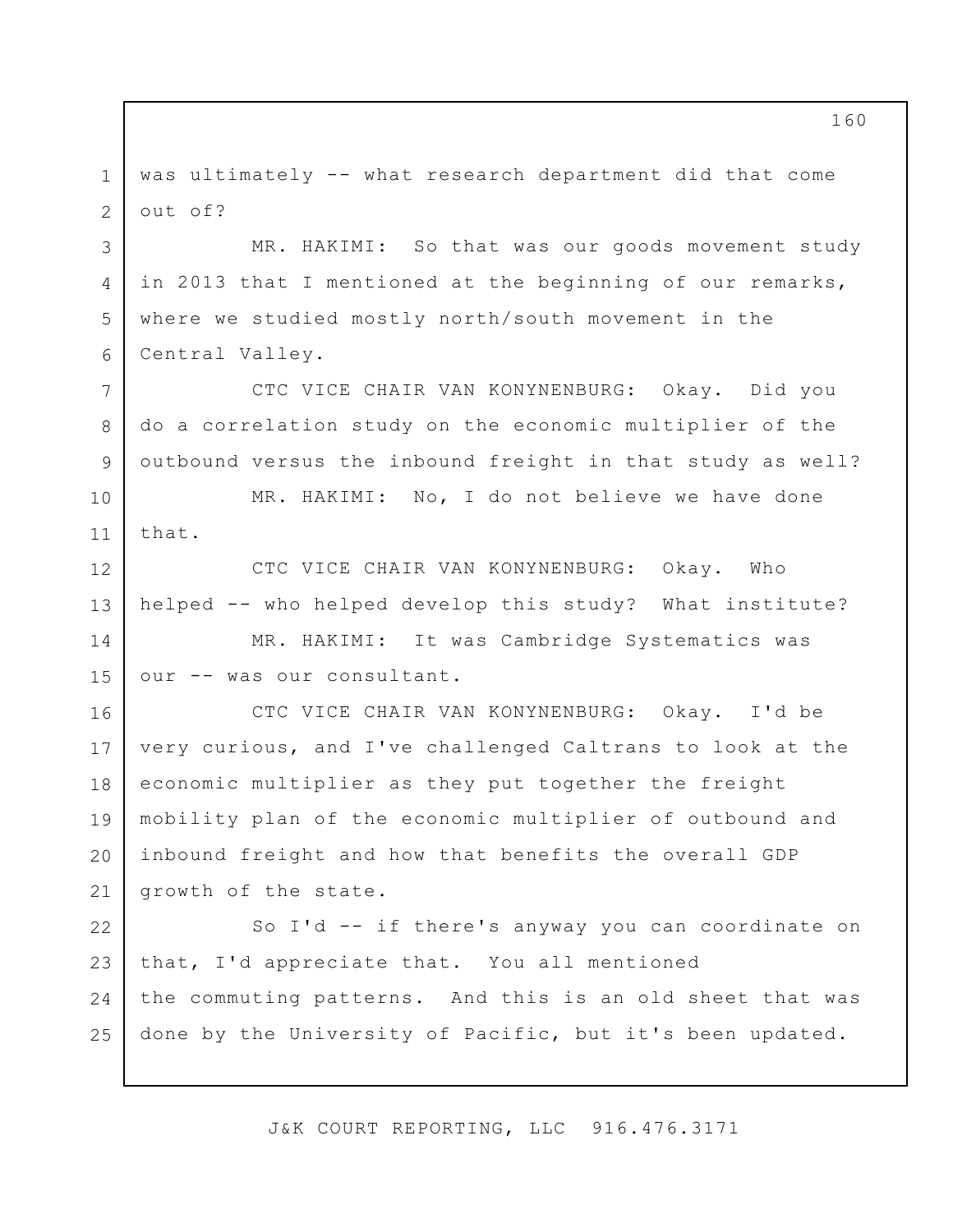1 2 was ultimately -- what research department did that come out of?

MR. HAKIMI: So that was our goods movement study in 2013 that I mentioned at the beginning of our remarks, where we studied mostly north/south movement in the Central Valley.

CTC VICE CHAIR VAN KONYNENBURG: Okay. Did you do a correlation study on the economic multiplier of the outbound versus the inbound freight in that study as well?

10 11 MR. HAKIMI: No, I do not believe we have done that.

12 13 14 CTC VICE CHAIR VAN KONYNENBURG: Okay. Who helped -- who helped develop this study? What institute? MR. HAKIMI: It was Cambridge Systematics was

15 our -- was our consultant.

3

4

5

6

7

8

9

16 17 18 19 20 21 CTC VICE CHAIR VAN KONYNENBURG: Okay. I'd be very curious, and I've challenged Caltrans to look at the economic multiplier as they put together the freight mobility plan of the economic multiplier of outbound and inbound freight and how that benefits the overall GDP growth of the state.

22 23 24 25 So I'd -- if there's anyway you can coordinate on that, I'd appreciate that. You all mentioned the commuting patterns. And this is an old sheet that was done by the University of Pacific, but it's been updated.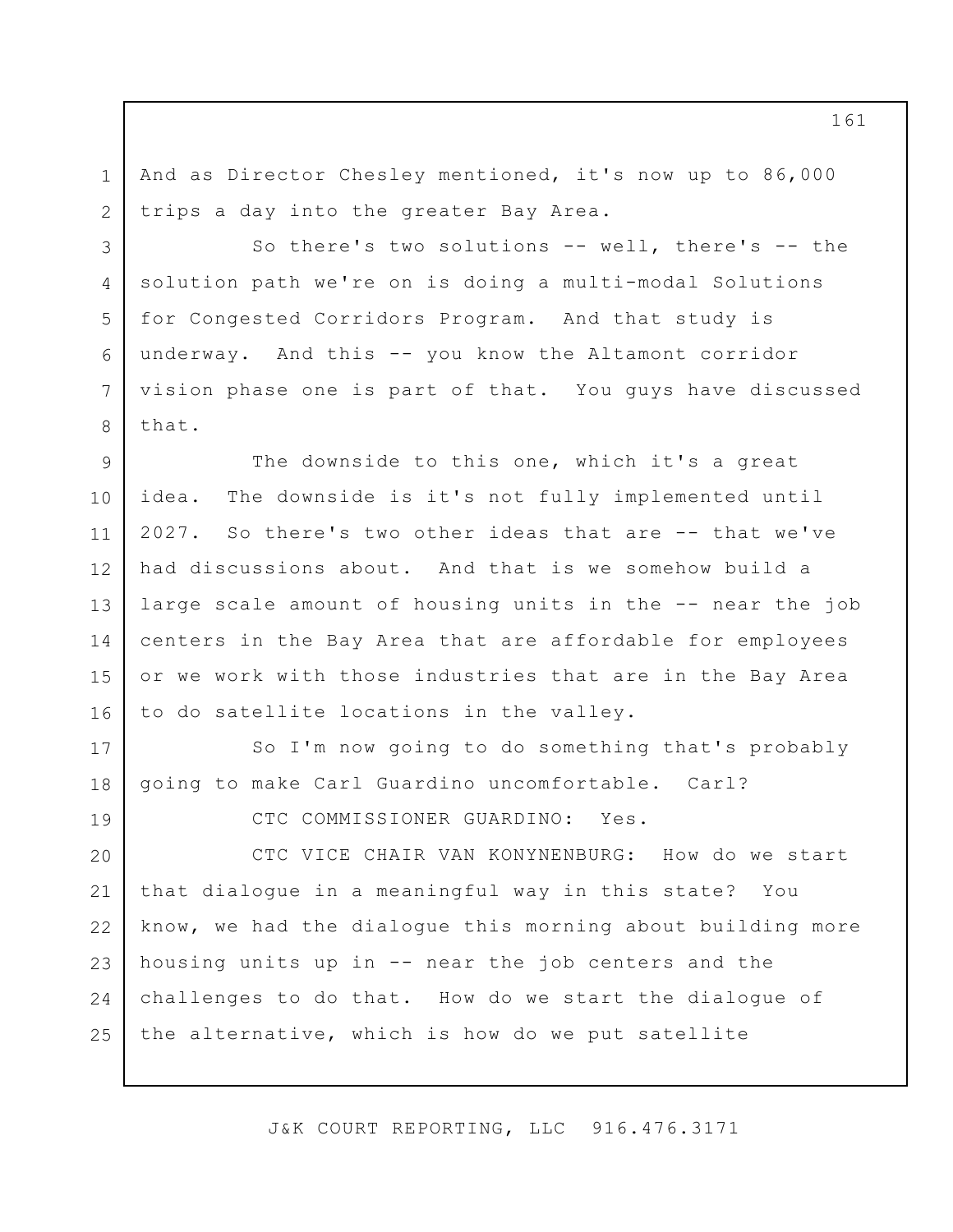And as Director Chesley mentioned, it's now up to 86,000 trips a day into the greater Bay Area.

1

2

3

4

5

6

7

8

19

So there's two solutions -- well, there's -- the solution path we're on is doing a multi-modal Solutions for Congested Corridors Program. And that study is underway. And this -- you know the Altamont corridor vision phase one is part of that. You guys have discussed that.

9 10 11 12 13 14 15 16 The downside to this one, which it's a great idea. The downside is it's not fully implemented until 2027. So there's two other ideas that are -- that we've had discussions about. And that is we somehow build a large scale amount of housing units in the -- near the job centers in the Bay Area that are affordable for employees or we work with those industries that are in the Bay Area to do satellite locations in the valley.

17 18 So I'm now going to do something that's probably going to make Carl Guardino uncomfortable. Carl?

CTC COMMISSIONER GUARDINO: Yes.

20 21 22 23 24 25 CTC VICE CHAIR VAN KONYNENBURG: How do we start that dialogue in a meaningful way in this state? You know, we had the dialogue this morning about building more housing units up in -- near the job centers and the challenges to do that. How do we start the dialogue of the alternative, which is how do we put satellite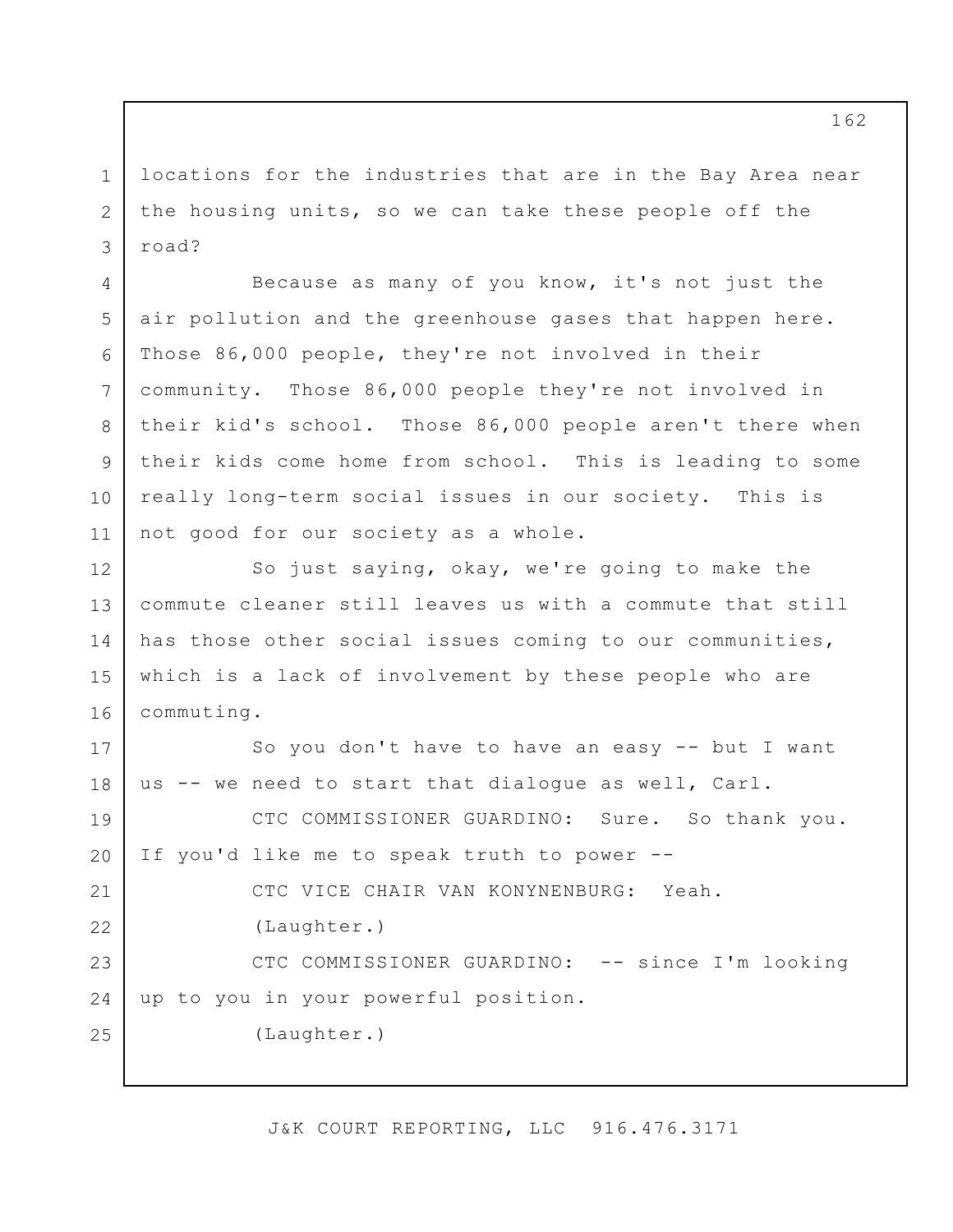locations for the industries that are in the Bay Area near the housing units, so we can take these people off the road?

1

2

3

4 5 6 7 8 9 10 11 Because as many of you know, it's not just the air pollution and the greenhouse gases that happen here. Those 86,000 people, they're not involved in their community. Those 86,000 people they're not involved in their kid's school. Those 86,000 people aren't there when their kids come home from school. This is leading to some really long-term social issues in our society. This is not good for our society as a whole.

12 13 14 15 16 So just saying, okay, we're going to make the commute cleaner still leaves us with a commute that still has those other social issues coming to our communities, which is a lack of involvement by these people who are commuting.

17 18 19 20 21 22 23 24 25 So you don't have to have an easy -- but I want us -- we need to start that dialogue as well, Carl. CTC COMMISSIONER GUARDINO: Sure. So thank you. If you'd like me to speak truth to power -- CTC VICE CHAIR VAN KONYNENBURG: Yeah. (Laughter.) CTC COMMISSIONER GUARDINO: -- since I'm looking up to you in your powerful position. (Laughter.)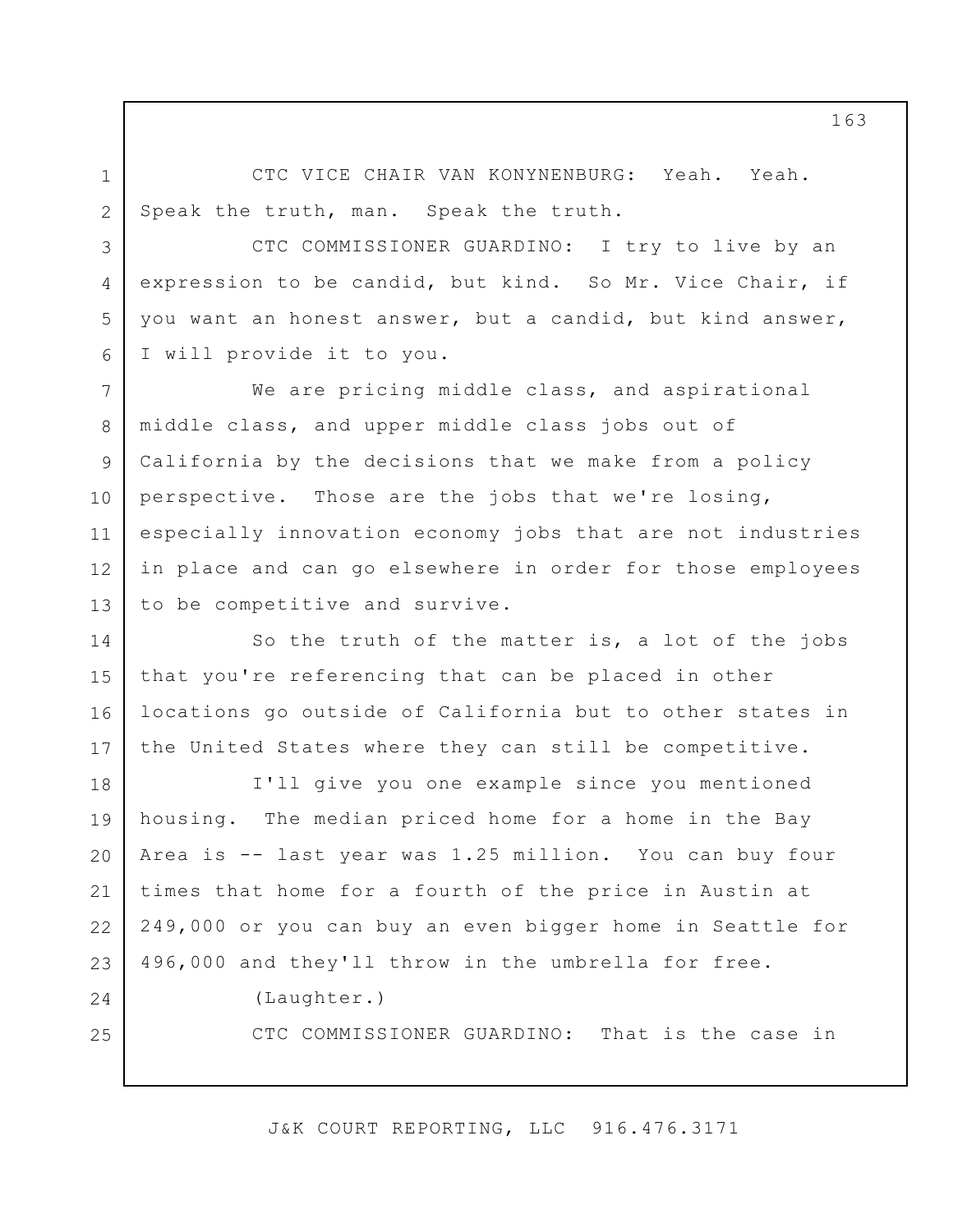CTC VICE CHAIR VAN KONYNENBURG: Yeah. Yeah. Speak the truth, man. Speak the truth.

CTC COMMISSIONER GUARDINO: I try to live by an expression to be candid, but kind. So Mr. Vice Chair, if you want an honest answer, but a candid, but kind answer, I will provide it to you.

7 8 9 10 11 12 13 We are pricing middle class, and aspirational middle class, and upper middle class jobs out of California by the decisions that we make from a policy perspective. Those are the jobs that we're losing, especially innovation economy jobs that are not industries in place and can go elsewhere in order for those employees to be competitive and survive.

14 15 16 17 So the truth of the matter is, a lot of the jobs that you're referencing that can be placed in other locations go outside of California but to other states in the United States where they can still be competitive.

18 19 20 21 22 23 I'll give you one example since you mentioned housing. The median priced home for a home in the Bay Area is -- last year was 1.25 million. You can buy four times that home for a fourth of the price in Austin at 249,000 or you can buy an even bigger home in Seattle for 496,000 and they'll throw in the umbrella for free.

24

25

1

2

3

4

5

6

(Laughter.)

CTC COMMISSIONER GUARDINO: That is the case in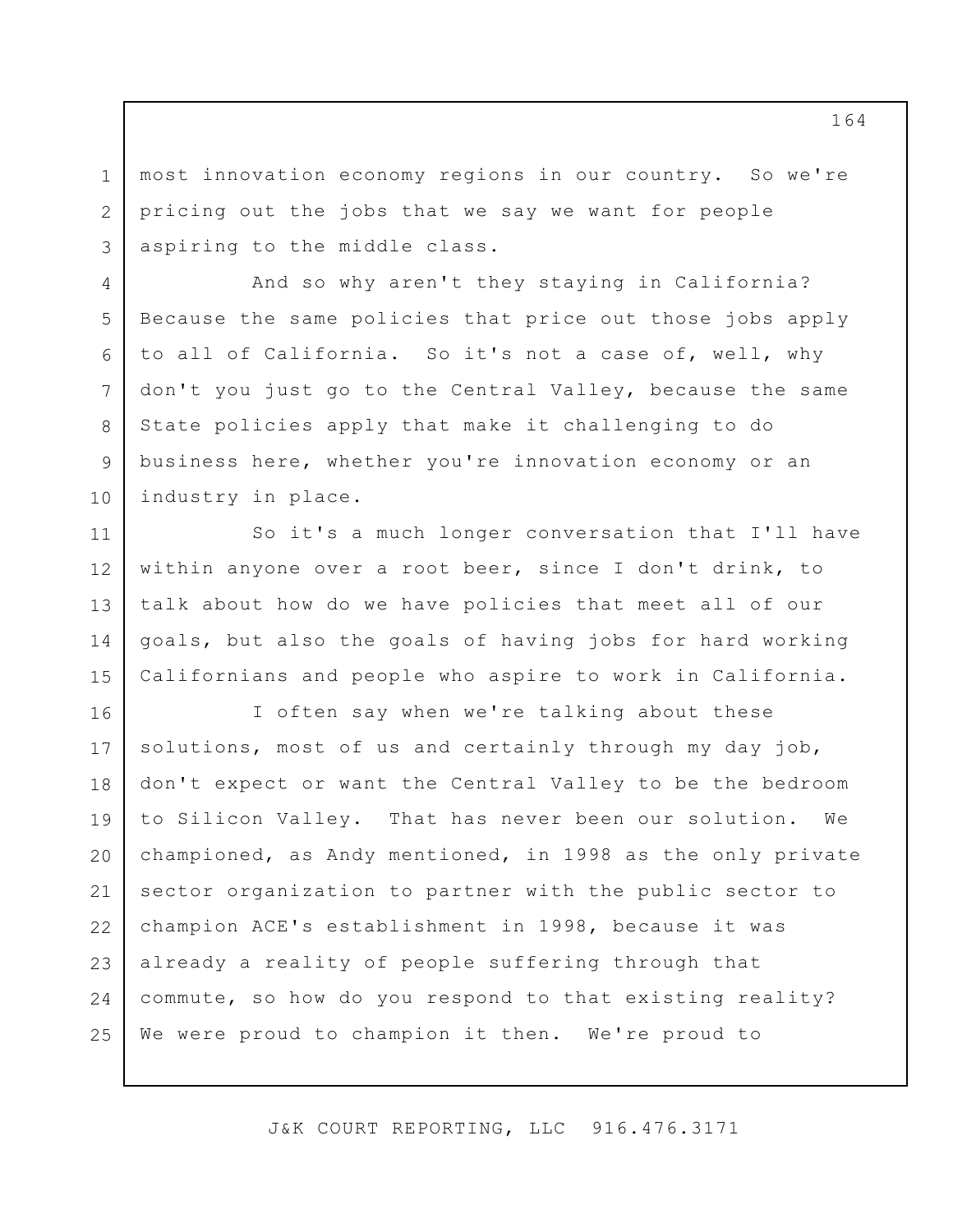most innovation economy regions in our country. So we're pricing out the jobs that we say we want for people aspiring to the middle class.

1

2

3

4

5

6

7

8

9

10

And so why aren't they staying in California? Because the same policies that price out those jobs apply to all of California. So it's not a case of, well, why don't you just go to the Central Valley, because the same State policies apply that make it challenging to do business here, whether you're innovation economy or an industry in place.

11 12 13 14 15 So it's a much longer conversation that I'll have within anyone over a root beer, since I don't drink, to talk about how do we have policies that meet all of our goals, but also the goals of having jobs for hard working Californians and people who aspire to work in California.

16 17 18 19 20 21 22 23 24 25 I often say when we're talking about these solutions, most of us and certainly through my day job, don't expect or want the Central Valley to be the bedroom to Silicon Valley. That has never been our solution. We championed, as Andy mentioned, in 1998 as the only private sector organization to partner with the public sector to champion ACE's establishment in 1998, because it was already a reality of people suffering through that commute, so how do you respond to that existing reality? We were proud to champion it then. We're proud to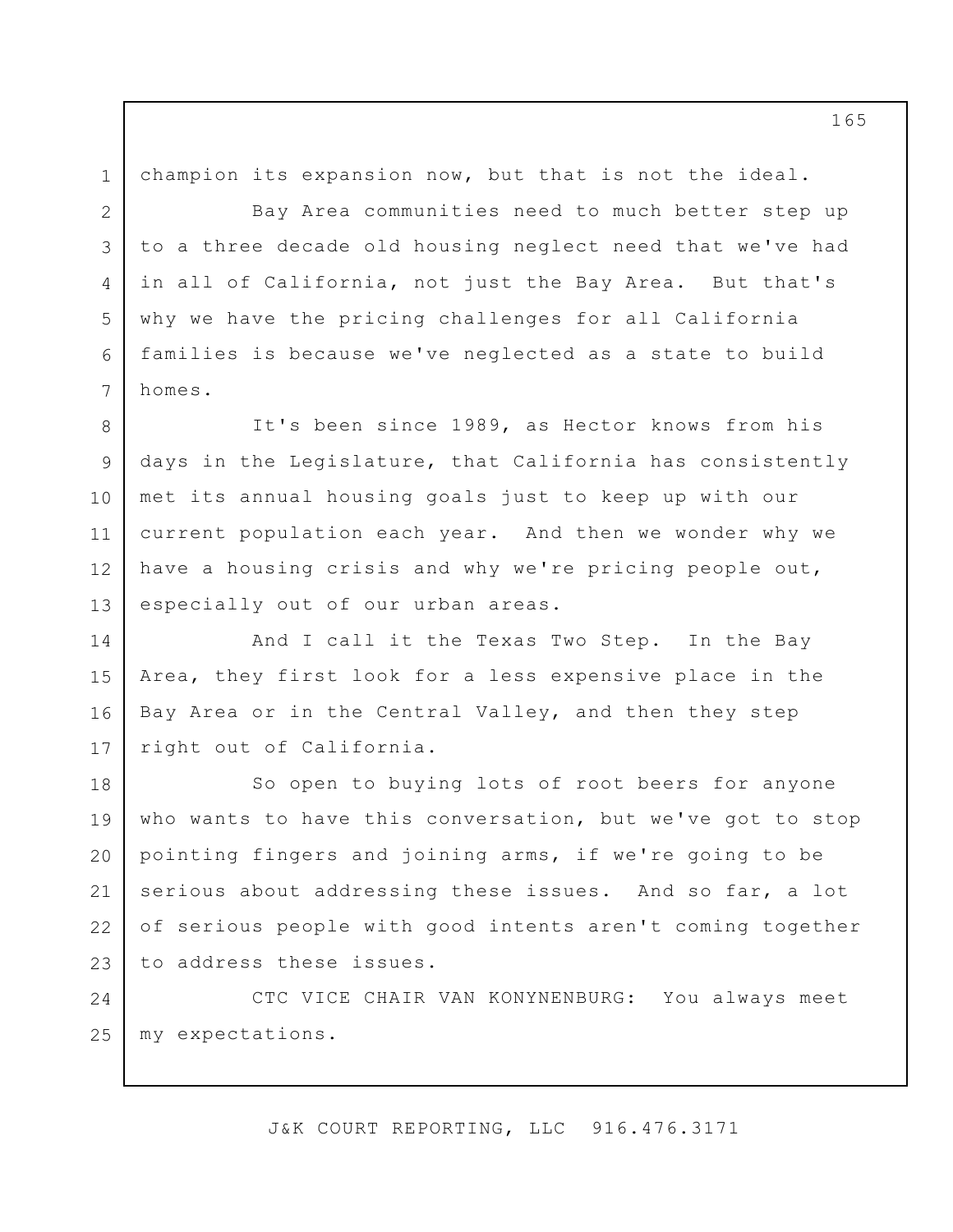champion its expansion now, but that is not the ideal.

1

2

3

4

5

6

7

Bay Area communities need to much better step up to a three decade old housing neglect need that we've had in all of California, not just the Bay Area. But that's why we have the pricing challenges for all California families is because we've neglected as a state to build homes.

8 9 10 11 12 13 It's been since 1989, as Hector knows from his days in the Legislature, that California has consistently met its annual housing goals just to keep up with our current population each year. And then we wonder why we have a housing crisis and why we're pricing people out, especially out of our urban areas.

14 15 16 17 And I call it the Texas Two Step. In the Bay Area, they first look for a less expensive place in the Bay Area or in the Central Valley, and then they step right out of California.

18 19 20 21 22 23 So open to buying lots of root beers for anyone who wants to have this conversation, but we've got to stop pointing fingers and joining arms, if we're going to be serious about addressing these issues. And so far, a lot of serious people with good intents aren't coming together to address these issues.

24 25 CTC VICE CHAIR VAN KONYNENBURG: You always meet my expectations.

J&K COURT REPORTING, LLC 916.476.3171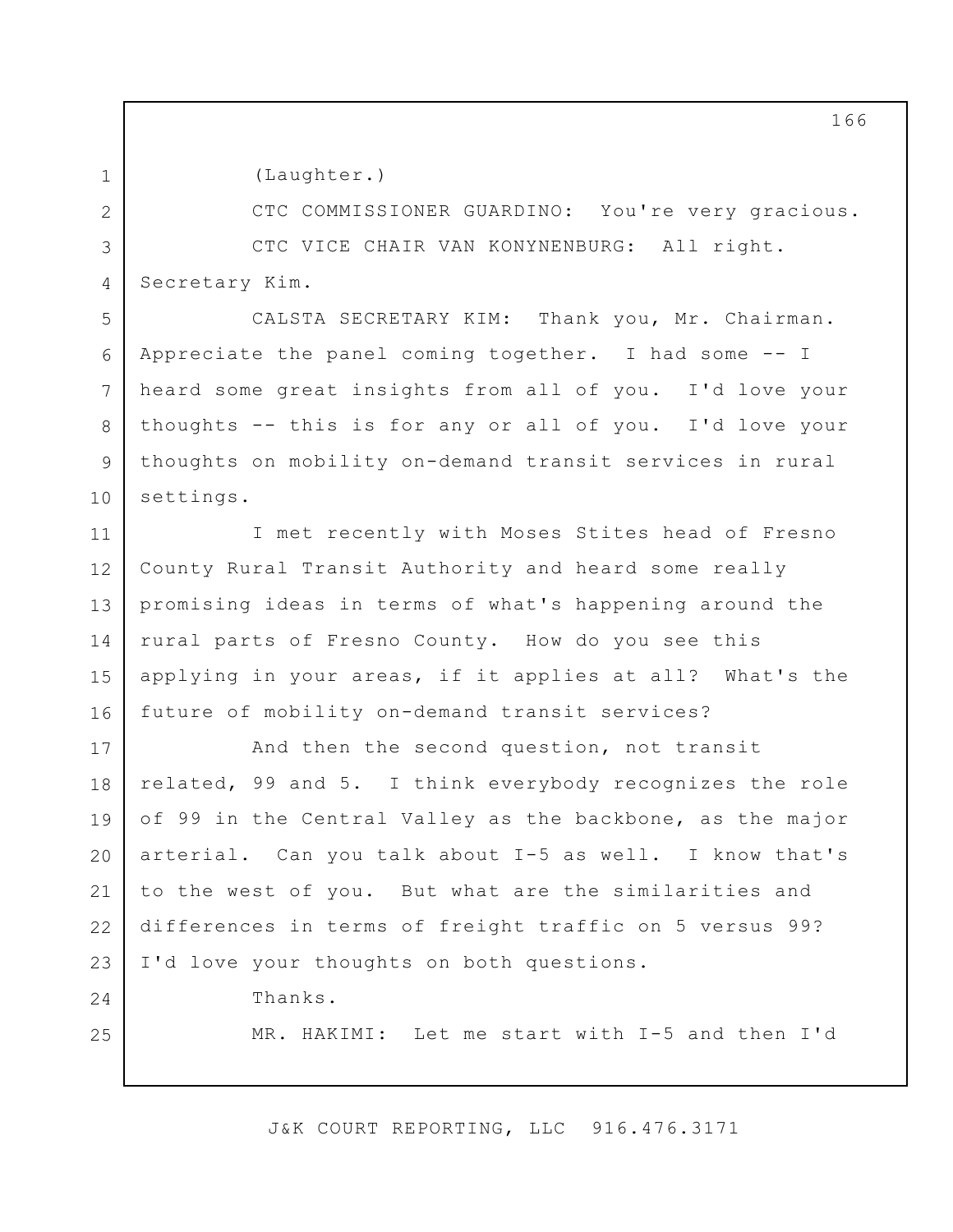2

3

4

24

25

1

(Laughter.)

CTC COMMISSIONER GUARDINO: You're very gracious. CTC VICE CHAIR VAN KONYNENBURG: All right. Secretary Kim.

5 6 7 8 9 10 CALSTA SECRETARY KIM: Thank you, Mr. Chairman. Appreciate the panel coming together. I had some -- I heard some great insights from all of you. I'd love your thoughts -- this is for any or all of you. I'd love your thoughts on mobility on-demand transit services in rural settings.

11 12 13 14 15 16 I met recently with Moses Stites head of Fresno County Rural Transit Authority and heard some really promising ideas in terms of what's happening around the rural parts of Fresno County. How do you see this applying in your areas, if it applies at all? What's the future of mobility on-demand transit services?

17 18 19 20 21 22 23 And then the second question, not transit related, 99 and 5. I think everybody recognizes the role of 99 in the Central Valley as the backbone, as the major arterial. Can you talk about I-5 as well. I know that's to the west of you. But what are the similarities and differences in terms of freight traffic on 5 versus 99? I'd love your thoughts on both questions.

Thanks.

MR. HAKIMI: Let me start with I-5 and then I'd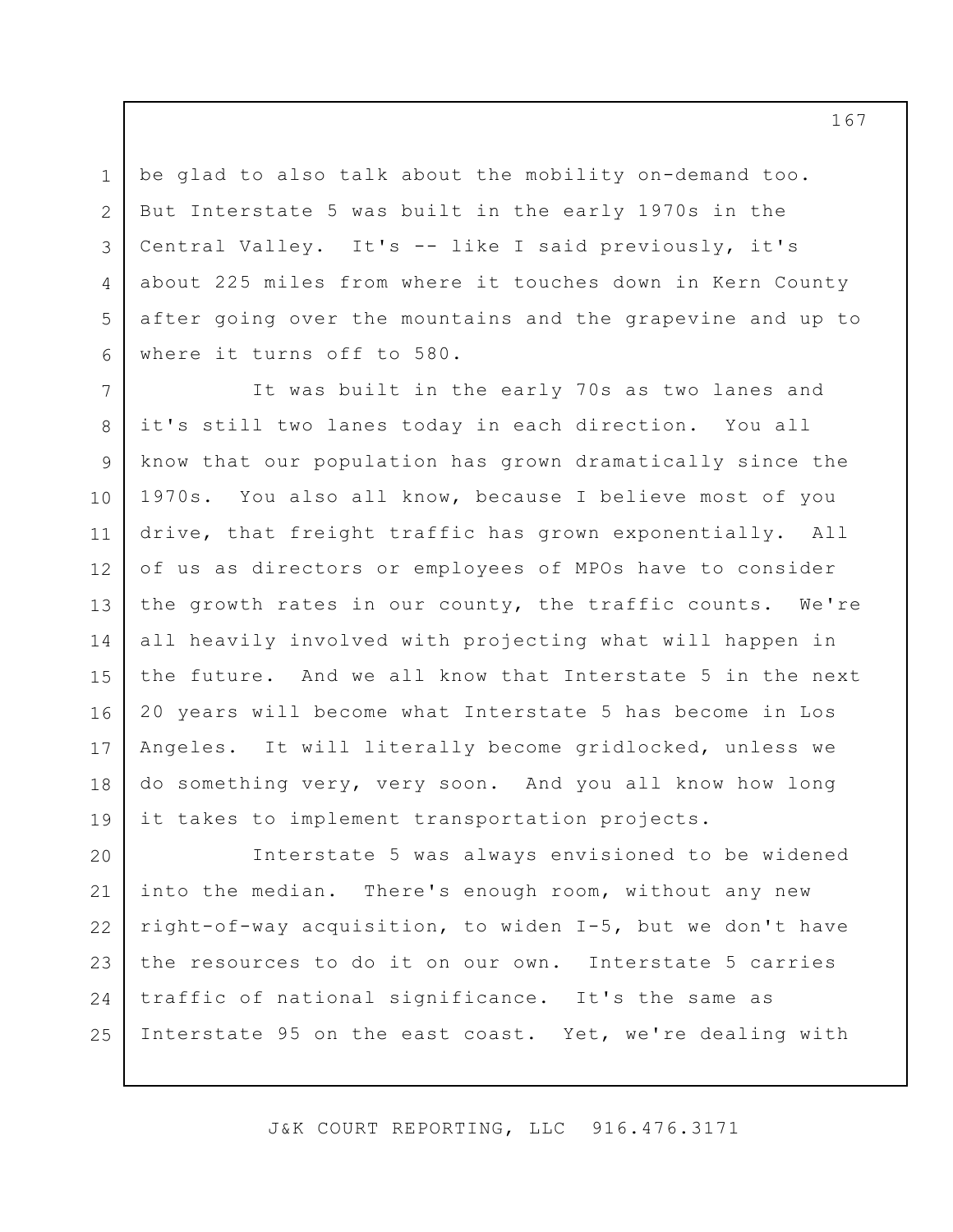3 be glad to also talk about the mobility on-demand too. But Interstate 5 was built in the early 1970s in the Central Valley. It's -- like I said previously, it's about 225 miles from where it touches down in Kern County after going over the mountains and the grapevine and up to where it turns off to 580.

1

2

4

5

6

7 8 9 10 11 12 13 14 15 16 17 18 19 It was built in the early 70s as two lanes and it's still two lanes today in each direction. You all know that our population has grown dramatically since the 1970s. You also all know, because I believe most of you drive, that freight traffic has grown exponentially. All of us as directors or employees of MPOs have to consider the growth rates in our county, the traffic counts. We're all heavily involved with projecting what will happen in the future. And we all know that Interstate 5 in the next 20 years will become what Interstate 5 has become in Los Angeles. It will literally become gridlocked, unless we do something very, very soon. And you all know how long it takes to implement transportation projects.

20 21 22 23 24 25 Interstate 5 was always envisioned to be widened into the median. There's enough room, without any new right-of-way acquisition, to widen I-5, but we don't have the resources to do it on our own. Interstate 5 carries traffic of national significance. It's the same as Interstate 95 on the east coast. Yet, we're dealing with

J&K COURT REPORTING, LLC 916.476.3171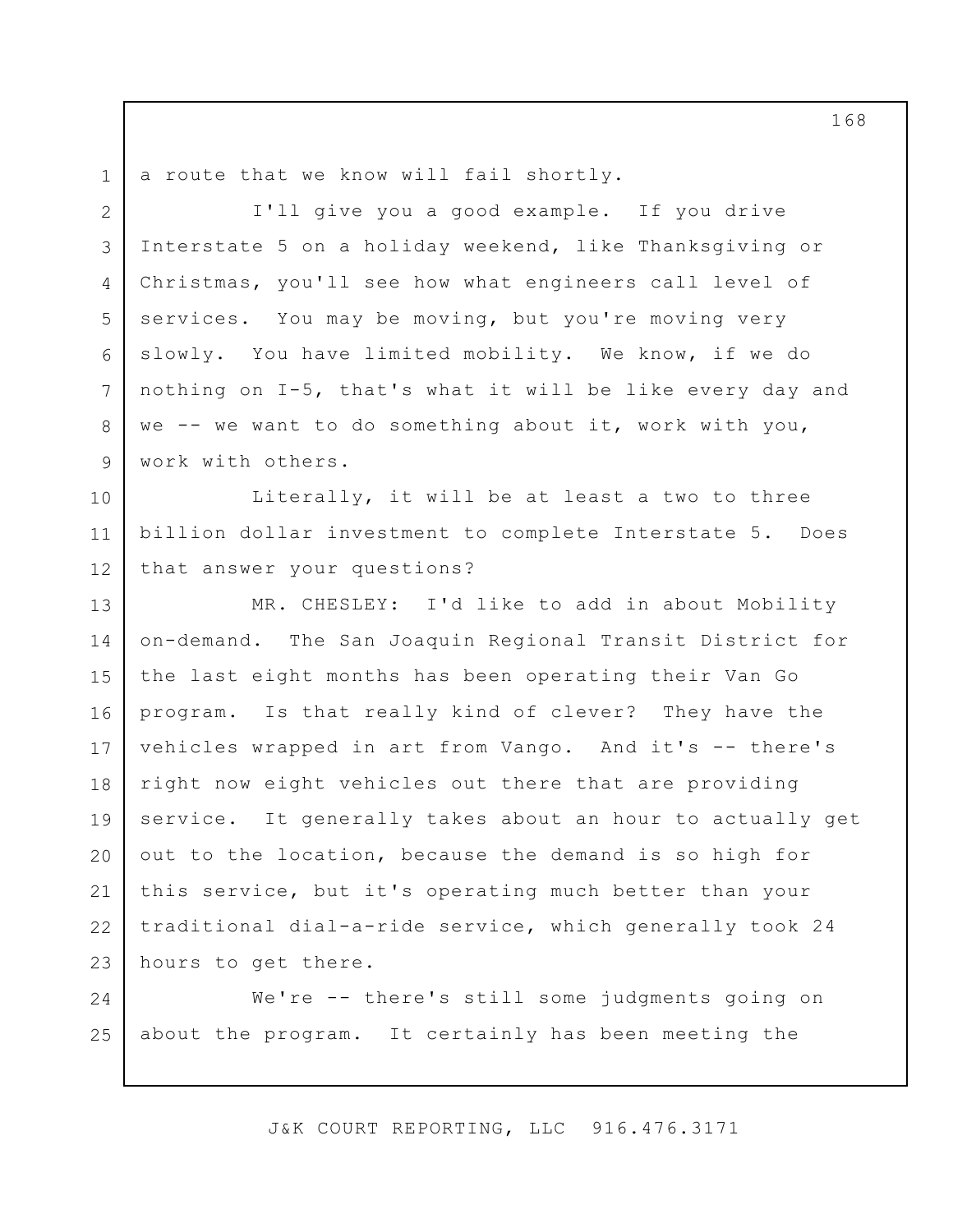a route that we know will fail shortly.

1

2 3 4 5 6 7 8 9 I'll give you a good example. If you drive Interstate 5 on a holiday weekend, like Thanksgiving or Christmas, you'll see how what engineers call level of services. You may be moving, but you're moving very slowly. You have limited mobility. We know, if we do nothing on I-5, that's what it will be like every day and we  $--$  we want to do something about it, work with you, work with others.

10 11 12 Literally, it will be at least a two to three billion dollar investment to complete Interstate 5. Does that answer your questions?

13 14 15 16 17 18 19 20 21 22 23 MR. CHESLEY: I'd like to add in about Mobility on-demand. The San Joaquin Regional Transit District for the last eight months has been operating their Van Go program. Is that really kind of clever? They have the vehicles wrapped in art from Vango. And it's -- there's right now eight vehicles out there that are providing service. It generally takes about an hour to actually get out to the location, because the demand is so high for this service, but it's operating much better than your traditional dial-a-ride service, which generally took 24 hours to get there.

24 25 We're -- there's still some judgments going on about the program. It certainly has been meeting the

J&K COURT REPORTING, LLC 916.476.3171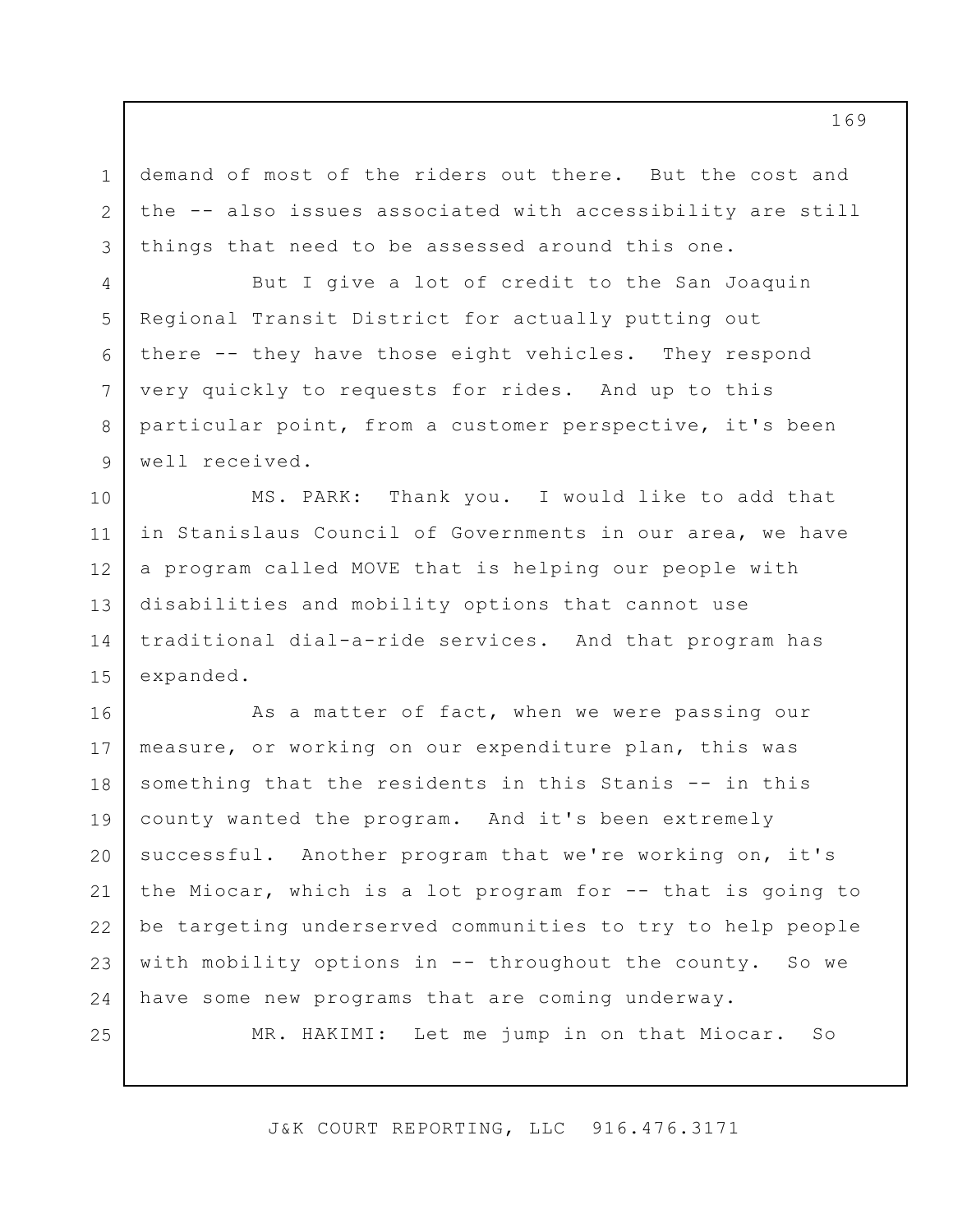1 2 3 demand of most of the riders out there. But the cost and the -- also issues associated with accessibility are still things that need to be assessed around this one.

6 But I give a lot of credit to the San Joaquin Regional Transit District for actually putting out there -- they have those eight vehicles. They respond very quickly to requests for rides. And up to this particular point, from a customer perspective, it's been well received.

4

5

7

8

9

25

10 11 12 13 14 15 MS. PARK: Thank you. I would like to add that in Stanislaus Council of Governments in our area, we have a program called MOVE that is helping our people with disabilities and mobility options that cannot use traditional dial-a-ride services. And that program has expanded.

16 17 18 19 20 21 22 23 24 As a matter of fact, when we were passing our measure, or working on our expenditure plan, this was something that the residents in this Stanis -- in this county wanted the program. And it's been extremely successful. Another program that we're working on, it's the Miocar, which is a lot program for -- that is going to be targeting underserved communities to try to help people with mobility options in -- throughout the county. So we have some new programs that are coming underway.

MR. HAKIMI: Let me jump in on that Miocar. So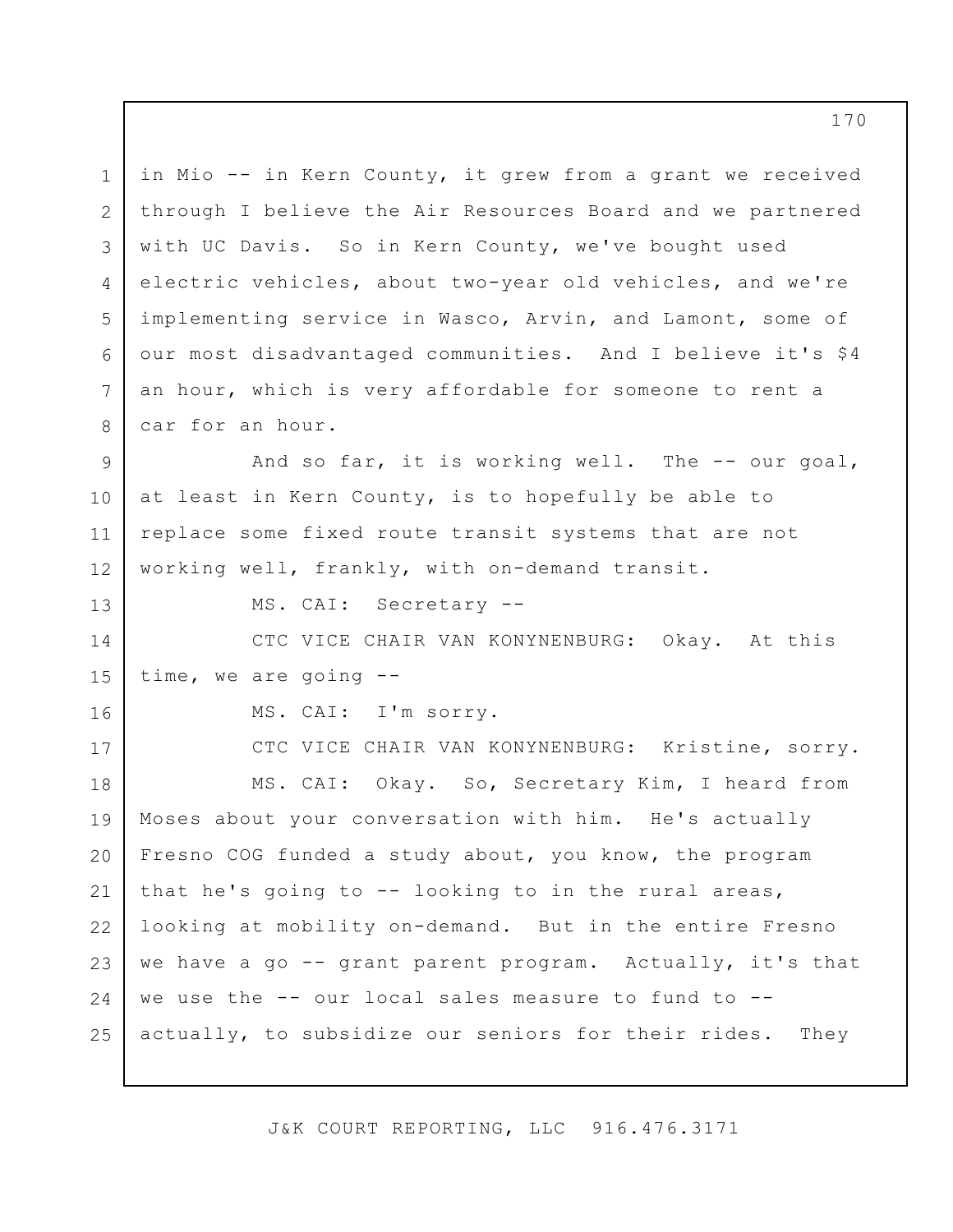1 2 3 4 5 6 7 8 in Mio -- in Kern County, it grew from a grant we received through I believe the Air Resources Board and we partnered with UC Davis. So in Kern County, we've bought used electric vehicles, about two-year old vehicles, and we're implementing service in Wasco, Arvin, and Lamont, some of our most disadvantaged communities. And I believe it's \$4 an hour, which is very affordable for someone to rent a car for an hour.

9 10 11 12 And so far, it is working well. The -- our goal, at least in Kern County, is to hopefully be able to replace some fixed route transit systems that are not working well, frankly, with on-demand transit.

MS. CAI: Secretary --

13

16

14 15 CTC VICE CHAIR VAN KONYNENBURG: Okay. At this time, we are going --

MS. CAI: I'm sorry.

17 18 19 20 21 22 23 24 25 CTC VICE CHAIR VAN KONYNENBURG: Kristine, sorry. MS. CAI: Okay. So, Secretary Kim, I heard from Moses about your conversation with him. He's actually Fresno COG funded a study about, you know, the program that he's going to -- looking to in the rural areas, looking at mobility on-demand. But in the entire Fresno we have a go -- grant parent program. Actually, it's that we use the -- our local sales measure to fund to - actually, to subsidize our seniors for their rides. They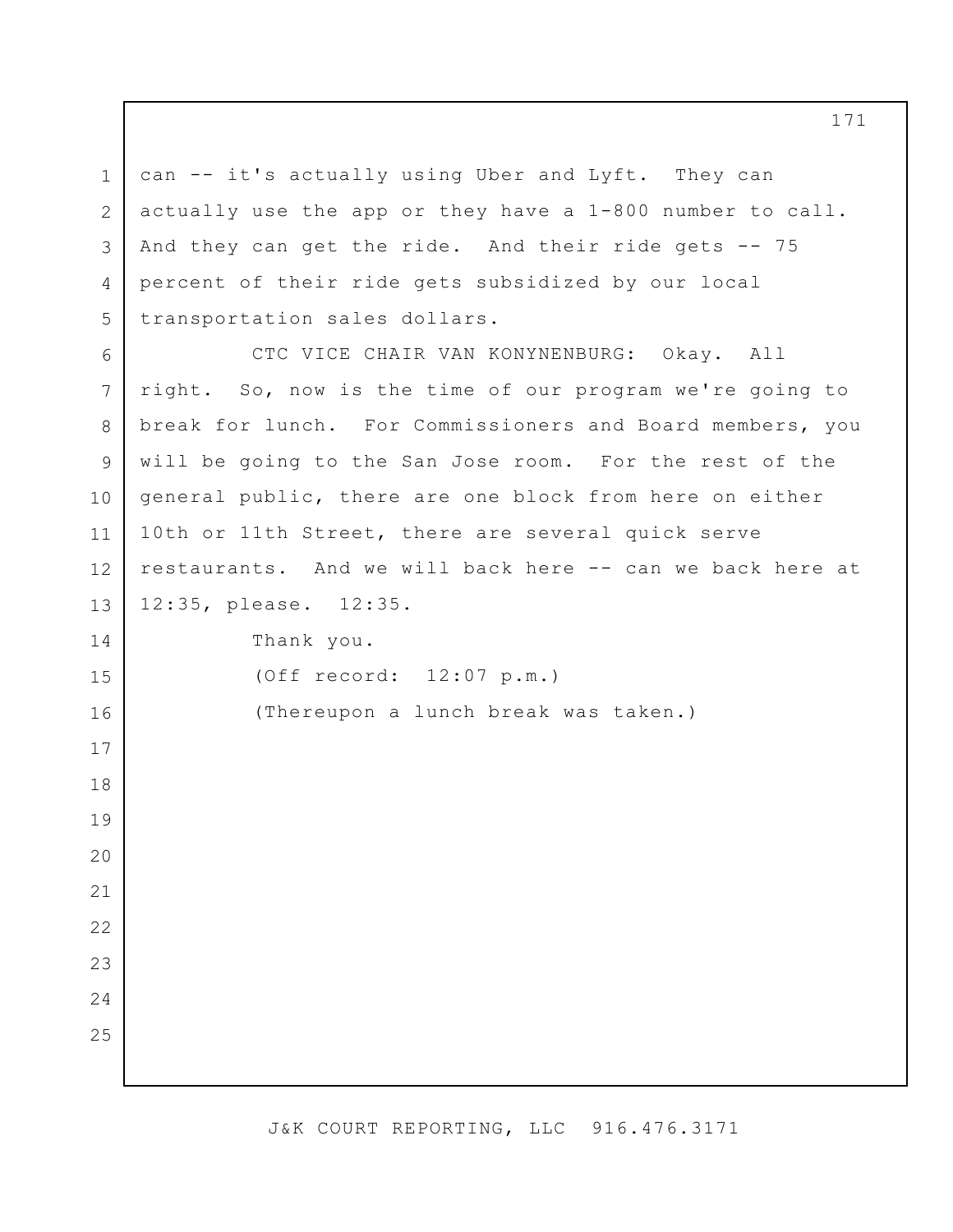can -- it's actually using Uber and Lyft. They can actually use the app or they have a 1-800 number to call. And they can get the ride. And their ride gets -- 75 percent of their ride gets subsidized by our local transportation sales dollars. CTC VICE CHAIR VAN KONYNENBURG: Okay. All right. So, now is the time of our program we're going to break for lunch. For Commissioners and Board members, you will be going to the San Jose room. For the rest of the general public, there are one block from here on either 10th or 11th Street, there are several quick serve restaurants. And we will back here -- can we back here at 12:35, please. 12:35. Thank you. (Off record: 12:07 p.m.) (Thereupon a lunch break was taken.)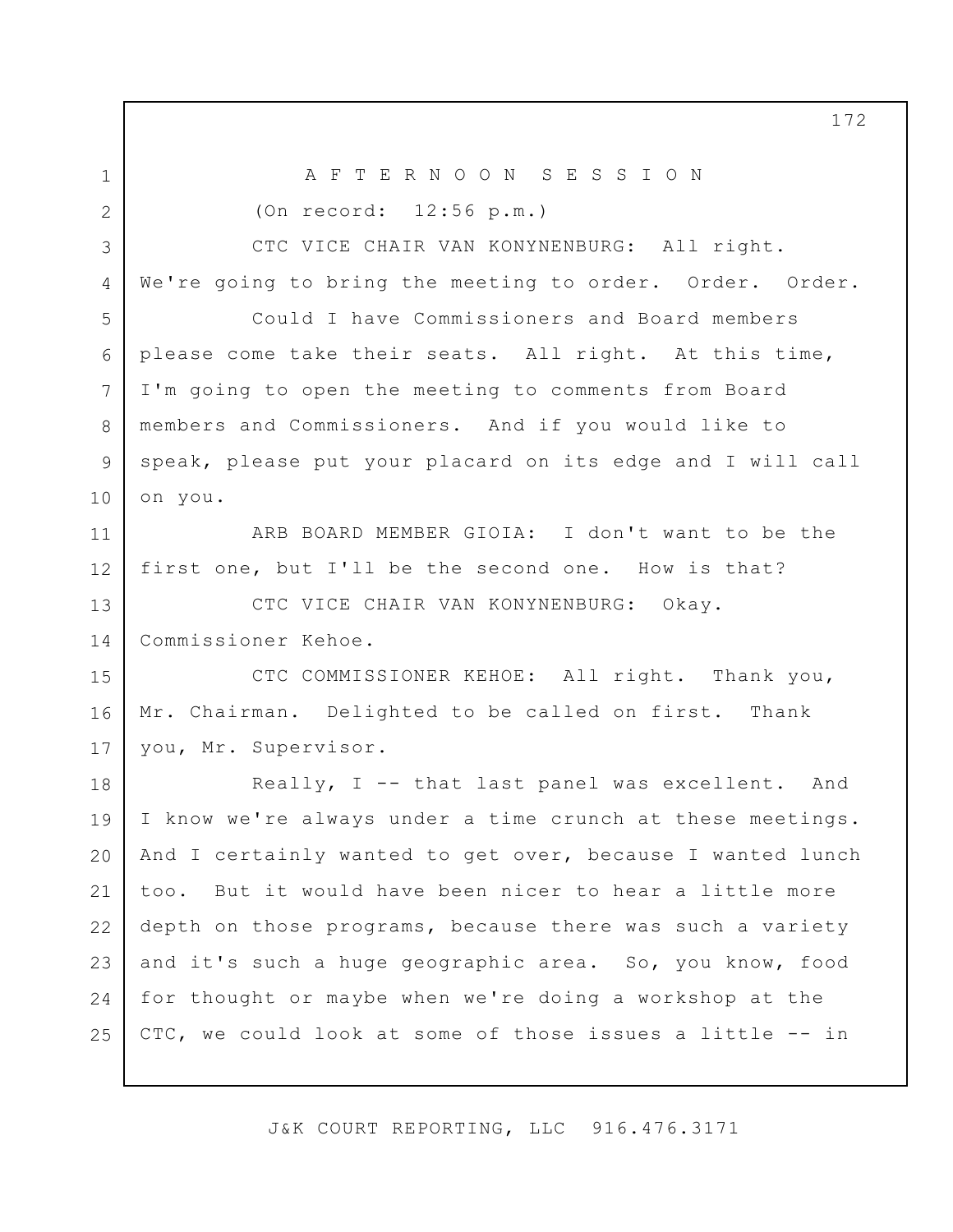1 2 3 4 5 6 7 8 9 10 11 12 13 14 15 16 17 18 19 20 21 22 23 24 25 A F T E R N O O N S E S S I O N (On record: 12:56 p.m.) CTC VICE CHAIR VAN KONYNENBURG: All right. We're going to bring the meeting to order. Order. Order. Could I have Commissioners and Board members please come take their seats. All right. At this time, I'm going to open the meeting to comments from Board members and Commissioners. And if you would like to speak, please put your placard on its edge and I will call on you. ARB BOARD MEMBER GIOIA: I don't want to be the first one, but I'll be the second one. How is that? CTC VICE CHAIR VAN KONYNENBURG: Okay. Commissioner Kehoe. CTC COMMISSIONER KEHOE: All right. Thank you, Mr. Chairman. Delighted to be called on first. Thank you, Mr. Supervisor. Really, I -- that last panel was excellent. And I know we're always under a time crunch at these meetings. And I certainly wanted to get over, because I wanted lunch too. But it would have been nicer to hear a little more depth on those programs, because there was such a variety and it's such a huge geographic area. So, you know, food for thought or maybe when we're doing a workshop at the CTC, we could look at some of those issues a little -- in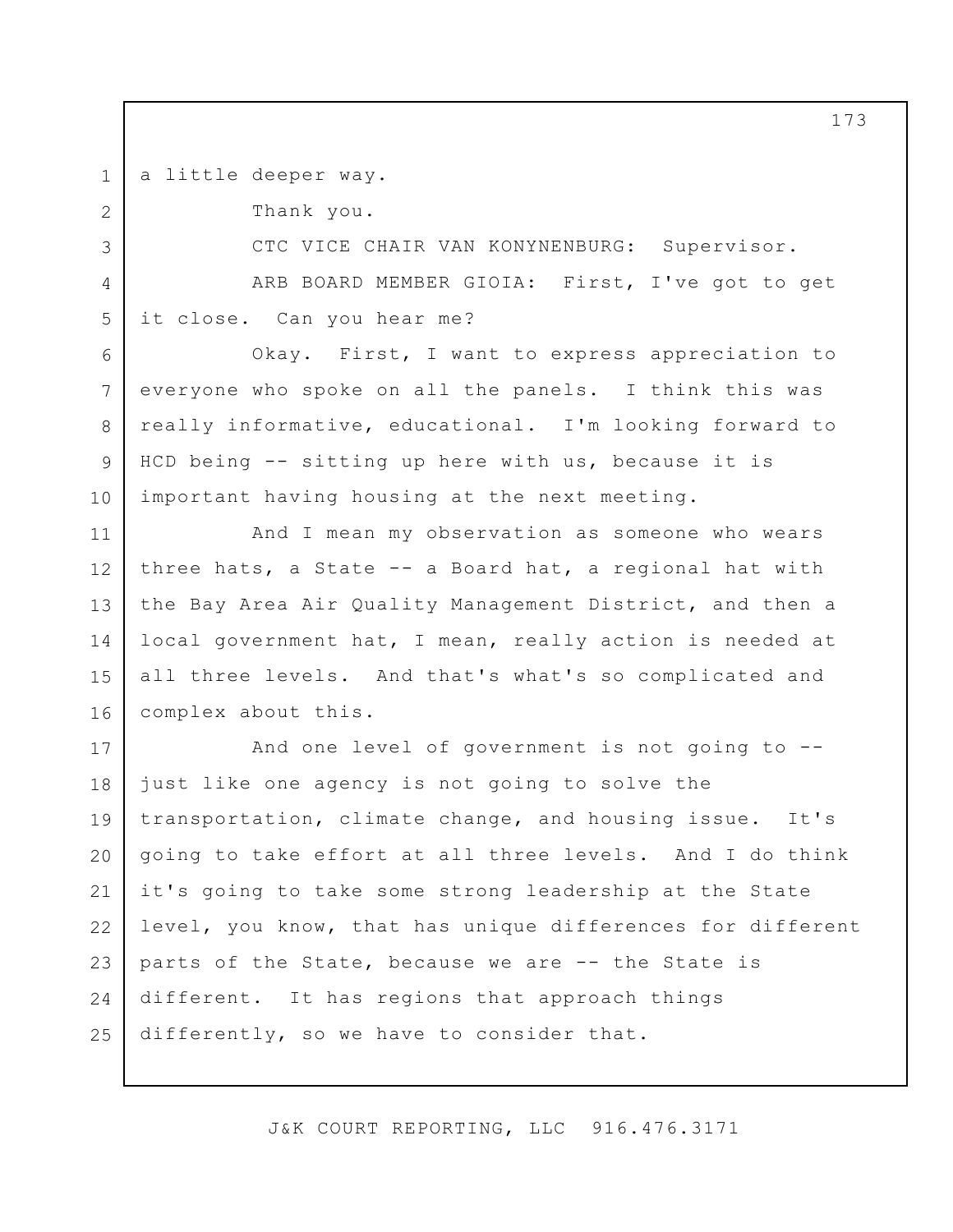a little deeper way.

1

2

3

4

5

8

9

10

Thank you.

CTC VICE CHAIR VAN KONYNENBURG: Supervisor. ARB BOARD MEMBER GIOIA: First, I've got to get it close. Can you hear me?

6 7 Okay. First, I want to express appreciation to everyone who spoke on all the panels. I think this was really informative, educational. I'm looking forward to HCD being -- sitting up here with us, because it is important having housing at the next meeting.

11 12 13 14 15 16 And I mean my observation as someone who wears three hats, a State -- a Board hat, a regional hat with the Bay Area Air Quality Management District, and then a local government hat, I mean, really action is needed at all three levels. And that's what's so complicated and complex about this.

17 18 19 20 21 22 23 24 25 And one level of government is not going to - just like one agency is not going to solve the transportation, climate change, and housing issue. It's going to take effort at all three levels. And I do think it's going to take some strong leadership at the State level, you know, that has unique differences for different parts of the State, because we are -- the State is different. It has regions that approach things differently, so we have to consider that.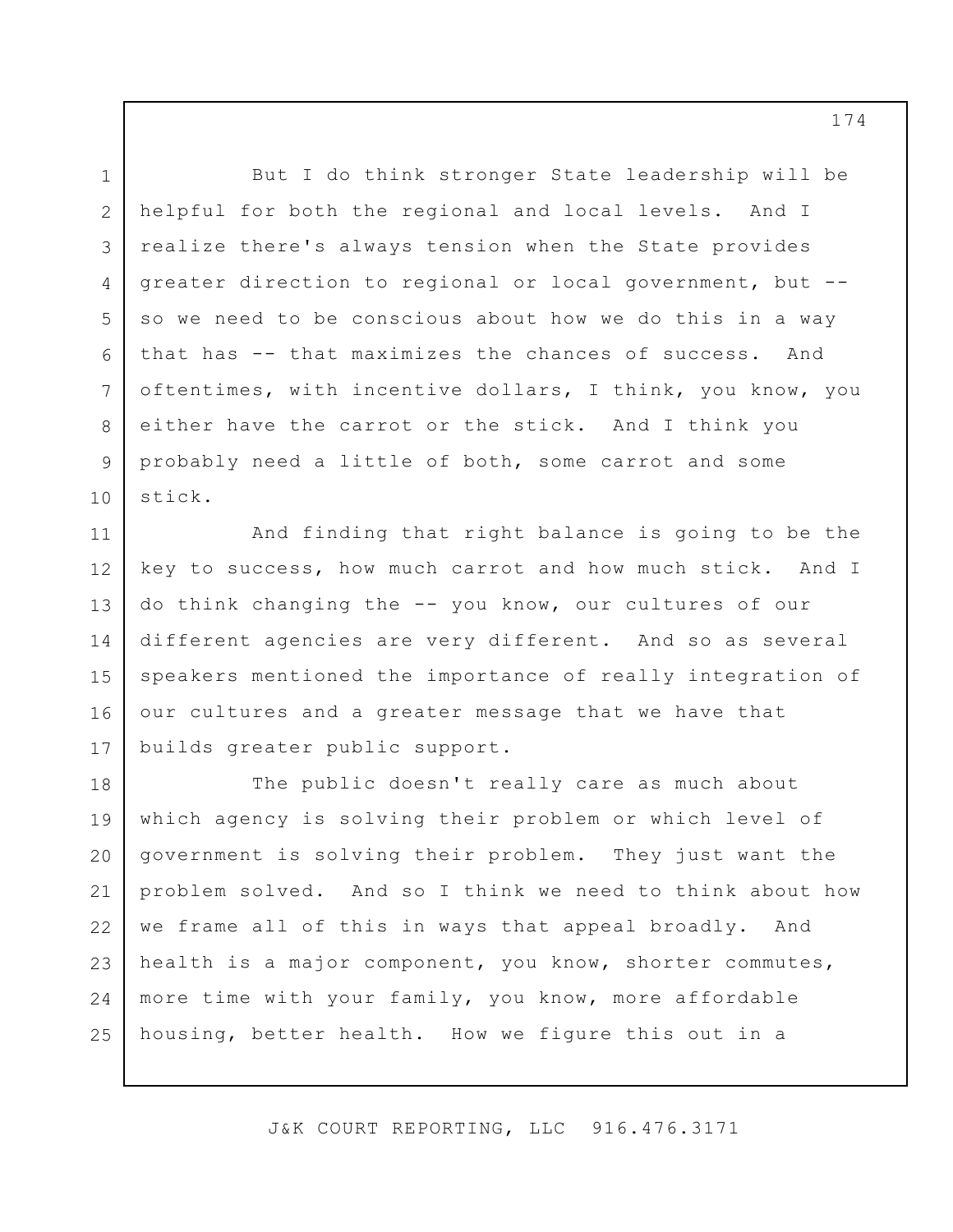1 2 3 4 5 6 7 8 9 10 But I do think stronger State leadership will be helpful for both the regional and local levels. And I realize there's always tension when the State provides greater direction to regional or local government, but - so we need to be conscious about how we do this in a way that has -- that maximizes the chances of success. And oftentimes, with incentive dollars, I think, you know, you either have the carrot or the stick. And I think you probably need a little of both, some carrot and some stick.

11 12 13 14 15 16 17 And finding that right balance is going to be the key to success, how much carrot and how much stick. And I do think changing the -- you know, our cultures of our different agencies are very different. And so as several speakers mentioned the importance of really integration of our cultures and a greater message that we have that builds greater public support.

18 19 20 21 22 23 24 25 The public doesn't really care as much about which agency is solving their problem or which level of government is solving their problem. They just want the problem solved. And so I think we need to think about how we frame all of this in ways that appeal broadly. And health is a major component, you know, shorter commutes, more time with your family, you know, more affordable housing, better health. How we figure this out in a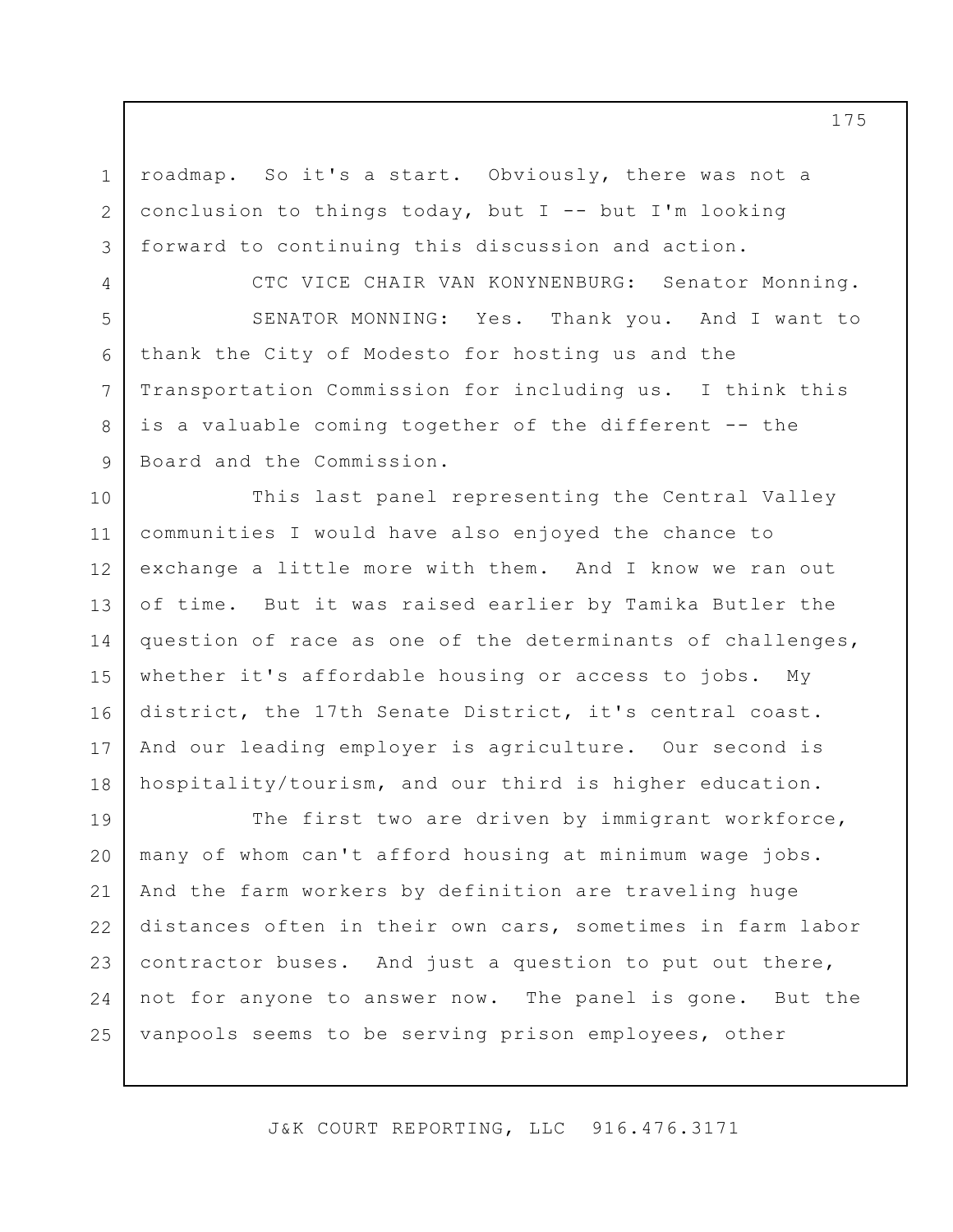roadmap. So it's a start. Obviously, there was not a conclusion to things today, but  $I$  -- but  $I'm$  looking forward to continuing this discussion and action.

1

2

3

4

5

6

7

8

9

CTC VICE CHAIR VAN KONYNENBURG: Senator Monning. SENATOR MONNING: Yes. Thank you. And I want to thank the City of Modesto for hosting us and the Transportation Commission for including us. I think this is a valuable coming together of the different -- the Board and the Commission.

10 11 12 13 14 15 16 17 18 This last panel representing the Central Valley communities I would have also enjoyed the chance to exchange a little more with them. And I know we ran out of time. But it was raised earlier by Tamika Butler the question of race as one of the determinants of challenges, whether it's affordable housing or access to jobs. My district, the 17th Senate District, it's central coast. And our leading employer is agriculture. Our second is hospitality/tourism, and our third is higher education.

19 20 21 22 23 24 25 The first two are driven by immigrant workforce, many of whom can't afford housing at minimum wage jobs. And the farm workers by definition are traveling huge distances often in their own cars, sometimes in farm labor contractor buses. And just a question to put out there, not for anyone to answer now. The panel is gone. But the vanpools seems to be serving prison employees, other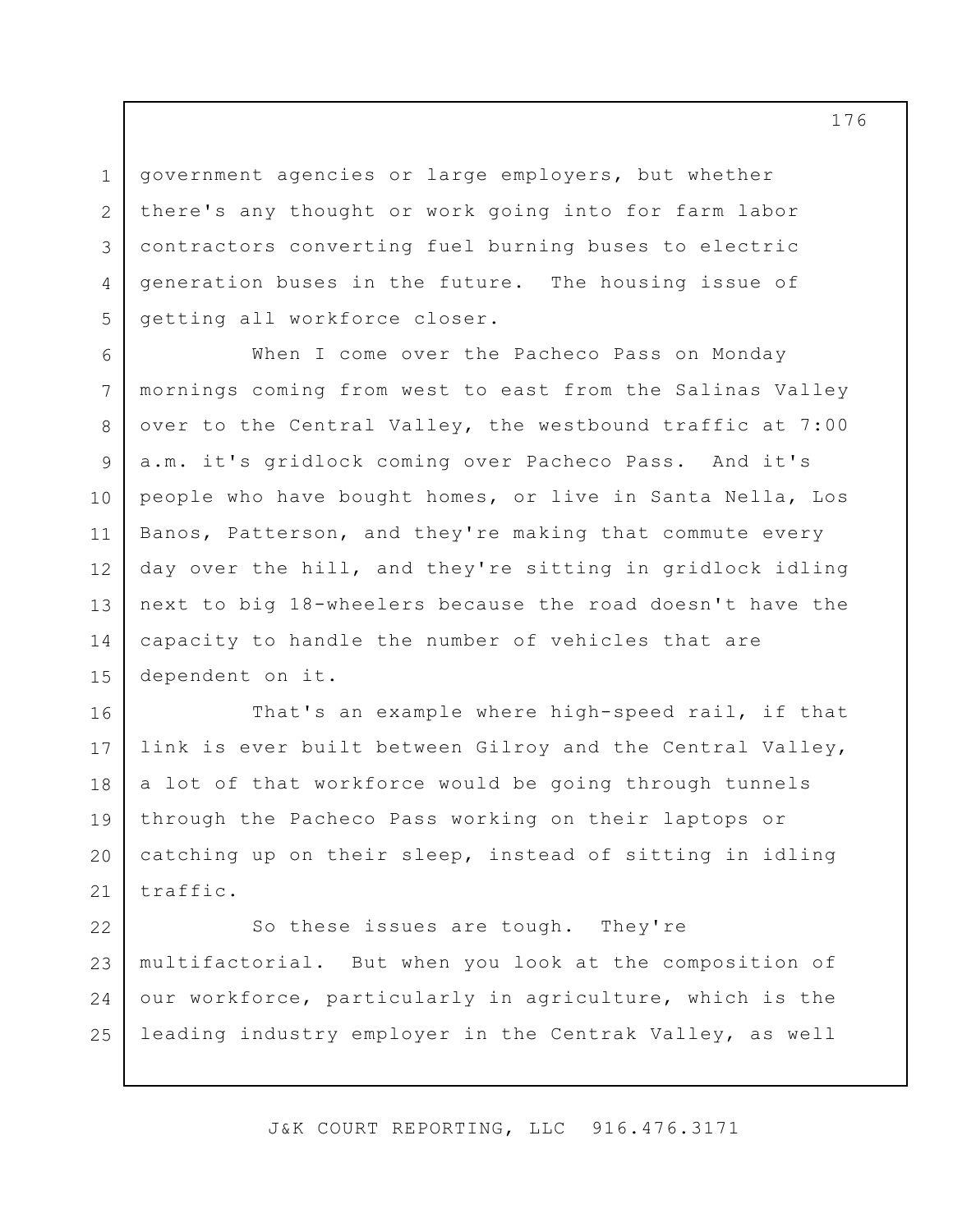1 2 3 4 5 government agencies or large employers, but whether there's any thought or work going into for farm labor contractors converting fuel burning buses to electric generation buses in the future. The housing issue of getting all workforce closer.

6 7 8 9 10 11 12 13 14 15 When I come over the Pacheco Pass on Monday mornings coming from west to east from the Salinas Valley over to the Central Valley, the westbound traffic at 7:00 a.m. it's gridlock coming over Pacheco Pass. And it's people who have bought homes, or live in Santa Nella, Los Banos, Patterson, and they're making that commute every day over the hill, and they're sitting in gridlock idling next to big 18-wheelers because the road doesn't have the capacity to handle the number of vehicles that are dependent on it.

16 17 18 19 20 21 That's an example where high-speed rail, if that link is ever built between Gilroy and the Central Valley, a lot of that workforce would be going through tunnels through the Pacheco Pass working on their laptops or catching up on their sleep, instead of sitting in idling traffic.

22 23 24 25 So these issues are tough. They're multifactorial. But when you look at the composition of our workforce, particularly in agriculture, which is the leading industry employer in the Centrak Valley, as well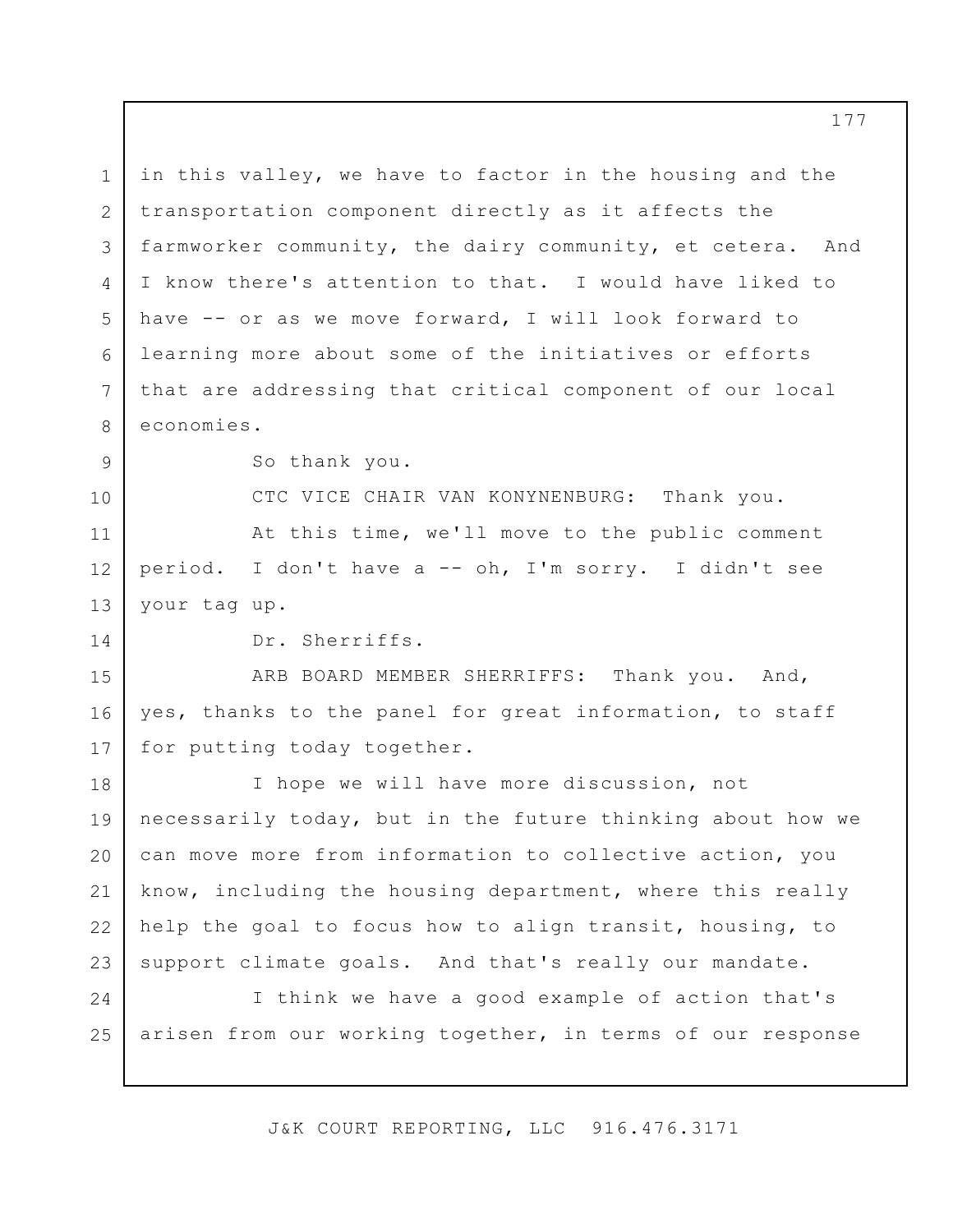1 2 3 4 5 6 7 8 in this valley, we have to factor in the housing and the transportation component directly as it affects the farmworker community, the dairy community, et cetera. And I know there's attention to that. I would have liked to have -- or as we move forward, I will look forward to learning more about some of the initiatives or efforts that are addressing that critical component of our local economies.

9

10

14

So thank you.

CTC VICE CHAIR VAN KONYNENBURG: Thank you.

11 12 13 At this time, we'll move to the public comment period. I don't have a -- oh, I'm sorry. I didn't see your tag up.

Dr. Sherriffs.

15 16 17 ARB BOARD MEMBER SHERRIFFS: Thank you. And, yes, thanks to the panel for great information, to staff for putting today together.

18 19 20 21 22 23 I hope we will have more discussion, not necessarily today, but in the future thinking about how we can move more from information to collective action, you know, including the housing department, where this really help the goal to focus how to align transit, housing, to support climate goals. And that's really our mandate.

24 25 I think we have a good example of action that's arisen from our working together, in terms of our response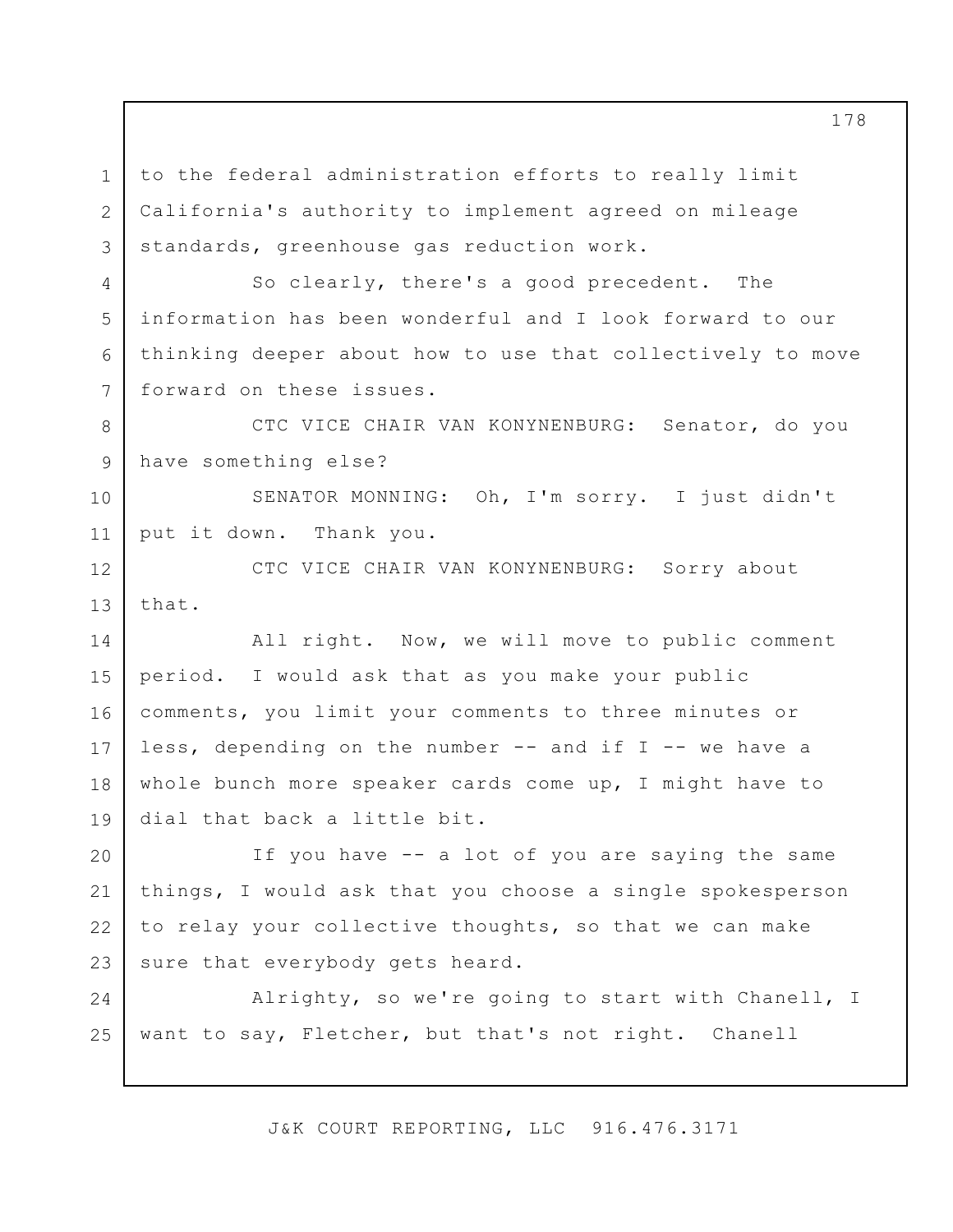to the federal administration efforts to really limit California's authority to implement agreed on mileage standards, greenhouse gas reduction work.

1

2

3

4

5

6

7

So clearly, there's a good precedent. The information has been wonderful and I look forward to our thinking deeper about how to use that collectively to move forward on these issues.

8 9 CTC VICE CHAIR VAN KONYNENBURG: Senator, do you have something else?

10 11 SENATOR MONNING: Oh, I'm sorry. I just didn't put it down. Thank you.

12 13 CTC VICE CHAIR VAN KONYNENBURG: Sorry about that.

14 15 16 17 18 19 All right. Now, we will move to public comment period. I would ask that as you make your public comments, you limit your comments to three minutes or less, depending on the number  $--$  and if I  $--$  we have a whole bunch more speaker cards come up, I might have to dial that back a little bit.

20 21 22 23 If you have -- a lot of you are saying the same things, I would ask that you choose a single spokesperson to relay your collective thoughts, so that we can make sure that everybody gets heard.

24 25 Alrighty, so we're going to start with Chanell, I want to say, Fletcher, but that's not right. Chanell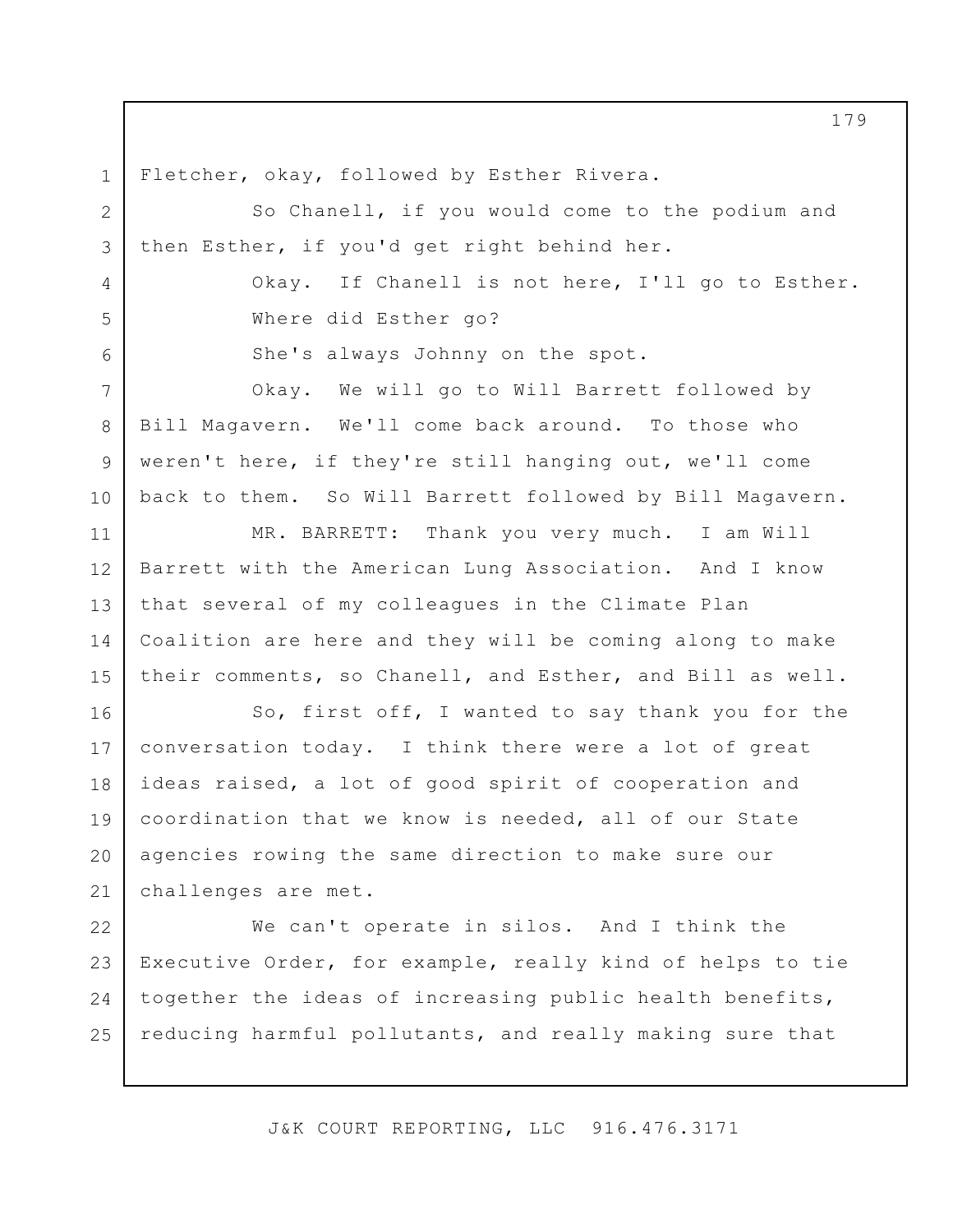1 2 3 4 5 6 7 8 9 10 11 12 13 14 15 16 17 18 19 20 21 22 23 24 25 Fletcher, okay, followed by Esther Rivera. So Chanell, if you would come to the podium and then Esther, if you'd get right behind her. Okay. If Chanell is not here, I'll go to Esther. Where did Esther go? She's always Johnny on the spot. Okay. We will go to Will Barrett followed by Bill Magavern. We'll come back around. To those who weren't here, if they're still hanging out, we'll come back to them. So Will Barrett followed by Bill Magavern. MR. BARRETT: Thank you very much. I am Will Barrett with the American Lung Association. And I know that several of my colleagues in the Climate Plan Coalition are here and they will be coming along to make their comments, so Chanell, and Esther, and Bill as well. So, first off, I wanted to say thank you for the conversation today. I think there were a lot of great ideas raised, a lot of good spirit of cooperation and coordination that we know is needed, all of our State agencies rowing the same direction to make sure our challenges are met. We can't operate in silos. And I think the Executive Order, for example, really kind of helps to tie together the ideas of increasing public health benefits, reducing harmful pollutants, and really making sure that

J&K COURT REPORTING, LLC 916.476.3171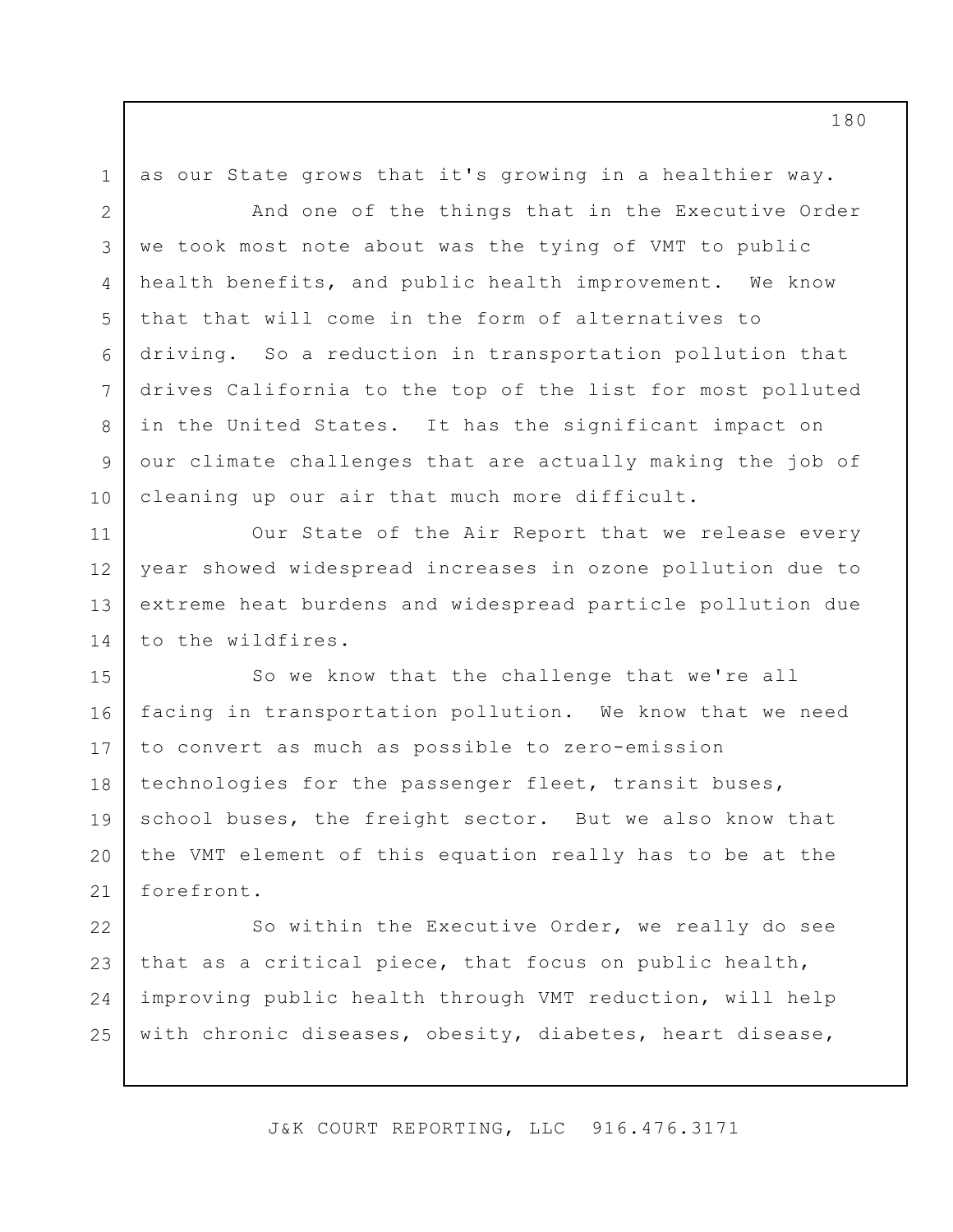1 2 3 4 5 6 7 8 9 10 11 12 13 14 15 16 17 18 19 20 21 22 23 24 as our State grows that it's growing in a healthier way. And one of the things that in the Executive Order we took most note about was the tying of VMT to public health benefits, and public health improvement. We know that that will come in the form of alternatives to driving. So a reduction in transportation pollution that drives California to the top of the list for most polluted in the United States. It has the significant impact on our climate challenges that are actually making the job of cleaning up our air that much more difficult. Our State of the Air Report that we release every year showed widespread increases in ozone pollution due to extreme heat burdens and widespread particle pollution due to the wildfires. So we know that the challenge that we're all facing in transportation pollution. We know that we need to convert as much as possible to zero-emission technologies for the passenger fleet, transit buses, school buses, the freight sector. But we also know that the VMT element of this equation really has to be at the forefront. So within the Executive Order, we really do see that as a critical piece, that focus on public health, improving public health through VMT reduction, will help

J&K COURT REPORTING, LLC 916.476.3171

with chronic diseases, obesity, diabetes, heart disease,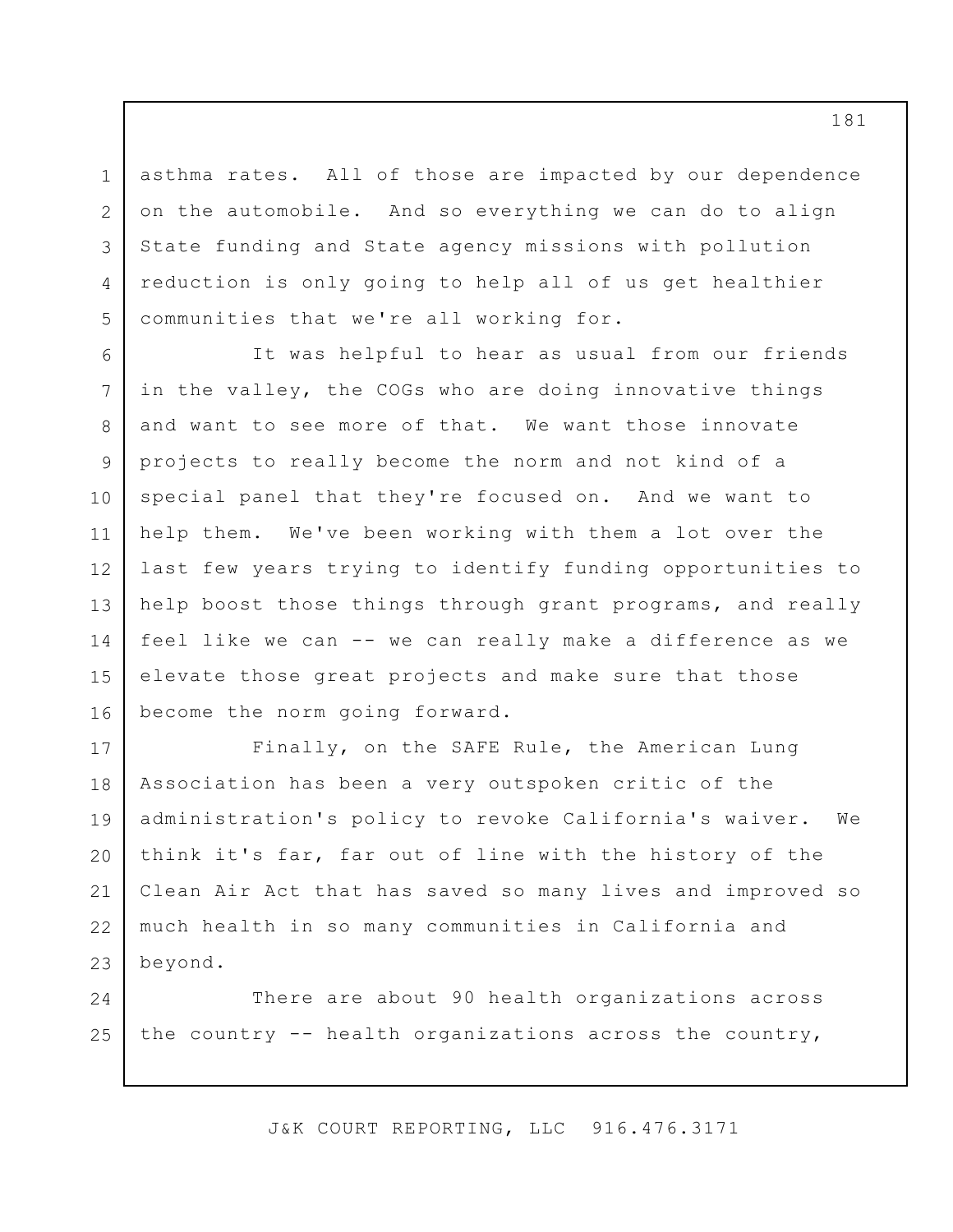3 asthma rates. All of those are impacted by our dependence on the automobile. And so everything we can do to align State funding and State agency missions with pollution reduction is only going to help all of us get healthier communities that we're all working for.

1

2

4

5

6 7 8 9 10 11 12 13 14 15 16 It was helpful to hear as usual from our friends in the valley, the COGs who are doing innovative things and want to see more of that. We want those innovate projects to really become the norm and not kind of a special panel that they're focused on. And we want to help them. We've been working with them a lot over the last few years trying to identify funding opportunities to help boost those things through grant programs, and really feel like we can -- we can really make a difference as we elevate those great projects and make sure that those become the norm going forward.

17 18 19 20 21 22 23 Finally, on the SAFE Rule, the American Lung Association has been a very outspoken critic of the administration's policy to revoke California's waiver. We think it's far, far out of line with the history of the Clean Air Act that has saved so many lives and improved so much health in so many communities in California and beyond.

24 25 There are about 90 health organizations across the country -- health organizations across the country,

J&K COURT REPORTING, LLC 916.476.3171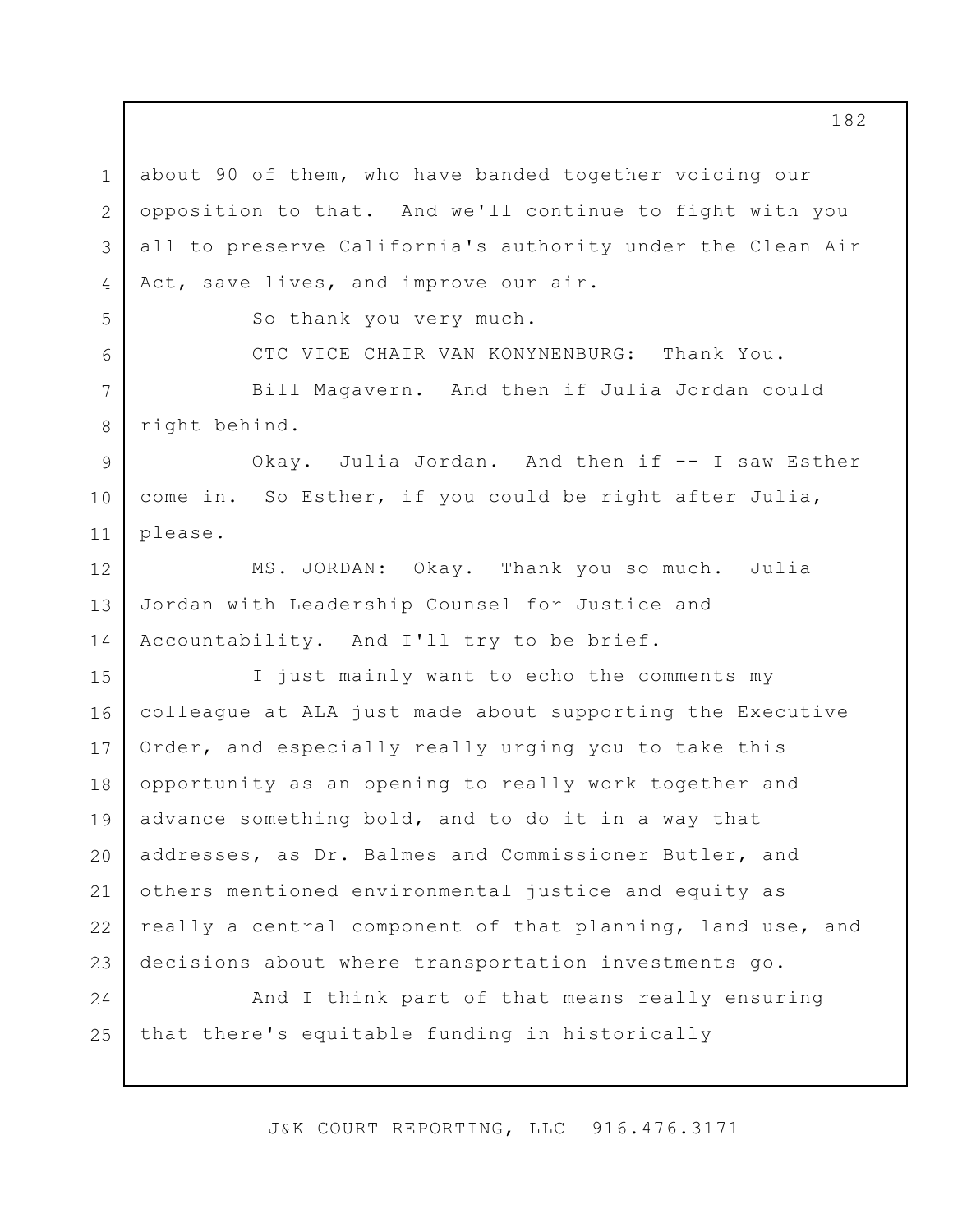1 2 3 4 about 90 of them, who have banded together voicing our opposition to that. And we'll continue to fight with you all to preserve California's authority under the Clean Air Act, save lives, and improve our air.

So thank you very much.

5

6

7

8

CTC VICE CHAIR VAN KONYNENBURG: Thank You.

Bill Magavern. And then if Julia Jordan could right behind.

9 10 11 Okay. Julia Jordan. And then if -- I saw Esther come in. So Esther, if you could be right after Julia, please.

12 13 14 MS. JORDAN: Okay. Thank you so much. Julia Jordan with Leadership Counsel for Justice and Accountability. And I'll try to be brief.

15 16 17 18 19 20 21 22 23 I just mainly want to echo the comments my colleague at ALA just made about supporting the Executive Order, and especially really urging you to take this opportunity as an opening to really work together and advance something bold, and to do it in a way that addresses, as Dr. Balmes and Commissioner Butler, and others mentioned environmental justice and equity as really a central component of that planning, land use, and decisions about where transportation investments go.

24 25 And I think part of that means really ensuring that there's equitable funding in historically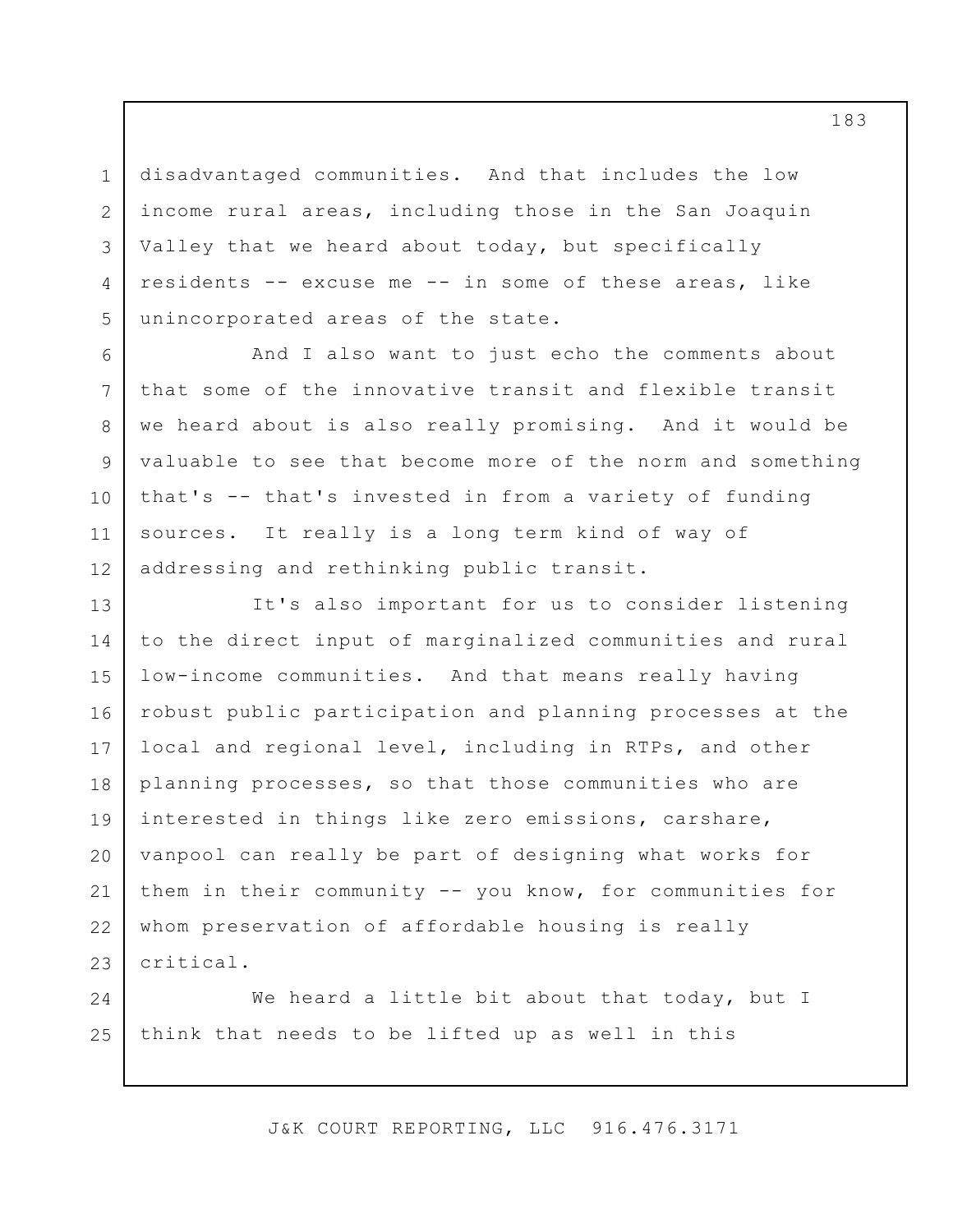3 disadvantaged communities. And that includes the low income rural areas, including those in the San Joaquin Valley that we heard about today, but specifically residents -- excuse me -- in some of these areas, like unincorporated areas of the state.

1

2

4

5

7

8

9

10

12

6 11 And I also want to just echo the comments about that some of the innovative transit and flexible transit we heard about is also really promising. And it would be valuable to see that become more of the norm and something that's -- that's invested in from a variety of funding sources. It really is a long term kind of way of addressing and rethinking public transit.

13 14 15 16 17 18 19 20 21 22 23 It's also important for us to consider listening to the direct input of marginalized communities and rural low-income communities. And that means really having robust public participation and planning processes at the local and regional level, including in RTPs, and other planning processes, so that those communities who are interested in things like zero emissions, carshare, vanpool can really be part of designing what works for them in their community -- you know, for communities for whom preservation of affordable housing is really critical.

24 25 We heard a little bit about that today, but I think that needs to be lifted up as well in this

J&K COURT REPORTING, LLC 916.476.3171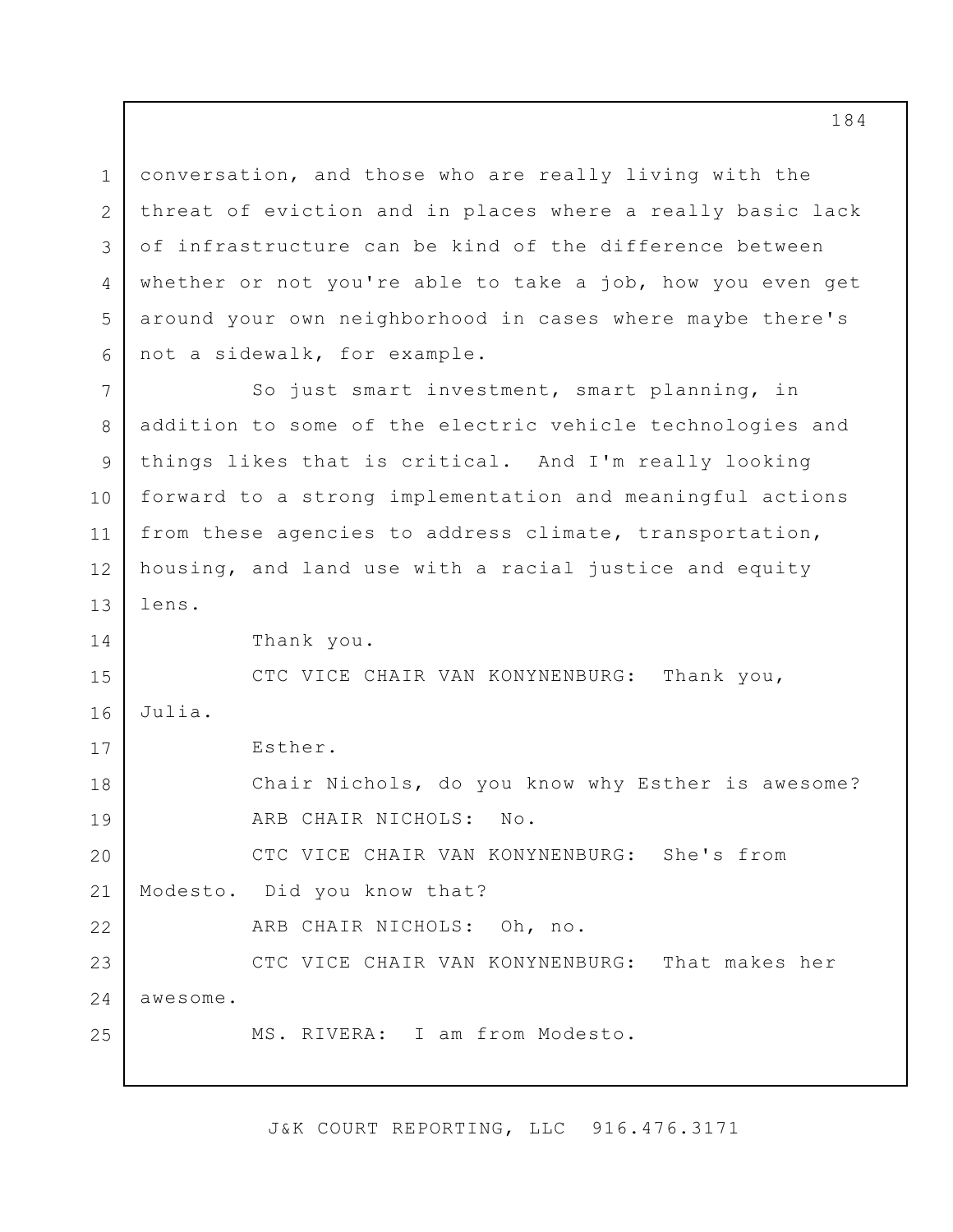1 2 3 4 5 6 conversation, and those who are really living with the threat of eviction and in places where a really basic lack of infrastructure can be kind of the difference between whether or not you're able to take a job, how you even get around your own neighborhood in cases where maybe there's not a sidewalk, for example.

7 8 9 10 11 12 13 So just smart investment, smart planning, in addition to some of the electric vehicle technologies and things likes that is critical. And I'm really looking forward to a strong implementation and meaningful actions from these agencies to address climate, transportation, housing, and land use with a racial justice and equity lens.

14

17

Thank you.

15 16 Julia. CTC VICE CHAIR VAN KONYNENBURG: Thank you,

Esther.

18 19 20 Chair Nichols, do you know why E sther is awesome? ARB CHAIR NICHOLS: No. CTC VICE CHAIR VAN KONYNENBURG: She's from

21 Modesto. Did you know that?

22 ARB CHAIR NICHOLS: Oh, no.

23 24 25 CTC VICE CHAIR VAN KONYNENBURG: That makes her awesome. MS. RIVERA: I am from Modesto.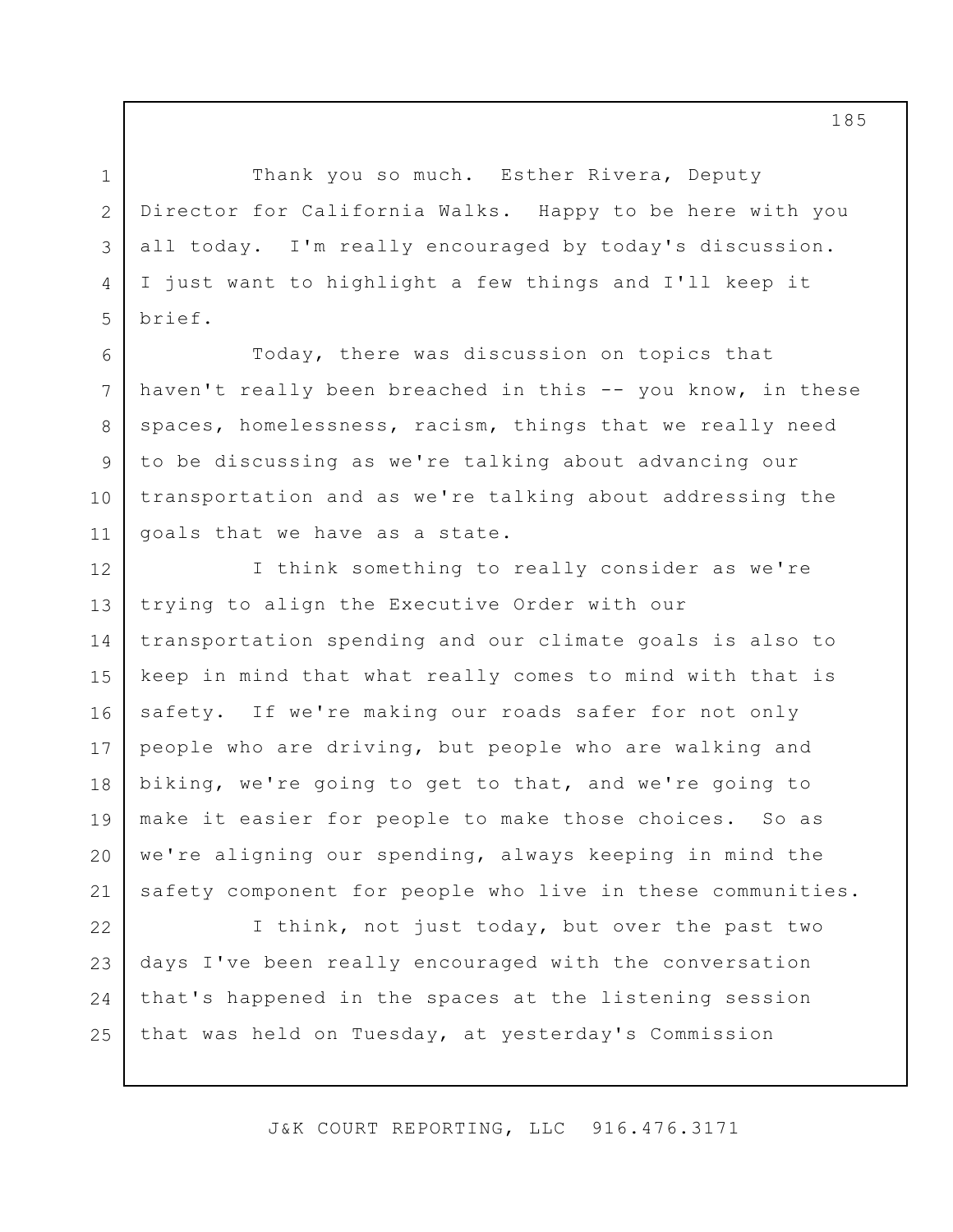Thank you so much. Esther Rivera, Deputy Director for California Walks. Happy to be here with you all today. I'm really encouraged by today's discussion. I just want to highlight a few things and I'll keep it brief.

1

2

3

4

5

6

7

8

9

10

11

Today, there was discussion on topics that haven't really been breached in this -- you know, in these spaces, homelessness, racism, things that we really need to be discussing as we're talking about advancing our transportation and as we're talking about addressing the goals that we have as a state.

12 13 14 15 16 17 18 19 20 21 I think something to really consider as we're trying to align the Executive Order with our transportation spending and our climate goals is also to keep in mind that what really comes to mind with that is safety. If we're making our roads safer for not only people who are driving, but people who are walking and biking, we're going to get to that, and we're going to make it easier for people to make those choices. So as we're aligning our spending, always keeping in mind the safety component for people who live in these communities.

22 23 24 25 I think, not just today, but over the past two days I've been really encouraged with the conversation that's happened in the spaces at the listening session that was held on Tuesday, at yesterday's Commission

J&K COURT REPORTING, LLC 916.476.3171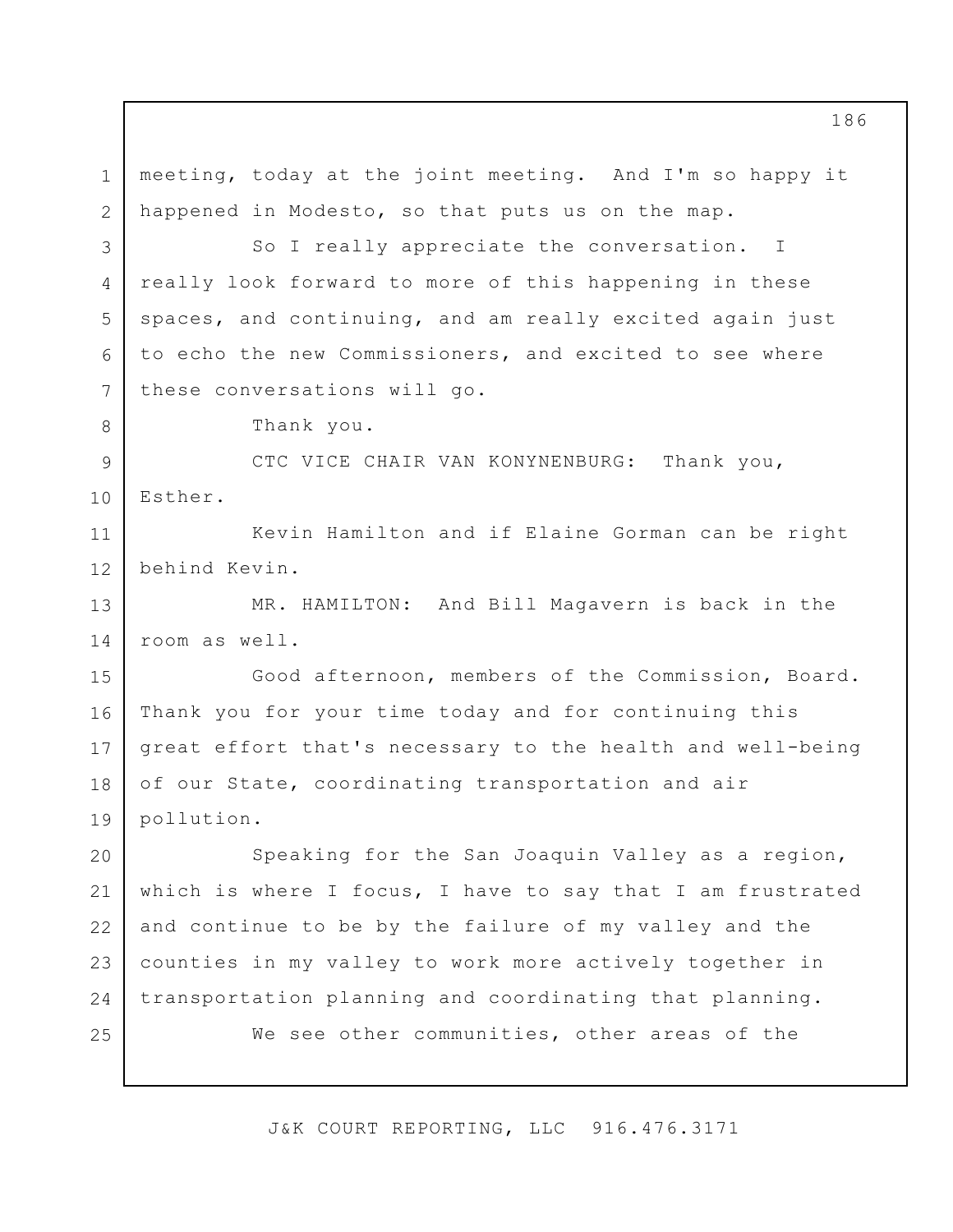1 2 3 4 5 6 7 8 9 10 11 12 13 14 15 16 17 18 19 20 21 22 23 24 25 meeting, today at the joint meeting. And I'm so happy it happened in Modesto, so that puts us on the map. So I really appreciate the conversation. I really look forward to more of this happening in these spaces, and continuing, and am really excited again just to echo the new Commissioners, and excited to see where these conversations will go. Thank you. CTC VICE CHAIR VAN KONYNENBURG: Thank you, Esther. Kevin Hamilton and if Elaine Gorman can be right behind Kevin. MR. HAMILTON: And Bill Magavern is back in the room as well. Good afternoon, members of the Commission, Board. Thank you for your time today and for continuing this great effort that's necessary to the health and well-being of our State, coordinating transportation and air pollution. Speaking for the San Joaquin Valley as a region, which is where I focus, I have to say that I am frustrated and continue to be by the failure of my valley and the counties in my valley to work more actively together in transportation planning and coordinating that planning. We see other communities, other areas of the

J&K COURT REPORTING, LLC 916.476.3171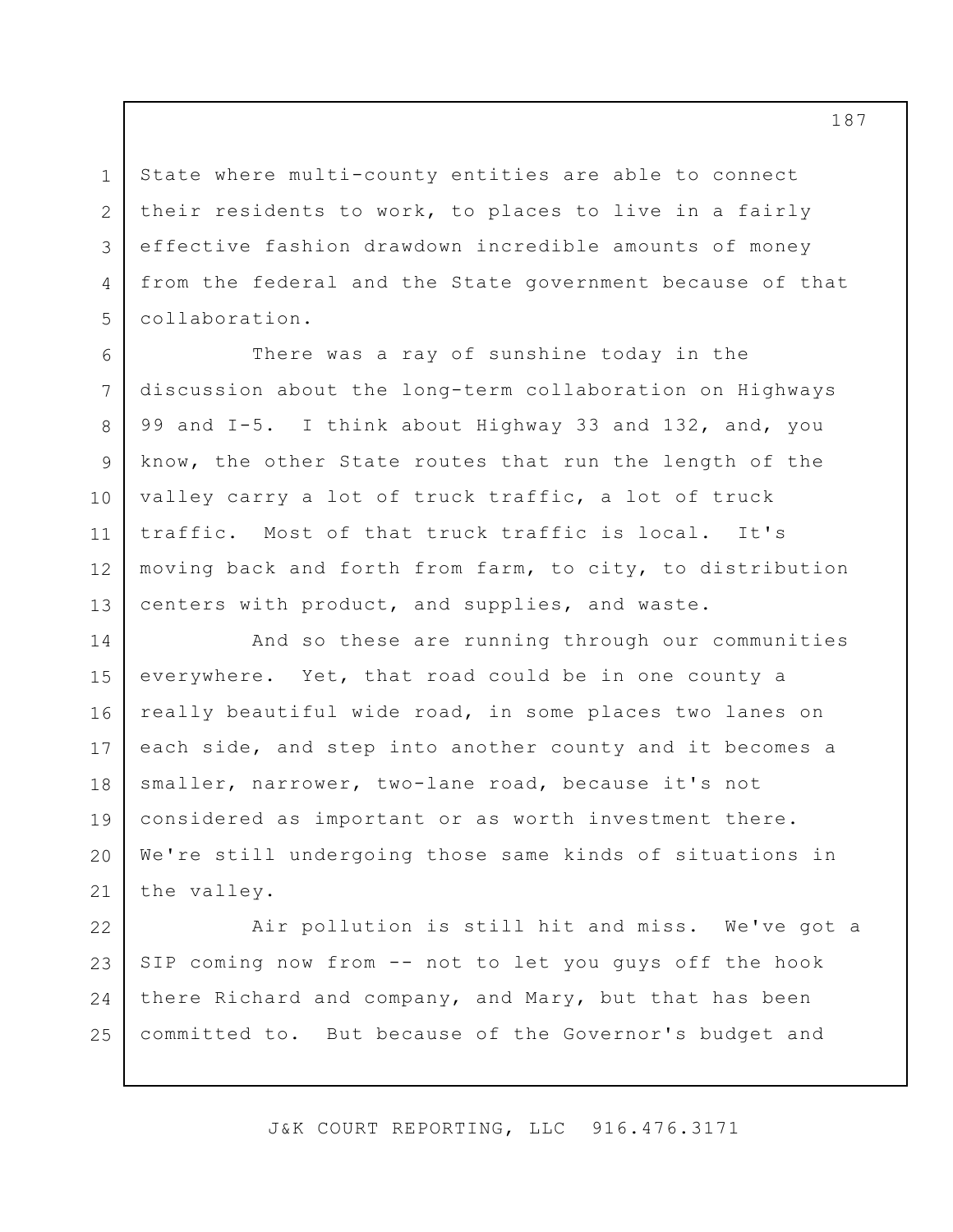State where multi-county entities are able to connect their residents to work, to places to live in a fairly effective fashion drawdown incredible amounts of money from the federal and the State government because of that collaboration.

1

2

3

4

5

6 7 8 9 10 11 12 13 There was a ray of sunshine today in the discussion about the long-term collaboration on Highways 99 and I-5. I think about Highway 33 and 132, and, you know, the other State routes that run the length of the valley carry a lot of truck traffic, a lot of truck traffic. Most of that truck traffic is local. It's moving back and forth from farm, to city, to distribution centers with product, and supplies, and waste.

14 15 16 17 18 19 20 21 And so these are running through our communities everywhere. Yet, that road could be in one county a really beautiful wide road, in some places two lanes on each side, and step into another county and it becomes a smaller, narrower, two-lane road, because it's not considered as important or as worth investment there. We're still undergoing those same kinds of situations in the valley.

22 23 24 25 Air pollution is still hit and miss. We've got a SIP coming now from -- not to let you guys off the hook there Richard and company, and Mary, but that has been committed to. But because of the Governor's budget and

J&K COURT REPORTING, LLC 916.476.3171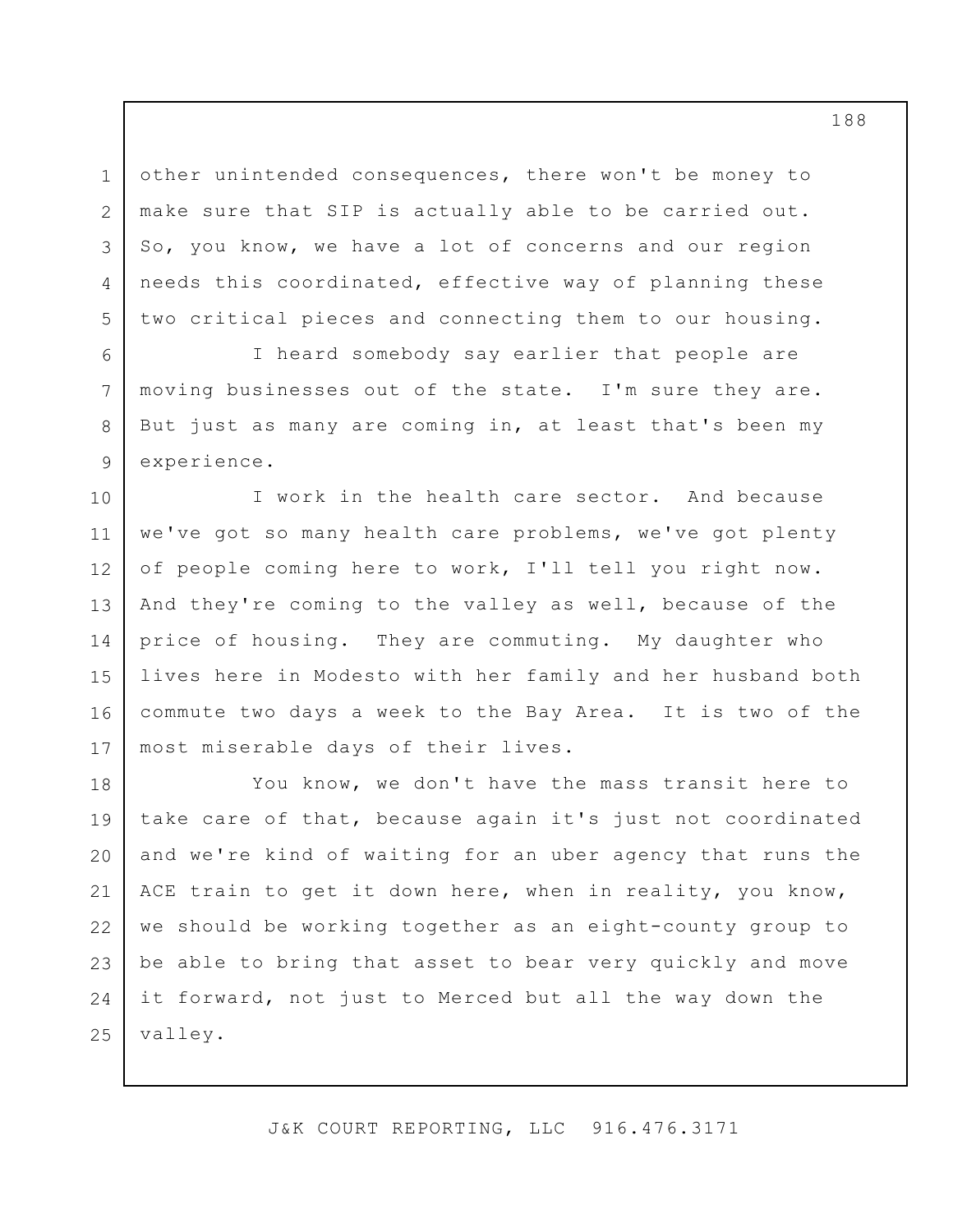other unintended consequences, there won't be money to make sure that SIP is actually able to be carried out. So, you know, we have a lot of concerns and our region needs this coordinated, effective way of planning these two critical pieces and connecting them to our housing.

1

2

3

4

5

6

7

8

9

I heard somebody say earlier that people are moving businesses out of the state. I'm sure they are. But just as many are coming in, at least that's been my experience.

10 11 12 13 14 15 16 17 I work in the health care sector. And because we've got so many health care problems, we've got plenty of people coming here to work, I'll tell you right now. And they're coming to the valley as well, because of the price of housing. They are commuting. My daughter who lives here in Modesto with her family and her husband both commute two days a week to the Bay Area. It is two of the most miserable days of their lives.

18 19 20 21 22 23 24 25 You know, we don't have the mass transit here to take care of that, because again it's just not coordinated and we're kind of waiting for an uber agency that runs the ACE train to get it down here, when in reality, you know, we should be working together as an eight-county group to be able to bring that asset to bear very quickly and move it forward, not just to Merced but all the way down the valley.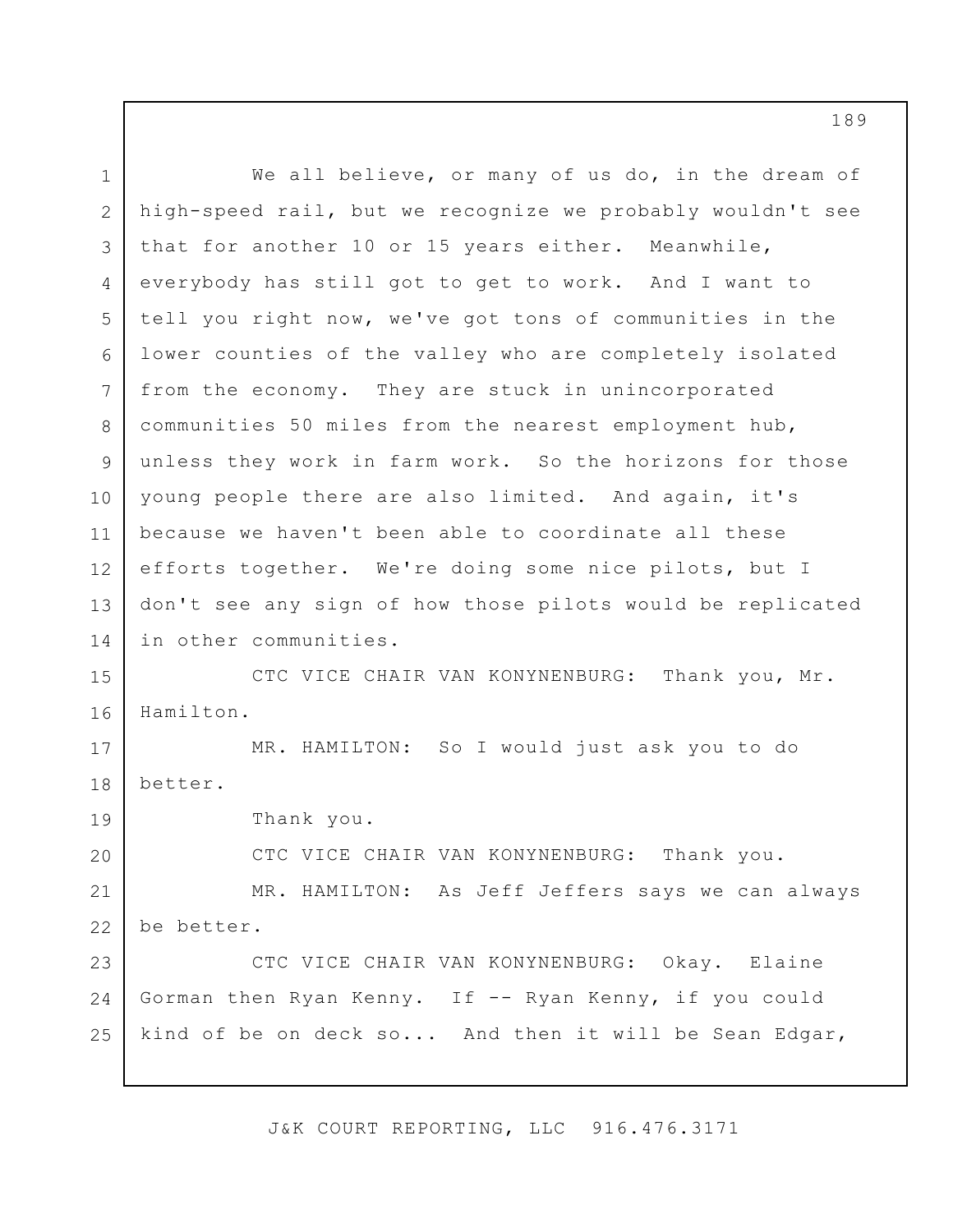| $\mathbf 1$ | We all believe, or many of us do, in the dream of          |
|-------------|------------------------------------------------------------|
| 2           | high-speed rail, but we recognize we probably wouldn't see |
| 3           | that for another 10 or 15 years either. Meanwhile,         |
| 4           | everybody has still got to get to work. And I want to      |
| 5           | tell you right now, we've got tons of communities in the   |
| 6           | lower counties of the valley who are completely isolated   |
| 7           | from the economy. They are stuck in unincorporated         |
| 8           | communities 50 miles from the nearest employment hub,      |
| 9           | unless they work in farm work. So the horizons for those   |
| 10          | young people there are also limited. And again, it's       |
| 11          | because we haven't been able to coordinate all these       |
| 12          | efforts together. We're doing some nice pilots, but I      |
| 13          | don't see any sign of how those pilots would be replicated |
| 14          | in other communities.                                      |
| 15          | CTC VICE CHAIR VAN KONYNENBURG: Thank you, Mr.             |
| 16          | Hamilton.                                                  |
| 17          | MR. HAMILTON: So I would just ask you to do                |
| 18          | better.                                                    |
| 19          | Thank you.                                                 |
| 20          | CTC VICE CHAIR VAN KONYNENBURG: Thank you.                 |
| 21          | MR. HAMILTON: As Jeff Jeffers says we can always           |
| 22          | be better.                                                 |
| 23          | CTC VICE CHAIR VAN KONYNENBURG: Okay. Elaine               |
| 24          | Gorman then Ryan Kenny. If -- Ryan Kenny, if you could     |
| 25          | kind of be on deck so And then it will be Sean Edgar,      |
|             |                                                            |

J&K COURT REPORTING, LLC 916.476.3171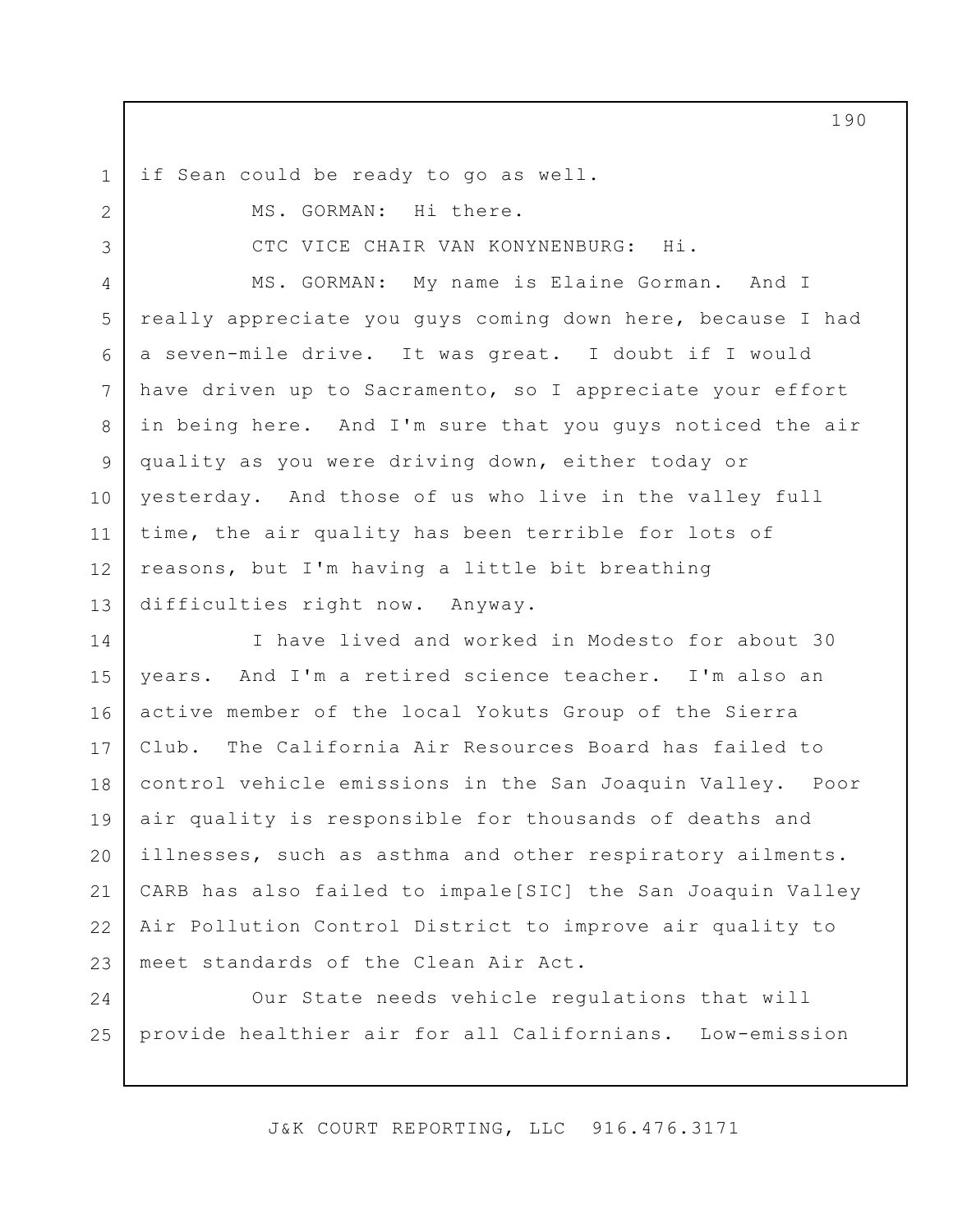1 if Sean could be ready to go as well.

2

3

MS. GORMAN: Hi there.

CTC VICE CHAIR VAN KONYNENBURG: Hi.

4 5 6 7 8 9 10 11 12 13 MS. GORMAN: My name is Elaine Gorman. And I really appreciate you guys coming down here, because I had a seven-mile drive. It was great. I doubt if I would have driven up to Sacramento, so I appreciate your effort in being here. And I'm sure that you guys noticed the air quality as you were driving down, either today or yesterday. And those of us who live in the valley full time, the air quality has been terrible for lots of reasons, but I'm having a little bit breathing difficulties right now. Anyway.

14 15 16 17 18 19 20 21 22 23 I have lived and worked in Modesto for about 30 years. And I'm a retired science teacher. I'm also an active member of the local Yokuts Group of the Sierra Club. The California Air Resources Board has failed to control vehicle emissions in the San Joaquin Valley. Poor air quality is responsible for thousands of deaths and illnesses, such as asthma and other respiratory ailments. CARB has also failed to impale[SIC] the San Joaquin Valley Air Pollution Control District to improve air quality to meet standards of the Clean Air Act.

24 25 Our State needs vehicle regulations that will provide healthier air for all Californians. Low-emission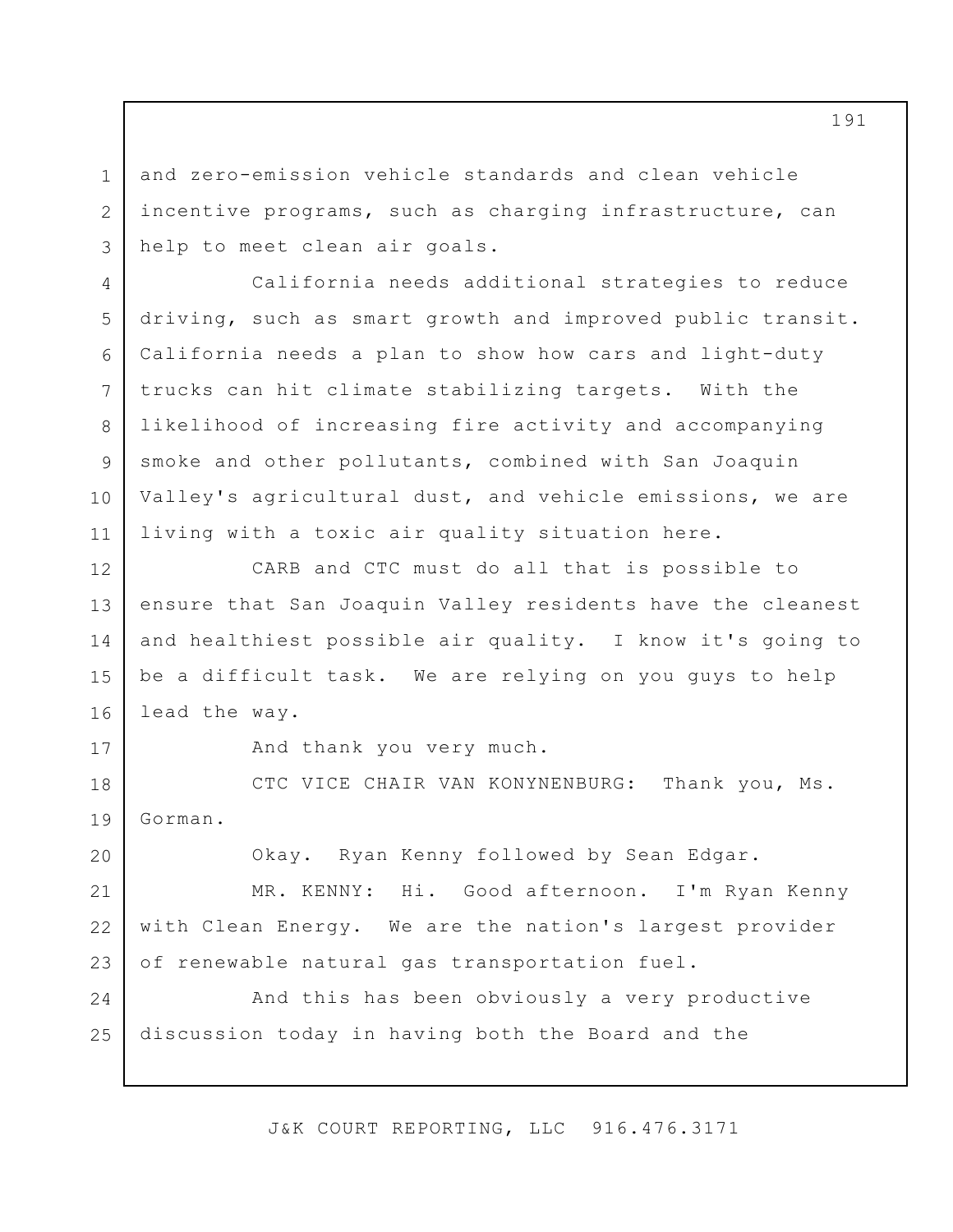and zero-emission vehicle standards and clean vehicle incentive programs, such as charging infrastructure, can help to meet clean air goals.

6 California needs additional strategies to reduce driving, such as smart growth and improved public transit. California needs a plan to show how cars and light-duty trucks can hit climate stabilizing targets. With the likelihood of increasing fire activity and accompanying smoke and other pollutants, combined with San Joaquin Valley's agricultural dust, and vehicle emissions, we are living with a toxic air quality situation here.

12 13 14 15 16 CARB and CTC must do all that is possible to ensure that San Joaquin Valley residents have the cleanest and healthiest possible air quality. I know it's going to be a difficult task. We are relying on you guys to help lead the way.

17

20

1

2

3

4

5

7

8

9

10

11

And thank you very much.

18 19 CTC VICE CHAIR VAN KONYNENBURG: Thank you, Ms. Gorman.

Okay. Ryan Kenny followed by Sean Edgar.

21 22 23 MR. KENNY: Hi. Good afternoon. I'm Ryan Kenny with Clean Energy. We are the nation's largest provider of renewable natural gas transportation fuel.

24 25 And this has been obviously a very productive discussion today in having both the Board and the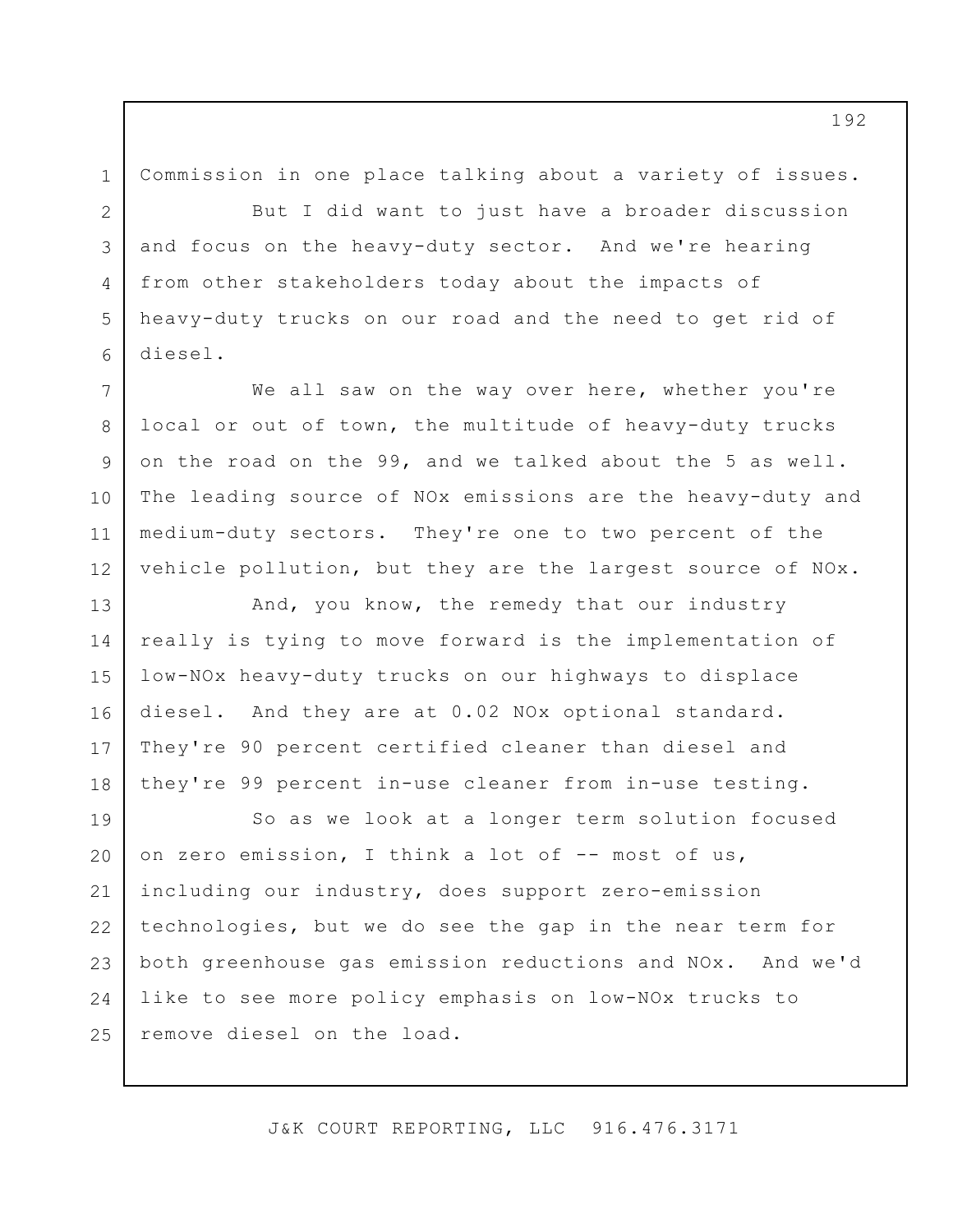1 2

3

4

5

6

Commission in one place talking about a variety of issues.

But I did want to just have a broader discussion and focus on the heavy-duty sector. And we're hearing from other stakeholders today about the impacts of heavy-duty trucks on our road and the need to get rid of diesel.

7 8 9 10 11 12 We all saw on the way over here, whether you're local or out of town, the multitude of heavy-duty trucks on the road on the 99, and we talked about the 5 as well. The leading source of NOx emissions are the heavy-duty and medium-duty sectors. They're one to two percent of the vehicle pollution, but they are the largest source of NOx.

13 14 15 16 17 18 And, you know, the remedy that our industry really is tying to move forward is the implementation of low-NOx heavy-duty trucks on our highways to displace diesel. And they are at 0.02 NOx optional standard. They're 90 percent certified cleaner than diesel and they're 99 percent in-use cleaner from in-use testing.

19 20 21 22 23 24 25 So as we look at a longer term solution focused on zero emission, I think a lot of -- most of us, including our industry, does support zero-emission technologies, but we do see the gap in the near term for both greenhouse gas emission reductions and NOx. And we'd like to see more policy emphasis on low-NOx trucks to remove diesel on the load.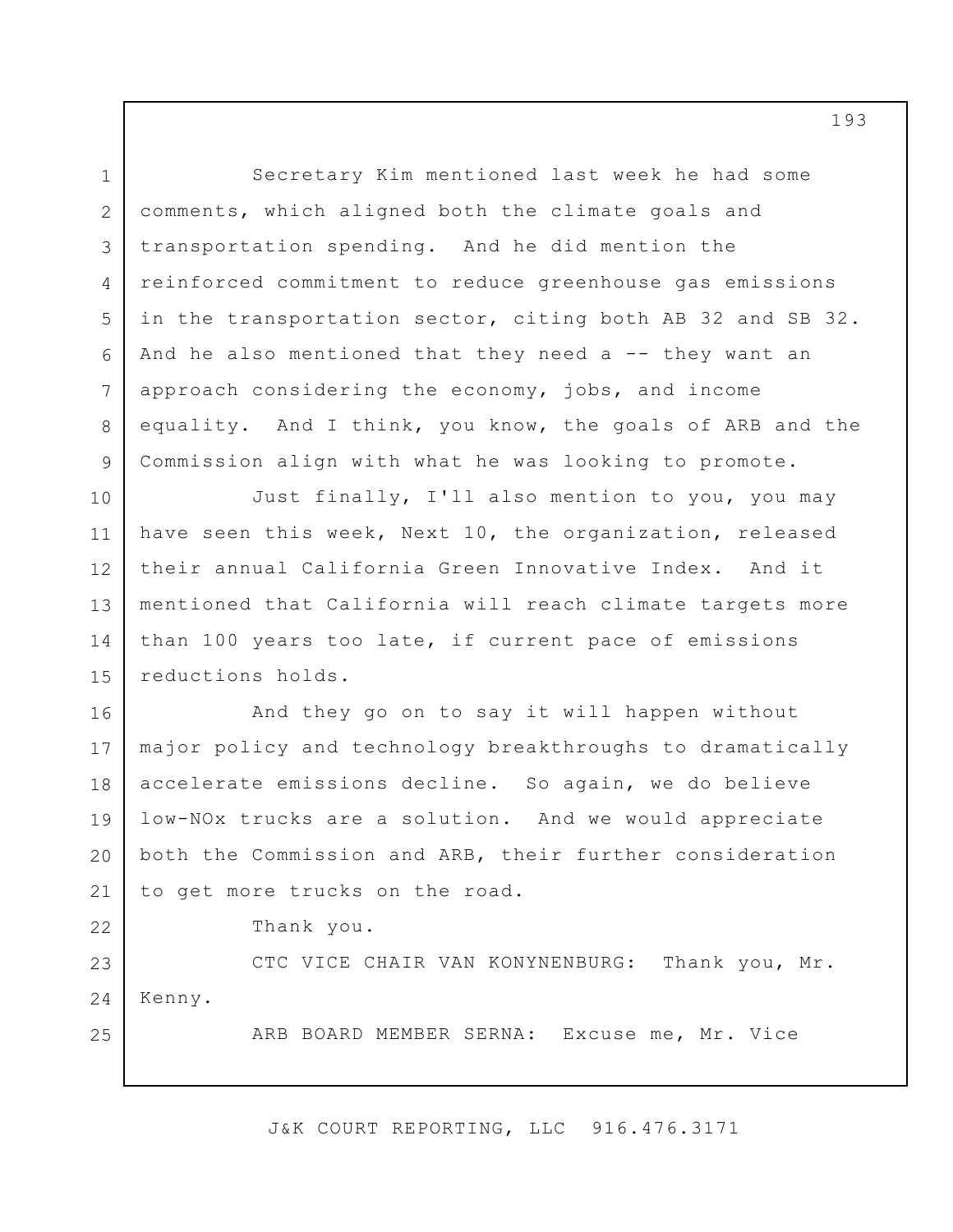1 2 3 4 5 6 7 8 9 10 11 12 13 14 15 16 17 18 19 20 21 22 23 24 25 Secretary Kim mentioned last week he had some comments, which aligned both the climate goals and transportation spending. And he did mention the reinforced commitment to reduce greenhouse gas emissions in the transportation sector, citing both AB 32 and SB 32. And he also mentioned that they need a -- they want an approach considering the economy, jobs, and income equality. And I think, you know, the goals of ARB and the Commission align with what he was looking to promote. Just finally, I'll also mention to you, you may have seen this week, Next 10, the organization, released their annual California Green Innovative Index. And it mentioned that California will reach climate targets more than 100 years too late, if current pace of emissions reductions holds. And they go on to say it will happen without major policy and technology breakthroughs to dramatically accelerate emissions decline. So again, we do believe low-NOx trucks are a solution. And we would appreciate both the Commission and ARB, their further consideration to get more trucks on the road. Thank you. CTC VICE CHAIR VAN KONYNENBURG: Thank you, Mr. Kenny. ARB BOARD MEMBER SERNA: Excuse me, Mr. Vice

J&K COURT REPORTING, LLC 916.476.3171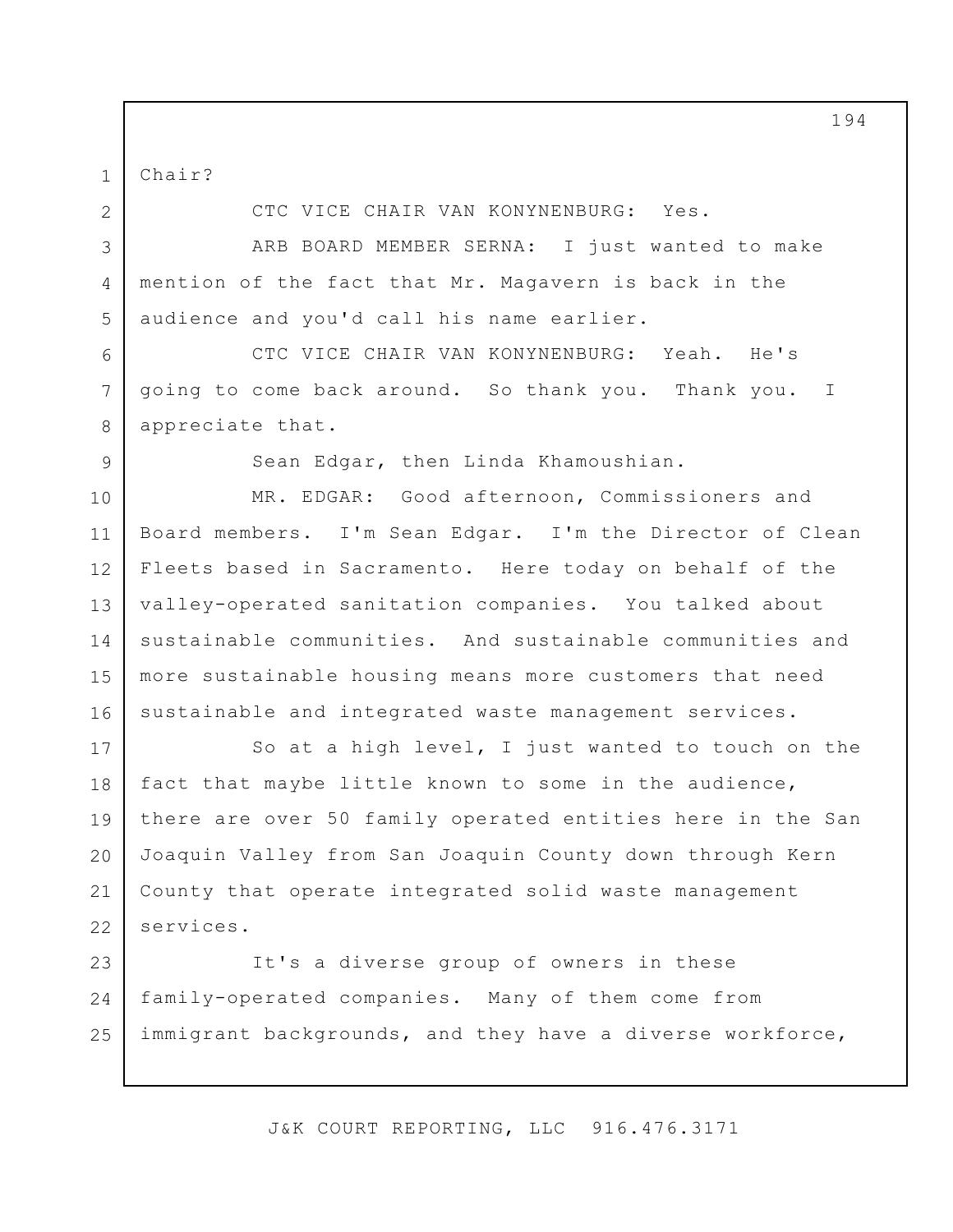Chair?

1

2

CTC VICE CHAIR VAN KONYNENBURG: Yes.

3 4 5 ARB BOARD MEMBER SERNA: I just wanted to make mention of the fact that Mr. Magavern is back in the audience and you'd call his name earlier.

CTC VICE CHAIR VAN KONYNENBURG: Yeah. He's going to come back around. So thank you. Thank you. appreciate that. I

9

6

7

8

Sean Edgar, then Linda Khamoushian.

10 11 12 13 14 15 16 MR. EDGAR: Good afternoon, Commissioners and Board members. I'm Sean Edgar. I'm the Director of Clean Fleets based in Sacramento. Here today on behalf of the valley-operated sanitation companies. You talked about sustainable communities. And sustainable communities and more sustainable housing means more customers that need sustainable and integrated waste management services.

17 18 19 20 21 22 So at a high level, I just wanted to touch on the fact that maybe little known to some in the audience, there are over 50 family operated entities here in the San Joaquin Valley from San Joaquin County down through Kern County that operate integrated solid waste management services.

23 24 25 It's a diverse group of owners in these family-operated companies. Many of them come from immigrant backgrounds, and they have a diverse workforce,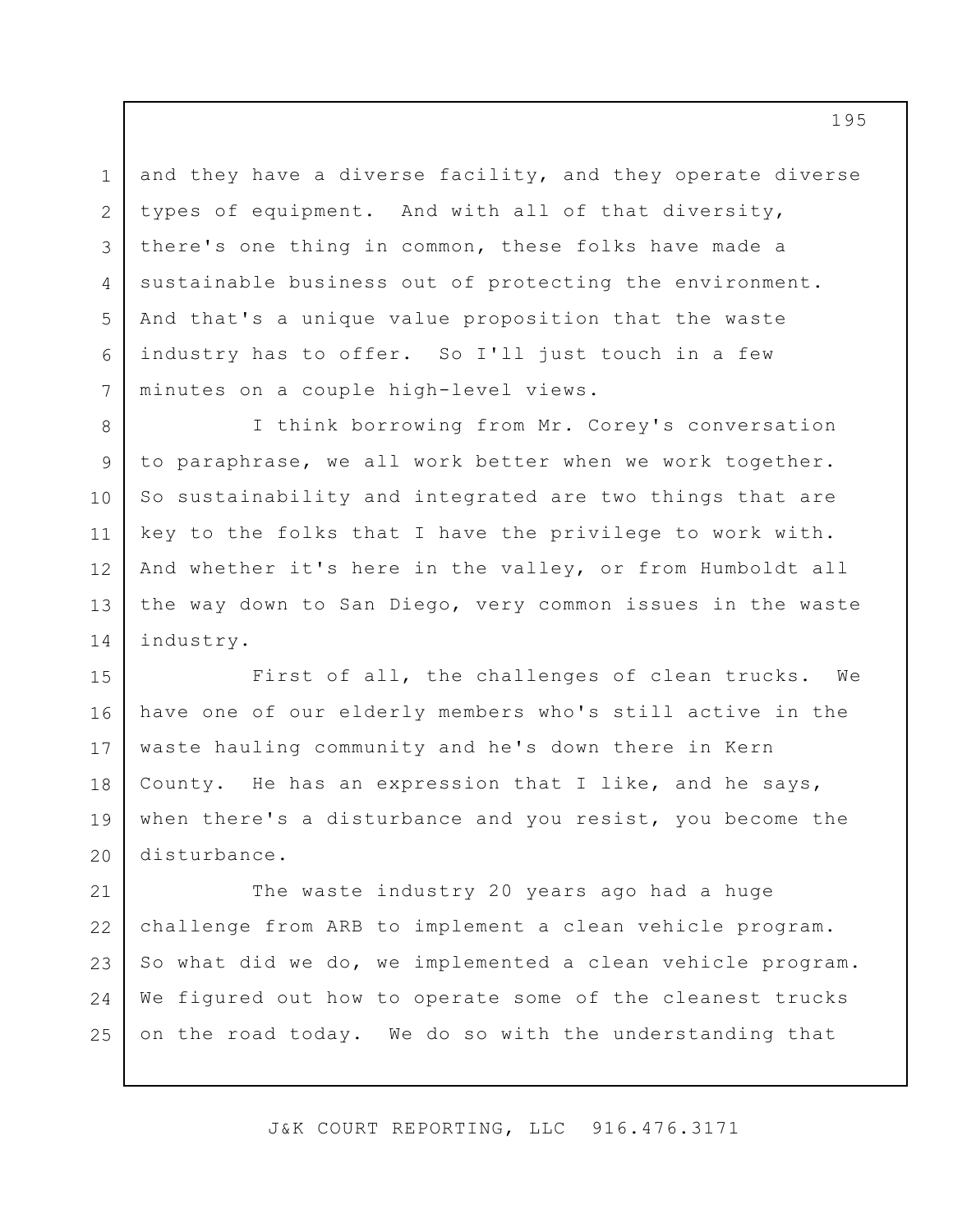1 2 3 4 5 6 7 and they have a diverse facility, and they operate diverse types of equipment. And with all of that diversity, there's one thing in common, these folks have made a sustainable business out of protecting the environment. And that's a unique value proposition that the waste industry has to offer. So I'll just touch in a few minutes on a couple high-level views.

8 9 10 11 12 13 14 I think borrowing from Mr. Corey's conversation to paraphrase, we all work better when we work together. So sustainability and integrated are two things that are key to the folks that I have the privilege to work with. And whether it's here in the valley, or from Humboldt all the way down to San Diego, very common issues in the waste industry.

15 16 17 18 19 20 First of all, the challenges of clean trucks. We have one of our elderly members who's still active in the waste hauling community and he's down there in Kern County. He has an expression that I like, and he says, when there's a disturbance and you resist, you become the disturbance.

21 22 23 24 25 The waste industry 20 years ago had a huge challenge from ARB to implement a clean vehicle program. So what did we do, we implemented a clean vehicle program. We figured out how to operate some of the cleanest trucks on the road today. We do so with the understanding that

J&K COURT REPORTING, LLC 916.476.3171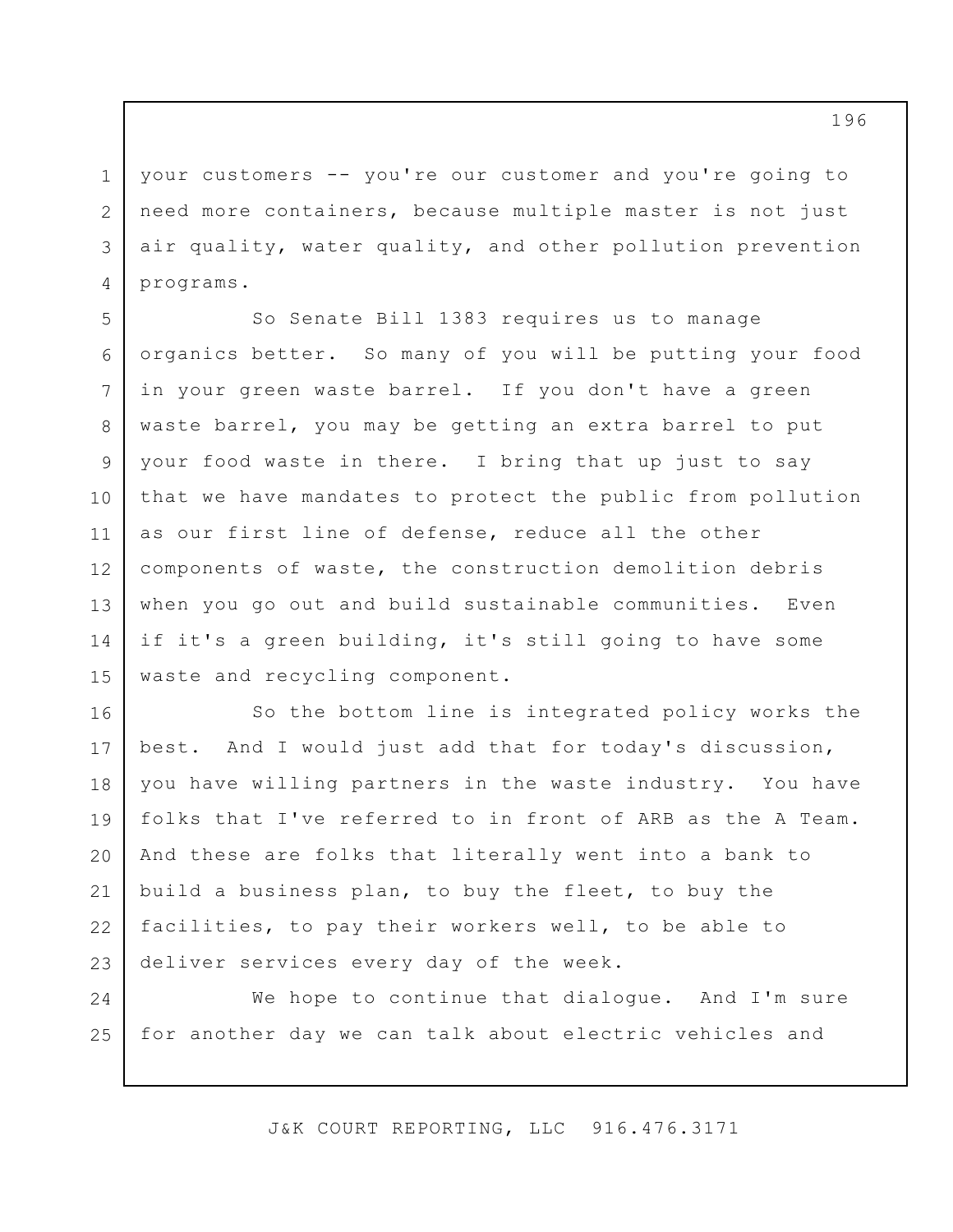your customers -- you're our customer and you're going to need more containers, because multiple master is not just air quality, water quality, and other pollution prevention programs.

1

2

3

4

5 6 7 8 9 10 11 12 13 14 15 So Senate Bill 1383 requires us to manage organics better. So many of you will be putting your food in your green waste barrel. If you don't have a green waste barrel, you may be getting an extra barrel to put your food waste in there. I bring that up just to say that we have mandates to protect the public from pollution as our first line of defense, reduce all the other components of waste, the construction demolition debris when you go out and build sustainable communities. Even if it's a green building, it's still going to have some waste and recycling component.

16 17 18 19 20 21 22 23 So the bottom line is integrated policy works the best. And I would just add that for today's discussion, you have willing partners in the waste industry. You have folks that I've referred to in front of ARB as the A Team. And these are folks that literally went into a bank to build a business plan, to buy the fleet, to buy the facilities, to pay their workers well, to be able to deliver services every day of the week.

24 25 We hope to continue that dialogue. And I'm sure for another day we can talk about electric vehicles and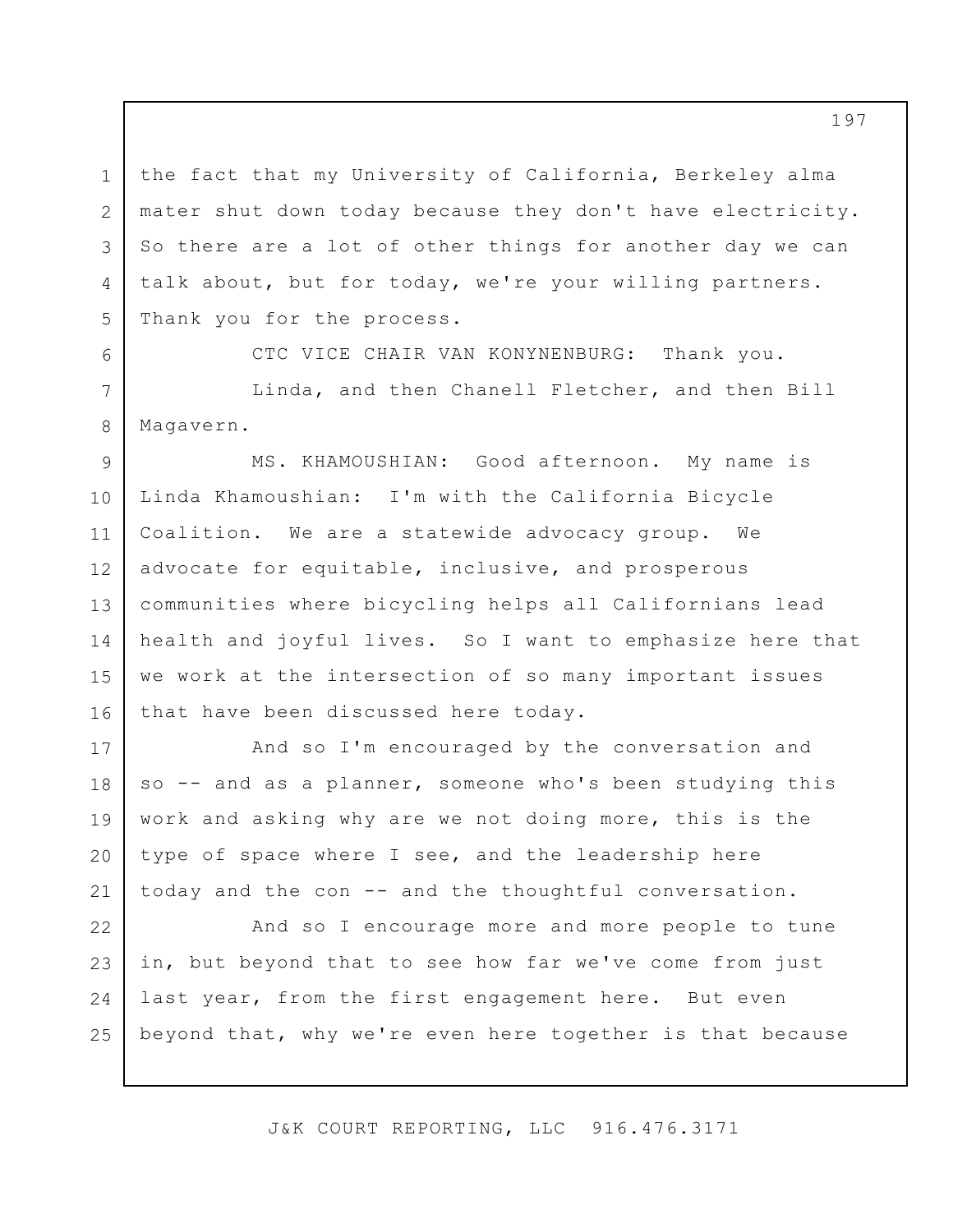the fact that my University of California, Berkeley alma mater shut down today because they don't have electricity. So there are a lot of other things for another day we can talk about, but for today, we're your willing partners. Thank you for the process.

1

2

3

4

5

6

7

8

CTC VICE CHAIR VAN KONYNENBURG: Thank you.

Linda, and then Chanell Fletcher, and then Bill Magavern.

9 10 11 12 13 14 15 16 MS. KHAMOUSHIAN: Good afternoon. My name is Linda Khamoushian: I'm with the California Bicycle Coalition. We are a statewide advocacy group. We advocate for equitable, inclusive, and prosperous communities where bicycling helps all Californians lead health and joyful lives. So I want to emphasize here that we work at the intersection of so many important issues that have been discussed here today.

17 18 19 20 21 And so I'm encouraged by the conversation and so -- and as a planner, someone who's been studying this work and asking why are we not doing more, this is the type of space where I see, and the leadership here today and the con -- and the thoughtful conversation.

22 23 24 25 And so I encourage more and more people to tune in, but beyond that to see how far we've come from just last year, from the first engagement here. But even beyond that, why we're even here together is that because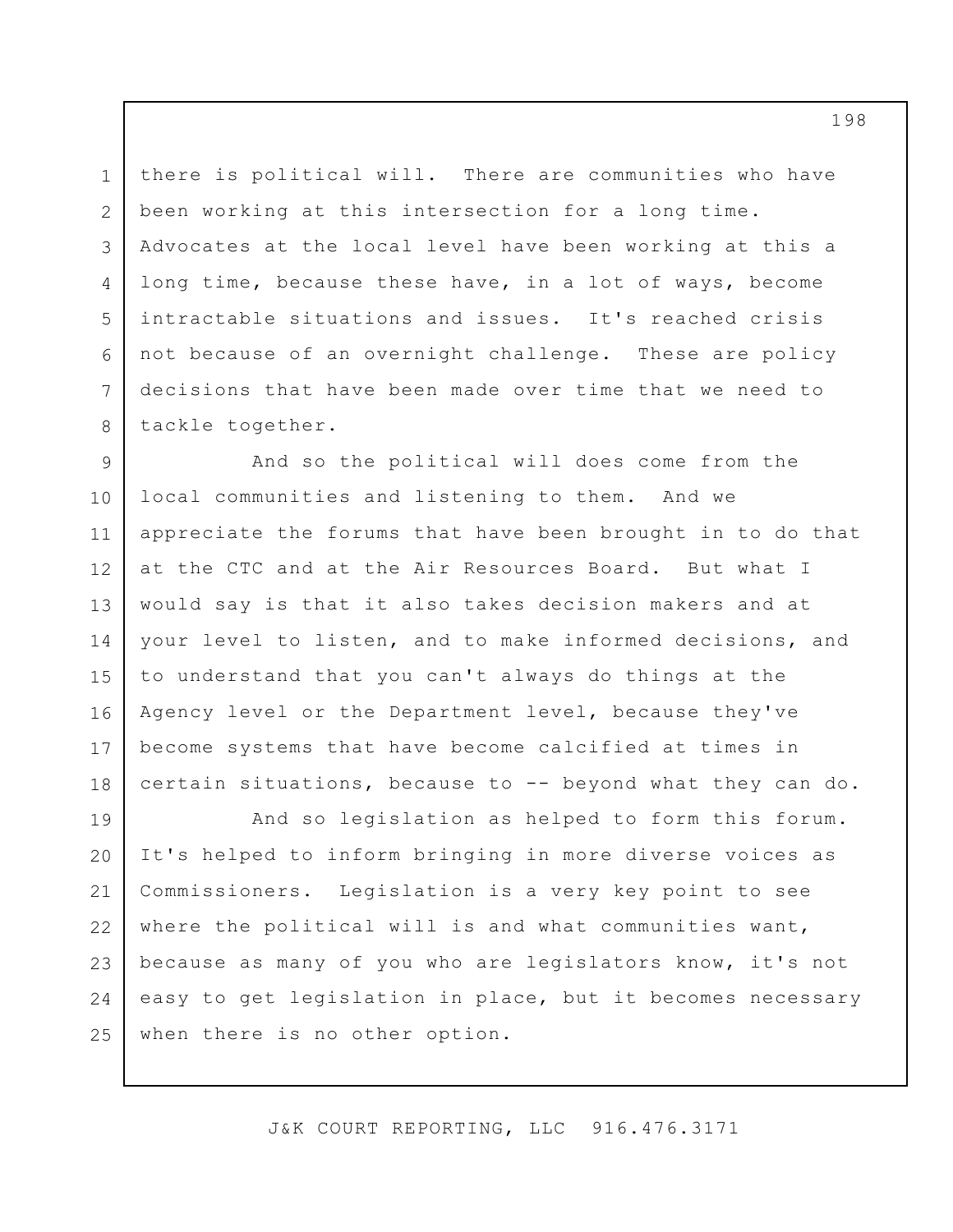3 5 6 there is political will. There are communities who have been working at this intersection for a long time. Advocates at the local level have been working at this a long time, because these have, in a lot of ways, become intractable situations and issues. It's reached crisis not because of an overnight challenge. These are policy decisions that have been made over time that we need to tackle together.

1

2

4

7

8

9 10 11 12 13 14 15 16 17 18 And so the political will does come from the local communities and listening to them. And we appreciate the forums that have been brought in to do that at the CTC and at the Air Resources Board. But what I would say is that it also takes decision makers and at your level to listen, and to make informed decisions, and to understand that you can't always do things at the Agency level or the Department level, because they've become systems that have become calcified at times in certain situations, because to -- beyond what they can do.

19 20 21 22 23 24 25 And so legislation as helped to form this forum. It's helped to inform bringing in more diverse voices as Commissioners. Legislation is a very key point to see where the political will is and what communities want, because as many of you who are legislators know, it's not easy to get legislation in place, but it becomes necessary when there is no other option.

J&K COURT REPORTING, LLC 916.476.3171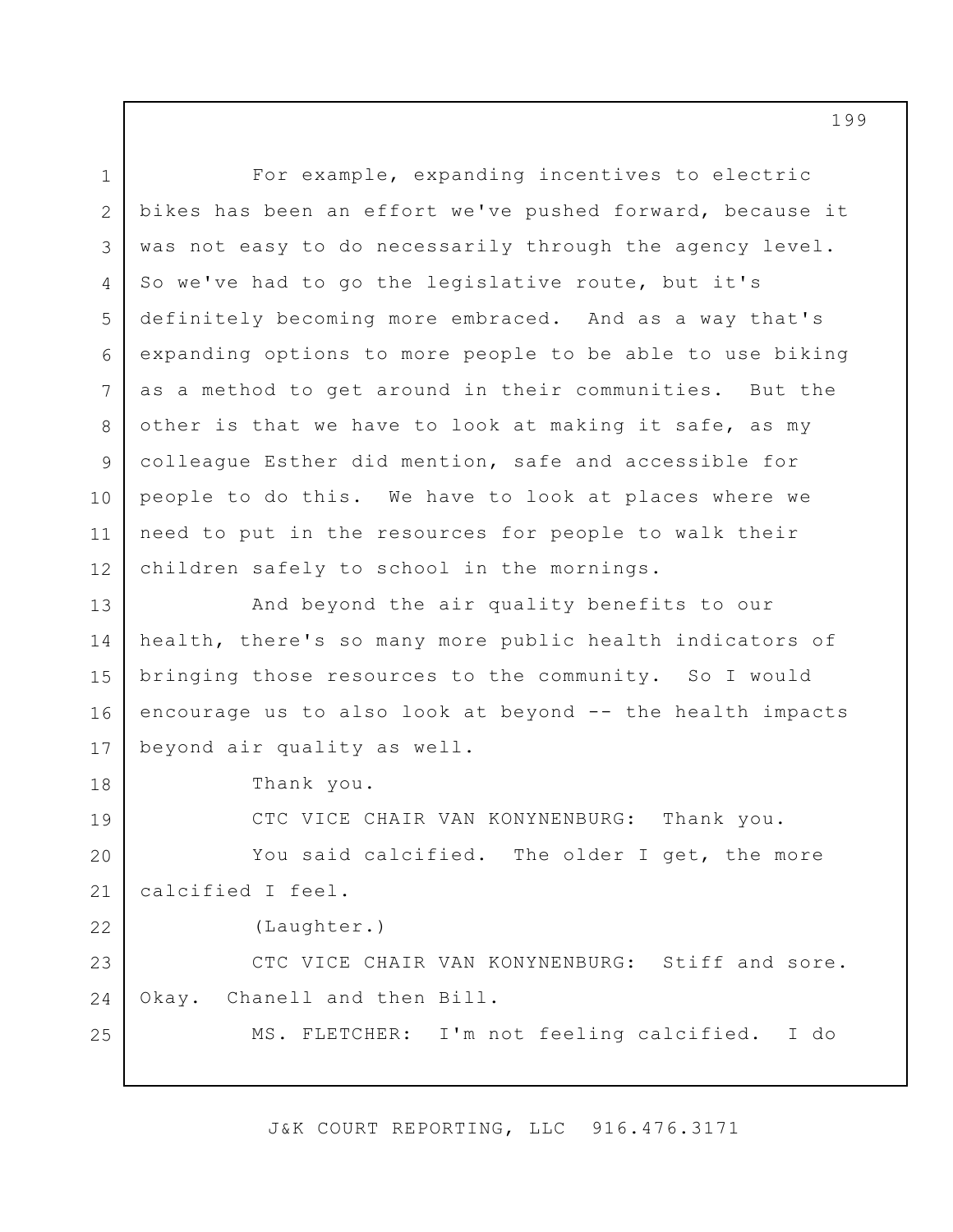1 2 3 4 5 6 7 8 9 10 11 12 13 14 15 16 17 18 19 20 21 22 23 24 25 For example, expanding incentives to electric bikes has been an effort we've pushed forward, because it was not easy to do necessarily through the agency level. So we've had to go the legislative route, but it's definitely becoming more embraced. And as a way that's expanding options to more people to be able to use biking as a method to get around in their communities. But the other is that we have to look at making it safe, as my colleague Esther did mention, safe and accessible for people to do this. We have to look at places where we need to put in the resources for people to walk their children safely to school in the mornings. And beyond the air quality benefits to our health, there's so many more public health indicators of bringing those resources to the community. So I would encourage us to also look at beyond -- the health impacts beyond air quality as well. Thank you. CTC VICE CHAIR VAN KONYNENBURG: Thank you. You said calcified. The older I get, the more calcified I feel. (Laughter.) CTC VICE CHAIR VAN KONYNENBURG: Stiff and sore. Okay. Chanell and then Bill. MS. FLETCHER: I'm not feeling calcified. I do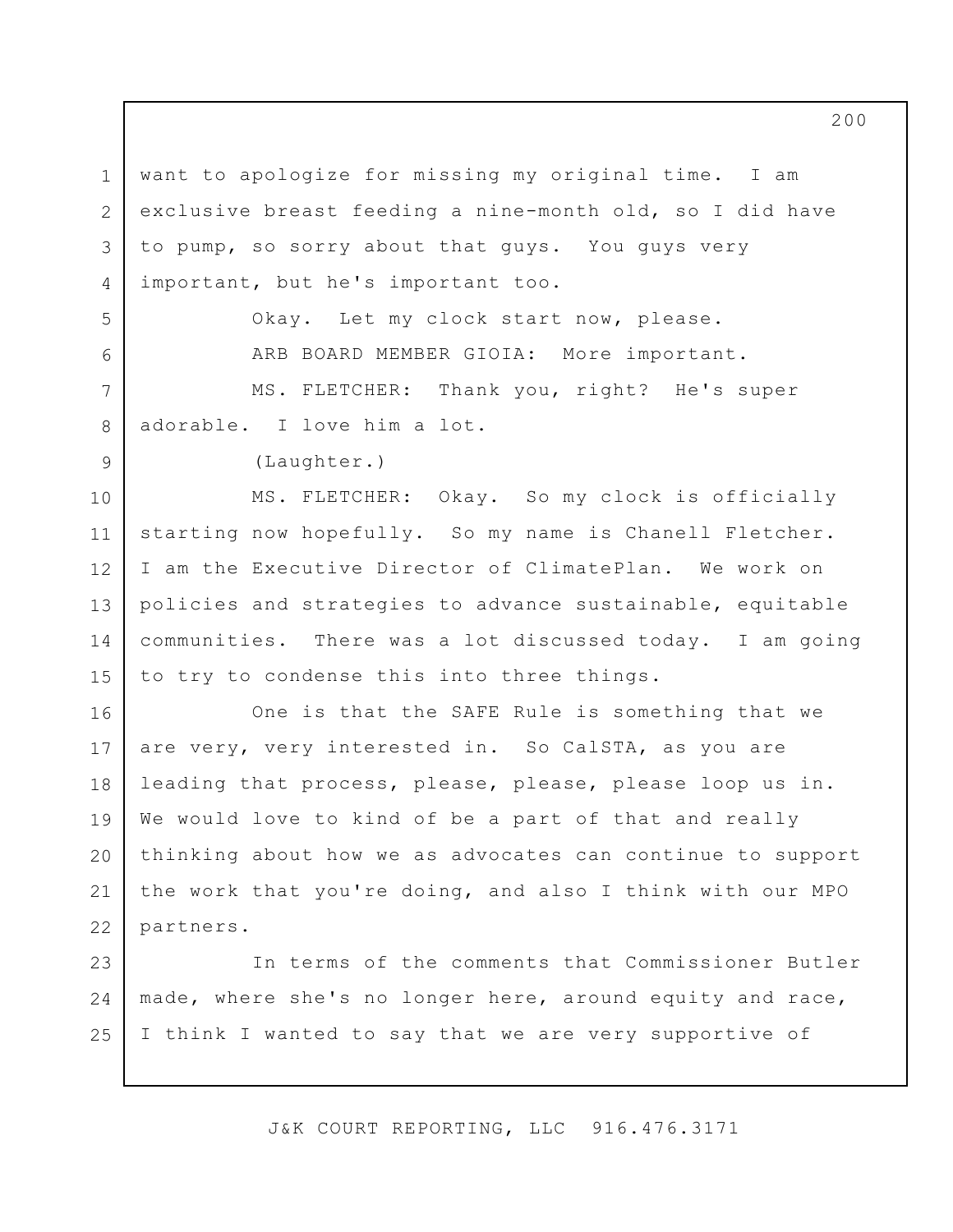1 2 3 4 want to apologize for missing my original time. I am exclusive breast feeding a nine-month old, so I did have to pump, so sorry about that guys. You guys very important, but he's important too.

5

6

7

8

9

Okay. Let my clock start now, please. ARB BOARD MEMBER GIOIA: More important.

MS. FLETCHER: Thank you, right? He's super adorable. I love him a lot.

(Laughter.)

10 11 12 13 14 15 MS. FLETCHER: Okay. So my clock is officially starting now hopefully. So my name is Chanell Fletcher. I am the Executive Director of ClimatePlan. We work on policies and strategies to advance sustainable, equitable communities. There was a lot discussed today. I am going to try to condense this into three things.

16 17 18 19 20 21 22 One is that the SAFE Rule is something that we are very, very interested in. So CalSTA, as you are leading that process, please, please, please loop us in. We would love to kind of be a part of that and really thinking about how we as advocates can continue to support the work that you're doing, and also I think with our MPO partners.

23 24 25 In terms of the comments that Commissioner Butler made, where she's no longer here, around equity and race, I think I wanted to say that we are very supportive of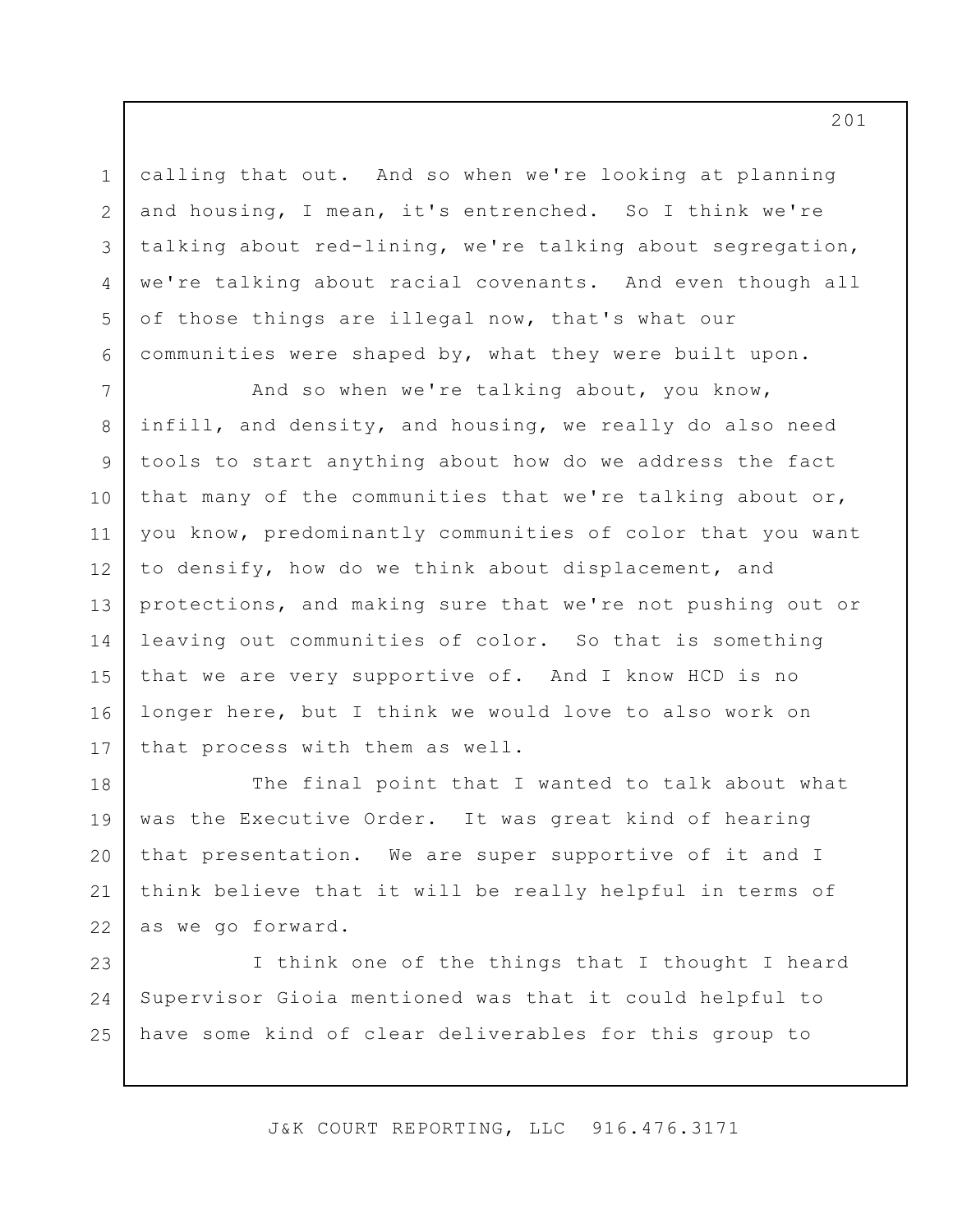calling that out. And so when we're looking at planning and housing, I mean, it's entrenched. So I think we're talking about red-lining, we're talking about segregation, we're talking about racial covenants. And even though all of those things are illegal now, that's what our communities were shaped by, what they were built upon.

1

2

3

4

5

6

7 8 9 10 11 12 13 14 15 16 17 And so when we're talking about, you know, infill, and density, and housing, we really do also need tools to start anything about how do we address the fact that many of the communities that we're talking about or, you know, predominantly communities of color that you want to densify, how do we think about displacement, and protections, and making sure that we're not pushing out or leaving out communities of color. So that is something that we are very supportive of. And I know HCD is no longer here, but I think we would love to also work on that process with them as well.

18 19 20 21 22 The final point that I wanted to talk about what was the Executive Order. It was great kind of hearing that presentation. We are super supportive of it and I think believe that it will be really helpful in terms of as we go forward.

23 24 25 I think one of the things that I thought I heard Supervisor Gioia mentioned was that it could helpful to have some kind of clear deliverables for this group to

J&K COURT REPORTING, LLC 916.476.3171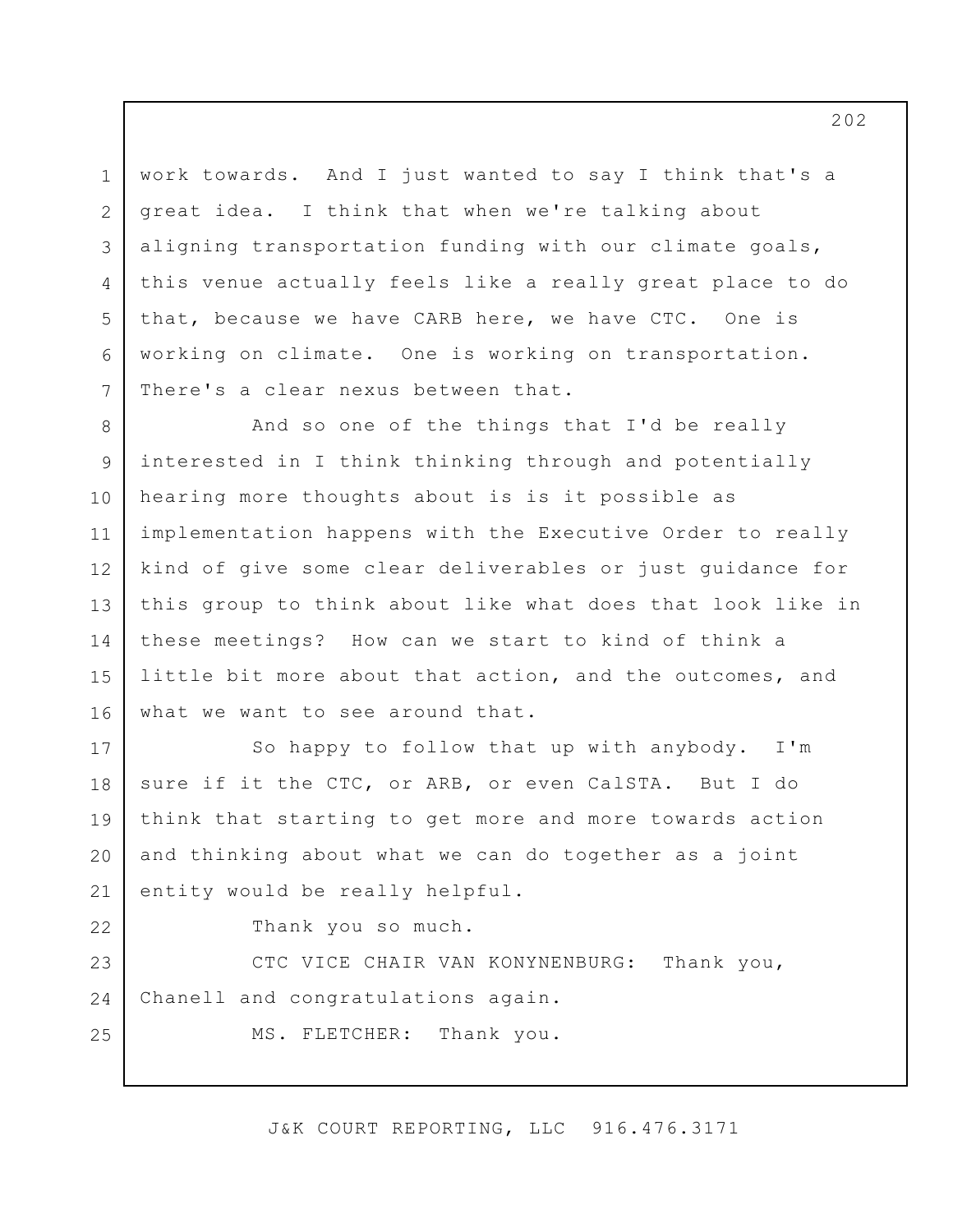3 work towards. And I just wanted to say I think that's a great idea. I think that when we're talking about aligning transportation funding with our climate goals, this venue actually feels like a really great place to do that, because we have CARB here, we have CTC. One is working on climate. One is working on transportation. There's a clear nexus between that.

1

2

4

5

6

7

22

25

8 9 10 11 12 13 14 15 16 And so one of the things that I'd be really interested in I think thinking through and potentially hearing more thoughts about is is it possible as implementation happens with the Executive Order to really kind of give some clear deliverables or just guidance for this group to think about like what does that look like in these meetings? How can we start to kind of think a little bit more about that action, and the outcomes, and what we want to see around that.

17 18 19 20 21 So happy to follow that up with anybody. I'm sure if it the CTC, or ARB, or even CalSTA. But I do think that starting to get more and more towards action and thinking about what we can do together as a joint entity would be really helpful.

Thank you so much.

23 24 CTC VICE CHAIR VAN KONYNENBURG: Thank you, Chanell and congratulations again.

MS. FLETCHER: Thank you.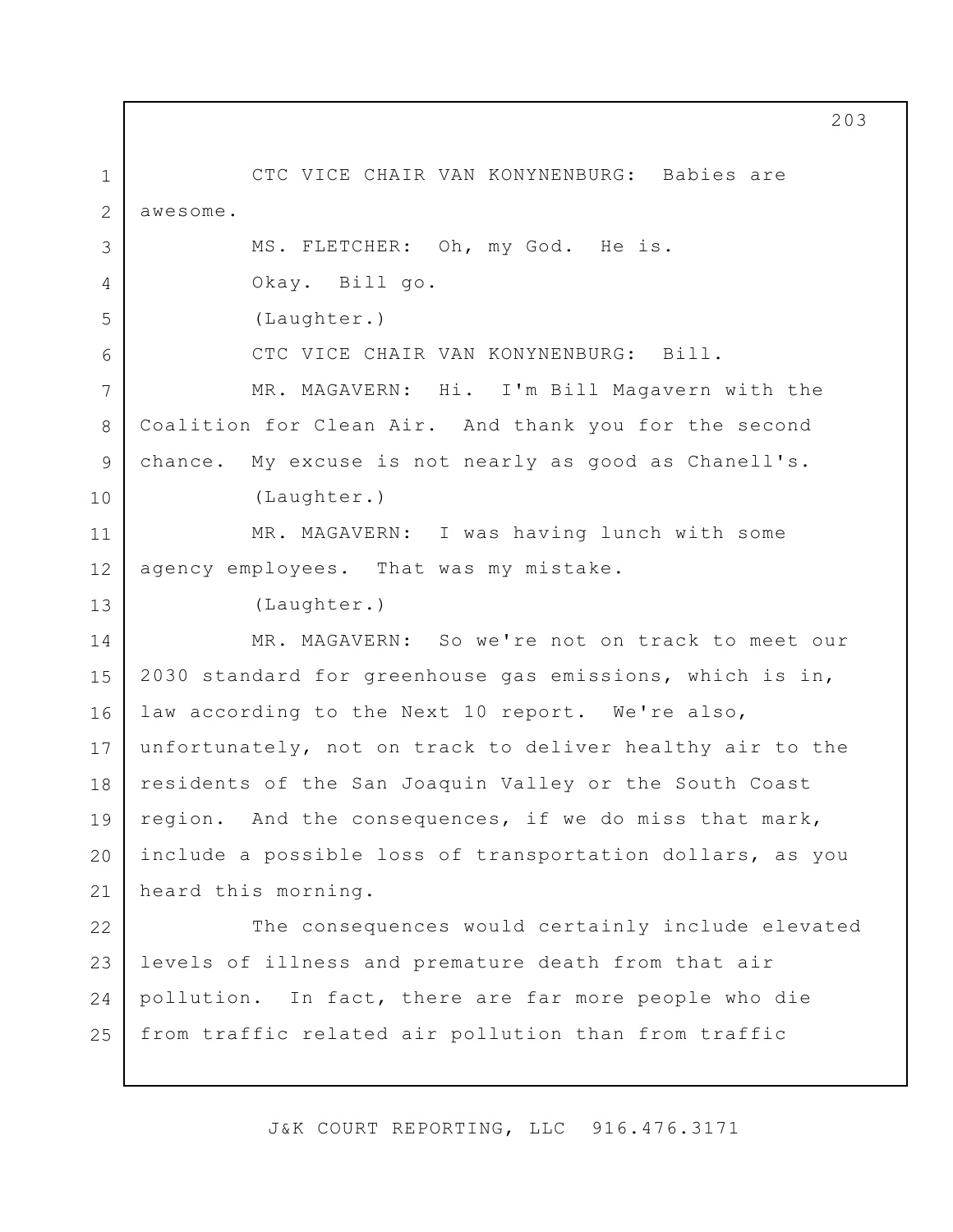1 2 3 4 5 6 7 8 9 10 11 12 13 14 15 16 17 18 19 20 21 22 23 24 25 CTC VICE CHAIR VAN KONYNENBURG: Babies are awesome. MS. FLETCHER: Oh, my God. He is. Okay. Bill go. (Laughter.) CTC VICE CHAIR VAN KONYNENBURG: Bill. MR. MAGAVERN: Hi. I'm Bill Magavern with the Coalition for Clean Air. And thank you for the second chance. My excuse is not nearly as good as Chanell's. (Laughter.) MR. MAGAVERN: I was having lunch with some agency employees. That was my mistake. (Laughter.) MR. MAGAVERN: So we're not on track to meet our 2030 standard for greenhouse gas emissions, which is in, law according to the Next 10 report. We're also, unfortunately, not on track to deliver healthy air to the residents of the San Joaquin Valley or the South Coast region. And the consequences, if we do miss that mark, include a possible loss of transportation dollars, as you heard this morning. The consequences would certainly include elevated levels of illness and premature death from that air pollution. In fact, there are far more people who die from traffic related air pollution than from traffic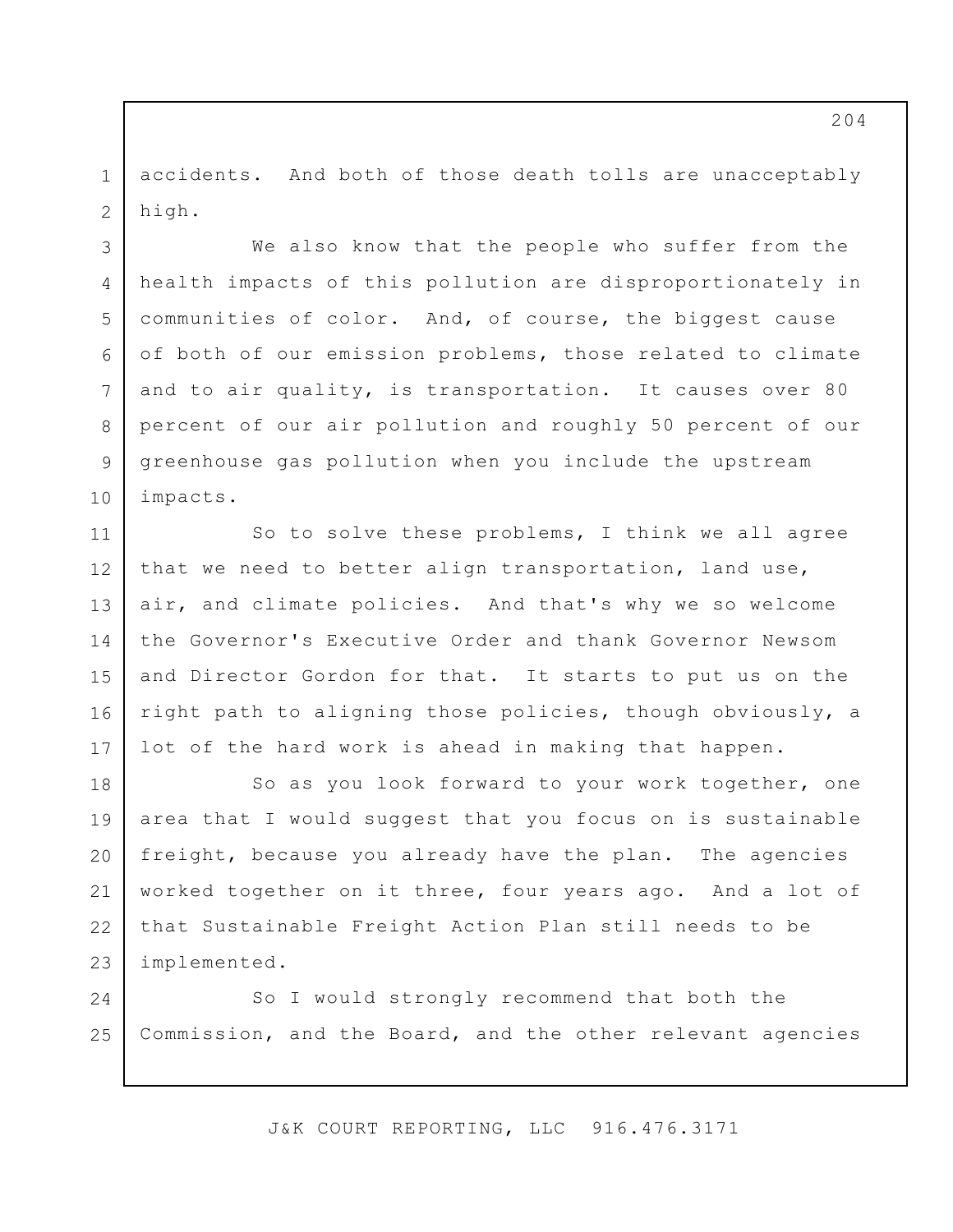1 2 accidents. And both of those death tolls are unacceptably high.

3

4

5

6

7

8

9

10 We also know that the people who suffer from the health impacts of this pollution are disproportionately in communities of color. And, of course, the biggest cause of both of our emission problems, those related to climate and to air quality, is transportation. It causes over 80 percent of our air pollution and roughly 50 percent of our greenhouse gas pollution when you include the upstream impacts.

11 12 13 14 15 16 17 So to solve these problems, I think we all agree that we need to better align transportation, land use, air, and climate policies. And that's why we so welcome the Governor's Executive Order and thank Governor Newsom and Director Gordon for that. It starts to put us on the right path to aligning those policies, though obviously, a lot of the hard work is ahead in making that happen.

18 19 20 21 22 23 So as you look forward to your work together, one area that I would suggest that you focus on is sustainable freight, because you already have the plan. The agencies worked together on it three, four years ago. And a lot of that Sustainable Freight Action Plan still needs to be implemented.

24 25 So I would strongly recommend that both the Commission, and the Board, and the other relevant agencies

J&K COURT REPORTING, LLC 916.476.3171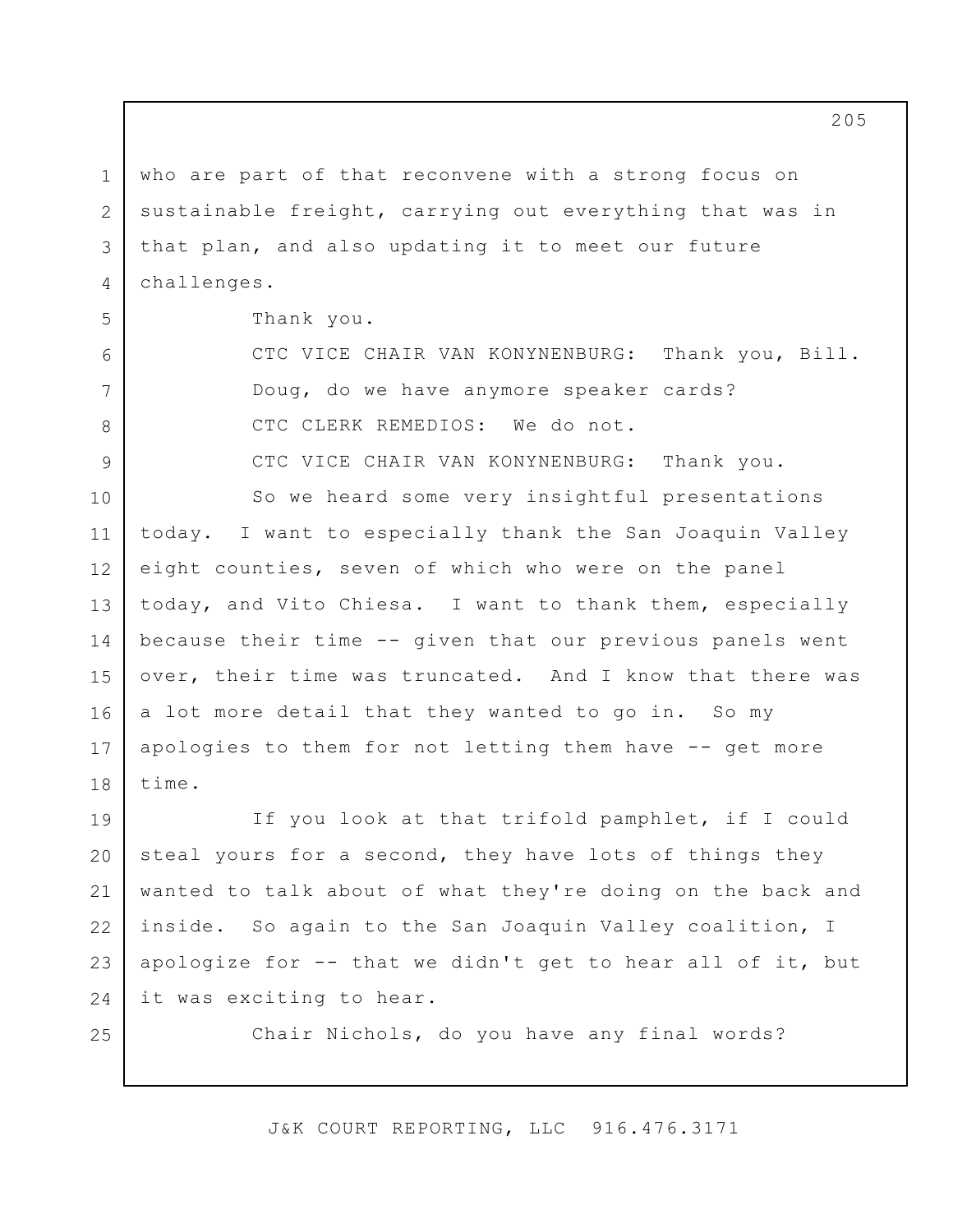1 2 3 4 who are part of that reconvene with a strong focus on sustainable freight, carrying out everything that was in that plan, and also updating it to meet our future challenges.

5

6

7

8

Thank you.

CTC VICE CHAIR VAN KONYNENBURG: Thank you, Bill. Doug, do we have anymore speaker cards? CTC CLERK REMEDIOS: We do not.

9 10 11 12 13 14 15 16 17 18 CTC VICE CHAIR VAN KONYNENBURG: Thank you. So we heard some very insightful presentations today. I want to especially thank the San Joaquin Valley eight counties, seven of which who were on the panel today, and Vito Chiesa. I want to thank them, especially because their time -- given that our previous panels went over, their time was truncated. And I know that there was a lot more detail that they wanted to go in. So my apologies to them for not letting them have -- get more time.

19 20 21 22 23 24 If you look at that trifold pamphlet, if I could steal yours for a second, they have lots of things they wanted to talk about of what they're doing on the back and inside. So again to the San Joaquin Valley coalition, I apologize for -- that we didn't get to hear all of it, but it was exciting to hear.

25

Chair Nichols, do you have any final words?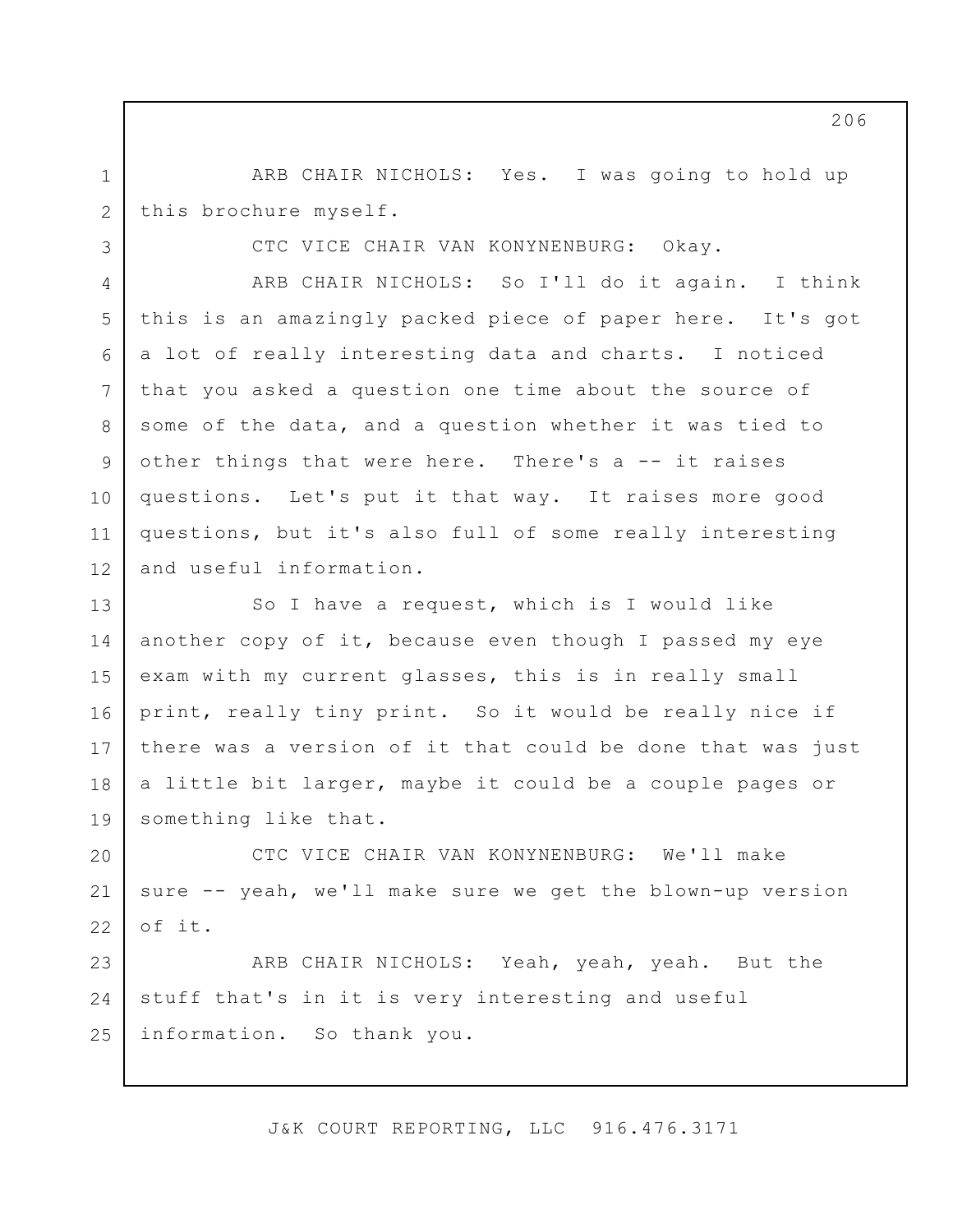2 ARB CHAIR NICHOLS: Yes. I was going to hold up this brochure myself.

1

3

CTC VICE CHAIR VAN KONYNENBURG: Okay.

4 5 6 7 8 9 10 11 12 ARB CHAIR NICHOLS: So I'll do it again. I think this is an amazingly packed piece of paper here. It's got a lot of really interesting data and charts. I noticed that you asked a question one time about the source of some of the data, and a question whether it was tied to other things that were here. There's a -- it raises questions. Let's put it that way. It raises more good questions, but it's also full of some really interesting and useful information.

13 14 15 16 17 18 19 So I have a request, which is I would like another copy of it, because even though I passed my eye exam with my current glasses, this is in really small print, really tiny print. So it would be really nice if there was a version of it that could be done that was just a little bit larger, maybe it could be a couple pages or something like that.

20 21 22 CTC VICE CHAIR VAN KONYNENBURG: We'll make sure -- yeah, we'll make sure we get the blown-up version of it.

23 24 25 ARB CHAIR NICHOLS: Yeah, yeah, yeah. But the stuff that's in it is very interesting and useful information. So thank you.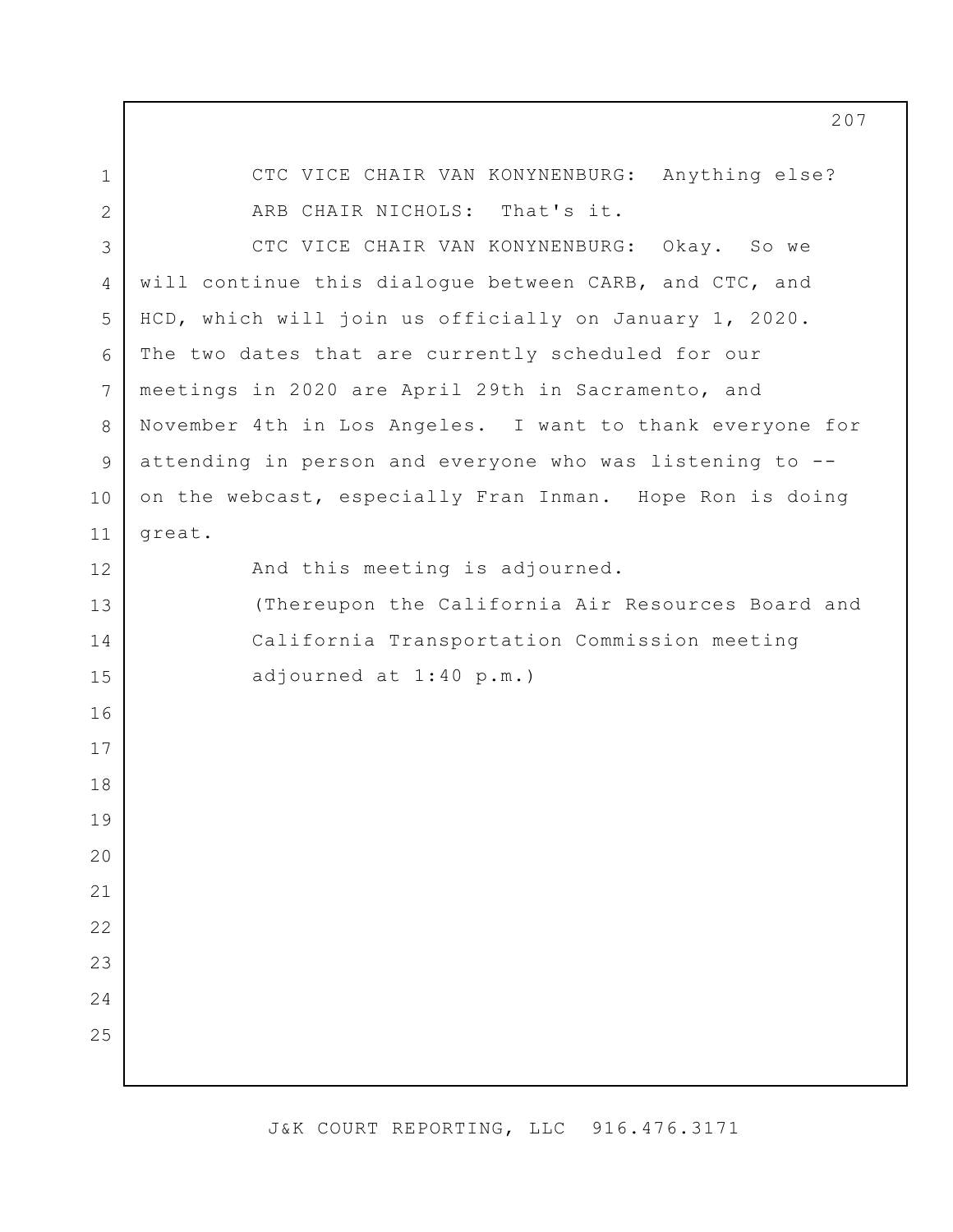CTC VICE CHAIR VAN KONYNENBURG: Anything else? ARB CHAIR NICHOLS: That's it. CTC VICE CHAIR VAN KONYNENBURG: Okay. So we will continue this dialogue between CARB, and CTC, and HCD, which will join us officially on January 1, 2020. The two dates that are currently scheduled for our meetings in 2020 are April 29th in Sacramento, and November 4th in Los Angeles. I want to thank everyone for attending in person and everyone who was listening to - on the webcast, especially Fran Inman. Hope Ron is doing great. And this meeting is adjourned. (Thereupon the California Air Resources Board and California Transportation Commission meeting adjourned at 1:40 p.m.)